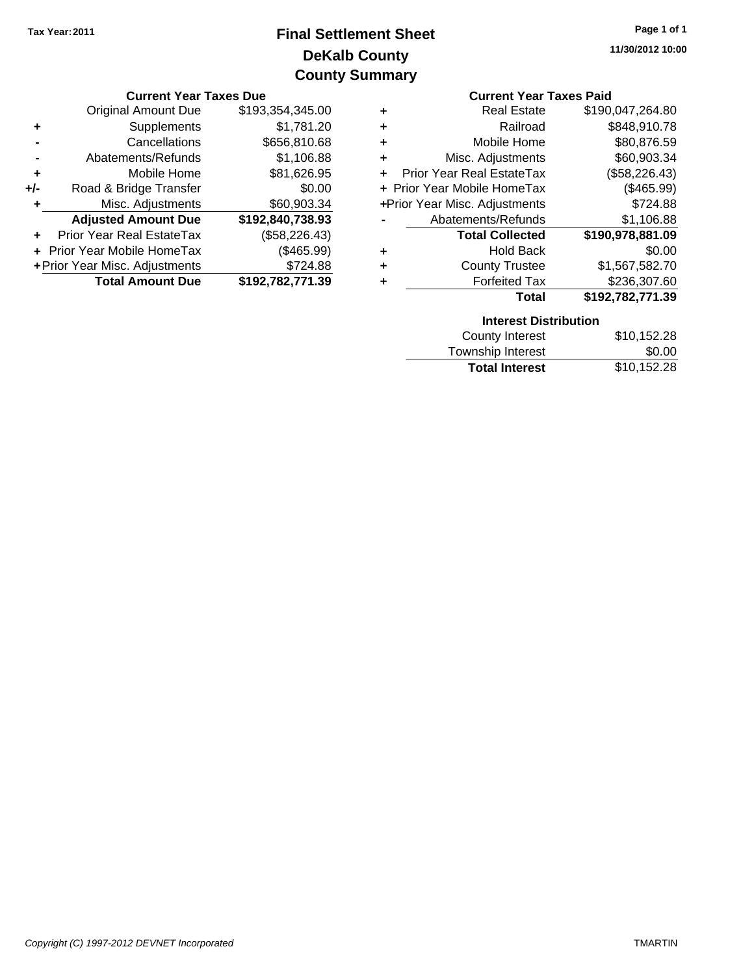## **DeKalb County Final Settlement Sheet Tax Year:2011 County Summary**

|       |                                         | <b>VUUILY JUILIILUI Y</b> |                                |                               |                  |
|-------|-----------------------------------------|---------------------------|--------------------------------|-------------------------------|------------------|
|       | <b>Current Year Taxes Due</b>           |                           | <b>Current Year Taxes Paid</b> |                               |                  |
|       | Original Amount Due<br>\$193,354,345.00 |                           |                                | <b>Real Estate</b>            | \$190,047,264.80 |
| ٠     | <b>Supplements</b>                      | \$1,781.20                | ٠                              | Railroad                      | \$848,910.78     |
|       | Cancellations                           | \$656,810.68              | ٠                              | Mobile Home                   | \$80,876.59      |
|       | Abatements/Refunds                      | \$1,106.88                |                                | Misc. Adjustments             | \$60,903.34      |
| ٠     | Mobile Home                             | \$81,626.95               | + Prior Year Real EstateTax    |                               | (\$58,226.43)    |
| $+/-$ | Road & Bridge Transfer                  | \$0.00                    | + Prior Year Mobile HomeTax    |                               | (\$465.99)       |
|       | Misc. Adjustments                       | \$60,903.34               |                                | +Prior Year Misc. Adjustments | \$724.88         |
|       | <b>Adjusted Amount Due</b>              | \$192,840,738.93          |                                | Abatements/Refunds            | \$1,106.88       |
| ÷.    | Prior Year Real EstateTax               | (\$58,226.43)             |                                | <b>Total Collected</b>        | \$190,978,881.09 |
|       | + Prior Year Mobile HomeTax             | (\$465.99)                | ٠                              | <b>Hold Back</b>              | \$0.00           |
|       | + Prior Year Misc. Adjustments          | \$724.88                  | ٠                              | <b>County Trustee</b>         | \$1,567,582.70   |

**Total Amount Due \$192,782,771.39**

|   | <b>Current Year Taxes Paid</b> |                  |  |  |  |  |
|---|--------------------------------|------------------|--|--|--|--|
| ٠ | <b>Real Estate</b>             | \$190,047,264.80 |  |  |  |  |
| ÷ | Railroad                       | \$848,910.78     |  |  |  |  |
| ÷ | Mobile Home                    | \$80,876.59      |  |  |  |  |
| ٠ | Misc. Adjustments              | \$60,903.34      |  |  |  |  |
|   | Prior Year Real EstateTax      | (\$58,226.43)    |  |  |  |  |
|   | + Prior Year Mobile HomeTax    | (\$465.99)       |  |  |  |  |
|   | +Prior Year Misc. Adjustments  | \$724.88         |  |  |  |  |
|   | Abatements/Refunds             | \$1,106.88       |  |  |  |  |
|   | <b>Total Collected</b>         | \$190,978,881.09 |  |  |  |  |
| ٠ | <b>Hold Back</b>               | \$0.00           |  |  |  |  |
| ÷ | <b>County Trustee</b>          | \$1,567,582.70   |  |  |  |  |
|   | <b>Forfeited Tax</b>           | \$236,307.60     |  |  |  |  |
|   | Total                          | \$192,782,771.39 |  |  |  |  |

| <b>Interest Distribution</b> |             |
|------------------------------|-------------|
| County Interest              | \$10,152.28 |
| Township Interest            | \$0.00      |
| <b>Total Interest</b>        | \$10,152.28 |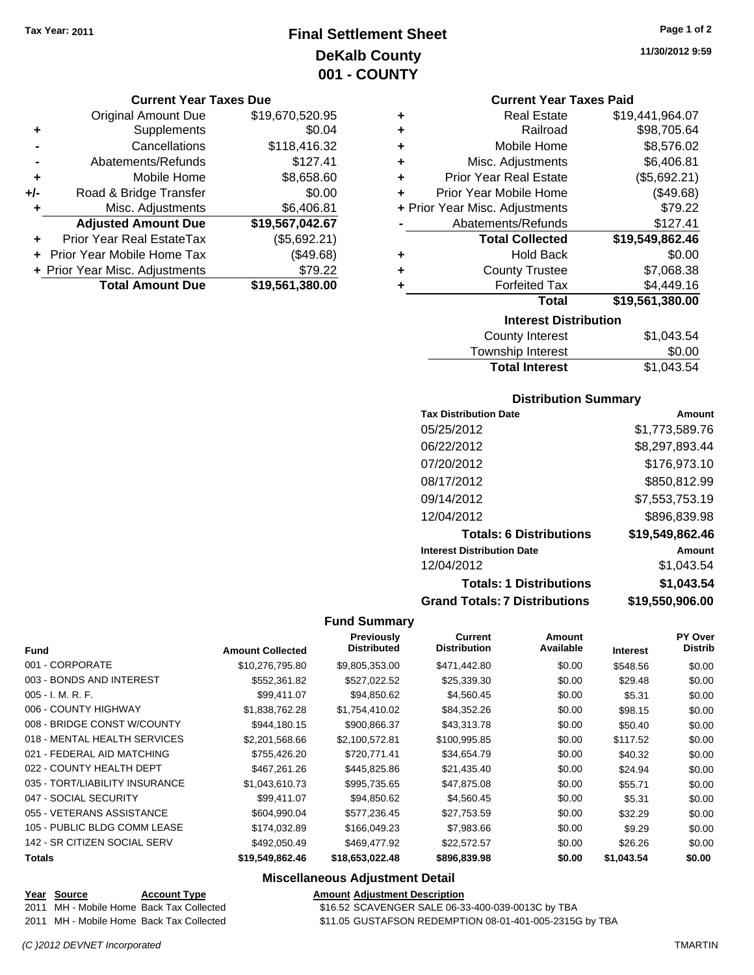### **Final Settlement Sheet Tax Year: 2011 Page 1 of 2 DeKalb County 001 - COUNTY**

#### **Current Year Taxes Due**

|     | <b>Original Amount Due</b>     | \$19,670,520.95 |
|-----|--------------------------------|-----------------|
| ٠   | Supplements                    | \$0.04          |
|     | Cancellations                  | \$118,416.32    |
|     | Abatements/Refunds             | \$127.41        |
| ÷   | Mobile Home                    | \$8,658.60      |
| +/- | Road & Bridge Transfer         | \$0.00          |
| ٠   | Misc. Adjustments              | \$6,406.81      |
|     | <b>Adjusted Amount Due</b>     | \$19,567,042.67 |
|     | Prior Year Real EstateTax      | (\$5,692.21)    |
|     | Prior Year Mobile Home Tax     | (\$49.68)       |
|     | + Prior Year Misc. Adjustments | \$79.22         |
|     | <b>Total Amount Due</b>        | \$19,561,380.00 |

|   | <b>Interest Distribution</b>   |                 |  |  |  |  |  |
|---|--------------------------------|-----------------|--|--|--|--|--|
|   | Total                          | \$19,561,380.00 |  |  |  |  |  |
| ٠ | <b>Forfeited Tax</b>           | \$4,449.16      |  |  |  |  |  |
| ٠ | <b>County Trustee</b>          | \$7,068.38      |  |  |  |  |  |
| ٠ | <b>Hold Back</b>               | \$0.00          |  |  |  |  |  |
|   | <b>Total Collected</b>         | \$19,549,862.46 |  |  |  |  |  |
|   | Abatements/Refunds             | \$127.41        |  |  |  |  |  |
|   | + Prior Year Misc. Adjustments | \$79.22         |  |  |  |  |  |
| ٠ | Prior Year Mobile Home         | (\$49.68)       |  |  |  |  |  |
| ٠ | <b>Prior Year Real Estate</b>  | (\$5,692.21)    |  |  |  |  |  |
| ٠ | Misc. Adjustments              | \$6,406.81      |  |  |  |  |  |
| ٠ | Mobile Home                    | \$8,576.02      |  |  |  |  |  |
| ٠ | Railroad                       | \$98,705.64     |  |  |  |  |  |
| ٠ | <b>Real Estate</b>             | \$19,441,964.07 |  |  |  |  |  |
|   | OUITUR TUUT TUAUJ LUIU         |                 |  |  |  |  |  |

| <b>County Interest</b> | \$1,043.54 |
|------------------------|------------|
| Township Interest      | \$0.00     |
| <b>Total Interest</b>  | \$1,043.54 |

### **Distribution Summary**

| <b>Tax Distribution Date</b>         | Amount          |
|--------------------------------------|-----------------|
| 05/25/2012                           | \$1,773,589.76  |
| 06/22/2012                           | \$8,297,893.44  |
| 07/20/2012                           | \$176,973.10    |
| 08/17/2012                           | \$850,812.99    |
| 09/14/2012                           | \$7,553,753.19  |
| 12/04/2012                           | \$896,839.98    |
| <b>Totals: 6 Distributions</b>       | \$19,549,862.46 |
| <b>Interest Distribution Date</b>    | Amount          |
| 12/04/2012                           | \$1,043.54      |
| <b>Totals: 1 Distributions</b>       | \$1,043.54      |
| <b>Grand Totals: 7 Distributions</b> | \$19,550,906.00 |

#### **Fund Summary**

|                                |                         | <b>Previously</b><br><b>Distributed</b> | <b>Current</b><br><b>Distribution</b> | Amount<br>Available |                 | <b>PY Over</b><br><b>Distrib</b> |
|--------------------------------|-------------------------|-----------------------------------------|---------------------------------------|---------------------|-----------------|----------------------------------|
| <b>Fund</b>                    | <b>Amount Collected</b> |                                         |                                       |                     | <b>Interest</b> |                                  |
| 001 - CORPORATE                | \$10,276,795.80         | \$9,805,353.00                          | \$471,442.80                          | \$0.00              | \$548.56        | \$0.00                           |
| 003 - BONDS AND INTEREST       | \$552,361.82            | \$527,022.52                            | \$25,339.30                           | \$0.00              | \$29.48         | \$0.00                           |
| $005 - I. M. R. F.$            | \$99,411.07             | \$94,850.62                             | \$4,560.45                            | \$0.00              | \$5.31          | \$0.00                           |
| 006 - COUNTY HIGHWAY           | \$1,838,762.28          | \$1,754,410.02                          | \$84,352.26                           | \$0.00              | \$98.15         | \$0.00                           |
| 008 - BRIDGE CONST W/COUNTY    | \$944,180.15            | \$900,866.37                            | \$43,313.78                           | \$0.00              | \$50.40         | \$0.00                           |
| 018 - MENTAL HEALTH SERVICES   | \$2,201,568.66          | \$2,100,572.81                          | \$100,995.85                          | \$0.00              | \$117.52        | \$0.00                           |
| 021 - FEDERAL AID MATCHING     | \$755,426.20            | \$720,771.41                            | \$34,654.79                           | \$0.00              | \$40.32         | \$0.00                           |
| 022 - COUNTY HEALTH DEPT       | \$467.261.26            | \$445,825,86                            | \$21,435.40                           | \$0.00              | \$24.94         | \$0.00                           |
| 035 - TORT/LIABILITY INSURANCE | \$1,043,610.73          | \$995,735.65                            | \$47,875.08                           | \$0.00              | \$55.71         | \$0.00                           |
| 047 - SOCIAL SECURITY          | \$99.411.07             | \$94,850.62                             | \$4,560.45                            | \$0.00              | \$5.31          | \$0.00                           |
| 055 - VETERANS ASSISTANCE      | \$604.990.04            | \$577.236.45                            | \$27.753.59                           | \$0.00              | \$32.29         | \$0.00                           |
| 105 - PUBLIC BLDG COMM LEASE   | \$174,032.89            | \$166,049.23                            | \$7,983.66                            | \$0.00              | \$9.29          | \$0.00                           |
| 142 - SR CITIZEN SOCIAL SERV   | \$492,050.49            | \$469,477.92                            | \$22,572.57                           | \$0.00              | \$26.26         | \$0.00                           |
| <b>Totals</b>                  | \$19,549,862.46         | \$18,653,022.48                         | \$896,839.98                          | \$0.00              | \$1,043.54      | \$0.00                           |

#### **Miscellaneous Adjustment Detail**

### **Year Source Account Type Amount Adjustment Description** 2011 MH - Mobile Home Back Tax Collected \$16.52 SCAVENGER SALE 06-33-400-039-0013C by TBA 2011 MH - Mobile Home Back Tax Collected \$11.05 GUSTAFSON REDEMPTION 08-01-401-005-2315G by TBA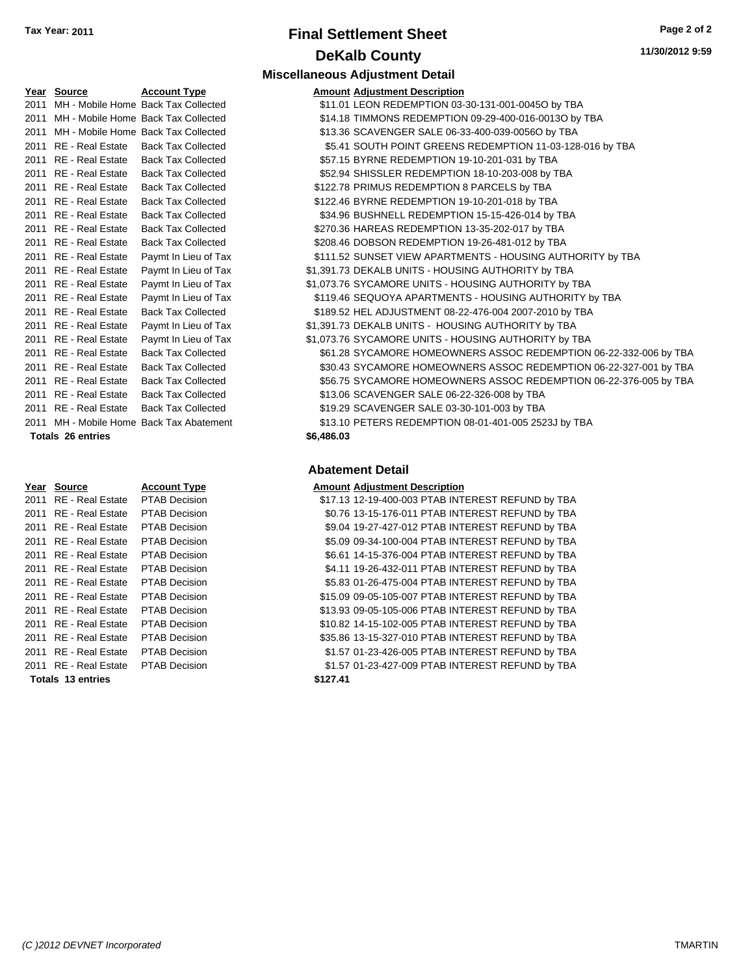## **Final Settlement Sheet Tax Year: 2011 Page 2 of 2 DeKalb County**

| 11/30/2012 9:59 |  |
|-----------------|--|
|-----------------|--|

### **Miscellaneous Adjustment Detail**

| Year Source           | <b>Account Type</b>                      |            | <b>Amount Adjustment Description</b> |
|-----------------------|------------------------------------------|------------|--------------------------------------|
|                       | 2011 MH - Mobile Home Back Tax Collected |            | \$11.01 LEON REDEMPTION 03-          |
|                       | 2011 MH - Mobile Home Back Tax Collected |            | \$14.18 TIMMONS REDEMPTION           |
|                       | 2011 MH - Mobile Home Back Tax Collected |            | \$13.36 SCAVENGER SALE 06-3          |
| 2011 RE - Real Estate | <b>Back Tax Collected</b>                |            | \$5.41 SOUTH POINT GREENS            |
| 2011 RE - Real Estate | <b>Back Tax Collected</b>                |            | \$57.15 BYRNE REDEMPTION 1           |
| 2011 RE - Real Estate | <b>Back Tax Collected</b>                |            | \$52.94 SHISSLER REDEMPTIO           |
| 2011 RE - Real Estate | <b>Back Tax Collected</b>                |            | \$122.78 PRIMUS REDEMPTION           |
| 2011 RE - Real Estate | <b>Back Tax Collected</b>                |            | \$122.46 BYRNE REDEMPTION 1          |
| 2011 RE - Real Estate | <b>Back Tax Collected</b>                |            | \$34.96 BUSHNELL REDEMPTIC           |
| 2011 RE - Real Estate | <b>Back Tax Collected</b>                |            | \$270.36 HAREAS REDEMPTION           |
| 2011 RE - Real Estate | <b>Back Tax Collected</b>                |            | \$208.46 DOBSON REDEMPTION           |
| 2011 RE - Real Estate | Paymt In Lieu of Tax                     |            | \$111.52 SUNSET VIEW APARTM          |
| 2011 RE - Real Estate | Paymt In Lieu of Tax                     |            | \$1,391.73 DEKALB UNITS - HOUSI      |
| 2011 RE - Real Estate | Paymt In Lieu of Tax                     |            | \$1,073.76 SYCAMORE UNITS - HO       |
| 2011 RE - Real Estate | Paymt In Lieu of Tax                     |            | \$119.46 SEQUOYA APARTMENT           |
| 2011 RE - Real Estate | <b>Back Tax Collected</b>                |            | \$189.52 HEL ADJUSTMENT 08-2         |
| 2011 RE - Real Estate | Paymt In Lieu of Tax                     |            | \$1,391.73 DEKALB UNITS - HOUS       |
| 2011 RE - Real Estate | Paymt In Lieu of Tax                     |            | \$1,073.76 SYCAMORE UNITS - HO       |
| 2011 RE - Real Estate | <b>Back Tax Collected</b>                |            | \$61.28 SYCAMORE HOMEOWN             |
| 2011 RE - Real Estate | <b>Back Tax Collected</b>                |            | \$30.43 SYCAMORE HOMEOWN             |
| 2011 RE - Real Estate | <b>Back Tax Collected</b>                |            | \$56.75 SYCAMORE HOMEOWN             |
| 2011 RE - Real Estate | <b>Back Tax Collected</b>                |            | \$13.06 SCAVENGER SALE 06-2          |
| 2011 RE - Real Estate | <b>Back Tax Collected</b>                |            | \$19.29 SCAVENGER SALE 03-3          |
|                       | 2011 MH - Mobile Home Back Tax Abatement |            | \$13.10 PETERS REDEMPTION            |
| Totals 26 entries     |                                          | \$6,486.03 |                                      |

#### **Year Source Account Type Amount Adjustment Description** 2011 RE - Real Estate PTAB Decision \$ 2011 RE - Real Estate PTAB Decision 2011 RE - Real Estate PTAB Decision 2011 RE - Real Estate PTAB Decision 2011 RE - Real Estate PTAB Decision 2011 RE - Real Estate PTAB Decision 2011 RE - Real Estate PTAB Decision 2011 RE - Real Estate PTAB Decision \$ 2011 RE - Real Estate PTAB Decision \$ 2011 RE - Real Estate PTAB Decision \$ 2011 RE - Real Estate PTAB Decision \$ 2011 RE - Real Estate PTAB Decision 2011 RE - Real Estate PTAB Decision **Totals \$127.41 13 entries**

| Year Source              | <b>Account Type</b>                      |            | <b>Amount Adjustment Description</b>                              |
|--------------------------|------------------------------------------|------------|-------------------------------------------------------------------|
|                          | 2011 MH - Mobile Home Back Tax Collected |            | \$11.01 LEON REDEMPTION 03-30-131-001-00450 by TBA                |
|                          | 2011 MH - Mobile Home Back Tax Collected |            | \$14.18 TIMMONS REDEMPTION 09-29-400-016-0013O by TBA             |
|                          | 2011 MH - Mobile Home Back Tax Collected |            | \$13.36 SCAVENGER SALE 06-33-400-039-0056O by TBA                 |
| 2011 RE - Real Estate    | <b>Back Tax Collected</b>                |            | \$5.41 SOUTH POINT GREENS REDEMPTION 11-03-128-016 by TBA         |
| 2011 RE - Real Estate    | <b>Back Tax Collected</b>                |            | \$57.15 BYRNE REDEMPTION 19-10-201-031 by TBA                     |
| 2011 RE - Real Estate    | <b>Back Tax Collected</b>                |            | \$52.94 SHISSLER REDEMPTION 18-10-203-008 by TBA                  |
| 2011 RE - Real Estate    | <b>Back Tax Collected</b>                |            | \$122.78 PRIMUS REDEMPTION 8 PARCELS by TBA                       |
| 2011 RE - Real Estate    | <b>Back Tax Collected</b>                |            | \$122.46 BYRNE REDEMPTION 19-10-201-018 by TBA                    |
| 2011 RE - Real Estate    | <b>Back Tax Collected</b>                |            | \$34.96 BUSHNELL REDEMPTION 15-15-426-014 by TBA                  |
| 2011 RE - Real Estate    | <b>Back Tax Collected</b>                |            | \$270.36 HAREAS REDEMPTION 13-35-202-017 by TBA                   |
| 2011 RE - Real Estate    | <b>Back Tax Collected</b>                |            | \$208.46 DOBSON REDEMPTION 19-26-481-012 by TBA                   |
| 2011 RE - Real Estate    | Paymt In Lieu of Tax                     |            | \$111.52 SUNSET VIEW APARTMENTS - HOUSING AUTHORITY by TBA        |
| 2011 RE - Real Estate    | Paymt In Lieu of Tax                     |            | \$1,391.73 DEKALB UNITS - HOUSING AUTHORITY by TBA                |
| 2011 RE - Real Estate    | Paymt In Lieu of Tax                     |            | \$1,073.76 SYCAMORE UNITS - HOUSING AUTHORITY by TBA              |
| 2011 RE - Real Estate    | Paymt In Lieu of Tax                     |            | \$119.46 SEQUOYA APARTMENTS - HOUSING AUTHORITY by TBA            |
| 2011 RE - Real Estate    | <b>Back Tax Collected</b>                |            | \$189.52 HEL ADJUSTMENT 08-22-476-004 2007-2010 by TBA            |
| 2011 RE - Real Estate    | Paymt In Lieu of Tax                     |            | \$1,391.73 DEKALB UNITS - HOUSING AUTHORITY by TBA                |
| 2011 RE - Real Estate    | Paymt In Lieu of Tax                     |            | \$1,073.76 SYCAMORE UNITS - HOUSING AUTHORITY by TBA              |
| 2011 RE - Real Estate    | <b>Back Tax Collected</b>                |            | \$61.28 SYCAMORE HOMEOWNERS ASSOC REDEMPTION 06-22-332-006 by TBA |
| 2011 RE - Real Estate    | <b>Back Tax Collected</b>                |            | \$30.43 SYCAMORE HOMEOWNERS ASSOC REDEMPTION 06-22-327-001 by TBA |
| 2011 RE - Real Estate    | <b>Back Tax Collected</b>                |            | \$56.75 SYCAMORE HOMEOWNERS ASSOC REDEMPTION 06-22-376-005 by TBA |
| 2011 RE - Real Estate    | <b>Back Tax Collected</b>                |            | \$13.06 SCAVENGER SALE 06-22-326-008 by TBA                       |
| 2011 RE - Real Estate    | <b>Back Tax Collected</b>                |            | \$19.29 SCAVENGER SALE 03-30-101-003 by TBA                       |
|                          | 2011 MH - Mobile Home Back Tax Abatement |            | \$13.10 PETERS REDEMPTION 08-01-401-005 2523J by TBA              |
| <b>Totals 26 entries</b> |                                          | \$6,486.03 |                                                                   |

|       |  | 17.13 12-19-400-003 PTAB INTEREST REFUND by TBA  |  |  |
|-------|--|--------------------------------------------------|--|--|
|       |  | \$0.76 13-15-176-011 PTAB INTEREST REFUND by TBA |  |  |
|       |  | \$9.04 19-27-427-012 PTAB INTEREST REFUND by TBA |  |  |
|       |  | \$5.09 09-34-100-004 PTAB INTEREST REFUND by TBA |  |  |
|       |  | \$6.61 14-15-376-004 PTAB INTEREST REFUND by TBA |  |  |
|       |  | \$4.11 19-26-432-011 PTAB INTEREST REFUND by TBA |  |  |
|       |  | \$5.83 01-26-475-004 PTAB INTEREST REFUND by TBA |  |  |
|       |  | 15.09 09-05-105-007 PTAB INTEREST REFUND by TBA  |  |  |
|       |  | 13.93 09-05-105-006 PTAB INTEREST REFUND by TBA  |  |  |
|       |  | 10.82 14-15-102-005 PTAB INTEREST REFUND by TBA  |  |  |
|       |  | 35.86 13-15-327-010 PTAB INTEREST REFUND by TBA  |  |  |
|       |  | \$1.57 01-23-426-005 PTAB INTEREST REFUND by TBA |  |  |
|       |  | \$1.57 01-23-427-009 PTAB INTEREST REFUND by TBA |  |  |
| 27.41 |  |                                                  |  |  |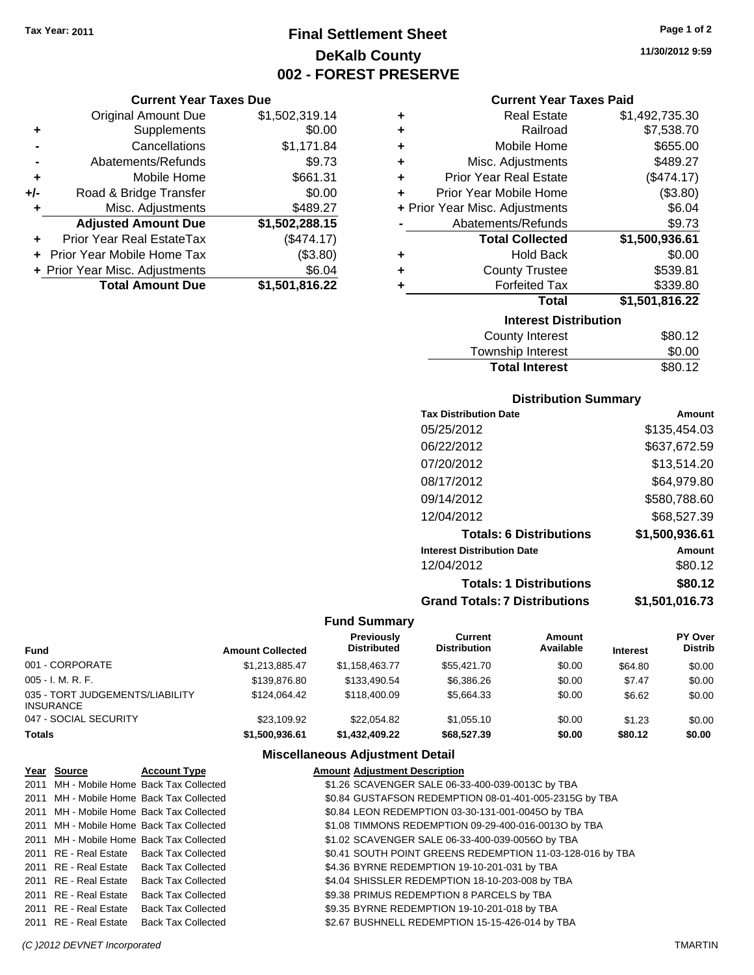**Current Year Taxes Due** Original Amount Due \$1,502,319.14

**Adjusted Amount Due \$1,502,288.15**

**+** Supplements \$0.00 **-** Cancellations \$1,171.84 **-** Abatements/Refunds \$9.73 **+** Mobile Home \$661.31 **+/-** Road & Bridge Transfer \$0.00 **+** Misc. Adjustments \$489.27

**+** Prior Year Real EstateTax (\$474.17) **+** Prior Year Mobile Home Tax (\$3.80) **+ Prior Year Misc. Adjustments \$6.04<br>Total Amount Due \$1,501,816.22** 

**Total Amount Due** 

### **Final Settlement Sheet Tax Year: 2011 Page 1 of 2 DeKalb County 002 - FOREST PRESERVE**

**Current Year Taxes Paid**

|   | Current Year Taxes Paid        |                |
|---|--------------------------------|----------------|
| ٠ | <b>Real Estate</b>             | \$1,492,735.30 |
| ٠ | Railroad                       | \$7,538.70     |
| ٠ | Mobile Home                    | \$655.00       |
| ÷ | Misc. Adjustments              | \$489.27       |
| ٠ | <b>Prior Year Real Estate</b>  | (\$474.17)     |
| ٠ | Prior Year Mobile Home         | (\$3.80)       |
|   | + Prior Year Misc. Adjustments | \$6.04         |
|   | Abatements/Refunds             | \$9.73         |
|   | <b>Total Collected</b>         | \$1,500,936.61 |
| ٠ | <b>Hold Back</b>               | \$0.00         |
| ٠ | <b>County Trustee</b>          | \$539.81       |
|   |                                |                |
| ٠ | <b>Forfeited Tax</b>           | \$339.80       |
|   | Total                          | \$1,501,816.22 |
|   | <b>Interest Distribution</b>   |                |
|   | <b>County Interest</b>         | \$80.12        |

| <b>Total Interest</b> | \$80.12 |
|-----------------------|---------|
| Township Interest     | \$0.00  |
| County Interest       | 380.TZ  |

### **Distribution Summary**

| Amount         |
|----------------|
| \$135,454.03   |
| \$637,672.59   |
| \$13,514.20    |
| \$64,979.80    |
| \$580,788.60   |
| \$68,527.39    |
| \$1,500,936.61 |
| Amount         |
| \$80.12        |
| \$80.12        |
| \$1.501.016.73 |
|                |

#### **Fund Summary**

| Fund                                         | <b>Amount Collected</b> | <b>Previously</b><br><b>Distributed</b> | Current<br><b>Distribution</b> | Amount<br>Available | <b>Interest</b> | <b>PY Over</b><br><b>Distrib</b> |
|----------------------------------------------|-------------------------|-----------------------------------------|--------------------------------|---------------------|-----------------|----------------------------------|
| 001 - CORPORATE                              | \$1,213,885.47          | \$1,158,463.77                          | \$55,421.70                    | \$0.00              | \$64.80         | \$0.00                           |
| 005 - I. M. R. F.                            | \$139,876.80            | \$133,490.54                            | \$6,386.26                     | \$0.00              | \$7.47          | \$0.00                           |
| 035 - TORT JUDGEMENTS/LIABILITY<br>INSURANCE | \$124.064.42            | \$118,400.09                            | \$5,664.33                     | \$0.00              | \$6.62          | \$0.00                           |
| 047 - SOCIAL SECURITY                        | \$23.109.92             | \$22.054.82                             | \$1.055.10                     | \$0.00              | \$1.23          | \$0.00                           |
| Totals                                       | \$1,500,936.61          | \$1,432,409.22                          | \$68,527.39                    | \$0.00              | \$80.12         | \$0.00                           |

### **Miscellaneous Adjustment Detail**

| Year Source           | <b>Account Type</b>                      | <b>Amount Adjustment Description</b>                      |
|-----------------------|------------------------------------------|-----------------------------------------------------------|
|                       | 2011 MH - Mobile Home Back Tax Collected | \$1.26 SCAVENGER SALE 06-33-400-039-0013C by TBA          |
|                       | 2011 MH - Mobile Home Back Tax Collected | \$0.84 GUSTAFSON REDEMPTION 08-01-401-005-2315G by TBA    |
|                       | 2011 MH - Mobile Home Back Tax Collected | \$0.84 LEON REDEMPTION 03-30-131-001-00450 by TBA         |
|                       | 2011 MH - Mobile Home Back Tax Collected | \$1.08 TIMMONS REDEMPTION 09-29-400-016-0013O by TBA      |
|                       | 2011 MH - Mobile Home Back Tax Collected | \$1.02 SCAVENGER SALE 06-33-400-039-0056O by TBA          |
|                       | 2011 RE - Real Estate Back Tax Collected | \$0.41 SOUTH POINT GREENS REDEMPTION 11-03-128-016 by TBA |
|                       | 2011 RE - Real Estate Back Tax Collected | \$4.36 BYRNE REDEMPTION 19-10-201-031 by TBA              |
|                       | 2011 RE - Real Estate Back Tax Collected | \$4.04 SHISSLER REDEMPTION 18-10-203-008 by TBA           |
| 2011 RE - Real Estate | Back Tax Collected                       | \$9.38 PRIMUS REDEMPTION 8 PARCELS by TBA                 |
|                       | 2011 RE - Real Estate Back Tax Collected | \$9.35 BYRNE REDEMPTION 19-10-201-018 by TBA              |
| 2011 RE - Real Estate | <b>Back Tax Collected</b>                | \$2.67 BUSHNELL REDEMPTION 15-15-426-014 by TBA           |

**11/30/2012 9:59**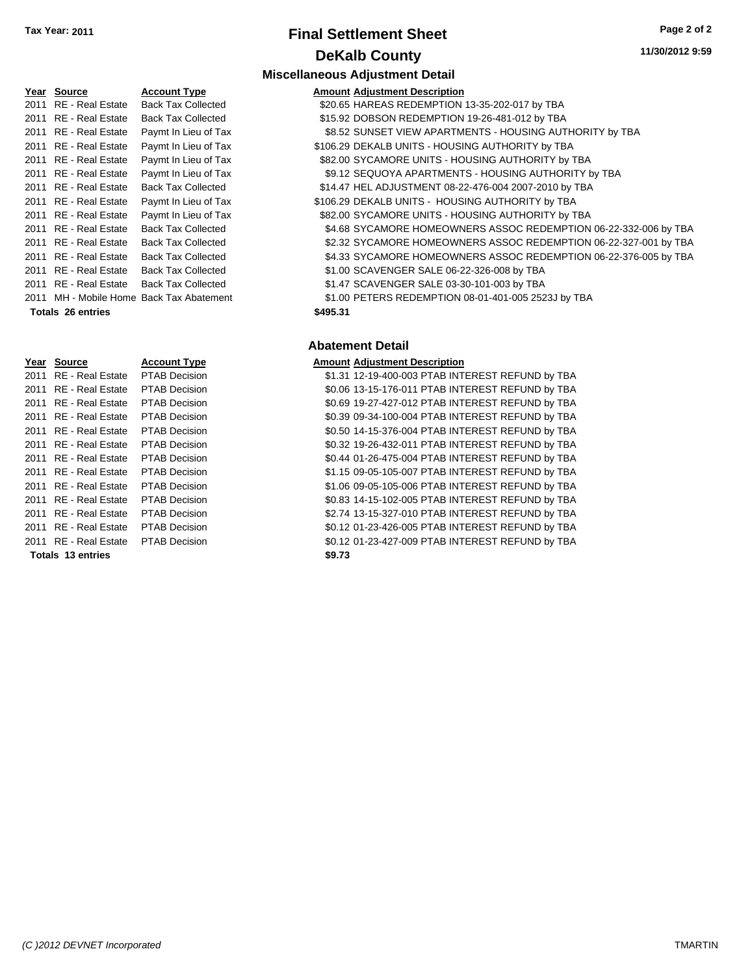### **Final Settlement Sheet Tax Year: 2011 Page 2 of 2 DeKalb County**

**11/30/2012 9:59**

| Year | <b>Source</b>           | <b>Account Type</b>                      | Amount   |
|------|-------------------------|------------------------------------------|----------|
| 2011 | <b>RE</b> - Real Estate | <b>Back Tax Collected</b>                | \$20.65  |
| 2011 | <b>RE</b> - Real Estate | <b>Back Tax Collected</b>                | \$15.92  |
| 2011 | <b>RE</b> - Real Estate | Paymt In Lieu of Tax                     | \$8.52   |
| 2011 | <b>RE</b> - Real Estate | Paymt In Lieu of Tax                     | \$106.29 |
| 2011 | <b>RE</b> - Real Estate | Paymt In Lieu of Tax                     | \$82.00  |
| 2011 | <b>RE</b> - Real Estate | Paymt In Lieu of Tax                     | \$9.12   |
| 2011 | <b>RE</b> - Real Estate | <b>Back Tax Collected</b>                | \$14.47  |
| 2011 | <b>RE</b> - Real Estate | Paymt In Lieu of Tax                     | \$106.29 |
| 2011 | <b>RE</b> - Real Estate | Paymt In Lieu of Tax                     | \$82.00  |
| 2011 | RE - Real Estate        | <b>Back Tax Collected</b>                | \$4.68   |
|      | 2011 RE - Real Estate   | <b>Back Tax Collected</b>                | \$2.32   |
| 2011 | RE - Real Estate        | <b>Back Tax Collected</b>                | \$4.33   |
| 2011 | RE - Real Estate        | <b>Back Tax Collected</b>                | \$1.00   |
|      | 2011 RE - Real Estate   | <b>Back Tax Collected</b>                | \$1.47   |
|      |                         | 2011 MH - Mobile Home Back Tax Abatement | \$1.00   |
|      | Totals 26 entries       |                                          | \$495.31 |

| <u>Year</u> | Source                              | <b>Account Type</b>  | <b>Amount</b> |
|-------------|-------------------------------------|----------------------|---------------|
|             | 2011 RE - Real Estate               | <b>PTAB Decision</b> | \$1.31        |
|             | 2011 RE - Real Estate               | <b>PTAB Decision</b> | \$0.06        |
|             | 2011 RE - Real Estate               | <b>PTAB Decision</b> | \$0.69        |
|             | 2011 RE - Real Estate               | PTAB Decision        | \$0.39        |
|             | 2011 RE - Real Estate               | <b>PTAB Decision</b> | \$0.50        |
|             | 2011 RE - Real Estate               | <b>PTAB Decision</b> | \$0.32        |
|             | 2011 RE - Real Estate               | <b>PTAB Decision</b> | \$0.44        |
|             | 2011 RE - Real Estate               | <b>PTAB Decision</b> | \$1.15        |
|             | 2011 RE - Real Estate               | <b>PTAB Decision</b> | \$1.06        |
|             | 2011 RE - Real Estate               | <b>PTAB Decision</b> | \$0.83        |
|             | 2011 RE - Real Estate               | <b>PTAB Decision</b> | \$2.74        |
|             | 2011 RE - Real Estate               | <b>PTAB Decision</b> | \$0.12        |
|             | 2011 RE - Real Estate PTAB Decision |                      | \$0.12        |
|             | Totals 13 entries                   |                      | \$9.73        |

### **Miscellaneous Adjustment Detail Amount Adjustment Description** ed 320.65 HAREAS REDEMPTION 13-35-202-017 by TBA ed 315.92 DOBSON REDEMPTION 19-26-481-012 by TBA Tax \$8.52 SUNSET VIEW APARTMENTS - HOUSING AUTHORITY by TBA Tax  $$106.29$  DEKALB UNITS - HOUSING AUTHORITY by TBA Tax  $200$  SYCAMORE UNITS - HOUSING AUTHORITY by TBA 2011 RE - Real Estate \$9.12 SEQUOYA APARTMENTS - HOUSING AUTHORITY by TBA Paymt In Lieu of Tax 2011 RE - Real Estate \$14.47 HEL ADJUSTMENT 08-22-476-004 2007-2010 by TBA Back Tax Collected Tax **\$106.29 DEKALB UNITS - HOUSING AUTHORITY by TBA** Tax **\$82.00 SYCAMORE UNITS - HOUSING AUTHORITY by TBA** ed
2011 **COLLECTIVE SA SA ESTATE STATE ASSOC REDEMPTION** 06-22-332-006 by TBA ed \$2.32 SYCAMORE HOMEOWNERS ASSOC REDEMPTION 06-22-327-001 by TBA ed \$4.33 SYCAMORE HOMEOWNERS ASSOC REDEMPTION 06-22-376-005 by TBA ed 31.00 SCAVENGER SALE 06-22-326-008 by TBA 2011 RE - Real Estate \$1.47 SCAVENGER SALE 03-30-101-003 by TBA Back Tax Collected 1 April 1.00 PETERS REDEMPTION 08-01-401-005 2523J by TBA

### **Abatement Detail**

### **Amount Adjustment Description**

\$1.31 12-19-400-003 PTAB INTEREST REFUND by TBA \$0.06 13-15-176-011 PTAB INTEREST REFUND by TBA \$0.69 19-27-427-012 PTAB INTEREST REFUND by TBA \$0.39 09-34-100-004 PTAB INTEREST REFUND by TBA \$0.50 14-15-376-004 PTAB INTEREST REFUND by TBA \$0.32 19-26-432-011 PTAB INTEREST REFUND by TBA \$0.44 01-26-475-004 PTAB INTEREST REFUND by TBA \$1.15 09-05-105-007 PTAB INTEREST REFUND by TBA \$1.06 09-05-105-006 PTAB INTEREST REFUND by TBA \$0.83 14-15-102-005 PTAB INTEREST REFUND by TBA \$2.74 13-15-327-010 PTAB INTEREST REFUND by TBA \$0.12 01-23-426-005 PTAB INTEREST REFUND by TBA \$0.12 01-23-427-009 PTAB INTEREST REFUND by TBA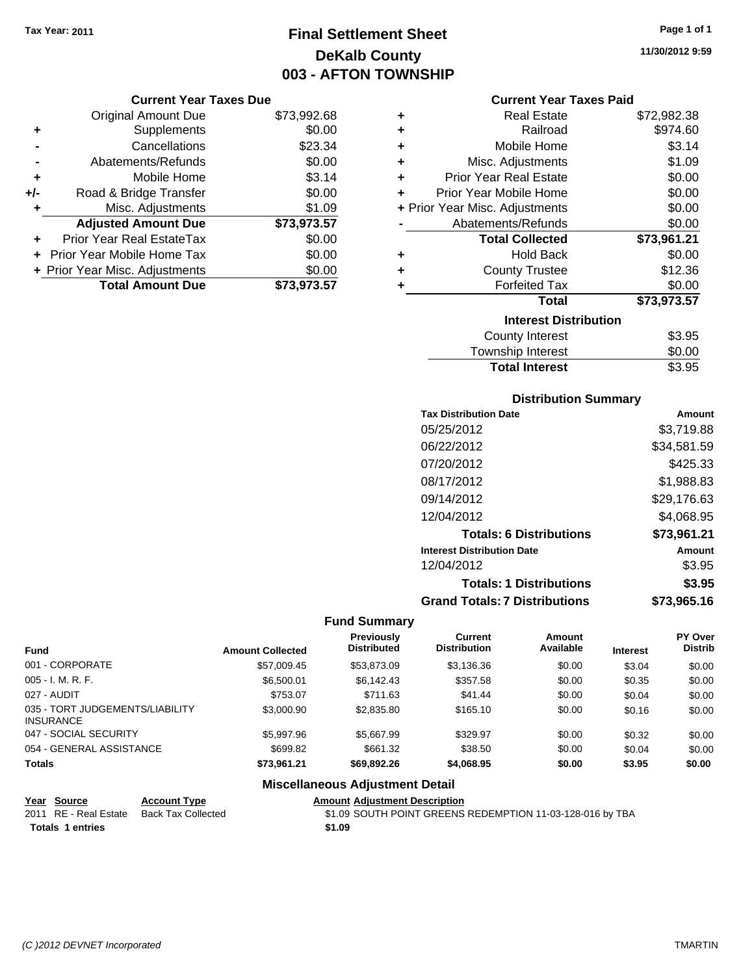## **Final Settlement Sheet Tax Year: 2011 Page 1 of 1 DeKalb County 003 - AFTON TOWNSHIP**

**11/30/2012 9:59**

### **Current Year Taxes Due**

|     | <b>Original Amount Due</b>       | \$73,992.68 |
|-----|----------------------------------|-------------|
| ٠   | Supplements                      | \$0.00      |
|     | Cancellations                    | \$23.34     |
|     | Abatements/Refunds               | \$0.00      |
| ÷   | Mobile Home                      | \$3.14      |
| +/- | Road & Bridge Transfer           | \$0.00      |
| ٠   | Misc. Adjustments                | \$1.09      |
|     | <b>Adjusted Amount Due</b>       | \$73,973.57 |
|     | <b>Prior Year Real EstateTax</b> | \$0.00      |
|     | Prior Year Mobile Home Tax       | \$0.00      |
|     | + Prior Year Misc. Adjustments   | \$0.00      |
|     | <b>Total Amount Due</b>          | \$73.973.57 |

### **Current Year Taxes Paid**

| ٠ | <b>Real Estate</b>             | \$72,982.38 |
|---|--------------------------------|-------------|
| ÷ | Railroad                       | \$974.60    |
| ٠ | Mobile Home                    | \$3.14      |
| ٠ | Misc. Adjustments              | \$1.09      |
| ÷ | <b>Prior Year Real Estate</b>  | \$0.00      |
| ÷ | Prior Year Mobile Home         | \$0.00      |
|   | + Prior Year Misc. Adjustments | \$0.00      |
|   | Abatements/Refunds             | \$0.00      |
|   |                                |             |
|   | <b>Total Collected</b>         | \$73,961.21 |
| ٠ | <b>Hold Back</b>               | \$0.00      |
| ÷ | <b>County Trustee</b>          | \$12.36     |
| ٠ | <b>Forfeited Tax</b>           | \$0.00      |
|   | <b>Total</b>                   | \$73,973.57 |
|   | <b>Interest Distribution</b>   |             |
|   | <b>County Interest</b>         | \$3.95      |

## **Distribution Summary**

**Total Interest** \$3.95

| <b>Tax Distribution Date</b>         | Amount      |
|--------------------------------------|-------------|
| 05/25/2012                           | \$3,719.88  |
| 06/22/2012                           | \$34.581.59 |
| 07/20/2012                           | \$425.33    |
| 08/17/2012                           | \$1,988.83  |
| 09/14/2012                           | \$29,176.63 |
| 12/04/2012                           | \$4.068.95  |
| <b>Totals: 6 Distributions</b>       | \$73,961.21 |
| <b>Interest Distribution Date</b>    | Amount      |
| 12/04/2012                           | \$3.95      |
| <b>Totals: 1 Distributions</b>       | \$3.95      |
| <b>Grand Totals: 7 Distributions</b> | \$73.965.16 |

### **Fund Summary**

|                                                     |                         | Previously         | Current             | <b>Amount</b> |                 | <b>PY Over</b> |
|-----------------------------------------------------|-------------------------|--------------------|---------------------|---------------|-----------------|----------------|
| <b>Fund</b>                                         | <b>Amount Collected</b> | <b>Distributed</b> | <b>Distribution</b> | Available     | <b>Interest</b> | <b>Distrib</b> |
| 001 - CORPORATE                                     | \$57,009.45             | \$53,873.09        | \$3,136.36          | \$0.00        | \$3.04          | \$0.00         |
| $005 - I. M. R. F.$                                 | \$6,500.01              | \$6,142.43         | \$357.58            | \$0.00        | \$0.35          | \$0.00         |
| 027 - AUDIT                                         | \$753.07                | \$711.63           | \$41.44             | \$0.00        | \$0.04          | \$0.00         |
| 035 - TORT JUDGEMENTS/LIABILITY<br><b>INSURANCE</b> | \$3,000.90              | \$2,835.80         | \$165.10            | \$0.00        | \$0.16          | \$0.00         |
| 047 - SOCIAL SECURITY                               | \$5,997.96              | \$5.667.99         | \$329.97            | \$0.00        | \$0.32          | \$0.00         |
| 054 - GENERAL ASSISTANCE                            | \$699.82                | \$661.32           | \$38.50             | \$0.00        | \$0.04          | \$0.00         |
| <b>Totals</b>                                       | \$73.961.21             | \$69.892.26        | \$4,068.95          | \$0.00        | \$3.95          | \$0.00         |

### **Miscellaneous Adjustment Detail**

| Year Source             | <b>Account Type</b> | <b>Amount Adiustment Description</b>                      |
|-------------------------|---------------------|-----------------------------------------------------------|
| 2011 RE - Real Estate   | Back Tax Collected  | \$1.09 SOUTH POINT GREENS REDEMPTION 11-03-128-016 by TBA |
| <b>Totals 1 entries</b> |                     | \$1.09                                                    |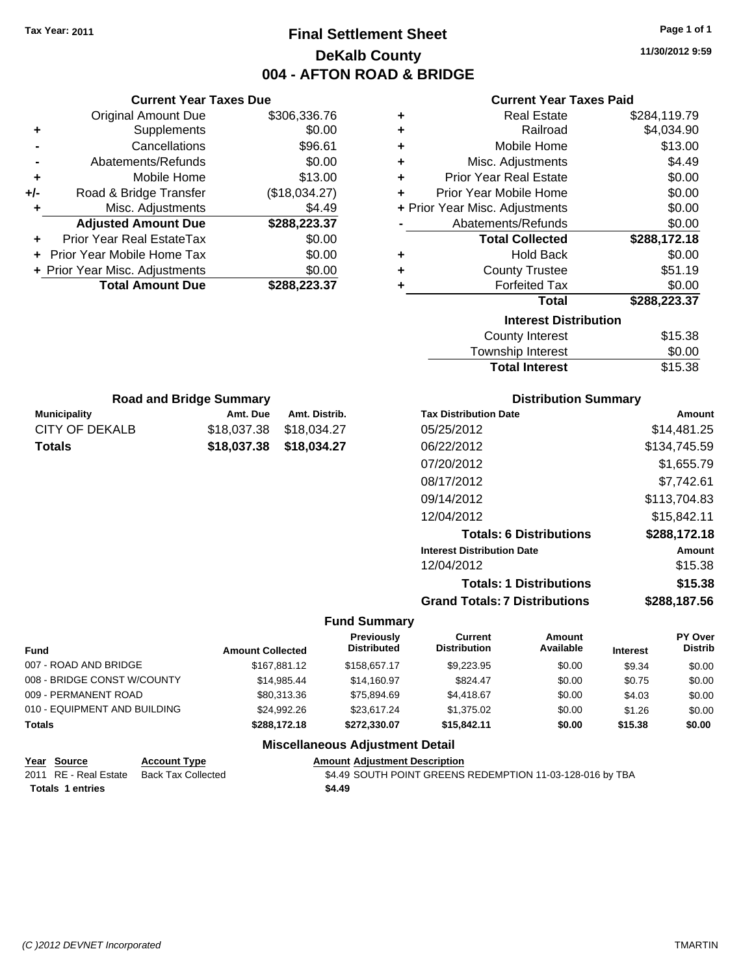**Current Year Taxes Due**  $O<sub>triational</sub>$  Amount Due  $8306,336.76$ 

### **Final Settlement Sheet Tax Year: 2011 Page 1 of 1 DeKalb County 004 - AFTON ROAD & BRIDGE**

**11/30/2012 9:59**

| <b>Current Year Taxes Paid</b> |  |  |  |
|--------------------------------|--|--|--|
|--------------------------------|--|--|--|

|               | <b>Original Amount Due</b>     |                         | \$306,336.76  | ٠                   |                                      | <b>Real Estate</b>             |                 | \$284,119.79   |
|---------------|--------------------------------|-------------------------|---------------|---------------------|--------------------------------------|--------------------------------|-----------------|----------------|
|               | Supplements                    |                         | \$0.00        | ٠                   |                                      | Railroad                       |                 | \$4,034.90     |
|               | Cancellations                  |                         | \$96.61       | ٠                   |                                      | Mobile Home                    |                 | \$13.00        |
|               | Abatements/Refunds             |                         | \$0.00        | ٠                   |                                      | Misc. Adjustments              |                 | \$4.49         |
| ٠             | Mobile Home                    |                         | \$13.00       | ٠                   | <b>Prior Year Real Estate</b>        |                                |                 | \$0.00         |
| +/-           | Road & Bridge Transfer         |                         | (\$18,034.27) | ٠                   | Prior Year Mobile Home               |                                |                 | \$0.00         |
| ٠             | Misc. Adjustments              |                         | \$4.49        |                     | + Prior Year Misc. Adjustments       |                                |                 | \$0.00         |
|               | <b>Adjusted Amount Due</b>     |                         | \$288,223.37  |                     | Abatements/Refunds                   |                                |                 | \$0.00         |
|               | Prior Year Real EstateTax      |                         | \$0.00        |                     |                                      | <b>Total Collected</b>         |                 | \$288,172.18   |
|               | Prior Year Mobile Home Tax     |                         | \$0.00        | ٠                   |                                      | <b>Hold Back</b>               |                 | \$0.00         |
|               | + Prior Year Misc. Adjustments |                         | \$0.00        | ٠                   |                                      | <b>County Trustee</b>          |                 | \$51.19        |
|               | <b>Total Amount Due</b>        |                         | \$288,223.37  | ٠                   |                                      | <b>Forfeited Tax</b>           |                 | \$0.00         |
|               |                                |                         |               |                     |                                      | <b>Total</b>                   |                 | \$288,223.37   |
|               |                                |                         |               |                     |                                      | <b>Interest Distribution</b>   |                 |                |
|               |                                |                         |               |                     |                                      | <b>County Interest</b>         |                 | \$15.38        |
|               |                                |                         |               |                     |                                      | <b>Township Interest</b>       |                 | \$0.00         |
|               |                                |                         |               |                     |                                      | <b>Total Interest</b>          |                 | \$15.38        |
|               | <b>Road and Bridge Summary</b> |                         |               |                     |                                      | <b>Distribution Summary</b>    |                 |                |
|               | <b>Municipality</b>            | Amt. Due                | Amt. Distrib. |                     | <b>Tax Distribution Date</b>         |                                |                 | Amount         |
|               | <b>CITY OF DEKALB</b>          | \$18,037.38             | \$18,034.27   |                     | 05/25/2012                           |                                |                 | \$14,481.25    |
|               | <b>Totals</b>                  | \$18,037.38             | \$18,034.27   |                     | 06/22/2012                           |                                |                 | \$134,745.59   |
|               |                                |                         |               |                     | 07/20/2012                           |                                |                 | \$1,655.79     |
|               |                                |                         |               |                     | 08/17/2012                           |                                |                 | \$7,742.61     |
|               |                                |                         |               |                     | 09/14/2012                           |                                |                 | \$113,704.83   |
|               |                                |                         |               |                     | 12/04/2012                           |                                |                 | \$15,842.11    |
|               |                                |                         |               |                     |                                      | <b>Totals: 6 Distributions</b> |                 | \$288,172.18   |
|               |                                |                         |               |                     | <b>Interest Distribution Date</b>    |                                |                 | <b>Amount</b>  |
|               |                                |                         |               |                     | 12/04/2012                           |                                |                 | \$15.38        |
|               |                                |                         |               |                     |                                      | <b>Totals: 1 Distributions</b> |                 | \$15.38        |
|               |                                |                         |               |                     | <b>Grand Totals: 7 Distributions</b> |                                |                 | \$288,187.56   |
|               |                                |                         |               | <b>Fund Summary</b> |                                      |                                |                 |                |
|               |                                |                         |               | <b>Previously</b>   | <b>Current</b>                       | Amount                         |                 | PY Over        |
| Fund          |                                | <b>Amount Collected</b> |               | <b>Distributed</b>  | <b>Distribution</b>                  | Available                      | <b>Interest</b> | <b>Distrib</b> |
|               | 007 - ROAD AND BRIDGE          |                         | \$167,881.12  | \$158,657.17        | \$9,223.95                           | \$0.00                         | \$9.34          | \$0.00         |
|               | 008 - BRIDGE CONST W/COUNTY    |                         | \$14,985.44   | \$14,160.97         | \$824.47                             | \$0.00                         | \$0.75          | \$0.00         |
|               | 009 - PERMANENT ROAD           |                         | \$80,313.36   | \$75,894.69         | \$4,418.67                           | \$0.00                         | \$4.03          | \$0.00         |
|               | 010 - EQUIPMENT AND BUILDING   |                         | \$24,992.26   | \$23,617.24         | \$1,375.02                           | \$0.00                         | \$1.26          | \$0.00         |
| <b>Totals</b> |                                |                         | \$288,172.18  | \$272,330.07        | \$15,842.11                          | \$0.00                         | \$15.38         | \$0.00         |

### **Miscellaneous Adjustment Detail**

| Year Source             | <b>Account Type</b> | <b>Amount Adiustment Description</b>                      |
|-------------------------|---------------------|-----------------------------------------------------------|
| 2011 RE - Real Estate   | Back Tax Collected  | \$4.49 SOUTH POINT GREENS REDEMPTION 11-03-128-016 by TBA |
| <b>Totals 1 entries</b> |                     | \$4.49                                                    |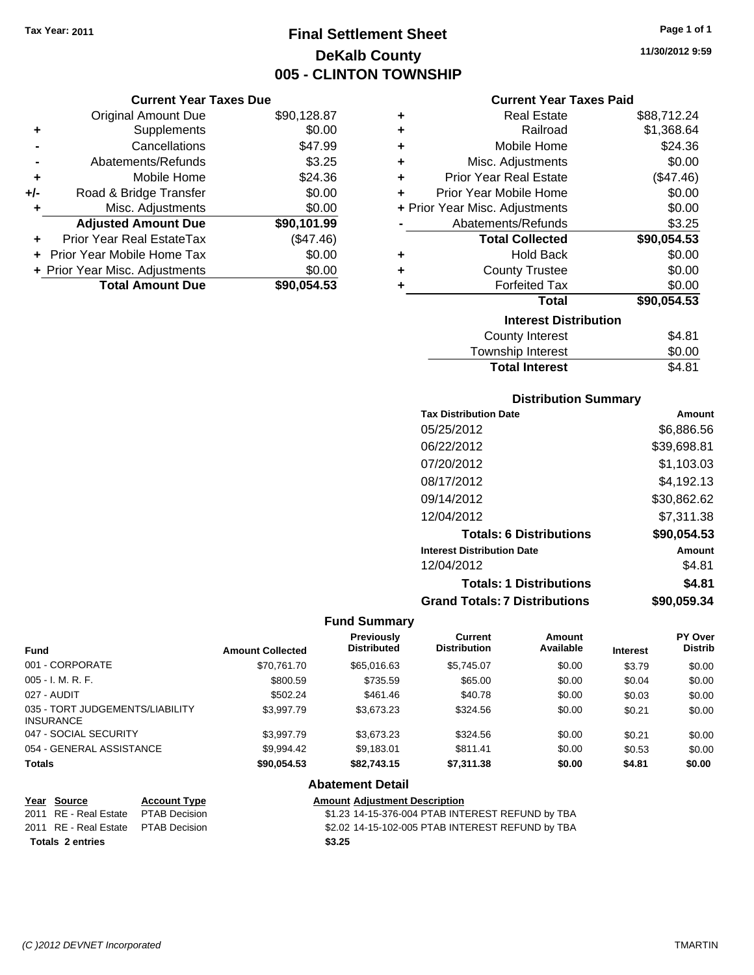### **Final Settlement Sheet Tax Year: 2011 Page 1 of 1 DeKalb County 005 - CLINTON TOWNSHIP**

### **Current Year Taxes Due**

|       | <b>Original Amount Due</b>     | \$90,128.87 |
|-------|--------------------------------|-------------|
| ٠     | Supplements                    | \$0.00      |
|       | Cancellations                  | \$47.99     |
|       | Abatements/Refunds             | \$3.25      |
| ÷     | Mobile Home                    | \$24.36     |
| $+/-$ | Road & Bridge Transfer         | \$0.00      |
| ٠     | Misc. Adjustments              | \$0.00      |
|       | <b>Adjusted Amount Due</b>     | \$90,101.99 |
|       | Prior Year Real EstateTax      | (\$47.46)   |
|       | Prior Year Mobile Home Tax     | \$0.00      |
|       | + Prior Year Misc. Adjustments | \$0.00      |
|       | <b>Total Amount Due</b>        | \$90,054.53 |

### **Current Year Taxes Paid**

| ٠ | Real Estate                    | \$88,712.24 |
|---|--------------------------------|-------------|
| ٠ | Railroad                       | \$1,368.64  |
| ٠ | Mobile Home                    | \$24.36     |
| ٠ | Misc. Adjustments              | \$0.00      |
| ٠ | <b>Prior Year Real Estate</b>  | (\$47.46)   |
| ٠ | Prior Year Mobile Home         | \$0.00      |
|   | + Prior Year Misc. Adjustments | \$0.00      |
|   | Abatements/Refunds             | \$3.25      |
|   | <b>Total Collected</b>         | \$90,054.53 |
| ٠ | <b>Hold Back</b>               | \$0.00      |
| ٠ | <b>County Trustee</b>          | \$0.00      |
| ٠ | <b>Forfeited Tax</b>           | \$0.00      |
|   | Total                          | \$90,054.53 |
|   | <b>Interest Distribution</b>   |             |
|   | County Interest                | \$4.81      |
|   | <b>Township Interest</b>       | \$0.00      |
|   | <b>Total Interest</b>          | \$4.81      |

### **Distribution Summary**

| <b>Tax Distribution Date</b>         | Amount      |
|--------------------------------------|-------------|
| 05/25/2012                           | \$6,886.56  |
| 06/22/2012                           | \$39,698.81 |
| 07/20/2012                           | \$1,103.03  |
| 08/17/2012                           | \$4,192.13  |
| 09/14/2012                           | \$30,862.62 |
| 12/04/2012                           | \$7,311.38  |
| <b>Totals: 6 Distributions</b>       | \$90,054.53 |
| <b>Interest Distribution Date</b>    | Amount      |
| 12/04/2012                           | \$4.81      |
| <b>Totals: 1 Distributions</b>       | \$4.81      |
| <b>Grand Totals: 7 Distributions</b> | \$90,059.34 |

### **Fund Summary**

|                                                     |                         | <b>Previously</b>  | Current             | <b>Amount</b> |                 | <b>PY Over</b> |
|-----------------------------------------------------|-------------------------|--------------------|---------------------|---------------|-----------------|----------------|
| <b>Fund</b>                                         | <b>Amount Collected</b> | <b>Distributed</b> | <b>Distribution</b> | Available     | <b>Interest</b> | <b>Distrib</b> |
| 001 - CORPORATE                                     | \$70.761.70             | \$65,016,63        | \$5,745.07          | \$0.00        | \$3.79          | \$0.00         |
| 005 - I. M. R. F.                                   | \$800.59                | \$735.59           | \$65.00             | \$0.00        | \$0.04          | \$0.00         |
| 027 - AUDIT                                         | \$502.24                | \$461.46           | \$40.78             | \$0.00        | \$0.03          | \$0.00         |
| 035 - TORT JUDGEMENTS/LIABILITY<br><b>INSURANCE</b> | \$3,997.79              | \$3,673,23         | \$324.56            | \$0.00        | \$0.21          | \$0.00         |
| 047 - SOCIAL SECURITY                               | \$3,997.79              | \$3,673.23         | \$324.56            | \$0.00        | \$0.21          | \$0.00         |
| 054 - GENERAL ASSISTANCE                            | \$9,994.42              | \$9,183.01         | \$811.41            | \$0.00        | \$0.53          | \$0.00         |
| <b>Totals</b>                                       | \$90.054.53             | \$82,743.15        | \$7,311.38          | \$0.00        | \$4.81          | \$0.00         |

| Year Source                         | <b>Account Type</b> | <b>Amount Adjustment Description</b>             |
|-------------------------------------|---------------------|--------------------------------------------------|
| 2011 RE - Real Estate PTAB Decision |                     | \$1.23 14-15-376-004 PTAB INTEREST REFUND by TBA |
| 2011 RE - Real Estate PTAB Decision |                     | \$2.02 14-15-102-005 PTAB INTEREST REFUND by TBA |
| Totals 2 entries                    |                     | \$3.25                                           |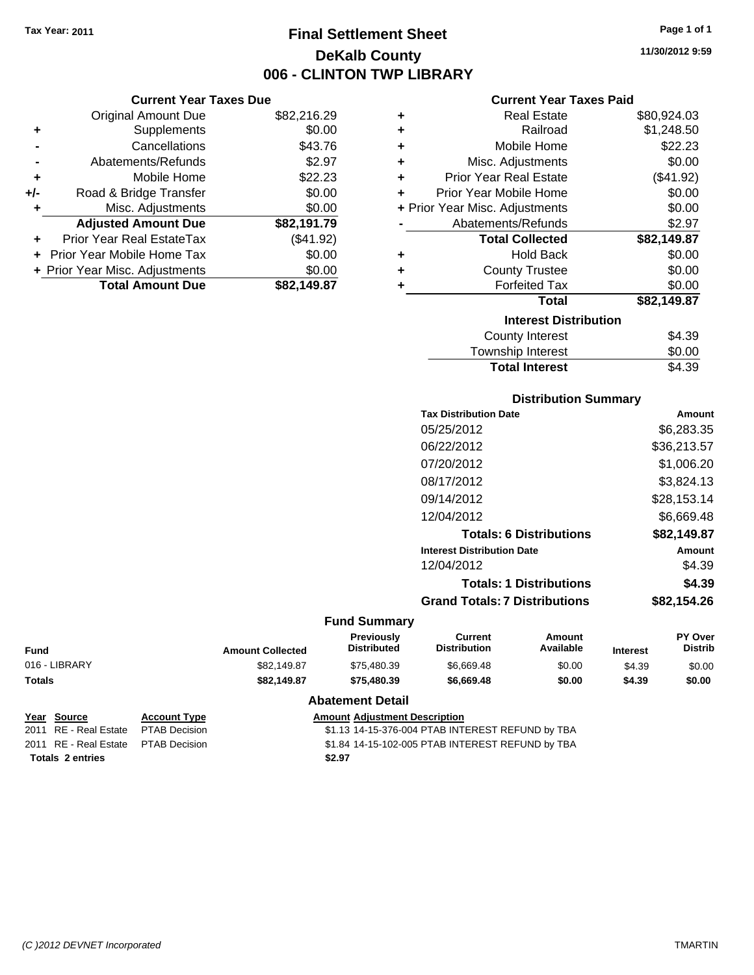### **Final Settlement Sheet Tax Year: 2011 Page 1 of 1 DeKalb County 006 - CLINTON TWP LIBRARY**

**11/30/2012 9:59**

### **Current Year Taxes Paid**

|       | <b>Current Year Taxes Due</b>  |             |                   |
|-------|--------------------------------|-------------|-------------------|
|       | Original Amount Due            | \$82,216.29 |                   |
|       | <b>Supplements</b>             | \$0.00      |                   |
|       | Cancellations                  | \$43.76     |                   |
|       | Abatements/Refunds             | \$2.97      | Misc.             |
| ٠     | Mobile Home                    | \$22.23     | <b>Prior Yea</b>  |
| $+/-$ | Road & Bridge Transfer         | \$0.00      | Prior Year        |
|       | Misc. Adjustments              | \$0.00      | + Prior Year Misc |
|       | <b>Adjusted Amount Due</b>     | \$82,191.79 | Abatem            |
|       | Prior Year Real EstateTax      | (\$41.92)   | То                |
|       | Prior Year Mobile Home Tax     | \$0.00      |                   |
|       | + Prior Year Misc. Adjustments | \$0.00      | C,                |
|       | <b>Total Amount Due</b>        | \$82,149.87 |                   |
|       |                                |             |                   |

| ٠                            | Real Estate                    | \$80,924.03 |  |  |  |
|------------------------------|--------------------------------|-------------|--|--|--|
| ÷                            | Railroad                       | \$1,248.50  |  |  |  |
| ÷                            | Mobile Home                    | \$22.23     |  |  |  |
| ٠                            | Misc. Adjustments              | \$0.00      |  |  |  |
| ÷                            | <b>Prior Year Real Estate</b>  | (\$41.92)   |  |  |  |
| ٠                            | Prior Year Mobile Home         | \$0.00      |  |  |  |
|                              | + Prior Year Misc. Adjustments | \$0.00      |  |  |  |
|                              | Abatements/Refunds             | \$2.97      |  |  |  |
|                              | <b>Total Collected</b>         | \$82,149.87 |  |  |  |
| ٠                            | Hold Back                      | \$0.00      |  |  |  |
| ÷                            | <b>County Trustee</b>          | \$0.00      |  |  |  |
|                              | <b>Forfeited Tax</b>           | \$0.00      |  |  |  |
|                              | Total                          | \$82,149.87 |  |  |  |
| <b>Interest Distribution</b> |                                |             |  |  |  |
|                              | <b>County Interest</b>         | \$4.39      |  |  |  |
|                              | <b>Township Interest</b>       | \$0.00      |  |  |  |
|                              | <b>Total Interest</b>          | \$4.39      |  |  |  |

### **Distribution Summary**

| <b>Tax Distribution Date</b>         | Amount      |
|--------------------------------------|-------------|
| 05/25/2012                           | \$6,283.35  |
| 06/22/2012                           | \$36,213.57 |
| 07/20/2012                           | \$1,006.20  |
| 08/17/2012                           | \$3,824.13  |
| 09/14/2012                           | \$28,153.14 |
| 12/04/2012                           | \$6.669.48  |
| <b>Totals: 6 Distributions</b>       | \$82,149.87 |
| <b>Interest Distribution Date</b>    | Amount      |
| 12/04/2012                           | \$4.39      |
| <b>Totals: 1 Distributions</b>       | \$4.39      |
| <b>Grand Totals: 7 Distributions</b> | \$82,154.26 |
|                                      |             |

### **Fund Summary**

| Fund          | <b>Amount Collected</b> | <b>Previously</b><br><b>Distributed</b> | Current<br><b>Distribution</b> | Amount<br>Available | <b>Interest</b> | <b>PY Over</b><br><b>Distrib</b> |
|---------------|-------------------------|-----------------------------------------|--------------------------------|---------------------|-----------------|----------------------------------|
| 016 - LIBRARY | \$82,149.87             | \$75.480.39                             | \$6.669.48                     | \$0.00              | \$4.39          | \$0.00                           |
| Totals        | \$82.149.87             | \$75.480.39                             | \$6,669.48                     | \$0.00              | \$4.39          | \$0.00                           |

| Year Source                          | <b>Account Type</b> | <b>Amount Adjustment Description</b>             |
|--------------------------------------|---------------------|--------------------------------------------------|
| 2011 RE - Real Estate                | PTAB Decision       | \$1.13 14-15-376-004 PTAB INTEREST REFUND by TBA |
| 2011 RE - Real Estate  PTAB Decision |                     | \$1.84 14-15-102-005 PTAB INTEREST REFUND by TBA |
| <b>Totals 2 entries</b>              |                     | \$2.97                                           |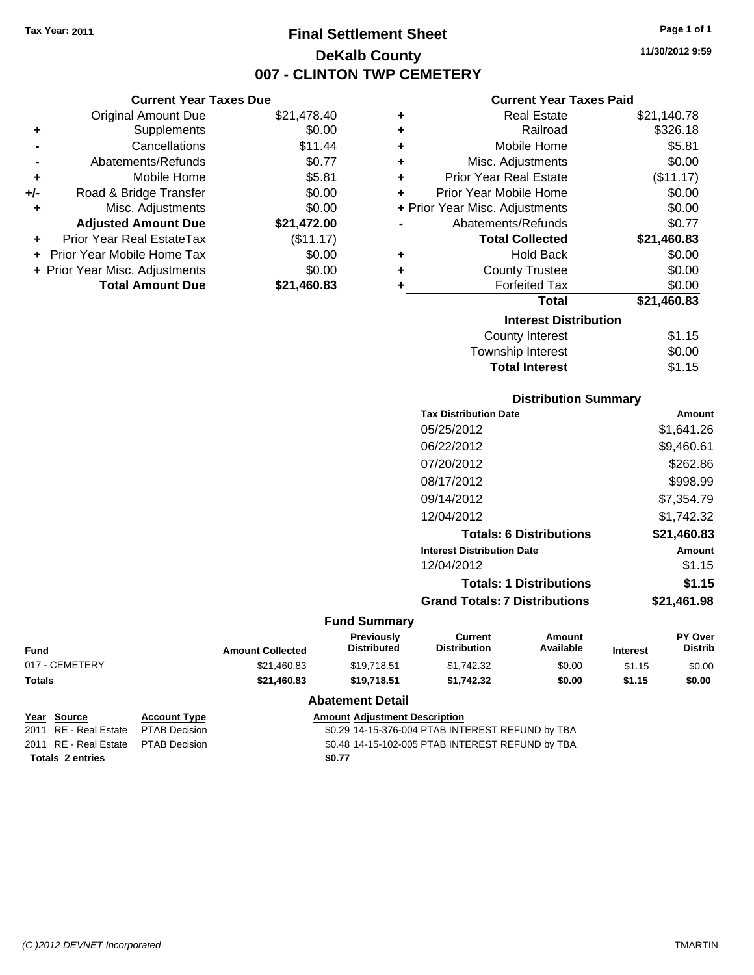### **Final Settlement Sheet Tax Year: 2011 Page 1 of 1 DeKalb County 007 - CLINTON TWP CEMETERY**

**11/30/2012 9:59**

### **Current Year Taxes Paid**

|     | <b>Current Year Taxes Due</b>  |             |         |
|-----|--------------------------------|-------------|---------|
|     | <b>Original Amount Due</b>     | \$21,478.40 | ٠       |
|     | Supplements                    | \$0.00      | ٠       |
|     | Cancellations                  | \$11.44     | ٠       |
|     | Abatements/Refunds             | \$0.77      | ٠       |
|     | Mobile Home                    | \$5.81      | ٠       |
| +/- | Road & Bridge Transfer         | \$0.00      |         |
|     | Misc. Adjustments              | \$0.00      | + Prior |
|     | <b>Adjusted Amount Due</b>     | \$21,472.00 |         |
|     | Prior Year Real EstateTax      | (\$11.17)   |         |
| ÷   | Prior Year Mobile Home Tax     | \$0.00      | ٠       |
|     | + Prior Year Misc. Adjustments | \$0.00      | ٠       |
|     | <b>Total Amount Due</b>        | \$21,460.83 |         |
|     |                                |             |         |

| ٠ | <b>Real Estate</b>             | \$21,140.78 |
|---|--------------------------------|-------------|
| ÷ | Railroad                       | \$326.18    |
| ٠ | Mobile Home                    | \$5.81      |
| ٠ | Misc. Adjustments              | \$0.00      |
| ÷ | <b>Prior Year Real Estate</b>  | (\$11.17)   |
| ÷ | Prior Year Mobile Home         | \$0.00      |
|   | + Prior Year Misc. Adjustments | \$0.00      |
|   | Abatements/Refunds             | \$0.77      |
|   | <b>Total Collected</b>         | \$21,460.83 |
| ٠ | Hold Back                      | \$0.00      |
| ٠ | <b>County Trustee</b>          | \$0.00      |
| ٠ | <b>Forfeited Tax</b>           | \$0.00      |
|   | Total                          | \$21,460.83 |
|   | <b>Interest Distribution</b>   |             |
|   | <b>County Interest</b>         | \$1.15      |
|   | <b>Township Interest</b>       | \$0.00      |
|   | <b>Total Interest</b>          | \$1.15      |

## **Distribution Summary**

| <b>Tax Distribution Date</b>         | Amount      |
|--------------------------------------|-------------|
| 05/25/2012                           | \$1,641.26  |
| 06/22/2012                           | \$9,460.61  |
| 07/20/2012                           | \$262.86    |
| 08/17/2012                           | \$998.99    |
| 09/14/2012                           | \$7,354.79  |
| 12/04/2012                           | \$1.742.32  |
| <b>Totals: 6 Distributions</b>       | \$21,460.83 |
| <b>Interest Distribution Date</b>    | Amount      |
| 12/04/2012                           | \$1.15      |
| <b>Totals: 1 Distributions</b>       | \$1.15      |
| <b>Grand Totals: 7 Distributions</b> | \$21.461.98 |
|                                      |             |

### **Fund Summary**

| <b>Amount Collected</b> | <b>Previously</b><br><b>Distributed</b> | Current<br><b>Distribution</b> | Amount<br>Available | <b>Interest</b> | <b>PY Over</b><br>Distrib |
|-------------------------|-----------------------------------------|--------------------------------|---------------------|-----------------|---------------------------|
| \$21,460.83             | \$19.718.51                             | \$1,742.32                     | \$0.00              | \$1.15          | \$0.00                    |
| \$21,460.83             | \$19.718.51                             | \$1.742.32                     | \$0.00              | \$1.15          | \$0.00                    |
|                         |                                         |                                |                     |                 |                           |

| Year Source                         | <b>Account Type</b> | <b>Amount Adjustment Description</b>             |
|-------------------------------------|---------------------|--------------------------------------------------|
| 2011 RE - Real Estate PTAB Decision |                     | \$0.29 14-15-376-004 PTAB INTEREST REFUND by TBA |
| 2011 RE - Real Estate PTAB Decision |                     | \$0.48 14-15-102-005 PTAB INTEREST REFUND by TBA |
| <b>Totals 2 entries</b>             |                     | \$0.77                                           |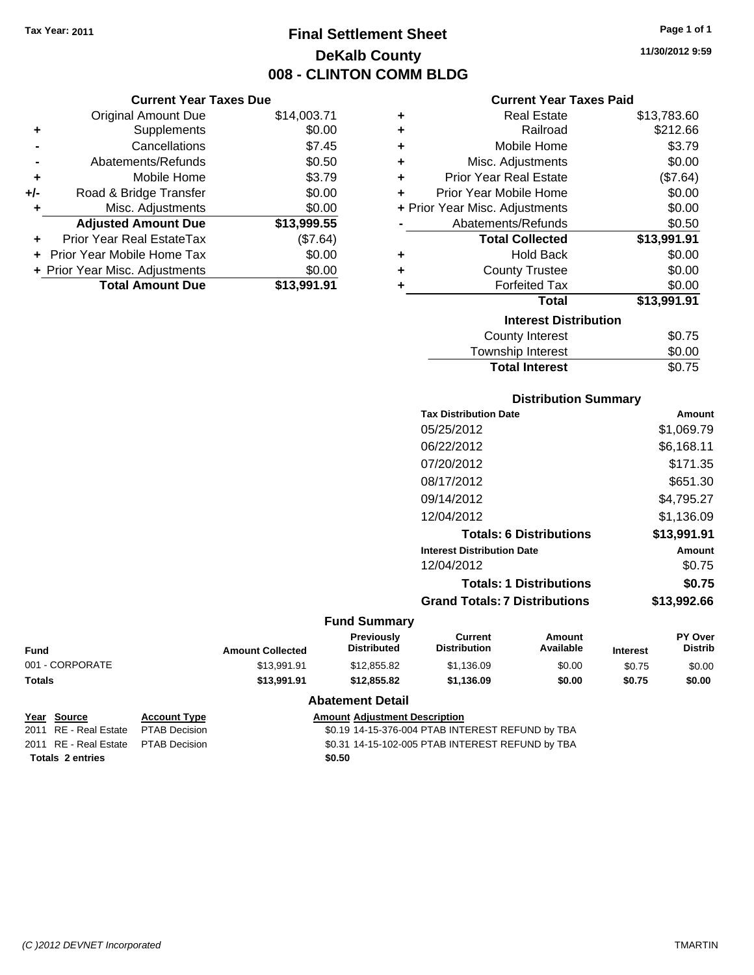### **Final Settlement Sheet Tax Year: 2011 Page 1 of 1 DeKalb County 008 - CLINTON COMM BLDG**

**11/30/2012 9:59**

### **Current Year Taxes Paid**

|     | <b>Current Year Taxes Due</b>             |             |  |  |  |
|-----|-------------------------------------------|-------------|--|--|--|
|     | \$14,003.71<br><b>Original Amount Due</b> |             |  |  |  |
| ٠   | Supplements                               | \$0.00      |  |  |  |
|     | Cancellations                             | \$7.45      |  |  |  |
|     | Abatements/Refunds                        | \$0.50      |  |  |  |
| ٠   | Mobile Home                               | \$3.79      |  |  |  |
| +/- | Road & Bridge Transfer                    | \$0.00      |  |  |  |
| ٠   | Misc. Adjustments                         | \$0.00      |  |  |  |
|     | <b>Adjusted Amount Due</b>                | \$13,999.55 |  |  |  |
|     | Prior Year Real EstateTax                 | (\$7.64)    |  |  |  |
|     | Prior Year Mobile Home Tax                | \$0.00      |  |  |  |
|     | + Prior Year Misc. Adjustments            | \$0.00      |  |  |  |
|     | <b>Total Amount Due</b>                   | \$13.991.91 |  |  |  |

| ٠ | Real Estate                    | \$13,783.60 |
|---|--------------------------------|-------------|
| ÷ | Railroad                       | \$212.66    |
| ÷ | Mobile Home                    | \$3.79      |
| ÷ | Misc. Adjustments              | \$0.00      |
| ÷ | Prior Year Real Estate         | (\$7.64)    |
| ٠ | Prior Year Mobile Home         | \$0.00      |
|   | + Prior Year Misc. Adjustments | \$0.00      |
|   | Abatements/Refunds             | \$0.50      |
|   | <b>Total Collected</b>         | \$13,991.91 |
| ٠ | Hold Back                      | \$0.00      |
| ٠ | <b>County Trustee</b>          | \$0.00      |
| ٠ | <b>Forfeited Tax</b>           | \$0.00      |
|   | Total                          | \$13,991.91 |
|   | <b>Interest Distribution</b>   |             |
|   | <b>County Interest</b>         | \$0.75      |
|   | <b>Township Interest</b>       | \$0.00      |
|   | <b>Total Interest</b>          | \$0.75      |

### **Distribution Summary**

| <b>Tax Distribution Date</b>         | Amount      |
|--------------------------------------|-------------|
| 05/25/2012                           | \$1,069.79  |
| 06/22/2012                           | \$6,168.11  |
| 07/20/2012                           | \$171.35    |
| 08/17/2012                           | \$651.30    |
| 09/14/2012                           | \$4.795.27  |
| 12/04/2012                           | \$1.136.09  |
| <b>Totals: 6 Distributions</b>       | \$13,991.91 |
| <b>Interest Distribution Date</b>    | Amount      |
| 12/04/2012                           | \$0.75      |
| <b>Totals: 1 Distributions</b>       | \$0.75      |
| <b>Grand Totals: 7 Distributions</b> | \$13,992.66 |
|                                      |             |

### **Fund Summary**

| <b>Amount Collected</b> | <b>Previously</b><br><b>Distributed</b> | Current<br><b>Distribution</b> | Amount<br>Available | <b>Interest</b> | <b>PY Over</b><br><b>Distrib</b> |
|-------------------------|-----------------------------------------|--------------------------------|---------------------|-----------------|----------------------------------|
| \$13.991.91             | \$12,855.82                             | \$1.136.09                     | \$0.00              | \$0.75          | \$0.00                           |
| \$13,991.91             | \$12,855.82                             | \$1.136.09                     | \$0.00              | \$0.75          | \$0.00                           |
|                         |                                         |                                |                     |                 |                                  |

| Year Source                         | <b>Account Type</b> | <b>Amount Adjustment Description</b>             |
|-------------------------------------|---------------------|--------------------------------------------------|
| 2011 RE - Real Estate               | PTAB Decision       | \$0.19 14-15-376-004 PTAB INTEREST REFUND by TBA |
| 2011 RE - Real Estate PTAB Decision |                     | \$0.31 14-15-102-005 PTAB INTEREST REFUND by TBA |
| <b>Totals 2 entries</b>             |                     | \$0.50                                           |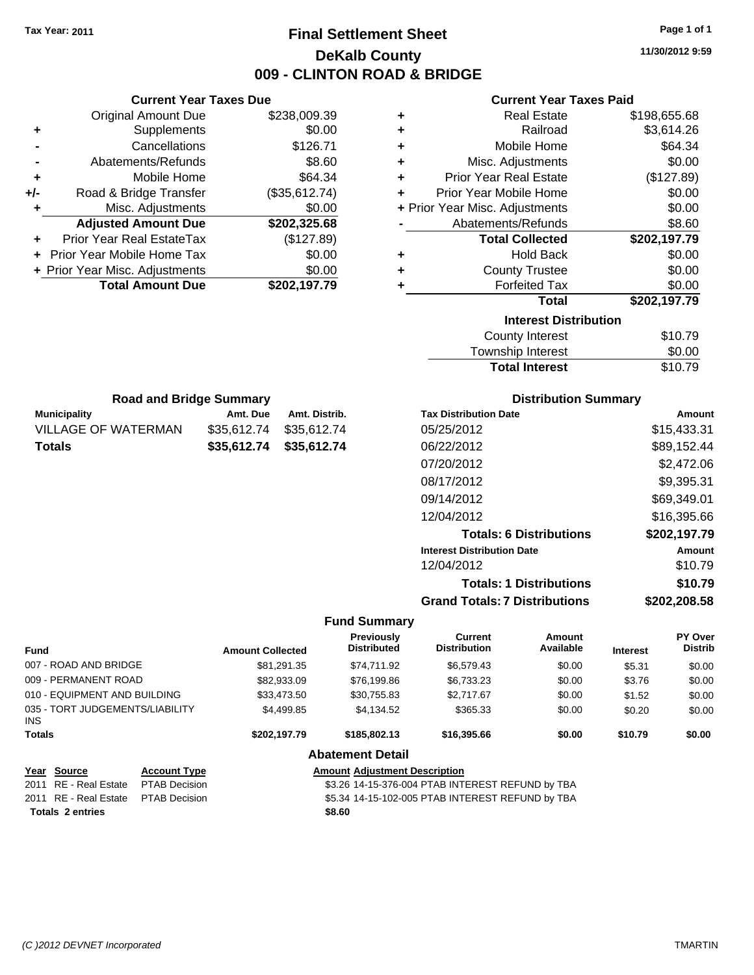### **Final Settlement Sheet Tax Year: 2011 Page 1 of 1 DeKalb County 009 - CLINTON ROAD & BRIDGE**

**11/30/2012 9:59**

### **Current Year Taxes Paid**

|     | <b>Current Year Taxes Due</b>              |               |  |  |
|-----|--------------------------------------------|---------------|--|--|
|     | \$238,009.39<br><b>Original Amount Due</b> |               |  |  |
| ٠   | \$0.00<br>Supplements                      |               |  |  |
|     | Cancellations                              | \$126.71      |  |  |
|     | Abatements/Refunds                         | \$8.60        |  |  |
| ٠   | Mobile Home                                | \$64.34       |  |  |
| +/- | Road & Bridge Transfer                     | (\$35,612.74) |  |  |
|     | Misc. Adjustments                          | \$0.00        |  |  |
|     | <b>Adjusted Amount Due</b>                 | \$202,325.68  |  |  |
|     | Prior Year Real EstateTax                  | (\$127.89)    |  |  |
| ÷   | Prior Year Mobile Home Tax                 | \$0.00        |  |  |
|     | + Prior Year Misc. Adjustments             | \$0.00        |  |  |
|     | <b>Total Amount Due</b>                    | \$202,197.79  |  |  |

| ٠ | <b>Real Estate</b>             | \$198,655.68 |
|---|--------------------------------|--------------|
| ٠ | Railroad                       | \$3,614.26   |
| ٠ | Mobile Home                    | \$64.34      |
| ÷ | Misc. Adjustments              | \$0.00       |
| ٠ | <b>Prior Year Real Estate</b>  | (\$127.89)   |
| ÷ | Prior Year Mobile Home         | \$0.00       |
|   | + Prior Year Misc. Adjustments | \$0.00       |
|   | Abatements/Refunds             | \$8.60       |
|   | <b>Total Collected</b>         | \$202,197.79 |
| ٠ | <b>Hold Back</b>               | \$0.00       |
| ٠ | <b>County Trustee</b>          | \$0.00       |
| ٠ | <b>Forfeited Tax</b>           | \$0.00       |
|   | Total                          | \$202,197.79 |
|   |                                |              |
|   | <b>Interest Distribution</b>   |              |
|   | <b>County Interest</b>         | \$10.79      |

| <b>Total Interest</b>  | \$10.79      |
|------------------------|--------------|
| Township Interest      | \$0.00       |
| <b>OVAIRY INTOITED</b> | <b>PIP.I</b> |

| <b>Road and Bridge Summary</b> |          |                         |       |
|--------------------------------|----------|-------------------------|-------|
| <b>Municipality</b>            | Amt. Due | Amt. Distrib.           | Tax I |
| <b>VILLAGE OF WATERMAN</b>     |          | \$35,612.74 \$35,612.74 | 05/2  |
| <b>Totals</b>                  |          | \$35,612.74 \$35,612.74 | 06/2  |

### **Distribution Summary**

| <b>Tax Distribution Date</b>         | Amount       |
|--------------------------------------|--------------|
| 05/25/2012                           | \$15,433.31  |
| 06/22/2012                           | \$89,152.44  |
| 07/20/2012                           | \$2,472.06   |
| 08/17/2012                           | \$9,395.31   |
| 09/14/2012                           | \$69,349.01  |
| 12/04/2012                           | \$16,395.66  |
| <b>Totals: 6 Distributions</b>       | \$202,197.79 |
| <b>Interest Distribution Date</b>    | Amount       |
| 12/04/2012                           | \$10.79      |
| <b>Totals: 1 Distributions</b>       | \$10.79      |
| <b>Grand Totals: 7 Distributions</b> | \$202.208.58 |

### **Fund Summary**

| <b>Fund</b>                             |                      | <b>Amount Collected</b> | Previously<br><b>Distributed</b>     | <b>Current</b><br><b>Distribution</b>            | Amount<br>Available | <b>Interest</b> | PY Over<br><b>Distrib</b> |
|-----------------------------------------|----------------------|-------------------------|--------------------------------------|--------------------------------------------------|---------------------|-----------------|---------------------------|
| 007 - ROAD AND BRIDGE                   |                      | \$81.291.35             | \$74.711.92                          | \$6.579.43                                       | \$0.00              | \$5.31          | \$0.00                    |
| 009 - PERMANENT ROAD                    |                      | \$82,933.09             | \$76,199.86                          | \$6,733.23                                       | \$0.00              | \$3.76          | \$0.00                    |
| 010 - EQUIPMENT AND BUILDING            |                      | \$33,473.50             | \$30.755.83                          | \$2.717.67                                       | \$0.00              | \$1.52          | \$0.00                    |
| 035 - TORT JUDGEMENTS/LIABILITY<br>INS. |                      | \$4,499.85              | \$4,134.52                           | \$365.33                                         | \$0.00              | \$0.20          | \$0.00                    |
| <b>Totals</b>                           |                      | \$202.197.79            | \$185,802.13                         | \$16,395.66                                      | \$0.00              | \$10.79         | \$0.00                    |
|                                         |                      |                         | <b>Abatement Detail</b>              |                                                  |                     |                 |                           |
| Year Source                             | <b>Account Type</b>  |                         | <b>Amount Adiustment Description</b> |                                                  |                     |                 |                           |
| 2011 RE - Real Estate                   | <b>PTAB Decision</b> |                         |                                      | \$3.26 14-15-376-004 PTAB INTEREST REFUND by TBA |                     |                 |                           |
| 2011 RE - Real Estate                   | <b>PTAB Decision</b> |                         |                                      | \$5.34 14-15-102-005 PTAB INTEREST REFUND by TBA |                     |                 |                           |
| <b>Totals 2 entries</b>                 |                      |                         | \$8.60                               |                                                  |                     |                 |                           |

*(C )2012 DEVNET Incorporated* TMARTIN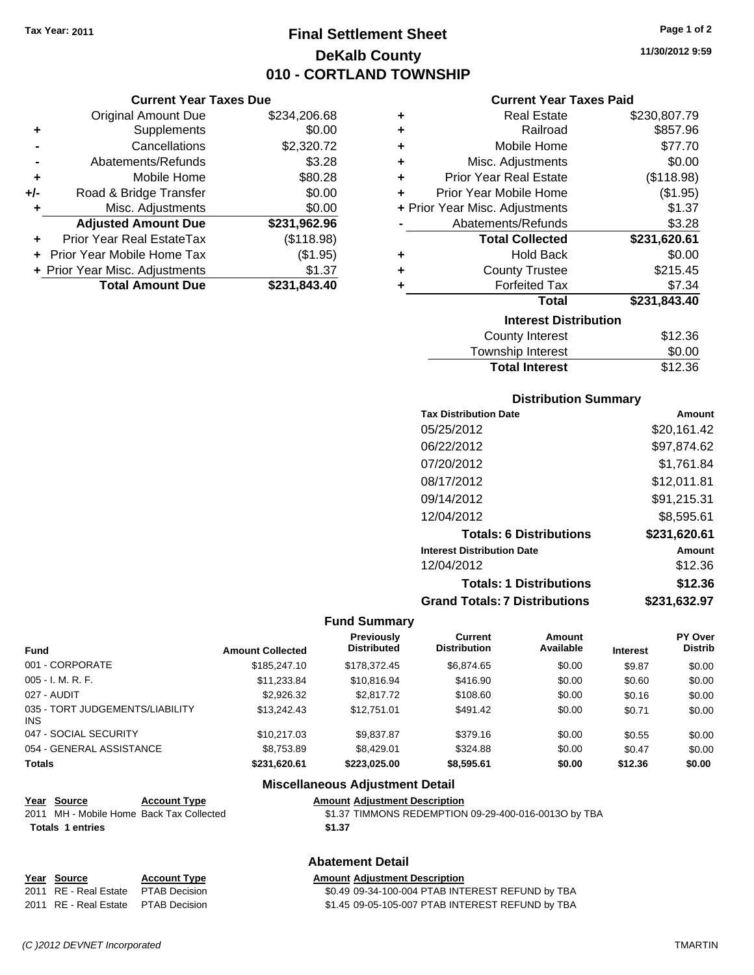### **Final Settlement Sheet Tax Year: 2011 Page 1 of 2 DeKalb County 010 - CORTLAND TOWNSHIP**

**11/30/2012 9:59**

#### **Current Year Taxes Paid**

|       | <b>Current Year Taxes Due</b>  |              |   |                   |
|-------|--------------------------------|--------------|---|-------------------|
|       | Original Amount Due            | \$234,206.68 |   |                   |
|       | Supplements                    | \$0.00       |   |                   |
|       | Cancellations                  | \$2,320.72   |   |                   |
|       | Abatements/Refunds             | \$3.28       |   | Misc              |
| ٠     | Mobile Home                    | \$80.28      | ٠ | <b>Prior Yea</b>  |
| $+/-$ | Road & Bridge Transfer         | \$0.00       |   | <b>Prior Year</b> |
|       | Misc. Adjustments              | \$0.00       |   | + Prior Year Misc |
|       | <b>Adjusted Amount Due</b>     | \$231,962.96 |   | Abatem            |
|       | Prior Year Real EstateTax      | (\$118.98)   |   | То                |
|       | Prior Year Mobile Home Tax     | (\$1.95)     | ٠ |                   |
|       | + Prior Year Misc. Adjustments | \$1.37       |   | Cı                |
|       | <b>Total Amount Due</b>        | \$231,843.40 |   |                   |
|       |                                |              |   |                   |

| ٠ | <b>Real Estate</b>             | \$230,807.79 |
|---|--------------------------------|--------------|
| ÷ | Railroad                       | \$857.96     |
| ÷ | Mobile Home                    | \$77.70      |
| ÷ | Misc. Adjustments              | \$0.00       |
| ÷ | <b>Prior Year Real Estate</b>  | (\$118.98)   |
| ٠ | Prior Year Mobile Home         | (\$1.95)     |
|   | + Prior Year Misc. Adjustments | \$1.37       |
|   | Abatements/Refunds             | \$3.28       |
|   |                                |              |
|   | <b>Total Collected</b>         | \$231,620.61 |
| ٠ | <b>Hold Back</b>               | \$0.00       |
| ÷ | <b>County Trustee</b>          | \$215.45     |
| ٠ | <b>Forfeited Tax</b>           | \$7.34       |
|   | <b>Total</b>                   | \$231,843.40 |
|   | <b>Interest Distribution</b>   |              |
|   | <b>County Interest</b>         | \$12.36      |

## **Distribution Summary**

**Total Interest** \$12.36

| <b>Tax Distribution Date</b>         | Amount       |
|--------------------------------------|--------------|
| 05/25/2012                           | \$20,161.42  |
| 06/22/2012                           | \$97,874.62  |
| 07/20/2012                           | \$1.761.84   |
| 08/17/2012                           | \$12.011.81  |
| 09/14/2012                           | \$91,215.31  |
| 12/04/2012                           | \$8,595.61   |
| <b>Totals: 6 Distributions</b>       | \$231,620.61 |
| <b>Interest Distribution Date</b>    | Amount       |
| 12/04/2012                           | \$12.36      |
| <b>Totals: 1 Distributions</b>       | \$12.36      |
| <b>Grand Totals: 7 Distributions</b> | \$231.632.97 |

#### **Fund Summary**

|                                         |                         | <b>Previously</b>  | Current             | Amount    |                 | PY Over        |
|-----------------------------------------|-------------------------|--------------------|---------------------|-----------|-----------------|----------------|
| <b>Fund</b>                             | <b>Amount Collected</b> | <b>Distributed</b> | <b>Distribution</b> | Available | <b>Interest</b> | <b>Distrib</b> |
| 001 - CORPORATE                         | \$185,247.10            | \$178,372.45       | \$6,874.65          | \$0.00    | \$9.87          | \$0.00         |
| $005 - I. M. R. F.$                     | \$11,233.84             | \$10,816.94        | \$416.90            | \$0.00    | \$0.60          | \$0.00         |
| 027 - AUDIT                             | \$2,926.32              | \$2,817.72         | \$108.60            | \$0.00    | \$0.16          | \$0.00         |
| 035 - TORT JUDGEMENTS/LIABILITY<br>INS. | \$13,242.43             | \$12,751,01        | \$491.42            | \$0.00    | \$0.71          | \$0.00         |
| 047 - SOCIAL SECURITY                   | \$10.217.03             | \$9.837.87         | \$379.16            | \$0.00    | \$0.55          | \$0.00         |
| 054 - GENERAL ASSISTANCE                | \$8,753.89              | \$8,429.01         | \$324.88            | \$0.00    | \$0.47          | \$0.00         |
| <b>Totals</b>                           | \$231.620.61            | \$223.025.00       | \$8,595.61          | \$0.00    | \$12.36         | \$0.00         |

#### **Miscellaneous Adjustment Detail**

| Year Source                              | <b>Account Type</b> | <b>Amount Adiustment Description</b>                 |
|------------------------------------------|---------------------|------------------------------------------------------|
| 2011 MH - Mobile Home Back Tax Collected |                     | \$1.37 TIMMONS REDEMPTION 09-29-400-016-0013O by TBA |
| <b>Totals 1 entries</b>                  |                     | \$1.37                                               |
|                                          |                     |                                                      |

### **Abatement Detail**

#### **Year Source Account Type Amount Adjustment Description** 2011 RE - Real Estate \$0.49 09-34-100-004 PTAB INTEREST REFUND by TBA PTAB Decision 2011 RE - Real Estate \$1.45 09-05-105-007 PTAB INTEREST REFUND by TBA PTAB Decision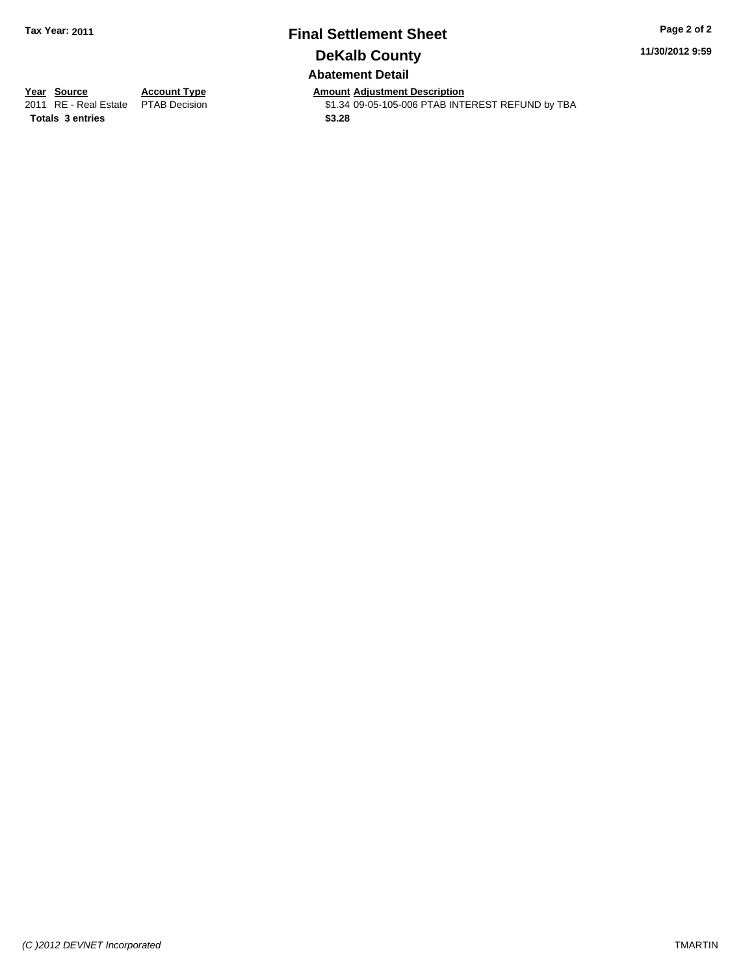### **Final Settlement Sheet Tax Year: 2011 Page 2 of 2 DeKalb County Abatement Detail**

**11/30/2012 9:59**

**Totals \$3.28 3 entries**

**Year Source Account Type Amount Adjustment Description**<br>2011 RE - Real Estate PTAB Decision **Amount** \$1.34 09-05-105-006 PTAB INTI  $$1.34$  09-05-105-006 PTAB INTEREST REFUND by TBA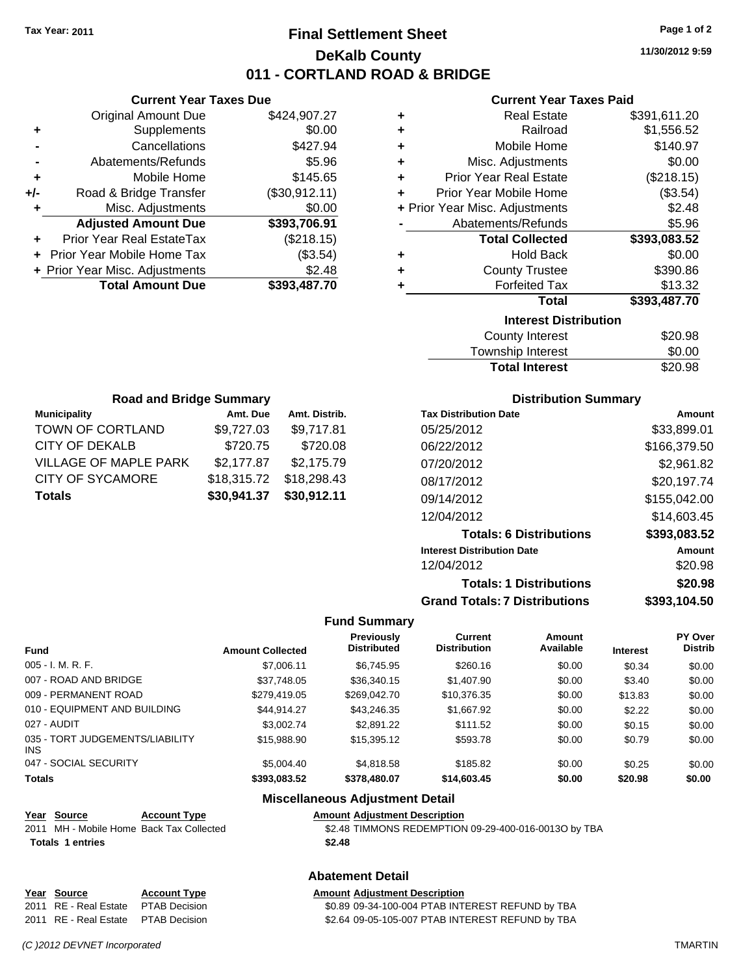### **Final Settlement Sheet Tax Year: 2011 Page 1 of 2 DeKalb County 011 - CORTLAND ROAD & BRIDGE**

**11/30/2012 9:59**

#### **Current Year Taxes Paid**

|     | <b>Current Year Taxes Due</b>  |               |
|-----|--------------------------------|---------------|
|     | <b>Original Amount Due</b>     | \$424,907.27  |
| ٠   | Supplements                    | \$0.00        |
|     | Cancellations                  | \$427.94      |
|     | Abatements/Refunds             | \$5.96        |
| ٠   | Mobile Home                    | \$145.65      |
| +/- | Road & Bridge Transfer         | (\$30,912.11) |
|     | Misc. Adjustments              | \$0.00        |
|     | <b>Adjusted Amount Due</b>     | \$393,706.91  |
|     | Prior Year Real EstateTax      | (\$218.15)    |
|     | Prior Year Mobile Home Tax     | (\$3.54)      |
|     | + Prior Year Misc. Adjustments | \$2.48        |
|     | <b>Total Amount Due</b>        | \$393,487.70  |
|     |                                |               |

| ٠ | <b>Real Estate</b>             | \$391,611.20 |
|---|--------------------------------|--------------|
| ÷ | Railroad                       | \$1,556.52   |
| ÷ | Mobile Home                    | \$140.97     |
| ÷ | Misc. Adjustments              | \$0.00       |
| ÷ | <b>Prior Year Real Estate</b>  | (\$218.15)   |
| ٠ | Prior Year Mobile Home         | (\$3.54)     |
|   | + Prior Year Misc. Adjustments | \$2.48       |
|   | Abatements/Refunds             | \$5.96       |
|   | <b>Total Collected</b>         | \$393,083.52 |
|   |                                |              |
| ٠ | <b>Hold Back</b>               | \$0.00       |
| ٠ | <b>County Trustee</b>          | \$390.86     |
| ٠ | <b>Forfeited Tax</b>           | \$13.32      |
|   | <b>Total</b>                   | \$393,487.70 |
|   | <b>Interest Distribution</b>   |              |
|   | <b>County Interest</b>         | \$20.98      |

| Township Interest     | \$0.00  |
|-----------------------|---------|
| <b>Total Interest</b> | \$20.98 |

| <b>Road and Bridge Summary</b> |             |               |  |  |
|--------------------------------|-------------|---------------|--|--|
| <b>Municipality</b>            | Amt. Due    | Amt. Distrib. |  |  |
| TOWN OF CORTLAND               | \$9,727.03  | \$9,717.81    |  |  |
| <b>CITY OF DEKALB</b>          | \$720.75    | \$720.08      |  |  |
| <b>VILLAGE OF MAPLE PARK</b>   | \$2,177.87  | \$2,175.79    |  |  |
| <b>CITY OF SYCAMORE</b>        | \$18,315.72 | \$18,298.43   |  |  |
| <b>Totals</b>                  | \$30,941.37 | \$30,912.11   |  |  |

### **Distribution Summary**

| <b>Tax Distribution Date</b>         | Amount       |
|--------------------------------------|--------------|
| 05/25/2012                           | \$33,899.01  |
| 06/22/2012                           | \$166,379.50 |
| 07/20/2012                           | \$2,961.82   |
| 08/17/2012                           | \$20,197.74  |
| 09/14/2012                           | \$155,042.00 |
| 12/04/2012                           | \$14,603.45  |
| <b>Totals: 6 Distributions</b>       | \$393,083.52 |
| <b>Interest Distribution Date</b>    | Amount       |
| 12/04/2012                           | \$20.98      |
| <b>Totals: 1 Distributions</b>       | \$20.98      |
| <b>Grand Totals: 7 Distributions</b> | \$393.104.50 |

#### **Fund Summary**

 $\overline{\phantom{0}}$ 

| <b>Fund</b>                                   | <b>Amount Collected</b> | Previously<br><b>Distributed</b> | Current<br><b>Distribution</b> | Amount<br>Available | <b>Interest</b> | <b>PY Over</b><br><b>Distrib</b> |
|-----------------------------------------------|-------------------------|----------------------------------|--------------------------------|---------------------|-----------------|----------------------------------|
|                                               |                         |                                  |                                |                     |                 |                                  |
| $005 - I. M. R. F.$                           | \$7,006.11              | \$6,745.95                       | \$260.16                       | \$0.00              | \$0.34          | \$0.00                           |
| 007 - ROAD AND BRIDGE                         | \$37.748.05             | \$36,340.15                      | \$1,407.90                     | \$0.00              | \$3.40          | \$0.00                           |
| 009 - PERMANENT ROAD                          | \$279,419.05            | \$269,042.70                     | \$10,376.35                    | \$0.00              | \$13.83         | \$0.00                           |
| 010 - EQUIPMENT AND BUILDING                  | \$44.914.27             | \$43,246.35                      | \$1,667.92                     | \$0.00              | \$2.22          | \$0.00                           |
| 027 - AUDIT                                   | \$3,002.74              | \$2,891.22                       | \$111.52                       | \$0.00              | \$0.15          | \$0.00                           |
| 035 - TORT JUDGEMENTS/LIABILITY<br><b>INS</b> | \$15,988,90             | \$15,395.12                      | \$593.78                       | \$0.00              | \$0.79          | \$0.00                           |
| 047 - SOCIAL SECURITY                         | \$5,004.40              | \$4,818.58                       | \$185.82                       | \$0.00              | \$0.25          | \$0.00                           |
| <b>Totals</b>                                 | \$393,083.52            | \$378,480.07                     | \$14,603.45                    | \$0.00              | \$20.98         | \$0.00                           |

#### **Miscellaneous Adjustment Detail**

**Abatement Detail**

### **Year Source Account Type Amount Adjustment Description Totals \$2.48 1 entries**

2011 MH - Mobile Home Back Tax Collected **62.48 TIMMONS REDEMPTION 09-29-400-016-0013O by TBA** 

# **Year Source Account Type Amount Adjustment Description**

2011 RE - Real Estate \$0.89 09-34-100-004 PTAB INTEREST REFUND by TBA PTAB Decision 2011 RE - Real Estate \$2.64 09-05-105-007 PTAB INTEREST REFUND by TBA PTAB Decision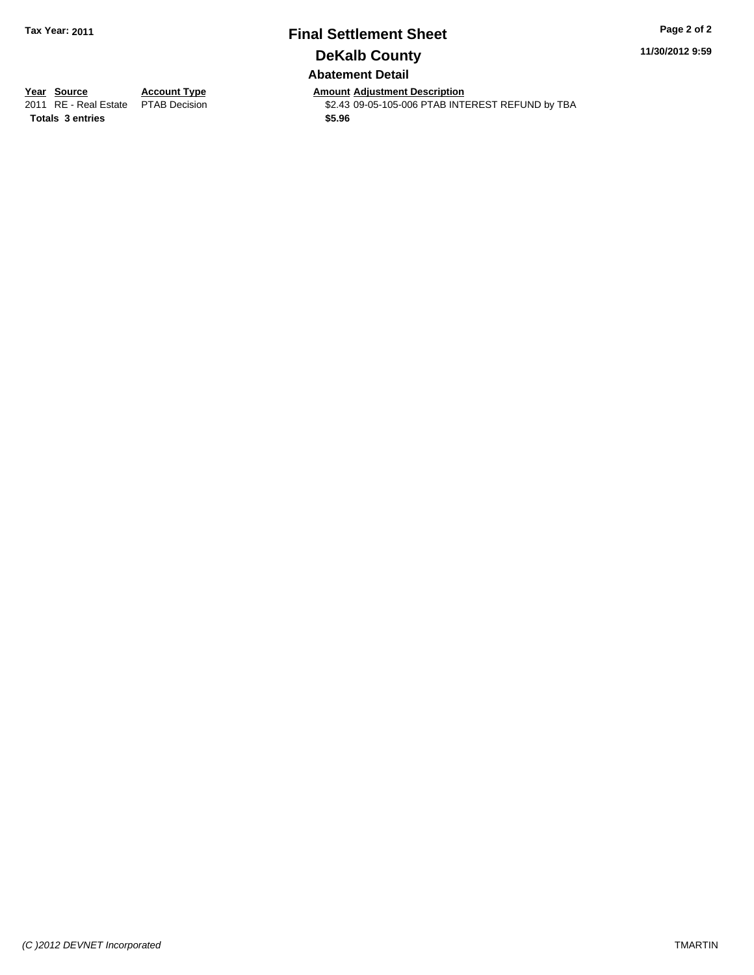### **Final Settlement Sheet Tax Year: 2011 Page 2 of 2 DeKalb County Abatement Detail**

**11/30/2012 9:59**

**Totals \$5.96 3 entries**

**Year Source Account Type Amount Adjustment Description**<br>2011 RE - Real Estate PTAB Decision **Amount** \$2.43 09-05-105-006 PTAB INTI  $$2.43$  09-05-105-006 PTAB INTEREST REFUND by TBA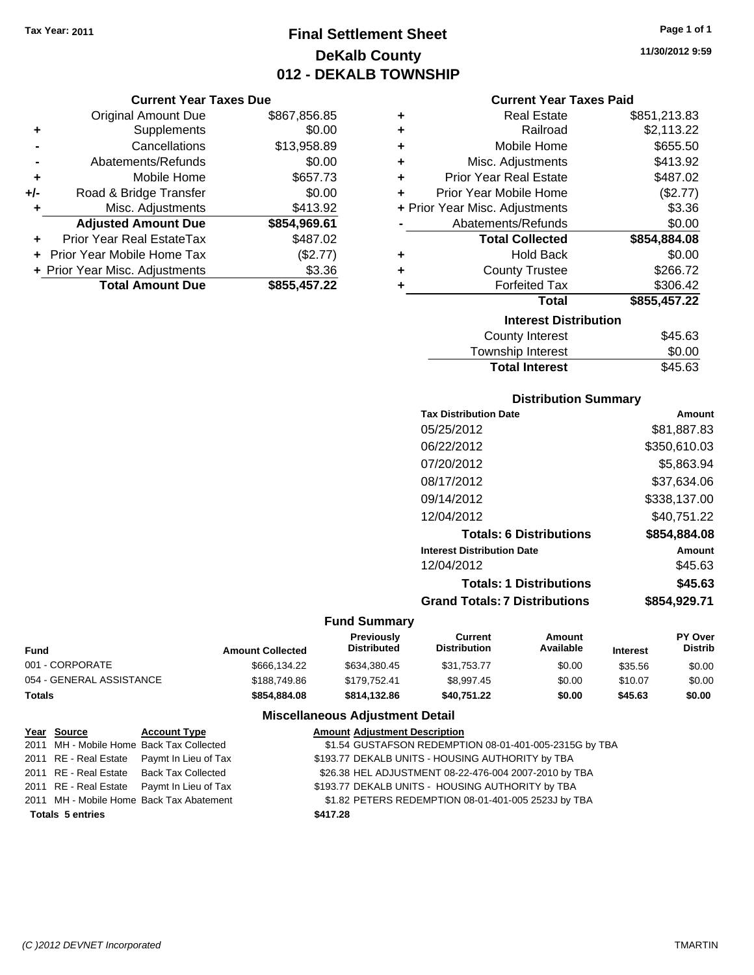**Current Year Taxes Due** Original Amount Due \$867,856.85

**Adjusted Amount Due \$854,969.61**

**Total Amount Due \$855,457.22**

**+** Supplements \$0.00 **-** Cancellations \$13,958.89 **-** Abatements/Refunds \$0.00 **+** Mobile Home \$657.73 **+/-** Road & Bridge Transfer \$0.00 **+** Misc. Adjustments \$413.92

**+** Prior Year Real EstateTax \$487.02 **+** Prior Year Mobile Home Tax (\$2.77) **+** Prior Year Misc. Adjustments \$3.36

### **Final Settlement Sheet Tax Year: 2011 Page 1 of 1 DeKalb County 012 - DEKALB TOWNSHIP**

|   | <b>Current Year Taxes Paid</b> |              |
|---|--------------------------------|--------------|
| ٠ | Real Estate                    | \$851,213.83 |
| ÷ | Railroad                       | \$2,113.22   |
| ٠ | Mobile Home                    | \$655.50     |
| ÷ | Misc. Adjustments              | \$413.92     |
| ÷ | <b>Prior Year Real Estate</b>  | \$487.02     |
| ÷ | Prior Year Mobile Home         | (\$2.77)     |
|   | + Prior Year Misc. Adjustments | \$3.36       |
|   | Abatements/Refunds             | \$0.00       |
|   | <b>Total Collected</b>         | \$854,884.08 |
|   |                                |              |
| ٠ | <b>Hold Back</b>               | \$0.00       |
| ٠ | <b>County Trustee</b>          | \$266.72     |
| ٠ | <b>Forfeited Tax</b>           | \$306.42     |
|   | Total                          | \$855,457.22 |
|   | <b>Interest Distribution</b>   |              |
|   | County Interest                | \$45.63      |

| Township Interest     | \$0.00  |
|-----------------------|---------|
| <b>Total Interest</b> | \$45.63 |
|                       |         |

### **Distribution Summary**

| <b>Tax Distribution Date</b>         | Amount       |
|--------------------------------------|--------------|
| 05/25/2012                           | \$81,887.83  |
| 06/22/2012                           | \$350,610.03 |
| 07/20/2012                           | \$5.863.94   |
| 08/17/2012                           | \$37,634.06  |
| 09/14/2012                           | \$338.137.00 |
| 12/04/2012                           | \$40.751.22  |
| <b>Totals: 6 Distributions</b>       | \$854,884.08 |
| <b>Interest Distribution Date</b>    | Amount       |
| 12/04/2012                           | \$45.63      |
| <b>Totals: 1 Distributions</b>       | \$45.63      |
| <b>Grand Totals: 7 Distributions</b> | \$854.929.71 |
|                                      |              |

#### **Fund Summary**

| <b>Fund</b>              | <b>Amount Collected</b> | <b>Previously</b><br><b>Distributed</b> | Current<br><b>Distribution</b> | Amount<br>Available | <b>Interest</b> | <b>PY Over</b><br><b>Distrib</b> |
|--------------------------|-------------------------|-----------------------------------------|--------------------------------|---------------------|-----------------|----------------------------------|
| 001 - CORPORATE          | \$666,134.22            | \$634.380.45                            | \$31.753.77                    | \$0.00              | \$35.56         | \$0.00                           |
| 054 - GENERAL ASSISTANCE | \$188,749.86            | \$179.752.41                            | \$8.997.45                     | \$0.00              | \$10.07         | \$0.00                           |
| <b>Totals</b>            | \$854.884.08            | \$814.132.86                            | \$40.751.22                    | \$0.00              | \$45.63         | \$0.00                           |

#### **Miscellaneous Adjustment Detail**

| Year Source             | <b>Account Type</b>                        | <b>Amount Adjustment Description</b>                   |
|-------------------------|--------------------------------------------|--------------------------------------------------------|
|                         | 2011 MH - Mobile Home Back Tax Collected   | \$1.54 GUSTAFSON REDEMPTION 08-01-401-005-2315G by TBA |
|                         | 2011 RE - Real Estate Paymt In Lieu of Tax | \$193.77 DEKALB UNITS - HOUSING AUTHORITY by TBA       |
|                         | 2011 RE - Real Estate Back Tax Collected   | \$26.38 HEL ADJUSTMENT 08-22-476-004 2007-2010 by TBA  |
|                         | 2011 RE - Real Estate Paymt In Lieu of Tax | \$193.77 DEKALB UNITS - HOUSING AUTHORITY by TBA       |
|                         | 2011 MH - Mobile Home Back Tax Abatement   | \$1.82 PETERS REDEMPTION 08-01-401-005 2523J by TBA    |
| <b>Totals 5 entries</b> |                                            | \$417.28                                               |

**11/30/2012 9:59**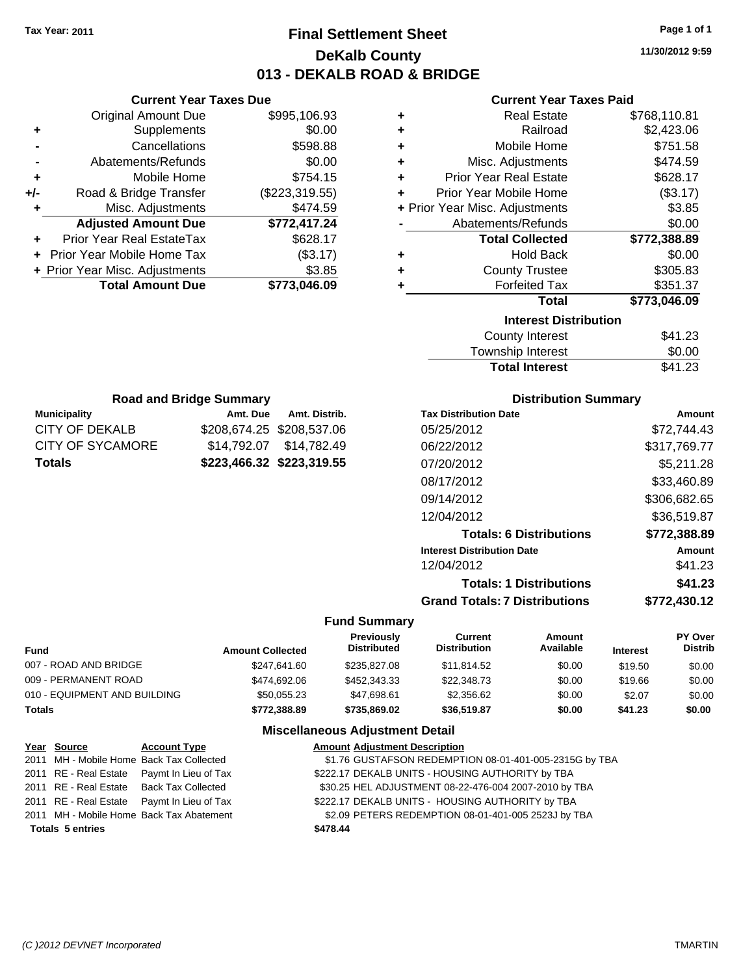### **Final Settlement Sheet Tax Year: 2011 Page 1 of 1 DeKalb County 013 - DEKALB ROAD & BRIDGE**

**11/30/2012 9:59**

### **Current Year Taxes Paid**

| ٠ | <b>Real Estate</b>             | \$768,110.81 |
|---|--------------------------------|--------------|
| ٠ | Railroad                       | \$2,423.06   |
| ٠ | Mobile Home                    | \$751.58     |
| ٠ | Misc. Adjustments              | \$474.59     |
| ÷ | <b>Prior Year Real Estate</b>  | \$628.17     |
| ÷ | Prior Year Mobile Home         | (\$3.17)     |
|   | + Prior Year Misc. Adjustments | \$3.85       |
|   | Abatements/Refunds             | \$0.00       |
|   | <b>Total Collected</b>         | \$772,388.89 |
| ÷ | <b>Hold Back</b>               | \$0.00       |
| ٠ | <b>County Trustee</b>          | \$305.83     |
| ٠ | <b>Forfeited Tax</b>           | \$351.37     |
|   | Total                          | \$773,046.09 |
|   | <b>Interest Distribution</b>   |              |
|   | <b>County Interest</b>         | \$41.23      |
|   | Tauraahin lataraat             | ድስ ሰሰ        |

| <b>Total Interest</b> | \$41.23 |
|-----------------------|---------|
| Township Interest     | \$0.00  |
| County Interest       | \$41.23 |

| <b>Road and Bridge Summary</b>             |                           |                         |  |  |  |
|--------------------------------------------|---------------------------|-------------------------|--|--|--|
| <b>Municipality</b>                        | Amt. Due                  | Amt. Distrib.           |  |  |  |
| CITY OF DEKALB                             | \$208,674.25 \$208,537.06 |                         |  |  |  |
| CITY OF SYCAMORE                           |                           | \$14,792.07 \$14,782.49 |  |  |  |
| \$223,466.32 \$223,319.55<br><b>Totals</b> |                           |                         |  |  |  |

**Current Year Taxes Due** Original Amount Due \$995,106.93

**Adjusted Amount Due \$772,417.24**

**Total Amount Due \$773,046.09**

**+** Supplements \$0.00 **-** Cancellations \$598.88 **-** Abatements/Refunds \$0.00 **+** Mobile Home \$754.15 **+/-** Road & Bridge Transfer (\$223,319.55) **+** Misc. Adjustments \$474.59

**+** Prior Year Real EstateTax \$628.17 **+** Prior Year Mobile Home Tax (\$3.17) **+ Prior Year Misc. Adjustments \$3.85** 

### **Distribution Summary**

| Amount       |
|--------------|
| \$72.744.43  |
| \$317,769.77 |
| \$5,211.28   |
| \$33,460.89  |
| \$306,682.65 |
| \$36.519.87  |
| \$772,388.89 |
| Amount       |
| \$41.23      |
| \$41.23      |
| \$772.430.12 |
|              |

#### **Fund Summary**

| <b>Fund</b>                  | <b>Amount Collected</b> | <b>Previously</b><br>Distributed | Current<br>Distribution | Amount<br>Available | <b>Interest</b> | <b>PY Over</b><br><b>Distrib</b> |
|------------------------------|-------------------------|----------------------------------|-------------------------|---------------------|-----------------|----------------------------------|
| 007 - ROAD AND BRIDGE        | \$247.641.60            | \$235,827,08                     | \$11,814.52             | \$0.00              | \$19.50         | \$0.00                           |
| 009 - PERMANENT ROAD         | \$474.692.06            | \$452,343,33                     | \$22,348.73             | \$0.00              | \$19.66         | \$0.00                           |
| 010 - EQUIPMENT AND BUILDING | \$50,055.23             | \$47,698.61                      | \$2.356.62              | \$0.00              | \$2.07          | \$0.00                           |
| <b>Totals</b>                | \$772,388.89            | \$735.869.02                     | \$36,519.87             | \$0.00              | \$41.23         | \$0.00                           |

### **Miscellaneous Adjustment Detail**

| Year Source             | <b>Account Type</b>                        | <b>Amount Adjustment Description</b>                   |
|-------------------------|--------------------------------------------|--------------------------------------------------------|
|                         | 2011 MH - Mobile Home Back Tax Collected   | \$1.76 GUSTAFSON REDEMPTION 08-01-401-005-2315G by TBA |
|                         | 2011 RE - Real Estate Paymt In Lieu of Tax | \$222.17 DEKALB UNITS - HOUSING AUTHORITY by TBA       |
|                         | 2011 RE - Real Estate Back Tax Collected   | \$30.25 HEL ADJUSTMENT 08-22-476-004 2007-2010 by TBA  |
|                         | 2011 RE - Real Estate Paymt In Lieu of Tax | \$222.17 DEKALB UNITS - HOUSING AUTHORITY by TBA       |
|                         | 2011 MH - Mobile Home Back Tax Abatement   | \$2.09 PETERS REDEMPTION 08-01-401-005 2523J by TBA    |
| <b>Totals 5 entries</b> |                                            | \$478.44                                               |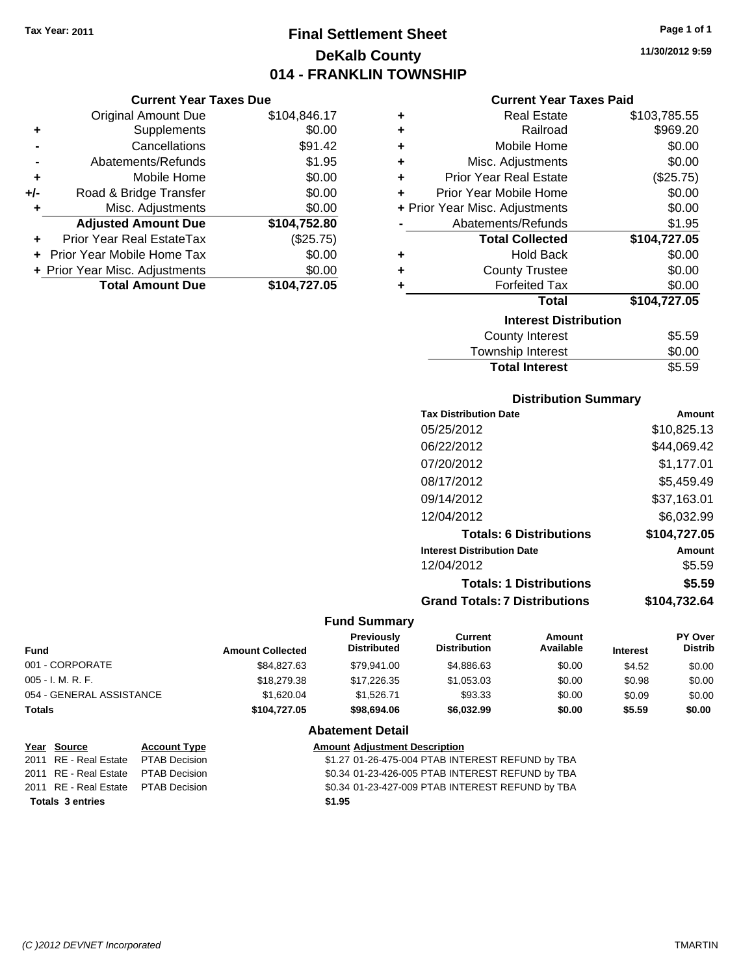**Current Year Taxes Due**

### **Final Settlement Sheet Tax Year: 2011 Page 1 of 1 DeKalb County 014 - FRANKLIN TOWNSHIP**

**11/30/2012 9:59**

### **Current Year Taxes Paid**

|                      | <b>Original Amount Due</b>     | \$104,846.17 | ٠ | <b>Real Estate</b>             | \$103,785.55                     |
|----------------------|--------------------------------|--------------|---|--------------------------------|----------------------------------|
| $\ddot{\phantom{1}}$ | <b>Supplements</b>             | \$0.00       | ٠ | Railroad                       | \$969.20                         |
|                      | Cancellations                  | \$91.42      | ٠ | Mobile Home                    | \$0.00                           |
|                      | Abatements/Refunds             | \$1.95       | ٠ | Misc. Adjustments              | \$0.00                           |
| ÷                    | Mobile Home                    | \$0.00       | ٠ | <b>Prior Year Real Estate</b>  | (\$25.75)                        |
| I-                   | Road & Bridge Transfer         | \$0.00       |   | Prior Year Mobile Home         | \$0.00                           |
| ٠                    | Misc. Adjustments              | \$0.00       |   | + Prior Year Misc. Adjustments | \$0.00                           |
|                      | <b>Adjusted Amount Due</b>     | \$104,752.80 |   | Abatements/Refunds             | \$1.95                           |
| $\ddot{}$            | Prior Year Real EstateTax      | (\$25.75)    |   | <b>Total Collected</b>         | \$104,727.05                     |
|                      | + Prior Year Mobile Home Tax   | \$0.00       | ٠ | <b>Hold Back</b>               | \$0.00                           |
|                      | + Prior Year Misc. Adjustments | \$0.00       | ٠ | <b>County Trustee</b>          | \$0.00                           |
|                      | <b>Total Amount Due</b>        | \$104,727.05 |   | <b>Forfeited Tax</b>           | \$0.00                           |
|                      |                                |              |   | <b>Total</b>                   | \$104,727.05                     |
|                      |                                |              |   | <b>Interest Distribution</b>   |                                  |
|                      |                                |              |   |                                | $\uparrow$ $\uparrow$ $\uparrow$ |

| <b>Total Interest</b> | \$5.59 |
|-----------------------|--------|
| Township Interest     | \$0.00 |
| County Interest       | \$5.59 |

### **Distribution Summary**

| <b>Tax Distribution Date</b>         | Amount       |
|--------------------------------------|--------------|
| 05/25/2012                           | \$10,825.13  |
| 06/22/2012                           | \$44,069.42  |
| 07/20/2012                           | \$1.177.01   |
| 08/17/2012                           | \$5,459.49   |
| 09/14/2012                           | \$37,163.01  |
| 12/04/2012                           | \$6,032.99   |
| <b>Totals: 6 Distributions</b>       | \$104.727.05 |
| <b>Interest Distribution Date</b>    | Amount       |
| 12/04/2012                           | \$5.59       |
| <b>Totals: 1 Distributions</b>       | \$5.59       |
| <b>Grand Totals: 7 Distributions</b> | \$104.732.64 |
|                                      |              |

#### **Fund Summary**

| <b>Fund</b>              | <b>Amount Collected</b> | <b>Previously</b><br><b>Distributed</b> | Current<br><b>Distribution</b> | Amount<br>Available | <b>Interest</b> | PY Over<br><b>Distrib</b> |
|--------------------------|-------------------------|-----------------------------------------|--------------------------------|---------------------|-----------------|---------------------------|
| 001 - CORPORATE          | \$84.827.63             | \$79.941.00                             | \$4.886.63                     | \$0.00              | \$4.52          | \$0.00                    |
| 005 - I. M. R. F.        | \$18,279.38             | \$17,226.35                             | \$1,053.03                     | \$0.00              | \$0.98          | \$0.00                    |
| 054 - GENERAL ASSISTANCE | \$1,620.04              | \$1.526.71                              | \$93.33                        | \$0.00              | \$0.09          | \$0.00                    |
| Totals                   | \$104,727.05            | \$98,694.06                             | \$6,032.99                     | \$0.00              | \$5.59          | \$0.00                    |
|                          |                         |                                         |                                |                     |                 |                           |

#### **Abatement Detail Year Source Account Type Amount Adjustment Description**

| 2011 RE - Real Estate  PTAB Decision | \$1.27 01-26-475-004 PTAB INTEREST REFUND by TBA |
|--------------------------------------|--------------------------------------------------|
| 2011 RE - Real Estate  PTAB Decision | \$0.34 01-23-426-005 PTAB INTEREST REFUND by TBA |
| 2011 RE - Real Estate  PTAB Decision | \$0.34 01-23-427-009 PTAB INTEREST REFUND by TBA |
| <b>Totals 3 entries</b>              | \$1.95                                           |
|                                      |                                                  |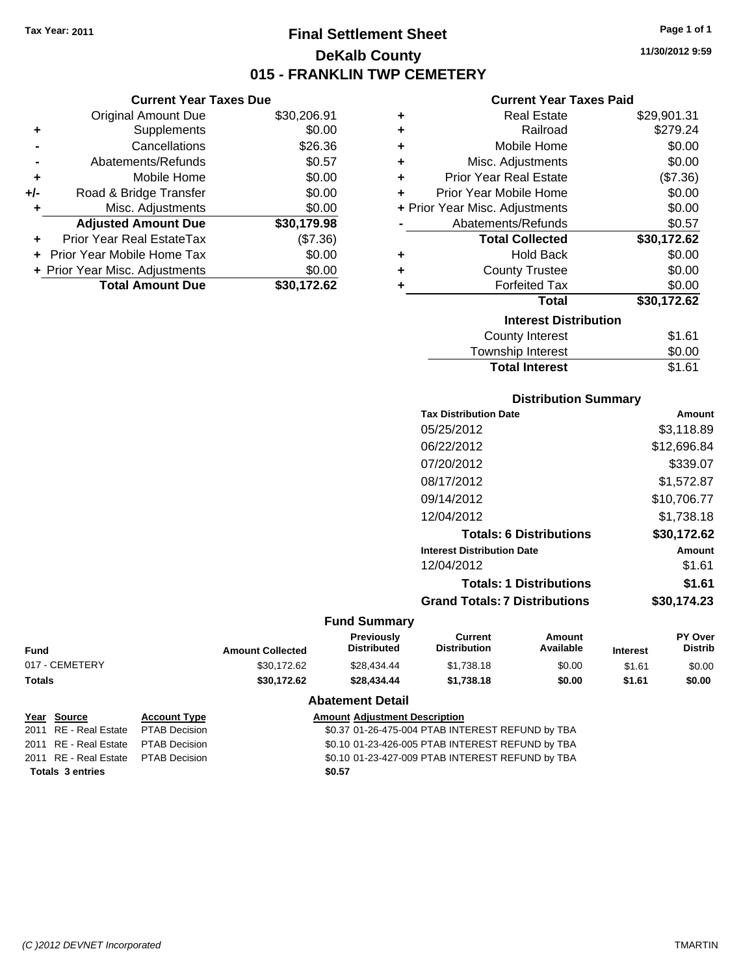**Current Year Taxes Due** Original Amount Due \$30,206.91

**Adjusted Amount Due \$30,179.98**

**Total Amount Due \$30,172.62**

**+** Supplements \$0.00 **-** Cancellations \$26.36 **-** Abatements/Refunds \$0.57 **+** Mobile Home \$0.00 **+/-** Road & Bridge Transfer \$0.00 **+** Misc. Adjustments \$0.00

**+** Prior Year Real EstateTax (\$7.36) **+** Prior Year Mobile Home Tax \$0.00 **+ Prior Year Misc. Adjustments**  $$0.00$ 

### **Final Settlement Sheet Tax Year: 2011 Page 1 of 1 DeKalb County 015 - FRANKLIN TWP CEMETERY**

**11/30/2012 9:59**

### **Current Year Taxes Paid**

| ٠ | <b>Real Estate</b>             | \$29,901.31 |
|---|--------------------------------|-------------|
| ٠ | Railroad                       | \$279.24    |
| ٠ | Mobile Home                    | \$0.00      |
| ٠ | Misc. Adjustments              | \$0.00      |
| ٠ | <b>Prior Year Real Estate</b>  | (\$7.36)    |
| ÷ | Prior Year Mobile Home         | \$0.00      |
|   | + Prior Year Misc. Adjustments | \$0.00      |
|   | Abatements/Refunds             | \$0.57      |
|   | <b>Total Collected</b>         | \$30,172.62 |
| ٠ | <b>Hold Back</b>               | \$0.00      |
| ٠ | <b>County Trustee</b>          | \$0.00      |
| ٠ | <b>Forfeited Tax</b>           | \$0.00      |
|   | <b>Total</b>                   | \$30,172.62 |
|   | <b>Interest Distribution</b>   |             |
|   | <b>County Interest</b>         | \$1.61      |
|   | Townshin Interest              | ፍሰ ሰበ       |

| <b>Total Interest</b> | \$1.61 |
|-----------------------|--------|
| Township Interest     | \$0.00 |
| County Interest       | \$1.61 |

### **Distribution Summary**

| <b>Tax Distribution Date</b>         | Amount      |
|--------------------------------------|-------------|
| 05/25/2012                           | \$3,118.89  |
| 06/22/2012                           | \$12,696.84 |
| 07/20/2012                           | \$339.07    |
| 08/17/2012                           | \$1,572.87  |
| 09/14/2012                           | \$10,706.77 |
| 12/04/2012                           | \$1.738.18  |
| <b>Totals: 6 Distributions</b>       | \$30,172.62 |
| <b>Interest Distribution Date</b>    | Amount      |
| 12/04/2012                           | \$1.61      |
| <b>Totals: 1 Distributions</b>       | \$1.61      |
| <b>Grand Totals: 7 Distributions</b> | \$30.174.23 |
|                                      |             |

### **Fund Summary**

| Fund           | <b>Amount Collected</b> | <b>Previously</b><br><b>Distributed</b> | Current<br>Distribution | Amount<br>Available | <b>Interest</b> | <b>PY Over</b><br><b>Distrib</b> |
|----------------|-------------------------|-----------------------------------------|-------------------------|---------------------|-----------------|----------------------------------|
| 017 - CEMETERY | \$30.172.62             | \$28.434.44                             | \$1.738.18              | \$0.00              | \$1.61          | \$0.00                           |
| Totals         | \$30.172.62             | \$28,434,44                             | \$1.738.18              | \$0.00              | \$1.61          | \$0.00                           |

|                         | Year Source                         | <b>Account Type</b> | <b>Amount Adjustment Description</b>             |
|-------------------------|-------------------------------------|---------------------|--------------------------------------------------|
|                         | 2011 RE - Real Estate PTAB Decision |                     | \$0.37 01-26-475-004 PTAB INTEREST REFUND by TBA |
|                         | 2011 RE - Real Estate PTAB Decision |                     | \$0.10 01-23-426-005 PTAB INTEREST REFUND by TBA |
|                         | 2011 RE - Real Estate PTAB Decision |                     | \$0.10 01-23-427-009 PTAB INTEREST REFUND by TBA |
| <b>Totals 3 entries</b> |                                     |                     | \$0.57                                           |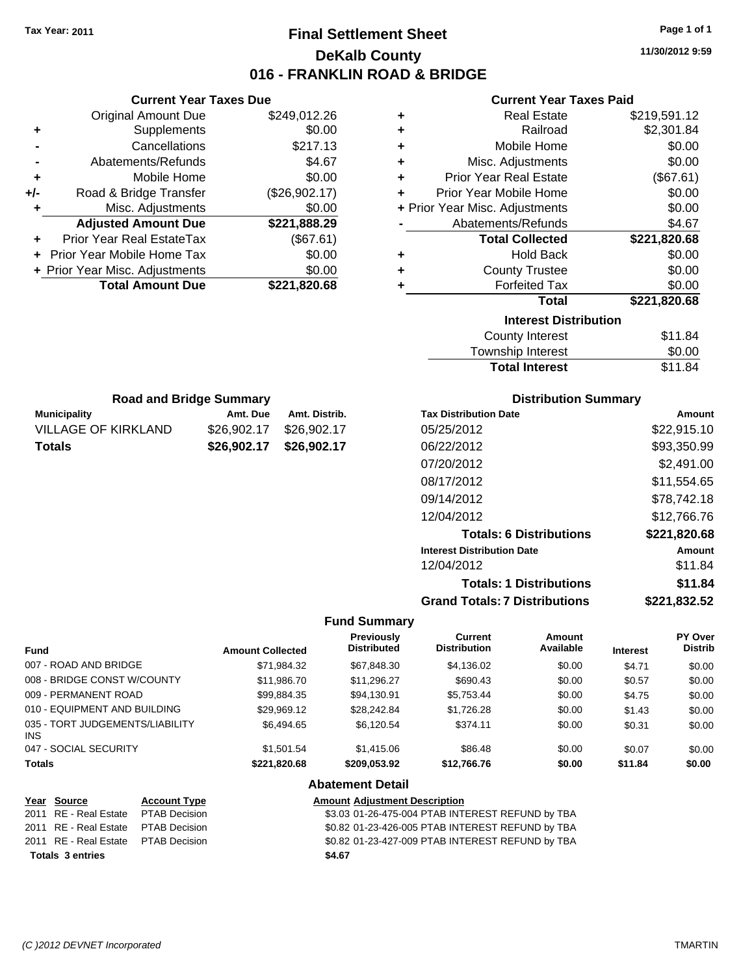**Current Year Taxes Due** Original Amount Due \$249,012.26

**Adjusted Amount Due \$221,888.29**

**Total Amount Due \$221,820.68**

**+** Supplements \$0.00 **-** Cancellations \$217.13 **-** Abatements/Refunds **\$4.67 +** Mobile Home \$0.00 **+/-** Road & Bridge Transfer (\$26,902.17) **+** Misc. Adjustments \$0.00

**+** Prior Year Real EstateTax (\$67.61) **+** Prior Year Mobile Home Tax \$0.00 **+ Prior Year Misc. Adjustments**  $$0.00$ 

**Municipality Community Amt. Due Amt. Road and Bridge Summary**

### **Final Settlement Sheet Tax Year: 2011 Page 1 of 1 DeKalb County 016 - FRANKLIN ROAD & BRIDGE**

**11/30/2012 9:59**

### **Current Year Taxes Paid**

| ٠ | <b>Real Estate</b>             | \$219,591.12 |
|---|--------------------------------|--------------|
| ٠ | Railroad                       | \$2,301.84   |
| ٠ | Mobile Home                    | \$0.00       |
| ٠ | Misc. Adjustments              | \$0.00       |
| ٠ | <b>Prior Year Real Estate</b>  | (\$67.61)    |
| ÷ | Prior Year Mobile Home         | \$0.00       |
|   | + Prior Year Misc. Adjustments | \$0.00       |
|   | Abatements/Refunds             | \$4.67       |
|   | <b>Total Collected</b>         | \$221,820.68 |
| ٠ | <b>Hold Back</b>               | \$0.00       |
| ٠ | <b>County Trustee</b>          | \$0.00       |
| ٠ | <b>Forfeited Tax</b>           | \$0.00       |
|   | <b>Total</b>                   | \$221,820.68 |
|   | <b>Interest Distribution</b>   |              |
|   | <b>County Interest</b>         | \$11.84      |
|   | Townehin Interact              | ድስ ሰስ        |

| .                     | - - - - - - |
|-----------------------|-------------|
| Township Interest     | \$0.00      |
| <b>Total Interest</b> | \$11.84     |

**Distribution Summary**

**Totals: 1 Distributions \$11.84**

**Grand Totals: 7 Distributions \$221,832.52**

| Road and Bridge Summary    |             |               | <b>DISTRIBUTION SUMMARY</b>       |              |  |
|----------------------------|-------------|---------------|-----------------------------------|--------------|--|
| <b>Municipality</b>        | Amt. Due    | Amt. Distrib. | <b>Tax Distribution Date</b>      | Amount       |  |
| <b>VILLAGE OF KIRKLAND</b> | \$26,902.17 | \$26,902.17   | 05/25/2012                        | \$22,915.10  |  |
| <b>Totals</b>              | \$26,902.17 | \$26,902.17   | 06/22/2012                        | \$93,350.99  |  |
|                            |             |               | 07/20/2012                        | \$2,491.00   |  |
|                            |             |               | 08/17/2012                        | \$11,554.65  |  |
|                            |             |               | 09/14/2012                        | \$78,742.18  |  |
|                            |             |               | 12/04/2012                        | \$12,766.76  |  |
|                            |             |               | <b>Totals: 6 Distributions</b>    | \$221,820.68 |  |
|                            |             |               | <b>Interest Distribution Date</b> | Amount       |  |
|                            |             |               | 12/04/2012                        | \$11.84      |  |

### **Fund Summary**

| <b>Fund</b>                             | <b>Amount Collected</b> | Previously<br><b>Distributed</b> | Current<br><b>Distribution</b> | Amount<br>Available | <b>Interest</b> | PY Over<br><b>Distrib</b> |
|-----------------------------------------|-------------------------|----------------------------------|--------------------------------|---------------------|-----------------|---------------------------|
| 007 - ROAD AND BRIDGE                   | \$71,984.32             | \$67.848.30                      | \$4,136.02                     | \$0.00              | \$4.71          | \$0.00                    |
| 008 - BRIDGE CONST W/COUNTY             | \$11,986.70             | \$11,296.27                      | \$690.43                       | \$0.00              | \$0.57          | \$0.00                    |
| 009 - PERMANENT ROAD                    | \$99,884.35             | \$94.130.91                      | \$5,753.44                     | \$0.00              | \$4.75          | \$0.00                    |
| 010 - EQUIPMENT AND BUILDING            | \$29.969.12             | \$28,242.84                      | \$1,726.28                     | \$0.00              | \$1.43          | \$0.00                    |
| 035 - TORT JUDGEMENTS/LIABILITY<br>INS. | \$6,494.65              | \$6.120.54                       | \$374.11                       | \$0.00              | \$0.31          | \$0.00                    |
| 047 - SOCIAL SECURITY                   | \$1.501.54              | \$1,415,06                       | \$86.48                        | \$0.00              | \$0.07          | \$0.00                    |
| <b>Totals</b>                           | \$221,820.68            | \$209,053.92                     | \$12,766.76                    | \$0.00              | \$11.84         | \$0.00                    |

| Year Source                         | <b>Account Type</b> | <b>Amount Adjustment Description</b>             |
|-------------------------------------|---------------------|--------------------------------------------------|
| 2011 RE - Real Estate PTAB Decision |                     | \$3.03 01-26-475-004 PTAB INTEREST REFUND by TBA |
| 2011 RE - Real Estate PTAB Decision |                     | \$0.82 01-23-426-005 PTAB INTEREST REFUND by TBA |
| 2011 RE - Real Estate PTAB Decision |                     | \$0.82 01-23-427-009 PTAB INTEREST REFUND by TBA |
| <b>Totals 3 entries</b>             |                     | \$4.67                                           |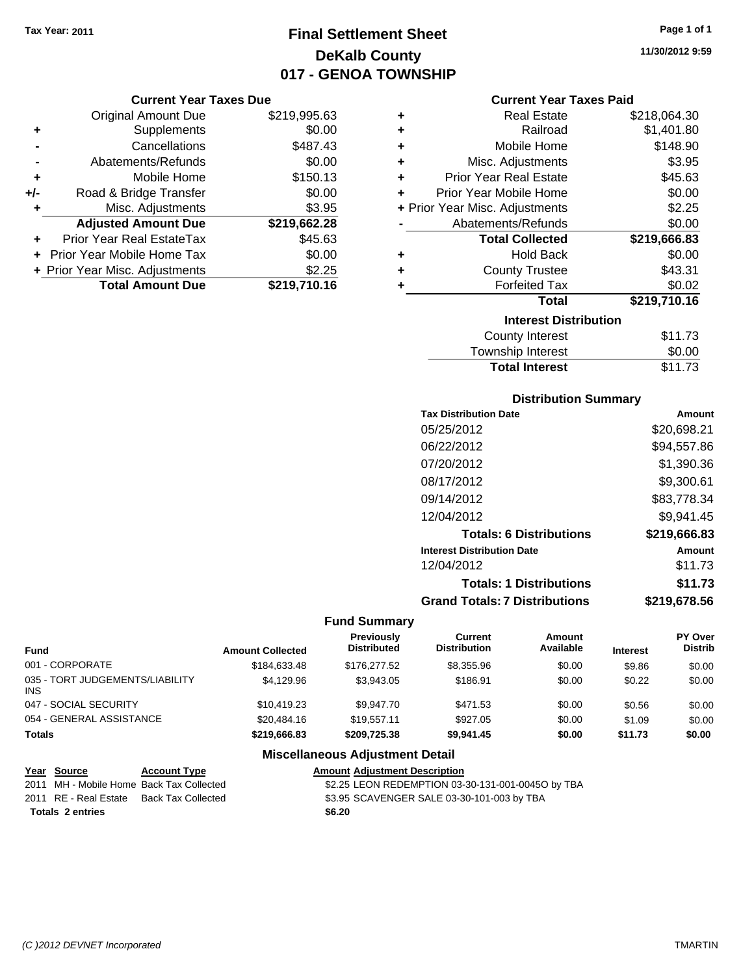## **Final Settlement Sheet Tax Year: 2011 Page 1 of 1 DeKalb County 017 - GENOA TOWNSHIP**

#### **Current Year Taxes Due**

|       | <b>Original Amount Due</b>     | \$219,995.63 |
|-------|--------------------------------|--------------|
| ٠     | Supplements                    | \$0.00       |
|       | Cancellations                  | \$487.43     |
|       | Abatements/Refunds             | \$0.00       |
| ÷     | Mobile Home                    | \$150.13     |
| $+/-$ | Road & Bridge Transfer         | \$0.00       |
| ٠     | Misc. Adjustments              | \$3.95       |
|       | <b>Adjusted Amount Due</b>     | \$219,662.28 |
|       | Prior Year Real EstateTax      | \$45.63      |
|       | Prior Year Mobile Home Tax     | \$0.00       |
|       | + Prior Year Misc. Adjustments | \$2.25       |
|       | <b>Total Amount Due</b>        | \$219,710.16 |

| ٠ | <b>Real Estate</b>             | \$218,064.30 |  |  |  |  |
|---|--------------------------------|--------------|--|--|--|--|
| ٠ | Railroad                       | \$1,401.80   |  |  |  |  |
| ٠ | Mobile Home                    | \$148.90     |  |  |  |  |
| ٠ | Misc. Adjustments              | \$3.95       |  |  |  |  |
| ÷ | <b>Prior Year Real Estate</b>  | \$45.63      |  |  |  |  |
| ٠ | Prior Year Mobile Home         | \$0.00       |  |  |  |  |
|   | + Prior Year Misc. Adjustments | \$2.25       |  |  |  |  |
|   | Abatements/Refunds             | \$0.00       |  |  |  |  |
|   | <b>Total Collected</b>         | \$219,666.83 |  |  |  |  |
| ÷ | <b>Hold Back</b>               | \$0.00       |  |  |  |  |
| ٠ | <b>County Trustee</b>          | \$43.31      |  |  |  |  |
| ٠ | <b>Forfeited Tax</b>           | \$0.02       |  |  |  |  |
|   | Total                          | \$219,710.16 |  |  |  |  |
|   | <b>Interest Distribution</b>   |              |  |  |  |  |
|   | <b>County Interest</b>         | \$11.73      |  |  |  |  |
|   |                                |              |  |  |  |  |

| Township Interest     | \$0.00  |
|-----------------------|---------|
| <b>Total Interest</b> | \$11.73 |

### **Distribution Summary**

| <b>Tax Distribution Date</b>         | Amount       |
|--------------------------------------|--------------|
| 05/25/2012                           | \$20,698.21  |
| 06/22/2012                           | \$94,557.86  |
| 07/20/2012                           | \$1,390.36   |
| 08/17/2012                           | \$9,300.61   |
| 09/14/2012                           | \$83,778.34  |
| 12/04/2012                           | \$9,941.45   |
| <b>Totals: 6 Distributions</b>       | \$219,666.83 |
| <b>Interest Distribution Date</b>    | Amount       |
| 12/04/2012                           | \$11.73      |
| <b>Totals: 1 Distributions</b>       | \$11.73      |
| <b>Grand Totals: 7 Distributions</b> | \$219,678,56 |
|                                      |              |

### **Fund Summary**

| <b>Amount Collected</b> | <b>Previously</b><br><b>Distributed</b> | Current<br><b>Distribution</b> | Amount<br>Available | <b>Interest</b> | PY Over<br><b>Distrib</b> |
|-------------------------|-----------------------------------------|--------------------------------|---------------------|-----------------|---------------------------|
| \$184,633,48            | \$176,277.52                            | \$8,355.96                     | \$0.00              | \$9.86          | \$0.00                    |
| \$4.129.96              | \$3,943,05                              | \$186.91                       | \$0.00              | \$0.22          | \$0.00                    |
| \$10.419.23             | \$9.947.70                              | \$471.53                       | \$0.00              | \$0.56          | \$0.00                    |
| \$20,484.16             | \$19.557.11                             | \$927.05                       | \$0.00              | \$1.09          | \$0.00                    |
| \$219,666,83            | \$209.725.38                            | \$9.941.45                     | \$0.00              | \$11.73         | \$0.00                    |
|                         |                                         |                                |                     |                 |                           |

### **Miscellaneous Adjustment Detail**

| Year Source           | <b>Account Type</b>                      | <b>Amount Adjustment Description</b>              |
|-----------------------|------------------------------------------|---------------------------------------------------|
|                       | 2011 MH - Mobile Home Back Tax Collected | \$2.25 LEON REDEMPTION 03-30-131-001-00450 by TBA |
| 2011 RE - Real Estate | Back Tax Collected                       | \$3.95 SCAVENGER SALE 03-30-101-003 by TBA        |
| Totals 2 entries      |                                          | \$6.20                                            |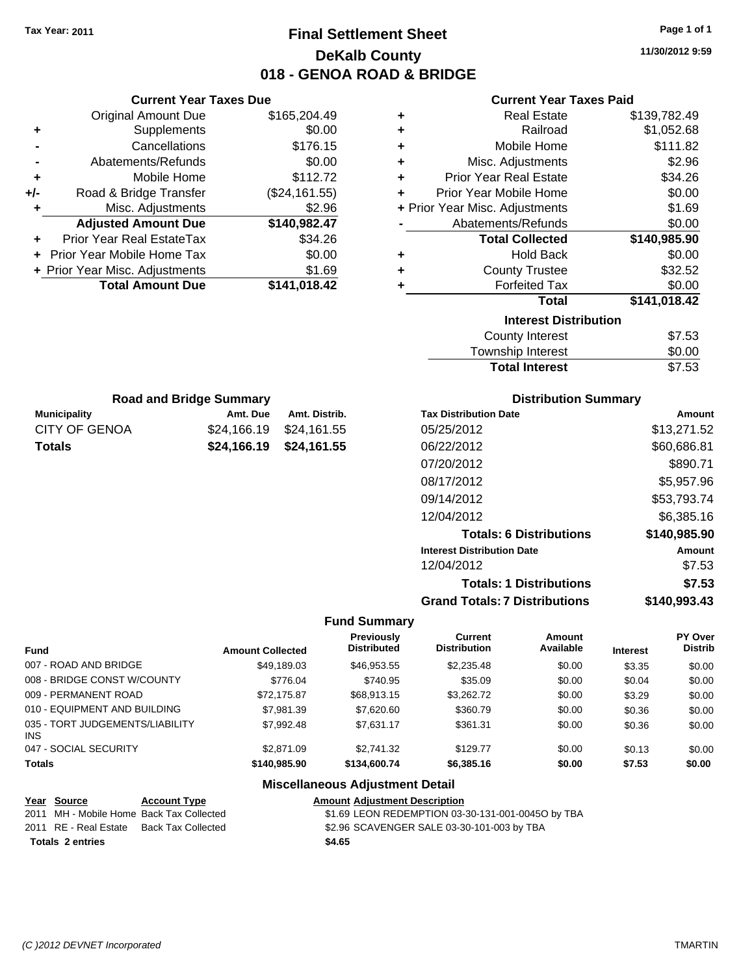**Current Year Taxes Due** Original Amount Due \$165,204.49

**Adjusted Amount Due \$140,982.47**

**Total Amount Due \$141,018.42**

**+** Supplements \$0.00 **-** Cancellations \$176.15 **-** Abatements/Refunds \$0.00 **+** Mobile Home \$112.72 **+/-** Road & Bridge Transfer (\$24,161.55) **+** Misc. Adjustments \$2.96

**+** Prior Year Real EstateTax \$34.26 **+** Prior Year Mobile Home Tax \$0.00 **+ Prior Year Misc. Adjustments \$1.69** 

**Municipality Municipality** Amt. Due Amt. Distrib. **Road and Bridge Summary**

CITY OF GENOA \$24,166.19 \$24,161.55 **Totals \$24,166.19 \$24,161.55**

### **Final Settlement Sheet Tax Year: 2011 Page 1 of 1 DeKalb County 018 - GENOA ROAD & BRIDGE**

**11/30/2012 9:59**

### **Current Year Taxes Paid**

| ٠ | <b>Real Estate</b>             | \$139,782.49 |
|---|--------------------------------|--------------|
| ٠ | Railroad                       | \$1,052.68   |
| ٠ | Mobile Home                    | \$111.82     |
| ٠ | Misc. Adjustments              | \$2.96       |
| ÷ | <b>Prior Year Real Estate</b>  | \$34.26      |
| ÷ | Prior Year Mobile Home         | \$0.00       |
|   | + Prior Year Misc. Adjustments | \$1.69       |
|   | Abatements/Refunds             | \$0.00       |
|   | <b>Total Collected</b>         | \$140,985.90 |
| ٠ | <b>Hold Back</b>               | \$0.00       |
| ÷ | <b>County Trustee</b>          | \$32.52      |
| ٠ | <b>Forfeited Tax</b>           | \$0.00       |
|   | <b>Total</b>                   | \$141,018.42 |
|   | <b>Interest Distribution</b>   |              |
|   | <b>County Interest</b>         | \$7.53       |
|   |                                |              |

| <b>Total Interest</b> | \$7.53 |
|-----------------------|--------|
| Township Interest     | \$0.00 |
| County Interest       | \$7.53 |

| <b>Tax Distribution Date</b>         | Amount       |
|--------------------------------------|--------------|
| 05/25/2012                           | \$13,271.52  |
| 06/22/2012                           | \$60,686.81  |
| 07/20/2012                           | \$890.71     |
| 08/17/2012                           | \$5,957.96   |
| 09/14/2012                           | \$53,793.74  |
| 12/04/2012                           | \$6,385.16   |
| <b>Totals: 6 Distributions</b>       | \$140,985.90 |
| <b>Interest Distribution Date</b>    | Amount       |
| 12/04/2012                           | \$7.53       |
| <b>Totals: 1 Distributions</b>       | \$7.53       |
| <b>Grand Totals: 7 Distributions</b> | \$140,993.43 |
|                                      |              |

#### **Fund Summary**

|                                               |                         | <b>Previously</b>  | Current             | Amount    |                 | PY Over        |
|-----------------------------------------------|-------------------------|--------------------|---------------------|-----------|-----------------|----------------|
| <b>Fund</b>                                   | <b>Amount Collected</b> | <b>Distributed</b> | <b>Distribution</b> | Available | <b>Interest</b> | <b>Distrib</b> |
| 007 - ROAD AND BRIDGE                         | \$49.189.03             | \$46.953.55        | \$2,235.48          | \$0.00    | \$3.35          | \$0.00         |
| 008 - BRIDGE CONST W/COUNTY                   | \$776.04                | \$740.95           | \$35.09             | \$0.00    | \$0.04          | \$0.00         |
| 009 - PERMANENT ROAD                          | \$72.175.87             | \$68,913.15        | \$3,262.72          | \$0.00    | \$3.29          | \$0.00         |
| 010 - EQUIPMENT AND BUILDING                  | \$7,981.39              | \$7,620.60         | \$360.79            | \$0.00    | \$0.36          | \$0.00         |
| 035 - TORT JUDGEMENTS/LIABILITY<br><b>INS</b> | \$7,992.48              | \$7.631.17         | \$361.31            | \$0.00    | \$0.36          | \$0.00         |
| 047 - SOCIAL SECURITY                         | \$2,871.09              | \$2,741.32         | \$129.77            | \$0.00    | \$0.13          | \$0.00         |
| <b>Totals</b>                                 | \$140.985.90            | \$134,600.74       | \$6,385.16          | \$0.00    | \$7.53          | \$0.00         |

### **Miscellaneous Adjustment Detail**

| Year Source           | <b>Account Type</b>                      | <b>Amount Adjustment Description</b>              |
|-----------------------|------------------------------------------|---------------------------------------------------|
|                       | 2011 MH - Mobile Home Back Tax Collected | \$1.69 LEON REDEMPTION 03-30-131-001-00450 by TBA |
| 2011 RE - Real Estate | Back Tax Collected                       | \$2.96 SCAVENGER SALE 03-30-101-003 by TBA        |
| Totals 2 entries      |                                          | \$4.65                                            |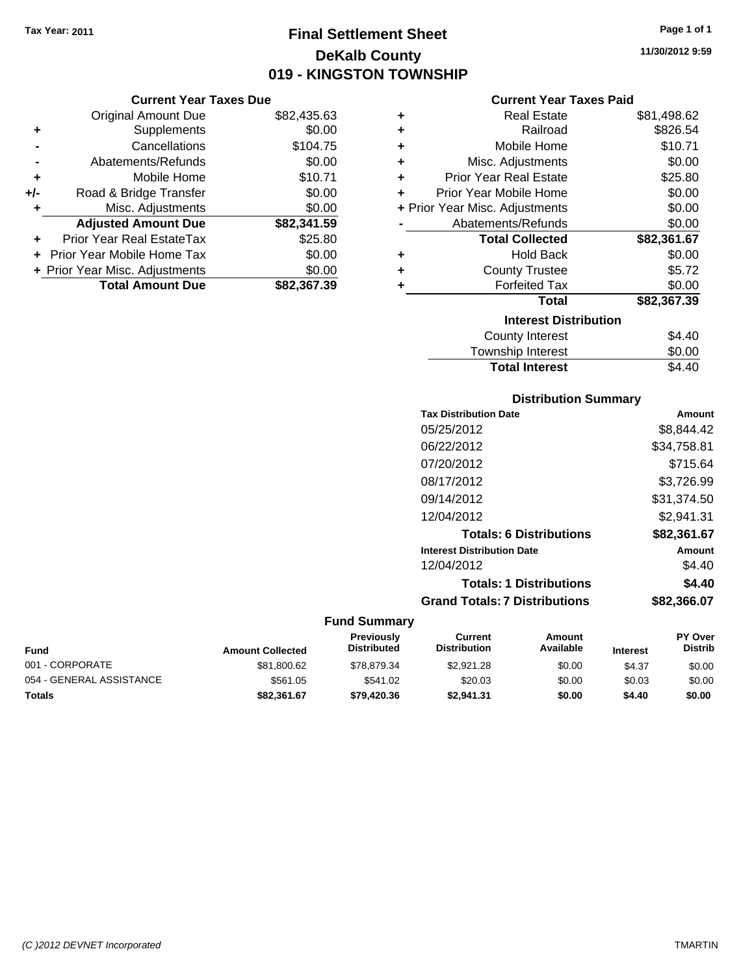Original Amount Due

**Adjusted Amount Due** 

**Total Amount Due** 

**+** Supplements **-** Cancellations **-** Abatements/Refunds **+** Mobile Home **+/-** Road & Bridge Transfer **+** Misc. Adjustments

**+** Prior Year Real EstateTax **+** Prior Year Mobile Home Tax **+ Prior Year Misc. Adjustments** 

### **Final Settlement Sheet Tax Year: 2011 Page 1 of 1 DeKalb County 019 - KINGSTON TOWNSHIP**

**11/30/2012 9:59**

### **Current Year Taxes Paid**

| <b>Current Year Taxes Due</b> |             |   | <b>Current Year Taxes Paid</b> |                |
|-------------------------------|-------------|---|--------------------------------|----------------|
| ıl Amount Due                 | \$82,435.63 | ÷ | <b>Real Estate</b>             | \$81,498.62    |
| Supplements                   | \$0.00      | ٠ | Railroad                       | \$826.54       |
| Cancellations                 | \$104.75    | ÷ | Mobile Home                    | \$10.71        |
| าents/Refunds                 | \$0.00      | ÷ | Misc. Adjustments              | \$0.00         |
| Mobile Home                   | \$10.71     | ÷ | <b>Prior Year Real Estate</b>  | \$25.80        |
| ridge Transfer                | \$0.00      | ٠ | Prior Year Mobile Home         | \$0.00         |
| . Adjustments                 | \$0.00      |   | + Prior Year Misc. Adjustments | \$0.00         |
| <b>Amount Due</b>             | \$82,341.59 |   | Abatements/Refunds             | \$0.00         |
| eal EstateTax                 | \$25.80     |   | <b>Total Collected</b>         | \$82,361.67    |
| pile Home Tax                 | \$0.00      | ٠ | <b>Hold Back</b>               | \$0.00         |
| . Adjustments                 | \$0.00      | ٠ | <b>County Trustee</b>          | \$5.72         |
| <b>Amount Due</b>             | \$82,367.39 |   | <b>Forfeited Tax</b>           | \$0.00         |
|                               |             |   | Total                          | \$82,367.39    |
|                               |             |   | <b>Interest Distribution</b>   |                |
|                               |             |   | County Interest                | ፍ <i>ለ ለ</i> ሰ |

| <u>MICICSL DISUIDUNUI </u> |        |
|----------------------------|--------|
| County Interest            | \$4.40 |
| Township Interest          | \$0.00 |
| <b>Total Interest</b>      | \$4.40 |
|                            |        |

### **Distribution Summary**

| <b>Tax Distribution Date</b>         | Amount      |
|--------------------------------------|-------------|
| 05/25/2012                           | \$8.844.42  |
| 06/22/2012                           | \$34,758.81 |
| 07/20/2012                           | \$715.64    |
| 08/17/2012                           | \$3,726.99  |
| 09/14/2012                           | \$31,374.50 |
| 12/04/2012                           | \$2,941.31  |
| <b>Totals: 6 Distributions</b>       | \$82,361.67 |
| <b>Interest Distribution Date</b>    | Amount      |
| 12/04/2012                           | \$4.40      |
| <b>Totals: 1 Distributions</b>       | \$4.40      |
| <b>Grand Totals: 7 Distributions</b> | \$82,366,07 |
|                                      |             |

| <b>Fund</b>              | <b>Amount Collected</b> | <b>Previously</b><br><b>Distributed</b> | Current<br><b>Distribution</b> | Amount<br>Available | <b>Interest</b> | <b>PY Over</b><br><b>Distrib</b> |
|--------------------------|-------------------------|-----------------------------------------|--------------------------------|---------------------|-----------------|----------------------------------|
| 001 - CORPORATE          | \$81,800.62             | \$78.879.34                             | \$2,921.28                     | \$0.00              | \$4.37          | \$0.00                           |
| 054 - GENERAL ASSISTANCE | \$561.05                | \$541.02                                | \$20.03                        | \$0.00              | \$0.03          | \$0.00                           |
| <b>Totals</b>            | \$82,361.67             | \$79,420.36                             | \$2.941.31                     | \$0.00              | \$4.40          | \$0.00                           |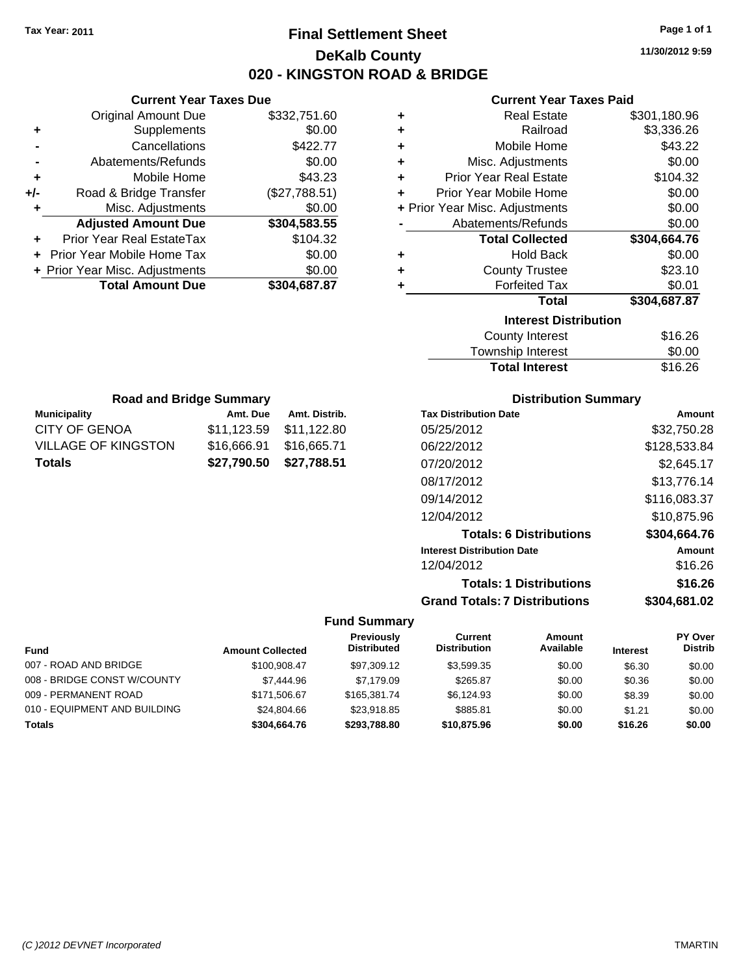### **Final Settlement Sheet Tax Year: 2011 Page 1 of 1 DeKalb County 020 - KINGSTON ROAD & BRIDGE**

**11/30/2012 9:59**

### **Current Year Taxes Paid**

| ٠                            | <b>Real Estate</b>             | \$301,180.96 |  |  |  |
|------------------------------|--------------------------------|--------------|--|--|--|
| ÷                            | Railroad                       | \$3,336.26   |  |  |  |
| ÷                            | Mobile Home                    | \$43.22      |  |  |  |
| ÷                            | Misc. Adjustments              | \$0.00       |  |  |  |
| ÷                            | <b>Prior Year Real Estate</b>  | \$104.32     |  |  |  |
| ÷                            | Prior Year Mobile Home         | \$0.00       |  |  |  |
|                              | + Prior Year Misc. Adjustments | \$0.00       |  |  |  |
|                              | Abatements/Refunds             | \$0.00       |  |  |  |
|                              | <b>Total Collected</b>         | \$304,664.76 |  |  |  |
| ٠                            | <b>Hold Back</b>               | \$0.00       |  |  |  |
| ÷                            | <b>County Trustee</b>          | \$23.10      |  |  |  |
| ٠                            | <b>Forfeited Tax</b>           | \$0.01       |  |  |  |
|                              | <b>Total</b>                   | \$304,687.87 |  |  |  |
| <b>Interest Distribution</b> |                                |              |  |  |  |
|                              | <b>County Interest</b>         | \$16.26      |  |  |  |
|                              | Taurachin Internat             | ሮስ ሰሰ        |  |  |  |

| <b>Total Interest</b> | \$16.26 |
|-----------------------|---------|
| Township Interest     | \$0.00  |
| County Interest       | \$16.26 |

| <b>Road and Bridge Summary</b> |             |               |  |  |
|--------------------------------|-------------|---------------|--|--|
| <b>Municipality</b>            | Amt. Due    | Amt. Distrib. |  |  |
| CITY OF GENOA                  | \$11.123.59 | \$11,122.80   |  |  |
| VILLAGE OF KINGSTON            | \$16,666.91 | \$16,665.71   |  |  |
| Totals                         | \$27,790.50 | \$27,788.51   |  |  |

**Current Year Taxes Due** Original Amount Due \$332,751.60

**Adjusted Amount Due \$304,583.55**

**Total Amount Due \$304,687.87**

**+** Supplements \$0.00 **-** Cancellations \$422.77 **-** Abatements/Refunds \$0.00 **+** Mobile Home \$43.23 **+/-** Road & Bridge Transfer (\$27,788.51) **+** Misc. Adjustments \$0.00

**+** Prior Year Real EstateTax \$104.32 **+** Prior Year Mobile Home Tax \$0.00 **+ Prior Year Misc. Adjustments**  $$0.00$ 

### **Distribution Summary**

| <b>Tax Distribution Date</b>         | Amount       |
|--------------------------------------|--------------|
| 05/25/2012                           | \$32,750.28  |
| 06/22/2012                           | \$128,533.84 |
| 07/20/2012                           | \$2,645.17   |
| 08/17/2012                           | \$13,776.14  |
| 09/14/2012                           | \$116,083.37 |
| 12/04/2012                           | \$10,875.96  |
| <b>Totals: 6 Distributions</b>       | \$304,664.76 |
| <b>Interest Distribution Date</b>    | Amount       |
| 12/04/2012                           | \$16.26      |
| <b>Totals: 1 Distributions</b>       | \$16.26      |
| <b>Grand Totals: 7 Distributions</b> | \$304,681.02 |

|                              |                         | <b>Previously</b>  | Current             | Amount    |                 | PY Over        |
|------------------------------|-------------------------|--------------------|---------------------|-----------|-----------------|----------------|
| <b>Fund</b>                  | <b>Amount Collected</b> | <b>Distributed</b> | <b>Distribution</b> | Available | <b>Interest</b> | <b>Distrib</b> |
| 007 - ROAD AND BRIDGE        | \$100.908.47            | \$97,309.12        | \$3.599.35          | \$0.00    | \$6.30          | \$0.00         |
| 008 - BRIDGE CONST W/COUNTY  | \$7,444.96              | \$7.179.09         | \$265.87            | \$0.00    | \$0.36          | \$0.00         |
| 009 - PERMANENT ROAD         | \$171,506.67            | \$165,381,74       | \$6.124.93          | \$0.00    | \$8.39          | \$0.00         |
| 010 - EQUIPMENT AND BUILDING | \$24,804.66             | \$23.918.85        | \$885.81            | \$0.00    | \$1.21          | \$0.00         |
| Totals                       | \$304,664.76            | \$293.788.80       | \$10,875.96         | \$0.00    | \$16.26         | \$0.00         |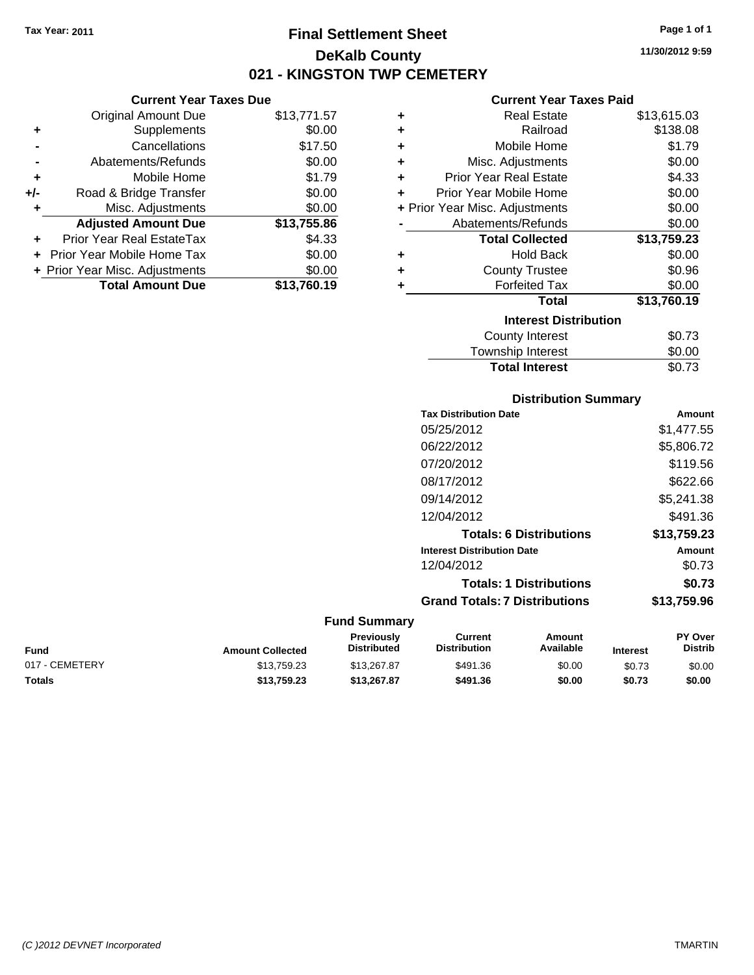**Current Year Taxes Due** Original Amount Due \$13,771.57

**Adjusted Amount Due \$13,755.86**

**Total Amount Due \$13,760.19**

**+** Supplements \$0.00 **-** Cancellations \$17.50 **-** Abatements/Refunds \$0.00 **+** Mobile Home \$1.79 **+/-** Road & Bridge Transfer \$0.00 **+** Misc. Adjustments \$0.00

**+** Prior Year Real EstateTax \$4.33 **+** Prior Year Mobile Home Tax \$0.00 **+ Prior Year Misc. Adjustments**  $$0.00$ 

### **Final Settlement Sheet Tax Year: 2011 Page 1 of 1 DeKalb County 021 - KINGSTON TWP CEMETERY**

**11/30/2012 9:59**

### **Current Year Taxes Paid**

| ٠ | <b>Real Estate</b>             | \$13,615.03 |
|---|--------------------------------|-------------|
| ÷ | Railroad                       | \$138.08    |
| ٠ | Mobile Home                    | \$1.79      |
| ÷ | Misc. Adjustments              | \$0.00      |
| ÷ | <b>Prior Year Real Estate</b>  | \$4.33      |
| ÷ | Prior Year Mobile Home         | \$0.00      |
|   | + Prior Year Misc. Adjustments | \$0.00      |
|   | Abatements/Refunds             | \$0.00      |
|   | <b>Total Collected</b>         | \$13,759.23 |
| ٠ | Hold Back                      | \$0.00      |
| ٠ | <b>County Trustee</b>          | \$0.96      |
| ٠ | <b>Forfeited Tax</b>           | \$0.00      |
|   | <b>Total</b>                   | \$13,760.19 |
|   | <b>Interest Distribution</b>   |             |
|   | <b>County Interest</b>         | \$0.73      |
|   | Townshin Interest              | ፍስ ሰስ       |

## ownship interest Total Interest \$0.73

### **Distribution Summary**

| <b>Tax Distribution Date</b>         | Amount      |
|--------------------------------------|-------------|
| 05/25/2012                           | \$1,477.55  |
| 06/22/2012                           | \$5,806.72  |
| 07/20/2012                           | \$119.56    |
| 08/17/2012                           | \$622.66    |
| 09/14/2012                           | \$5,241.38  |
| 12/04/2012                           | \$491.36    |
| <b>Totals: 6 Distributions</b>       | \$13.759.23 |
| <b>Interest Distribution Date</b>    | Amount      |
| 12/04/2012                           | \$0.73      |
| <b>Totals: 1 Distributions</b>       | \$0.73      |
| <b>Grand Totals: 7 Distributions</b> | \$13,759.96 |
|                                      |             |

| <b>Fund</b>    | <b>Amount Collected</b> | <b>Previously</b><br><b>Distributed</b> | Current<br><b>Distribution</b> | Amount<br>Available | <b>Interest</b> | <b>PY Over</b><br><b>Distrib</b> |
|----------------|-------------------------|-----------------------------------------|--------------------------------|---------------------|-----------------|----------------------------------|
| 017 - CEMETERY | \$13.759.23             | \$13,267.87                             | \$491.36                       | \$0.00              | \$0.73          | \$0.00                           |
| <b>Totals</b>  | \$13.759.23             | \$13,267.87                             | \$491.36                       | \$0.00              | \$0.73          | \$0.00                           |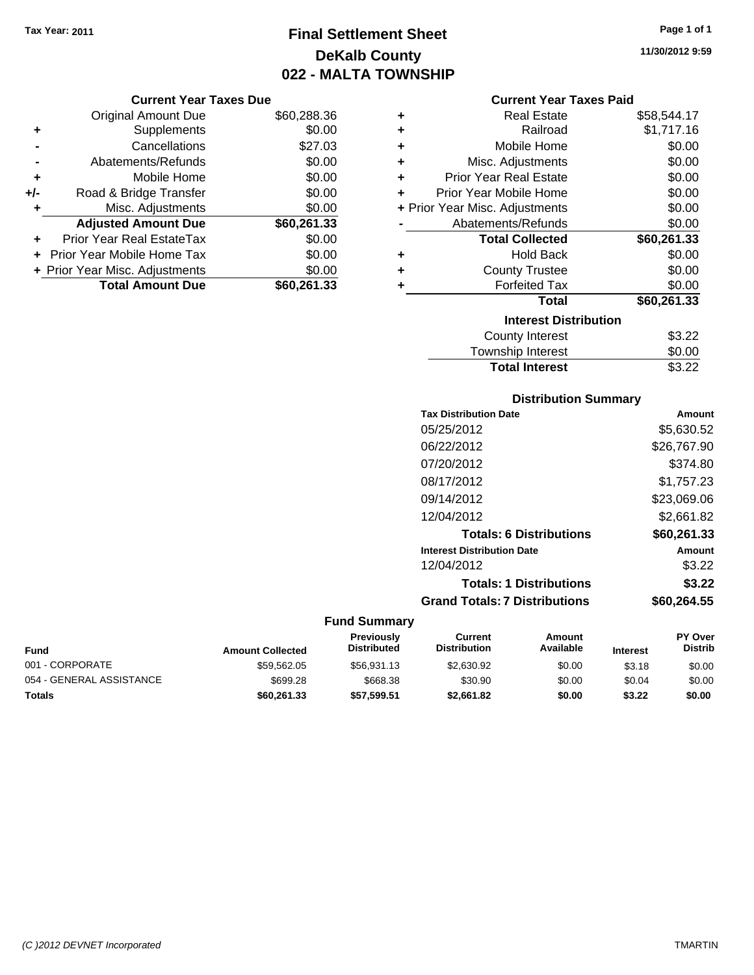## **Final Settlement Sheet Tax Year: 2011 Page 1 of 1 DeKalb County 022 - MALTA TOWNSHIP**

### **Current Year Taxes Due**

|     | <b>Original Amount Due</b>     | \$60,288.36 |
|-----|--------------------------------|-------------|
| ٠   | Supplements                    | \$0.00      |
|     | Cancellations                  | \$27.03     |
|     | Abatements/Refunds             | \$0.00      |
| ٠   | Mobile Home                    | \$0.00      |
| +/- | Road & Bridge Transfer         | \$0.00      |
| ٠   | Misc. Adjustments              | \$0.00      |
|     | <b>Adjusted Amount Due</b>     | \$60,261.33 |
|     | Prior Year Real EstateTax      | \$0.00      |
|     | Prior Year Mobile Home Tax     | \$0.00      |
|     | + Prior Year Misc. Adjustments | \$0.00      |
|     | <b>Total Amount Due</b>        | \$60,261.33 |

| ٠ | <b>Real Estate</b>             | \$58,544.17 |
|---|--------------------------------|-------------|
| ٠ | Railroad                       | \$1,717.16  |
| ٠ | Mobile Home                    | \$0.00      |
| ٠ | Misc. Adjustments              | \$0.00      |
| ٠ | <b>Prior Year Real Estate</b>  | \$0.00      |
| ٠ | Prior Year Mobile Home         | \$0.00      |
|   | + Prior Year Misc. Adjustments | \$0.00      |
|   | Abatements/Refunds             | \$0.00      |
|   | <b>Total Collected</b>         | \$60,261.33 |
| ٠ | Hold Back                      | \$0.00      |
| ٠ | <b>County Trustee</b>          | \$0.00      |
| ٠ | <b>Forfeited Tax</b>           | \$0.00      |
|   | Total                          | \$60,261.33 |
|   | <b>Interest Distribution</b>   |             |
|   | <b>County Interest</b>         | \$3.22      |
|   | <b>Township Interest</b>       | \$0.00      |
|   | <b>Total Interest</b>          | \$3.22      |

### **Distribution Summary**

| <b>Tax Distribution Date</b>         | Amount      |
|--------------------------------------|-------------|
| 05/25/2012                           | \$5,630.52  |
| 06/22/2012                           | \$26,767.90 |
| 07/20/2012                           | \$374.80    |
| 08/17/2012                           | \$1.757.23  |
| 09/14/2012                           | \$23,069.06 |
| 12/04/2012                           | \$2.661.82  |
| <b>Totals: 6 Distributions</b>       | \$60,261.33 |
| <b>Interest Distribution Date</b>    | Amount      |
| 12/04/2012                           | \$3.22      |
| <b>Totals: 1 Distributions</b>       | \$3.22      |
| <b>Grand Totals: 7 Distributions</b> | \$60.264.55 |
|                                      |             |

| Fund                     | <b>Amount Collected</b> | <b>Previously</b><br><b>Distributed</b> | Current<br><b>Distribution</b> | Amount<br>Available | <b>Interest</b> | <b>PY Over</b><br><b>Distrib</b> |
|--------------------------|-------------------------|-----------------------------------------|--------------------------------|---------------------|-----------------|----------------------------------|
| 001 - CORPORATE          | \$59.562.05             | \$56.931.13                             | \$2,630.92                     | \$0.00              | \$3.18          | \$0.00                           |
| 054 - GENERAL ASSISTANCE | \$699.28                | \$668.38                                | \$30.90                        | \$0.00              | \$0.04          | \$0.00                           |
| <b>Totals</b>            | \$60,261,33             | \$57,599.51                             | \$2,661.82                     | \$0.00              | \$3.22          | \$0.00                           |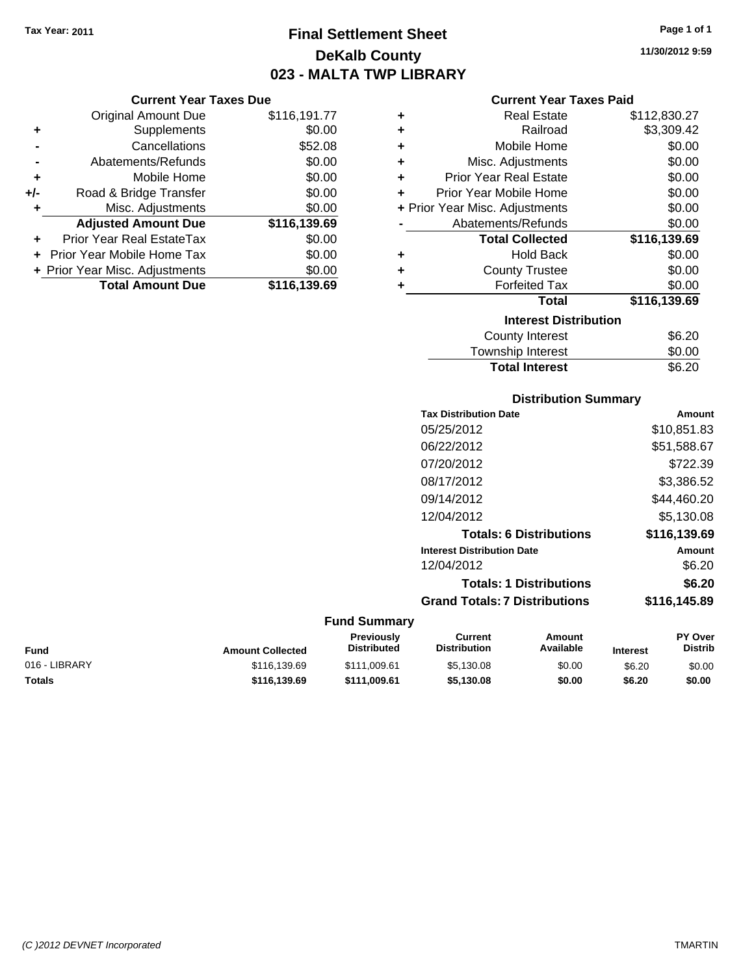### **Final Settlement Sheet Tax Year: 2011 Page 1 of 1 DeKalb County 023 - MALTA TWP LIBRARY**

**11/30/2012 9:59**

### **Current Year Taxes Due**

|     | <b>Original Amount Due</b>     | \$116,191.77 |
|-----|--------------------------------|--------------|
| ٠   | Supplements                    | \$0.00       |
|     | Cancellations                  | \$52.08      |
|     | Abatements/Refunds             | \$0.00       |
| ٠   | Mobile Home                    | \$0.00       |
| +/- | Road & Bridge Transfer         | \$0.00       |
| ÷   | Misc. Adjustments              | \$0.00       |
|     | <b>Adjusted Amount Due</b>     | \$116,139.69 |
|     | Prior Year Real EstateTax      | \$0.00       |
|     | Prior Year Mobile Home Tax     | \$0.00       |
|     | + Prior Year Misc. Adjustments | \$0.00       |
|     | <b>Total Amount Due</b>        | \$116,139.69 |

### **Current Year Taxes Paid**

| ٠ | Real Estate                    | \$112,830.27 |
|---|--------------------------------|--------------|
| ٠ | Railroad                       | \$3,309.42   |
| ٠ | Mobile Home                    | \$0.00       |
| ٠ | Misc. Adjustments              | \$0.00       |
| ٠ | <b>Prior Year Real Estate</b>  | \$0.00       |
| ٠ | Prior Year Mobile Home         | \$0.00       |
|   | + Prior Year Misc. Adjustments | \$0.00       |
|   | Abatements/Refunds             | \$0.00       |
|   | <b>Total Collected</b>         | \$116,139.69 |
| ٠ | <b>Hold Back</b>               | \$0.00       |
| ٠ | <b>County Trustee</b>          | \$0.00       |
| ٠ | <b>Forfeited Tax</b>           | \$0.00       |
|   | Total                          | \$116,139.69 |
|   |                                |              |
|   | <b>Interest Distribution</b>   |              |

| <b>Total Interest</b>  | \$6.20 |
|------------------------|--------|
| Township Interest      | \$0.00 |
| <b>COUTTLY IFTERST</b> | JO.∠U  |

### **Distribution Summary**

| <b>Tax Distribution Date</b>         | Amount       |
|--------------------------------------|--------------|
| 05/25/2012                           | \$10.851.83  |
| 06/22/2012                           | \$51,588.67  |
| 07/20/2012                           | \$722.39     |
| 08/17/2012                           | \$3,386.52   |
| 09/14/2012                           | \$44.460.20  |
| 12/04/2012                           | \$5.130.08   |
| <b>Totals: 6 Distributions</b>       | \$116,139.69 |
| <b>Interest Distribution Date</b>    | Amount       |
| 12/04/2012                           | \$6.20       |
| <b>Totals: 1 Distributions</b>       | \$6.20       |
| <b>Grand Totals: 7 Distributions</b> | \$116,145.89 |
|                                      |              |

| Fund          | <b>Amount Collected</b> | <b>Previously</b><br><b>Distributed</b> | Current<br><b>Distribution</b> | Amount<br>Available | <b>Interest</b> | <b>PY Over</b><br><b>Distrib</b> |
|---------------|-------------------------|-----------------------------------------|--------------------------------|---------------------|-----------------|----------------------------------|
| 016 - LIBRARY | \$116,139.69            | \$111.009.61                            | \$5,130.08                     | \$0.00              | \$6.20          | \$0.00                           |
| Totals        | \$116.139.69            | \$111.009.61                            | \$5.130.08                     | \$0.00              | \$6.20          | \$0.00                           |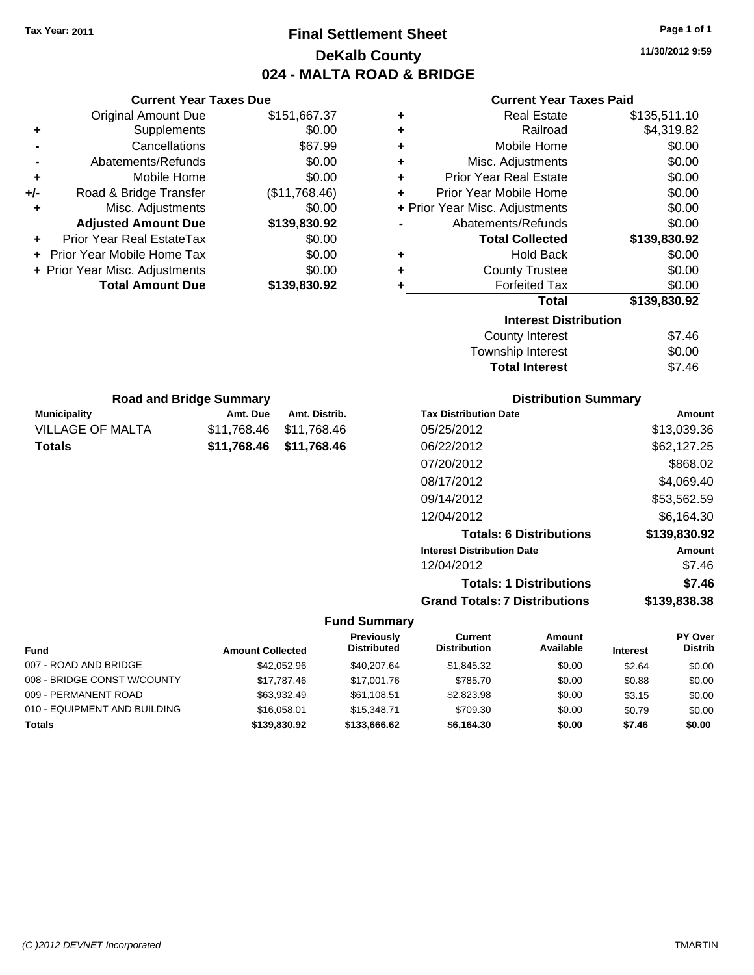### **Final Settlement Sheet Tax Year: 2011 Page 1 of 1 DeKalb County 024 - MALTA ROAD & BRIDGE**

**11/30/2012 9:59**

| <b>Current Year Taxes Paid</b> |  |  |  |
|--------------------------------|--|--|--|
|--------------------------------|--|--|--|

| ٠ | <b>Real Estate</b>             | \$135,511.10 |
|---|--------------------------------|--------------|
| ÷ | Railroad                       | \$4,319.82   |
| ÷ | Mobile Home                    | \$0.00       |
| ÷ | Misc. Adjustments              | \$0.00       |
| ÷ | <b>Prior Year Real Estate</b>  | \$0.00       |
| ÷ | Prior Year Mobile Home         | \$0.00       |
|   | + Prior Year Misc. Adjustments | \$0.00       |
|   | Abatements/Refunds             | \$0.00       |
|   | <b>Total Collected</b>         | \$139,830.92 |
| ٠ | <b>Hold Back</b>               | \$0.00       |
| ÷ | <b>County Trustee</b>          | \$0.00       |
| ÷ | <b>Forfeited Tax</b>           | \$0.00       |
|   | <b>Total</b>                   | \$139,830.92 |
|   | <b>Interest Distribution</b>   |              |
|   | <b>County Interest</b>         | \$7.46       |
|   | Townshin Interest              | ፍስ ሰስ        |

| <b>Total Interest</b> | \$7.46 |
|-----------------------|--------|
| Township Interest     | \$0.00 |
| County Interest       | \$7.46 |

| <b>Distribution Summary</b>          |              |  |  |  |
|--------------------------------------|--------------|--|--|--|
| <b>Tax Distribution Date</b>         | Amount       |  |  |  |
| 05/25/2012                           | \$13,039.36  |  |  |  |
| 06/22/2012                           | \$62,127.25  |  |  |  |
| 07/20/2012                           | \$868.02     |  |  |  |
| 08/17/2012                           | \$4,069.40   |  |  |  |
| 09/14/2012                           | \$53,562.59  |  |  |  |
| 12/04/2012                           | \$6.164.30   |  |  |  |
| <b>Totals: 6 Distributions</b>       | \$139,830.92 |  |  |  |
| <b>Interest Distribution Date</b>    | Amount       |  |  |  |
| 12/04/2012                           | \$7.46       |  |  |  |
| <b>Totals: 1 Distributions</b>       | \$7.46       |  |  |  |
| <b>Grand Totals: 7 Distributions</b> | \$139,838.38 |  |  |  |

### **Fund Summary**

 $\overline{\phantom{0}}$ 

|                              |                         | Previously         | Current             | Amount    |                 | PY Over        |
|------------------------------|-------------------------|--------------------|---------------------|-----------|-----------------|----------------|
| <b>Fund</b>                  | <b>Amount Collected</b> | <b>Distributed</b> | <b>Distribution</b> | Available | <b>Interest</b> | <b>Distrib</b> |
| 007 - ROAD AND BRIDGE        | \$42.052.96             | \$40,207.64        | \$1.845.32          | \$0.00    | \$2.64          | \$0.00         |
| 008 - BRIDGE CONST W/COUNTY  | \$17.787.46             | \$17,001.76        | \$785.70            | \$0.00    | \$0.88          | \$0.00         |
| 009 - PERMANENT ROAD         | \$63,932.49             | \$61,108.51        | \$2.823.98          | \$0.00    | \$3.15          | \$0.00         |
| 010 - EQUIPMENT AND BUILDING | \$16,058,01             | \$15,348,71        | \$709.30            | \$0.00    | \$0.79          | \$0.00         |
| <b>Totals</b>                | \$139,830.92            | \$133,666.62       | \$6,164.30          | \$0.00    | \$7.46          | \$0.00         |

### **-** Abatements/Refunds \$0.00 **+** Mobile Home \$0.00

**+** Supplements \$0.00 **-** Cancellations \$67.99

**Current Year Taxes Due** Original Amount Due \$151,667.37

| +/- | Road & Bridge Transfer         | (\$11,768.46) |
|-----|--------------------------------|---------------|
| ÷   | Misc. Adjustments              | \$0.00        |
|     | <b>Adjusted Amount Due</b>     | \$139,830.92  |
|     | Prior Year Real EstateTax      | \$0.00        |
|     | + Prior Year Mobile Home Tax   | \$0.00        |
|     | + Prior Year Misc. Adjustments | \$0.00        |
|     | <b>Total Amount Due</b>        | \$139,830.92  |

**Municipality Municipality** Amt. Due Amt. Distrib. **Road and Bridge Summary**

VILLAGE OF MALTA \$11,768.46 \$11,768.46 **Totals \$11,768.46 \$11,768.46**

*(C )2012 DEVNET Incorporated* TMARTIN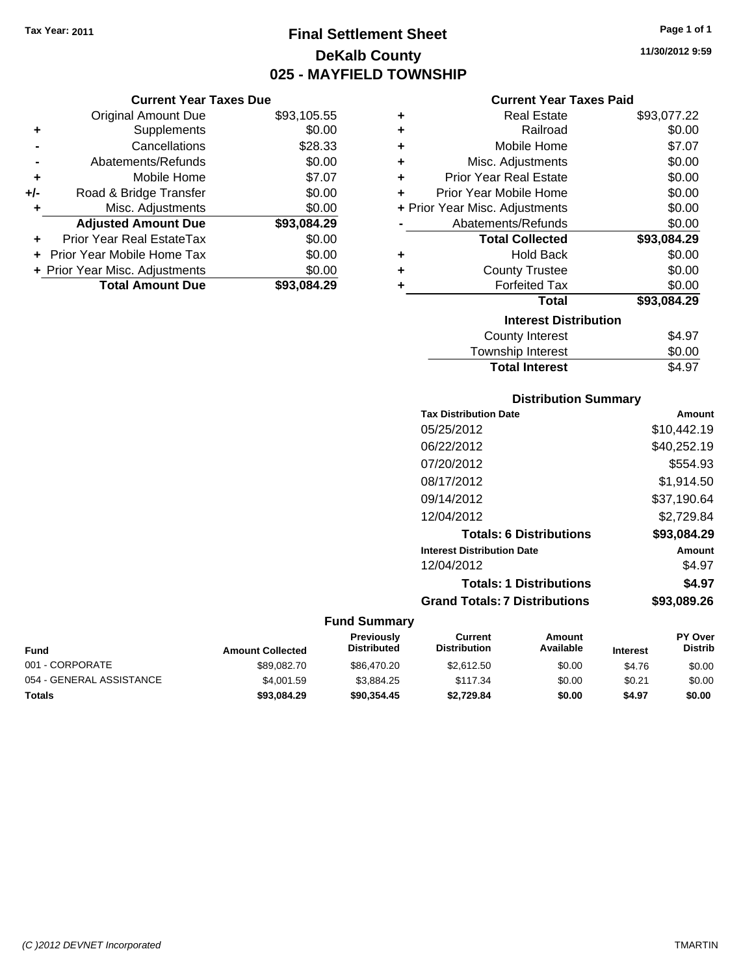**Current Year Taxes Due** Original Amount Due \$93,105.55

**Adjusted Amount Due \$93,084.29**

**Total Amount Due \$93,084.29**

**+** Supplements \$0.00 **-** Cancellations \$28.33 **-** Abatements/Refunds \$0.00 **+** Mobile Home \$7.07 **+/-** Road & Bridge Transfer \$0.00 **+** Misc. Adjustments \$0.00

**+** Prior Year Real EstateTax \$0.00 **+** Prior Year Mobile Home Tax \$0.00 **+ Prior Year Misc. Adjustments**  $$0.00$ 

### **Final Settlement Sheet Tax Year: 2011 Page 1 of 1 DeKalb County 025 - MAYFIELD TOWNSHIP**

**11/30/2012 9:59**

### **Current Year Taxes Paid**

| ٠ | <b>Real Estate</b>             | \$93,077.22 |
|---|--------------------------------|-------------|
| ٠ | Railroad                       | \$0.00      |
| ٠ | Mobile Home                    | \$7.07      |
| ÷ | Misc. Adjustments              | \$0.00      |
| ÷ | <b>Prior Year Real Estate</b>  | \$0.00      |
| ٠ | Prior Year Mobile Home         | \$0.00      |
|   | + Prior Year Misc. Adjustments | \$0.00      |
|   | Abatements/Refunds             | \$0.00      |
|   | <b>Total Collected</b>         | \$93,084.29 |
| ٠ | <b>Hold Back</b>               | \$0.00      |
| ٠ | <b>County Trustee</b>          | \$0.00      |
| ٠ | <b>Forfeited Tax</b>           | \$0.00      |
|   | <b>Total</b>                   | \$93,084.29 |
|   | <b>Interest Distribution</b>   |             |
|   | County Interest                | \$4.97      |
|   | Townshin Interest              | ደ0 00       |

### Township Interest  $$0.00$ Total Interest \$4.97

### **Distribution Summary**

| <b>Tax Distribution Date</b>         | Amount      |
|--------------------------------------|-------------|
| 05/25/2012                           | \$10,442.19 |
| 06/22/2012                           | \$40,252.19 |
| 07/20/2012                           | \$554.93    |
| 08/17/2012                           | \$1.914.50  |
| 09/14/2012                           | \$37,190.64 |
| 12/04/2012                           | \$2,729.84  |
| <b>Totals: 6 Distributions</b>       | \$93,084.29 |
| <b>Interest Distribution Date</b>    | Amount      |
| 12/04/2012                           | \$4.97      |
| <b>Totals: 1 Distributions</b>       | \$4.97      |
| <b>Grand Totals: 7 Distributions</b> | \$93,089,26 |
|                                      |             |

| <b>Fund</b>              | <b>Amount Collected</b> | <b>Previously</b><br><b>Distributed</b> | Current<br><b>Distribution</b> | Amount<br>Available | <b>Interest</b> | <b>PY Over</b><br><b>Distrib</b> |
|--------------------------|-------------------------|-----------------------------------------|--------------------------------|---------------------|-----------------|----------------------------------|
| 001 - CORPORATE          | \$89.082.70             | \$86,470.20                             | \$2,612.50                     | \$0.00              | \$4.76          | \$0.00                           |
| 054 - GENERAL ASSISTANCE | \$4,001.59              | \$3.884.25                              | \$117.34                       | \$0.00              | \$0.21          | \$0.00                           |
| <b>Totals</b>            | \$93,084.29             | \$90.354.45                             | \$2,729.84                     | \$0.00              | \$4.97          | \$0.00                           |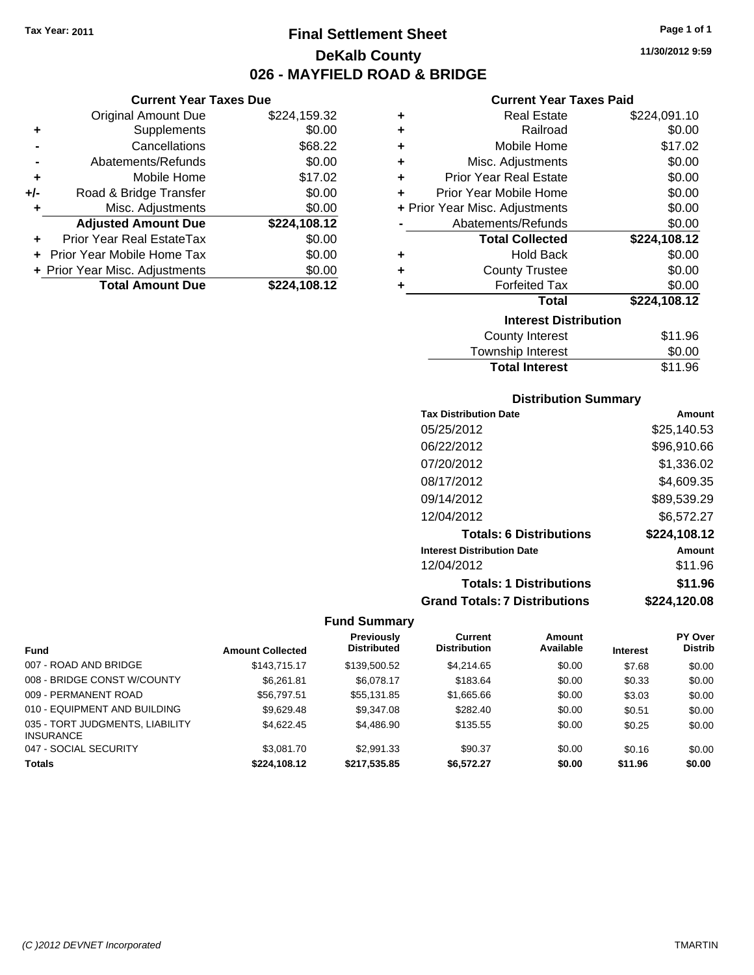**Current Year Taxes Due** Original Amount Due \$224,159.32

**Adjusted Amount Due \$224,108.12**

**Total Amount Due \$224,108.12**

**+** Supplements \$0.00 **-** Cancellations \$68.22 **-** Abatements/Refunds \$0.00 **+** Mobile Home \$17.02 **+/-** Road & Bridge Transfer \$0.00 **+** Misc. Adjustments \$0.00

**+** Prior Year Real EstateTax \$0.00 **+** Prior Year Mobile Home Tax \$0.00 **+ Prior Year Misc. Adjustments**  $$0.00$ 

### **Final Settlement Sheet Tax Year: 2011 Page 1 of 1 DeKalb County 026 - MAYFIELD ROAD & BRIDGE**

**11/30/2012 9:59**

### **Current Year Taxes Paid**

| ٠ | <b>Real Estate</b>             | \$224,091.10 |
|---|--------------------------------|--------------|
| ٠ | Railroad                       | \$0.00       |
| ٠ | Mobile Home                    | \$17.02      |
| ÷ | Misc. Adjustments              | \$0.00       |
| ÷ | <b>Prior Year Real Estate</b>  | \$0.00       |
| ٠ | Prior Year Mobile Home         | \$0.00       |
|   | + Prior Year Misc. Adjustments | \$0.00       |
|   | Abatements/Refunds             | \$0.00       |
|   | <b>Total Collected</b>         | \$224,108.12 |
| ٠ | Hold Back                      | \$0.00       |
| ٠ | <b>County Trustee</b>          | \$0.00       |
| ٠ | <b>Forfeited Tax</b>           | \$0.00       |
|   | Total                          | \$224,108.12 |
|   | <b>Interest Distribution</b>   |              |
|   | <b>County Interest</b>         | \$11.96      |
|   |                                |              |

| <b>Total Interest</b> | \$11.96 |
|-----------------------|---------|
| Township Interest     | \$0.00  |
| County Interest       | \$11.90 |

### **Distribution Summary**

| <b>Tax Distribution Date</b>         | Amount       |
|--------------------------------------|--------------|
| 05/25/2012                           | \$25,140.53  |
| 06/22/2012                           | \$96,910.66  |
| 07/20/2012                           | \$1,336.02   |
| 08/17/2012                           | \$4,609.35   |
| 09/14/2012                           | \$89,539.29  |
| 12/04/2012                           | \$6,572.27   |
| <b>Totals: 6 Distributions</b>       | \$224,108.12 |
| <b>Interest Distribution Date</b>    | Amount       |
| 12/04/2012                           | \$11.96      |
| <b>Totals: 1 Distributions</b>       | \$11.96      |
| <b>Grand Totals: 7 Distributions</b> | \$224,120.08 |

|                                                     |                         | <b>Previously</b>  | Current             | Amount    |                 | PY Over        |
|-----------------------------------------------------|-------------------------|--------------------|---------------------|-----------|-----------------|----------------|
| <b>Fund</b>                                         | <b>Amount Collected</b> | <b>Distributed</b> | <b>Distribution</b> | Available | <b>Interest</b> | <b>Distrib</b> |
| 007 - ROAD AND BRIDGE                               | \$143.715.17            | \$139,500.52       | \$4,214,65          | \$0.00    | \$7.68          | \$0.00         |
| 008 - BRIDGE CONST W/COUNTY                         | \$6.261.81              | \$6,078.17         | \$183.64            | \$0.00    | \$0.33          | \$0.00         |
| 009 - PERMANENT ROAD                                | \$56,797.51             | \$55.131.85        | \$1,665.66          | \$0.00    | \$3.03          | \$0.00         |
| 010 - EQUIPMENT AND BUILDING                        | \$9,629.48              | \$9,347.08         | \$282.40            | \$0.00    | \$0.51          | \$0.00         |
| 035 - TORT JUDGMENTS, LIABILITY<br><b>INSURANCE</b> | \$4.622.45              | \$4,486.90         | \$135.55            | \$0.00    | \$0.25          | \$0.00         |
| 047 - SOCIAL SECURITY                               | \$3,081.70              | \$2,991.33         | \$90.37             | \$0.00    | \$0.16          | \$0.00         |
| <b>Totals</b>                                       | \$224.108.12            | \$217.535.85       | \$6.572.27          | \$0.00    | \$11.96         | \$0.00         |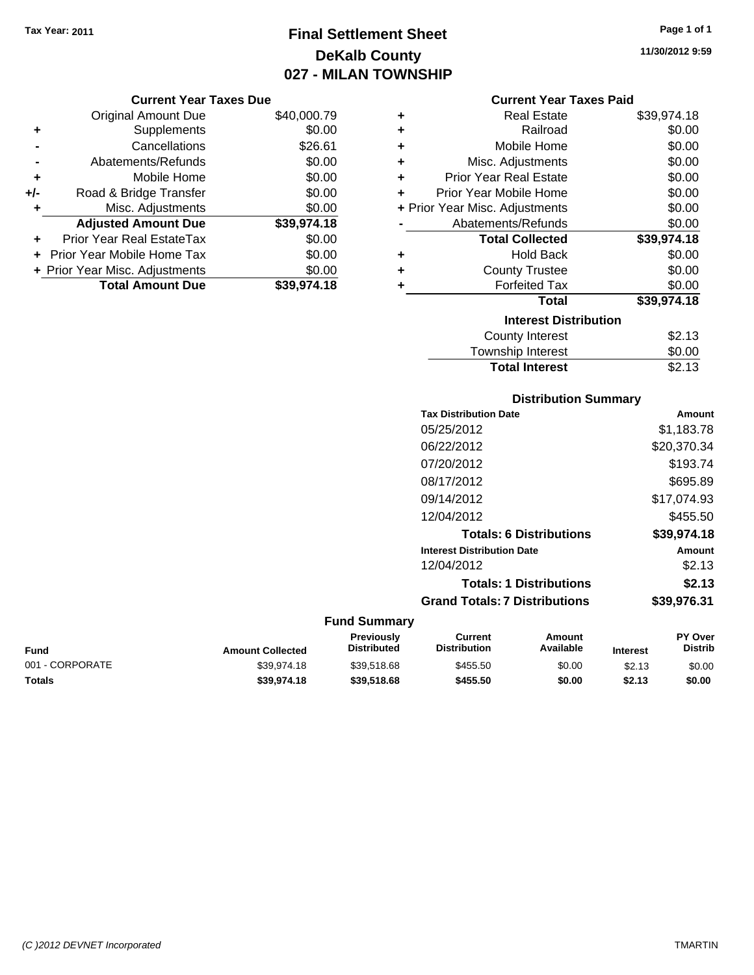## **Final Settlement Sheet Tax Year: 2011 Page 1 of 1 DeKalb County 027 - MILAN TOWNSHIP**

#### **Current Year Taxes Due**

|       | <b>Original Amount Due</b>     | \$40,000.79 |
|-------|--------------------------------|-------------|
| ٠     | Supplements                    | \$0.00      |
|       | Cancellations                  | \$26.61     |
|       | Abatements/Refunds             | \$0.00      |
| ÷     | Mobile Home                    | \$0.00      |
| $+/-$ | Road & Bridge Transfer         | \$0.00      |
| ۰     | Misc. Adjustments              | \$0.00      |
|       | <b>Adjusted Amount Due</b>     | \$39,974.18 |
|       | Prior Year Real EstateTax      | \$0.00      |
|       | Prior Year Mobile Home Tax     | \$0.00      |
|       | + Prior Year Misc. Adjustments | \$0.00      |
|       | <b>Total Amount Due</b>        | \$39,974.18 |

#### **Current Year Taxes Paid**

| ٠ | Real Estate                    | \$39,974.18 |
|---|--------------------------------|-------------|
|   |                                |             |
| ÷ | Railroad                       | \$0.00      |
| ÷ | Mobile Home                    | \$0.00      |
| ÷ | Misc. Adjustments              | \$0.00      |
| ÷ | <b>Prior Year Real Estate</b>  | \$0.00      |
| ٠ | Prior Year Mobile Home         | \$0.00      |
|   | + Prior Year Misc. Adjustments | \$0.00      |
|   | Abatements/Refunds             | \$0.00      |
|   | <b>Total Collected</b>         | \$39,974.18 |
| ٠ | <b>Hold Back</b>               | \$0.00      |
| ٠ | <b>County Trustee</b>          | \$0.00      |
| ٠ | <b>Forfeited Tax</b>           | \$0.00      |
|   | Total                          | \$39,974.18 |
|   | <b>Interest Distribution</b>   |             |
|   | County Interest                | \$2.13      |
|   | <b>Township Interest</b>       | \$0.00      |
|   | <b>Total Interest</b>          | \$2.13      |

### **Distribution Summary Tax Distribution Date Amount** 05/25/2012 \$1,183.78 06/22/2012 \$20,370.34 07/20/2012 \$193.74 08/17/2012 \$695.89 09/14/2012 \$17,074.93 12/04/2012 \$455.50 **Totals: 6 Distributions \$39,974.18 Interest Distribution Date Amount** 12/04/2012 \$2.13 **Totals: 1 Distributions \$2.13**

**Grand Totals: 7 Distributions \$39,976.31**

#### **Fund Summary**

| Fund            | <b>Amount Collected</b> | <b>Previously</b><br><b>Distributed</b> | Current<br><b>Distribution</b> | Amount<br>Available | <b>Interest</b> | <b>PY Over</b><br><b>Distrib</b> |
|-----------------|-------------------------|-----------------------------------------|--------------------------------|---------------------|-----------------|----------------------------------|
| 001 - CORPORATE | \$39.974.18             | \$39.518.68                             | \$455.50                       | \$0.00              | \$2.13          | \$0.00                           |
| Totals          | \$39,974.18             | \$39,518,68                             | \$455.50                       | \$0.00              | \$2.13          | \$0.00                           |

**11/30/2012 9:59**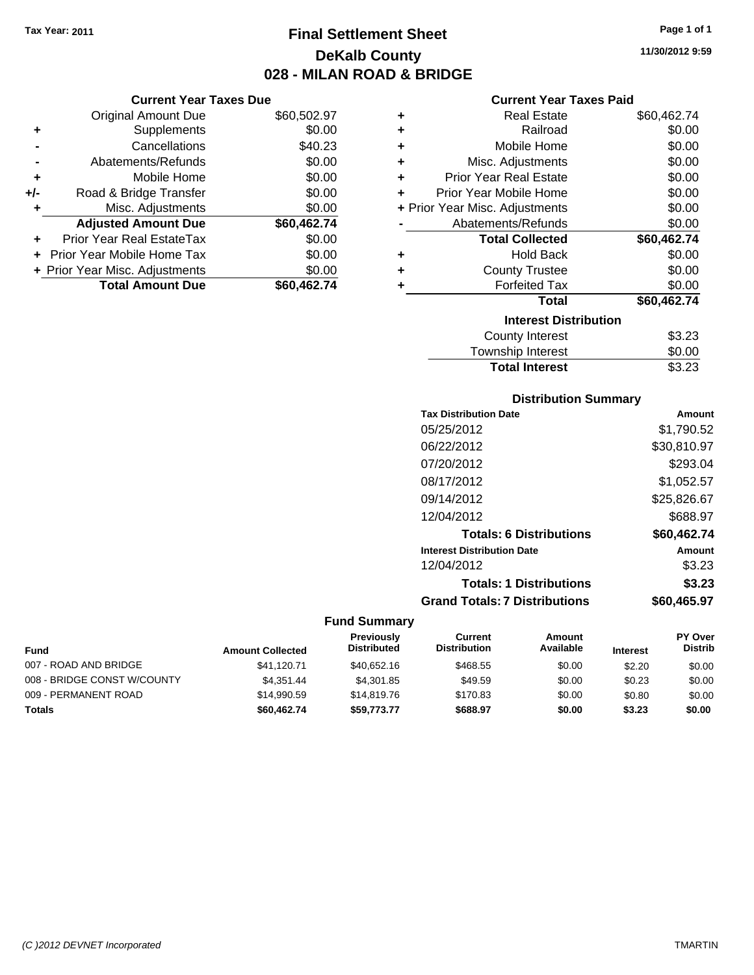**Current Year Taxes Due**

### **Final Settlement Sheet Tax Year: 2011 Page 1 of 1 DeKalb County 028 - MILAN ROAD & BRIDGE**

**11/30/2012 9:59**

### **Current Year Taxes Paid**

|     | <b>Original Amount Due</b>     | \$60,502.97 | ٠ | <b>Real Estate</b>             | \$60,462.74 |
|-----|--------------------------------|-------------|---|--------------------------------|-------------|
| ٠   | Supplements                    | \$0.00      | ٠ | Railroad                       | \$0.00      |
|     | Cancellations                  | \$40.23     | ÷ | Mobile Home                    | \$0.00      |
|     | Abatements/Refunds             | \$0.00      | ٠ | Misc. Adjustments              | \$0.00      |
| ٠   | Mobile Home                    | \$0.00      | ٠ | <b>Prior Year Real Estate</b>  | \$0.00      |
| +/- | Road & Bridge Transfer         | \$0.00      | ÷ | Prior Year Mobile Home         | \$0.00      |
|     | Misc. Adjustments              | \$0.00      |   | + Prior Year Misc. Adjustments | \$0.00      |
|     | <b>Adjusted Amount Due</b>     | \$60,462.74 |   | Abatements/Refunds             | \$0.00      |
| ÷.  | Prior Year Real EstateTax      | \$0.00      |   | <b>Total Collected</b>         | \$60,462.74 |
|     | Prior Year Mobile Home Tax     | \$0.00      | ٠ | <b>Hold Back</b>               | \$0.00      |
|     | + Prior Year Misc. Adjustments | \$0.00      | ٠ | <b>County Trustee</b>          | \$0.00      |
|     | <b>Total Amount Due</b>        | \$60,462.74 |   | <b>Forfeited Tax</b>           | \$0.00      |
|     |                                |             |   | <b>Total</b>                   | \$60,462.74 |
|     |                                |             |   | <b>Interest Distribution</b>   |             |
|     |                                |             |   | County Interest                | \$3.23      |
|     |                                |             |   | <b>Township Interest</b>       | \$0.00      |

## **Distribution Summary**

**Total Interest** \$3.23

| Amount      |
|-------------|
| \$1.790.52  |
| \$30,810.97 |
| \$293.04    |
| \$1.052.57  |
| \$25,826.67 |
| \$688.97    |
| \$60.462.74 |
| Amount      |
| \$3.23      |
| \$3.23      |
| \$60.465.97 |
|             |

| <b>Fund</b>                 | <b>Amount Collected</b> | Previously<br><b>Distributed</b> | Current<br><b>Distribution</b> | Amount<br>Available | <b>Interest</b> | <b>PY Over</b><br><b>Distrib</b> |
|-----------------------------|-------------------------|----------------------------------|--------------------------------|---------------------|-----------------|----------------------------------|
| 007 - ROAD AND BRIDGE       | \$41.120.71             | \$40.652.16                      | \$468.55                       | \$0.00              | \$2.20          | \$0.00                           |
| 008 - BRIDGE CONST W/COUNTY | \$4.351.44              | \$4,301.85                       | \$49.59                        | \$0.00              | \$0.23          | \$0.00                           |
| 009 - PERMANENT ROAD        | \$14.990.59             | \$14,819,76                      | \$170.83                       | \$0.00              | \$0.80          | \$0.00                           |
| Totals                      | \$60,462.74             | \$59,773.77                      | \$688.97                       | \$0.00              | \$3.23          | \$0.00                           |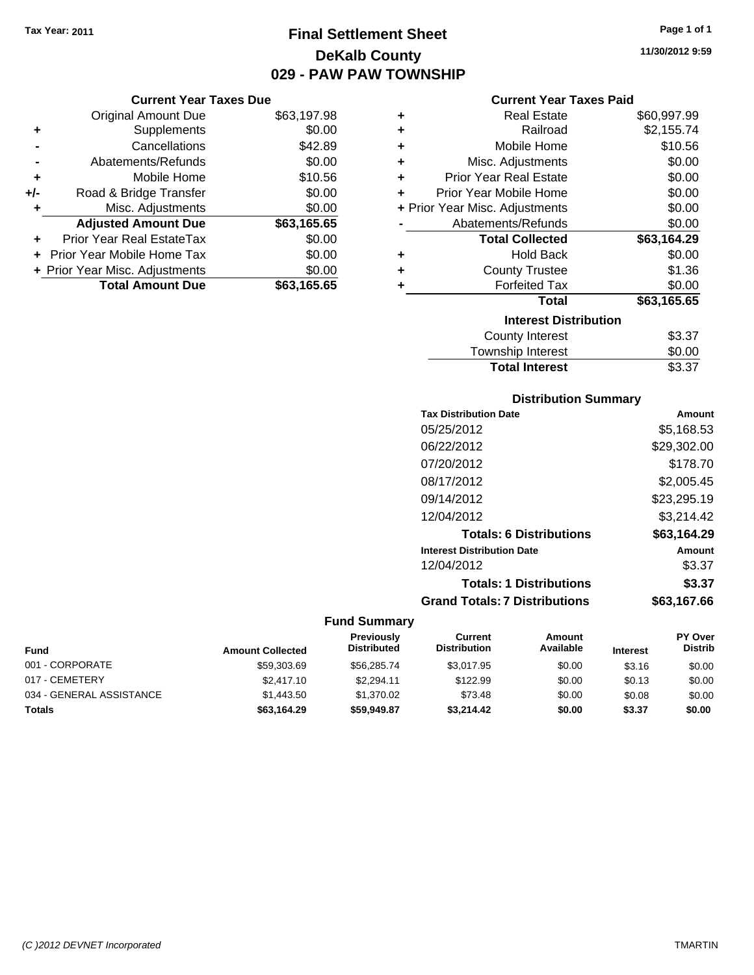## **Final Settlement Sheet Tax Year: 2011 Page 1 of 1 DeKalb County 029 - PAW PAW TOWNSHIP**

#### **Current Year Taxes Due**

|     | <b>Original Amount Due</b>       | \$63,197.98 |
|-----|----------------------------------|-------------|
| ٠   | Supplements                      | \$0.00      |
|     | Cancellations                    | \$42.89     |
|     | Abatements/Refunds               | \$0.00      |
| ÷   | Mobile Home                      | \$10.56     |
| +/- | Road & Bridge Transfer           | \$0.00      |
| ٠   | Misc. Adjustments                | \$0.00      |
|     | <b>Adjusted Amount Due</b>       | \$63,165.65 |
|     | <b>Prior Year Real EstateTax</b> | \$0.00      |
|     | Prior Year Mobile Home Tax       | \$0.00      |
|     | + Prior Year Misc. Adjustments   | \$0.00      |
|     | <b>Total Amount Due</b>          | \$63,165.65 |

### **Current Year Taxes Paid**

| ٠ | Real Estate                    | \$60,997.99 |
|---|--------------------------------|-------------|
| ÷ | Railroad                       | \$2,155.74  |
| ÷ | Mobile Home                    | \$10.56     |
| ÷ | Misc. Adjustments              | \$0.00      |
| ÷ | <b>Prior Year Real Estate</b>  | \$0.00      |
| ٠ | Prior Year Mobile Home         | \$0.00      |
|   | + Prior Year Misc. Adjustments | \$0.00      |
|   | Abatements/Refunds             | \$0.00      |
|   | <b>Total Collected</b>         | \$63,164.29 |
| ٠ | <b>Hold Back</b>               | \$0.00      |
| ٠ | <b>County Trustee</b>          | \$1.36      |
| ٠ | <b>Forfeited Tax</b>           | \$0.00      |
|   | Total                          | \$63,165.65 |
|   | <b>Interest Distribution</b>   |             |
|   | County Interest                | \$3.37      |
|   | <b>Township Interest</b>       | \$0.00      |
|   | <b>Total Interest</b>          | \$3.37      |

### **Distribution Summary**

| Amount      |
|-------------|
| \$5,168.53  |
| \$29,302.00 |
| \$178.70    |
| \$2,005.45  |
| \$23,295.19 |
| \$3.214.42  |
| \$63,164.29 |
| Amount      |
| \$3.37      |
| \$3.37      |
| \$63.167.66 |
|             |

### **Fund Summary**

| <b>Fund</b>              | <b>Amount Collected</b> | Previously<br><b>Distributed</b> | Current<br><b>Distribution</b> | Amount<br>Available | <b>Interest</b> | <b>PY Over</b><br><b>Distrib</b> |
|--------------------------|-------------------------|----------------------------------|--------------------------------|---------------------|-----------------|----------------------------------|
| 001 - CORPORATE          | \$59,303.69             | \$56,285,74                      | \$3.017.95                     | \$0.00              | \$3.16          | \$0.00                           |
| 017 - CEMETERY           | \$2,417.10              | \$2.294.11                       | \$122.99                       | \$0.00              | \$0.13          | \$0.00                           |
| 034 - GENERAL ASSISTANCE | \$1,443.50              | \$1.370.02                       | \$73.48                        | \$0.00              | \$0.08          | \$0.00                           |
| Totals                   | \$63,164.29             | \$59,949.87                      | \$3,214,42                     | \$0.00              | \$3.37          | \$0.00                           |

**11/30/2012 9:59**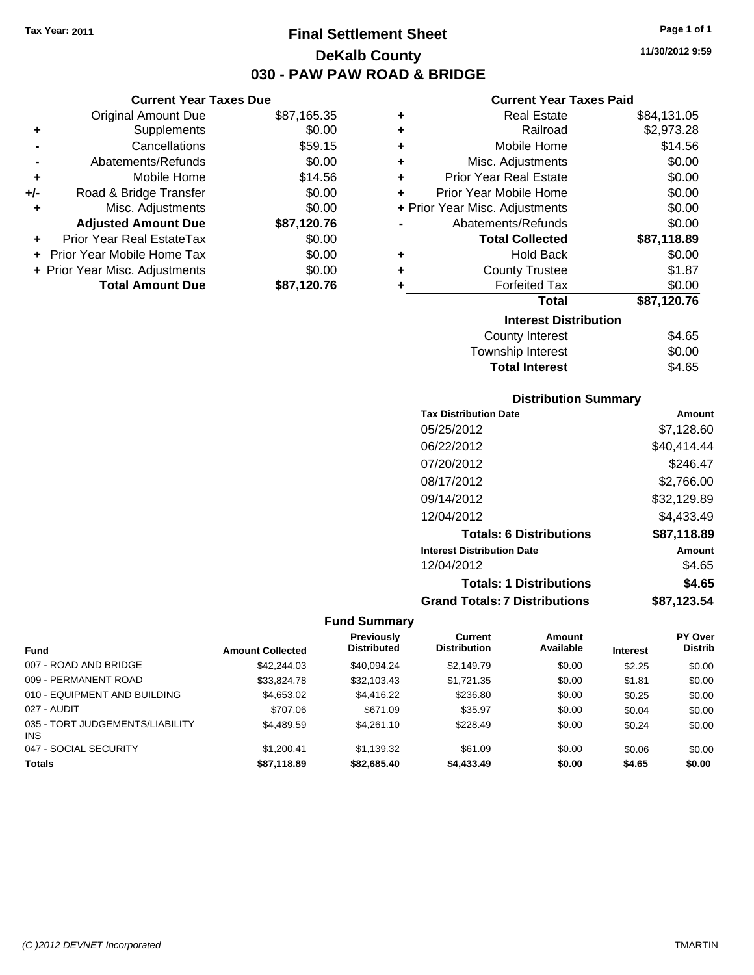**Current Year Taxes Due** Original Amount Due \$87,165.35

**Adjusted Amount Due \$87,120.76**

**Total Amount Due \$87,120.76**

**+** Supplements \$0.00 **-** Cancellations \$59.15 **-** Abatements/Refunds \$0.00 **+** Mobile Home \$14.56 **+/-** Road & Bridge Transfer \$0.00 **+** Misc. Adjustments \$0.00

**+** Prior Year Real EstateTax \$0.00 **+** Prior Year Mobile Home Tax \$0.00 **+ Prior Year Misc. Adjustments**  $$0.00$ 

### **Final Settlement Sheet Tax Year: 2011 Page 1 of 1 DeKalb County 030 - PAW PAW ROAD & BRIDGE**

**11/30/2012 9:59**

### **Current Year Taxes Paid**

| ٠ | <b>Real Estate</b>             | \$84,131.05 |
|---|--------------------------------|-------------|
| ÷ | Railroad                       | \$2,973.28  |
| ٠ | Mobile Home                    | \$14.56     |
| ÷ | Misc. Adjustments              | \$0.00      |
| ÷ | <b>Prior Year Real Estate</b>  | \$0.00      |
| ٠ | Prior Year Mobile Home         | \$0.00      |
|   | + Prior Year Misc. Adjustments | \$0.00      |
|   | Abatements/Refunds             | \$0.00      |
|   | <b>Total Collected</b>         | \$87,118.89 |
| ٠ | <b>Hold Back</b>               | \$0.00      |
| ٠ | <b>County Trustee</b>          | \$1.87      |
|   | <b>Forfeited Tax</b>           | \$0.00      |
|   | <b>Total</b>                   | \$87,120.76 |
|   | <b>Interest Distribution</b>   |             |
|   | <b>County Interest</b>         | \$4.65      |
|   | <b>Township Interest</b>       | \$0.00      |

## **Distribution Summary**

Total Interest \$4.65

| <b>PIJUIDUUJII JUIIIIIIUI</b> y      |             |
|--------------------------------------|-------------|
| <b>Tax Distribution Date</b>         | Amount      |
| 05/25/2012                           | \$7,128.60  |
| 06/22/2012                           | \$40.414.44 |
| 07/20/2012                           | \$246.47    |
| 08/17/2012                           | \$2.766.00  |
| 09/14/2012                           | \$32,129.89 |
| 12/04/2012                           | \$4,433.49  |
| <b>Totals: 6 Distributions</b>       | \$87,118.89 |
| <b>Interest Distribution Date</b>    | Amount      |
| 12/04/2012                           | \$4.65      |
| <b>Totals: 1 Distributions</b>       | \$4.65      |
| <b>Grand Totals: 7 Distributions</b> | \$87,123.54 |

|                                               |                         | <b>Previously</b>  | Current             | Amount    |                 | PY Over        |
|-----------------------------------------------|-------------------------|--------------------|---------------------|-----------|-----------------|----------------|
| <b>Fund</b>                                   | <b>Amount Collected</b> | <b>Distributed</b> | <b>Distribution</b> | Available | <b>Interest</b> | <b>Distrib</b> |
| 007 - ROAD AND BRIDGE                         | \$42,244.03             | \$40.094.24        | \$2,149.79          | \$0.00    | \$2.25          | \$0.00         |
| 009 - PERMANENT ROAD                          | \$33.824.78             | \$32,103.43        | \$1,721.35          | \$0.00    | \$1.81          | \$0.00         |
| 010 - EQUIPMENT AND BUILDING                  | \$4,653.02              | \$4,416.22         | \$236.80            | \$0.00    | \$0.25          | \$0.00         |
| 027 - AUDIT                                   | \$707.06                | \$671.09           | \$35.97             | \$0.00    | \$0.04          | \$0.00         |
| 035 - TORT JUDGEMENTS/LIABILITY<br><b>INS</b> | \$4,489.59              | \$4.261.10         | \$228.49            | \$0.00    | \$0.24          | \$0.00         |
| 047 - SOCIAL SECURITY                         | \$1.200.41              | \$1,139.32         | \$61.09             | \$0.00    | \$0.06          | \$0.00         |
| <b>Totals</b>                                 | \$87.118.89             | \$82,685.40        | \$4,433.49          | \$0.00    | \$4.65          | \$0.00         |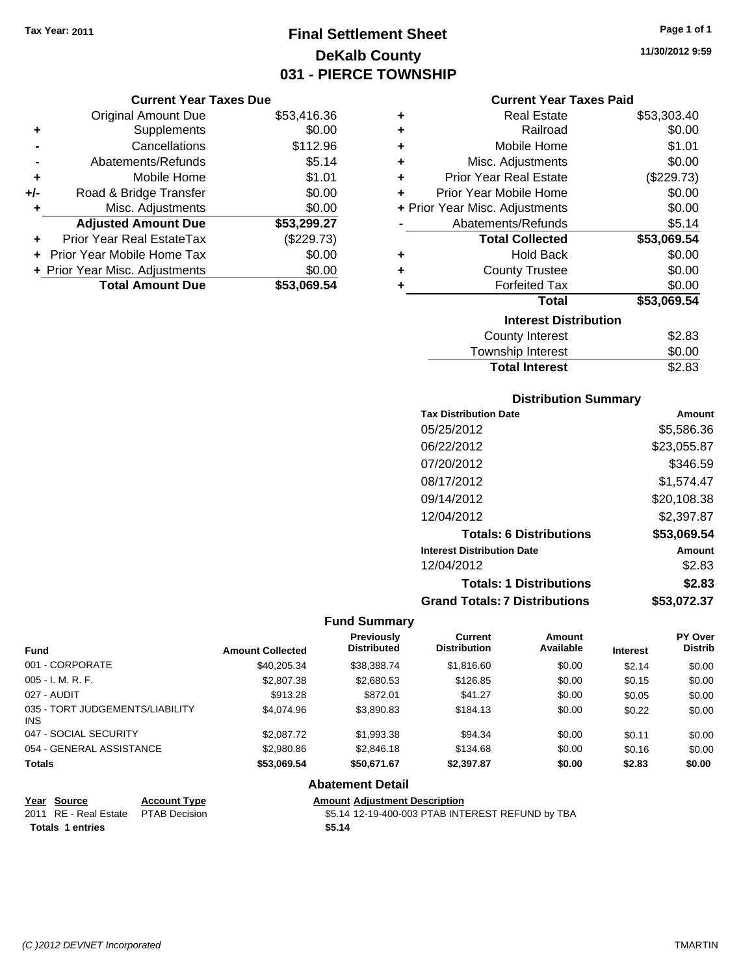## **Final Settlement Sheet Tax Year: 2011 Page 1 of 1 DeKalb County 031 - PIERCE TOWNSHIP**

### **Current Year Taxes Due**

|       | <b>Original Amount Due</b>        | \$53,416.36 |
|-------|-----------------------------------|-------------|
| ٠     | Supplements                       | \$0.00      |
|       | Cancellations                     | \$112.96    |
|       | Abatements/Refunds                | \$5.14      |
| ÷     | Mobile Home                       | \$1.01      |
| $+/-$ | Road & Bridge Transfer            | \$0.00      |
| ٠     | Misc. Adjustments                 | \$0.00      |
|       | <b>Adjusted Amount Due</b>        | \$53,299.27 |
|       | Prior Year Real EstateTax         | (\$229.73)  |
|       | <b>Prior Year Mobile Home Tax</b> | \$0.00      |
|       | + Prior Year Misc. Adjustments    | \$0.00      |
|       | <b>Total Amount Due</b>           | \$53,069.54 |

| ٠ | <b>Real Estate</b>             | \$53,303.40 |
|---|--------------------------------|-------------|
| ÷ | Railroad                       | \$0.00      |
| ÷ | <b>Mobile Home</b>             | \$1.01      |
| ٠ | Misc. Adjustments              | \$0.00      |
| ٠ | <b>Prior Year Real Estate</b>  | (\$229.73)  |
| ٠ | Prior Year Mobile Home         | \$0.00      |
|   | + Prior Year Misc. Adjustments | \$0.00      |
|   | Abatements/Refunds             | \$5.14      |
|   | <b>Total Collected</b>         | \$53,069.54 |
| ٠ | <b>Hold Back</b>               | \$0.00      |
| ٠ | <b>County Trustee</b>          | \$0.00      |
| ٠ | <b>Forfeited Tax</b>           | \$0.00      |
|   | Total                          | \$53,069.54 |
|   | <b>Interest Distribution</b>   |             |
|   | <b>County Interest</b>         | \$2.83      |
|   | Township Interest              | \$0.00      |
|   | <b>Total Interest</b>          | \$2.83      |

### **Distribution Summary**

| <b>Tax Distribution Date</b>         | Amount      |
|--------------------------------------|-------------|
| 05/25/2012                           | \$5,586.36  |
| 06/22/2012                           | \$23,055.87 |
| 07/20/2012                           | \$346.59    |
| 08/17/2012                           | \$1.574.47  |
| 09/14/2012                           | \$20,108.38 |
| 12/04/2012                           | \$2,397.87  |
| <b>Totals: 6 Distributions</b>       | \$53,069.54 |
| <b>Interest Distribution Date</b>    | Amount      |
| 12/04/2012                           | \$2.83      |
| <b>Totals: 1 Distributions</b>       | \$2.83      |
| <b>Grand Totals: 7 Distributions</b> | \$53.072.37 |

### **Fund Summary**

| <b>Fund</b>                             | <b>Amount Collected</b> | <b>Previously</b><br><b>Distributed</b> | <b>Current</b><br><b>Distribution</b> | Amount<br>Available | <b>Interest</b> | <b>PY Over</b><br><b>Distrib</b> |
|-----------------------------------------|-------------------------|-----------------------------------------|---------------------------------------|---------------------|-----------------|----------------------------------|
| 001 - CORPORATE                         | \$40.205.34             | \$38,388,74                             | \$1,816.60                            | \$0.00              | \$2.14          | \$0.00                           |
| $005 - I. M. R. F.$                     | \$2,807.38              | \$2,680.53                              | \$126.85                              | \$0.00              | \$0.15          | \$0.00                           |
| 027 - AUDIT                             | \$913.28                | \$872.01                                | \$41.27                               | \$0.00              | \$0.05          | \$0.00                           |
| 035 - TORT JUDGEMENTS/LIABILITY<br>INS. | \$4,074.96              | \$3,890.83                              | \$184.13                              | \$0.00              | \$0.22          | \$0.00                           |
| 047 - SOCIAL SECURITY                   | \$2,087.72              | \$1,993.38                              | \$94.34                               | \$0.00              | \$0.11          | \$0.00                           |
| 054 - GENERAL ASSISTANCE                | \$2,980.86              | \$2,846.18                              | \$134.68                              | \$0.00              | \$0.16          | \$0.00                           |
| <b>Totals</b>                           | \$53.069.54             | \$50.671.67                             | \$2,397.87                            | \$0.00              | \$2.83          | \$0.00                           |

#### **Abatement Detail**

| Year Source                          | <b>Account Type</b> | <b>Amount Adjustment Description</b>             |
|--------------------------------------|---------------------|--------------------------------------------------|
| 2011 RE - Real Estate  PTAB Decision |                     | \$5.14 12-19-400-003 PTAB INTEREST REFUND by TBA |
| <b>Totals 1 entries</b>              |                     | \$5.14                                           |

**11/30/2012 9:59**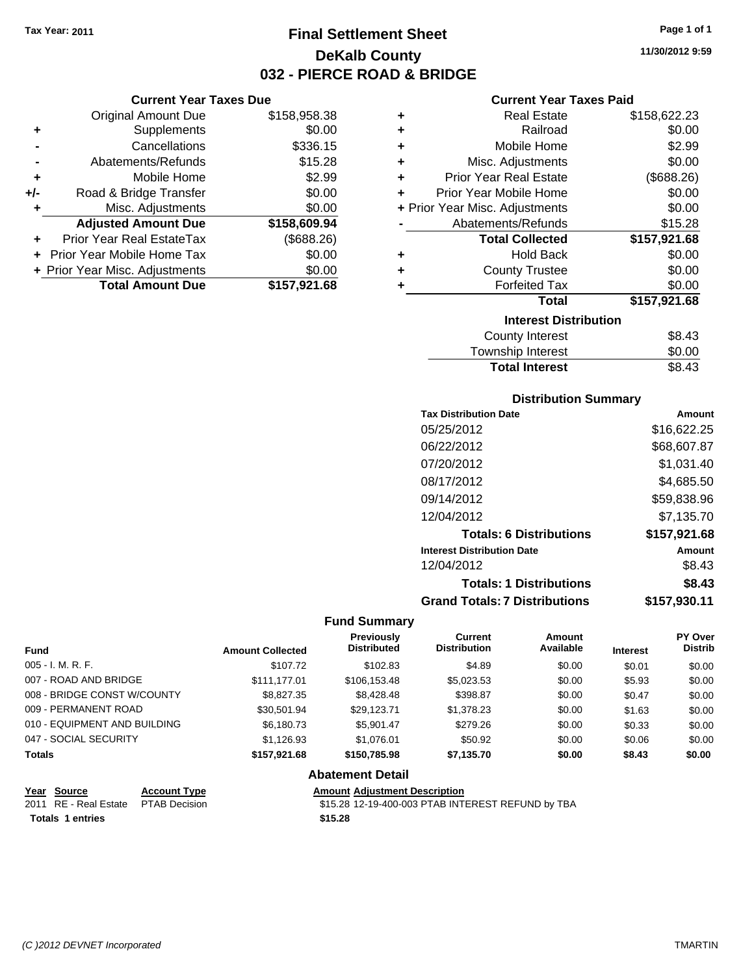**Current Year Taxes Due** Original Amount Due \$158,958.38

**Adjusted Amount Due \$158,609.94**

**Total Amount Due \$157,921.68**

**+** Supplements \$0.00 **-** Cancellations \$336.15 **-** Abatements/Refunds \$15.28 **+** Mobile Home \$2.99 **+/-** Road & Bridge Transfer \$0.00 **+** Misc. Adjustments \$0.00

**+** Prior Year Real EstateTax (\$688.26) **+** Prior Year Mobile Home Tax \$0.00 **+ Prior Year Misc. Adjustments**  $$0.00$ 

# **Final Settlement Sheet Tax Year: 2011 Page 1 of 1 DeKalb County 032 - PIERCE ROAD & BRIDGE**

**11/30/2012 9:59**

### **Current Year Taxes Paid**

| ٠ | <b>Real Estate</b>             | \$158,622.23 |
|---|--------------------------------|--------------|
| ٠ | Railroad                       | \$0.00       |
| ٠ | Mobile Home                    | \$2.99       |
| ٠ | Misc. Adjustments              | \$0.00       |
| ٠ | <b>Prior Year Real Estate</b>  | (\$688.26)   |
| ٠ | Prior Year Mobile Home         | \$0.00       |
|   | + Prior Year Misc. Adjustments | \$0.00       |
|   | Abatements/Refunds             | \$15.28      |
|   | <b>Total Collected</b>         | \$157,921.68 |
| ٠ | <b>Hold Back</b>               | \$0.00       |
| ٠ | <b>County Trustee</b>          | \$0.00       |
| ٠ | <b>Forfeited Tax</b>           | \$0.00       |
|   | Total                          | \$157,921.68 |
|   | <b>Interest Distribution</b>   |              |
|   | <b>County Interest</b>         | \$8.43       |
|   |                                |              |

| <b>Total Interest</b> | \$8.43 |
|-----------------------|--------|
| Township Interest     | \$0.00 |
| County Interest       | \$8.43 |

### **Distribution Summary**

| <b>Tax Distribution Date</b>         | Amount       |
|--------------------------------------|--------------|
| 05/25/2012                           | \$16,622.25  |
| 06/22/2012                           | \$68,607.87  |
| 07/20/2012                           | \$1,031.40   |
| 08/17/2012                           | \$4,685.50   |
| 09/14/2012                           | \$59,838.96  |
| 12/04/2012                           | \$7,135.70   |
| <b>Totals: 6 Distributions</b>       | \$157,921.68 |
| <b>Interest Distribution Date</b>    | Amount       |
| 12/04/2012                           | \$8.43       |
| <b>Totals: 1 Distributions</b>       | \$8.43       |
| <b>Grand Totals: 7 Distributions</b> | \$157,930.11 |

### **Fund Summary**

| <b>Fund</b>                  | <b>Amount Collected</b> | <b>Previously</b><br><b>Distributed</b> | Current<br><b>Distribution</b> | Amount<br>Available | <b>Interest</b> | PY Over<br><b>Distrib</b> |
|------------------------------|-------------------------|-----------------------------------------|--------------------------------|---------------------|-----------------|---------------------------|
| $005 - I. M. R. F.$          | \$107.72                | \$102.83                                | \$4.89                         | \$0.00              | \$0.01          | \$0.00                    |
| 007 - ROAD AND BRIDGE        | \$111.177.01            | \$106,153.48                            | \$5,023.53                     | \$0.00              | \$5.93          | \$0.00                    |
| 008 - BRIDGE CONST W/COUNTY  | \$8,827.35              | \$8,428,48                              | \$398.87                       | \$0.00              | \$0.47          | \$0.00                    |
| 009 - PERMANENT ROAD         | \$30.501.94             | \$29.123.71                             | \$1,378.23                     | \$0.00              | \$1.63          | \$0.00                    |
| 010 - EQUIPMENT AND BUILDING | \$6.180.73              | \$5.901.47                              | \$279.26                       | \$0.00              | \$0.33          | \$0.00                    |
| 047 - SOCIAL SECURITY        | \$1,126.93              | \$1.076.01                              | \$50.92                        | \$0.00              | \$0.06          | \$0.00                    |
| <b>Totals</b>                | \$157.921.68            | \$150,785.98                            | \$7,135.70                     | \$0.00              | \$8.43          | \$0.00                    |

### **Abatement Detail**

| Year Source                         | <b>Account Type</b> | <b>Amount Adiustment Description</b>              |
|-------------------------------------|---------------------|---------------------------------------------------|
| 2011 RE - Real Estate PTAB Decision |                     | \$15.28 12-19-400-003 PTAB INTEREST REFUND by TBA |
| <b>Totals 1 entries</b>             |                     | \$15.28                                           |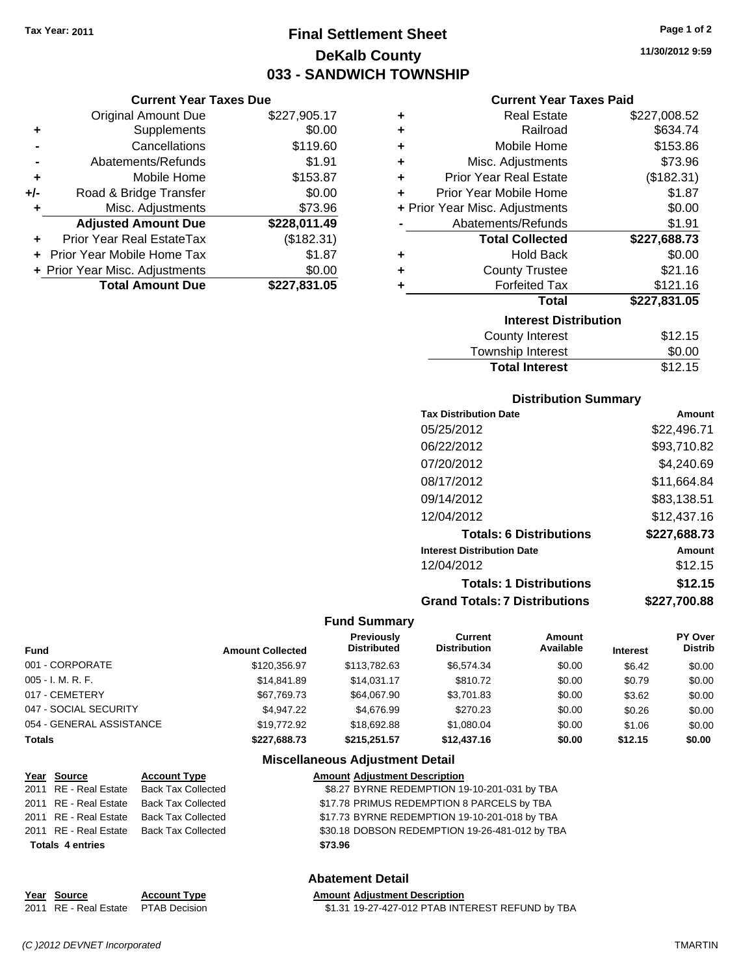**Current Year Taxes Due**

# **Final Settlement Sheet Tax Year: 2011 Page 1 of 2 DeKalb County 033 - SANDWICH TOWNSHIP**

**11/30/2012 9:59**

### **Current Year Taxes Paid**

|     | <b>Original Amount Due</b>     | \$227,905.17 | ٠ | <b>Real Estate</b>             | \$227,008.52 |
|-----|--------------------------------|--------------|---|--------------------------------|--------------|
| ٠   | Supplements                    | \$0.00       | ٠ | Railroad                       | \$634.74     |
|     | Cancellations                  | \$119.60     | ÷ | Mobile Home                    | \$153.86     |
|     | Abatements/Refunds             | \$1.91       | ٠ | Misc. Adjustments              | \$73.96      |
| ٠   | Mobile Home                    | \$153.87     | ÷ | <b>Prior Year Real Estate</b>  | (\$182.31)   |
| +/- | Road & Bridge Transfer         | \$0.00       | ٠ | Prior Year Mobile Home         | \$1.87       |
|     | Misc. Adjustments              | \$73.96      |   | + Prior Year Misc. Adjustments | \$0.00       |
|     | <b>Adjusted Amount Due</b>     | \$228,011.49 |   | Abatements/Refunds             | \$1.91       |
| ÷.  | Prior Year Real EstateTax      | (\$182.31)   |   | <b>Total Collected</b>         | \$227,688.73 |
|     | Prior Year Mobile Home Tax     | \$1.87       | ÷ | <b>Hold Back</b>               | \$0.00       |
|     | + Prior Year Misc. Adjustments | \$0.00       | ٠ | <b>County Trustee</b>          | \$21.16      |
|     | <b>Total Amount Due</b>        | \$227,831.05 |   | <b>Forfeited Tax</b>           | \$121.16     |
|     |                                |              |   | <b>Total</b>                   | \$227,831.05 |
|     |                                |              |   | <b>Interest Distribution</b>   |              |
|     |                                |              |   | County Interest                | \$12.15      |
|     |                                |              |   | <b>Township Interest</b>       | \$0.00       |

# Total Interest \$12.15

| <b>Distribution Summary</b>          |              |
|--------------------------------------|--------------|
| <b>Tax Distribution Date</b>         | Amount       |
| 05/25/2012                           | \$22,496.71  |
| 06/22/2012                           | \$93,710.82  |
| 07/20/2012                           | \$4,240.69   |
| 08/17/2012                           | \$11,664.84  |
| 09/14/2012                           | \$83,138.51  |
| 12/04/2012                           | \$12,437.16  |
| <b>Totals: 6 Distributions</b>       | \$227,688.73 |
| <b>Interest Distribution Date</b>    | Amount       |
| 12/04/2012                           | \$12.15      |
| <b>Totals: 1 Distributions</b>       | \$12.15      |
| <b>Grand Totals: 7 Distributions</b> | \$227.700.88 |

### **Fund Summary**

| <b>Fund</b>              | <b>Amount Collected</b> | <b>Previously</b><br><b>Distributed</b> | Current<br><b>Distribution</b> | Amount<br>Available | <b>Interest</b> | <b>PY Over</b><br><b>Distrib</b> |
|--------------------------|-------------------------|-----------------------------------------|--------------------------------|---------------------|-----------------|----------------------------------|
| 001 - CORPORATE          | \$120,356.97            | \$113,782.63                            | \$6.574.34                     | \$0.00              | \$6.42          | \$0.00                           |
| 005 - I. M. R. F.        | \$14,841.89             | \$14.031.17                             | \$810.72                       | \$0.00              | \$0.79          | \$0.00                           |
| 017 - CEMETERY           | \$67,769.73             | \$64.067.90                             | \$3.701.83                     | \$0.00              | \$3.62          | \$0.00                           |
| 047 - SOCIAL SECURITY    | \$4.947.22              | \$4.676.99                              | \$270.23                       | \$0.00              | \$0.26          | \$0.00                           |
| 054 - GENERAL ASSISTANCE | \$19,772.92             | \$18,692.88                             | \$1.080.04                     | \$0.00              | \$1.06          | \$0.00                           |
| <b>Totals</b>            | \$227.688.73            | \$215,251.57                            | \$12,437.16                    | \$0.00              | \$12.15         | \$0.00                           |

### **Miscellaneous Adjustment Detail**

|                         | Year Source           | <b>Account Type</b>                      | <b>Amount Adjustment Description</b>           |
|-------------------------|-----------------------|------------------------------------------|------------------------------------------------|
|                         | 2011 RE - Real Estate | Back Tax Collected                       | \$8.27 BYRNE REDEMPTION 19-10-201-031 by TBA   |
|                         | 2011 RE - Real Estate | Back Tax Collected                       | \$17.78 PRIMUS REDEMPTION 8 PARCELS by TBA     |
|                         |                       | 2011 RE - Real Estate Back Tax Collected | \$17.73 BYRNE REDEMPTION 19-10-201-018 by TBA  |
|                         |                       | 2011 RE - Real Estate Back Tax Collected | \$30.18 DOBSON REDEMPTION 19-26-481-012 by TBA |
| <b>Totals 4 entries</b> |                       |                                          | \$73.96                                        |
|                         |                       |                                          |                                                |

### **Abatement Detail**

### **Year Source Account Type Amount Adjustment Description** 2011 RE - Real Estate \$1.31 19-27-427-012 PTAB INTEREST REFUND by TBA PTAB Decision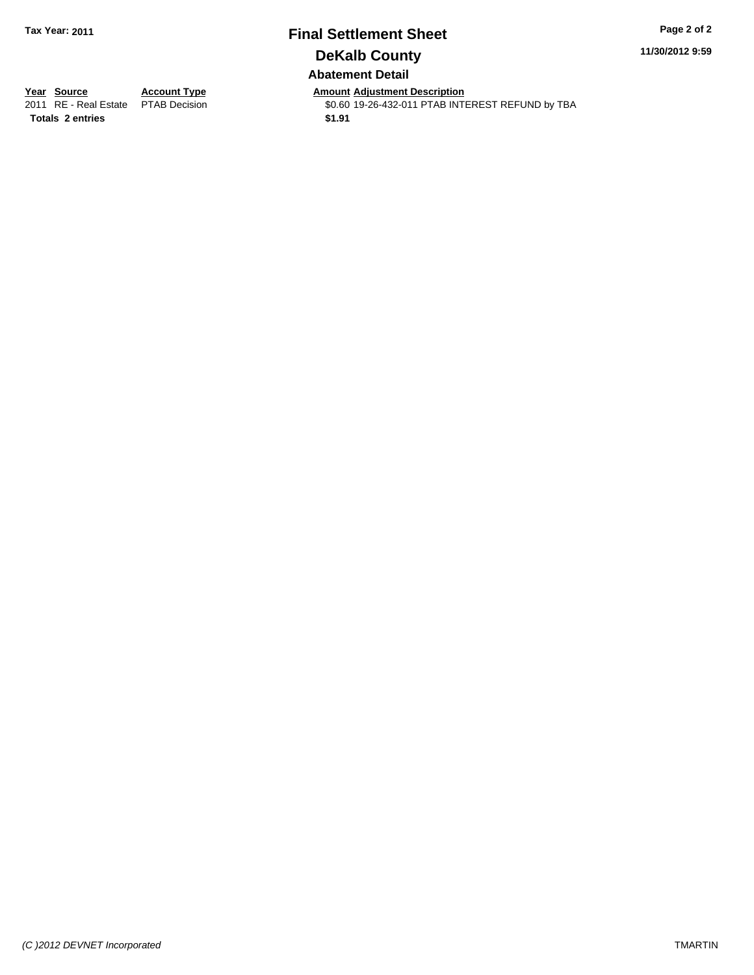## **Final Settlement Sheet Tax Year: 2011 Page 2 of 2 DeKalb County Abatement Detail**

**11/30/2012 9:59**

**Totals \$1.91 2 entries**

**Year Source Account Type Amount Adjustment Description**<br>2011 RE - Real Estate PTAB Decision **Amount Adjustment Description** \$0.60 19-26-432-011 PTAB INTEREST REFUND by TBA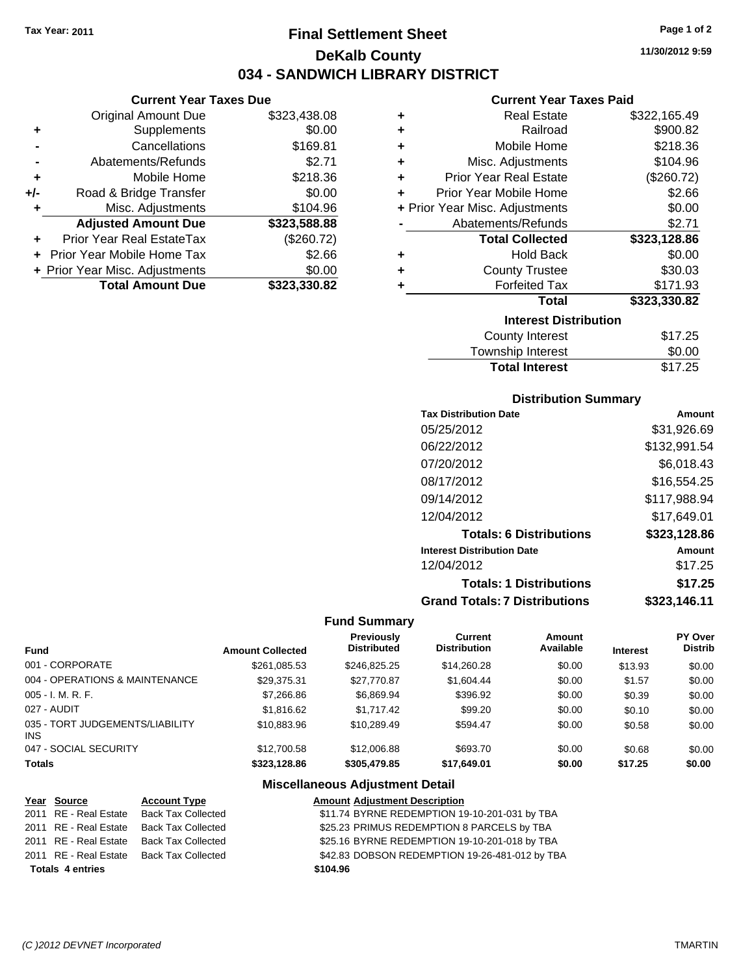**Current Year Taxes Due** Original Amount Due \$323,438.08

**Adjusted Amount Due \$323,588.88**

**Total Amount Due \$323,330.82**

**+** Supplements \$0.00 **-** Cancellations \$169.81 **-** Abatements/Refunds \$2.71 **+** Mobile Home \$218.36 **+/-** Road & Bridge Transfer \$0.00 **+** Misc. Adjustments \$104.96

**+** Prior Year Real EstateTax (\$260.72) **+** Prior Year Mobile Home Tax \$2.66 **+ Prior Year Misc. Adjustments**  $$0.00$ 

# **Final Settlement Sheet Tax Year: 2011 Page 1 of 2 DeKalb County 034 - SANDWICH LIBRARY DISTRICT**

**11/30/2012 9:59**

### **Current Year Taxes Paid**

| ٠ | <b>Real Estate</b>             | \$322,165.49 |
|---|--------------------------------|--------------|
| ٠ | Railroad                       | \$900.82     |
| ÷ | Mobile Home                    | \$218.36     |
| ÷ | Misc. Adjustments              | \$104.96     |
| ÷ | <b>Prior Year Real Estate</b>  | (\$260.72)   |
| ÷ | Prior Year Mobile Home         | \$2.66       |
|   | + Prior Year Misc. Adjustments | \$0.00       |
|   | Abatements/Refunds             | \$2.71       |
|   | <b>Total Collected</b>         | \$323,128.86 |
| ٠ | <b>Hold Back</b>               | \$0.00       |
| ٠ | <b>County Trustee</b>          | \$30.03      |
| ٠ | <b>Forfeited Tax</b>           | \$171.93     |
|   | <b>Total</b>                   | \$323,330.82 |
|   | <b>Interest Distribution</b>   |              |
|   | <b>County Interest</b>         | \$17.25      |
|   | Township Interact              | ድስ ሰስ        |

### Township Interest  $$0.00$ **Total Interest** \$17.25

| <b>Distribution Summary</b>          |              |  |  |  |  |
|--------------------------------------|--------------|--|--|--|--|
| <b>Tax Distribution Date</b>         | Amount       |  |  |  |  |
| 05/25/2012                           | \$31,926.69  |  |  |  |  |
| 06/22/2012                           | \$132,991.54 |  |  |  |  |
| 07/20/2012                           | \$6,018.43   |  |  |  |  |
| 08/17/2012                           | \$16,554.25  |  |  |  |  |
| 09/14/2012                           | \$117.988.94 |  |  |  |  |
| 12/04/2012                           | \$17.649.01  |  |  |  |  |
| <b>Totals: 6 Distributions</b>       | \$323,128.86 |  |  |  |  |
| <b>Interest Distribution Date</b>    | Amount       |  |  |  |  |
| 12/04/2012                           | \$17.25      |  |  |  |  |
| <b>Totals: 1 Distributions</b>       | \$17.25      |  |  |  |  |
| <b>Grand Totals: 7 Distributions</b> | \$323,146.11 |  |  |  |  |

### **Fund Summary**

| <b>Fund</b>                                   | <b>Amount Collected</b> | Previously<br><b>Distributed</b> | Current<br><b>Distribution</b> | Amount<br>Available | <b>Interest</b> | PY Over<br><b>Distrib</b> |
|-----------------------------------------------|-------------------------|----------------------------------|--------------------------------|---------------------|-----------------|---------------------------|
| 001 - CORPORATE                               | \$261.085.53            | \$246.825.25                     | \$14,260.28                    | \$0.00              | \$13.93         | \$0.00                    |
| 004 - OPERATIONS & MAINTENANCE                | \$29.375.31             | \$27.770.87                      | \$1,604.44                     | \$0.00              | \$1.57          | \$0.00                    |
| 005 - I. M. R. F.                             | \$7,266.86              | \$6.869.94                       | \$396.92                       | \$0.00              | \$0.39          | \$0.00                    |
| 027 - AUDIT                                   | \$1,816,62              | \$1.717.42                       | \$99.20                        | \$0.00              | \$0.10          | \$0.00                    |
| 035 - TORT JUDGEMENTS/LIABILITY<br><b>INS</b> | \$10.883.96             | \$10.289.49                      | \$594.47                       | \$0.00              | \$0.58          | \$0.00                    |
| 047 - SOCIAL SECURITY                         | \$12,700.58             | \$12,006.88                      | \$693.70                       | \$0.00              | \$0.68          | \$0.00                    |
| <b>Totals</b>                                 | \$323.128.86            | \$305,479.85                     | \$17.649.01                    | \$0.00              | \$17.25         | \$0.00                    |

| Year Source             | <b>Account Type</b>                      | <b>Amount Adjustment Description</b>           |
|-------------------------|------------------------------------------|------------------------------------------------|
| 2011 RE - Real Estate   | Back Tax Collected                       | \$11.74 BYRNE REDEMPTION 19-10-201-031 by TBA  |
| 2011 RE - Real Estate   | Back Tax Collected                       | \$25.23 PRIMUS REDEMPTION 8 PARCELS by TBA     |
|                         | 2011 RE - Real Estate Back Tax Collected | \$25.16 BYRNE REDEMPTION 19-10-201-018 by TBA  |
|                         | 2011 RE - Real Estate Back Tax Collected | \$42.83 DOBSON REDEMPTION 19-26-481-012 by TBA |
| <b>Totals 4 entries</b> |                                          | \$104.96                                       |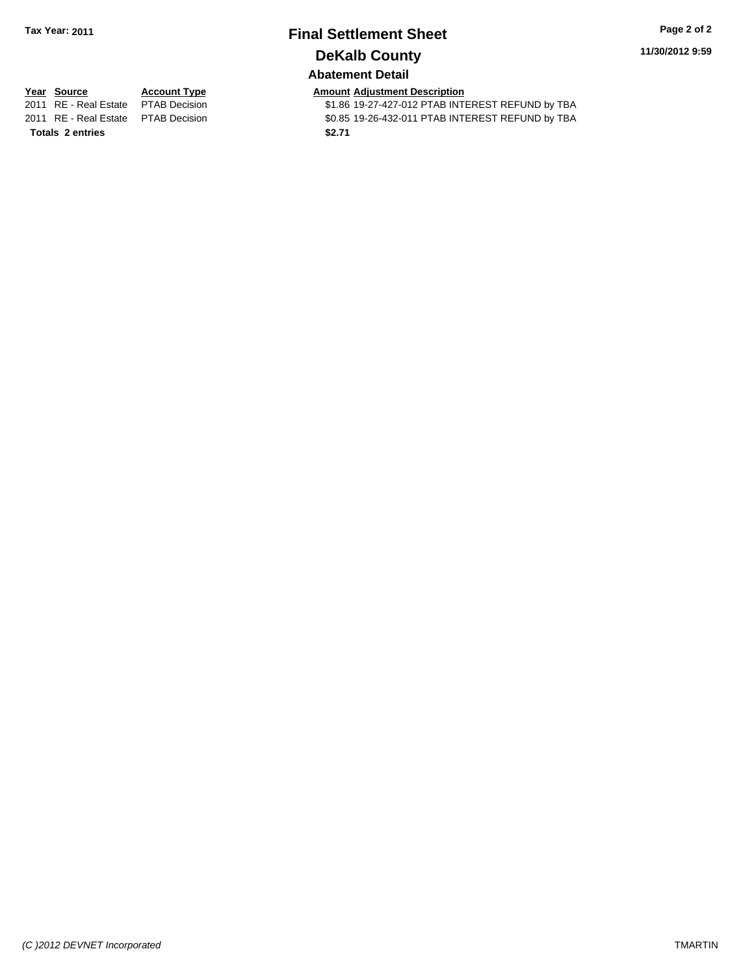# **Final Settlement Sheet Tax Year: 2011 Page 2 of 2 DeKalb County**

**11/30/2012 9:59**

## **Abatement Detail**

**Totals \$2.71 2 entries**

**Year Source Account Type Amount Adjustment Description**<br>2011 RE - Real Estate PTAB Decision **Amount** \$1.86 19-27-427-012 PTAB INTI \$1.86 19-27-427-012 PTAB INTEREST REFUND by TBA 2011 RE - Real Estate \$0.85 19-26-432-011 PTAB INTEREST REFUND by TBA PTAB Decision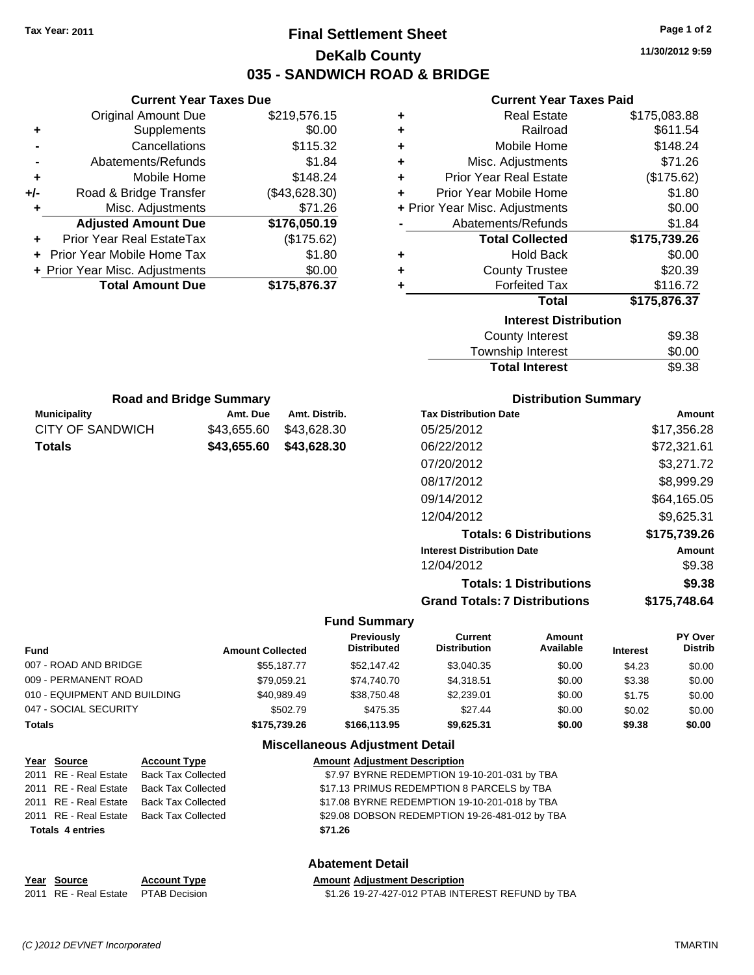# **Final Settlement Sheet Tax Year: 2011 Page 1 of 2 DeKalb County 035 - SANDWICH ROAD & BRIDGE**

**11/30/2012 9:59**

### **Current Year Taxes Paid**

| <b>Current Year Taxes Due</b> |                                |               |  |
|-------------------------------|--------------------------------|---------------|--|
|                               | Original Amount Due            | \$219,576.15  |  |
| ٠                             | Supplements                    | \$0.00        |  |
|                               | Cancellations                  | \$115.32      |  |
|                               | Abatements/Refunds             | \$1.84        |  |
| ٠                             | Mobile Home                    | \$148.24      |  |
| +/-                           | Road & Bridge Transfer         | (\$43,628.30) |  |
| ٠                             | Misc. Adjustments              | \$71.26       |  |
|                               | <b>Adjusted Amount Due</b>     | \$176,050.19  |  |
| ٠                             | Prior Year Real EstateTax      | (\$175.62)    |  |
|                               | Prior Year Mobile Home Tax     | \$1.80        |  |
|                               | + Prior Year Misc. Adjustments | \$0.00        |  |
|                               | <b>Total Amount Due</b>        | \$175,876.37  |  |
|                               |                                |               |  |

| ٠ | <b>Real Estate</b>             | \$175,083.88 |
|---|--------------------------------|--------------|
| ٠ | Railroad                       | \$611.54     |
| ٠ | Mobile Home                    | \$148.24     |
| ÷ | Misc. Adjustments              | \$71.26      |
| ÷ | <b>Prior Year Real Estate</b>  | (\$175.62)   |
| ٠ | Prior Year Mobile Home         | \$1.80       |
|   | + Prior Year Misc. Adjustments | \$0.00       |
|   | Abatements/Refunds             | \$1.84       |
|   | <b>Total Collected</b>         | \$175,739.26 |
| ٠ | <b>Hold Back</b>               | \$0.00       |
| ÷ | <b>County Trustee</b>          | \$20.39      |
| ٠ | <b>Forfeited Tax</b>           | \$116.72     |
|   | <b>Total</b>                   | \$175,876.37 |
|   | <b>Interest Distribution</b>   |              |
|   | <b>County Interest</b>         | \$9.38       |
|   | Townobin Intorpot              | ድስ ስስ        |

| <b>Total Interest</b> | \$9.38 |
|-----------------------|--------|
| Township Interest     | \$0.00 |
| County interest       | ১৬.১০  |

| <b>Road and Bridge Summary</b> |             |               |  |  |
|--------------------------------|-------------|---------------|--|--|
| <b>Municipality</b>            | Amt. Due    | Amt. Distrib. |  |  |
| CITY OF SANDWICH               | \$43.655.60 | \$43.628.30   |  |  |
| Totals                         | \$43.655.60 | \$43,628.30   |  |  |

## **Distribution Summary**

| <b>Tax Distribution Date</b>         | Amount       |
|--------------------------------------|--------------|
| 05/25/2012                           | \$17,356.28  |
| 06/22/2012                           | \$72,321.61  |
| 07/20/2012                           | \$3,271.72   |
| 08/17/2012                           | \$8,999.29   |
| 09/14/2012                           | \$64,165.05  |
| 12/04/2012                           | \$9,625.31   |
| <b>Totals: 6 Distributions</b>       | \$175,739.26 |
| <b>Interest Distribution Date</b>    | Amount       |
| 12/04/2012                           | \$9.38       |
| <b>Totals: 1 Distributions</b>       | \$9.38       |
| <b>Grand Totals: 7 Distributions</b> | \$175,748.64 |
|                                      |              |

### **Fund Summary**

| <b>Fund</b>                  | <b>Amount Collected</b> | Previously<br><b>Distributed</b> | Current<br><b>Distribution</b> | Amount<br>Available | <b>Interest</b> | PY Over<br><b>Distrib</b> |
|------------------------------|-------------------------|----------------------------------|--------------------------------|---------------------|-----------------|---------------------------|
| 007 - ROAD AND BRIDGE        | \$55.187.77             | \$52,147.42                      | \$3.040.35                     | \$0.00              | \$4.23          | \$0.00                    |
| 009 - PERMANENT ROAD         | \$79.059.21             | \$74.740.70                      | \$4.318.51                     | \$0.00              | \$3.38          | \$0.00                    |
| 010 - EQUIPMENT AND BUILDING | \$40,989.49             | \$38,750.48                      | \$2,239.01                     | \$0.00              | \$1.75          | \$0.00                    |
| 047 - SOCIAL SECURITY        | \$502.79                | \$475.35                         | \$27.44                        | \$0.00              | \$0.02          | \$0.00                    |
| Totals                       | \$175,739.26            | \$166,113.95                     | \$9.625.31                     | \$0.00              | \$9.38          | \$0.00                    |

### **Miscellaneous Adjustment Detail**

| Year Source             | <b>Account Type</b>                      | <b>Amount Adjustment Description</b>           |
|-------------------------|------------------------------------------|------------------------------------------------|
|                         | 2011 RE - Real Estate Back Tax Collected | \$7.97 BYRNE REDEMPTION 19-10-201-031 by TBA   |
| 2011 RE - Real Estate   | Back Tax Collected                       | \$17.13 PRIMUS REDEMPTION 8 PARCELS by TBA     |
|                         | 2011 RE - Real Estate Back Tax Collected | \$17.08 BYRNE REDEMPTION 19-10-201-018 by TBA  |
|                         | 2011 RE - Real Estate Back Tax Collected | \$29.08 DOBSON REDEMPTION 19-26-481-012 by TBA |
| <b>Totals 4 entries</b> |                                          | \$71.26                                        |
|                         |                                          |                                                |

## **Abatement Detail**

|  |  | Year Source | <b>Account Type</b> | <b>Amount Adiustment Description</b> |
|--|--|-------------|---------------------|--------------------------------------|
|--|--|-------------|---------------------|--------------------------------------|

2011 RE - Real Estate \$1.26 19-27-427-012 PTAB INTEREST REFUND by TBA PTAB Decision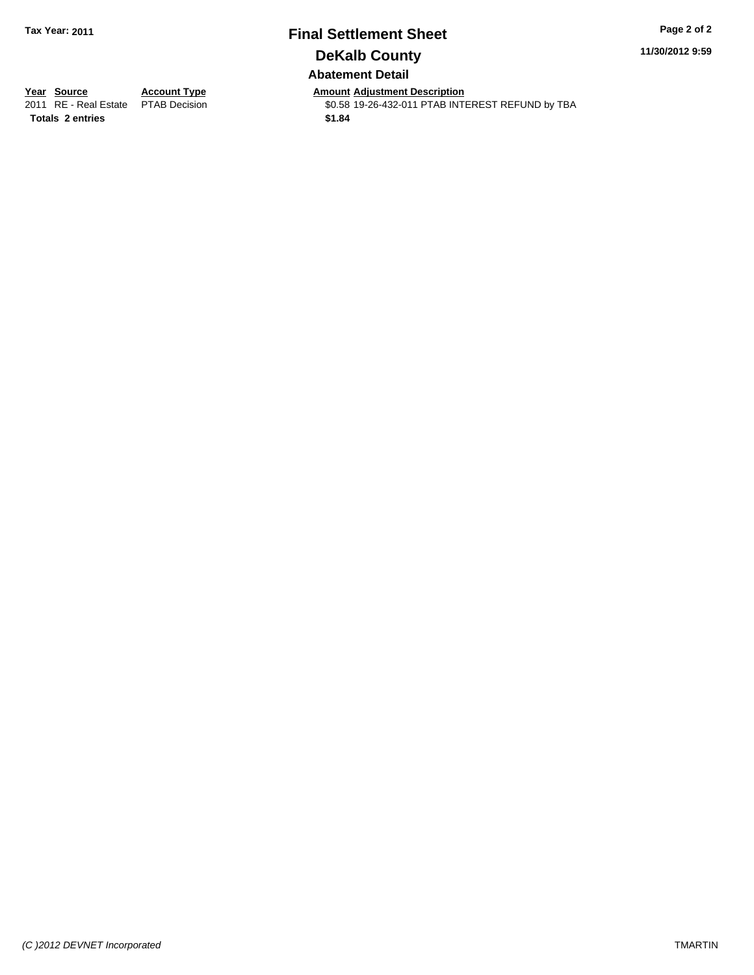## **Final Settlement Sheet Tax Year: 2011 Page 2 of 2 DeKalb County Abatement Detail**

**11/30/2012 9:59**

**Totals \$1.84 2 entries**

**Year Source Account Type Amount Adjustment Description**<br>2011 RE - Real Estate PTAB Decision **Amount \$0.58** 19-26-432-011 PTAB INTI \$0.58 19-26-432-011 PTAB INTEREST REFUND by TBA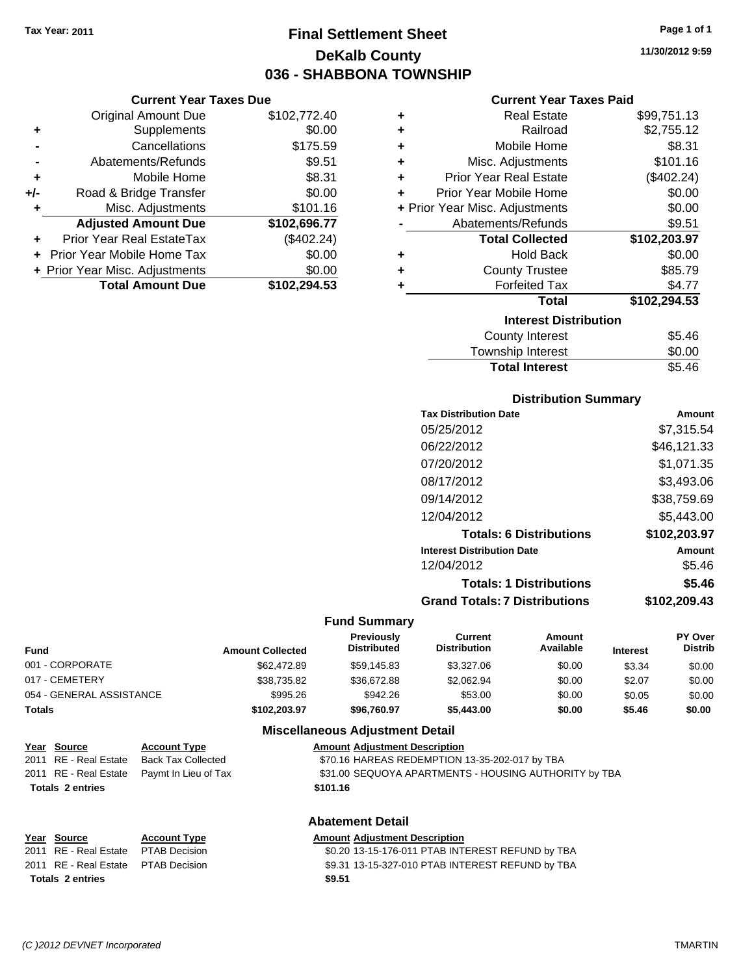# **Final Settlement Sheet Tax Year: 2011 Page 1 of 1 DeKalb County 036 - SHABBONA TOWNSHIP**

**11/30/2012 9:59**

### **Current Year Taxes Paid**

| ٠ | <b>Real Estate</b>             | \$99,751.13  |
|---|--------------------------------|--------------|
| ٠ | Railroad                       | \$2,755.12   |
| ٠ | Mobile Home                    | \$8.31       |
| ٠ | Misc. Adjustments              | \$101.16     |
| ٠ | <b>Prior Year Real Estate</b>  | (\$402.24)   |
| ٠ | Prior Year Mobile Home         | \$0.00       |
|   | + Prior Year Misc. Adjustments | \$0.00       |
|   | Abatements/Refunds             | \$9.51       |
|   | <b>Total Collected</b>         | \$102,203.97 |
| ٠ | <b>Hold Back</b>               | \$0.00       |
| ٠ | <b>County Trustee</b>          | \$85.79      |
| ٠ | <b>Forfeited Tax</b>           | \$4.77       |
|   | <b>Total</b>                   | \$102,294.53 |
|   | <b>Interest Distribution</b>   |              |
|   | <b>County Interest</b>         | \$5.46       |
|   |                                |              |

| <b>Total Interest</b> | \$5.46 |
|-----------------------|--------|
| Township Interest     | \$0.00 |
| County Interest       | ა5.40  |

### **Distribution Summary**

| <b>Tax Distribution Date</b>         | Amount       |
|--------------------------------------|--------------|
| 05/25/2012                           | \$7.315.54   |
| 06/22/2012                           | \$46,121.33  |
| 07/20/2012                           | \$1,071.35   |
| 08/17/2012                           | \$3,493.06   |
| 09/14/2012                           | \$38,759.69  |
| 12/04/2012                           | \$5.443.00   |
| <b>Totals: 6 Distributions</b>       | \$102,203.97 |
| <b>Interest Distribution Date</b>    | Amount       |
| 12/04/2012                           | \$5.46       |
| <b>Totals: 1 Distributions</b>       | \$5.46       |
| <b>Grand Totals: 7 Distributions</b> | \$102,209.43 |
|                                      |              |

### **Fund Summary**

| <b>Fund</b>              | <b>Amount Collected</b> | <b>Previously</b><br><b>Distributed</b> | Current<br><b>Distribution</b> | Amount<br>Available | <b>Interest</b> | <b>PY Over</b><br><b>Distrib</b> |
|--------------------------|-------------------------|-----------------------------------------|--------------------------------|---------------------|-----------------|----------------------------------|
| 001 - CORPORATE          | \$62,472.89             | \$59,145.83                             | \$3,327.06                     | \$0.00              | \$3.34          | \$0.00                           |
| 017 - CEMETERY           | \$38.735.82             | \$36,672.88                             | \$2,062.94                     | \$0.00              | \$2.07          | \$0.00                           |
| 054 - GENERAL ASSISTANCE | \$995.26                | \$942.26                                | \$53.00                        | \$0.00              | \$0.05          | \$0.00                           |
| Totals                   | \$102,203.97            | \$96,760.97                             | \$5,443,00                     | \$0.00              | \$5.46          | \$0.00                           |

### **Miscellaneous Adjustment Detail**

| Year Source | <b>Account Type</b>                      | <b>Amount Adiustment Description</b>           |
|-------------|------------------------------------------|------------------------------------------------|
|             | 2011 RE - Real Estate Back Tax Collected | \$70.16 HAREAS REDEMPTION 13-35-202-017 by TBA |

**Current Year Taxes Due** Original Amount Due \$102,772.40

**Adjusted Amount Due \$102,696.77**

**Total Amount Due \$102,294.53**

**+** Supplements \$0.00 **-** Cancellations \$175.59 **-** Abatements/Refunds **\$9.51 +** Mobile Home \$8.31 **+/-** Road & Bridge Transfer \$0.00 **+** Misc. Adjustments \$101.16

**+** Prior Year Real EstateTax (\$402.24) **+** Prior Year Mobile Home Tax \$0.00 **+ Prior Year Misc. Adjustments**  $$0.00$ 

2011 RE - Real Estate Paymt In Lieu of Tax **\$31.00 SEQUOYA APARTMENTS - HOUSING AUTHORITY by TBA Totals \$101.16 2 entries**

## **Abatement Detail**

| Year Source                         | <b>Account Type</b> | <b>Amount Adjustment Description</b>             |
|-------------------------------------|---------------------|--------------------------------------------------|
| 2011 RE - Real Estate PTAB Decision |                     | \$0.20 13-15-176-011 PTAB INTEREST REFUND by TBA |
| 2011 RE - Real Estate PTAB Decision |                     | \$9.31 13-15-327-010 PTAB INTEREST REFUND by TBA |
| <b>Totals 2 entries</b>             |                     | \$9.51                                           |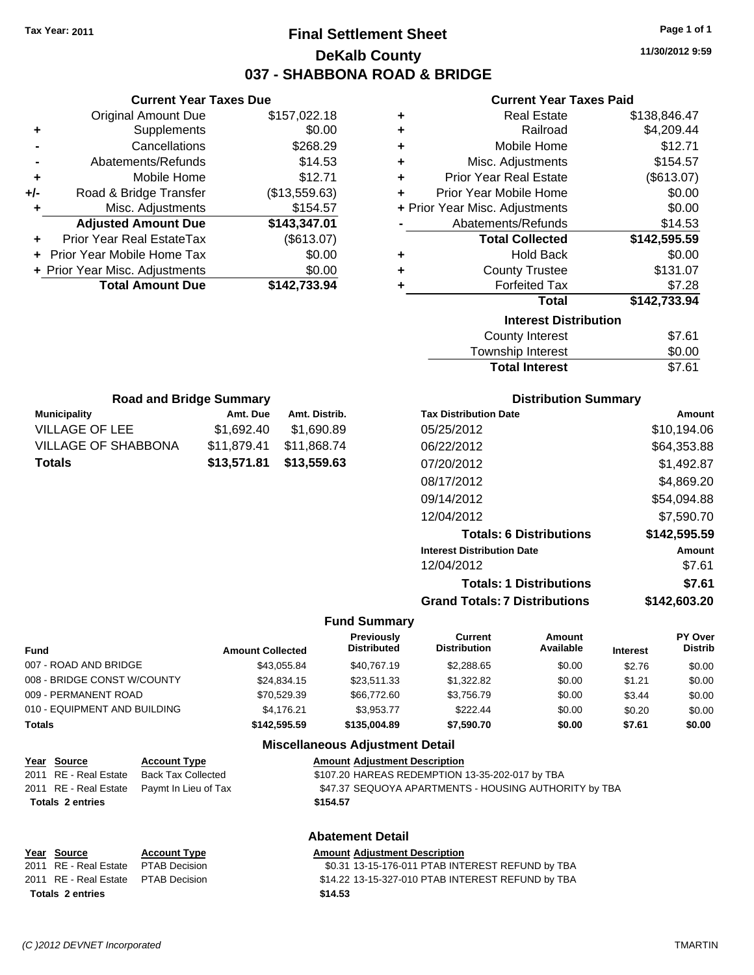# **Final Settlement Sheet Tax Year: 2011 Page 1 of 1 DeKalb County 037 - SHABBONA ROAD & BRIDGE**

**11/30/2012 9:59**

### **Current Year Taxes Paid**

| ٠ | <b>Real Estate</b>                  | \$138,846.47 |
|---|-------------------------------------|--------------|
| ٠ | Railroad                            | \$4,209.44   |
| ÷ | Mobile Home                         | \$12.71      |
| ٠ | Misc. Adjustments                   | \$154.57     |
| ÷ | <b>Prior Year Real Estate</b>       | (\$613.07)   |
| ÷ | Prior Year Mobile Home              | \$0.00       |
|   | + Prior Year Misc. Adjustments      | \$0.00       |
|   | Abatements/Refunds                  | \$14.53      |
|   | <b>Total Collected</b>              | \$142,595.59 |
| ٠ | <b>Hold Back</b>                    | \$0.00       |
| ÷ | <b>County Trustee</b>               | \$131.07     |
| ٠ | <b>Forfeited Tax</b>                | \$7.28       |
|   | <b>Total</b>                        | \$142,733.94 |
|   | <b>Interest Distribution</b>        |              |
|   | <b>County Interest</b>              | \$7.61       |
|   | المتحديث والمراسا والمستندد والمتحا | ጦ ለለ         |

| <b>Total Interest</b> | \$7.61 |
|-----------------------|--------|
| Township Interest     | \$0.00 |
| County Interest       | \$7.61 |

| <b>Road and Bridge Summary</b> |             |               |  |
|--------------------------------|-------------|---------------|--|
| <b>Municipality</b>            | Amt. Due    | Amt. Distrib. |  |
| VILLAGE OF LEE                 | \$1.692.40  | \$1,690.89    |  |
| <b>VILLAGE OF SHABBONA</b>     | \$11,879.41 | \$11.868.74   |  |
| Totals                         | \$13,559.63 |               |  |

**Current Year Taxes Due** Original Amount Due \$157,022.18

**Adjusted Amount Due \$143,347.01**

**Total Amount Due \$142,733.94**

**+** Supplements \$0.00 **-** Cancellations \$268.29 **-** Abatements/Refunds \$14.53 **+** Mobile Home \$12.71 **+/-** Road & Bridge Transfer (\$13,559.63) **+** Misc. Adjustments \$154.57

**+** Prior Year Real EstateTax (\$613.07) **+** Prior Year Mobile Home Tax \$0.00 **+ Prior Year Misc. Adjustments**  $$0.00$ 

### **Distribution Summary**

| Amount       |
|--------------|
| \$10,194.06  |
| \$64,353.88  |
| \$1,492.87   |
| \$4,869.20   |
| \$54,094.88  |
| \$7,590.70   |
| \$142,595.59 |
| Amount       |
| \$7.61       |
| \$7.61       |
| \$142.603.20 |
|              |

### **Fund Summary**

| <b>Fund</b>                  | <b>Amount Collected</b> | Previously<br><b>Distributed</b> | Current<br><b>Distribution</b> | Amount<br>Available | <b>Interest</b> | PY Over<br><b>Distrib</b> |
|------------------------------|-------------------------|----------------------------------|--------------------------------|---------------------|-----------------|---------------------------|
| 007 - ROAD AND BRIDGE        | \$43,055.84             | \$40,767.19                      | \$2,288.65                     | \$0.00              | \$2.76          | \$0.00                    |
| 008 - BRIDGE CONST W/COUNTY  | \$24,834.15             | \$23,511.33                      | \$1,322.82                     | \$0.00              | \$1.21          | \$0.00                    |
| 009 - PERMANENT ROAD         | \$70,529.39             | \$66,772,60                      | \$3.756.79                     | \$0.00              | \$3.44          | \$0.00                    |
| 010 - EQUIPMENT AND BUILDING | \$4.176.21              | \$3.953.77                       | \$222.44                       | \$0.00              | \$0.20          | \$0.00                    |
| <b>Totals</b>                | \$142,595.59            | \$135,004.89                     | \$7.590.70                     | \$0.00              | \$7.61          | \$0.00                    |

## **Miscellaneous Adjustment Detail**

| <u>Year Source</u>      | <b>Account Type</b>                        | <b>Amount Adjustment Description</b>                  |
|-------------------------|--------------------------------------------|-------------------------------------------------------|
| 2011 RE - Real Estate   | Back Tax Collected                         | \$107.20 HAREAS REDEMPTION 13-35-202-017 by TBA       |
|                         | 2011 RE - Real Estate Paymt In Lieu of Tax | \$47.37 SEQUOYA APARTMENTS - HOUSING AUTHORITY by TBA |
| <b>Totals 2 entries</b> |                                            | \$154.57                                              |
|                         |                                            |                                                       |

### **Abatement Detail**

### **Year Source Account Type Amount Adjustment Description** 2011 RE - Real Estate \$0.31 13-15-176-011 PTAB INTEREST REFUND by TBA PTAB Decision 2011 RE - Real Estate \$14.22 13-15-327-010 PTAB INTEREST REFUND by TBA PTAB Decision **Totals \$14.53 2 entries**

*(C )2012 DEVNET Incorporated* TMARTIN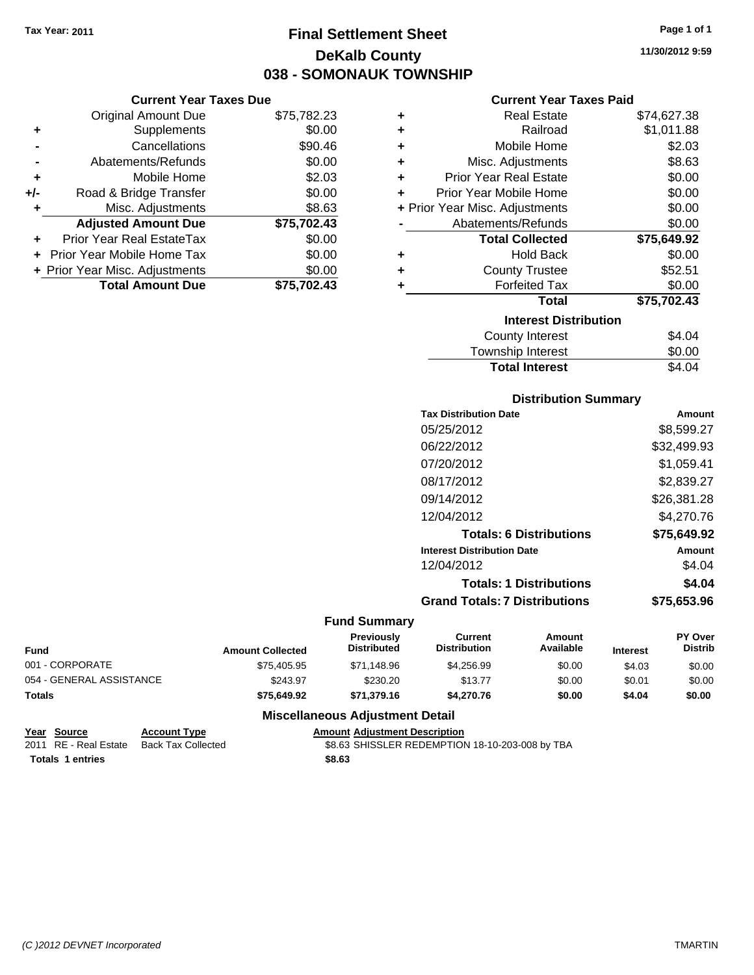# **Final Settlement Sheet Tax Year: 2011 Page 1 of 1 DeKalb County 038 - SOMONAUK TOWNSHIP**

**11/30/2012 9:59**

## **Current Year Taxes Paid**

|     | <b>Current Year Taxes Due</b>     |             |  |
|-----|-----------------------------------|-------------|--|
|     | <b>Original Amount Due</b>        | \$75,782.23 |  |
| ٠   | Supplements                       | \$0.00      |  |
|     | Cancellations                     | \$90.46     |  |
|     | Abatements/Refunds                | \$0.00      |  |
|     | Mobile Home                       | \$2.03      |  |
| +/- | Road & Bridge Transfer            | \$0.00      |  |
|     | Misc. Adjustments                 | \$8.63      |  |
|     | <b>Adjusted Amount Due</b>        | \$75,702.43 |  |
| ÷   | Prior Year Real EstateTax         | \$0.00      |  |
|     | <b>Prior Year Mobile Home Tax</b> | \$0.00      |  |
|     | + Prior Year Misc. Adjustments    | \$0.00      |  |
|     | <b>Total Amount Due</b>           | \$75,702.43 |  |
|     |                                   |             |  |

| ٠ | <b>Real Estate</b>             | \$74,627.38 |
|---|--------------------------------|-------------|
| ٠ | Railroad                       | \$1,011.88  |
| ٠ | Mobile Home                    | \$2.03      |
| ٠ | Misc. Adjustments              | \$8.63      |
| ٠ | <b>Prior Year Real Estate</b>  | \$0.00      |
| ٠ | Prior Year Mobile Home         | \$0.00      |
|   | + Prior Year Misc. Adjustments | \$0.00      |
|   | Abatements/Refunds             | \$0.00      |
|   | <b>Total Collected</b>         | \$75,649.92 |
| ٠ | <b>Hold Back</b>               | \$0.00      |
| ÷ | <b>County Trustee</b>          | \$52.51     |
| ٠ | <b>Forfeited Tax</b>           | \$0.00      |
|   | Total                          | \$75,702.43 |
|   | <b>Interest Distribution</b>   |             |
|   | County Interest                | \$4.04      |
|   | <b>Township Interest</b>       | \$0.00      |
|   | <b>Total Interest</b>          | \$4.04      |

## **Distribution Summary**

| <b>Tax Distribution Date</b>         | Amount      |
|--------------------------------------|-------------|
| 05/25/2012                           | \$8,599.27  |
| 06/22/2012                           | \$32,499.93 |
| 07/20/2012                           | \$1,059.41  |
| 08/17/2012                           | \$2,839.27  |
| 09/14/2012                           | \$26,381.28 |
| 12/04/2012                           | \$4,270.76  |
| <b>Totals: 6 Distributions</b>       | \$75,649.92 |
| <b>Interest Distribution Date</b>    | Amount      |
| 12/04/2012                           | \$4.04      |
| <b>Totals: 1 Distributions</b>       | \$4.04      |
| <b>Grand Totals: 7 Distributions</b> | \$75,653.96 |
|                                      |             |

### **Fund Summary**

| <b>Fund</b>              | <b>Amount Collected</b> | <b>Previously</b><br><b>Distributed</b> | Current<br><b>Distribution</b> | Amount<br>Available | <b>Interest</b> | <b>PY Over</b><br><b>Distrib</b> |
|--------------------------|-------------------------|-----------------------------------------|--------------------------------|---------------------|-----------------|----------------------------------|
| 001 - CORPORATE          | \$75,405.95             | \$71.148.96                             | \$4,256.99                     | \$0.00              | \$4.03          | \$0.00                           |
| 054 - GENERAL ASSISTANCE | \$243.97                | \$230.20                                | \$13.77                        | \$0.00              | \$0.01          | \$0.00                           |
| <b>Totals</b>            | \$75,649.92             | \$71,379.16                             | \$4,270.76                     | \$0.00              | \$4.04          | \$0.00                           |

| Year Source             | <b>Account Type</b>                      | <b>Amount Adiustment Description</b>            |
|-------------------------|------------------------------------------|-------------------------------------------------|
|                         | 2011 RE - Real Estate Back Tax Collected | \$8.63 SHISSLER REDEMPTION 18-10-203-008 by TBA |
| <b>Totals 1 entries</b> |                                          | \$8.63                                          |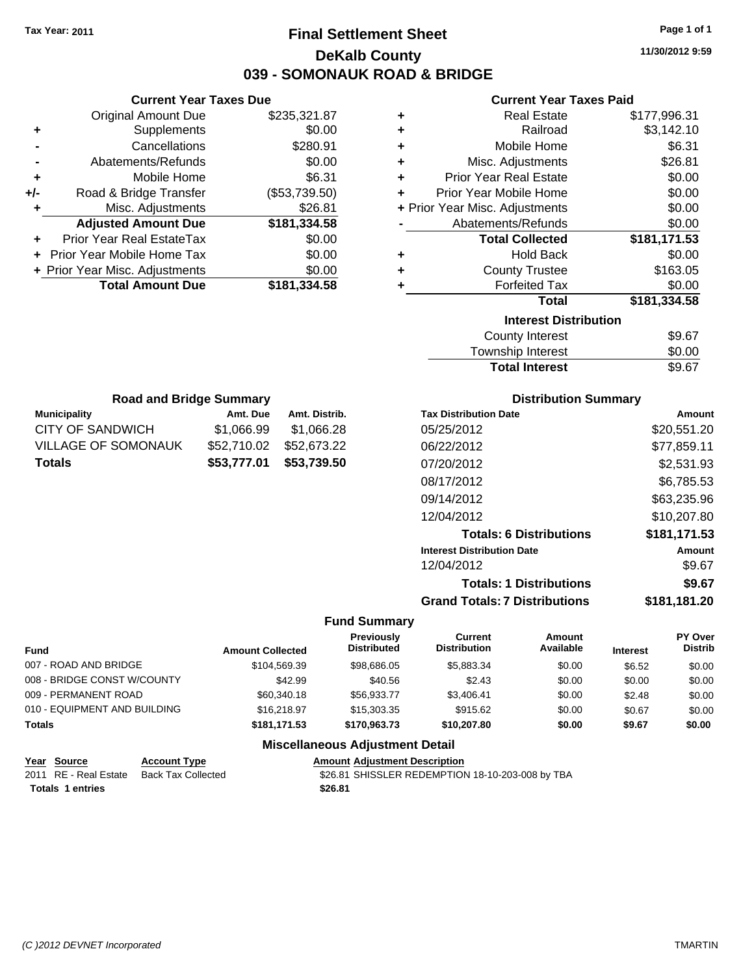# **Final Settlement Sheet Tax Year: 2011 Page 1 of 1 DeKalb County 039 - SOMONAUK ROAD & BRIDGE**

**11/30/2012 9:59**

## **Current Year Taxes Paid**

| ٠ | <b>Real Estate</b>             | \$177,996.31 |
|---|--------------------------------|--------------|
| ٠ | Railroad                       | \$3,142.10   |
| ٠ | Mobile Home                    | \$6.31       |
| ٠ | Misc. Adjustments              | \$26.81      |
| ÷ | <b>Prior Year Real Estate</b>  | \$0.00       |
| ٠ | Prior Year Mobile Home         | \$0.00       |
|   | + Prior Year Misc. Adjustments | \$0.00       |
|   | Abatements/Refunds             | \$0.00       |
|   | <b>Total Collected</b>         | \$181,171.53 |
| ٠ | <b>Hold Back</b>               | \$0.00       |
| ٠ | <b>County Trustee</b>          | \$163.05     |
| ٠ | <b>Forfeited Tax</b>           | \$0.00       |
|   | <b>Total</b>                   | \$181,334.58 |
|   | <b>Interest Distribution</b>   |              |
|   | <b>County Interest</b>         | \$9.67       |
|   |                                |              |

| County Interest       | \$9.67 |
|-----------------------|--------|
| Township Interest     | \$0.00 |
| <b>Total Interest</b> | \$9.67 |

| <b>Road and Bridge Summary</b> |             |               |  |  |
|--------------------------------|-------------|---------------|--|--|
| <b>Municipality</b>            | Amt. Due    | Amt. Distrib. |  |  |
| CITY OF SANDWICH               | \$1,066.99  | \$1,066.28    |  |  |
| <b>VILLAGE OF SOMONAUK</b>     | \$52,710.02 | \$52,673.22   |  |  |
| <b>Totals</b>                  | \$53,777.01 | \$53,739.50   |  |  |

**Current Year Taxes Due** Original Amount Due \$235,321.87

**Adjusted Amount Due \$181,334.58**

**Total Amount Due \$181,334.58**

**+** Supplements \$0.00 **-** Cancellations \$280.91 **-** Abatements/Refunds \$0.00 **+** Mobile Home \$6.31 **+/-** Road & Bridge Transfer (\$53,739.50) **+** Misc. Adjustments \$26.81

**+** Prior Year Real EstateTax \$0.00 **+** Prior Year Mobile Home Tax \$0.00 **+ Prior Year Misc. Adjustments**  $$0.00$ 

### **Distribution Summary**

| <b>Tax Distribution Date</b>         | Amount       |
|--------------------------------------|--------------|
| 05/25/2012                           | \$20,551.20  |
| 06/22/2012                           | \$77,859.11  |
| 07/20/2012                           | \$2,531.93   |
| 08/17/2012                           | \$6,785.53   |
| 09/14/2012                           | \$63,235.96  |
| 12/04/2012                           | \$10,207.80  |
| <b>Totals: 6 Distributions</b>       | \$181,171.53 |
| <b>Interest Distribution Date</b>    | Amount       |
| 12/04/2012                           | \$9.67       |
| <b>Totals: 1 Distributions</b>       | \$9.67       |
| <b>Grand Totals: 7 Distributions</b> | \$181.181.20 |

### **Fund Summary**

| <b>Fund</b>                  | <b>Amount Collected</b> | <b>Previously</b><br><b>Distributed</b> | Current<br><b>Distribution</b> | Amount<br>Available | <b>Interest</b> | PY Over<br><b>Distrib</b> |
|------------------------------|-------------------------|-----------------------------------------|--------------------------------|---------------------|-----------------|---------------------------|
| 007 - ROAD AND BRIDGE        | \$104.569.39            | \$98,686,05                             | \$5,883,34                     | \$0.00              | \$6.52          | \$0.00                    |
| 008 - BRIDGE CONST W/COUNTY  | \$42.99                 | \$40.56                                 | \$2.43                         | \$0.00              | \$0.00          | \$0.00                    |
| 009 - PERMANENT ROAD         | \$60,340.18             | \$56,933,77                             | \$3.406.41                     | \$0.00              | \$2.48          | \$0.00                    |
| 010 - EQUIPMENT AND BUILDING | \$16,218.97             | \$15,303.35                             | \$915.62                       | \$0.00              | \$0.67          | \$0.00                    |
| <b>Totals</b>                | \$181.171.53            | \$170,963,73                            | \$10,207.80                    | \$0.00              | \$9.67          | \$0.00                    |

| Year Source             | <b>Account Type</b>                      | <b>Amount Adiustment Description</b>             |
|-------------------------|------------------------------------------|--------------------------------------------------|
|                         | 2011 RE - Real Estate Back Tax Collected | \$26.81 SHISSLER REDEMPTION 18-10-203-008 by TBA |
| <b>Totals 1 entries</b> |                                          | \$26.81                                          |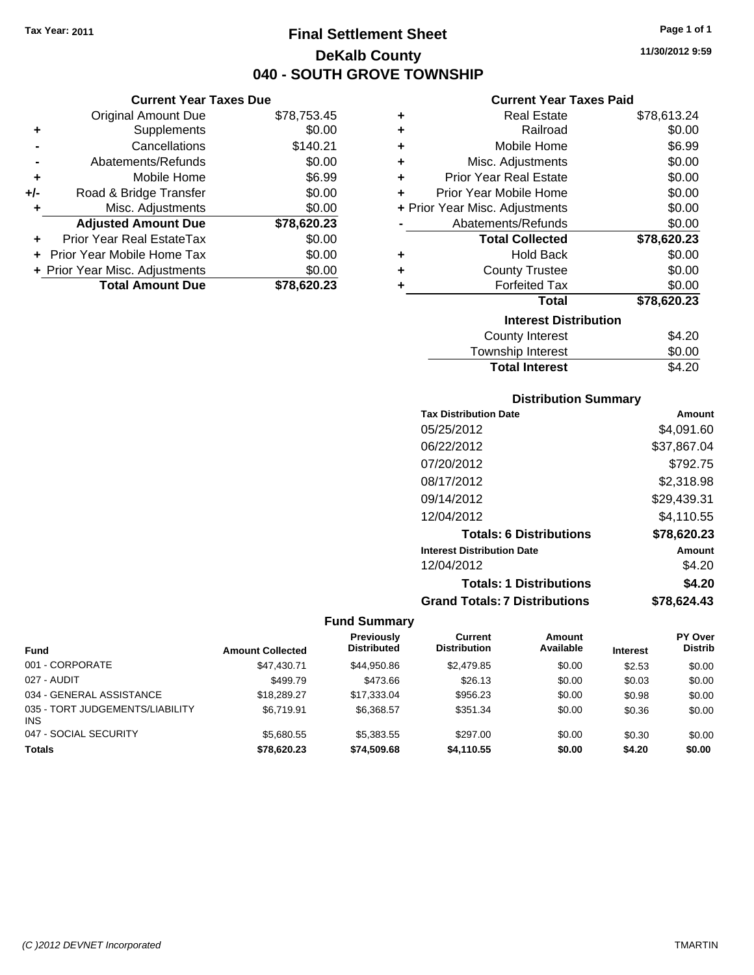**Current Year Taxes Due** Original Amount Due \$78,753.45

**Adjusted Amount Due \$78,620.23**

**Total Amount Due \$78,620.23**

**+** Supplements \$0.00 **-** Cancellations \$140.21 **-** Abatements/Refunds \$0.00 **+** Mobile Home \$6.99 **+/-** Road & Bridge Transfer \$0.00 **+** Misc. Adjustments \$0.00

**+** Prior Year Real EstateTax \$0.00 **+** Prior Year Mobile Home Tax \$0.00 **+ Prior Year Misc. Adjustments**  $$0.00$ 

# **Final Settlement Sheet Tax Year: 2011 Page 1 of 1 DeKalb County 040 - SOUTH GROVE TOWNSHIP**

**11/30/2012 9:59**

### **Current Year Taxes Paid**

| ٠ | <b>Real Estate</b>             | \$78,613.24 |
|---|--------------------------------|-------------|
| ٠ | Railroad                       | \$0.00      |
| ٠ | Mobile Home                    | \$6.99      |
| ٠ | Misc. Adjustments              | \$0.00      |
| ٠ | <b>Prior Year Real Estate</b>  | \$0.00      |
| ÷ | Prior Year Mobile Home         | \$0.00      |
|   | + Prior Year Misc. Adjustments | \$0.00      |
|   | Abatements/Refunds             | \$0.00      |
|   |                                |             |
|   | <b>Total Collected</b>         | \$78,620.23 |
| ٠ | <b>Hold Back</b>               | \$0.00      |
| ٠ | <b>County Trustee</b>          | \$0.00      |
| ٠ | <b>Forfeited Tax</b>           | \$0.00      |
|   | <b>Total</b>                   | \$78,620.23 |
|   | <b>Interest Distribution</b>   |             |
|   | County Interest                | \$4.20      |

## **Distribution Summary**

Total Interest \$4.20

| <b>Tax Distribution Date</b>         | Amount      |
|--------------------------------------|-------------|
| 05/25/2012                           | \$4,091.60  |
| 06/22/2012                           | \$37,867.04 |
| 07/20/2012                           | \$792.75    |
| 08/17/2012                           | \$2,318.98  |
| 09/14/2012                           | \$29,439.31 |
| 12/04/2012                           | \$4.110.55  |
| <b>Totals: 6 Distributions</b>       | \$78,620.23 |
| <b>Interest Distribution Date</b>    | Amount      |
| 12/04/2012                           | \$4.20      |
| <b>Totals: 1 Distributions</b>       | \$4.20      |
| <b>Grand Totals: 7 Distributions</b> | \$78,624.43 |

| Fund                                          | <b>Amount Collected</b> | <b>Previously</b><br><b>Distributed</b> | Current<br><b>Distribution</b> | Amount<br>Available | <b>Interest</b> | PY Over<br><b>Distrib</b> |
|-----------------------------------------------|-------------------------|-----------------------------------------|--------------------------------|---------------------|-----------------|---------------------------|
| 001 - CORPORATE                               | \$47,430.71             | \$44.950.86                             | \$2,479.85                     | \$0.00              | \$2.53          | \$0.00                    |
| 027 - AUDIT                                   | \$499.79                | \$473.66                                | \$26.13                        | \$0.00              |                 |                           |
|                                               |                         |                                         |                                |                     | \$0.03          | \$0.00                    |
| 034 - GENERAL ASSISTANCE                      | \$18,289.27             | \$17,333,04                             | \$956.23                       | \$0.00              | \$0.98          | \$0.00                    |
| 035 - TORT JUDGEMENTS/LIABILITY<br><b>INS</b> | \$6.719.91              | \$6.368.57                              | \$351.34                       | \$0.00              | \$0.36          | \$0.00                    |
| 047 - SOCIAL SECURITY                         | \$5.680.55              | \$5,383,55                              | \$297.00                       | \$0.00              | \$0.30          | \$0.00                    |
| <b>Totals</b>                                 | \$78,620.23             | \$74,509,68                             | \$4.110.55                     | \$0.00              | \$4.20          | \$0.00                    |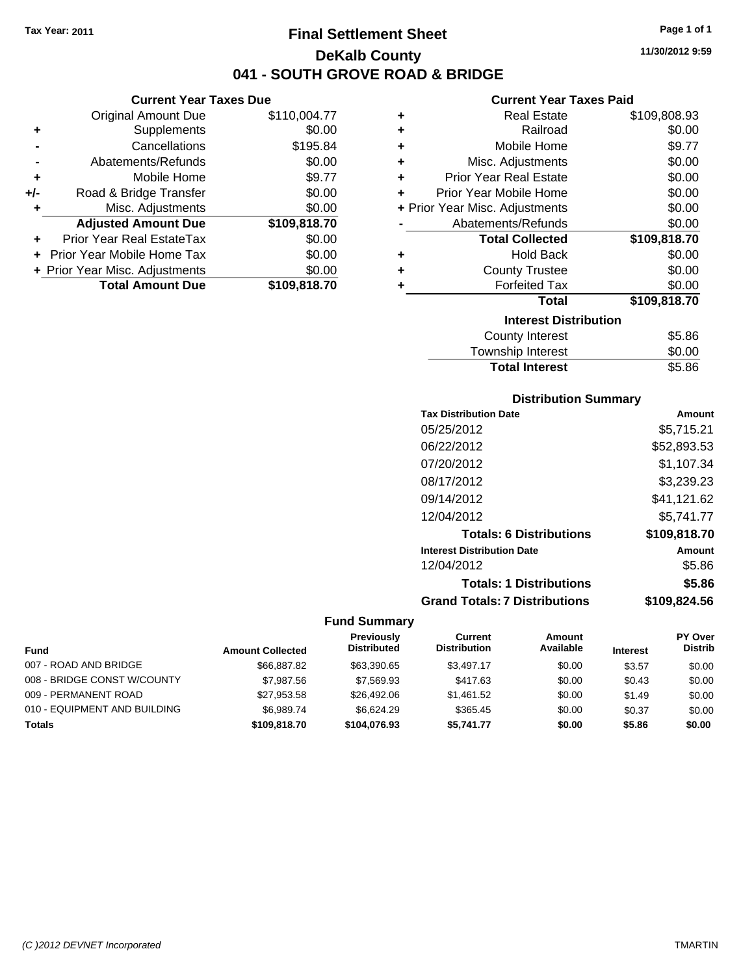# **Final Settlement Sheet Tax Year: 2011 Page 1 of 1 DeKalb County 041 - SOUTH GROVE ROAD & BRIDGE**

## **Current Year Taxes Due**

|       | <b>Original Amount Due</b>     | \$110,004.77 |
|-------|--------------------------------|--------------|
| ٠     | Supplements                    | \$0.00       |
|       | Cancellations                  | \$195.84     |
|       | Abatements/Refunds             | \$0.00       |
| ÷     | Mobile Home                    | \$9.77       |
| $+/-$ | Road & Bridge Transfer         | \$0.00       |
| ٠     | Misc. Adjustments              | \$0.00       |
|       | <b>Adjusted Amount Due</b>     | \$109,818.70 |
|       | Prior Year Real EstateTax      | \$0.00       |
|       | Prior Year Mobile Home Tax     | \$0.00       |
|       | + Prior Year Misc. Adjustments | \$0.00       |
|       | <b>Total Amount Due</b>        | \$109.818.70 |

### **Current Year Taxes Paid**

| ٠ | <b>Real Estate</b>             | \$109,808.93 |
|---|--------------------------------|--------------|
| ÷ | Railroad                       | \$0.00       |
| ÷ | Mobile Home                    | \$9.77       |
| ٠ | Misc. Adjustments              | \$0.00       |
| ÷ | <b>Prior Year Real Estate</b>  | \$0.00       |
| ÷ | Prior Year Mobile Home         | \$0.00       |
|   | + Prior Year Misc. Adjustments | \$0.00       |
|   | Abatements/Refunds             | \$0.00       |
|   | <b>Total Collected</b>         | \$109,818.70 |
| ٠ | <b>Hold Back</b>               | \$0.00       |
| ÷ | <b>County Trustee</b>          | \$0.00       |
| ٠ | <b>Forfeited Tax</b>           | \$0.00       |
|   | <b>Total</b>                   | \$109,818.70 |
|   | <b>Interest Distribution</b>   |              |
|   | <b>County Interest</b>         | \$5.86       |
|   |                                |              |

## Township Interest \$0.00<br>
Total Interest \$5.86 **Total Interest**

## **Distribution Summary**

| <b>Tax Distribution Date</b>         | Amount       |
|--------------------------------------|--------------|
| 05/25/2012                           | \$5,715.21   |
| 06/22/2012                           | \$52,893.53  |
| 07/20/2012                           | \$1,107.34   |
| 08/17/2012                           | \$3,239.23   |
| 09/14/2012                           | \$41,121.62  |
| 12/04/2012                           | \$5,741.77   |
| <b>Totals: 6 Distributions</b>       | \$109,818.70 |
| <b>Interest Distribution Date</b>    | Amount       |
| 12/04/2012                           | \$5.86       |
| <b>Totals: 1 Distributions</b>       | \$5.86       |
| <b>Grand Totals: 7 Distributions</b> | \$109,824.56 |

|                              |                         | <b>Previously</b>  | Current             | Amount    |                 | <b>PY Over</b> |
|------------------------------|-------------------------|--------------------|---------------------|-----------|-----------------|----------------|
| <b>Fund</b>                  | <b>Amount Collected</b> | <b>Distributed</b> | <b>Distribution</b> | Available | <b>Interest</b> | <b>Distrib</b> |
| 007 - ROAD AND BRIDGE        | \$66,887.82             | \$63.390.65        | \$3.497.17          | \$0.00    | \$3.57          | \$0.00         |
| 008 - BRIDGE CONST W/COUNTY  | \$7.987.56              | \$7,569.93         | \$417.63            | \$0.00    | \$0.43          | \$0.00         |
| 009 - PERMANENT ROAD         | \$27,953.58             | \$26,492.06        | \$1,461.52          | \$0.00    | \$1.49          | \$0.00         |
| 010 - EQUIPMENT AND BUILDING | \$6.989.74              | \$6.624.29         | \$365.45            | \$0.00    | \$0.37          | \$0.00         |
| <b>Totals</b>                | \$109,818.70            | \$104,076,93       | \$5,741.77          | \$0.00    | \$5.86          | \$0.00         |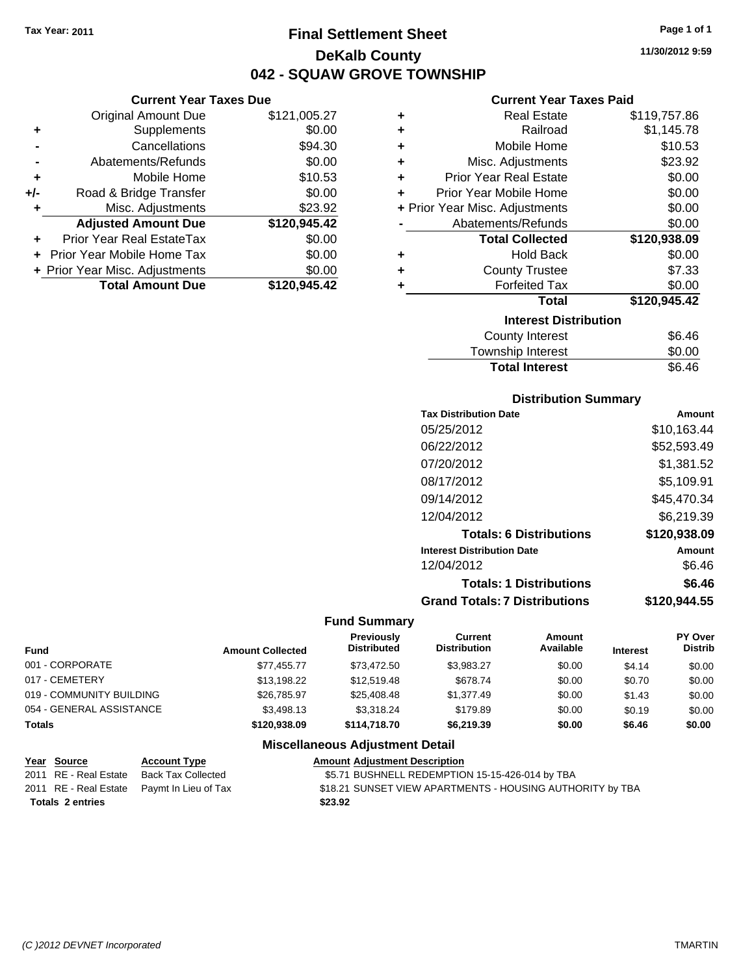**Current Year Taxes Due** Original Amount Due \$121,005.27

**Adjusted Amount Due \$120,945.42**

**Total Amount Due \$120,945.42**

**+** Supplements \$0.00 **-** Cancellations \$94.30 **-** Abatements/Refunds \$0.00 **+** Mobile Home \$10.53 **+/-** Road & Bridge Transfer \$0.00 **+** Misc. Adjustments \$23.92

**+** Prior Year Real EstateTax \$0.00 **+** Prior Year Mobile Home Tax \$0.00 **+ Prior Year Misc. Adjustments**  $$0.00$ 

# **Final Settlement Sheet Tax Year: 2011 Page 1 of 1 DeKalb County 042 - SQUAW GROVE TOWNSHIP**

**11/30/2012 9:59**

## **Current Year Taxes Paid**

| ٠ | <b>Real Estate</b>             | \$119,757.86 |
|---|--------------------------------|--------------|
| ٠ | Railroad                       | \$1,145.78   |
| ٠ | Mobile Home                    | \$10.53      |
| ٠ | Misc. Adjustments              | \$23.92      |
| ÷ | <b>Prior Year Real Estate</b>  | \$0.00       |
|   | Prior Year Mobile Home         | \$0.00       |
|   | + Prior Year Misc. Adjustments | \$0.00       |
|   | Abatements/Refunds             | \$0.00       |
|   | <b>Total Collected</b>         | \$120,938.09 |
| ٠ | <b>Hold Back</b>               | \$0.00       |
|   | <b>County Trustee</b>          | \$7.33       |
|   | <b>Forfeited Tax</b>           | \$0.00       |
|   | <b>Total</b>                   | \$120,945.42 |
|   | <b>Interest Distribution</b>   |              |
|   | <b>County Interest</b>         | \$6.46       |
|   |                                |              |

| <b>Total Interest</b> | \$6.46 |
|-----------------------|--------|
| Township Interest     | \$0.00 |
| County Interest       | \$6.46 |

### **Distribution Summary**

| <b>Tax Distribution Date</b>         | Amount       |
|--------------------------------------|--------------|
| 05/25/2012                           | \$10,163.44  |
| 06/22/2012                           | \$52,593.49  |
| 07/20/2012                           | \$1,381.52   |
| 08/17/2012                           | \$5,109.91   |
| 09/14/2012                           | \$45,470.34  |
| 12/04/2012                           | \$6,219.39   |
| <b>Totals: 6 Distributions</b>       | \$120,938.09 |
| <b>Interest Distribution Date</b>    | Amount       |
| 12/04/2012                           | \$6.46       |
| <b>Totals: 1 Distributions</b>       | \$6.46       |
| <b>Grand Totals: 7 Distributions</b> | \$120.944.55 |
|                                      |              |

### **Fund Summary**

| <b>Fund</b>              | <b>Amount Collected</b> | <b>Previously</b><br><b>Distributed</b> | Current<br><b>Distribution</b> | Amount<br>Available | <b>Interest</b> | PY Over<br><b>Distrib</b> |
|--------------------------|-------------------------|-----------------------------------------|--------------------------------|---------------------|-----------------|---------------------------|
| 001 - CORPORATE          | \$77.455.77             | \$73.472.50                             | \$3.983.27                     | \$0.00              | \$4.14          | \$0.00                    |
| 017 - CEMETERY           | \$13,198.22             | \$12,519.48                             | \$678.74                       | \$0.00              | \$0.70          | \$0.00                    |
| 019 - COMMUNITY BUILDING | \$26.785.97             | \$25,408,48                             | \$1,377.49                     | \$0.00              | \$1.43          | \$0.00                    |
| 054 - GENERAL ASSISTANCE | \$3.498.13              | \$3.318.24                              | \$179.89                       | \$0.00              | \$0.19          | \$0.00                    |
| <b>Totals</b>            | \$120,938.09            | \$114,718,70                            | \$6,219.39                     | \$0.00              | \$6.46          | \$0.00                    |

| <u>Year Source</u>      | <b>Account Type</b>                        | <b>Amount Adjustment Description</b>                      |
|-------------------------|--------------------------------------------|-----------------------------------------------------------|
| 2011 RE - Real Estate   | Back Tax Collected                         | \$5.71 BUSHNELL REDEMPTION 15-15-426-014 by TBA           |
|                         | 2011 RE - Real Estate Paymt In Lieu of Tax | \$18.21 SUNSET VIEW APARTMENTS - HOUSING AUTHORITY by TBA |
| <b>Totals 2 entries</b> |                                            | \$23.92                                                   |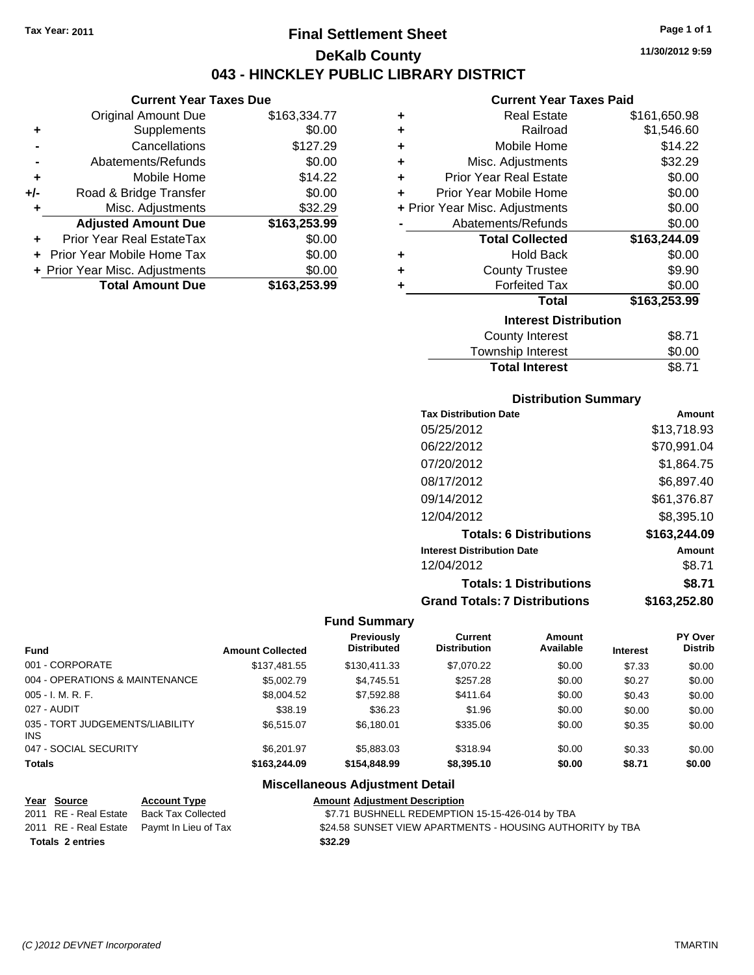## **Final Settlement Sheet Tax Year: 2011 Page 1 of 1 DeKalb County 043 - HINCKLEY PUBLIC LIBRARY DISTRICT**

### **Current Year Taxes Due**

|     | <b>Original Amount Due</b>        | \$163,334.77 |
|-----|-----------------------------------|--------------|
| ٠   | Supplements                       | \$0.00       |
|     | Cancellations                     | \$127.29     |
|     | Abatements/Refunds                | \$0.00       |
| ÷   | Mobile Home                       | \$14.22      |
| +/- | Road & Bridge Transfer            | \$0.00       |
| ٠   | Misc. Adjustments                 | \$32.29      |
|     | <b>Adjusted Amount Due</b>        | \$163,253.99 |
|     | Prior Year Real EstateTax         | \$0.00       |
|     | <b>Prior Year Mobile Home Tax</b> | \$0.00       |
|     | + Prior Year Misc. Adjustments    | \$0.00       |
|     | <b>Total Amount Due</b>           | \$163,253.99 |

### **Current Year Taxes Paid**

| ٠ | <b>Real Estate</b>             | \$161,650.98 |
|---|--------------------------------|--------------|
| ÷ | Railroad                       | \$1,546.60   |
| ÷ | Mobile Home                    | \$14.22      |
| ٠ | Misc. Adjustments              | \$32.29      |
| ٠ | <b>Prior Year Real Estate</b>  | \$0.00       |
| ÷ | Prior Year Mobile Home         | \$0.00       |
|   | + Prior Year Misc. Adjustments | \$0.00       |
|   | Abatements/Refunds             | \$0.00       |
|   | <b>Total Collected</b>         | \$163,244.09 |
| ٠ | <b>Hold Back</b>               | \$0.00       |
| ٠ | <b>County Trustee</b>          | \$9.90       |
| ٠ | <b>Forfeited Tax</b>           | \$0.00       |
|   | <b>Total</b>                   | \$163,253.99 |
|   | <b>Interest Distribution</b>   |              |
|   | <b>County Interest</b>         | \$8.71       |
|   |                                |              |

## Township Interest \$0.00<br>
Total Interest \$8.71 **Total Interest**

### **Distribution Summary**

| Amount       |
|--------------|
| \$13,718.93  |
| \$70,991.04  |
| \$1,864.75   |
| \$6,897.40   |
| \$61,376.87  |
| \$8,395.10   |
| \$163,244.09 |
| Amount       |
| \$8.71       |
| \$8.71       |
| \$163,252.80 |
|              |

### **Fund Summary**

|                                         |                         | <b>Previously</b>  | Current             | <b>Amount</b> |                 | <b>PY Over</b> |
|-----------------------------------------|-------------------------|--------------------|---------------------|---------------|-----------------|----------------|
| <b>Fund</b>                             | <b>Amount Collected</b> | <b>Distributed</b> | <b>Distribution</b> | Available     | <b>Interest</b> | <b>Distrib</b> |
| 001 - CORPORATE                         | \$137.481.55            | \$130.411.33       | \$7,070.22          | \$0.00        | \$7.33          | \$0.00         |
| 004 - OPERATIONS & MAINTENANCE          | \$5,002.79              | \$4,745.51         | \$257.28            | \$0.00        | \$0.27          | \$0.00         |
| 005 - I. M. R. F.                       | \$8,004.52              | \$7,592.88         | \$411.64            | \$0.00        | \$0.43          | \$0.00         |
| 027 - AUDIT                             | \$38.19                 | \$36.23            | \$1.96              | \$0.00        | \$0.00          | \$0.00         |
| 035 - TORT JUDGEMENTS/LIABILITY<br>INS. | \$6,515.07              | \$6.180.01         | \$335.06            | \$0.00        | \$0.35          | \$0.00         |
| 047 - SOCIAL SECURITY                   | \$6,201.97              | \$5,883.03         | \$318.94            | \$0.00        | \$0.33          | \$0.00         |
| <b>Totals</b>                           | \$163,244.09            | \$154,848.99       | \$8,395.10          | \$0.00        | \$8.71          | \$0.00         |

|                         |  |                                            | <b>MOVORATIVORU</b> / MJUONITUIT, DOMIN |                                                           |
|-------------------------|--|--------------------------------------------|-----------------------------------------|-----------------------------------------------------------|
| Year Source             |  | <b>Account Type</b>                        |                                         | <b>Amount Adjustment Description</b>                      |
| 2011 RE - Real Estate   |  | Back Tax Collected                         |                                         | \$7.71 BUSHNELL REDEMPTION 15-15-426-014 by TBA           |
|                         |  | 2011 RE - Real Estate Paymt In Lieu of Tax |                                         | \$24.58 SUNSET VIEW APARTMENTS - HOUSING AUTHORITY by TBA |
| <b>Totals 2 entries</b> |  |                                            | \$32.29                                 |                                                           |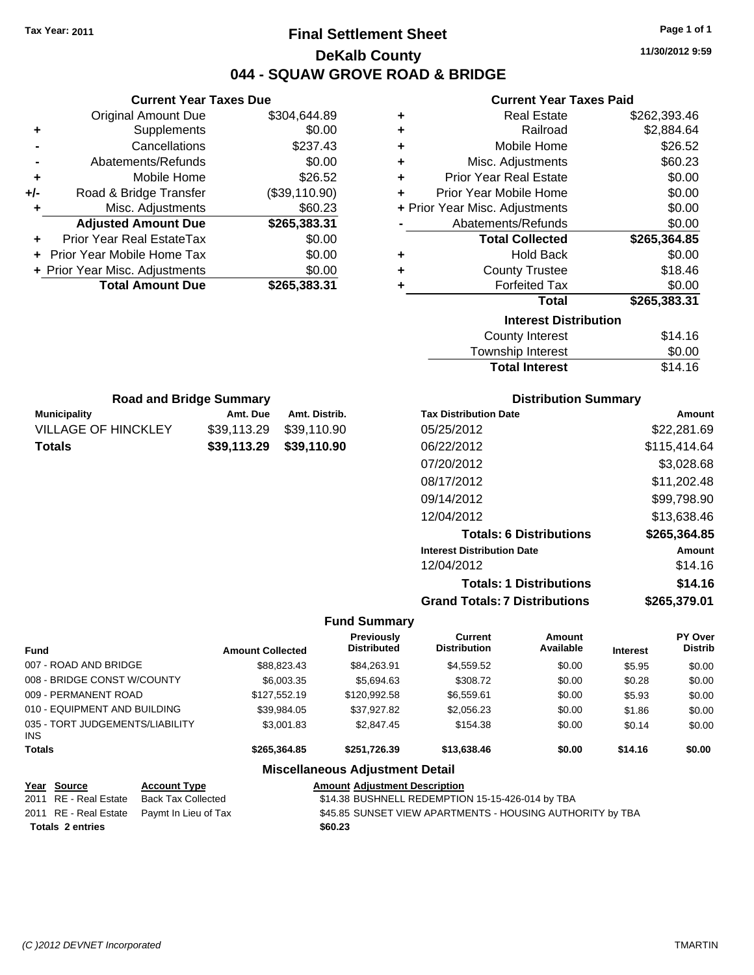# **Final Settlement Sheet Tax Year: 2011 Page 1 of 1 DeKalb County 044 - SQUAW GROVE ROAD & BRIDGE**

**11/30/2012 9:59**

### **Current Year Taxes Paid**

|       | OUITCHL TCUL TUACS DUC         |               |   | ounchi Icai Taxco I and        |              |
|-------|--------------------------------|---------------|---|--------------------------------|--------------|
|       | <b>Original Amount Due</b>     | \$304,644.89  | ٠ | <b>Real Estate</b>             | \$262,393.46 |
| ٠     | <b>Supplements</b>             | \$0.00        | ٠ | Railroad                       | \$2,884.64   |
|       | Cancellations                  | \$237.43      | ٠ | Mobile Home                    | \$26.52      |
|       | Abatements/Refunds             | \$0.00        | ٠ | Misc. Adjustments              | \$60.23      |
| ٠     | Mobile Home                    | \$26.52       | ٠ | <b>Prior Year Real Estate</b>  | \$0.00       |
| $+/-$ | Road & Bridge Transfer         | (\$39,110.90) | ٠ | Prior Year Mobile Home         | \$0.00       |
|       | Misc. Adjustments              | \$60.23       |   | + Prior Year Misc. Adjustments | \$0.00       |
|       | <b>Adjusted Amount Due</b>     | \$265,383.31  |   | Abatements/Refunds             | \$0.00       |
| ٠     | Prior Year Real EstateTax      | \$0.00        |   | <b>Total Collected</b>         | \$265,364.85 |
|       | + Prior Year Mobile Home Tax   | \$0.00        | ٠ | <b>Hold Back</b>               | \$0.00       |
|       | + Prior Year Misc. Adjustments | \$0.00        | ٠ | <b>County Trustee</b>          | \$18.46      |
|       | <b>Total Amount Due</b>        | \$265,383.31  |   | <b>Forfeited Tax</b>           | \$0.00       |
|       |                                |               |   | <b>Total</b>                   | \$265,383.31 |
|       |                                |               |   | <b>Interest Distribution</b>   |              |
|       |                                |               |   | County Interest                | \$14.16      |
|       |                                |               |   | اللحاظ متحلما المالح متنبيتها  | ጦጣ ወጣ        |

| Township Interest     | \$0.00  |
|-----------------------|---------|
| <b>Total Interest</b> | \$14.16 |

| <b>Road and Bridge Summary</b> |                         |               |  |  |
|--------------------------------|-------------------------|---------------|--|--|
| Municipality                   | Amt. Due                | Amt. Distrib. |  |  |
| VILLAGE OF HINCKLEY            | \$39.113.29             | \$39.110.90   |  |  |
| Totals                         | \$39,113.29 \$39,110.90 |               |  |  |

**Current Year Taxes Due**

## **Distribution Summary**

| <b>Tax Distribution Date</b>         | Amount       |
|--------------------------------------|--------------|
| 05/25/2012                           | \$22,281.69  |
| 06/22/2012                           | \$115,414.64 |
| 07/20/2012                           | \$3,028.68   |
| 08/17/2012                           | \$11,202.48  |
| 09/14/2012                           | \$99,798.90  |
| 12/04/2012                           | \$13,638.46  |
| <b>Totals: 6 Distributions</b>       | \$265,364.85 |
| <b>Interest Distribution Date</b>    | Amount       |
| 12/04/2012                           | \$14.16      |
| <b>Totals: 1 Distributions</b>       | \$14.16      |
| <b>Grand Totals: 7 Distributions</b> | \$265.379.01 |
|                                      |              |

### **Fund Summary**

| <b>Fund</b>                                   | <b>Amount Collected</b> | <b>Previously</b><br><b>Distributed</b> | Current<br><b>Distribution</b> | Amount<br>Available | <b>Interest</b> | PY Over<br><b>Distrib</b> |
|-----------------------------------------------|-------------------------|-----------------------------------------|--------------------------------|---------------------|-----------------|---------------------------|
| 007 - ROAD AND BRIDGE                         | \$88.823.43             | \$84.263.91                             | \$4,559.52                     | \$0.00              | \$5.95          | \$0.00                    |
| 008 - BRIDGE CONST W/COUNTY                   | \$6,003.35              | \$5.694.63                              | \$308.72                       | \$0.00              | \$0.28          | \$0.00                    |
| 009 - PERMANENT ROAD                          | \$127,552.19            | \$120,992.58                            | \$6,559.61                     | \$0.00              | \$5.93          | \$0.00                    |
| 010 - EQUIPMENT AND BUILDING                  | \$39.984.05             | \$37.927.82                             | \$2,056.23                     | \$0.00              | \$1.86          | \$0.00                    |
| 035 - TORT JUDGEMENTS/LIABILITY<br><b>INS</b> | \$3,001.83              | \$2,847.45                              | \$154.38                       | \$0.00              | \$0.14          | \$0.00                    |
| <b>Totals</b>                                 | \$265.364.85            | \$251.726.39                            | \$13,638.46                    | \$0.00              | \$14.16         | \$0.00                    |

| Year Source             | <b>Account Type</b>                        | <b>Amount Adiustment Description</b>                      |
|-------------------------|--------------------------------------------|-----------------------------------------------------------|
| 2011 RE - Real Estate   | Back Tax Collected                         | \$14.38 BUSHNELL REDEMPTION 15-15-426-014 by TBA          |
|                         | 2011 RE - Real Estate Paymt In Lieu of Tax | \$45.85 SUNSET VIEW APARTMENTS - HOUSING AUTHORITY by TBA |
| <b>Totals 2 entries</b> |                                            | \$60.23                                                   |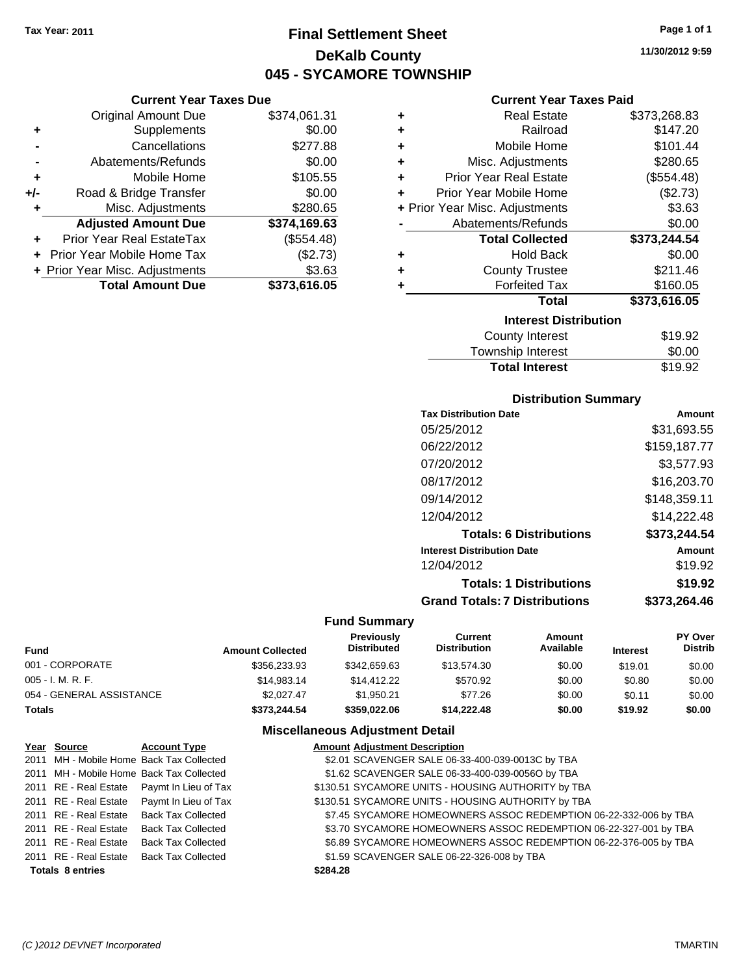# **Final Settlement Sheet Tax Year: 2011 Page 1 of 1 DeKalb County 045 - SYCAMORE TOWNSHIP**

|                                | <b>Current Year Taxes Due</b> |
|--------------------------------|-------------------------------|
| <b>Original Amount Due</b>     | \$374,061.31                  |
| Supplements                    | \$0.00                        |
| Cancellations                  | \$277.88                      |
| Abatements/Refunds             | \$0.00                        |
| Mobile Home                    | \$105.55                      |
| Road & Bridge Transfer         | \$0.00                        |
| Misc. Adjustments              | \$280.65                      |
| <b>Adjusted Amount Due</b>     | \$374,169.63                  |
|                                |                               |
| Prior Year Real EstateTax      | (\$554.48)                    |
| Prior Year Mobile Home Tax     | (\$2.73)                      |
| + Prior Year Misc. Adjustments | \$3.63                        |
|                                |                               |

## **Current Year Taxes Paid**

| ٠ | <b>Real Estate</b>             | \$373,268.83 |
|---|--------------------------------|--------------|
| ÷ | Railroad                       | \$147.20     |
| ÷ | Mobile Home                    | \$101.44     |
| ٠ | Misc. Adjustments              | \$280.65     |
| ÷ | <b>Prior Year Real Estate</b>  | (\$554.48)   |
| ÷ | Prior Year Mobile Home         | (\$2.73)     |
|   | + Prior Year Misc. Adjustments | \$3.63       |
|   | Abatements/Refunds             | \$0.00       |
|   |                                |              |
|   | <b>Total Collected</b>         | \$373,244.54 |
| ٠ | <b>Hold Back</b>               | \$0.00       |
| ÷ | <b>County Trustee</b>          | \$211.46     |
| ٠ | <b>Forfeited Tax</b>           | \$160.05     |
|   | <b>Total</b>                   | \$373,616.05 |
|   | <b>Interest Distribution</b>   |              |
|   | <b>County Interest</b>         | \$19.92      |

## Township Interest  $$0.00$ **Total Interest** \$19.92

## **Distribution Summary**

| <b>Tax Distribution Date</b>         | Amount       |
|--------------------------------------|--------------|
| 05/25/2012                           | \$31.693.55  |
| 06/22/2012                           | \$159,187.77 |
| 07/20/2012                           | \$3,577.93   |
| 08/17/2012                           | \$16,203.70  |
| 09/14/2012                           | \$148,359.11 |
| 12/04/2012                           | \$14,222.48  |
| <b>Totals: 6 Distributions</b>       | \$373,244.54 |
| <b>Interest Distribution Date</b>    | Amount       |
| 12/04/2012                           | \$19.92      |
| <b>Totals: 1 Distributions</b>       | \$19.92      |
| <b>Grand Totals: 7 Distributions</b> | \$373.264.46 |
|                                      |              |

### **Fund Summary**

| <b>Fund</b>              | <b>Amount Collected</b> | <b>Previously</b><br><b>Distributed</b> | Current<br><b>Distribution</b> | Amount<br>Available | <b>Interest</b> | <b>PY Over</b><br><b>Distrib</b> |
|--------------------------|-------------------------|-----------------------------------------|--------------------------------|---------------------|-----------------|----------------------------------|
| 001 - CORPORATE          | \$356,233.93            | \$342.659.63                            | \$13,574.30                    | \$0.00              | \$19.01         | \$0.00                           |
| 005 - I. M. R. F.        | \$14.983.14             | \$14,412,22                             | \$570.92                       | \$0.00              | \$0.80          | \$0.00                           |
| 054 - GENERAL ASSISTANCE | \$2.027.47              | \$1.950.21                              | \$77.26                        | \$0.00              | \$0.11          | \$0.00                           |
| Totals                   | \$373.244.54            | \$359.022.06                            | \$14,222,48                    | \$0.00              | \$19.92         | \$0.00                           |

| Year Source             | <b>Account Type</b>                        | <b>Amount Adjustment Description</b>                             |
|-------------------------|--------------------------------------------|------------------------------------------------------------------|
|                         | 2011 MH - Mobile Home Back Tax Collected   | \$2.01 SCAVENGER SALE 06-33-400-039-0013C by TBA                 |
|                         | 2011 MH - Mobile Home Back Tax Collected   | \$1.62 SCAVENGER SALE 06-33-400-039-0056O by TBA                 |
|                         | 2011 RE - Real Estate Paymt In Lieu of Tax | \$130.51 SYCAMORE UNITS - HOUSING AUTHORITY by TBA               |
|                         | 2011 RE - Real Estate Paymt In Lieu of Tax | \$130.51 SYCAMORE UNITS - HOUSING AUTHORITY by TBA               |
|                         | 2011 RE - Real Estate Back Tax Collected   | \$7.45 SYCAMORE HOMEOWNERS ASSOC REDEMPTION 06-22-332-006 by TBA |
| 2011 RE - Real Estate   | Back Tax Collected                         | \$3.70 SYCAMORE HOMEOWNERS ASSOC REDEMPTION 06-22-327-001 by TBA |
| 2011 RE - Real Estate   | <b>Back Tax Collected</b>                  | \$6.89 SYCAMORE HOMEOWNERS ASSOC REDEMPTION 06-22-376-005 by TBA |
|                         | 2011 RE - Real Estate Back Tax Collected   | \$1.59 SCAVENGER SALE 06-22-326-008 by TBA                       |
| <b>Totals 8 entries</b> |                                            | \$284.28                                                         |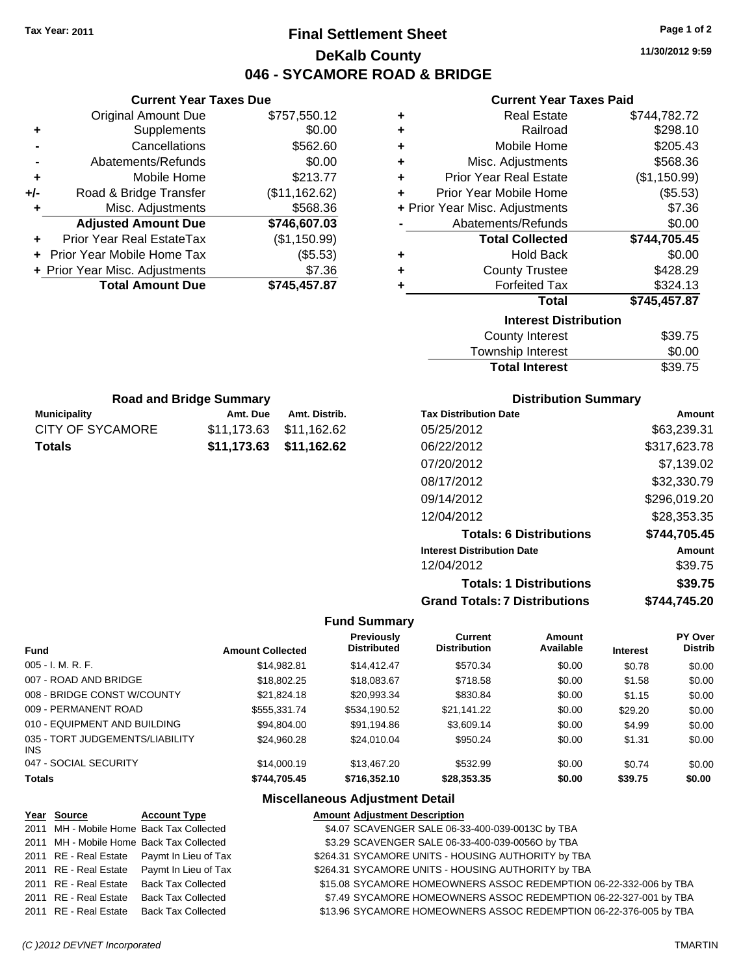# **Final Settlement Sheet Tax Year: 2011 Page 1 of 2 DeKalb County 046 - SYCAMORE ROAD & BRIDGE**

**11/30/2012 9:59**

### **Current Year Taxes Paid**

|     | <b>Current Year Taxes Due</b>     |               |  |
|-----|-----------------------------------|---------------|--|
|     | <b>Original Amount Due</b>        | \$757,550.12  |  |
| ٠   | Supplements                       | \$0.00        |  |
|     | Cancellations                     | \$562.60      |  |
|     | Abatements/Refunds                | \$0.00        |  |
| ٠   | Mobile Home                       | \$213.77      |  |
| +/- | Road & Bridge Transfer            | (\$11,162.62) |  |
| ٠   | Misc. Adjustments                 | \$568.36      |  |
|     | <b>Adjusted Amount Due</b>        | \$746,607.03  |  |
|     | Prior Year Real EstateTax         | (\$1,150.99)  |  |
|     | <b>Prior Year Mobile Home Tax</b> | (\$5.53)      |  |
|     | + Prior Year Misc. Adjustments    | \$7.36        |  |
|     | <b>Total Amount Due</b>           | \$745,457.87  |  |

| ٠ | <b>Real Estate</b>             | \$744,782.72 |
|---|--------------------------------|--------------|
| ٠ | Railroad                       | \$298.10     |
| ٠ | Mobile Home                    | \$205.43     |
| ٠ | Misc. Adjustments              | \$568.36     |
| ÷ | <b>Prior Year Real Estate</b>  | (\$1,150.99) |
| ٠ | Prior Year Mobile Home         | (\$5.53)     |
|   | + Prior Year Misc. Adjustments | \$7.36       |
|   | Abatements/Refunds             | \$0.00       |
|   | <b>Total Collected</b>         | \$744,705.45 |
| ٠ | <b>Hold Back</b>               | \$0.00       |
| ÷ | <b>County Trustee</b>          | \$428.29     |
| ٠ | <b>Forfeited Tax</b>           | \$324.13     |
|   | Total                          | \$745,457.87 |
|   | <b>Interest Distribution</b>   |              |
|   | County Interest                | \$39.75      |
|   |                                |              |

| <b>Total Interest</b> | \$39.75 |
|-----------------------|---------|
| Township Interest     | \$0.00  |
| County Interest       | ৬৩৬./১  |

| <b>Road and Bridge Summary</b> |                         |               |  |  |
|--------------------------------|-------------------------|---------------|--|--|
| Municipality                   | Amt. Due                | Amt. Distrib. |  |  |
| CITY OF SYCAMORE               | \$11,173.63 \$11,162.62 |               |  |  |

**Totals \$11,173.63 \$11,162.62**

| <b>Distribution Summary</b> |  |
|-----------------------------|--|
|-----------------------------|--|

| <b>Tax Distribution Date</b>         | Amount       |
|--------------------------------------|--------------|
| 05/25/2012                           | \$63,239.31  |
| 06/22/2012                           | \$317,623.78 |
| 07/20/2012                           | \$7.139.02   |
| 08/17/2012                           | \$32,330.79  |
| 09/14/2012                           | \$296,019.20 |
| 12/04/2012                           | \$28,353.35  |
| <b>Totals: 6 Distributions</b>       | \$744,705.45 |
| <b>Interest Distribution Date</b>    | Amount       |
| 12/04/2012                           | \$39.75      |
| <b>Totals: 1 Distributions</b>       | \$39.75      |
| <b>Grand Totals: 7 Distributions</b> | \$744.745.20 |

### **Fund Summary**

|                                               |                         | <b>Previously</b>  | <b>Current</b>      | Amount    |                 | PY Over        |
|-----------------------------------------------|-------------------------|--------------------|---------------------|-----------|-----------------|----------------|
| <b>Fund</b>                                   | <b>Amount Collected</b> | <b>Distributed</b> | <b>Distribution</b> | Available | <b>Interest</b> | <b>Distrib</b> |
| $005 - I. M. R. F.$                           | \$14.982.81             | \$14,412.47        | \$570.34            | \$0.00    | \$0.78          | \$0.00         |
| 007 - ROAD AND BRIDGE                         | \$18,802.25             | \$18,083.67        | \$718.58            | \$0.00    | \$1.58          | \$0.00         |
| 008 - BRIDGE CONST W/COUNTY                   | \$21.824.18             | \$20,993.34        | \$830.84            | \$0.00    | \$1.15          | \$0.00         |
| 009 - PERMANENT ROAD                          | \$555.331.74            | \$534,190.52       | \$21.141.22         | \$0.00    | \$29.20         | \$0.00         |
| 010 - EQUIPMENT AND BUILDING                  | \$94.804.00             | \$91,194.86        | \$3,609.14          | \$0.00    | \$4.99          | \$0.00         |
| 035 - TORT JUDGEMENTS/LIABILITY<br><b>INS</b> | \$24,960.28             | \$24,010.04        | \$950.24            | \$0.00    | \$1.31          | \$0.00         |
| 047 - SOCIAL SECURITY                         | \$14,000.19             | \$13,467.20        | \$532.99            | \$0.00    | \$0.74          | \$0.00         |
| <b>Totals</b>                                 | \$744.705.45            | \$716,352.10       | \$28,353,35         | \$0.00    | \$39.75         | \$0.00         |

| Year Source           | <b>Account Type</b>                        | <b>Amount Adjustment Description</b>                              |
|-----------------------|--------------------------------------------|-------------------------------------------------------------------|
|                       | 2011 MH - Mobile Home Back Tax Collected   | \$4.07 SCAVENGER SALE 06-33-400-039-0013C by TBA                  |
|                       | 2011 MH - Mobile Home Back Tax Collected   | \$3.29 SCAVENGER SALE 06-33-400-039-0056O by TBA                  |
|                       | 2011 RE - Real Estate Paymt In Lieu of Tax | \$264.31 SYCAMORE UNITS - HOUSING AUTHORITY by TBA                |
|                       | 2011 RE - Real Estate Paymt In Lieu of Tax | \$264.31 SYCAMORE UNITS - HOUSING AUTHORITY by TBA                |
| 2011 RE - Real Estate | <b>Back Tax Collected</b>                  | \$15.08 SYCAMORE HOMEOWNERS ASSOC REDEMPTION 06-22-332-006 by TBA |
| 2011 RE - Real Estate | <b>Back Tax Collected</b>                  | \$7.49 SYCAMORE HOMEOWNERS ASSOC REDEMPTION 06-22-327-001 by TBA  |
| 2011 RE - Real Estate | <b>Back Tax Collected</b>                  | \$13.96 SYCAMORE HOMEOWNERS ASSOC REDEMPTION 06-22-376-005 by TBA |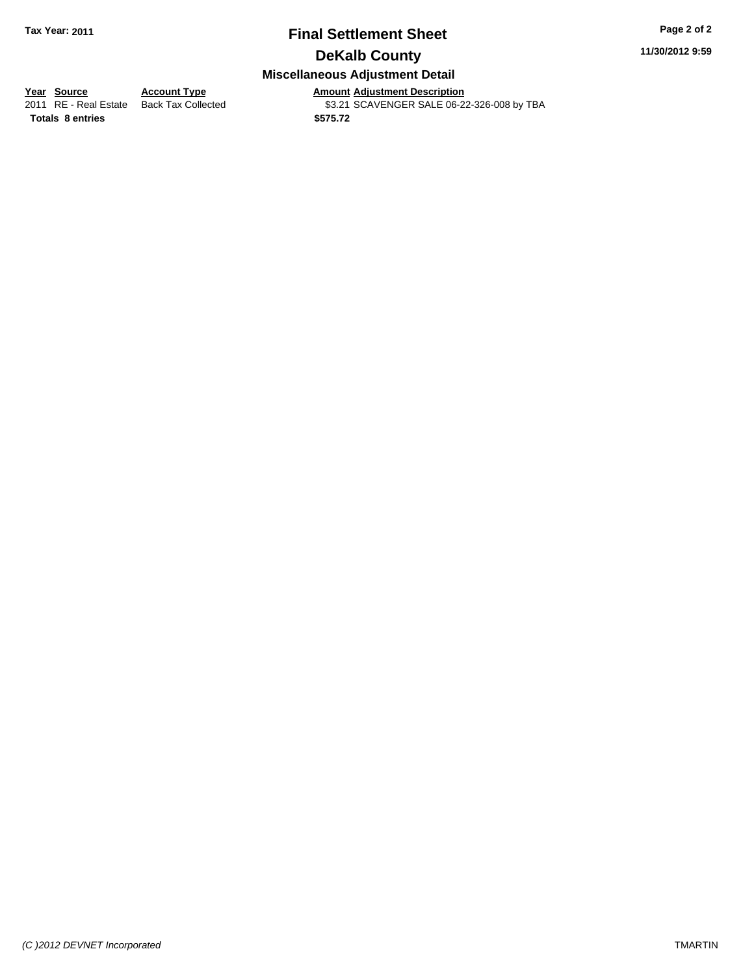## **Final Settlement Sheet Tax Year: 2011 Page 2 of 2 DeKalb County**

**11/30/2012 9:59**

## **Miscellaneous Adjustment Detail**

**<u>Year Source</u> Account Type**<br> **Account Type Adding Description** 

Amount Adjustment Description<br>\$3.21 SCAVENGER SALE 06-22-326-008 by TBA

**Totals \$575.72 8 entries**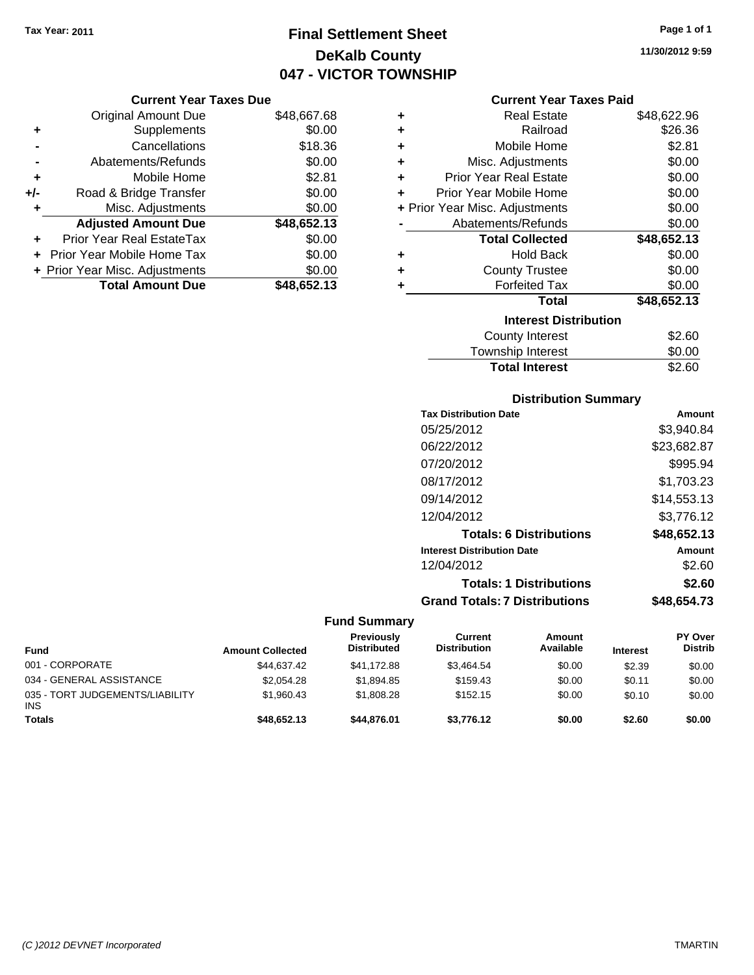# **Final Settlement Sheet Tax Year: 2011 Page 1 of 1 DeKalb County 047 - VICTOR TOWNSHIP**

### **Current Year Taxes Due**

|       | <b>Original Amount Due</b>     | \$48,667.68 |
|-------|--------------------------------|-------------|
| ٠     | Supplements                    | \$0.00      |
|       | Cancellations                  | \$18.36     |
|       | Abatements/Refunds             | \$0.00      |
| ÷     | Mobile Home                    | \$2.81      |
| $+/-$ | Road & Bridge Transfer         | \$0.00      |
| ٠     | Misc. Adjustments              | \$0.00      |
|       | <b>Adjusted Amount Due</b>     | \$48,652.13 |
| ÷     | Prior Year Real EstateTax      | \$0.00      |
|       | Prior Year Mobile Home Tax     | \$0.00      |
|       | + Prior Year Misc. Adjustments | \$0.00      |
|       | <b>Total Amount Due</b>        | \$48,652.13 |

|   | <b>Current Year Taxes Paid</b> |             |
|---|--------------------------------|-------------|
| ٠ | <b>Real Estate</b>             | \$48,622.96 |
| ÷ | Railroad                       | \$26.36     |
| ÷ | Mobile Home                    | \$2.81      |
|   | Misc. Adjustments              | \$0.00      |
| ÷ | <b>Prior Year Real Estate</b>  | \$0.00      |
|   | Prior Year Mobile Home         | \$0.00      |
|   | + Prior Year Misc. Adjustments | \$0.00      |
|   | Abatements/Refunds             | \$0.00      |
|   | <b>Total Collected</b>         | \$48,652.13 |
|   | <b>Hold Back</b>               | \$0.00      |
|   | <b>County Trustee</b>          | \$0.00      |
|   | <b>Forfeited Tax</b>           | \$0.00      |

## **Total \$48,652.13 Interest Distribution**

| County Interest       | \$2.60 |
|-----------------------|--------|
| Township Interest     | \$0.00 |
| <b>Total Interest</b> | \$2.60 |

## **Distribution Summary**

| <b>Tax Distribution Date</b>         | Amount      |
|--------------------------------------|-------------|
| 05/25/2012                           | \$3.940.84  |
| 06/22/2012                           | \$23,682.87 |
| 07/20/2012                           | \$995.94    |
| 08/17/2012                           | \$1,703.23  |
| 09/14/2012                           | \$14,553.13 |
| 12/04/2012                           | \$3,776.12  |
| <b>Totals: 6 Distributions</b>       | \$48,652.13 |
| <b>Interest Distribution Date</b>    | Amount      |
| 12/04/2012                           | \$2.60      |
| <b>Totals: 1 Distributions</b>       | \$2.60      |
| <b>Grand Totals: 7 Distributions</b> | \$48.654.73 |

### **Fund Summary**

| <b>Fund</b>                                   | <b>Amount Collected</b> | <b>Previously</b><br><b>Distributed</b> | <b>Current</b><br><b>Distribution</b> | Amount<br>Available | <b>Interest</b> | <b>PY Over</b><br><b>Distrib</b> |
|-----------------------------------------------|-------------------------|-----------------------------------------|---------------------------------------|---------------------|-----------------|----------------------------------|
| 001 - CORPORATE                               | \$44,637.42             | \$41,172.88                             | \$3.464.54                            | \$0.00              | \$2.39          | \$0.00                           |
| 034 - GENERAL ASSISTANCE                      | \$2,054.28              | \$1.894.85                              | \$159.43                              | \$0.00              | \$0.11          | \$0.00                           |
| 035 - TORT JUDGEMENTS/LIABILITY<br><b>INS</b> | \$1,960.43              | \$1,808.28                              | \$152.15                              | \$0.00              | \$0.10          | \$0.00                           |
| <b>Totals</b>                                 | \$48,652.13             | \$44,876,01                             | \$3,776.12                            | \$0.00              | \$2.60          | \$0.00                           |

**11/30/2012 9:59**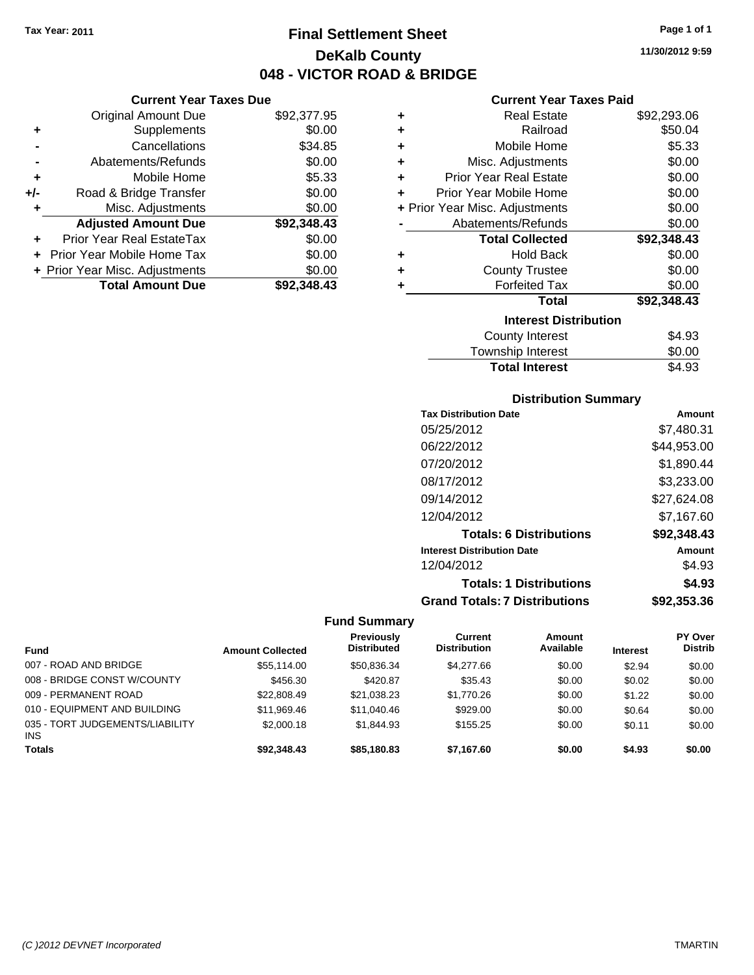**Current Year Taxes Due** Original Amount Due \$92,377.95

**Adjusted Amount Due \$92,348.43**

**Total Amount Due \$92,348.43**

**+** Supplements \$0.00 **-** Cancellations \$34.85 **-** Abatements/Refunds \$0.00 **+** Mobile Home \$5.33 **+/-** Road & Bridge Transfer \$0.00 **+** Misc. Adjustments \$0.00

**+** Prior Year Real EstateTax \$0.00 **+** Prior Year Mobile Home Tax \$0.00 **+ Prior Year Misc. Adjustments**  $$0.00$ 

# **Final Settlement Sheet Tax Year: 2011 Page 1 of 1 DeKalb County 048 - VICTOR ROAD & BRIDGE**

## **Current Year Taxes Paid**

| ٠                            | <b>Real Estate</b>             | \$92,293.06 |  |  |
|------------------------------|--------------------------------|-------------|--|--|
| ÷                            | Railroad                       | \$50.04     |  |  |
| ٠                            | Mobile Home                    | \$5.33      |  |  |
| ÷                            | Misc. Adjustments              | \$0.00      |  |  |
| ÷                            | <b>Prior Year Real Estate</b>  | \$0.00      |  |  |
| ٠                            | Prior Year Mobile Home         | \$0.00      |  |  |
|                              | + Prior Year Misc. Adjustments | \$0.00      |  |  |
|                              | Abatements/Refunds             | \$0.00      |  |  |
|                              | <b>Total Collected</b>         | \$92,348.43 |  |  |
| ٠                            | <b>Hold Back</b>               | \$0.00      |  |  |
| ٠                            | <b>County Trustee</b>          | \$0.00      |  |  |
| ÷                            | <b>Forfeited Tax</b>           | \$0.00      |  |  |
|                              | Total                          | \$92,348.43 |  |  |
| <b>Interest Distribution</b> |                                |             |  |  |
|                              | County Interest                | \$4.93      |  |  |
|                              |                                |             |  |  |

## Township Interest  $$0.00$ Total Interest \$4.93

### **Distribution Summary**

| <b>Tax Distribution Date</b>         | Amount      |
|--------------------------------------|-------------|
| 05/25/2012                           | \$7,480.31  |
| 06/22/2012                           | \$44,953.00 |
| 07/20/2012                           | \$1,890.44  |
| 08/17/2012                           | \$3,233.00  |
| 09/14/2012                           | \$27,624.08 |
| 12/04/2012                           | \$7,167.60  |
| <b>Totals: 6 Distributions</b>       | \$92,348.43 |
| <b>Interest Distribution Date</b>    | Amount      |
| 12/04/2012                           | \$4.93      |
| <b>Totals: 1 Distributions</b>       | \$4.93      |
| <b>Grand Totals: 7 Distributions</b> | \$92,353.36 |

| <b>Fund</b>                            | <b>Amount Collected</b> | Previously<br><b>Distributed</b> | Current<br><b>Distribution</b> | <b>Amount</b><br>Available | <b>Interest</b> | PY Over<br><b>Distrib</b> |
|----------------------------------------|-------------------------|----------------------------------|--------------------------------|----------------------------|-----------------|---------------------------|
| 007 - ROAD AND BRIDGE                  | \$55.114.00             | \$50.836.34                      | \$4,277.66                     | \$0.00                     | \$2.94          | \$0.00                    |
| 008 - BRIDGE CONST W/COUNTY            | \$456.30                | \$420.87                         | \$35.43                        | \$0.00                     | \$0.02          | \$0.00                    |
| 009 - PERMANENT ROAD                   | \$22,808.49             | \$21,038.23                      | \$1,770.26                     | \$0.00                     | \$1.22          | \$0.00                    |
| 010 - EQUIPMENT AND BUILDING           | \$11,969.46             | \$11,040.46                      | \$929.00                       | \$0.00                     | \$0.64          | \$0.00                    |
| 035 - TORT JUDGEMENTS/LIABILITY<br>INS | \$2,000.18              | \$1.844.93                       | \$155.25                       | \$0.00                     | \$0.11          | \$0.00                    |
| <b>Totals</b>                          | \$92,348,43             | \$85,180,83                      | \$7.167.60                     | \$0.00                     | \$4.93          | \$0.00                    |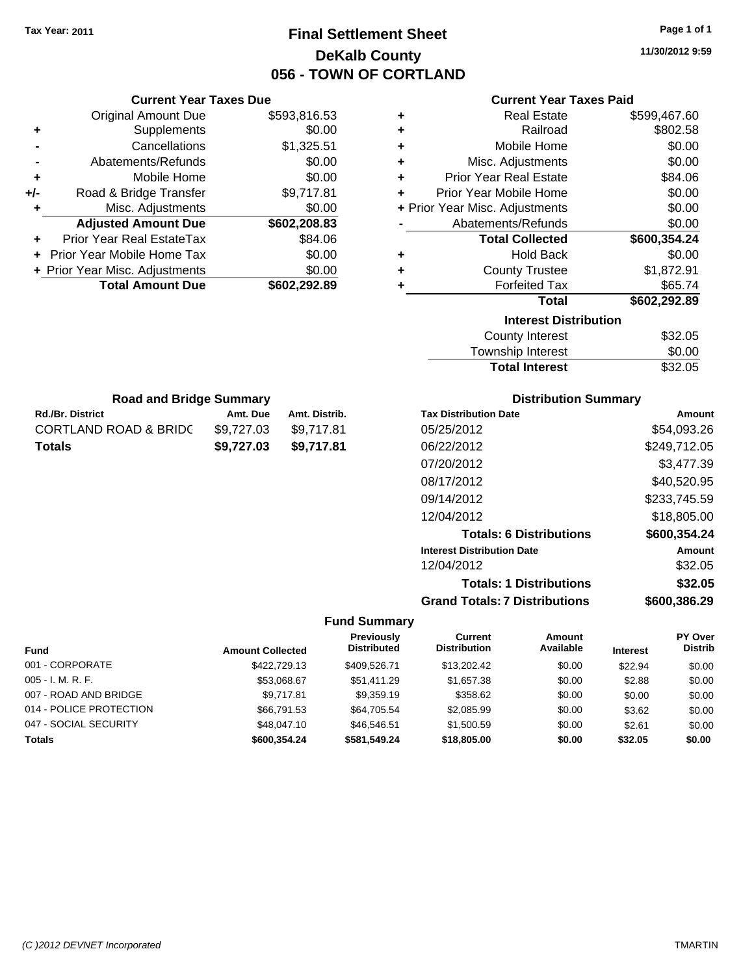# **Final Settlement Sheet Tax Year: 2011 Page 1 of 1 DeKalb County 056 - TOWN OF CORTLAND**

**11/30/2012 9:59**

| <b>Current Year Taxes Due</b> |                                |              |  |  |
|-------------------------------|--------------------------------|--------------|--|--|
|                               | Original Amount Due            | \$593,816.53 |  |  |
| ٠                             | Supplements                    | \$0.00       |  |  |
|                               | Cancellations                  | \$1,325.51   |  |  |
| $\blacksquare$                | Abatements/Refunds             | \$0.00       |  |  |
| ٠                             | Mobile Home                    | \$0.00       |  |  |
| +/-                           | Road & Bridge Transfer         | \$9,717.81   |  |  |
|                               | Misc. Adjustments              | \$0.00       |  |  |
|                               | <b>Adjusted Amount Due</b>     | \$602,208.83 |  |  |
| ÷                             | Prior Year Real EstateTax      | \$84.06      |  |  |
|                               | Prior Year Mobile Home Tax     | \$0.00       |  |  |
|                               | + Prior Year Misc. Adjustments | \$0.00       |  |  |
|                               | <b>Total Amount Due</b>        | \$602,292.89 |  |  |
|                               |                                |              |  |  |

## **Current Year Taxes Paid**

| ٠ | <b>Real Estate</b>             | \$599,467.60 |
|---|--------------------------------|--------------|
| ٠ | Railroad                       | \$802.58     |
| ٠ | Mobile Home                    | \$0.00       |
| ٠ | Misc. Adjustments              | \$0.00       |
| ٠ | <b>Prior Year Real Estate</b>  | \$84.06      |
| ÷ | Prior Year Mobile Home         | \$0.00       |
|   | + Prior Year Misc. Adjustments | \$0.00       |
|   | Abatements/Refunds             | \$0.00       |
|   | <b>Total Collected</b>         | \$600,354.24 |
| ٠ | <b>Hold Back</b>               | \$0.00       |
| ٠ | <b>County Trustee</b>          | \$1,872.91   |
| ٠ | <b>Forfeited Tax</b>           | \$65.74      |
|   | Total                          | \$602,292.89 |
|   | <b>Interest Distribution</b>   |              |
|   | County Interest                | \$32.05      |

| <b>Total Interest</b> | \$32.05 |
|-----------------------|---------|
| Township Interest     | \$0.00  |
| County Interest       | \$32.05 |

| <b>Road and Bridge Summary</b>   |            |               |  |  |
|----------------------------------|------------|---------------|--|--|
| <b>Rd./Br. District</b>          | Amt. Due   | Amt. Distrib. |  |  |
| <b>CORTLAND ROAD &amp; BRIDC</b> | \$9.727.03 | \$9,717.81    |  |  |
| <b>Totals</b>                    | \$9.727.03 | \$9.717.81    |  |  |

## **Distribution Summary**

| Amount       |
|--------------|
| \$54,093.26  |
| \$249,712.05 |
| \$3.477.39   |
| \$40,520.95  |
| \$233,745.59 |
| \$18,805.00  |
| \$600,354.24 |
| Amount       |
| \$32.05      |
| \$32.05      |
| \$600.386.29 |
|              |

## **Fund Summary**

 $\overline{\phantom{0}}$ 

| <b>Fund</b>             | <b>Amount Collected</b> | Previously<br><b>Distributed</b> | Current<br><b>Distribution</b> | <b>Amount</b><br>Available | <b>Interest</b> | PY Over<br><b>Distrib</b> |
|-------------------------|-------------------------|----------------------------------|--------------------------------|----------------------------|-----------------|---------------------------|
| 001 - CORPORATE         | \$422,729.13            | \$409.526.71                     | \$13,202.42                    | \$0.00                     | \$22.94         | \$0.00                    |
| 005 - I. M. R. F.       | \$53.068.67             | \$51.411.29                      | \$1,657,38                     | \$0.00                     | \$2.88          | \$0.00                    |
| 007 - ROAD AND BRIDGE   | \$9.717.81              | \$9.359.19                       | \$358.62                       | \$0.00                     | \$0.00          | \$0.00                    |
| 014 - POLICE PROTECTION | \$66,791.53             | \$64.705.54                      | \$2,085.99                     | \$0.00                     | \$3.62          | \$0.00                    |
| 047 - SOCIAL SECURITY   | \$48,047.10             | \$46,546.51                      | \$1,500.59                     | \$0.00                     | \$2.61          | \$0.00                    |
| <b>Totals</b>           | \$600.354.24            | \$581,549.24                     | \$18,805,00                    | \$0.00                     | \$32.05         | \$0.00                    |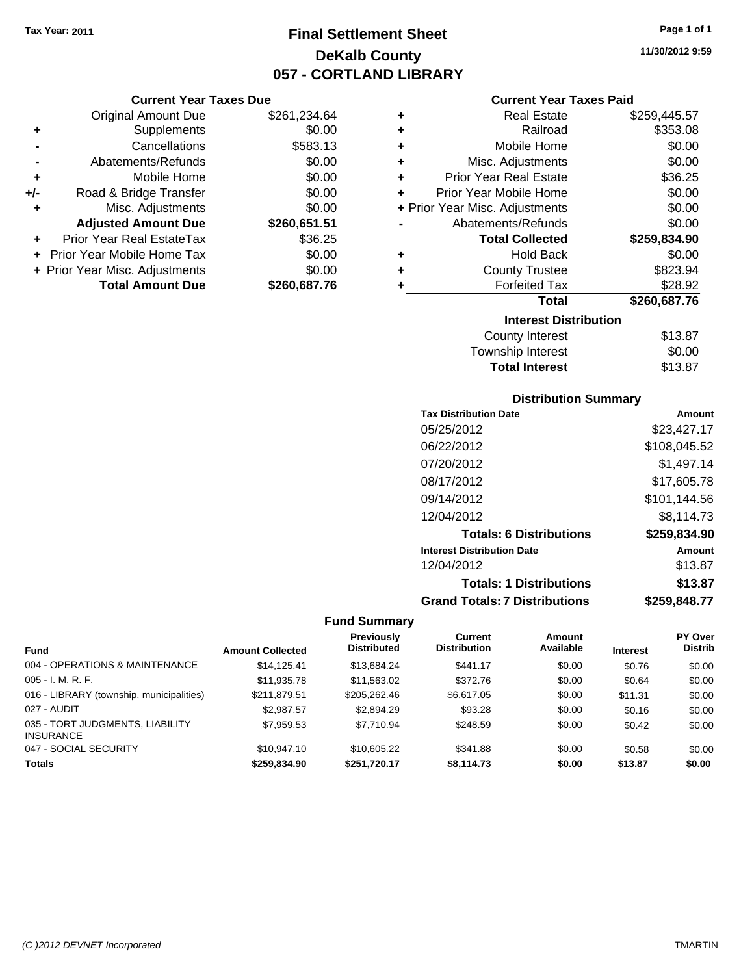**Current Year Taxes Due** Original Amount Due \$261,234.64

**Adjusted Amount Due \$260,651.51**

**Total Amount Due \$260,687.76**

**+** Supplements \$0.00 **-** Cancellations \$583.13 **-** Abatements/Refunds \$0.00 **+** Mobile Home \$0.00 **+/-** Road & Bridge Transfer \$0.00 **+** Misc. Adjustments \$0.00

**+** Prior Year Real EstateTax \$36.25 **+** Prior Year Mobile Home Tax \$0.00 **+ Prior Year Misc. Adjustments**  $$0.00$ 

# **Final Settlement Sheet Tax Year: 2011 Page 1 of 1 DeKalb County 057 - CORTLAND LIBRARY**

**11/30/2012 9:59**

### **Current Year Taxes Paid**

| ٠ | <b>Real Estate</b>             | \$259,445.57 |
|---|--------------------------------|--------------|
| ٠ | Railroad                       | \$353.08     |
| ٠ | Mobile Home                    | \$0.00       |
| ÷ | Misc. Adjustments              | \$0.00       |
| ÷ | <b>Prior Year Real Estate</b>  | \$36.25      |
| ٠ | Prior Year Mobile Home         | \$0.00       |
|   | + Prior Year Misc. Adjustments | \$0.00       |
|   | Abatements/Refunds             | \$0.00       |
|   | <b>Total Collected</b>         | \$259,834.90 |
| ٠ | <b>Hold Back</b>               | \$0.00       |
| ٠ | <b>County Trustee</b>          | \$823.94     |
| ٠ | <b>Forfeited Tax</b>           | \$28.92      |
|   | <b>Total</b>                   | \$260,687.76 |
|   | <b>Interest Distribution</b>   |              |
|   | <b>County Interest</b>         | \$13.87      |
|   | <b>Township Interest</b>       | \$0.00       |

## Total Interest \$13.87

| <b>Distribution Summary</b>          |              |
|--------------------------------------|--------------|
| <b>Tax Distribution Date</b>         | Amount       |
| 05/25/2012                           | \$23,427.17  |
| 06/22/2012                           | \$108,045.52 |
| 07/20/2012                           | \$1,497.14   |
| 08/17/2012                           | \$17,605.78  |
| 09/14/2012                           | \$101,144.56 |
| 12/04/2012                           | \$8.114.73   |
| <b>Totals: 6 Distributions</b>       | \$259,834.90 |
| <b>Interest Distribution Date</b>    | Amount       |
| 12/04/2012                           | \$13.87      |
| <b>Totals: 1 Distributions</b>       | \$13.87      |
| <b>Grand Totals: 7 Distributions</b> | \$259.848.77 |

|                                                     |                         | <b>Previously</b>  | Current             | Amount    |                 | PY Over        |
|-----------------------------------------------------|-------------------------|--------------------|---------------------|-----------|-----------------|----------------|
| <b>Fund</b>                                         | <b>Amount Collected</b> | <b>Distributed</b> | <b>Distribution</b> | Available | <b>Interest</b> | <b>Distrib</b> |
| 004 - OPERATIONS & MAINTENANCE                      | \$14,125,41             | \$13.684.24        | \$441.17            | \$0.00    | \$0.76          | \$0.00         |
| $005 - I. M. R. F.$                                 | \$11,935.78             | \$11,563.02        | \$372.76            | \$0.00    | \$0.64          | \$0.00         |
| 016 - LIBRARY (township, municipalities)            | \$211.879.51            | \$205,262.46       | \$6,617.05          | \$0.00    | \$11.31         | \$0.00         |
| 027 - AUDIT                                         | \$2,987.57              | \$2,894.29         | \$93.28             | \$0.00    | \$0.16          | \$0.00         |
| 035 - TORT JUDGMENTS, LIABILITY<br><b>INSURANCE</b> | \$7.959.53              | \$7.710.94         | \$248.59            | \$0.00    | \$0.42          | \$0.00         |
| 047 - SOCIAL SECURITY                               | \$10.947.10             | \$10,605.22        | \$341.88            | \$0.00    | \$0.58          | \$0.00         |
| <b>Totals</b>                                       | \$259.834.90            | \$251.720.17       | \$8.114.73          | \$0.00    | \$13.87         | \$0.00         |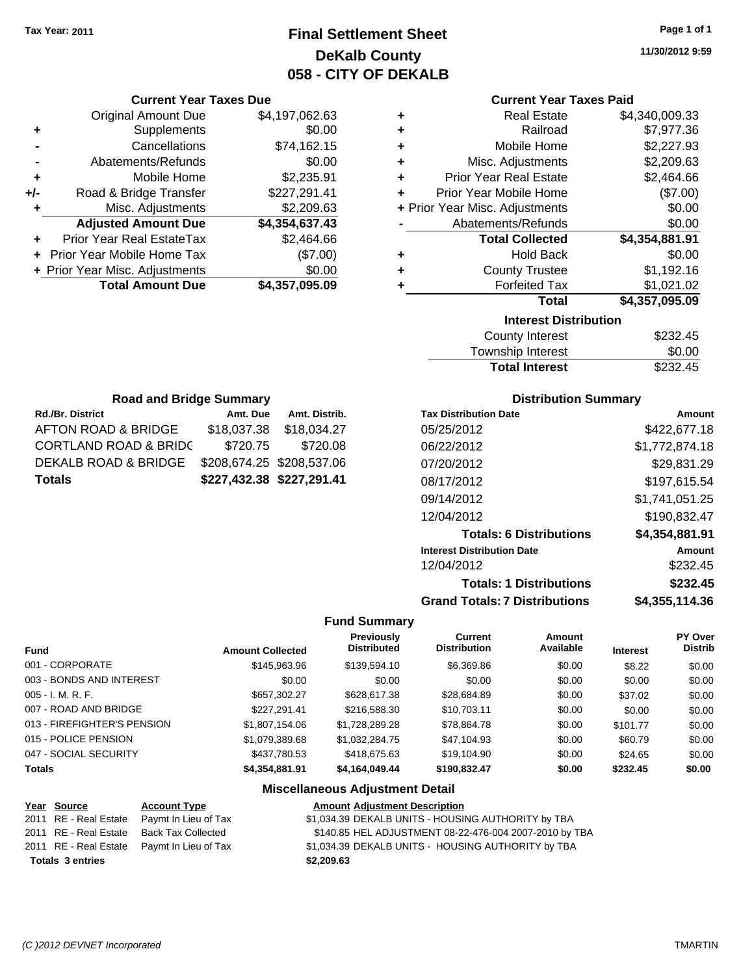# **Final Settlement Sheet Tax Year: 2011 Page 1 of 1 DeKalb County 058 - CITY OF DEKALB**

**11/30/2012 9:59**

### **Current Year Taxes Paid**

| ٠ | <b>Real Estate</b>             | \$4,340,009.33  |
|---|--------------------------------|-----------------|
| ÷ | Railroad                       | \$7,977.36      |
| ٠ | Mobile Home                    | \$2,227.93      |
| ÷ | Misc. Adjustments              | \$2,209.63      |
| ÷ | <b>Prior Year Real Estate</b>  | \$2,464.66      |
| ÷ | Prior Year Mobile Home         | (\$7.00)        |
|   | + Prior Year Misc. Adjustments | \$0.00          |
|   | Abatements/Refunds             | \$0.00          |
|   | <b>Total Collected</b>         | \$4,354,881.91  |
| ٠ | <b>Hold Back</b>               | \$0.00          |
| ٠ | <b>County Trustee</b>          | \$1,192.16      |
| ٠ | <b>Forfeited Tax</b>           | \$1,021.02      |
|   | <b>Total</b>                   | \$4,357,095.09  |
|   | <b>Interest Distribution</b>   |                 |
|   | County Interest                | ፍጋ3ጋ <i>Δ</i> 5 |

| <b>Total Interest</b> | \$232.45 |
|-----------------------|----------|
| Township Interest     | \$0.00   |
| County Interest       | \$232.45 |

| <b>Road and Bridge Summary</b>   |                           |               |  |  |  |
|----------------------------------|---------------------------|---------------|--|--|--|
| <b>Rd./Br. District</b>          | Amt. Due                  | Amt. Distrib. |  |  |  |
| AFTON ROAD & BRIDGE              | \$18,037.38               | \$18,034.27   |  |  |  |
| <b>CORTLAND ROAD &amp; BRIDC</b> | \$720.75                  | \$720.08      |  |  |  |
| DEKALB ROAD & BRIDGE             | \$208,674.25 \$208,537.06 |               |  |  |  |
| <b>Totals</b>                    | \$227,432.38 \$227,291.41 |               |  |  |  |

**Current Year Taxes Due** Original Amount Due \$4,197,062.63

**Adjusted Amount Due \$4,354,637.43**

**Total Amount Due \$4,357,095.09**

**+** Supplements \$0.00 **-** Cancellations \$74,162.15 **-** Abatements/Refunds \$0.00 **+** Mobile Home \$2,235.91 **+/-** Road & Bridge Transfer \$227,291.41 **+** Misc. Adjustments \$2,209.63

**+** Prior Year Real EstateTax \$2,464.66 **+** Prior Year Mobile Home Tax (\$7.00) **+ Prior Year Misc. Adjustments**  $$0.00$ 

### **Distribution Summary**

| <b>Tax Distribution Date</b>         | Amount         |
|--------------------------------------|----------------|
| 05/25/2012                           | \$422,677.18   |
| 06/22/2012                           | \$1,772,874.18 |
| 07/20/2012                           | \$29,831.29    |
| 08/17/2012                           | \$197,615.54   |
| 09/14/2012                           | \$1,741,051.25 |
| 12/04/2012                           | \$190.832.47   |
| <b>Totals: 6 Distributions</b>       | \$4,354,881.91 |
| <b>Interest Distribution Date</b>    | Amount         |
| 12/04/2012                           | \$232.45       |
| <b>Totals: 1 Distributions</b>       | \$232.45       |
| <b>Grand Totals: 7 Distributions</b> | \$4,355,114.36 |

### **Fund Summary**

| <b>Fund</b>                 | <b>Amount Collected</b> | <b>Previously</b><br><b>Distributed</b> | Current<br><b>Distribution</b> | Amount<br>Available | <b>Interest</b> | PY Over<br><b>Distrib</b> |
|-----------------------------|-------------------------|-----------------------------------------|--------------------------------|---------------------|-----------------|---------------------------|
| 001 - CORPORATE             | \$145,963,96            | \$139,594.10                            | \$6,369.86                     | \$0.00              | \$8.22          | \$0.00                    |
| 003 - BONDS AND INTEREST    | \$0.00                  | \$0.00                                  | \$0.00                         | \$0.00              | \$0.00          | \$0.00                    |
| $005 - I. M. R. F.$         | \$657.302.27            | \$628,617.38                            | \$28,684.89                    | \$0.00              | \$37.02         | \$0.00                    |
| 007 - ROAD AND BRIDGE       | \$227.291.41            | \$216,588.30                            | \$10,703.11                    | \$0.00              | \$0.00          | \$0.00                    |
| 013 - FIREFIGHTER'S PENSION | \$1,807,154.06          | \$1,728,289.28                          | \$78,864.78                    | \$0.00              | \$101.77        | \$0.00                    |
| 015 - POLICE PENSION        | \$1,079,389.68          | \$1,032,284.75                          | \$47,104.93                    | \$0.00              | \$60.79         | \$0.00                    |
| 047 - SOCIAL SECURITY       | \$437,780.53            | \$418,675,63                            | \$19,104.90                    | \$0.00              | \$24.65         | \$0.00                    |
| <b>Totals</b>               | \$4,354,881.91          | \$4,164,049.44                          | \$190,832.47                   | \$0.00              | \$232.45        | \$0.00                    |

| Year Source             | <b>Account Type</b>                        | <b>Amount Adjustment Description</b>                   |
|-------------------------|--------------------------------------------|--------------------------------------------------------|
| 2011 RE - Real Estate   | Paymt In Lieu of Tax                       | \$1,034.39 DEKALB UNITS - HOUSING AUTHORITY by TBA     |
| 2011 RE - Real Estate   | Back Tax Collected                         | \$140.85 HEL ADJUSTMENT 08-22-476-004 2007-2010 by TBA |
|                         | 2011 RE - Real Estate Paymt In Lieu of Tax | \$1,034.39 DEKALB UNITS - HOUSING AUTHORITY by TBA     |
| <b>Totals 3 entries</b> |                                            | \$2,209.63                                             |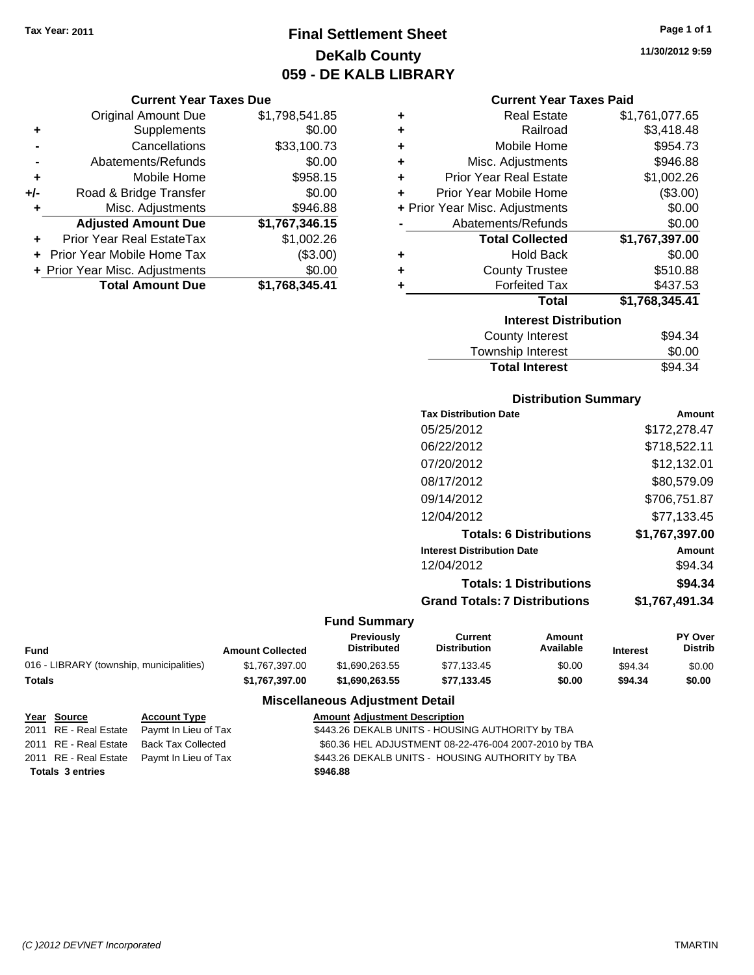**Current Year Taxes Due**

# **Final Settlement Sheet Tax Year: 2011 Page 1 of 1 DeKalb County 059 - DE KALB LIBRARY**

**11/30/2012 9:59**

### **Current Year Taxes Paid**

|     | <b>Original Amount Due</b>     | \$1,798,541.85 | ÷ | <b>Real Estate</b>             | \$1,761,077.65 |
|-----|--------------------------------|----------------|---|--------------------------------|----------------|
| ٠   | <b>Supplements</b>             | \$0.00         | ٠ | Railroad                       | \$3,418.48     |
|     | Cancellations                  | \$33,100.73    | ٠ | Mobile Home                    | \$954.73       |
|     | Abatements/Refunds             | \$0.00         | ٠ | Misc. Adjustments              | \$946.88       |
| ٠   | Mobile Home                    | \$958.15       | ÷ | <b>Prior Year Real Estate</b>  | \$1,002.26     |
| +/- | Road & Bridge Transfer         | \$0.00         | ٠ | Prior Year Mobile Home         | (\$3.00)       |
|     | Misc. Adjustments              | \$946.88       |   | + Prior Year Misc. Adjustments | \$0.00         |
|     | <b>Adjusted Amount Due</b>     | \$1,767,346.15 |   | Abatements/Refunds             | \$0.00         |
| ÷   | Prior Year Real EstateTax      | \$1,002.26     |   | <b>Total Collected</b>         | \$1,767,397.00 |
|     | + Prior Year Mobile Home Tax   | (\$3.00)       | ÷ | <b>Hold Back</b>               | \$0.00         |
|     | + Prior Year Misc. Adjustments | \$0.00         | ٠ | <b>County Trustee</b>          | \$510.88       |
|     | <b>Total Amount Due</b>        | \$1,768,345.41 |   | <b>Forfeited Tax</b>           | \$437.53       |
|     |                                |                |   | <b>Total</b>                   | \$1,768,345.41 |
|     |                                |                |   | <b>Interest Distribution</b>   |                |
|     |                                |                |   | County Interest                | <b>ROA 34</b>  |

| <b>Total Interest</b>  | \$94.34 |
|------------------------|---------|
| Township Interest      | \$0.00  |
| <b>County Interest</b> | \$94.34 |

### **Distribution Summary**

| <b>Tax Distribution Date</b>         | Amount         |
|--------------------------------------|----------------|
| 05/25/2012                           | \$172,278.47   |
| 06/22/2012                           | \$718,522.11   |
| 07/20/2012                           | \$12,132.01    |
| 08/17/2012                           | \$80,579.09    |
| 09/14/2012                           | \$706,751.87   |
| 12/04/2012                           | \$77.133.45    |
| <b>Totals: 6 Distributions</b>       | \$1,767,397.00 |
| <b>Interest Distribution Date</b>    | Amount         |
| 12/04/2012                           | \$94.34        |
| <b>Totals: 1 Distributions</b>       | \$94.34        |
| <b>Grand Totals: 7 Distributions</b> | \$1,767,491.34 |
|                                      |                |

### **Fund Summary**

| Fund                                     | <b>Amount Collected</b> | Previously<br><b>Distributed</b> | Current<br>Distribution | Amount<br>Available | <b>Interest</b> | <b>PY Over</b><br><b>Distrib</b> |
|------------------------------------------|-------------------------|----------------------------------|-------------------------|---------------------|-----------------|----------------------------------|
| 016 - LIBRARY (township, municipalities) | \$1.767.397.00          | \$1.690.263.55                   | \$77.133.45             | \$0.00              | \$94.34         | \$0.00                           |
| Totals                                   | \$1.767.397.00          | \$1.690.263.55                   | \$77.133.45             | \$0.00              | \$94.34         | \$0.00                           |

| Year Source             | <b>Account Type</b>                        | <b>Amount Adjustment Description</b>                  |
|-------------------------|--------------------------------------------|-------------------------------------------------------|
|                         | 2011 RE - Real Estate Paymt In Lieu of Tax | \$443.26 DEKALB UNITS - HOUSING AUTHORITY by TBA      |
|                         | 2011 RE - Real Estate Back Tax Collected   | \$60.36 HEL ADJUSTMENT 08-22-476-004 2007-2010 by TBA |
|                         | 2011 RE - Real Estate Paymt In Lieu of Tax | \$443.26 DEKALB UNITS - HOUSING AUTHORITY by TBA      |
| <b>Totals 3 entries</b> |                                            | \$946.88                                              |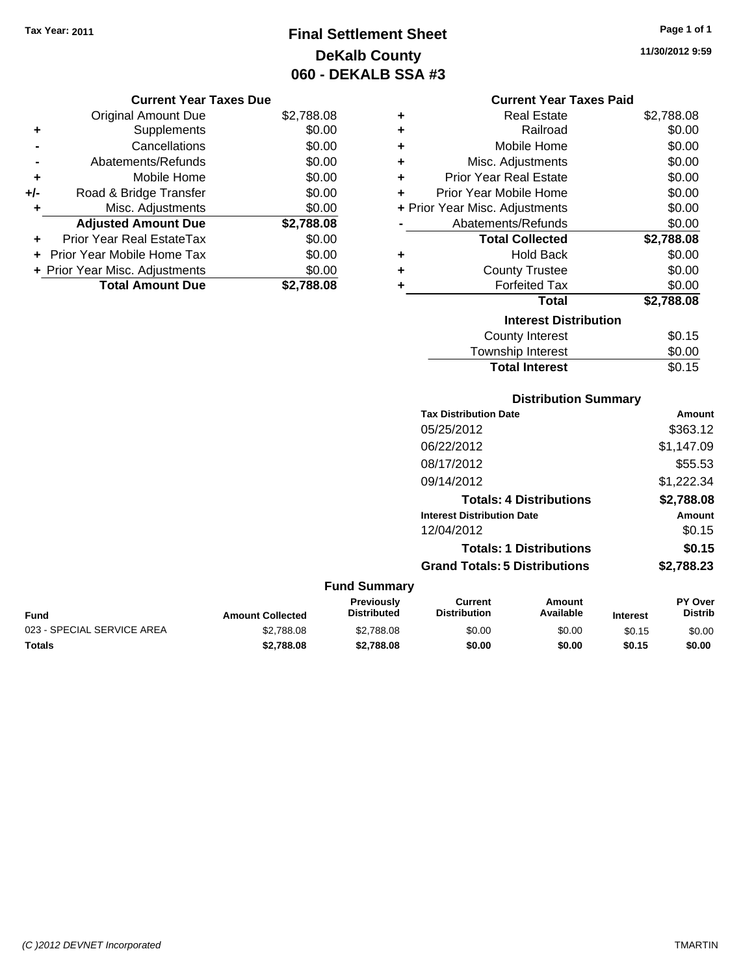# **Final Settlement Sheet Tax Year: 2011 Page 1 of 1 DeKalb County 060 - DEKALB SSA #3**

**11/30/2012 9:59**

### **Current Year Taxes Due**

|     | <b>Original Amount Due</b>     | \$2,788.08 |
|-----|--------------------------------|------------|
| ٠   | Supplements                    | \$0.00     |
|     | Cancellations                  | \$0.00     |
|     | Abatements/Refunds             | \$0.00     |
| ٠   | Mobile Home                    | \$0.00     |
| +/- | Road & Bridge Transfer         | \$0.00     |
| ٠   | Misc. Adjustments              | \$0.00     |
|     | <b>Adjusted Amount Due</b>     | \$2,788.08 |
|     | Prior Year Real EstateTax      | \$0.00     |
|     | + Prior Year Mobile Home Tax   | \$0.00     |
|     | + Prior Year Misc. Adjustments | \$0.00     |
|     | <b>Total Amount Due</b>        | \$2,788.08 |

### **Current Year Taxes Paid**

|   | <b>Real Estate</b>             | \$2,788.08 |
|---|--------------------------------|------------|
| ٠ | Railroad                       | \$0.00     |
| ÷ | Mobile Home                    | \$0.00     |
| ٠ | Misc. Adjustments              | \$0.00     |
| ٠ | Prior Year Real Estate         | \$0.00     |
| ٠ | Prior Year Mobile Home         | \$0.00     |
|   | + Prior Year Misc. Adjustments | \$0.00     |
|   | Abatements/Refunds             | \$0.00     |
|   | <b>Total Collected</b>         | \$2,788.08 |
| ٠ | <b>Hold Back</b>               | \$0.00     |
| ٠ | <b>County Trustee</b>          | \$0.00     |
| ٠ | <b>Forfeited Tax</b>           | \$0.00     |
|   | Total                          | \$2,788.08 |
|   | <b>Interest Distribution</b>   |            |
|   | County Interest                | \$0.15     |

# Township Interest \$0.00 Total Interest \$0.15

### **Distribution Summary**

| <b>Tax Distribution Date</b>         | Amount     |
|--------------------------------------|------------|
| 05/25/2012                           | \$363.12   |
| 06/22/2012                           | \$1,147.09 |
| 08/17/2012                           | \$55.53    |
| 09/14/2012                           | \$1,222.34 |
| <b>Totals: 4 Distributions</b>       | \$2,788.08 |
| <b>Interest Distribution Date</b>    | Amount     |
| 12/04/2012                           | \$0.15     |
| <b>Totals: 1 Distributions</b>       | \$0.15     |
| <b>Grand Totals: 5 Distributions</b> | \$2,788.23 |

### **Fund Summary Fund Interest Amount Collected Distributed PY Over Distrib Amount Available Current Distribution Previously** 023 - SPECIAL SERVICE AREA  $$2,788.08$   $$2,788.08$   $$0.00$   $$0.00$   $$0.15$   $$0.00$ **Totals \$2,788.08 \$2,788.08 \$0.00 \$0.00 \$0.15 \$0.00**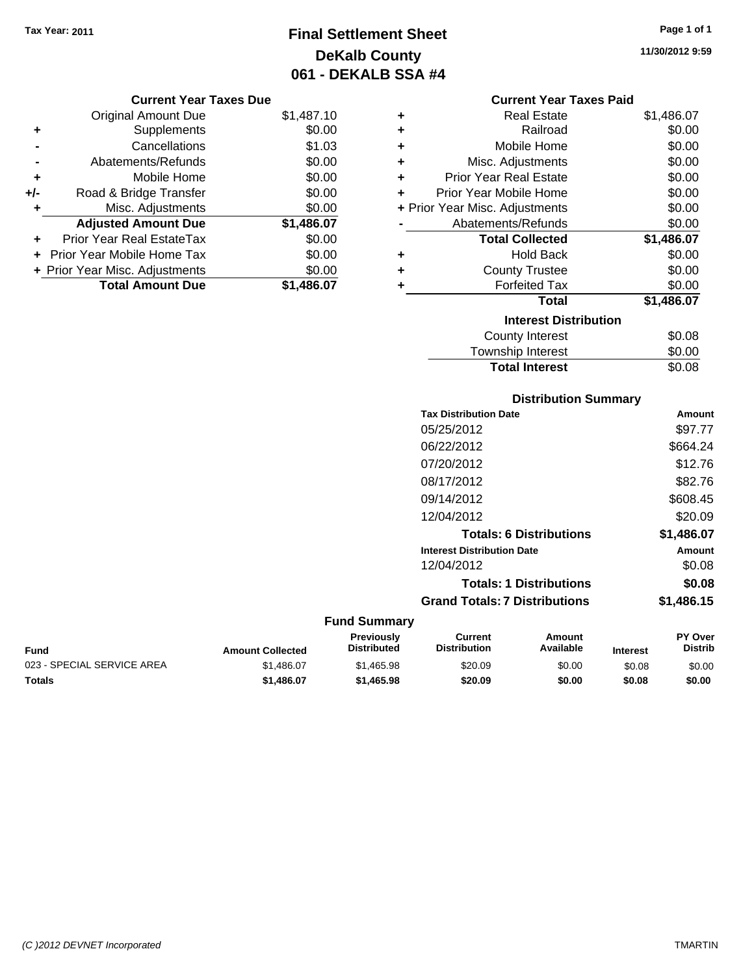# **Final Settlement Sheet Tax Year: 2011 Page 1 of 1 DeKalb County 061 - DEKALB SSA #4**

**11/30/2012 9:59**

|       | <b>Original Amount Due</b>       | \$1,487.10 |
|-------|----------------------------------|------------|
| ٠     | Supplements                      | \$0.00     |
|       | Cancellations                    | \$1.03     |
|       | Abatements/Refunds               | \$0.00     |
| ÷     | Mobile Home                      | \$0.00     |
| $+/-$ | Road & Bridge Transfer           | \$0.00     |
| ٠     | Misc. Adjustments                | \$0.00     |
|       | <b>Adjusted Amount Due</b>       | \$1,486.07 |
|       | <b>Prior Year Real EstateTax</b> | \$0.00     |
|       | Prior Year Mobile Home Tax       | \$0.00     |
|       | + Prior Year Misc. Adjustments   | \$0.00     |
|       | <b>Total Amount Due</b>          | \$1.486.07 |

## **Current Year Taxes Paid**

|                              | <b>Real Estate</b>             | \$1,486.07 |  |  |
|------------------------------|--------------------------------|------------|--|--|
| ÷                            | Railroad                       | \$0.00     |  |  |
| ÷                            | Mobile Home                    | \$0.00     |  |  |
| ٠                            | Misc. Adjustments              | \$0.00     |  |  |
| ÷                            | <b>Prior Year Real Estate</b>  | \$0.00     |  |  |
| ٠                            | Prior Year Mobile Home         | \$0.00     |  |  |
|                              | + Prior Year Misc. Adjustments | \$0.00     |  |  |
|                              | Abatements/Refunds             | \$0.00     |  |  |
|                              | <b>Total Collected</b>         | \$1,486.07 |  |  |
| ٠                            | <b>Hold Back</b>               | \$0.00     |  |  |
| ٠                            | <b>County Trustee</b>          | \$0.00     |  |  |
|                              | <b>Forfeited Tax</b>           | \$0.00     |  |  |
|                              | <b>Total</b>                   | \$1,486.07 |  |  |
| <b>Interest Distribution</b> |                                |            |  |  |
|                              |                                |            |  |  |
|                              | County Interest                | \$0.08     |  |  |

## Township Interest \$0.00<br>
Total Interest \$0.08 **Total Interest**

| <b>Distribution Summary</b>          |            |
|--------------------------------------|------------|
| <b>Tax Distribution Date</b>         | Amount     |
| 05/25/2012                           | \$97.77    |
| 06/22/2012                           | \$664.24   |
| 07/20/2012                           | \$12.76    |
| 08/17/2012                           | \$82.76    |
| 09/14/2012                           | \$608.45   |
| 12/04/2012                           | \$20.09    |
| <b>Totals: 6 Distributions</b>       | \$1,486.07 |
| <b>Interest Distribution Date</b>    | Amount     |
| 12/04/2012                           | \$0.08     |
| <b>Totals: 1 Distributions</b>       | \$0.08     |
| <b>Grand Totals: 7 Distributions</b> | \$1,486.15 |

| <b>Fund</b>                | <b>Amount Collected</b> | <b>Previously</b><br><b>Distributed</b> | Current<br><b>Distribution</b> | Amount<br>Available | <b>Interest</b> | <b>PY Over</b><br>Distrib |
|----------------------------|-------------------------|-----------------------------------------|--------------------------------|---------------------|-----------------|---------------------------|
| 023 - SPECIAL SERVICE AREA | \$1,486.07              | \$1,465.98                              | \$20.09                        | \$0.00              | \$0.08          | \$0.00                    |
| <b>Totals</b>              | \$1,486.07              | \$1,465.98                              | \$20.09                        | \$0.00              | \$0.08          | \$0.00                    |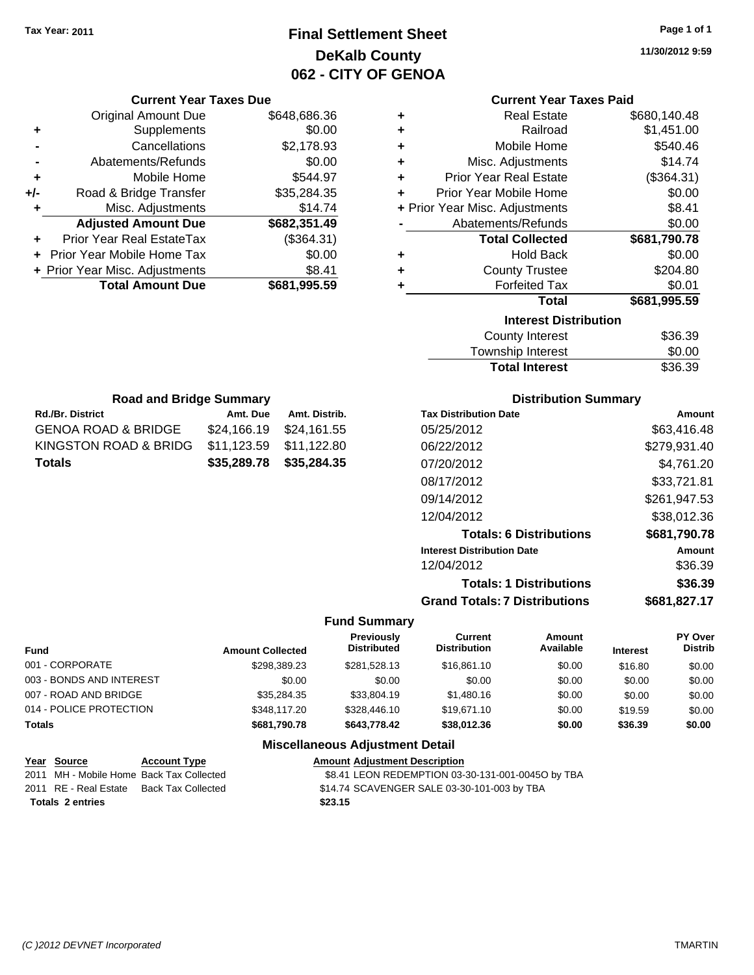**Current Year Taxes Due** Original Amount Due \$648,686.36

**Adjusted Amount Due \$682,351.49**

**Total Amount Due \$681,995.59**

**+** Supplements \$0.00 **-** Cancellations \$2,178.93 **-** Abatements/Refunds \$0.00 **+** Mobile Home \$544.97 **+/-** Road & Bridge Transfer \$35,284.35 **+** Misc. Adjustments \$14.74

**+** Prior Year Real EstateTax (\$364.31) **+** Prior Year Mobile Home Tax \$0.00 **+** Prior Year Misc. Adjustments  $$8.41$ 

Rd./Br. District **Amt. Due** Amt. Distrib. **Road and Bridge Summary**

GENOA ROAD & BRIDGE \$24,166.19 \$24,161.55 KINGSTON ROAD & BRIDG \$11,123.59 \$11,122.80 **Totals \$35,289.78 \$35,284.35**

# **Final Settlement Sheet Tax Year: 2011 Page 1 of 1 DeKalb County 062 - CITY OF GENOA**

**11/30/2012 9:59**

### **Current Year Taxes Paid**

| ٠                            | <b>Real Estate</b>             | \$680,140.48 |  |  |
|------------------------------|--------------------------------|--------------|--|--|
| ٠                            | Railroad                       | \$1,451.00   |  |  |
| ٠                            | Mobile Home                    | \$540.46     |  |  |
| ÷                            | Misc. Adjustments              | \$14.74      |  |  |
| ٠                            | Prior Year Real Estate         | (\$364.31)   |  |  |
| ٠                            | Prior Year Mobile Home         | \$0.00       |  |  |
|                              | + Prior Year Misc. Adjustments | \$8.41       |  |  |
|                              | Abatements/Refunds             | \$0.00       |  |  |
|                              | <b>Total Collected</b>         | \$681,790.78 |  |  |
| ٠                            | <b>Hold Back</b>               | \$0.00       |  |  |
| ٠                            | <b>County Trustee</b>          | \$204.80     |  |  |
| ٠                            | <b>Forfeited Tax</b>           | \$0.01       |  |  |
|                              | Total                          | \$681,995.59 |  |  |
| <b>Interest Distribution</b> |                                |              |  |  |
|                              | <b>County Interest</b>         | \$36.39      |  |  |
|                              | <b>Township Interest</b>       | \$0.00       |  |  |

# Township Interest  $$0.00$ Total Interest \$36.39

| <b>Distribution Summary</b>          |              |
|--------------------------------------|--------------|
| <b>Tax Distribution Date</b>         | Amount       |
| 05/25/2012                           | \$63,416.48  |
| 06/22/2012                           | \$279,931.40 |
| 07/20/2012                           | \$4,761.20   |
| 08/17/2012                           | \$33,721.81  |
| 09/14/2012                           | \$261.947.53 |
| 12/04/2012                           | \$38,012.36  |
| <b>Totals: 6 Distributions</b>       | \$681,790.78 |
| <b>Interest Distribution Date</b>    | Amount       |
| 12/04/2012                           | \$36.39      |
| <b>Totals: 1 Distributions</b>       | \$36.39      |
| <b>Grand Totals: 7 Distributions</b> | \$681,827.17 |

### **Fund Summary**

| <b>Fund</b>              | <b>Amount Collected</b> | <b>Previously</b><br><b>Distributed</b> | Current<br><b>Distribution</b> | Amount<br>Available | <b>Interest</b> | <b>PY Over</b><br><b>Distrib</b> |
|--------------------------|-------------------------|-----------------------------------------|--------------------------------|---------------------|-----------------|----------------------------------|
| 001 - CORPORATE          | \$298.389.23            | \$281.528.13                            | \$16,861.10                    | \$0.00              | \$16.80         | \$0.00                           |
| 003 - BONDS AND INTEREST | \$0.00                  | \$0.00                                  | \$0.00                         | \$0.00              | \$0.00          | \$0.00                           |
| 007 - ROAD AND BRIDGE    | \$35.284.35             | \$33,804.19                             | \$1,480.16                     | \$0.00              | \$0.00          | \$0.00                           |
| 014 - POLICE PROTECTION  | \$348.117.20            | \$328,446.10                            | \$19,671.10                    | \$0.00              | \$19.59         | \$0.00                           |
| Totals                   | \$681,790.78            | \$643.778.42                            | \$38,012.36                    | \$0.00              | \$36.39         | \$0.00                           |

| <b>Amount Adjustment Description</b>              |
|---------------------------------------------------|
| \$8.41 LEON REDEMPTION 03-30-131-001-00450 by TBA |
| \$14.74 SCAVENGER SALE 03-30-101-003 by TBA       |
| \$23.15                                           |
|                                                   |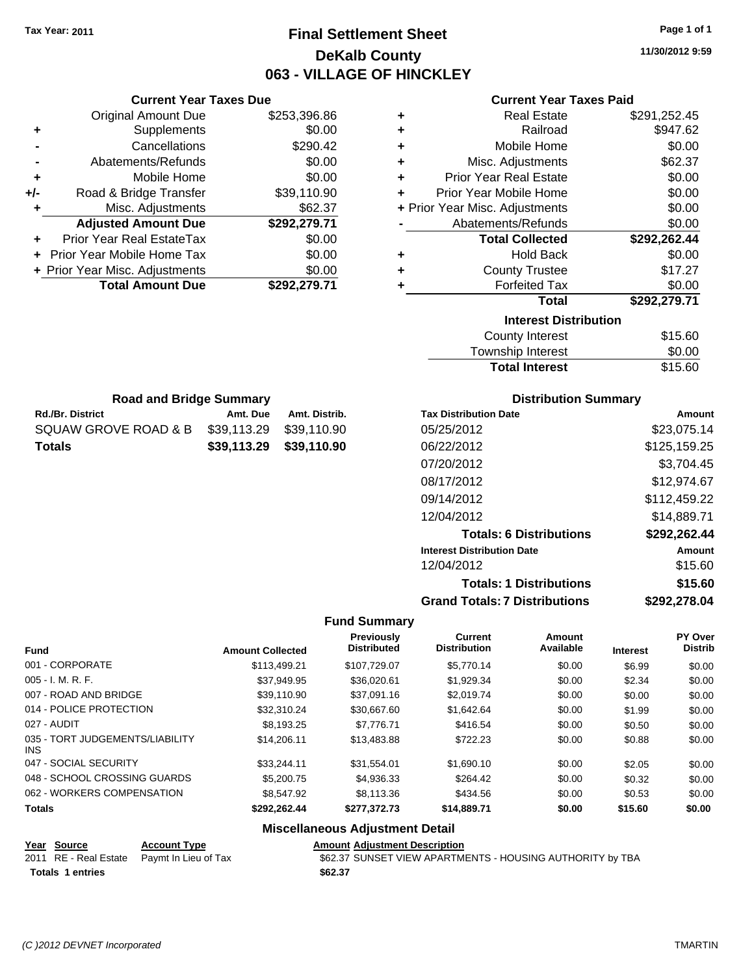# **Final Settlement Sheet Tax Year: 2011 Page 1 of 1 DeKalb County 063 - VILLAGE OF HINCKLEY**

**11/30/2012 9:59**

### **Current Year Taxes Paid**

| ٠ | <b>Real Estate</b>             | \$291,252.45 |
|---|--------------------------------|--------------|
| ٠ | Railroad                       | \$947.62     |
| ٠ | Mobile Home                    | \$0.00       |
| ÷ | Misc. Adjustments              | \$62.37      |
| ÷ | <b>Prior Year Real Estate</b>  | \$0.00       |
| ÷ | Prior Year Mobile Home         | \$0.00       |
|   | + Prior Year Misc. Adjustments | \$0.00       |
|   | Abatements/Refunds             | \$0.00       |
|   | <b>Total Collected</b>         | \$292,262.44 |
| ٠ | <b>Hold Back</b>               | \$0.00       |
| ٠ | <b>County Trustee</b>          | \$17.27      |
| ٠ | <b>Forfeited Tax</b>           | \$0.00       |
|   | Total                          | \$292,279.71 |
|   | <b>Interest Distribution</b>   |              |
|   | <b>County Interest</b>         | \$15.60      |
|   | Taurachin Internat             | ሮስ ሰሰ        |

| <b>Total Interest</b> | \$15.60 |
|-----------------------|---------|
| Township Interest     | \$0.00  |
| County Interest       | \$15.60 |

| <b>Road and Bridge Summary</b> |                         |               |  |  |  |  |
|--------------------------------|-------------------------|---------------|--|--|--|--|
| Rd./Br. District               | Amt. Due                | Amt. Distrib. |  |  |  |  |
| SQUAW GROVE ROAD & B           | \$39,113.29 \$39,110.90 |               |  |  |  |  |

**Totals \$39,113.29 \$39,110.90**

**Current Year Taxes Due** Original Amount Due \$253,396.86

**Adjusted Amount Due \$292,279.71**

**Total Amount Due \$292,279.71**

**+** Supplements \$0.00 **-** Cancellations \$290.42 **-** Abatements/Refunds \$0.00 **+** Mobile Home \$0.00 **+/-** Road & Bridge Transfer \$39,110.90 **+** Misc. Adjustments \$62.37

**+** Prior Year Real EstateTax \$0.00 **+** Prior Year Mobile Home Tax \$0.00 **+ Prior Year Misc. Adjustments**  $$0.00$ 

### **Distribution Summary**

| <b>Tax Distribution Date</b>         | Amount       |
|--------------------------------------|--------------|
| 05/25/2012                           | \$23,075.14  |
| 06/22/2012                           | \$125,159.25 |
| 07/20/2012                           | \$3,704.45   |
| 08/17/2012                           | \$12,974.67  |
| 09/14/2012                           | \$112,459.22 |
| 12/04/2012                           | \$14,889.71  |
| <b>Totals: 6 Distributions</b>       | \$292,262.44 |
| <b>Interest Distribution Date</b>    | Amount       |
| 12/04/2012                           | \$15.60      |
| <b>Totals: 1 Distributions</b>       | \$15.60      |
| <b>Grand Totals: 7 Distributions</b> | \$292,278.04 |

### **Fund Summary**

|                                               |                         | <b>Previously</b><br><b>Distributed</b> | <b>Current</b><br><b>Distribution</b> | Amount<br>Available |                 | PY Over<br><b>Distrib</b> |
|-----------------------------------------------|-------------------------|-----------------------------------------|---------------------------------------|---------------------|-----------------|---------------------------|
| <b>Fund</b>                                   | <b>Amount Collected</b> |                                         |                                       |                     | <b>Interest</b> |                           |
| 001 - CORPORATE                               | \$113,499.21            | \$107.729.07                            | \$5,770.14                            | \$0.00              | \$6.99          | \$0.00                    |
| $005 - I. M. R. F.$                           | \$37.949.95             | \$36,020.61                             | \$1,929.34                            | \$0.00              | \$2.34          | \$0.00                    |
| 007 - ROAD AND BRIDGE                         | \$39,110.90             | \$37.091.16                             | \$2,019.74                            | \$0.00              | \$0.00          | \$0.00                    |
| 014 - POLICE PROTECTION                       | \$32,310.24             | \$30,667.60                             | \$1.642.64                            | \$0.00              | \$1.99          | \$0.00                    |
| 027 - AUDIT                                   | \$8.193.25              | \$7.776.71                              | \$416.54                              | \$0.00              | \$0.50          | \$0.00                    |
| 035 - TORT JUDGEMENTS/LIABILITY<br><b>INS</b> | \$14.206.11             | \$13,483.88                             | \$722.23                              | \$0.00              | \$0.88          | \$0.00                    |
| 047 - SOCIAL SECURITY                         | \$33.244.11             | \$31.554.01                             | \$1,690.10                            | \$0.00              | \$2.05          | \$0.00                    |
| 048 - SCHOOL CROSSING GUARDS                  | \$5,200.75              | \$4,936.33                              | \$264.42                              | \$0.00              | \$0.32          | \$0.00                    |
| 062 - WORKERS COMPENSATION                    | \$8,547.92              | \$8,113,36                              | \$434.56                              | \$0.00              | \$0.53          | \$0.00                    |
| <b>Totals</b>                                 | \$292,262.44            | \$277,372.73                            | \$14,889.71                           | \$0.00              | \$15.60         | \$0.00                    |

### **Miscellaneous Adjustment Detail**

**Year Source Account Type Amount Adjustment Description**

|                         | 2011 RE - Real Estate Paymt In Lieu of Tax | \$62.37 |
|-------------------------|--------------------------------------------|---------|
| <b>Totals 1 entries</b> |                                            | \$62.37 |

1x 562.37 SUNSET VIEW APARTMENTS - HOUSING AUTHORITY by TBA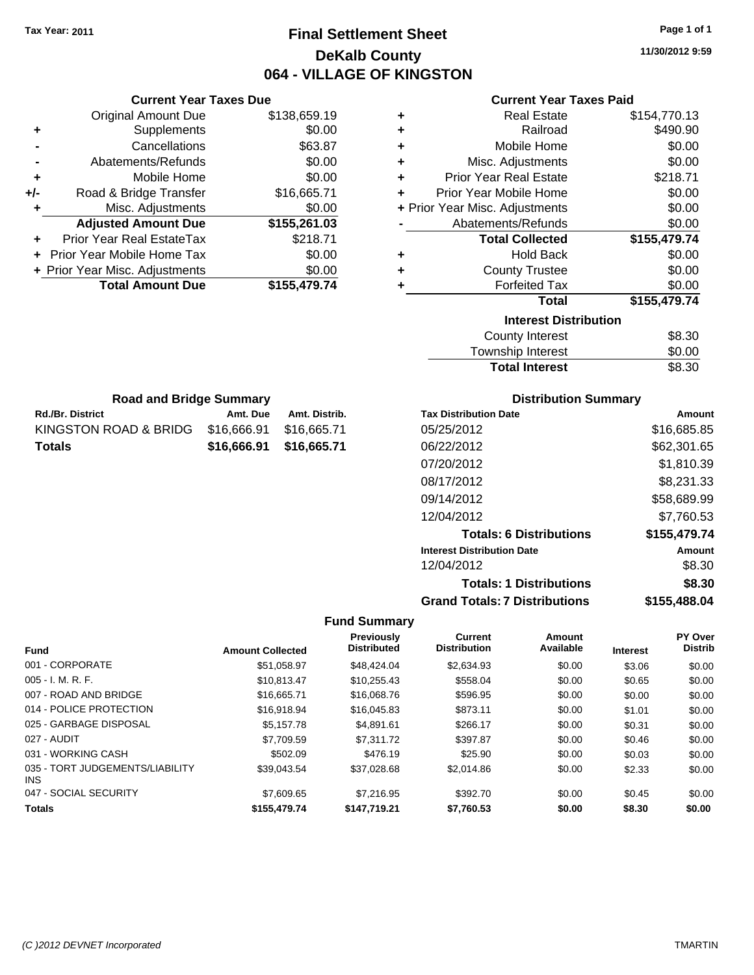**Current Year Taxes Due** Original Amount Due \$138,659.19

**Adjusted Amount Due \$155,261.03**

**Total Amount Due \$155,479.74**

**+** Supplements \$0.00 **-** Cancellations \$63.87 **-** Abatements/Refunds \$0.00 **+** Mobile Home \$0.00 **+/-** Road & Bridge Transfer \$16,665.71 **+** Misc. Adjustments \$0.00

**+** Prior Year Real EstateTax \$218.71 **+** Prior Year Mobile Home Tax \$0.00 **+ Prior Year Misc. Adjustments**  $$0.00$ 

Rd./Br. District **Amt. Due** Amt. Distrib. **Road and Bridge Summary**

KINGSTON ROAD & BRIDG \$16,666.91 \$16,665.71 **Totals \$16,666.91 \$16,665.71**

# **Final Settlement Sheet Tax Year: 2011 Page 1 of 1 DeKalb County 064 - VILLAGE OF KINGSTON**

**11/30/2012 9:59**

## **Current Year Taxes Paid**

| ٠ | <b>Real Estate</b>             | \$154,770.13 |
|---|--------------------------------|--------------|
| ٠ | Railroad                       | \$490.90     |
| ٠ | Mobile Home                    | \$0.00       |
| ÷ | Misc. Adjustments              | \$0.00       |
| ٠ | <b>Prior Year Real Estate</b>  | \$218.71     |
| ÷ | Prior Year Mobile Home         | \$0.00       |
|   | + Prior Year Misc. Adjustments | \$0.00       |
|   | Abatements/Refunds             | \$0.00       |
|   | <b>Total Collected</b>         | \$155,479.74 |
| ٠ | <b>Hold Back</b>               | \$0.00       |
| ٠ | <b>County Trustee</b>          | \$0.00       |
| ٠ | <b>Forfeited Tax</b>           | \$0.00       |
|   | <b>Total</b>                   | \$155,479.74 |
|   | <b>Interest Distribution</b>   |              |
|   | <b>County Interest</b>         | \$8.30       |
|   |                                |              |

| <b>Total Interest</b> | \$8.30 |
|-----------------------|--------|
| Township Interest     | \$0.00 |
|                       | vv.vv  |

| <b>Distribution Summary</b> |  |
|-----------------------------|--|
|-----------------------------|--|

| <b>Tax Distribution Date</b>         | Amount       |
|--------------------------------------|--------------|
| 05/25/2012                           | \$16,685.85  |
| 06/22/2012                           | \$62,301.65  |
| 07/20/2012                           | \$1,810.39   |
| 08/17/2012                           | \$8,231.33   |
| 09/14/2012                           | \$58,689.99  |
| 12/04/2012                           | \$7,760.53   |
| <b>Totals: 6 Distributions</b>       | \$155,479.74 |
| <b>Interest Distribution Date</b>    | Amount       |
| 12/04/2012                           | \$8.30       |
| <b>Totals: 1 Distributions</b>       | \$8.30       |
| <b>Grand Totals: 7 Distributions</b> | \$155,488.04 |

|                                         |                         | <b>Previously</b>  | <b>Current</b>      | Amount    |                 | PY Over        |
|-----------------------------------------|-------------------------|--------------------|---------------------|-----------|-----------------|----------------|
| <b>Fund</b>                             | <b>Amount Collected</b> | <b>Distributed</b> | <b>Distribution</b> | Available | <b>Interest</b> | <b>Distrib</b> |
| 001 - CORPORATE                         | \$51,058.97             | \$48,424.04        | \$2,634.93          | \$0.00    | \$3.06          | \$0.00         |
| $005 - I. M. R. F.$                     | \$10.813.47             | \$10,255.43        | \$558.04            | \$0.00    | \$0.65          | \$0.00         |
| 007 - ROAD AND BRIDGE                   | \$16,665.71             | \$16,068.76        | \$596.95            | \$0.00    | \$0.00          | \$0.00         |
| 014 - POLICE PROTECTION                 | \$16,918.94             | \$16,045.83        | \$873.11            | \$0.00    | \$1.01          | \$0.00         |
| 025 - GARBAGE DISPOSAL                  | \$5.157.78              | \$4.891.61         | \$266.17            | \$0.00    | \$0.31          | \$0.00         |
| 027 - AUDIT                             | \$7.709.59              | \$7.311.72         | \$397.87            | \$0.00    | \$0.46          | \$0.00         |
| 031 - WORKING CASH                      | \$502.09                | \$476.19           | \$25.90             | \$0.00    | \$0.03          | \$0.00         |
| 035 - TORT JUDGEMENTS/LIABILITY<br>INS. | \$39,043.54             | \$37.028.68        | \$2,014.86          | \$0.00    | \$2.33          | \$0.00         |
| 047 - SOCIAL SECURITY                   | \$7,609.65              | \$7,216.95         | \$392.70            | \$0.00    | \$0.45          | \$0.00         |
| <b>Totals</b>                           | \$155,479.74            | \$147.719.21       | \$7,760.53          | \$0.00    | \$8.30          | \$0.00         |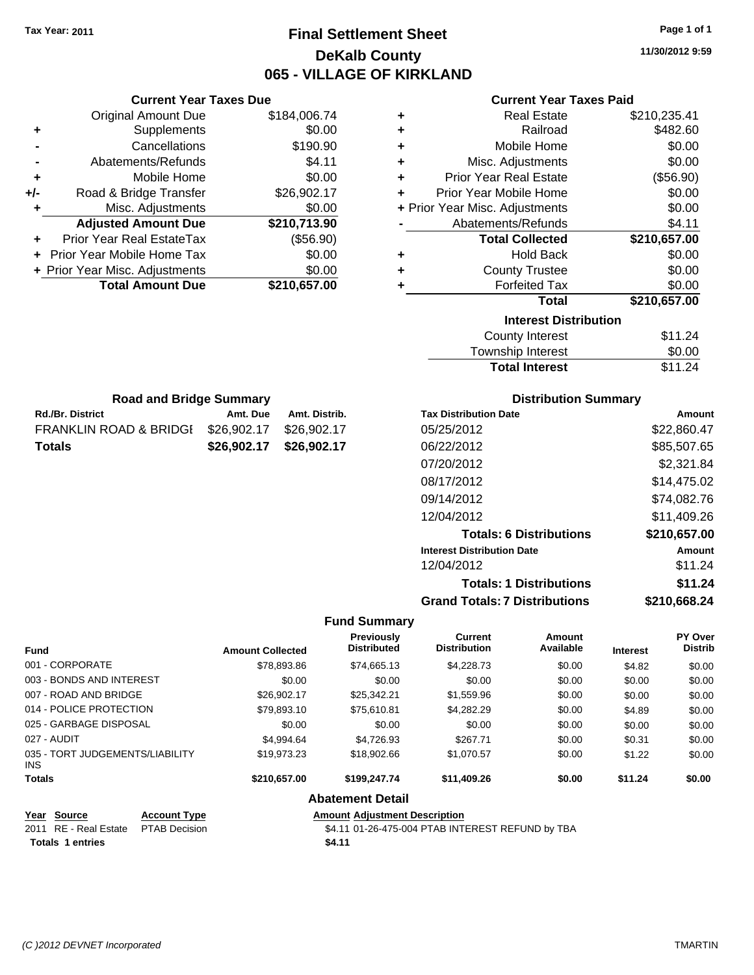**Current Year Taxes Due**

**Rd./Br. District Community Community Amt. Due Amt. Distrib. Road and Bridge Summary**

FRANKLIN ROAD & BRIDGE \$26,902.17 \$26,902.17 **Totals \$26,902.17 \$26,902.17**

# **Final Settlement Sheet Tax Year: 2011 Page 1 of 1 DeKalb County 065 - VILLAGE OF KIRKLAND**

**11/30/2012 9:59**

## **Current Year Taxes Paid**

|     | <b>Original Amount Due</b>     | \$184,006.74 | ٠ | <b>Real Estate</b>             | \$210,235.41 |
|-----|--------------------------------|--------------|---|--------------------------------|--------------|
| ٠   | Supplements                    | \$0.00       | ٠ | Railroad                       | \$482.60     |
|     | Cancellations                  | \$190.90     | ٠ | Mobile Home                    | \$0.00       |
|     | Abatements/Refunds             | \$4.11       | ٠ | Misc. Adjustments              | \$0.00       |
| ٠   | Mobile Home                    | \$0.00       | ٠ | <b>Prior Year Real Estate</b>  | (\$56.90)    |
| +/- | Road & Bridge Transfer         | \$26,902.17  | ÷ | Prior Year Mobile Home         | \$0.00       |
|     | Misc. Adjustments              | \$0.00       |   | + Prior Year Misc. Adjustments | \$0.00       |
|     | <b>Adjusted Amount Due</b>     | \$210,713.90 |   | Abatements/Refunds             | \$4.11       |
| ÷.  | Prior Year Real EstateTax      | (\$56.90)    |   | <b>Total Collected</b>         | \$210,657.00 |
|     | Prior Year Mobile Home Tax     | \$0.00       | ٠ | <b>Hold Back</b>               | \$0.00       |
|     | + Prior Year Misc. Adjustments | \$0.00       | ٠ | <b>County Trustee</b>          | \$0.00       |
|     | <b>Total Amount Due</b>        | \$210,657.00 |   | <b>Forfeited Tax</b>           | \$0.00       |
|     |                                |              |   | <b>Total</b>                   | \$210,657.00 |
|     |                                |              |   | <b>Interest Distribution</b>   |              |
|     |                                |              |   | <b>County Interest</b>         | \$11.24      |
|     |                                |              |   | Township Interest              | \$0.00       |

| \$11.24 |
|---------|
| \$0.00  |
| \$11.24 |
|         |

| <b>Distribution Summary</b> |  |
|-----------------------------|--|
|-----------------------------|--|

| <b>Tax Distribution Date</b>         | Amount       |
|--------------------------------------|--------------|
| 05/25/2012                           | \$22,860.47  |
| 06/22/2012                           | \$85,507.65  |
| 07/20/2012                           | \$2,321.84   |
| 08/17/2012                           | \$14,475.02  |
| 09/14/2012                           | \$74,082.76  |
| 12/04/2012                           | \$11,409.26  |
| <b>Totals: 6 Distributions</b>       | \$210,657.00 |
| <b>Interest Distribution Date</b>    | Amount       |
| 12/04/2012                           | \$11.24      |
| <b>Totals: 1 Distributions</b>       | \$11.24      |
| <b>Grand Totals: 7 Distributions</b> | \$210,668.24 |

### **Fund Summary**

| <b>Fund</b>                                   | <b>Amount Collected</b> | <b>Previously</b><br><b>Distributed</b> | <b>Current</b><br><b>Distribution</b> | Amount<br>Available | <b>Interest</b> | <b>PY Over</b><br><b>Distrib</b> |
|-----------------------------------------------|-------------------------|-----------------------------------------|---------------------------------------|---------------------|-----------------|----------------------------------|
| 001 - CORPORATE                               | \$78,893.86             | \$74,665.13                             | \$4,228.73                            | \$0.00              | \$4.82          | \$0.00                           |
| 003 - BONDS AND INTEREST                      | \$0.00                  | \$0.00                                  | \$0.00                                | \$0.00              | \$0.00          | \$0.00                           |
| 007 - ROAD AND BRIDGE                         | \$26,902.17             | \$25.342.21                             | \$1,559.96                            | \$0.00              | \$0.00          | \$0.00                           |
| 014 - POLICE PROTECTION                       | \$79,893.10             | \$75,610.81                             | \$4,282.29                            | \$0.00              | \$4.89          | \$0.00                           |
| 025 - GARBAGE DISPOSAL                        | \$0.00                  | \$0.00                                  | \$0.00                                | \$0.00              | \$0.00          | \$0.00                           |
| 027 - AUDIT                                   | \$4,994.64              | \$4.726.93                              | \$267.71                              | \$0.00              | \$0.31          | \$0.00                           |
| 035 - TORT JUDGEMENTS/LIABILITY<br><b>INS</b> | \$19.973.23             | \$18,902.66                             | \$1,070.57                            | \$0.00              | \$1.22          | \$0.00                           |
| <b>Totals</b>                                 | \$210,657.00            | \$199,247.74                            | \$11,409.26                           | \$0.00              | \$11.24         | \$0.00                           |

**Abatement Detail**

**Year Source Account Type Amount Adjustment Description Totals 1 entries** \$4.11

2011 RE - Real Estate \$4.11 01-26-475-004 PTAB INTEREST REFUND by TBA PTAB Decision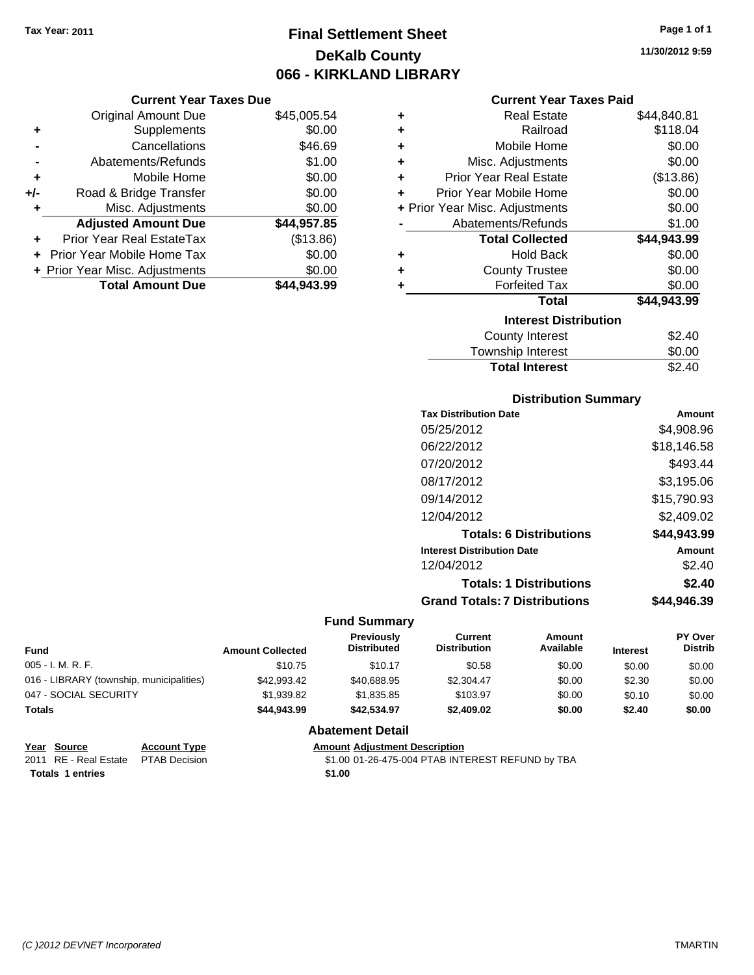# **Final Settlement Sheet Tax Year: 2011 Page 1 of 1 DeKalb County 066 - KIRKLAND LIBRARY**

### **Current Year Taxes Due**

|       | <b>Original Amount Due</b>     | \$45,005.54 |
|-------|--------------------------------|-------------|
| ٠     | Supplements                    | \$0.00      |
|       | Cancellations                  | \$46.69     |
|       | Abatements/Refunds             | \$1.00      |
| ÷     | Mobile Home                    | \$0.00      |
| $+/-$ | Road & Bridge Transfer         | \$0.00      |
| ٠     | Misc. Adjustments              | \$0.00      |
|       | <b>Adjusted Amount Due</b>     | \$44,957.85 |
|       | Prior Year Real EstateTax      | (\$13.86)   |
|       | Prior Year Mobile Home Tax     | \$0.00      |
|       | + Prior Year Misc. Adjustments | \$0.00      |
|       | <b>Total Amount Due</b>        | \$44.943.99 |

### **Current Year Taxes Paid**

| ٠ | Real Estate                    | \$44,840.81 |
|---|--------------------------------|-------------|
| ÷ | Railroad                       | \$118.04    |
| ÷ | Mobile Home                    | \$0.00      |
| ÷ | Misc. Adjustments              | \$0.00      |
| ٠ | <b>Prior Year Real Estate</b>  | (\$13.86)   |
| ٠ | Prior Year Mobile Home         | \$0.00      |
|   | + Prior Year Misc. Adjustments | \$0.00      |
|   | Abatements/Refunds             | \$1.00      |
|   | <b>Total Collected</b>         | \$44,943.99 |
| ٠ | <b>Hold Back</b>               | \$0.00      |
| ٠ | <b>County Trustee</b>          | \$0.00      |
| ٠ | <b>Forfeited Tax</b>           | \$0.00      |
|   | Total                          | \$44,943.99 |
|   | <b>Interest Distribution</b>   |             |
|   | <b>County Interest</b>         | \$2.40      |
|   | <b>Township Interest</b>       | \$0.00      |
|   | <b>Total Interest</b>          | \$2.40      |

## **Distribution Summary**

| <b>Tax Distribution Date</b>         | Amount      |
|--------------------------------------|-------------|
| 05/25/2012                           | \$4,908.96  |
| 06/22/2012                           | \$18,146.58 |
| 07/20/2012                           | \$493.44    |
| 08/17/2012                           | \$3,195.06  |
| 09/14/2012                           | \$15,790.93 |
| 12/04/2012                           | \$2,409.02  |
| <b>Totals: 6 Distributions</b>       | \$44,943.99 |
| <b>Interest Distribution Date</b>    | Amount      |
| 12/04/2012                           | \$2.40      |
| <b>Totals: 1 Distributions</b>       | \$2.40      |
| <b>Grand Totals: 7 Distributions</b> | \$44.946.39 |

### **Fund Summary**

| Fund                                     | <b>Amount Collected</b> | <b>Previously</b><br><b>Distributed</b> | Current<br><b>Distribution</b> | Amount<br>Available | <b>Interest</b> | <b>PY Over</b><br><b>Distrib</b> |
|------------------------------------------|-------------------------|-----------------------------------------|--------------------------------|---------------------|-----------------|----------------------------------|
| $005 - I. M. R. F.$                      | \$10.75                 | \$10.17                                 | \$0.58                         | \$0.00              | \$0.00          | \$0.00                           |
| 016 - LIBRARY (township, municipalities) | \$42,993.42             | \$40,688,95                             | \$2,304.47                     | \$0.00              | \$2.30          | \$0.00                           |
| 047 - SOCIAL SECURITY                    | \$1,939.82              | \$1.835.85                              | \$103.97                       | \$0.00              | \$0.10          | \$0.00                           |
| <b>Totals</b>                            | \$44.943.99             | \$42.534.97                             | \$2,409.02                     | \$0.00              | \$2.40          | \$0.00                           |

## **Abatement Detail**

| <b>Amount Adjustment Description</b> |  |
|--------------------------------------|--|
|                                      |  |

\$1.00 01-26-475-004 PTAB INTEREST REFUND by TBA **Totals 1 entries** \$1.00

**<u>Year Source</u>**<br> **Account Type**<br> **ADJUSTMENTE PTAB Decision**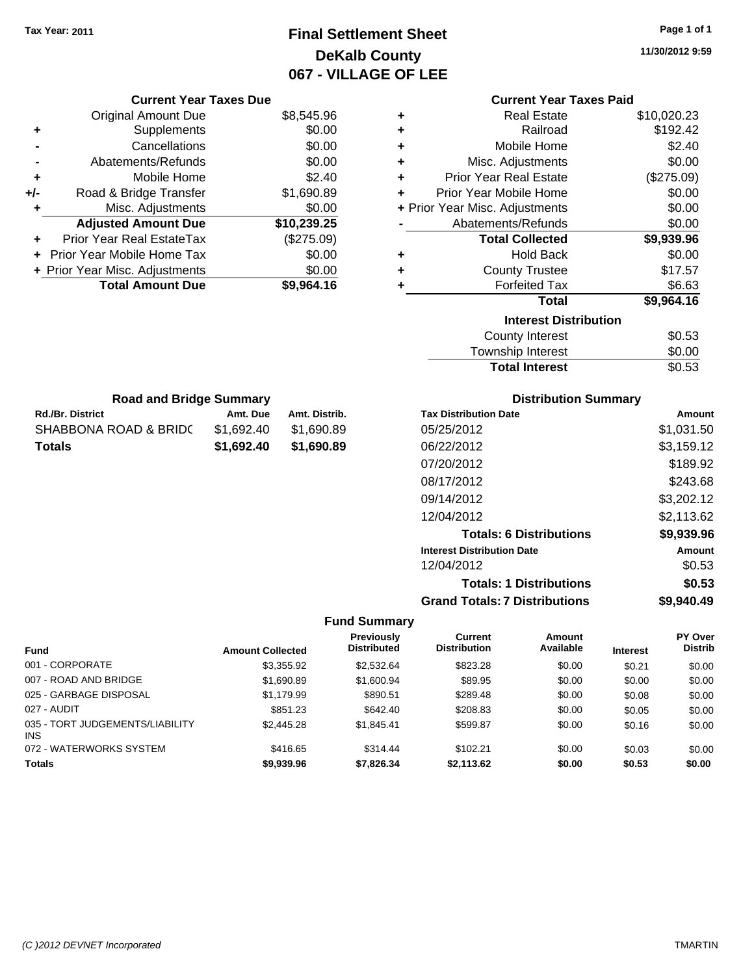# **Final Settlement Sheet Tax Year: 2011 Page 1 of 1 DeKalb County 067 - VILLAGE OF LEE**

**11/30/2012 9:59**

|  | <b>Current Year Taxes Paid</b> |  |  |  |
|--|--------------------------------|--|--|--|
|--|--------------------------------|--|--|--|

|     | <b>Current Year Taxes Due</b>     |             |
|-----|-----------------------------------|-------------|
|     | <b>Original Amount Due</b>        | \$8,545.96  |
| ٠   | Supplements                       | \$0.00      |
|     | Cancellations                     | \$0.00      |
|     | Abatements/Refunds                | \$0.00      |
| ٠   | Mobile Home                       | \$2.40      |
| +/- | Road & Bridge Transfer            | \$1,690.89  |
| ٠   | Misc. Adjustments                 | \$0.00      |
|     | <b>Adjusted Amount Due</b>        | \$10,239.25 |
|     | Prior Year Real EstateTax         | (\$275.09)  |
|     | <b>Prior Year Mobile Home Tax</b> | \$0.00      |
|     | + Prior Year Misc. Adjustments    | \$0.00      |
|     | <b>Total Amount Due</b>           | \$9,964.16  |

| ٠ | <b>Real Estate</b>             | \$10,020.23 |
|---|--------------------------------|-------------|
| ٠ | Railroad                       | \$192.42    |
| ÷ | Mobile Home                    | \$2.40      |
| ٠ | Misc. Adjustments              | \$0.00      |
| ٠ | Prior Year Real Estate         | (\$275.09)  |
| ÷ | Prior Year Mobile Home         | \$0.00      |
|   | + Prior Year Misc. Adjustments | \$0.00      |
|   | Abatements/Refunds             | \$0.00      |
|   | <b>Total Collected</b>         | \$9,939.96  |
| ٠ | <b>Hold Back</b>               | \$0.00      |
| ÷ | <b>County Trustee</b>          | \$17.57     |
| ٠ | <b>Forfeited Tax</b>           | \$6.63      |
|   | Total                          | \$9,964.16  |
|   | <b>Interest Distribution</b>   |             |
|   | <b>County Interest</b>         | \$0.53      |
|   | <b>Township Interest</b>       | \$0.00      |
|   | <b>Total Interest</b>          | \$0.53      |

| <b>Road and Bridge Summary</b> |            |               |  |  |  |
|--------------------------------|------------|---------------|--|--|--|
| <b>Rd./Br. District</b>        | Amt. Due   | Amt. Distrib. |  |  |  |
| SHABBONA ROAD & BRIDC          | \$1.692.40 | \$1,690.89    |  |  |  |
| Totals                         | \$1,692,40 | \$1,690.89    |  |  |  |

## **Distribution Summary**

| <b>Tax Distribution Date</b>         | Amount     |
|--------------------------------------|------------|
| 05/25/2012                           | \$1,031.50 |
| 06/22/2012                           | \$3,159.12 |
| 07/20/2012                           | \$189.92   |
| 08/17/2012                           | \$243.68   |
| 09/14/2012                           | \$3,202.12 |
| 12/04/2012                           | \$2.113.62 |
| <b>Totals: 6 Distributions</b>       | \$9,939.96 |
| <b>Interest Distribution Date</b>    | Amount     |
| 12/04/2012                           | \$0.53     |
| <b>Totals: 1 Distributions</b>       | \$0.53     |
| <b>Grand Totals: 7 Distributions</b> | \$9.940.49 |

|                                        |                         | Previously         | Current             | <b>Amount</b> |                 | PY Over        |
|----------------------------------------|-------------------------|--------------------|---------------------|---------------|-----------------|----------------|
| <b>Fund</b>                            | <b>Amount Collected</b> | <b>Distributed</b> | <b>Distribution</b> | Available     | <b>Interest</b> | <b>Distrib</b> |
| 001 - CORPORATE                        | \$3,355.92              | \$2,532.64         | \$823.28            | \$0.00        | \$0.21          | \$0.00         |
| 007 - ROAD AND BRIDGE                  | \$1,690.89              | \$1,600.94         | \$89.95             | \$0.00        | \$0.00          | \$0.00         |
| 025 - GARBAGE DISPOSAL                 | \$1,179.99              | \$890.51           | \$289.48            | \$0.00        | \$0.08          | \$0.00         |
| 027 - AUDIT                            | \$851.23                | \$642.40           | \$208.83            | \$0.00        | \$0.05          | \$0.00         |
| 035 - TORT JUDGEMENTS/LIABILITY<br>INS | \$2,445.28              | \$1.845.41         | \$599.87            | \$0.00        | \$0.16          | \$0.00         |
| 072 - WATERWORKS SYSTEM                | \$416.65                | \$314.44           | \$102.21            | \$0.00        | \$0.03          | \$0.00         |
| <b>Totals</b>                          | \$9,939.96              | \$7,826,34         | \$2.113.62          | \$0.00        | \$0.53          | \$0.00         |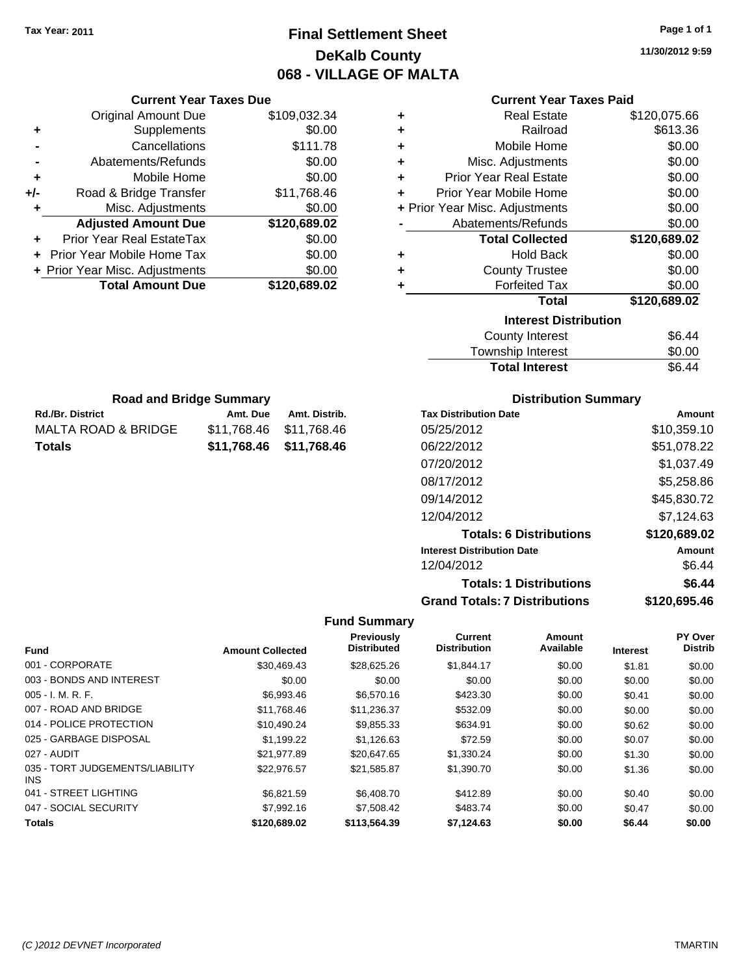# **Final Settlement Sheet Tax Year: 2011 Page 1 of 1 DeKalb County 068 - VILLAGE OF MALTA**

**11/30/2012 9:59**

|     | <b>Current Year Taxes Due</b>  |              |  |  |
|-----|--------------------------------|--------------|--|--|
|     | <b>Original Amount Due</b>     | \$109,032.34 |  |  |
| ٠   | Supplements                    | \$0.00       |  |  |
|     | Cancellations                  | \$111.78     |  |  |
|     | Abatements/Refunds             | \$0.00       |  |  |
| ٠   | Mobile Home                    | \$0.00       |  |  |
| +/- | Road & Bridge Transfer         | \$11,768.46  |  |  |
|     | Misc. Adjustments              | \$0.00       |  |  |
|     | <b>Adjusted Amount Due</b>     | \$120,689.02 |  |  |
|     | Prior Year Real EstateTax      | \$0.00       |  |  |
|     | Prior Year Mobile Home Tax     | \$0.00       |  |  |
|     | + Prior Year Misc. Adjustments | \$0.00       |  |  |
|     | <b>Total Amount Due</b>        | \$120,689.02 |  |  |
|     |                                |              |  |  |

**Rd./Br. District Community Community Rd./Br. Distrib.** Amt. Distrib. **Road and Bridge Summary**

MALTA ROAD & BRIDGE \$11,768.46 \$11,768.46 **Totals \$11,768.46 \$11,768.46**

## **Current Year Taxes Paid**

| ٠ | <b>Real Estate</b>             | \$120,075.66        |
|---|--------------------------------|---------------------|
| ٠ | Railroad                       | \$613.36            |
| ٠ | Mobile Home                    | \$0.00              |
| ÷ | Misc. Adjustments              | \$0.00              |
| ٠ | <b>Prior Year Real Estate</b>  | \$0.00              |
| ÷ | Prior Year Mobile Home         | \$0.00              |
|   | + Prior Year Misc. Adjustments | \$0.00              |
|   | Abatements/Refunds             | \$0.00              |
|   | <b>Total Collected</b>         | \$120,689.02        |
| ٠ | <b>Hold Back</b>               | \$0.00              |
| ٠ | <b>County Trustee</b>          | \$0.00              |
| ٠ | <b>Forfeited Tax</b>           | \$0.00              |
|   | Total                          | \$120,689.02        |
|   | <b>Interest Distribution</b>   |                     |
|   | $C_{\text{allowoff}}$ interest | <u>ዮሮ <i>ለለ</i></u> |

| County Interest       | \$6.44 |
|-----------------------|--------|
| Township Interest     | \$0.00 |
| <b>Total Interest</b> | \$6.44 |

# **Distribution Summary**

| <b>Tax Distribution Date</b>         | Amount       |
|--------------------------------------|--------------|
| 05/25/2012                           | \$10,359.10  |
| 06/22/2012                           | \$51,078.22  |
| 07/20/2012                           | \$1,037.49   |
| 08/17/2012                           | \$5,258.86   |
| 09/14/2012                           | \$45,830.72  |
| 12/04/2012                           | \$7,124.63   |
| <b>Totals: 6 Distributions</b>       | \$120,689.02 |
| <b>Interest Distribution Date</b>    | Amount       |
| 12/04/2012                           | \$6.44       |
| <b>Totals: 1 Distributions</b>       | \$6.44       |
| <b>Grand Totals: 7 Distributions</b> | \$120,695.46 |

|                                         |                         | Previously         | <b>Current</b>      | Amount    |                 | PY Over        |
|-----------------------------------------|-------------------------|--------------------|---------------------|-----------|-----------------|----------------|
| <b>Fund</b>                             | <b>Amount Collected</b> | <b>Distributed</b> | <b>Distribution</b> | Available | <b>Interest</b> | <b>Distrib</b> |
| 001 - CORPORATE                         | \$30,469.43             | \$28,625.26        | \$1,844.17          | \$0.00    | \$1.81          | \$0.00         |
| 003 - BONDS AND INTEREST                | \$0.00                  | \$0.00             | \$0.00              | \$0.00    | \$0.00          | \$0.00         |
| $005 - I. M. R. F.$                     | \$6,993.46              | \$6,570.16         | \$423.30            | \$0.00    | \$0.41          | \$0.00         |
| 007 - ROAD AND BRIDGE                   | \$11,768.46             | \$11,236.37        | \$532.09            | \$0.00    | \$0.00          | \$0.00         |
| 014 - POLICE PROTECTION                 | \$10.490.24             | \$9,855.33         | \$634.91            | \$0.00    | \$0.62          | \$0.00         |
| 025 - GARBAGE DISPOSAL                  | \$1,199.22              | \$1,126.63         | \$72.59             | \$0.00    | \$0.07          | \$0.00         |
| 027 - AUDIT                             | \$21.977.89             | \$20,647.65        | \$1,330.24          | \$0.00    | \$1.30          | \$0.00         |
| 035 - TORT JUDGEMENTS/LIABILITY<br>INS. | \$22,976.57             | \$21,585.87        | \$1,390.70          | \$0.00    | \$1.36          | \$0.00         |
| 041 - STREET LIGHTING                   | \$6.821.59              | \$6,408.70         | \$412.89            | \$0.00    | \$0.40          | \$0.00         |
| 047 - SOCIAL SECURITY                   | \$7,992.16              | \$7,508.42         | \$483.74            | \$0.00    | \$0.47          | \$0.00         |
| <b>Totals</b>                           | \$120,689.02            | \$113,564.39       | \$7,124.63          | \$0.00    | \$6.44          | \$0.00         |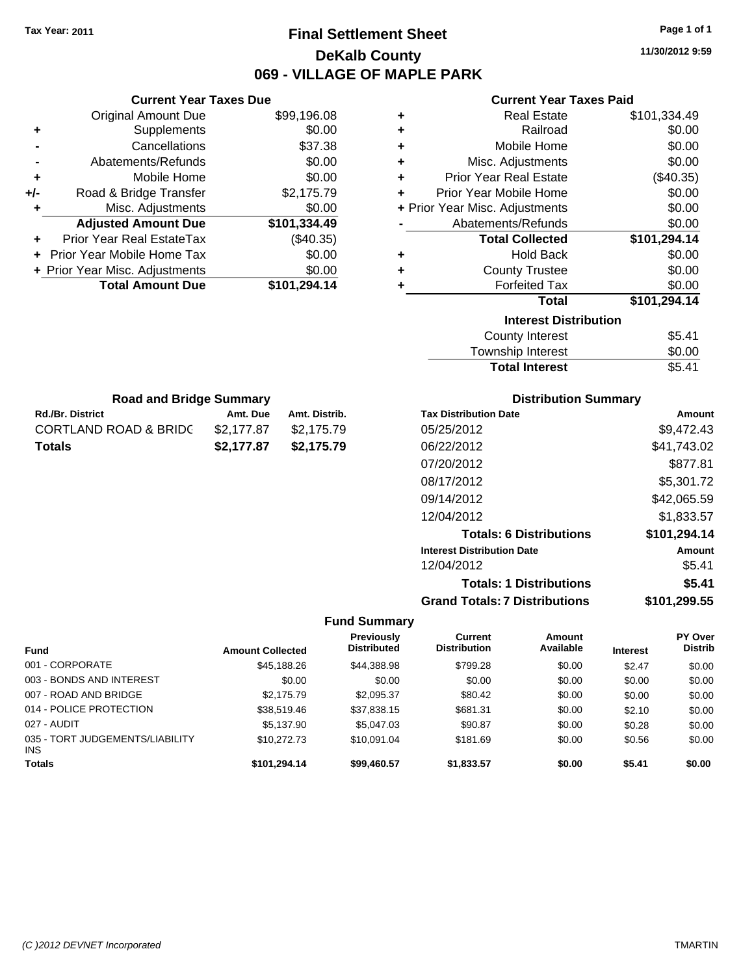# **Final Settlement Sheet Tax Year: 2011 Page 1 of 1 DeKalb County 069 - VILLAGE OF MAPLE PARK**

**11/30/2012 9:59**

## **Current Year Taxes Paid**

| .08 | ٠ | <b>Real Estate</b>             | \$101,334.49 |
|-----|---|--------------------------------|--------------|
| .00 | ٠ | Railroad                       | \$0.00       |
| .38 | ٠ | Mobile Home                    | \$0.00       |
| .00 | ٠ | Misc. Adjustments              | \$0.00       |
| .00 | ٠ | <b>Prior Year Real Estate</b>  | $(\$40.35)$  |
| .79 | ÷ | Prior Year Mobile Home         | \$0.00       |
| .00 |   | + Prior Year Misc. Adjustments | \$0.00       |
| .49 |   | Abatements/Refunds             | \$0.00       |
| 35) |   | <b>Total Collected</b>         | \$101,294.14 |
| .00 | ٠ | <b>Hold Back</b>               | \$0.00       |
| .00 | ٠ | <b>County Trustee</b>          | \$0.00       |
| .14 | ٠ | <b>Forfeited Tax</b>           | \$0.00       |
|     |   | <b>Total</b>                   | \$101,294.14 |
|     |   | <b>Interest Distribution</b>   |              |
|     |   | <b>County Interest</b>         | \$5.41       |
|     |   | Taunaakin lataraat             | ድል ሰሰ        |

 $\overline{\phantom{0}}$ 

| <b>Total Interest</b> | \$5.41 |
|-----------------------|--------|
| Township Interest     | \$0.00 |
| County Interest       | \$5.41 |

| <b>Distribution Summary</b>          |              |  |  |  |  |
|--------------------------------------|--------------|--|--|--|--|
| <b>Tax Distribution Date</b>         | Amount       |  |  |  |  |
| 05/25/2012                           | \$9.472.43   |  |  |  |  |
| 06/22/2012                           | \$41,743.02  |  |  |  |  |
| 07/20/2012                           | \$877.81     |  |  |  |  |
| 08/17/2012                           | \$5.301.72   |  |  |  |  |
| 09/14/2012                           | \$42,065.59  |  |  |  |  |
| 12/04/2012                           | \$1.833.57   |  |  |  |  |
| <b>Totals: 6 Distributions</b>       | \$101,294.14 |  |  |  |  |
| <b>Interest Distribution Date</b>    | Amount       |  |  |  |  |
| 12/04/2012                           | \$5.41       |  |  |  |  |
| <b>Totals: 1 Distributions</b>       | \$5.41       |  |  |  |  |
| <b>Grand Totals: 7 Distributions</b> | \$101,299.55 |  |  |  |  |

### **Fund Summary**

|                                               |                         | Previously         | Current             | <b>Amount</b> |                 | PY Over        |
|-----------------------------------------------|-------------------------|--------------------|---------------------|---------------|-----------------|----------------|
| <b>Fund</b>                                   | <b>Amount Collected</b> | <b>Distributed</b> | <b>Distribution</b> | Available     | <b>Interest</b> | <b>Distrib</b> |
| 001 - CORPORATE                               | \$45,188.26             | \$44,388.98        | \$799.28            | \$0.00        | \$2.47          | \$0.00         |
| 003 - BONDS AND INTEREST                      | \$0.00                  | \$0.00             | \$0.00              | \$0.00        | \$0.00          | \$0.00         |
| 007 - ROAD AND BRIDGE                         | \$2,175.79              | \$2,095.37         | \$80.42             | \$0.00        | \$0.00          | \$0.00         |
| 014 - POLICE PROTECTION                       | \$38,519.46             | \$37,838.15        | \$681.31            | \$0.00        | \$2.10          | \$0.00         |
| 027 - AUDIT                                   | \$5,137.90              | \$5,047.03         | \$90.87             | \$0.00        | \$0.28          | \$0.00         |
| 035 - TORT JUDGEMENTS/LIABILITY<br><b>INS</b> | \$10,272,73             | \$10.091.04        | \$181.69            | \$0.00        | \$0.56          | \$0.00         |
| <b>Totals</b>                                 | \$101,294.14            | \$99,460.57        | \$1,833.57          | \$0.00        | \$5.41          | \$0.00         |

|                | <b>Original Amount Due</b>     | \$99,196.08  |
|----------------|--------------------------------|--------------|
| ٠              | Supplements                    | \$0.00       |
|                | Cancellations                  | \$37.38      |
| $\blacksquare$ | Abatements/Refunds             | \$0.00       |
| ÷              | Mobile Home                    | \$0.00       |
| +/-            | Road & Bridge Transfer         | \$2,175.79   |
| ٠              | Misc. Adjustments              | \$0.00       |
|                | <b>Adjusted Amount Due</b>     | \$101,334.49 |
|                | Prior Year Real EstateTax      | $(\$40.35)$  |
|                | + Prior Year Mobile Home Tax   | \$0.00       |
|                | + Prior Year Misc. Adjustments | \$0.00       |
|                | <b>Total Amount Due</b>        | \$101,294.14 |

**Rd./Br. District Co. 2. Amt. Due Amt. Distrib. Road and Bridge Summary**

CORTLAND ROAD & BRIDG \$2,177.87 \$2,175.79 **Totals \$2,177.87 \$2,175.79**

**Current Year Taxes Due**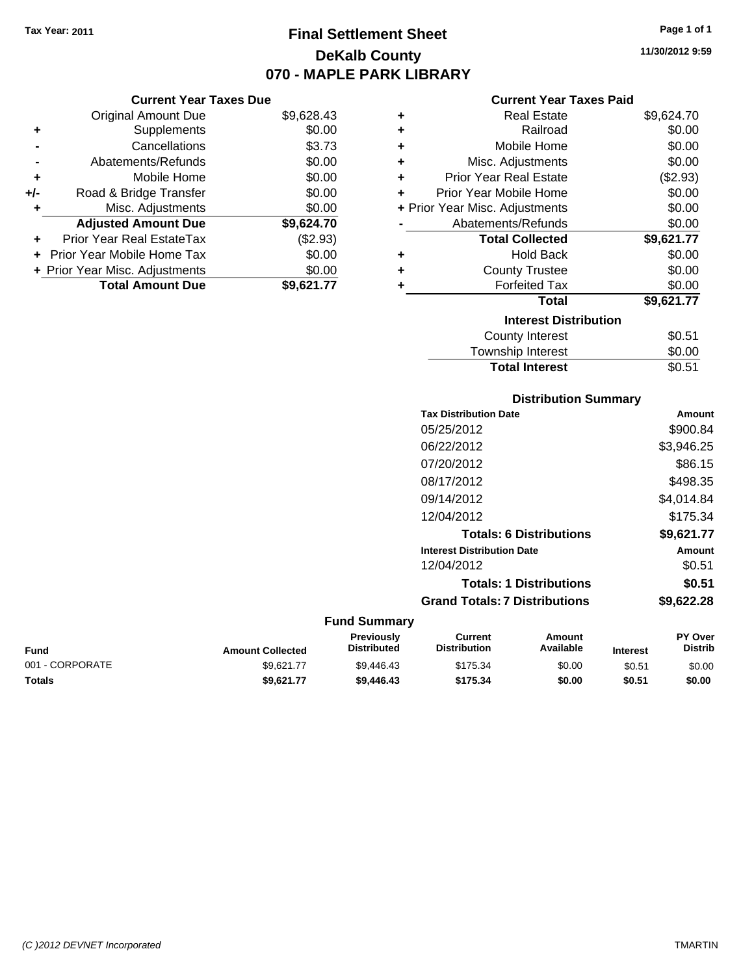# **Final Settlement Sheet Tax Year: 2011 Page 1 of 1 DeKalb County 070 - MAPLE PARK LIBRARY**

**11/30/2012 9:59**

### **Current Year Taxes Paid**

| <b>Current Year Taxes Due</b> |                                |            |  |  |
|-------------------------------|--------------------------------|------------|--|--|
|                               | <b>Original Amount Due</b>     | \$9,628.43 |  |  |
| ٠                             | Supplements                    | \$0.00     |  |  |
|                               | Cancellations                  | \$3.73     |  |  |
|                               | Abatements/Refunds             | \$0.00     |  |  |
| ٠                             | Mobile Home                    | \$0.00     |  |  |
| +/-                           | Road & Bridge Transfer         | \$0.00     |  |  |
| ٠                             | Misc. Adjustments              | \$0.00     |  |  |
|                               | <b>Adjusted Amount Due</b>     | \$9,624.70 |  |  |
|                               | Prior Year Real EstateTax      | (\$2.93)   |  |  |
|                               | Prior Year Mobile Home Tax     | \$0.00     |  |  |
|                               | + Prior Year Misc. Adjustments | \$0.00     |  |  |
|                               | <b>Total Amount Due</b>        | \$9,621.77 |  |  |

| ٠                            | <b>Real Estate</b>             | \$9,624.70 |  |  |
|------------------------------|--------------------------------|------------|--|--|
| ٠                            | Railroad                       | \$0.00     |  |  |
| ٠                            | Mobile Home                    | \$0.00     |  |  |
| ٠                            | Misc. Adjustments              | \$0.00     |  |  |
| ÷                            | <b>Prior Year Real Estate</b>  | (\$2.93)   |  |  |
| ٠                            | Prior Year Mobile Home         | \$0.00     |  |  |
|                              | + Prior Year Misc. Adjustments | \$0.00     |  |  |
|                              | Abatements/Refunds             | \$0.00     |  |  |
|                              | <b>Total Collected</b>         | \$9,621.77 |  |  |
| ٠                            | <b>Hold Back</b>               | \$0.00     |  |  |
| ٠                            | <b>County Trustee</b>          | \$0.00     |  |  |
| ٠                            | <b>Forfeited Tax</b>           | \$0.00     |  |  |
|                              | Total                          | \$9,621.77 |  |  |
| <b>Interest Distribution</b> |                                |            |  |  |
|                              | <b>County Interest</b>         | \$0.51     |  |  |
|                              | <b>Township Interest</b>       | \$0.00     |  |  |
|                              | <b>Total Interest</b>          | \$0.51     |  |  |

### **Distribution Summary Tax Distribution Date Amount**

| TAA DISUTDULION DAL <del>C</del>     | <u>Alluullu</u> |
|--------------------------------------|-----------------|
| 05/25/2012                           | \$900.84        |
| 06/22/2012                           | \$3,946.25      |
| 07/20/2012                           | \$86.15         |
| 08/17/2012                           | \$498.35        |
| 09/14/2012                           | \$4.014.84      |
| 12/04/2012                           | \$175.34        |
| <b>Totals: 6 Distributions</b>       | \$9,621.77      |
| <b>Interest Distribution Date</b>    | Amount          |
| 12/04/2012                           | \$0.51          |
| <b>Totals: 1 Distributions</b>       | \$0.51          |
| <b>Grand Totals: 7 Distributions</b> | \$9,622.28      |
|                                      |                 |

### **Fund Interest Amount Collected Distributed PY Over Distrib Amount Available Current Distribution Previously** 001 - CORPORATE 60.00 \$9,621.77 \$9,446.43 \$175.34 \$0.00 \$0.51 \$0.00 **Totals \$9,621.77 \$9,446.43 \$175.34 \$0.00 \$0.51 \$0.00**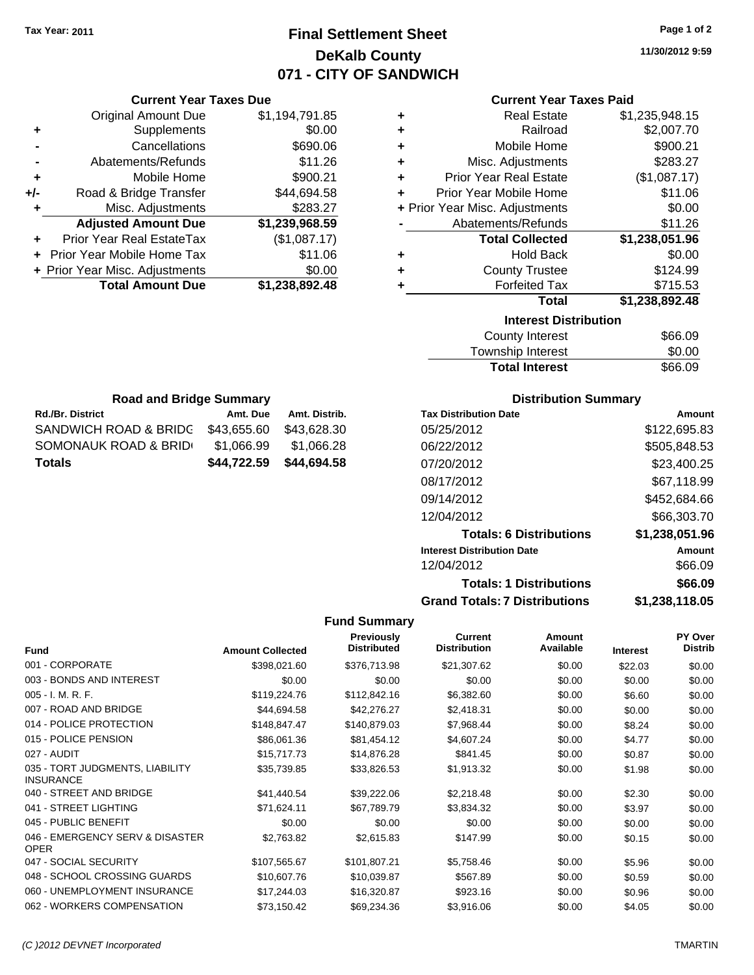# **Final Settlement Sheet Tax Year: 2011 Page 1 of 2 DeKalb County 071 - CITY OF SANDWICH**

**11/30/2012 9:59**

## **Current Year Taxes Paid**

| ٠ | <b>Real Estate</b>             | \$1,235,948.15 |
|---|--------------------------------|----------------|
|   |                                |                |
| ٠ | Railroad                       | \$2,007.70     |
| ٠ | Mobile Home                    | \$900.21       |
| ٠ | Misc. Adjustments              | \$283.27       |
| ÷ | <b>Prior Year Real Estate</b>  | (\$1,087.17)   |
| ٠ | Prior Year Mobile Home         | \$11.06        |
|   | + Prior Year Misc. Adjustments | \$0.00         |
|   | Abatements/Refunds             | \$11.26        |
|   | <b>Total Collected</b>         | \$1,238,051.96 |
| ٠ | <b>Hold Back</b>               | \$0.00         |
| ٠ | <b>County Trustee</b>          | \$124.99       |
| ٠ | <b>Forfeited Tax</b>           | \$715.53       |
|   | Total                          | \$1,238,892.48 |
|   | <b>Interest Distribution</b>   |                |
|   | County Intornet                | ድድድ ሰሰ         |

| <b>County Interest</b> | \$66.09 |
|------------------------|---------|
| Township Interest      | \$0.00  |
| <b>Total Interest</b>  | \$66.09 |

| <b>Road and Bridge Summary</b> |             |               |  |  |  |
|--------------------------------|-------------|---------------|--|--|--|
| <b>Rd./Br. District</b>        | Amt. Due    | Amt. Distrib. |  |  |  |
| SANDWICH ROAD & BRIDG          | \$43,655.60 | \$43,628.30   |  |  |  |
| SOMONAUK ROAD & BRID           | \$1,066.99  | \$1,066.28    |  |  |  |
| Totals                         | \$44,694.58 |               |  |  |  |

**Current Year Taxes Due** Original Amount Due \$1,194,791.85

**Adjusted Amount Due \$1,239,968.59**

**+** Supplements \$0.00 **-** Cancellations \$690.06 **-** Abatements/Refunds \$11.26 **+** Mobile Home \$900.21 **+/-** Road & Bridge Transfer \$44,694.58 **+** Misc. Adjustments \$283.27

**+** Prior Year Real EstateTax (\$1,087.17) **+** Prior Year Mobile Home Tax \$11.06 **+ Prior Year Misc. Adjustments \$0.00<br>Total Amount Due \$1,238,892.48** 

**Total Amount Due** 

## **Distribution Summary**

| <b>Tax Distribution Date</b>         | Amount         |
|--------------------------------------|----------------|
| 05/25/2012                           | \$122,695.83   |
| 06/22/2012                           | \$505,848.53   |
| 07/20/2012                           | \$23,400.25    |
| 08/17/2012                           | \$67,118.99    |
| 09/14/2012                           | \$452,684.66   |
| 12/04/2012                           | \$66,303.70    |
| <b>Totals: 6 Distributions</b>       | \$1,238,051.96 |
| <b>Interest Distribution Date</b>    | Amount         |
| 12/04/2012                           | \$66.09        |
| <b>Totals: 1 Distributions</b>       | \$66.09        |
| <b>Grand Totals: 7 Distributions</b> | \$1,238,118.05 |

| Fund                                                | <b>Amount Collected</b> | <b>Previously</b><br><b>Distributed</b> | <b>Current</b><br><b>Distribution</b> | Amount<br>Available | <b>Interest</b> | <b>PY Over</b><br><b>Distrib</b> |
|-----------------------------------------------------|-------------------------|-----------------------------------------|---------------------------------------|---------------------|-----------------|----------------------------------|
| 001 - CORPORATE                                     | \$398,021.60            | \$376,713.98                            | \$21,307.62                           | \$0.00              | \$22.03         | \$0.00                           |
| 003 - BONDS AND INTEREST                            | \$0.00                  | \$0.00                                  | \$0.00                                | \$0.00              | \$0.00          | \$0.00                           |
| $005 - I. M. R. F.$                                 | \$119,224.76            | \$112,842.16                            | \$6,382.60                            | \$0.00              | \$6.60          | \$0.00                           |
| 007 - ROAD AND BRIDGE                               | \$44,694.58             | \$42,276.27                             | \$2,418.31                            | \$0.00              | \$0.00          | \$0.00                           |
| 014 - POLICE PROTECTION                             | \$148,847.47            | \$140,879.03                            | \$7,968.44                            | \$0.00              | \$8.24          | \$0.00                           |
| 015 - POLICE PENSION                                | \$86,061.36             | \$81,454.12                             | \$4,607.24                            | \$0.00              | \$4.77          | \$0.00                           |
| 027 - AUDIT                                         | \$15,717.73             | \$14,876.28                             | \$841.45                              | \$0.00              | \$0.87          | \$0.00                           |
| 035 - TORT JUDGMENTS, LIABILITY<br><b>INSURANCE</b> | \$35,739.85             | \$33,826.53                             | \$1,913.32                            | \$0.00              | \$1.98          | \$0.00                           |
| 040 - STREET AND BRIDGE                             | \$41,440.54             | \$39,222.06                             | \$2,218.48                            | \$0.00              | \$2.30          | \$0.00                           |
| 041 - STREET LIGHTING                               | \$71,624.11             | \$67,789.79                             | \$3,834.32                            | \$0.00              | \$3.97          | \$0.00                           |
| 045 - PUBLIC BENEFIT                                | \$0.00                  | \$0.00                                  | \$0.00                                | \$0.00              | \$0.00          | \$0.00                           |
| 046 - EMERGENCY SERV & DISASTER<br><b>OPER</b>      | \$2,763.82              | \$2,615.83                              | \$147.99                              | \$0.00              | \$0.15          | \$0.00                           |
| 047 - SOCIAL SECURITY                               | \$107,565.67            | \$101,807.21                            | \$5,758.46                            | \$0.00              | \$5.96          | \$0.00                           |
| 048 - SCHOOL CROSSING GUARDS                        | \$10,607.76             | \$10,039.87                             | \$567.89                              | \$0.00              | \$0.59          | \$0.00                           |
| 060 - UNEMPLOYMENT INSURANCE                        | \$17,244.03             | \$16,320.87                             | \$923.16                              | \$0.00              | \$0.96          | \$0.00                           |
| 062 - WORKERS COMPENSATION                          | \$73,150.42             | \$69,234.36                             | \$3,916.06                            | \$0.00              | \$4.05          | \$0.00                           |
|                                                     |                         |                                         |                                       |                     |                 |                                  |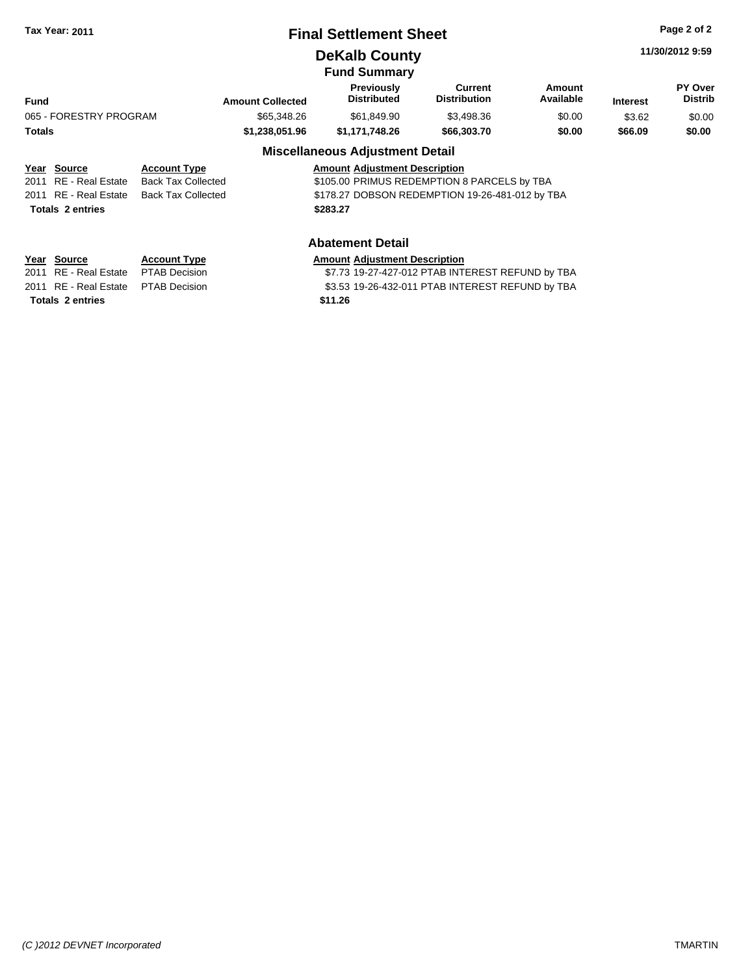# **Final Settlement Sheet Tax Year: 2011 Page 2 of 2**

# **DeKalb County**

**11/30/2012 9:59**

#### **Fund Summary Fund Interest Amount Collected Distributed PY Over Distrib Amount Available Current Distribution Previously** 065 - FORESTRY PROGRAM \$65,348.26 \$61,849.90 \$3,498.36 \$0.00 \$3.62 \$0.00 **Totals \$1,238,051.96 \$1,171,748.26 \$66,303.70 \$0.00 \$66.09 \$0.00**

# **Miscellaneous Adjustment Detail**

| Year Source             | <b>Account Type</b>                      | <b>Amount Adjustment Description</b>            |
|-------------------------|------------------------------------------|-------------------------------------------------|
| 2011 RE - Real Estate   | Back Tax Collected                       | \$105.00 PRIMUS REDEMPTION 8 PARCELS by TBA     |
|                         | 2011 RE - Real Estate Back Tax Collected | \$178.27 DOBSON REDEMPTION 19-26-481-012 by TBA |
| <b>Totals 2 entries</b> |                                          | \$283.27                                        |
|                         |                                          |                                                 |

# **Year Source Account Type Amount Adjustment Description**

**Totals \$11.26 2 entries**

**Abatement Detail**

2011 RE - Real Estate \$7.73 19-27-427-012 PTAB INTEREST REFUND by TBA PTAB Decision 2011 RE - Real Estate \$3.53 19-26-432-011 PTAB INTEREST REFUND by TBA PTAB Decision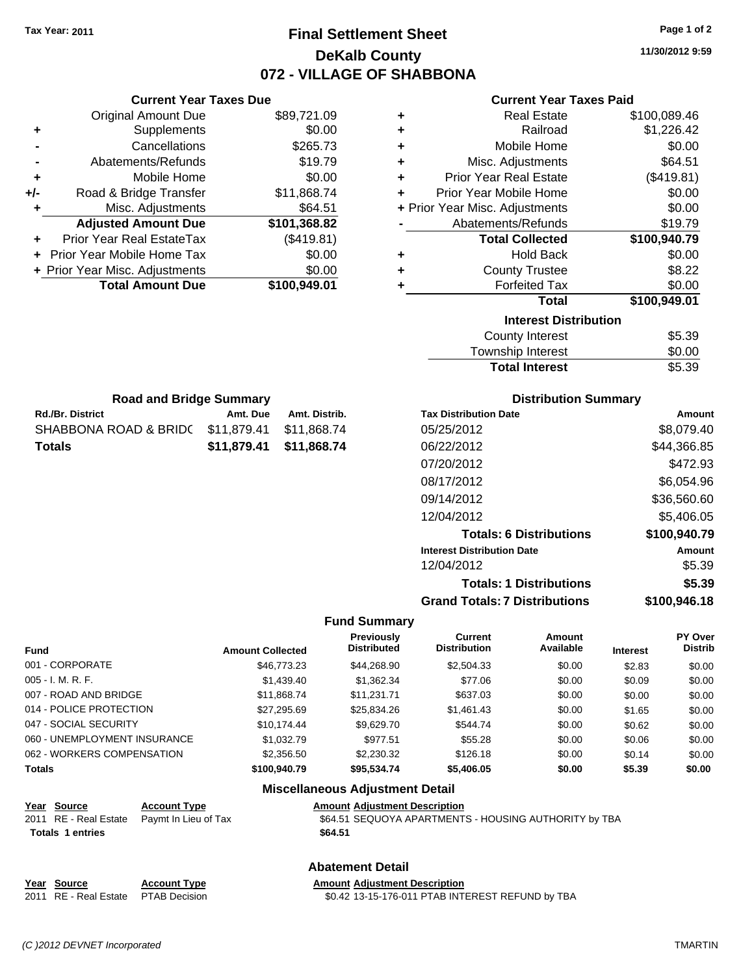# **Final Settlement Sheet Tax Year: 2011 Page 1 of 2 DeKalb County 072 - VILLAGE OF SHABBONA**

**11/30/2012 9:59**

### **Current Year Taxes Paid**

| ٠ | <b>Real Estate</b>             | \$100,089.46 |  |  |  |  |
|---|--------------------------------|--------------|--|--|--|--|
| ٠ | Railroad                       | \$1,226.42   |  |  |  |  |
| ٠ | Mobile Home                    | \$0.00       |  |  |  |  |
| ٠ | Misc. Adjustments              | \$64.51      |  |  |  |  |
| ٠ | <b>Prior Year Real Estate</b>  | (\$419.81)   |  |  |  |  |
| ÷ | Prior Year Mobile Home         | \$0.00       |  |  |  |  |
|   | + Prior Year Misc. Adjustments | \$0.00       |  |  |  |  |
|   | Abatements/Refunds             | \$19.79      |  |  |  |  |
|   | <b>Total Collected</b>         | \$100,940.79 |  |  |  |  |
| ٠ | <b>Hold Back</b>               | \$0.00       |  |  |  |  |
| ٠ | <b>County Trustee</b>          | \$8.22       |  |  |  |  |
| ٠ | <b>Forfeited Tax</b>           | \$0.00       |  |  |  |  |
|   | <b>Total</b>                   | \$100,949.01 |  |  |  |  |
|   | <b>Interest Distribution</b>   |              |  |  |  |  |
|   | <b>County Interest</b>         | \$5.39       |  |  |  |  |
|   | Taunaakin lataraat             | ሮል አል        |  |  |  |  |

| <b>Total Interest</b> | \$5.39 |
|-----------------------|--------|
| Township Interest     | \$0.00 |
| County Interest       | \$5.39 |

| <b>Road and Bridge Summary</b>                       |                         |  |  |  |
|------------------------------------------------------|-------------------------|--|--|--|
| <b>Rd./Br. District</b><br>Amt. Distrib.<br>Amt. Due |                         |  |  |  |
| SHABBONA ROAD & BRID(511,879.41 \$11,868.74          |                         |  |  |  |
| Totals                                               | \$11,879.41 \$11,868.74 |  |  |  |

**Current Year Taxes Due** Original Amount Due \$89,721.09

**Adjusted Amount Due \$101,368.82**

**Total Amount Due \$100,949.01**

**+** Supplements \$0.00 **-** Cancellations \$265.73 **-** Abatements/Refunds \$19.79 **+** Mobile Home \$0.00 **+/-** Road & Bridge Transfer \$11,868.74 **+** Misc. Adjustments \$64.51

**+** Prior Year Real EstateTax (\$419.81) **+** Prior Year Mobile Home Tax \$0.00 **+ Prior Year Misc. Adjustments**  $$0.00$ 

## **Distribution Summary**

| <b>Tax Distribution Date</b>         | Amount       |
|--------------------------------------|--------------|
| 05/25/2012                           | \$8,079.40   |
| 06/22/2012                           | \$44,366.85  |
| 07/20/2012                           | \$472.93     |
| 08/17/2012                           | \$6,054.96   |
| 09/14/2012                           | \$36,560.60  |
| 12/04/2012                           | \$5,406.05   |
| <b>Totals: 6 Distributions</b>       | \$100,940.79 |
| <b>Interest Distribution Date</b>    | Amount       |
| 12/04/2012                           | \$5.39       |
| <b>Totals: 1 Distributions</b>       | \$5.39       |
| <b>Grand Totals: 7 Distributions</b> | \$100,946.18 |

#### **Fund Summary**

| <b>Fund</b>                  | <b>Amount Collected</b> | <b>Previously</b><br><b>Distributed</b> | Current<br><b>Distribution</b> | Amount<br>Available | <b>Interest</b> | PY Over<br><b>Distrib</b> |
|------------------------------|-------------------------|-----------------------------------------|--------------------------------|---------------------|-----------------|---------------------------|
| 001 - CORPORATE              | \$46,773,23             | \$44.268.90                             | \$2,504.33                     | \$0.00              | \$2.83          | \$0.00                    |
| 005 - I. M. R. F.            | \$1,439.40              | \$1,362.34                              | \$77.06                        | \$0.00              | \$0.09          | \$0.00                    |
| 007 - ROAD AND BRIDGE        | \$11.868.74             | \$11.231.71                             | \$637.03                       | \$0.00              | \$0.00          | \$0.00                    |
| 014 - POLICE PROTECTION      | \$27,295.69             | \$25,834.26                             | \$1,461.43                     | \$0.00              | \$1.65          | \$0.00                    |
| 047 - SOCIAL SECURITY        | \$10.174.44             | \$9.629.70                              | \$544.74                       | \$0.00              | \$0.62          | \$0.00                    |
| 060 - UNEMPLOYMENT INSURANCE | \$1,032.79              | \$977.51                                | \$55.28                        | \$0.00              | \$0.06          | \$0.00                    |
| 062 - WORKERS COMPENSATION   | \$2,356.50              | \$2,230.32                              | \$126.18                       | \$0.00              | \$0.14          | \$0.00                    |
| <b>Totals</b>                | \$100,940.79            | \$95,534.74                             | \$5,406.05                     | \$0.00              | \$5.39          | \$0.00                    |

# **Miscellaneous Adjustment Detail**

| Year Source                                | <b>Account Type</b> | <b>Amount Adiustment Description</b> |
|--------------------------------------------|---------------------|--------------------------------------|
| 2011 RE - Real Estate Paymt In Lieu of Tax |                     | \$64.51 SEQUOYA APARTMENT            |
| <b>Totals 1 entries</b>                    |                     | \$64.51                              |
|                                            |                     |                                      |

SEQUOYA APARTMENTS - HOUSING AUTHORITY by TBA

## **Abatement Detail**

| Year Source                         | <b>Account Type</b> | <b>Amount Adiustment Description</b>             |
|-------------------------------------|---------------------|--------------------------------------------------|
| 2011 RE - Real Estate PTAB Decision |                     | \$0.42 13-15-176-011 PTAB INTEREST REFUND by TBA |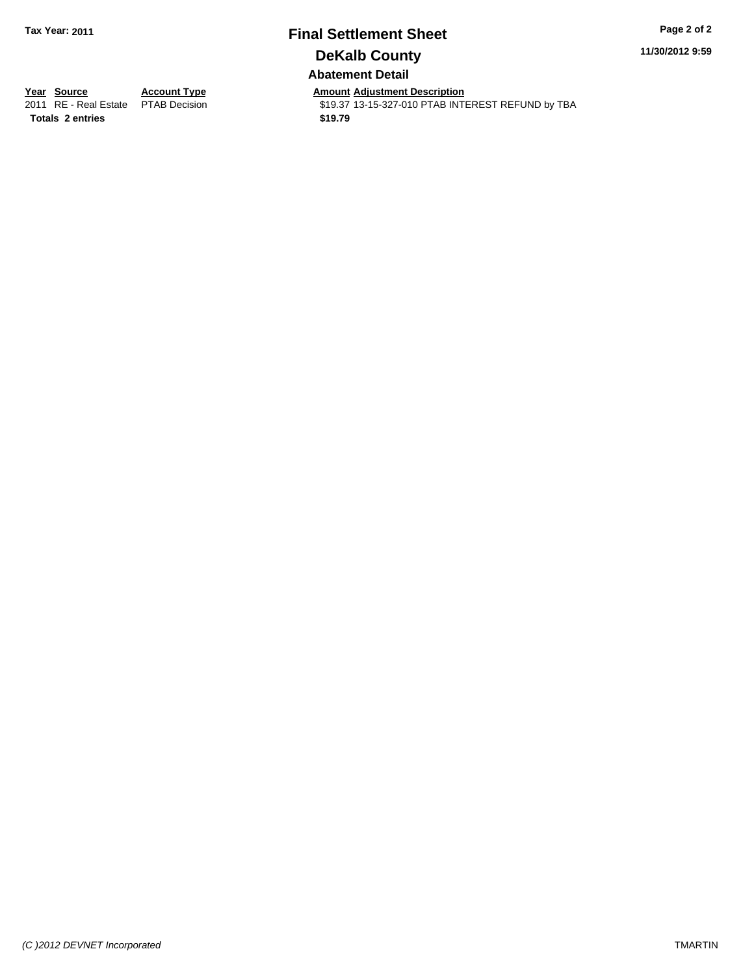# **Final Settlement Sheet Tax Year: 2011 Page 2 of 2 DeKalb County Abatement Detail**

**11/30/2012 9:59**

**Totals \$19.79 2 entries**

**Year Source Account Type Amount Adjustment Description**<br>
2011 RE - Real Estate PTAB Decision **Amount** \$19.37 13-15-327-010 PTAB INTI \$19.37 13-15-327-010 PTAB INTEREST REFUND by TBA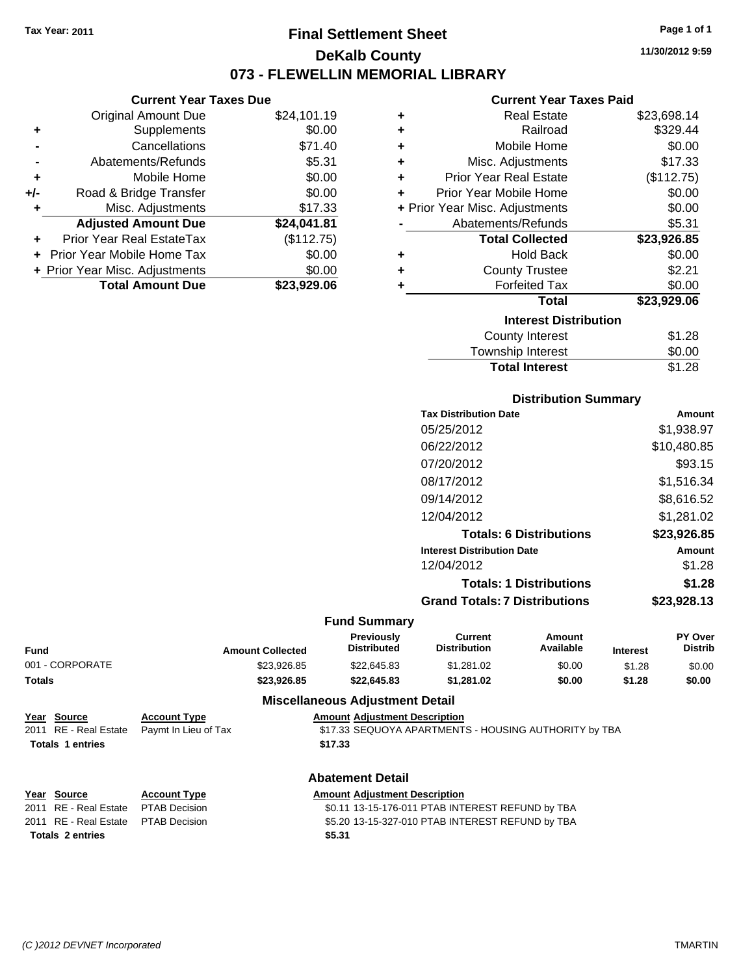**Current Year Taxes Due**

# **Final Settlement Sheet Tax Year: 2011 Page 1 of 1 DeKalb County 073 - FLEWELLIN MEMORIAL LIBRARY**

**11/30/2012 9:59**

### **Current Year Taxes Paid**

|     | OUITUR TUUT TUAUS DUU          |             |   | OUITUR TUUT TUAUJ TURU         |             |
|-----|--------------------------------|-------------|---|--------------------------------|-------------|
|     | <b>Original Amount Due</b>     | \$24,101.19 | ٠ | <b>Real Estate</b>             | \$23,698.14 |
| ٠   | Supplements                    | \$0.00      | ٠ | Railroad                       | \$329.44    |
|     | Cancellations                  | \$71.40     | ٠ | Mobile Home                    | \$0.00      |
|     | Abatements/Refunds             | \$5.31      | ٠ | Misc. Adjustments              | \$17.33     |
| ٠   | Mobile Home                    | \$0.00      | ٠ | <b>Prior Year Real Estate</b>  | (\$112.75)  |
| +/- | Road & Bridge Transfer         | \$0.00      | ٠ | Prior Year Mobile Home         | \$0.00      |
|     | Misc. Adjustments              | \$17.33     |   | + Prior Year Misc. Adjustments | \$0.00      |
|     | <b>Adjusted Amount Due</b>     | \$24,041.81 |   | Abatements/Refunds             | \$5.31      |
| ÷.  | Prior Year Real EstateTax      | (\$112.75)  |   | <b>Total Collected</b>         | \$23,926.85 |
|     | + Prior Year Mobile Home Tax   | \$0.00      | ٠ | <b>Hold Back</b>               | \$0.00      |
|     | + Prior Year Misc. Adjustments | \$0.00      | ٠ | <b>County Trustee</b>          | \$2.21      |
|     | <b>Total Amount Due</b>        | \$23,929.06 |   | <b>Forfeited Tax</b>           | \$0.00      |
|     |                                |             |   | <b>Total</b>                   | \$23,929.06 |
|     |                                |             |   | <b>Interest Distribution</b>   |             |
|     |                                |             |   | County Interest                | \$1.28      |
|     |                                |             |   | Tauraabin Intoraat             | ሮስ ሰሰ       |

| County Interest             | \$1.28 |  |
|-----------------------------|--------|--|
| <b>Township Interest</b>    | \$0.00 |  |
| <b>Total Interest</b>       | \$1.28 |  |
| <b>Distribution Summary</b> |        |  |

| <b>Tax Distribution Date</b>         | Amount      |
|--------------------------------------|-------------|
| 05/25/2012                           | \$1.938.97  |
| 06/22/2012                           | \$10,480.85 |
| 07/20/2012                           | \$93.15     |
| 08/17/2012                           | \$1,516.34  |
| 09/14/2012                           | \$8,616.52  |
| 12/04/2012                           | \$1.281.02  |
| <b>Totals: 6 Distributions</b>       | \$23,926.85 |
| <b>Interest Distribution Date</b>    | Amount      |
| 12/04/2012                           | \$1.28      |
| <b>Totals: 1 Distributions</b>       | \$1.28      |
| <b>Grand Totals: 7 Distributions</b> | \$23,928.13 |

#### **Fund Summary**

| Fund            | <b>Amount Collected</b> | <b>Previously</b><br><b>Distributed</b> | Current<br><b>Distribution</b> | Amount<br>Available | <b>Interest</b> | <b>PY Over</b><br><b>Distrib</b> |
|-----------------|-------------------------|-----------------------------------------|--------------------------------|---------------------|-----------------|----------------------------------|
| 001 - CORPORATE | \$23.926.85             | \$22,645.83                             | \$1.281.02                     | \$0.00              | \$1.28          | \$0.00                           |
| Totals          | \$23,926.85             | \$22,645.83                             | \$1.281.02                     | \$0.00              | \$1.28          | \$0.00                           |

### **Miscellaneous Adjustment Detail**

| Year Source             | <b>Account Type</b>                        | <b>Amount Adjustment Description</b>                  |
|-------------------------|--------------------------------------------|-------------------------------------------------------|
|                         | 2011 RE - Real Estate Paymt In Lieu of Tax | \$17.33 SEQUOYA APARTMENTS - HOUSING AUTHORITY by TBA |
| <b>Totals 1 entries</b> |                                            | \$17.33                                               |
|                         |                                            |                                                       |

#### **Abatement Detail**

| Year Source                         | <b>Account Type</b> | <b>Amount Adiustment Description</b>             |
|-------------------------------------|---------------------|--------------------------------------------------|
| 2011 RE - Real Estate PTAB Decision |                     | \$0.11 13-15-176-011 PTAB INTEREST REFUND by TBA |
| 2011 RE - Real Estate PTAB Decision |                     | \$5.20 13-15-327-010 PTAB INTEREST REFUND by TBA |
| <b>Totals 2 entries</b>             |                     | \$5.31                                           |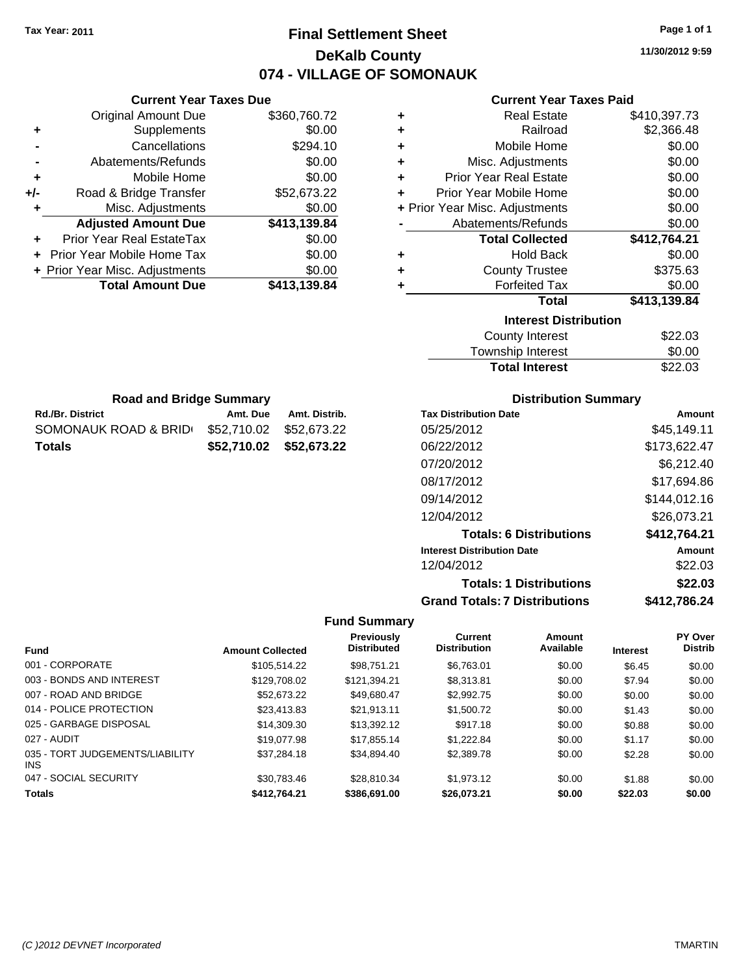# **Final Settlement Sheet Tax Year: 2011 Page 1 of 1 DeKalb County 074 - VILLAGE OF SOMONAUK**

**11/30/2012 9:59**

| <b>Current Year Taxes Paid</b> |  |  |  |
|--------------------------------|--|--|--|
|--------------------------------|--|--|--|

| ٠ | <b>Real Estate</b>             | \$410,397.73 |
|---|--------------------------------|--------------|
| ٠ | Railroad                       | \$2,366.48   |
| ÷ | Mobile Home                    | \$0.00       |
| ÷ | Misc. Adjustments              | \$0.00       |
| ٠ | <b>Prior Year Real Estate</b>  | \$0.00       |
| ÷ | Prior Year Mobile Home         | \$0.00       |
|   | + Prior Year Misc. Adjustments | \$0.00       |
|   | Abatements/Refunds             | \$0.00       |
|   | <b>Total Collected</b>         | \$412,764.21 |
| ٠ | <b>Hold Back</b>               | \$0.00       |
| ٠ | <b>County Trustee</b>          | \$375.63     |
| ٠ | <b>Forfeited Tax</b>           | \$0.00       |
|   | <b>Total</b>                   | \$413,139.84 |
|   | <b>Interest Distribution</b>   |              |
|   | <b>County Interest</b>         | \$22.03      |
|   | Townehin Interact              | ፍስ ሰስ        |

| <b>Total Interest</b> | \$22.03 |
|-----------------------|---------|
| Township Interest     | \$0.00  |
| County Interest       | \$22.03 |

| <b>Road and Bridge Summary</b> |                         |                         |  |
|--------------------------------|-------------------------|-------------------------|--|
| <b>Rd./Br. District</b>        | Amt. Due                | Amt. Distrib.           |  |
| SOMONAUK ROAD & BRID           | \$52.710.02 \$52.673.22 |                         |  |
| Totals                         |                         | \$52,710.02 \$52,673.22 |  |

**Current Year Taxes Due** Original Amount Due \$360,760.72

**Adjusted Amount Due \$413,139.84**

**Total Amount Due \$413,139.84**

**+** Supplements \$0.00 **-** Cancellations \$294.10 **-** Abatements/Refunds \$0.00 **+** Mobile Home \$0.00 **+/-** Road & Bridge Transfer \$52,673.22 **+** Misc. Adjustments \$0.00

**+** Prior Year Real EstateTax \$0.00 **+** Prior Year Mobile Home Tax \$0.00 **+ Prior Year Misc. Adjustments**  $$0.00$ 

## **Distribution Summary**

| <b>Tax Distribution Date</b>         | Amount       |
|--------------------------------------|--------------|
| 05/25/2012                           | \$45.149.11  |
| 06/22/2012                           | \$173,622.47 |
| 07/20/2012                           | \$6,212.40   |
| 08/17/2012                           | \$17,694.86  |
| 09/14/2012                           | \$144,012.16 |
| 12/04/2012                           | \$26,073.21  |
| <b>Totals: 6 Distributions</b>       | \$412,764.21 |
| <b>Interest Distribution Date</b>    | Amount       |
| 12/04/2012                           | \$22.03      |
| <b>Totals: 1 Distributions</b>       | \$22.03      |
| <b>Grand Totals: 7 Distributions</b> | \$412.786.24 |

| <b>Fund</b>                                   | <b>Amount Collected</b> | <b>Previously</b><br><b>Distributed</b> | <b>Current</b><br><b>Distribution</b> | Amount<br>Available | <b>Interest</b> | PY Over<br><b>Distrib</b> |
|-----------------------------------------------|-------------------------|-----------------------------------------|---------------------------------------|---------------------|-----------------|---------------------------|
| 001 - CORPORATE                               | \$105.514.22            | \$98.751.21                             | \$6.763.01                            | \$0.00              | \$6.45          | \$0.00                    |
| 003 - BONDS AND INTEREST                      | \$129,708.02            | \$121.394.21                            | \$8,313.81                            | \$0.00              | \$7.94          | \$0.00                    |
| 007 - ROAD AND BRIDGE                         | \$52,673.22             | \$49.680.47                             | \$2,992.75                            | \$0.00              | \$0.00          | \$0.00                    |
| 014 - POLICE PROTECTION                       | \$23,413.83             | \$21.913.11                             | \$1,500.72                            | \$0.00              | \$1.43          | \$0.00                    |
| 025 - GARBAGE DISPOSAL                        | \$14,309.30             | \$13,392.12                             | \$917.18                              | \$0.00              | \$0.88          | \$0.00                    |
| 027 - AUDIT                                   | \$19,077.98             | \$17.855.14                             | \$1.222.84                            | \$0.00              | \$1.17          | \$0.00                    |
| 035 - TORT JUDGEMENTS/LIABILITY<br><b>INS</b> | \$37.284.18             | \$34.894.40                             | \$2,389.78                            | \$0.00              | \$2.28          | \$0.00                    |
| 047 - SOCIAL SECURITY                         | \$30.783.46             | \$28.810.34                             | \$1.973.12                            | \$0.00              | \$1.88          | \$0.00                    |
| <b>Totals</b>                                 | \$412.764.21            | \$386,691,00                            | \$26,073.21                           | \$0.00              | \$22.03         | \$0.00                    |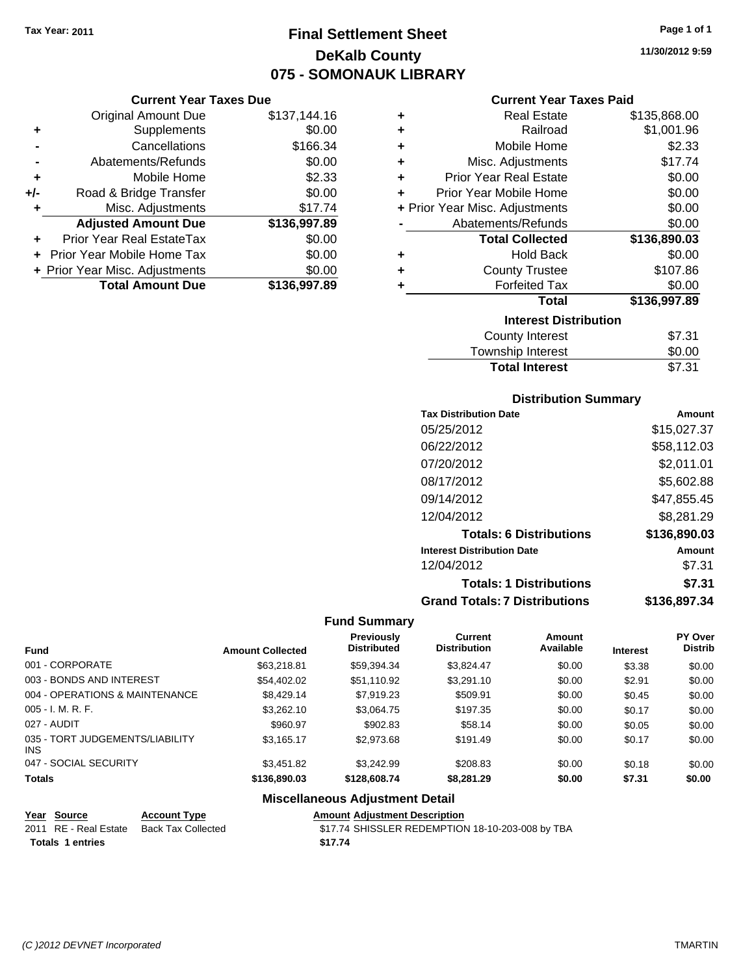# **Final Settlement Sheet Tax Year: 2011 Page 1 of 1 DeKalb County 075 - SOMONAUK LIBRARY**

**Current Year Taxes Due**

|       | <b>Original Amount Due</b>        | \$137,144.16 |
|-------|-----------------------------------|--------------|
| ٠     | Supplements                       | \$0.00       |
|       | Cancellations                     | \$166.34     |
|       | Abatements/Refunds                | \$0.00       |
| ÷     | Mobile Home                       | \$2.33       |
| $+/-$ | Road & Bridge Transfer            | \$0.00       |
| ٠     | Misc. Adjustments                 | \$17.74      |
|       | <b>Adjusted Amount Due</b>        | \$136,997.89 |
|       | Prior Year Real EstateTax         | \$0.00       |
|       | <b>Prior Year Mobile Home Tax</b> | \$0.00       |
|       | + Prior Year Misc. Adjustments    | \$0.00       |
|       | <b>Total Amount Due</b>           | \$136.997.89 |

### **Current Year Taxes Paid**

| ٠ | <b>Real Estate</b>             | \$135,868.00 |  |  |  |
|---|--------------------------------|--------------|--|--|--|
| ٠ | Railroad                       | \$1,001.96   |  |  |  |
| ٠ | Mobile Home                    | \$2.33       |  |  |  |
| ٠ | Misc. Adjustments              | \$17.74      |  |  |  |
| ÷ | <b>Prior Year Real Estate</b>  | \$0.00       |  |  |  |
| ٠ | Prior Year Mobile Home         | \$0.00       |  |  |  |
|   | + Prior Year Misc. Adjustments | \$0.00       |  |  |  |
|   | Abatements/Refunds             | \$0.00       |  |  |  |
|   | <b>Total Collected</b>         | \$136,890.03 |  |  |  |
| ٠ | <b>Hold Back</b>               | \$0.00       |  |  |  |
| ÷ | <b>County Trustee</b>          | \$107.86     |  |  |  |
| ٠ | <b>Forfeited Tax</b>           | \$0.00       |  |  |  |
|   | <b>Total</b>                   | \$136,997.89 |  |  |  |
|   | <b>Interest Distribution</b>   |              |  |  |  |
|   | <b>County Interest</b>         | \$7.31       |  |  |  |
|   | Townehin Interact              | ድስ ሰስ        |  |  |  |

| <b>Total Interest</b> | \$7.31       |
|-----------------------|--------------|
| Township Interest     | \$0.00       |
| <b>COUTTLY TELEST</b> | <b>JI.JI</b> |

# **Distribution Summary**

| <b>Tax Distribution Date</b>         | Amount       |
|--------------------------------------|--------------|
| 05/25/2012                           | \$15,027.37  |
| 06/22/2012                           | \$58,112.03  |
| 07/20/2012                           | \$2,011.01   |
| 08/17/2012                           | \$5,602.88   |
| 09/14/2012                           | \$47,855.45  |
| 12/04/2012                           | \$8,281.29   |
| <b>Totals: 6 Distributions</b>       | \$136,890.03 |
| <b>Interest Distribution Date</b>    | Amount       |
| 12/04/2012                           | \$7.31       |
| <b>Totals: 1 Distributions</b>       | \$7.31       |
| <b>Grand Totals: 7 Distributions</b> | \$136,897,34 |

## **Fund Summary**

| <b>Fund</b>                             | <b>Amount Collected</b> | <b>Previously</b><br><b>Distributed</b> | <b>Current</b><br><b>Distribution</b> | Amount<br>Available | <b>Interest</b> | <b>PY Over</b><br><b>Distrib</b> |
|-----------------------------------------|-------------------------|-----------------------------------------|---------------------------------------|---------------------|-----------------|----------------------------------|
| 001 - CORPORATE                         | \$63,218.81             | \$59,394.34                             | \$3,824.47                            | \$0.00              | \$3.38          | \$0.00                           |
| 003 - BONDS AND INTEREST                | \$54,402.02             | \$51,110.92                             | \$3.291.10                            | \$0.00              | \$2.91          | \$0.00                           |
| 004 - OPERATIONS & MAINTENANCE          | \$8,429.14              | \$7,919.23                              | \$509.91                              | \$0.00              | \$0.45          | \$0.00                           |
| $005 - I. M. R. F.$                     | \$3,262.10              | \$3,064.75                              | \$197.35                              | \$0.00              | \$0.17          | \$0.00                           |
| 027 - AUDIT                             | \$960.97                | \$902.83                                | \$58.14                               | \$0.00              | \$0.05          | \$0.00                           |
| 035 - TORT JUDGEMENTS/LIABILITY<br>INS. | \$3,165.17              | \$2,973.68                              | \$191.49                              | \$0.00              | \$0.17          | \$0.00                           |
| 047 - SOCIAL SECURITY                   | \$3,451.82              | \$3.242.99                              | \$208.83                              | \$0.00              | \$0.18          | \$0.00                           |
| <b>Totals</b>                           | \$136,890.03            | \$128,608.74                            | \$8,281.29                            | \$0.00              | \$7.31          | \$0.00                           |

# **Miscellaneous Adjustment Detail**

| Year Source             | <b>Account Type</b>                      | <b>Amount Adiustment Description</b>             |
|-------------------------|------------------------------------------|--------------------------------------------------|
|                         | 2011 RE - Real Estate Back Tax Collected | \$17.74 SHISSLER REDEMPTION 18-10-203-008 by TBA |
| <b>Totals 1 entries</b> |                                          | \$17.74                                          |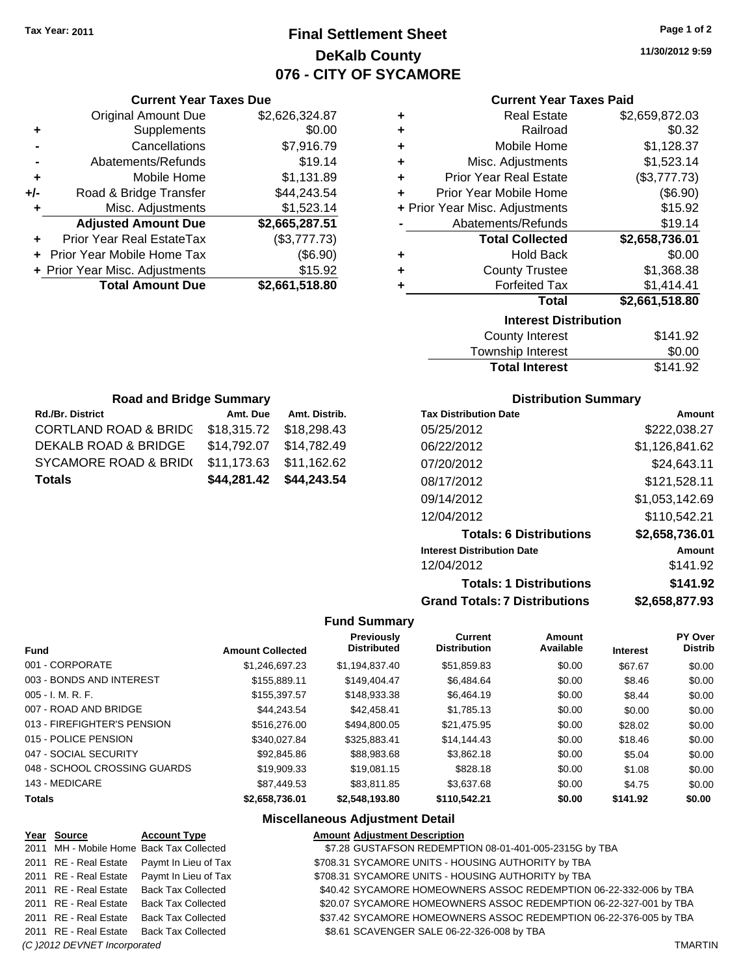# **Final Settlement Sheet Tax Year: 2011 Page 1 of 2 DeKalb County 076 - CITY OF SYCAMORE**

**11/30/2012 9:59**

## **Current Year Taxes Paid**

|       | <b>Current Year Taxes Due</b>     |                |
|-------|-----------------------------------|----------------|
|       | <b>Original Amount Due</b>        | \$2,626,324.87 |
| ٠     | Supplements                       | \$0.00         |
|       | Cancellations                     | \$7,916.79     |
|       | Abatements/Refunds                | \$19.14        |
| ٠     | Mobile Home                       | \$1,131.89     |
| $+/-$ | Road & Bridge Transfer            | \$44,243.54    |
|       | Misc. Adjustments                 | \$1,523.14     |
|       | <b>Adjusted Amount Due</b>        | \$2,665,287.51 |
|       | Prior Year Real EstateTax         | (\$3,777.73)   |
|       | <b>Prior Year Mobile Home Tax</b> | (\$6.90)       |
|       | + Prior Year Misc. Adjustments    | \$15.92        |
|       | <b>Total Amount Due</b>           | \$2,661,518.80 |
|       |                                   |                |

| ٠ | <b>Real Estate</b>             | \$2,659,872.03 |
|---|--------------------------------|----------------|
| ٠ | Railroad                       | \$0.32         |
| ٠ | Mobile Home                    | \$1,128.37     |
| ٠ | Misc. Adjustments              | \$1,523.14     |
| ÷ | <b>Prior Year Real Estate</b>  | (\$3,777.73)   |
| ٠ | Prior Year Mobile Home         | (\$6.90)       |
|   | + Prior Year Misc. Adjustments | \$15.92        |
|   | Abatements/Refunds             | \$19.14        |
|   | <b>Total Collected</b>         | \$2,658,736.01 |
| ٠ | <b>Hold Back</b>               | \$0.00         |
| ٠ | <b>County Trustee</b>          | \$1,368.38     |
| ٠ | <b>Forfeited Tax</b>           | \$1,414.41     |
|   | <b>Total</b>                   | \$2,661,518.80 |
|   | <b>Interest Distribution</b>   |                |
|   | County Interest                | \$141.92       |

| <b>Total Interest</b> | \$141.92 |
|-----------------------|----------|
| Township Interest     | \$0.00   |
| County Interest       | \$141.92 |

| <b>Road and Bridge Summary</b>           |                         |               |  |
|------------------------------------------|-------------------------|---------------|--|
| Rd./Br. District                         | Amt. Due                | Amt. Distrib. |  |
| <b>CORTLAND ROAD &amp; BRIDC</b>         | \$18,315.72             | \$18,298.43   |  |
| DEKALB ROAD & BRIDGE                     | \$14,792.07 \$14,782.49 |               |  |
| SYCAMORE ROAD & BRID(                    | \$11,173.63 \$11,162.62 |               |  |
| \$44,281.42 \$44,243.54<br><b>Totals</b> |                         |               |  |

# **Distribution Summary**

| <b>Tax Distribution Date</b>         | Amount         |
|--------------------------------------|----------------|
| 05/25/2012                           | \$222,038.27   |
| 06/22/2012                           | \$1,126,841.62 |
| 07/20/2012                           | \$24,643.11    |
| 08/17/2012                           | \$121,528.11   |
| 09/14/2012                           | \$1,053,142.69 |
| 12/04/2012                           | \$110,542.21   |
| <b>Totals: 6 Distributions</b>       | \$2,658,736.01 |
| <b>Interest Distribution Date</b>    | Amount         |
| 12/04/2012                           | \$141.92       |
| <b>Totals: 1 Distributions</b>       | \$141.92       |
| <b>Grand Totals: 7 Distributions</b> | \$2.658.877.93 |

## **Fund Summary**

| <b>Fund</b>                  | <b>Amount Collected</b> | <b>Previously</b><br><b>Distributed</b> | <b>Current</b><br><b>Distribution</b> | Amount<br>Available | <b>Interest</b> | PY Over<br><b>Distrib</b> |
|------------------------------|-------------------------|-----------------------------------------|---------------------------------------|---------------------|-----------------|---------------------------|
| 001 - CORPORATE              | \$1.246.697.23          | \$1.194.837.40                          | \$51.859.83                           | \$0.00              | \$67.67         | \$0.00                    |
| 003 - BONDS AND INTEREST     | \$155.889.11            | \$149.404.47                            | \$6,484.64                            | \$0.00              | \$8.46          | \$0.00                    |
| $005 - I. M. R. F.$          | \$155,397.57            | \$148,933,38                            | \$6,464.19                            | \$0.00              | \$8.44          | \$0.00                    |
| 007 - ROAD AND BRIDGE        | \$44.243.54             | \$42,458,41                             | \$1.785.13                            | \$0.00              | \$0.00          | \$0.00                    |
| 013 - FIREFIGHTER'S PENSION  | \$516,276.00            | \$494,800.05                            | \$21.475.95                           | \$0.00              | \$28.02         | \$0.00                    |
| 015 - POLICE PENSION         | \$340.027.84            | \$325.883.41                            | \$14,144.43                           | \$0.00              | \$18.46         | \$0.00                    |
| 047 - SOCIAL SECURITY        | \$92,845.86             | \$88,983,68                             | \$3,862.18                            | \$0.00              | \$5.04          | \$0.00                    |
| 048 - SCHOOL CROSSING GUARDS | \$19,909.33             | \$19,081.15                             | \$828.18                              | \$0.00              | \$1.08          | \$0.00                    |
| 143 - MEDICARE               | \$87,449.53             | \$83.811.85                             | \$3,637,68                            | \$0.00              | \$4.75          | \$0.00                    |
| <b>Totals</b>                | \$2.658.736.01          | \$2.548.193.80                          | \$110.542.21                          | \$0.00              | \$141.92        | \$0.00                    |

# **Miscellaneous Adjustment Detail**

| Year Source                  | <b>Account Type</b>                      | <b>Amount Adjustment Description</b>                              |                |
|------------------------------|------------------------------------------|-------------------------------------------------------------------|----------------|
|                              | 2011 MH - Mobile Home Back Tax Collected | \$7.28 GUSTAFSON REDEMPTION 08-01-401-005-2315G by TBA            |                |
| 2011 RE - Real Estate        | Paymt In Lieu of Tax                     | \$708.31 SYCAMORE UNITS - HOUSING AUTHORITY by TBA                |                |
| 2011 RE - Real Estate        | Paymt In Lieu of Tax                     | \$708.31 SYCAMORE UNITS - HOUSING AUTHORITY by TBA                |                |
| 2011 RE - Real Estate        | <b>Back Tax Collected</b>                | \$40.42 SYCAMORE HOMEOWNERS ASSOC REDEMPTION 06-22-332-006 by TBA |                |
| 2011 RE - Real Estate        | <b>Back Tax Collected</b>                | \$20.07 SYCAMORE HOMEOWNERS ASSOC REDEMPTION 06-22-327-001 by TBA |                |
| 2011 RE - Real Estate        | <b>Back Tax Collected</b>                | \$37.42 SYCAMORE HOMEOWNERS ASSOC REDEMPTION 06-22-376-005 by TBA |                |
| 2011 RE - Real Estate        | <b>Back Tax Collected</b>                | \$8.61 SCAVENGER SALE 06-22-326-008 by TBA                        |                |
| (C) 2012 DEVNET Incorporated |                                          |                                                                   | <b>TMARTIN</b> |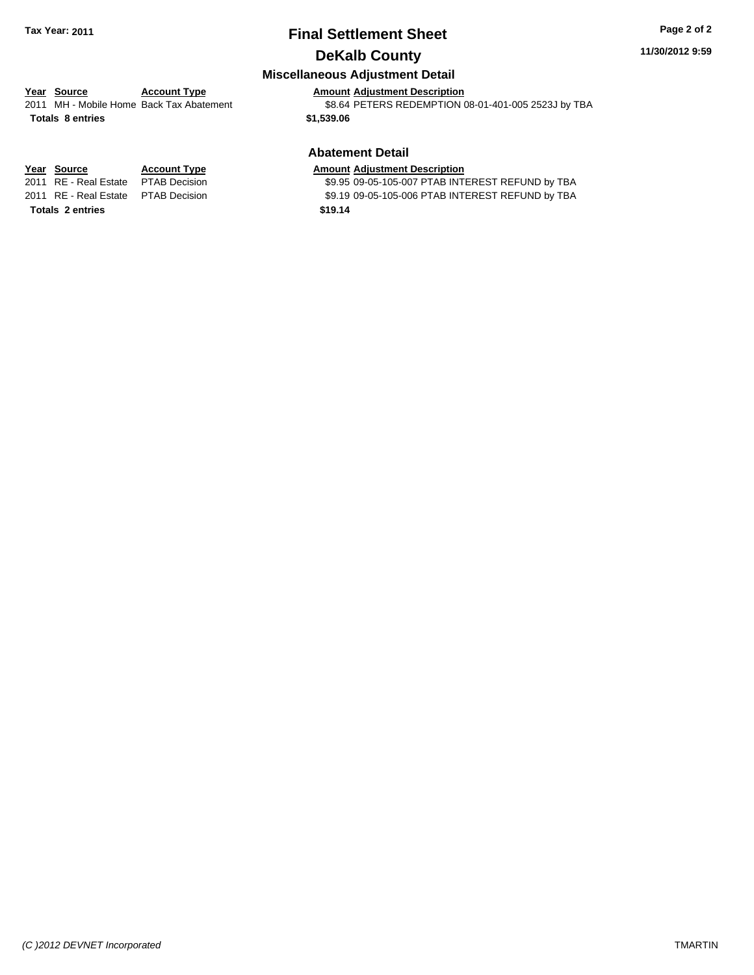# **Final Settlement Sheet Tax Year: 2011 Page 2 of 2 DeKalb County**

#### **11/30/2012 9:59**

# **Miscellaneous Adjustment Detail**

#### **Year Source Account Type Amount Adjustment Description** 2011 MH - Mobile Home Back Tax Abatement **58.64 PETERS REDEMPTION 08-01-401-005 2523J by TBA**

**Totals \$1,539.06 8 entries**

**Totals \$19.14 2 entries**

# **Abatement Detail**

#### **Year Source Account Type Amount Adjustment Description**

2011 RE - Real Estate \$9.95 09-05-105-007 PTAB INTEREST REFUND by TBA PTAB Decision 2011 RE - Real Estate \$9.19 09-05-105-006 PTAB INTEREST REFUND by TBA PTAB Decision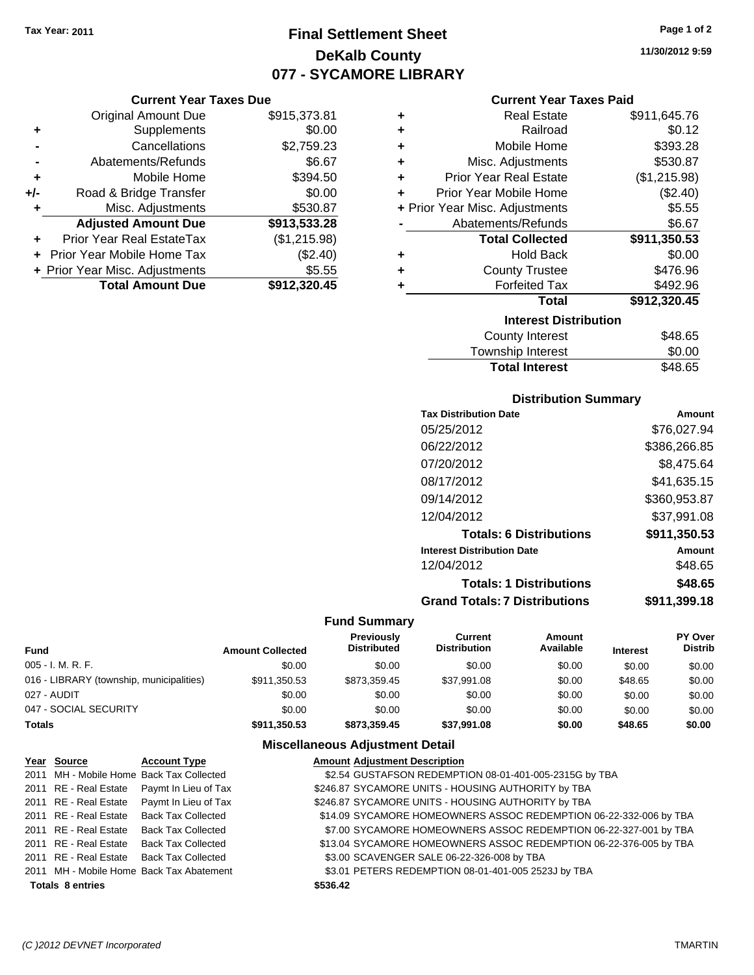# **Final Settlement Sheet Tax Year: 2011 Page 1 of 2 DeKalb County 077 - SYCAMORE LIBRARY**

**11/30/2012 9:59**

|       | <b>Original Amount Due</b>     | \$915,373.81 |
|-------|--------------------------------|--------------|
| ٠     | Supplements                    | \$0.00       |
|       | Cancellations                  | \$2,759.23   |
|       | Abatements/Refunds             | \$6.67       |
| ÷     | Mobile Home                    | \$394.50     |
| $+/-$ | Road & Bridge Transfer         | \$0.00       |
| ٠     | Misc. Adjustments              | \$530.87     |
|       | <b>Adjusted Amount Due</b>     | \$913,533.28 |
|       | Prior Year Real EstateTax      | (\$1,215.98) |
|       | Prior Year Mobile Home Tax     | (\$2.40)     |
|       | + Prior Year Misc. Adjustments | \$5.55       |
|       | <b>Total Amount Due</b>        | \$912,320.45 |

# **Current Year Taxes Paid**

| ٠ | <b>Real Estate</b>             | \$911,645.76 |  |  |  |  |
|---|--------------------------------|--------------|--|--|--|--|
| ٠ | Railroad                       | \$0.12       |  |  |  |  |
| ٠ | Mobile Home                    | \$393.28     |  |  |  |  |
| ٠ | Misc. Adjustments              | \$530.87     |  |  |  |  |
| ÷ | <b>Prior Year Real Estate</b>  | (\$1,215.98) |  |  |  |  |
| ٠ | Prior Year Mobile Home         | (\$2.40)     |  |  |  |  |
|   | + Prior Year Misc. Adjustments | \$5.55       |  |  |  |  |
|   | Abatements/Refunds             | \$6.67       |  |  |  |  |
|   | <b>Total Collected</b>         | \$911,350.53 |  |  |  |  |
| ٠ | <b>Hold Back</b>               | \$0.00       |  |  |  |  |
| ٠ | <b>County Trustee</b>          | \$476.96     |  |  |  |  |
| ٠ | <b>Forfeited Tax</b>           | \$492.96     |  |  |  |  |
|   | <b>Total</b>                   | \$912,320.45 |  |  |  |  |
|   | <b>Interest Distribution</b>   |              |  |  |  |  |
|   |                                |              |  |  |  |  |
|   | <b>County Interest</b>         | \$48.65      |  |  |  |  |

| .<br>Township Interest | \$0.00  |
|------------------------|---------|
| <b>Total Interest</b>  | \$48.65 |

# **Distribution Summary**

| <b>Tax Distribution Date</b>         | Amount       |
|--------------------------------------|--------------|
| 05/25/2012                           | \$76,027.94  |
| 06/22/2012                           | \$386,266.85 |
| 07/20/2012                           | \$8,475.64   |
| 08/17/2012                           | \$41,635.15  |
| 09/14/2012                           | \$360,953.87 |
| 12/04/2012                           | \$37,991.08  |
| <b>Totals: 6 Distributions</b>       | \$911,350.53 |
| <b>Interest Distribution Date</b>    | Amount       |
| 12/04/2012                           | \$48.65      |
| <b>Totals: 1 Distributions</b>       | \$48.65      |
| <b>Grand Totals: 7 Distributions</b> | \$911,399.18 |
|                                      |              |

## **Fund Summary**

 $\overline{\phantom{0}}$ 

| <b>Fund</b>                              | <b>Amount Collected</b> | <b>Previously</b><br><b>Distributed</b> | Current<br><b>Distribution</b> | Amount<br>Available | <b>Interest</b> | <b>PY Over</b><br><b>Distrib</b> |
|------------------------------------------|-------------------------|-----------------------------------------|--------------------------------|---------------------|-----------------|----------------------------------|
| 005 - I. M. R. F.                        | \$0.00                  | \$0.00                                  | \$0.00                         | \$0.00              | \$0.00          | \$0.00                           |
| 016 - LIBRARY (township, municipalities) | \$911,350.53            | \$873.359.45                            | \$37,991.08                    | \$0.00              | \$48.65         | \$0.00                           |
| 027 - AUDIT                              | \$0.00                  | \$0.00                                  | \$0.00                         | \$0.00              | \$0.00          | \$0.00                           |
| 047 - SOCIAL SECURITY                    | \$0.00                  | \$0.00                                  | \$0.00                         | \$0.00              | \$0.00          | \$0.00                           |
| <b>Totals</b>                            | \$911,350.53            | \$873.359.45                            | \$37,991.08                    | \$0.00              | \$48.65         | \$0.00                           |

## **Miscellaneous Adjustment Detail**

| Year Source             | <b>Account Type</b>                        | <b>Amount Adjustment Description</b>                              |
|-------------------------|--------------------------------------------|-------------------------------------------------------------------|
|                         | 2011 MH - Mobile Home Back Tax Collected   | \$2.54 GUSTAFSON REDEMPTION 08-01-401-005-2315G by TBA            |
|                         | 2011 RE - Real Estate Paymt In Lieu of Tax | \$246.87 SYCAMORE UNITS - HOUSING AUTHORITY by TBA                |
|                         | 2011 RE - Real Estate Paymt In Lieu of Tax | \$246.87 SYCAMORE UNITS - HOUSING AUTHORITY by TBA                |
|                         | 2011 RE - Real Estate Back Tax Collected   | \$14.09 SYCAMORE HOMEOWNERS ASSOC REDEMPTION 06-22-332-006 by TBA |
|                         | 2011 RE - Real Estate Back Tax Collected   | \$7.00 SYCAMORE HOMEOWNERS ASSOC REDEMPTION 06-22-327-001 by TBA  |
|                         | 2011 RE - Real Estate Back Tax Collected   | \$13.04 SYCAMORE HOMEOWNERS ASSOC REDEMPTION 06-22-376-005 by TBA |
|                         | 2011 RE - Real Estate Back Tax Collected   | \$3.00 SCAVENGER SALE 06-22-326-008 by TBA                        |
|                         | 2011 MH - Mobile Home Back Tax Abatement   | \$3.01 PETERS REDEMPTION 08-01-401-005 2523J by TBA               |
| <b>Totals 8 entries</b> |                                            | \$536.42                                                          |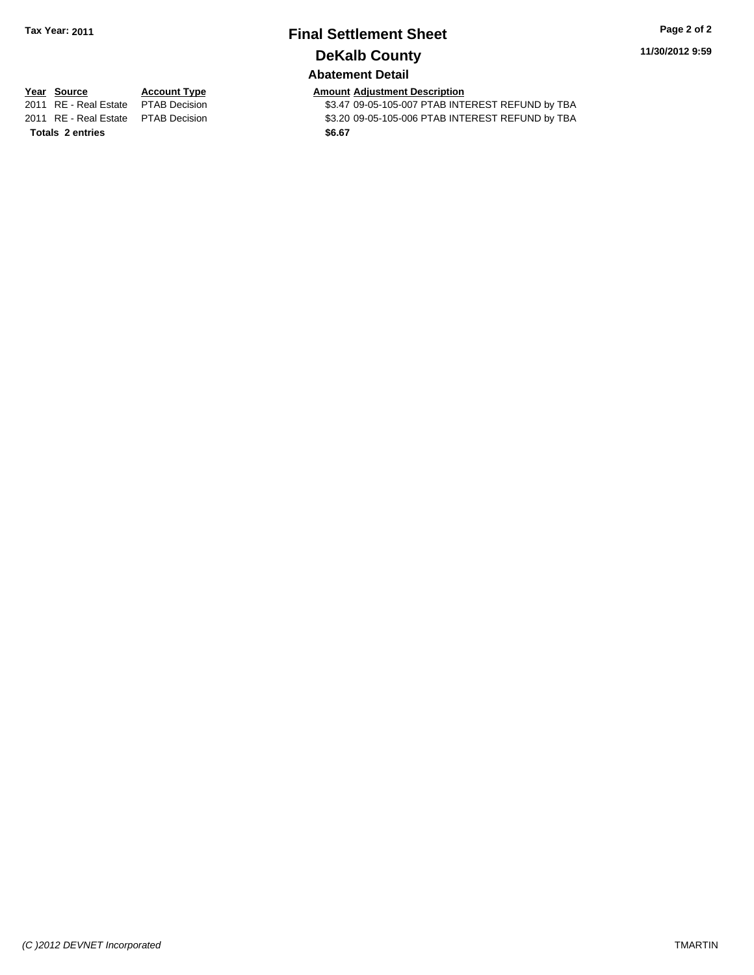# **Final Settlement Sheet Tax Year: 2011 Page 2 of 2 DeKalb County**

**11/30/2012 9:59**

# **Abatement Detail**

**Totals \$6.67 2 entries**

**Year Source Account Type Amount Adjustment Description**<br>
2011 RE - Real Estate PTAB Decision **Amount** \$3.47 09-05-105-007 PTAB INTI \$3.47 09-05-105-007 PTAB INTEREST REFUND by TBA 2011 RE - Real Estate \$3.20 09-05-105-006 PTAB INTEREST REFUND by TBA PTAB Decision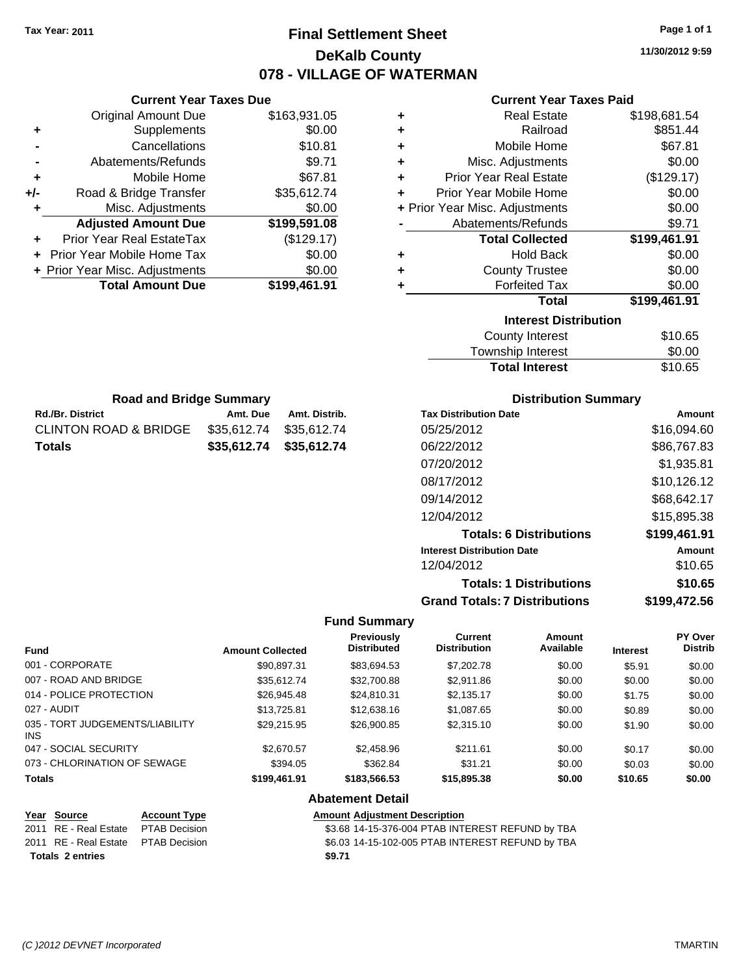# **Final Settlement Sheet Tax Year: 2011 Page 1 of 1 DeKalb County 078 - VILLAGE OF WATERMAN**

**11/30/2012 9:59**

## **Current Year Taxes Paid**

|     | <b>Original Amount Due</b>     | \$163,931.05 |
|-----|--------------------------------|--------------|
| ٠   | Supplements                    | \$0.00       |
|     | Cancellations                  | \$10.81      |
|     | Abatements/Refunds             | \$9.71       |
| ٠   | Mobile Home                    | \$67.81      |
| +/- | Road & Bridge Transfer         | \$35,612.74  |
| ٠   | Misc. Adjustments              | \$0.00       |
|     | <b>Adjusted Amount Due</b>     | \$199,591.08 |
|     | Prior Year Real EstateTax      | (\$129.17)   |
|     | Prior Year Mobile Home Tax     | \$0.00       |
|     | + Prior Year Misc. Adjustments | \$0.00       |
|     | <b>Total Amount Due</b>        | \$199,461.91 |
|     |                                |              |

Rd./Br. District **Amt. Due** Amt. Distrib. **Road and Bridge Summary**

CLINTON ROAD & BRIDGE \$35,612.74 \$35,612.74 **Totals \$35,612.74 \$35,612.74**

**Current Year Taxes Due**

| ٠ | <b>Real Estate</b>             | \$198,681.54 |
|---|--------------------------------|--------------|
| ٠ | Railroad                       | \$851.44     |
| ٠ | Mobile Home                    | \$67.81      |
| ٠ | Misc. Adjustments              | \$0.00       |
| ÷ | <b>Prior Year Real Estate</b>  | (\$129.17)   |
| ٠ | Prior Year Mobile Home         | \$0.00       |
|   | + Prior Year Misc. Adjustments | \$0.00       |
|   | Abatements/Refunds             | \$9.71       |
|   |                                |              |
|   | <b>Total Collected</b>         | \$199,461.91 |
| ٠ | <b>Hold Back</b>               | \$0.00       |
| ÷ | <b>County Trustee</b>          | \$0.00       |
| ٠ | <b>Forfeited Tax</b>           | \$0.00       |
|   | <b>Total</b>                   | \$199,461.91 |
|   | <b>Interest Distribution</b>   |              |
|   | County Interest                | \$10.65      |

| <b>TOWISHIP INTERST</b> | JU.UU   |
|-------------------------|---------|
| <b>Total Interest</b>   | \$10.65 |
|                         |         |

| <b>Distribution Summary</b>          |              |
|--------------------------------------|--------------|
| <b>Tax Distribution Date</b>         | Amount       |
| 05/25/2012                           | \$16,094.60  |
| 06/22/2012                           | \$86,767.83  |
| 07/20/2012                           | \$1.935.81   |
| 08/17/2012                           | \$10,126.12  |
| 09/14/2012                           | \$68,642.17  |
| 12/04/2012                           | \$15.895.38  |
| <b>Totals: 6 Distributions</b>       | \$199,461.91 |
| <b>Interest Distribution Date</b>    | Amount       |
| 12/04/2012                           | \$10.65      |
| <b>Totals: 1 Distributions</b>       | \$10.65      |
| <b>Grand Totals: 7 Distributions</b> | \$199,472.56 |

#### **Fund Summary**

| <b>Fund</b>                                   | <b>Amount Collected</b> | <b>Previously</b><br><b>Distributed</b> | Current<br><b>Distribution</b> | Amount<br>Available | <b>Interest</b> | <b>PY Over</b><br><b>Distrib</b> |
|-----------------------------------------------|-------------------------|-----------------------------------------|--------------------------------|---------------------|-----------------|----------------------------------|
| 001 - CORPORATE                               | \$90,897.31             | \$83,694.53                             | \$7,202.78                     | \$0.00              | \$5.91          | \$0.00                           |
| 007 - ROAD AND BRIDGE                         | \$35.612.74             | \$32,700.88                             | \$2,911.86                     | \$0.00              | \$0.00          | \$0.00                           |
| 014 - POLICE PROTECTION                       | \$26,945.48             | \$24.810.31                             | \$2,135.17                     | \$0.00              | \$1.75          | \$0.00                           |
| 027 - AUDIT                                   | \$13,725.81             | \$12,638.16                             | \$1,087.65                     | \$0.00              | \$0.89          | \$0.00                           |
| 035 - TORT JUDGEMENTS/LIABILITY<br><b>INS</b> | \$29.215.95             | \$26,900.85                             | \$2,315.10                     | \$0.00              | \$1.90          | \$0.00                           |
| 047 - SOCIAL SECURITY                         | \$2,670.57              | \$2,458.96                              | \$211.61                       | \$0.00              | \$0.17          | \$0.00                           |
| 073 - CHLORINATION OF SEWAGE                  | \$394.05                | \$362.84                                | \$31.21                        | \$0.00              | \$0.03          | \$0.00                           |
| <b>Totals</b>                                 | \$199,461.91            | \$183,566.53                            | \$15,895.38                    | \$0.00              | \$10.65         | \$0.00                           |

#### **Abatement Detail**

#### **Year Source Account Type Amount Adjustment Description** 2011 RE - Real Estate \$3.68 14-15-376-004 PTAB INTEREST REFUND by TBA PTAB Decision 2011 RE - Real Estate \$6.03 14-15-102-005 PTAB INTEREST REFUND by TBA PTAB Decision **Totals \$9.71 2 entries**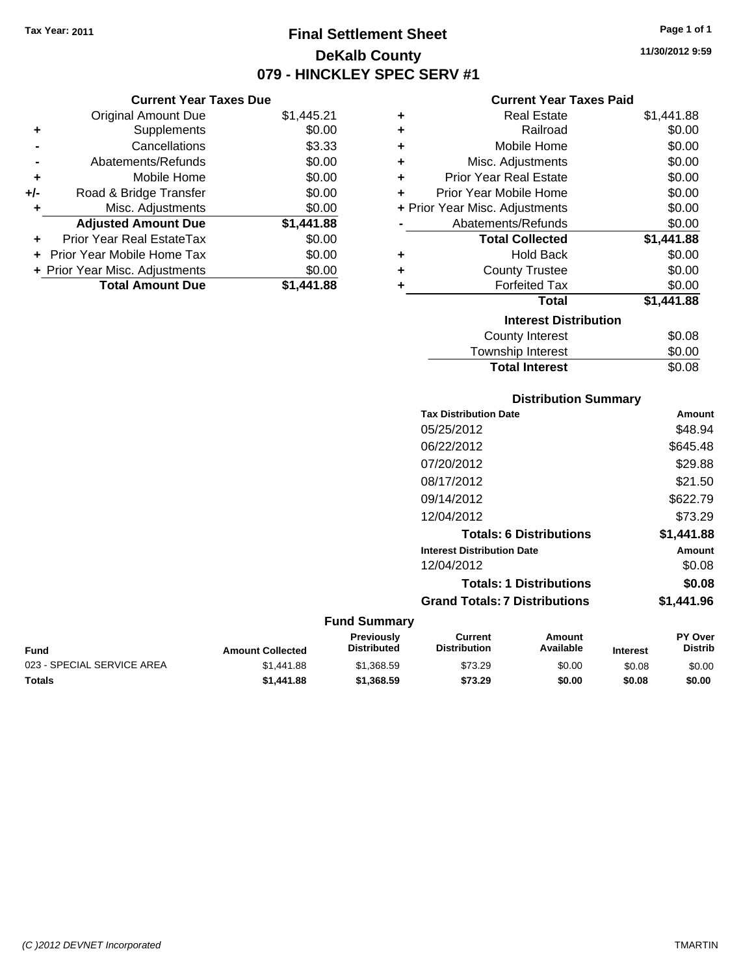**Current Year Taxes Due** Original Amount Due \$1,445.21

**Adjusted Amount Due \$1,441.88**

**Total Amount Due \$1,441.88**

**+** Supplements \$0.00 **-** Cancellations \$3.33 **-** Abatements/Refunds \$0.00 **+** Mobile Home \$0.00 **+/-** Road & Bridge Transfer \$0.00 **+** Misc. Adjustments \$0.00

**+** Prior Year Real EstateTax \$0.00 **+** Prior Year Mobile Home Tax \$0.00 **+ Prior Year Misc. Adjustments**  $$0.00$ 

# **Final Settlement Sheet Tax Year: 2011 Page 1 of 1 DeKalb County 079 - HINCKLEY SPEC SERV #1**

**11/30/2012 9:59**

### **Current Year Taxes Paid**

| ٠ | <b>Real Estate</b>             | \$1,441.88 |
|---|--------------------------------|------------|
| ٠ | Railroad                       | \$0.00     |
| ÷ | Mobile Home                    | \$0.00     |
| ٠ | Misc. Adjustments              | \$0.00     |
| ÷ | <b>Prior Year Real Estate</b>  | \$0.00     |
| ÷ | Prior Year Mobile Home         | \$0.00     |
|   | + Prior Year Misc. Adjustments | \$0.00     |
|   | Abatements/Refunds             | \$0.00     |
|   | <b>Total Collected</b>         | \$1,441.88 |
| ٠ | <b>Hold Back</b>               | \$0.00     |
| ٠ | <b>County Trustee</b>          | \$0.00     |
| ٠ | <b>Forfeited Tax</b>           | \$0.00     |
|   | <b>Total</b>                   | \$1,441.88 |
|   | <b>Interest Distribution</b>   |            |
|   | <b>County Interest</b>         | \$0.08     |
|   | <b>Townebin Interact</b>       | ደስ ሰስ      |

| <b>Total Interest</b> | \$0.08 |
|-----------------------|--------|
| Township Interest     | \$0.00 |
| County Interest       | \$0.08 |

## **Distribution Summary**

| <b>Tax Distribution Date</b>         | Amount     |
|--------------------------------------|------------|
| 05/25/2012                           | \$48.94    |
| 06/22/2012                           | \$645.48   |
| 07/20/2012                           | \$29.88    |
| 08/17/2012                           | \$21.50    |
| 09/14/2012                           | \$622.79   |
| 12/04/2012                           | \$73.29    |
| <b>Totals: 6 Distributions</b>       | \$1,441.88 |
| <b>Interest Distribution Date</b>    | Amount     |
| 12/04/2012                           | \$0.08     |
| <b>Totals: 1 Distributions</b>       | \$0.08     |
| <b>Grand Totals: 7 Distributions</b> | \$1,441.96 |
|                                      |            |

| <b>Fund</b>                | <b>Amount Collected</b> | Previously<br><b>Distributed</b> | Current<br><b>Distribution</b> | Amount<br>Available | <b>Interest</b> | <b>PY Over</b><br><b>Distrib</b> |
|----------------------------|-------------------------|----------------------------------|--------------------------------|---------------------|-----------------|----------------------------------|
| 023 - SPECIAL SERVICE AREA | \$1,441.88              | \$1.368.59                       | \$73.29                        | \$0.00              | \$0.08          | \$0.00                           |
| <b>Totals</b>              | \$1,441.88              | \$1,368.59                       | \$73.29                        | \$0.00              | \$0.08          | \$0.00                           |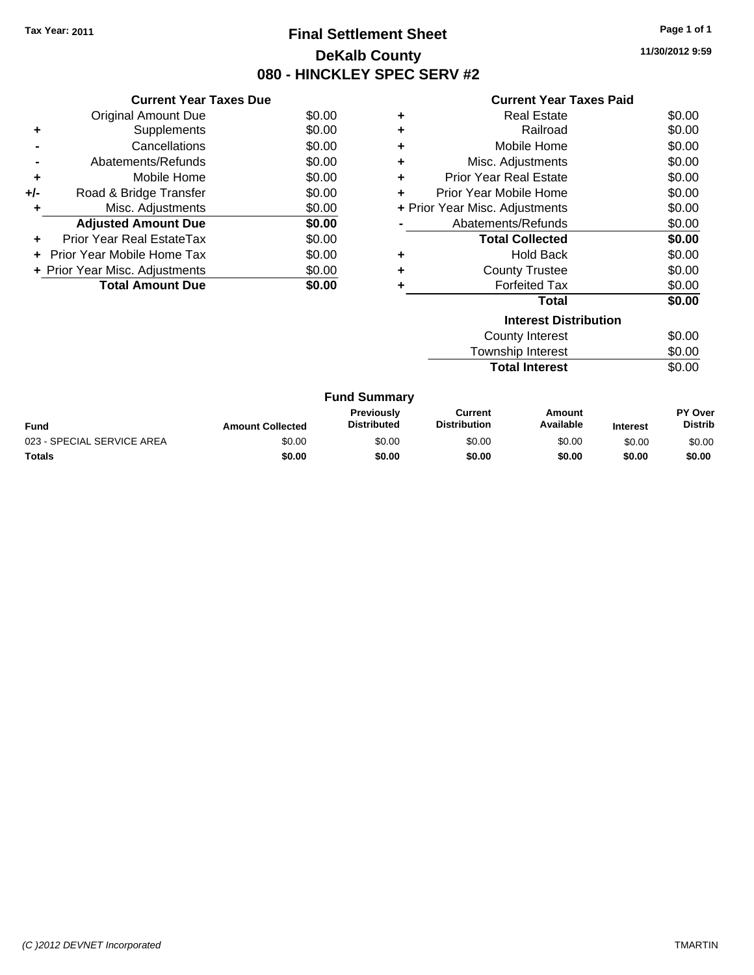# **Final Settlement Sheet Tax Year: 2011 Page 1 of 1 DeKalb County 080 - HINCKLEY SPEC SERV #2**

**11/30/2012 9:59**

| <b>Current Year Taxes Paid</b> |  |  |
|--------------------------------|--|--|
|--------------------------------|--|--|

| <b>Current Year Taxes Due</b>     |                                |
|-----------------------------------|--------------------------------|
| <b>Original Amount Due</b>        | \$0.00                         |
| Supplements                       | \$0.00                         |
| Cancellations                     | \$0.00                         |
| Abatements/Refunds                | \$0.00                         |
| Mobile Home                       | \$0.00                         |
| Road & Bridge Transfer            | \$0.00                         |
| Misc. Adjustments                 | \$0.00                         |
| <b>Adjusted Amount Due</b>        | \$0.00                         |
| Prior Year Real EstateTax         | \$0.00                         |
| <b>Prior Year Mobile Home Tax</b> | \$0.00                         |
|                                   | \$0.00                         |
| <b>Total Amount Due</b>           | \$0.00                         |
|                                   | + Prior Year Misc. Adjustments |

| ٠ | <b>Real Estate</b>             | \$0.00 |  |  |  |
|---|--------------------------------|--------|--|--|--|
| ÷ | Railroad                       | \$0.00 |  |  |  |
| ٠ | Mobile Home                    | \$0.00 |  |  |  |
| ÷ | Misc. Adjustments              | \$0.00 |  |  |  |
| ٠ | <b>Prior Year Real Estate</b>  | \$0.00 |  |  |  |
| ÷ | Prior Year Mobile Home         | \$0.00 |  |  |  |
|   | + Prior Year Misc. Adjustments | \$0.00 |  |  |  |
|   | Abatements/Refunds             | \$0.00 |  |  |  |
|   | <b>Total Collected</b>         | \$0.00 |  |  |  |
| ٠ | <b>Hold Back</b>               | \$0.00 |  |  |  |
| ٠ | <b>County Trustee</b>          | \$0.00 |  |  |  |
| ٠ | <b>Forfeited Tax</b>           | \$0.00 |  |  |  |
|   | Total                          | \$0.00 |  |  |  |
|   | <b>Interest Distribution</b>   |        |  |  |  |
|   | Oacosto Intanaat -             | ሶስ ሰሰ  |  |  |  |

| County Interest       | \$0.00 |
|-----------------------|--------|
| Township Interest     | \$0.00 |
| <b>Total Interest</b> | \$0.00 |

|                            |                         | <b>Fund Summary</b>                     |                                |                     |                 |                                  |
|----------------------------|-------------------------|-----------------------------------------|--------------------------------|---------------------|-----------------|----------------------------------|
| Fund                       | <b>Amount Collected</b> | <b>Previously</b><br><b>Distributed</b> | Current<br><b>Distribution</b> | Amount<br>Available | <b>Interest</b> | <b>PY Over</b><br><b>Distrib</b> |
| 023 - SPECIAL SERVICE AREA | \$0.00                  | \$0.00                                  | \$0.00                         | \$0.00              | \$0.00          | \$0.00                           |
| Totals                     | \$0.00                  | \$0.00                                  | \$0.00                         | \$0.00              | \$0.00          | \$0.00                           |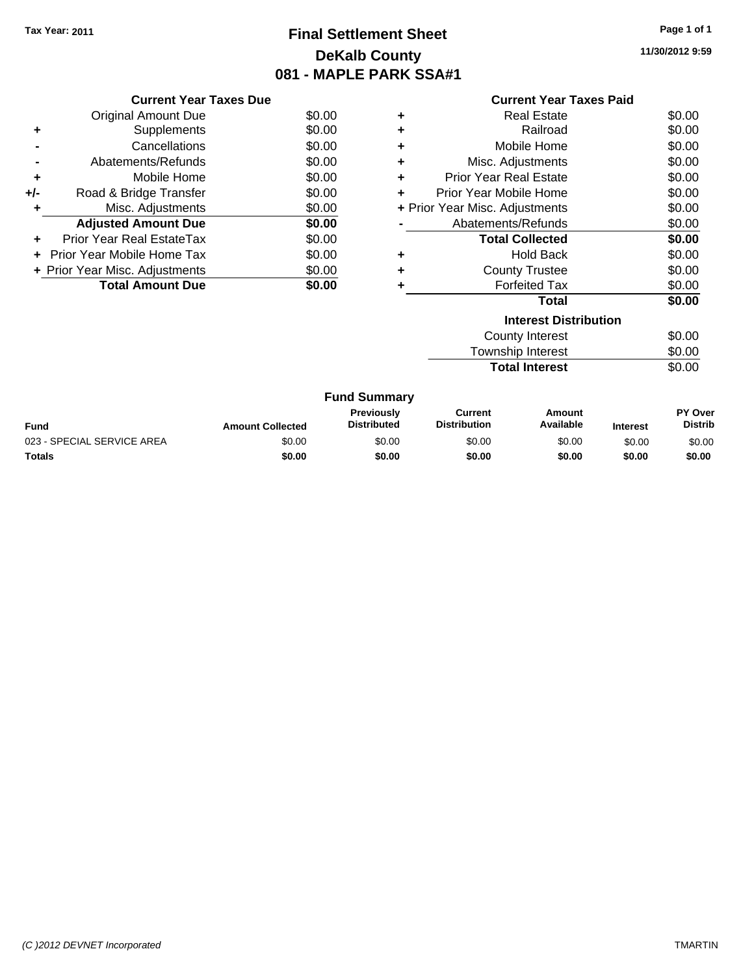# **Final Settlement Sheet Tax Year: 2011 Page 1 of 1 DeKalb County 081 - MAPLE PARK SSA#1**

**11/30/2012 9:59**

|     | <b>Current Year Taxes Due</b>     |        |
|-----|-----------------------------------|--------|
|     | Original Amount Due               | \$0.00 |
| ٠   | Supplements                       | \$0.00 |
|     | Cancellations                     | \$0.00 |
|     | Abatements/Refunds                | \$0.00 |
| ٠   | Mobile Home                       | \$0.00 |
| +/- | Road & Bridge Transfer            | \$0.00 |
| ٠   | Misc. Adjustments                 | \$0.00 |
|     | <b>Adjusted Amount Due</b>        | \$0.00 |
| ÷   | Prior Year Real EstateTax         | \$0.00 |
|     | <b>Prior Year Mobile Home Tax</b> | \$0.00 |
|     | + Prior Year Misc. Adjustments    | \$0.00 |
|     | <b>Total Amount Due</b>           | \$0.00 |
|     |                                   |        |

|   | <b>Current Year Taxes Paid</b> |        |
|---|--------------------------------|--------|
| ٠ | <b>Real Estate</b>             | \$0.00 |
| ٠ | Railroad                       | \$0.00 |
| ٠ | Mobile Home                    | \$0.00 |
| ÷ | Misc. Adjustments              | \$0.00 |
| ÷ | <b>Prior Year Real Estate</b>  | \$0.00 |
| ÷ | Prior Year Mobile Home         | \$0.00 |
|   | + Prior Year Misc. Adjustments | \$0.00 |
|   | Abatements/Refunds             | \$0.00 |
|   | <b>Total Collected</b>         | \$0.00 |
| ٠ | <b>Hold Back</b>               | \$0.00 |
| ٠ | <b>County Trustee</b>          | \$0.00 |
| ٠ | <b>Forfeited Tax</b>           | \$0.00 |
|   | <b>Total</b>                   | \$0.00 |
|   | <b>Interest Distribution</b>   |        |
|   | <b>County Interest</b>         | \$0.00 |
|   | <b>Township Interest</b>       | \$0.00 |
|   | <b>Total Interest</b>          | \$0.00 |

|                            | <b>Fund Summary</b>     |                                         |                                |                     |                 |                                  |
|----------------------------|-------------------------|-----------------------------------------|--------------------------------|---------------------|-----------------|----------------------------------|
| <b>Fund</b>                | <b>Amount Collected</b> | <b>Previously</b><br><b>Distributed</b> | Current<br><b>Distribution</b> | Amount<br>Available | <b>Interest</b> | <b>PY Over</b><br><b>Distrib</b> |
| 023 - SPECIAL SERVICE AREA | \$0.00                  | \$0.00                                  | \$0.00                         | \$0.00              | \$0.00          | \$0.00                           |
| Totals                     | \$0.00                  | \$0.00                                  | \$0.00                         | \$0.00              | \$0.00          | \$0.00                           |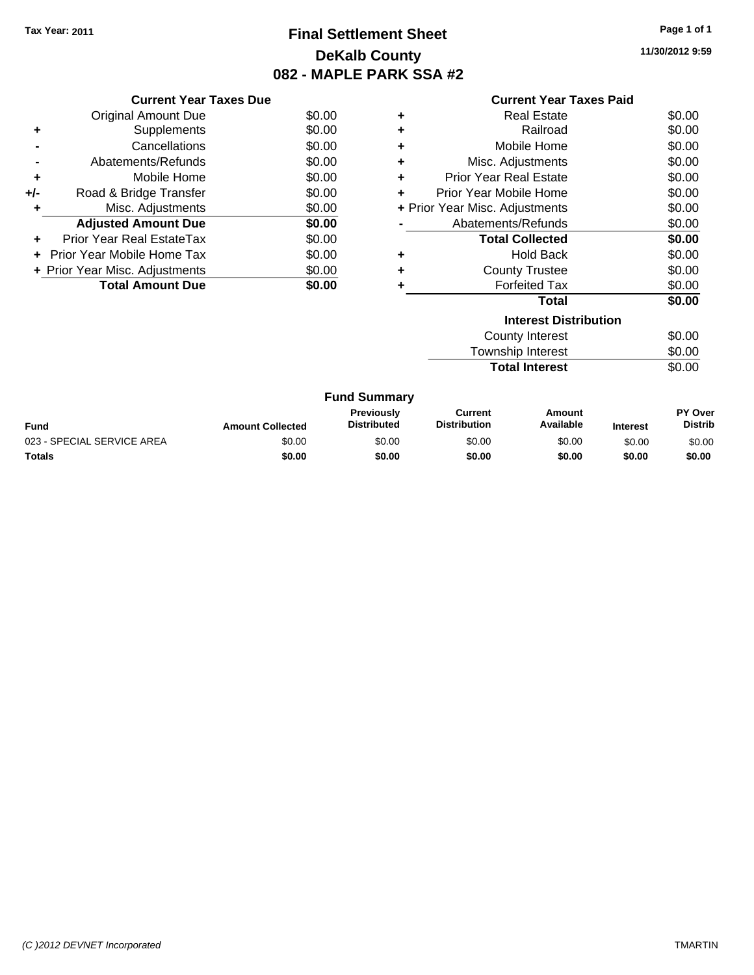# **Final Settlement Sheet Tax Year: 2011 Page 1 of 1 DeKalb County 082 - MAPLE PARK SSA #2**

**11/30/2012 9:59**

|     | <b>Current Year Taxes Due</b>  |        |
|-----|--------------------------------|--------|
|     | Original Amount Due            | \$0.00 |
| ٠   | Supplements                    | \$0.00 |
|     | Cancellations                  | \$0.00 |
|     | Abatements/Refunds             | \$0.00 |
| ٠   | Mobile Home                    | \$0.00 |
| +/- | Road & Bridge Transfer         | \$0.00 |
| ٠   | Misc. Adjustments              | \$0.00 |
|     | <b>Adjusted Amount Due</b>     | \$0.00 |
|     | Prior Year Real EstateTax      | \$0.00 |
|     | Prior Year Mobile Home Tax     | \$0.00 |
|     | + Prior Year Misc. Adjustments | \$0.00 |
|     | <b>Total Amount Due</b>        | \$0.00 |
|     |                                |        |

# **Current Year Taxes Paid**

|   | <b>Interest Distribution</b>   |        |
|---|--------------------------------|--------|
|   | <b>Total</b>                   | \$0.00 |
| ٠ | <b>Forfeited Tax</b>           | \$0.00 |
| ٠ | <b>County Trustee</b>          | \$0.00 |
| ٠ | <b>Hold Back</b>               | \$0.00 |
|   | <b>Total Collected</b>         | \$0.00 |
|   | Abatements/Refunds             | \$0.00 |
|   | + Prior Year Misc. Adjustments | \$0.00 |
| ٠ | Prior Year Mobile Home         | \$0.00 |
| ٠ | <b>Prior Year Real Estate</b>  | \$0.00 |
| ٠ | Misc. Adjustments              | \$0.00 |
| ٠ | Mobile Home                    | \$0.00 |
| ٠ | Railroad                       | \$0.00 |
| ٠ | Real Estate                    | \$0.00 |

| County Interest       | \$0.00 |
|-----------------------|--------|
| Township Interest     | \$0.00 |
| <b>Total Interest</b> | \$0.00 |

#### **Fund Summary Amount Current Distribution Previously Amount Collected Distributed**

| Fund                       | <b>Amount Collected</b> | Previouslv<br><b>Distributed</b> | Current<br><b>Distribution</b> | Amount<br>Available | Interest | <b>PY Over</b><br><b>Distrib</b> |
|----------------------------|-------------------------|----------------------------------|--------------------------------|---------------------|----------|----------------------------------|
| 023 - SPECIAL SERVICE AREA | \$0.00                  | \$0.00                           | \$0.00                         | \$0.00              | \$0.00   | \$0.00                           |
| Totals                     | \$0.00                  | \$0.00                           | \$0.00                         | \$0.00              | \$0.00   | \$0.00                           |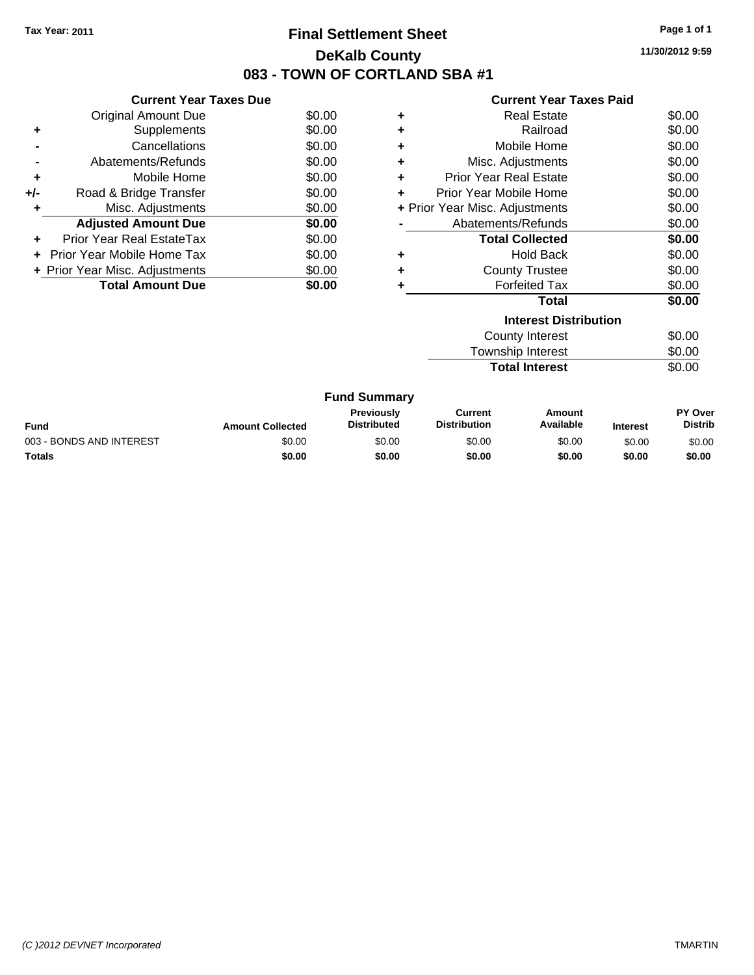# **Final Settlement Sheet Tax Year: 2011 Page 1 of 1 DeKalb County 083 - TOWN OF CORTLAND SBA #1**

**11/30/2012 9:59**

| <b>Current Year Taxes Paid</b> |  |  |
|--------------------------------|--|--|
|--------------------------------|--|--|

|     | <b>Current Year Taxes Due</b>     |        |
|-----|-----------------------------------|--------|
|     | <b>Original Amount Due</b>        | \$0.00 |
| ٠   | Supplements                       | \$0.00 |
|     | Cancellations                     | \$0.00 |
|     | Abatements/Refunds                | \$0.00 |
| ٠   | Mobile Home                       | \$0.00 |
| +/- | Road & Bridge Transfer            | \$0.00 |
| ٠   | Misc. Adjustments                 | \$0.00 |
|     | <b>Adjusted Amount Due</b>        | \$0.00 |
| ٠   | Prior Year Real EstateTax         | \$0.00 |
|     | <b>Prior Year Mobile Home Tax</b> | \$0.00 |
|     | + Prior Year Misc. Adjustments    | \$0.00 |
|     | <b>Total Amount Due</b>           | \$0.00 |

|   | <b>Interest Distribution</b><br>Ostanika katangan t | ሶስ ሰሰ  |
|---|-----------------------------------------------------|--------|
|   | Total                                               | \$0.00 |
|   | <b>Forfeited Tax</b>                                | \$0.00 |
| ٠ | <b>County Trustee</b>                               | \$0.00 |
|   | <b>Hold Back</b>                                    | \$0.00 |
|   | <b>Total Collected</b>                              | \$0.00 |
|   | Abatements/Refunds                                  | \$0.00 |
|   | + Prior Year Misc. Adjustments                      | \$0.00 |
|   | Prior Year Mobile Home                              | \$0.00 |
| ÷ | <b>Prior Year Real Estate</b>                       | \$0.00 |
| ٠ | Misc. Adjustments                                   | \$0.00 |
| ٠ | Mobile Home                                         | \$0.00 |
| ٠ | Railroad                                            | \$0.00 |
| ٠ | <b>Real Estate</b>                                  | \$0.00 |
|   |                                                     |        |

| County Interest       | \$0.00 |
|-----------------------|--------|
| Township Interest     | \$0.00 |
| <b>Total Interest</b> | \$0.00 |

|                          |                         | <b>Fund Summary</b>              |                                |                     |                 |                           |
|--------------------------|-------------------------|----------------------------------|--------------------------------|---------------------|-----------------|---------------------------|
| Fund                     | <b>Amount Collected</b> | Previously<br><b>Distributed</b> | Current<br><b>Distribution</b> | Amount<br>Available | <b>Interest</b> | PY Over<br><b>Distrib</b> |
| 003 - BONDS AND INTEREST | \$0.00                  | \$0.00                           | \$0.00                         | \$0.00              | \$0.00          | \$0.00                    |
| Totals                   | \$0.00                  | \$0.00                           | \$0.00                         | \$0.00              | \$0.00          | \$0.00                    |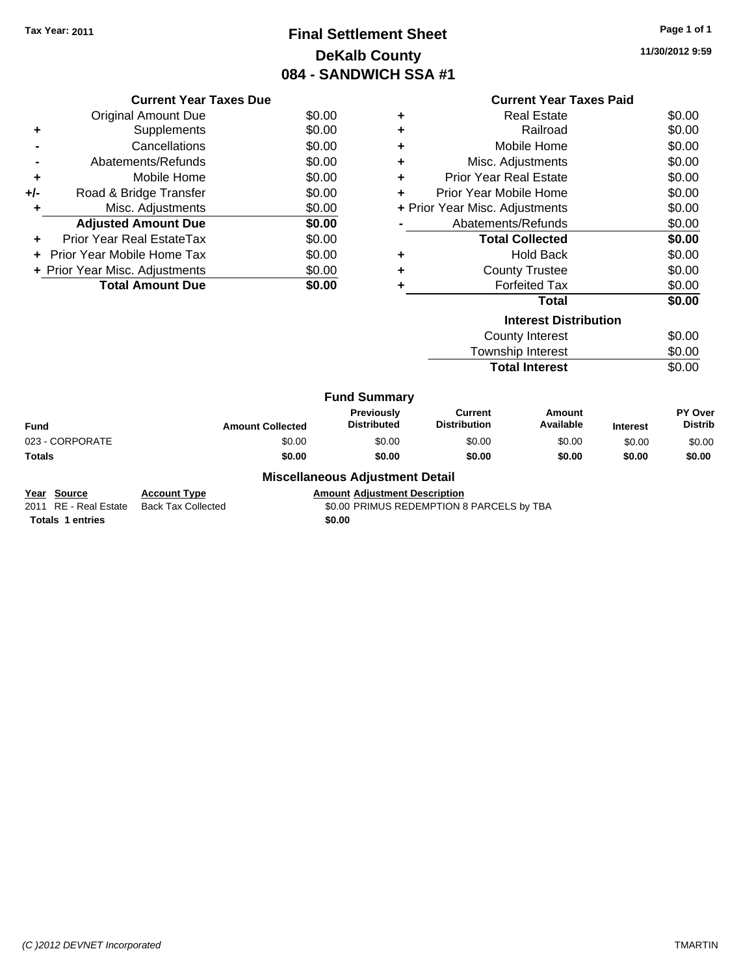# **Final Settlement Sheet Tax Year: 2011 Page 1 of 1 DeKalb County 084 - SANDWICH SSA #1**

**11/30/2012 9:59**

|       | <b>Current Year Taxes Due</b>  |        |
|-------|--------------------------------|--------|
|       | Original Amount Due            | \$0.00 |
|       | Supplements                    | \$0.00 |
|       | Cancellations                  | \$0.00 |
|       | Abatements/Refunds             | \$0.00 |
| ٠     | Mobile Home                    | \$0.00 |
| $+/-$ | Road & Bridge Transfer         | \$0.00 |
| ٠     | Misc. Adjustments              | \$0.00 |
|       | <b>Adjusted Amount Due</b>     | \$0.00 |
|       | Prior Year Real EstateTax      | \$0.00 |
|       | - Prior Year Mobile Home Tax   | \$0.00 |
|       | + Prior Year Misc. Adjustments | \$0.00 |
|       | <b>Total Amount Due</b>        | \$0.00 |
|       |                                |        |

|                                | <b>Current Year Taxes Paid</b> |        |  |  |  |  |
|--------------------------------|--------------------------------|--------|--|--|--|--|
| ٠                              | <b>Real Estate</b>             | \$0.00 |  |  |  |  |
| ٠                              | Railroad                       | \$0.00 |  |  |  |  |
| ٠                              | Mobile Home                    | \$0.00 |  |  |  |  |
| ٠                              | Misc. Adjustments              | \$0.00 |  |  |  |  |
| ٠                              | <b>Prior Year Real Estate</b>  | \$0.00 |  |  |  |  |
| ÷                              | Prior Year Mobile Home         | \$0.00 |  |  |  |  |
| + Prior Year Misc. Adjustments | \$0.00                         |        |  |  |  |  |
|                                | Abatements/Refunds             | \$0.00 |  |  |  |  |
|                                | <b>Total Collected</b>         | \$0.00 |  |  |  |  |
| ٠                              | <b>Hold Back</b>               | \$0.00 |  |  |  |  |
| ٠                              | <b>County Trustee</b>          | \$0.00 |  |  |  |  |
| ٠                              | <b>Forfeited Tax</b>           | \$0.00 |  |  |  |  |
|                                | Total                          | \$0.00 |  |  |  |  |
|                                | <b>Interest Distribution</b>   |        |  |  |  |  |
|                                | County Interest                | ፍስ ሰስ  |  |  |  |  |

| County Interest       | \$0.00 |
|-----------------------|--------|
| Township Interest     | \$0.00 |
| <b>Total Interest</b> | \$0.00 |

|                 |                         | <b>Fund Summary</b>                                  |                                |                     |                 |                                  |
|-----------------|-------------------------|------------------------------------------------------|--------------------------------|---------------------|-----------------|----------------------------------|
| Fund            | <b>Amount Collected</b> | <b>Previously</b><br><b>Distributed</b>              | Current<br><b>Distribution</b> | Amount<br>Available | <b>Interest</b> | <b>PY Over</b><br><b>Distrib</b> |
| 023 - CORPORATE | \$0.00                  | \$0.00                                               | \$0.00                         | \$0.00              | \$0.00          | \$0.00                           |
| Totals          | \$0.00                  | \$0.00                                               | \$0.00                         | \$0.00              | \$0.00          | \$0.00                           |
|                 |                         | <b>Address Hotel College Address College Books H</b> |                                |                     |                 |                                  |

**Miscellaneous Adjustment Detail**

**Year Source Account Type Amount Adjustment Description**<br>2011 RE - Real Estate Back Tax Collected **Amount SO.00 PRIMUS REDEMPTION** \$0.00 PRIMUS REDEMPTION 8 PARCELS by TBA

**Totals 1 entries** \$0.00

*(C )2012 DEVNET Incorporated* TMARTIN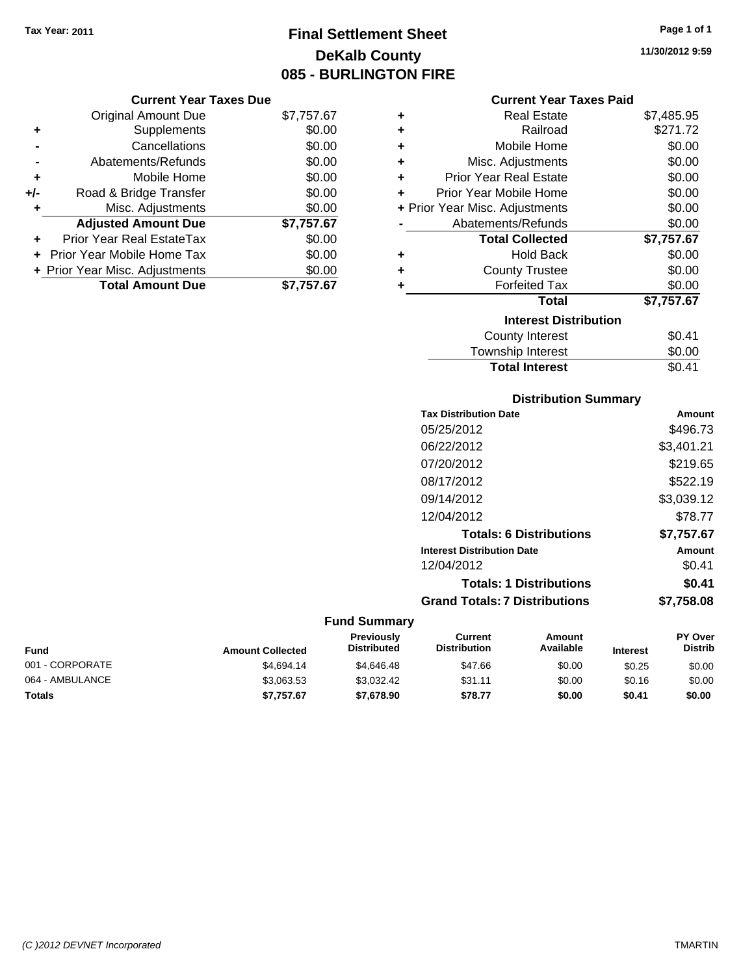# **Final Settlement Sheet Tax Year: 2011 Page 1 of 1 DeKalb County 085 - BURLINGTON FIRE**

**11/30/2012 9:59**

| <b>Current Year Taxes Due</b> |  |  |  |
|-------------------------------|--|--|--|
|-------------------------------|--|--|--|

|     | <b>Original Amount Due</b>     | \$7,757.67 |
|-----|--------------------------------|------------|
| ٠   | Supplements                    | \$0.00     |
|     | Cancellations                  | \$0.00     |
|     | Abatements/Refunds             | \$0.00     |
| ٠   | Mobile Home                    | \$0.00     |
| +/- | Road & Bridge Transfer         | \$0.00     |
| ٠   | Misc. Adjustments              | \$0.00     |
|     | <b>Adjusted Amount Due</b>     | \$7,757.67 |
|     | Prior Year Real EstateTax      | \$0.00     |
|     | Prior Year Mobile Home Tax     | \$0.00     |
|     | + Prior Year Misc. Adjustments | \$0.00     |
|     | <b>Total Amount Due</b>        | \$7.757.67 |

## **Current Year Taxes Paid**

| ٠ | <b>Real Estate</b>             | \$7,485.95 |
|---|--------------------------------|------------|
| ÷ | Railroad                       | \$271.72   |
| ÷ | Mobile Home                    | \$0.00     |
| ٠ | Misc. Adjustments              | \$0.00     |
| ٠ | <b>Prior Year Real Estate</b>  | \$0.00     |
| ٠ | Prior Year Mobile Home         | \$0.00     |
|   | + Prior Year Misc. Adjustments | \$0.00     |
|   | Abatements/Refunds             | \$0.00     |
|   | <b>Total Collected</b>         | \$7,757.67 |
| ٠ | <b>Hold Back</b>               |            |
|   |                                | \$0.00     |
| ٠ | <b>County Trustee</b>          | \$0.00     |
| ٠ | <b>Forfeited Tax</b>           | \$0.00     |
|   | <b>Total</b>                   | \$7,757.67 |
|   | <b>Interest Distribution</b>   |            |
|   | County Interest                | \$0.41     |

#### Township Interest \$0.00<br>
Total Interest \$0.41 **Total Interest**

| <b>Distribution Summary</b>       |            |  |  |  |
|-----------------------------------|------------|--|--|--|
| <b>Tax Distribution Date</b>      | Amount     |  |  |  |
| 05/25/2012                        | \$496.73   |  |  |  |
| 06/22/2012                        | \$3,401.21 |  |  |  |
| 07/20/2012                        | \$219.65   |  |  |  |
| 08/17/2012                        | \$522.19   |  |  |  |
| 09/14/2012                        | \$3,039.12 |  |  |  |
| 12/04/2012                        | \$78.77    |  |  |  |
| <b>Totals: 6 Distributions</b>    | \$7,757.67 |  |  |  |
| <b>Interest Distribution Date</b> | Amount     |  |  |  |
| 12/04/2012                        | \$0.41     |  |  |  |
| <b>Totals: 1 Distributions</b>    | \$0.41     |  |  |  |
| Grand Totals: 7 Distributions     | \$7.758.08 |  |  |  |

| Fund            | <b>Amount Collected</b> | <b>Previously</b><br><b>Distributed</b> | Current<br><b>Distribution</b> | Amount<br>Available | <b>Interest</b> | <b>PY Over</b><br><b>Distrib</b> |
|-----------------|-------------------------|-----------------------------------------|--------------------------------|---------------------|-----------------|----------------------------------|
| 001 - CORPORATE | \$4.694.14              | \$4,646,48                              | \$47.66                        | \$0.00              | \$0.25          | \$0.00                           |
| 064 - AMBULANCE | \$3.063.53              | \$3.032.42                              | \$31.11                        | \$0.00              | \$0.16          | \$0.00                           |
| <b>Totals</b>   | \$7.757.67              | \$7,678,90                              | \$78.77                        | \$0.00              | \$0.41          | \$0.00                           |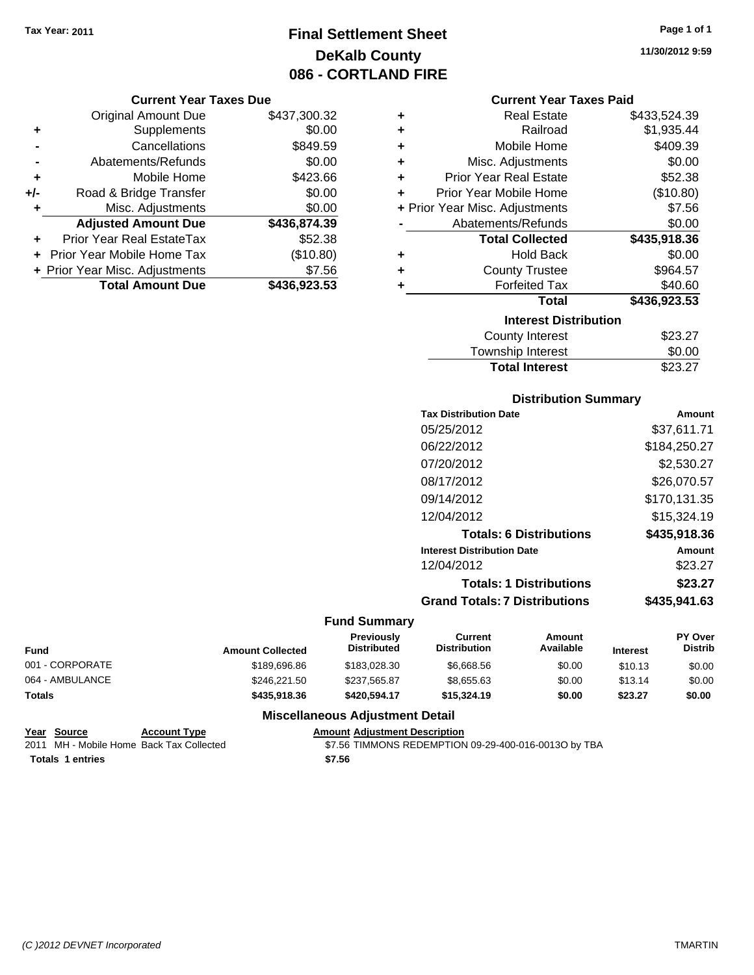# **Final Settlement Sheet Tax Year: 2011 Page 1 of 1 DeKalb County 086 - CORTLAND FIRE**

### **Current Year Taxes Due**

|       | <b>Original Amount Due</b>     | \$437,300.32 |
|-------|--------------------------------|--------------|
| ٠     | Supplements                    | \$0.00       |
|       | Cancellations                  | \$849.59     |
|       | Abatements/Refunds             | \$0.00       |
| ٠     | Mobile Home                    | \$423.66     |
| $+/-$ | Road & Bridge Transfer         | \$0.00       |
| ٠     | Misc. Adjustments              | \$0.00       |
|       | <b>Adjusted Amount Due</b>     | \$436,874.39 |
|       | Prior Year Real EstateTax      | \$52.38      |
|       | Prior Year Mobile Home Tax     | (\$10.80)    |
|       | + Prior Year Misc. Adjustments | \$7.56       |
|       | <b>Total Amount Due</b>        | \$436,923.53 |

| ٠ | <b>Real Estate</b>             | \$433,524.39 |
|---|--------------------------------|--------------|
| ÷ | Railroad                       | \$1,935.44   |
| ÷ | Mobile Home                    | \$409.39     |
| ÷ | Misc. Adjustments              | \$0.00       |
| ÷ | <b>Prior Year Real Estate</b>  | \$52.38      |
| ÷ | Prior Year Mobile Home         | (\$10.80)    |
|   | + Prior Year Misc. Adjustments | \$7.56       |
|   | Abatements/Refunds             | \$0.00       |
|   |                                |              |
|   | <b>Total Collected</b>         | \$435,918.36 |
| ٠ | <b>Hold Back</b>               | \$0.00       |
| ÷ | <b>County Trustee</b>          | \$964.57     |
| ٠ | <b>Forfeited Tax</b>           | \$40.60      |
|   | <b>Total</b>                   | \$436,923.53 |
|   | <b>Interest Distribution</b>   |              |
|   | <b>County Interest</b>         | \$23.27      |

# **Total Interest** \$23.27

| <b>Distribution Summary</b>          |              |  |  |  |
|--------------------------------------|--------------|--|--|--|
| <b>Tax Distribution Date</b>         | Amount       |  |  |  |
| 05/25/2012                           | \$37,611.71  |  |  |  |
| 06/22/2012                           | \$184,250.27 |  |  |  |
| 07/20/2012                           | \$2,530.27   |  |  |  |
| 08/17/2012                           | \$26.070.57  |  |  |  |
| 09/14/2012                           | \$170,131.35 |  |  |  |
| 12/04/2012                           | \$15,324.19  |  |  |  |
| <b>Totals: 6 Distributions</b>       | \$435.918.36 |  |  |  |
| <b>Interest Distribution Date</b>    | Amount       |  |  |  |
| 12/04/2012                           | \$23.27      |  |  |  |
| <b>Totals: 1 Distributions</b>       | \$23.27      |  |  |  |
| <b>Grand Totals: 7 Distributions</b> | \$435,941,63 |  |  |  |

## **Fund Summary**

| Fund            | <b>Amount Collected</b> | <b>Previously</b><br><b>Distributed</b> | Current<br><b>Distribution</b> | Amount<br>Available | <b>Interest</b> | <b>PY Over</b><br><b>Distrib</b> |
|-----------------|-------------------------|-----------------------------------------|--------------------------------|---------------------|-----------------|----------------------------------|
| 001 - CORPORATE | \$189,696.86            | \$183,028,30                            | \$6.668.56                     | \$0.00              | \$10.13         | \$0.00                           |
| 064 - AMBULANCE | \$246,221.50            | \$237,565.87                            | \$8,655.63                     | \$0.00              | \$13.14         | \$0.00                           |
| <b>Totals</b>   | \$435,918,36            | \$420,594.17                            | \$15,324.19                    | \$0.00              | \$23.27         | \$0.00                           |

## **Miscellaneous Adjustment Detail**

| Year Source             | <b>Account Type</b>                      | <b>Amount Adiustment Description</b>                 |
|-------------------------|------------------------------------------|------------------------------------------------------|
|                         | 2011 MH - Mobile Home Back Tax Collected | \$7.56 TIMMONS REDEMPTION 09-29-400-016-0013O by TBA |
| <b>Totals 1 entries</b> |                                          | \$7.56                                               |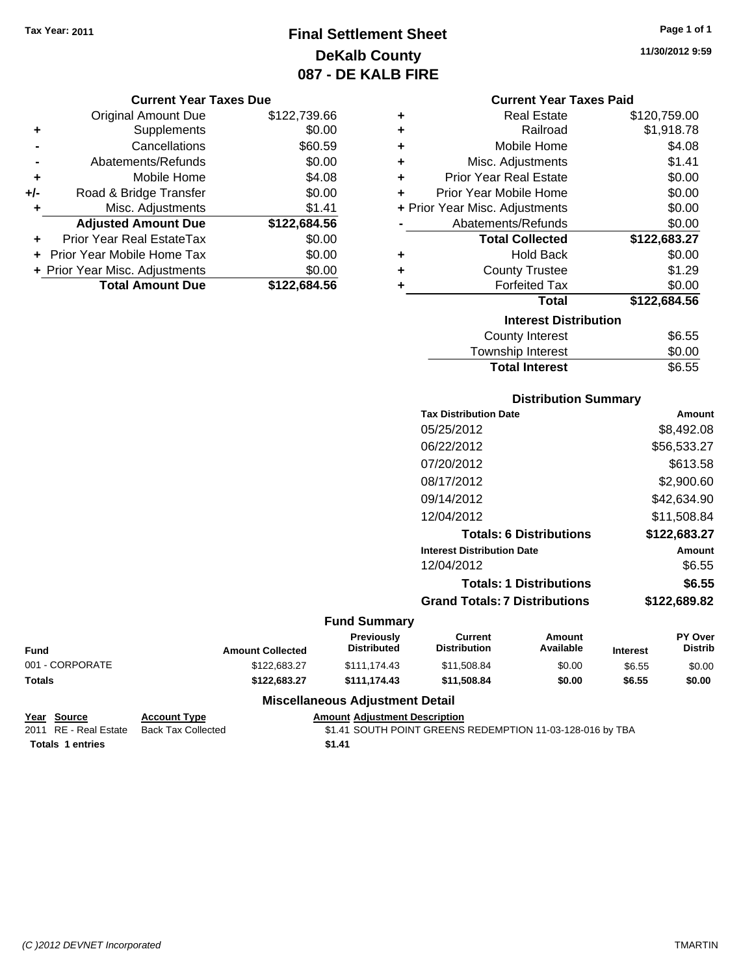# **Final Settlement Sheet Tax Year: 2011 Page 1 of 1 DeKalb County 087 - DE KALB FIRE**

#### **Current Year Taxes Due**

|       | <b>Original Amount Due</b>       | \$122,739.66 |
|-------|----------------------------------|--------------|
| ٠     | Supplements                      | \$0.00       |
|       | Cancellations                    | \$60.59      |
|       | Abatements/Refunds               | \$0.00       |
| ÷     | Mobile Home                      | \$4.08       |
| $+/-$ | Road & Bridge Transfer           | \$0.00       |
| ٠     | Misc. Adjustments                | \$1.41       |
|       | <b>Adjusted Amount Due</b>       | \$122,684.56 |
|       | <b>Prior Year Real EstateTax</b> | \$0.00       |
|       | Prior Year Mobile Home Tax       | \$0.00       |
|       | + Prior Year Misc. Adjustments   | \$0.00       |
|       | <b>Total Amount Due</b>          | \$122,684.56 |

| <b>Real Estate</b>             | \$120,759.00 |
|--------------------------------|--------------|
| Railroad                       | \$1,918.78   |
| Mobile Home                    | \$4.08       |
| Misc. Adjustments              | \$1.41       |
| <b>Prior Year Real Estate</b>  | \$0.00       |
| Prior Year Mobile Home         | \$0.00       |
| + Prior Year Misc. Adjustments | \$0.00       |
| Abatements/Refunds             | \$0.00       |
| <b>Total Collected</b>         | \$122,683.27 |
| <b>Hold Back</b>               | \$0.00       |
| <b>County Trustee</b>          | \$1.29       |
| <b>Forfeited Tax</b>           | \$0.00       |
| Total                          | \$122.684.56 |
| <b>Interest Distribution</b>   |              |
| <b>County Interest</b>         | \$6.55       |
|                                |              |

| <b>Total Interest</b> | \$6.55 |
|-----------------------|--------|
| Township Interest     | \$0.00 |
| County Interest       | ახ.55  |

## **Distribution Summary**

| <b>Tax Distribution Date</b>         | Amount       |
|--------------------------------------|--------------|
| 05/25/2012                           | \$8,492.08   |
| 06/22/2012                           | \$56,533.27  |
| 07/20/2012                           | \$613.58     |
| 08/17/2012                           | \$2,900.60   |
| 09/14/2012                           | \$42,634.90  |
| 12/04/2012                           | \$11.508.84  |
| <b>Totals: 6 Distributions</b>       | \$122,683.27 |
| <b>Interest Distribution Date</b>    | Amount       |
| 12/04/2012                           | \$6.55       |
| <b>Totals: 1 Distributions</b>       | \$6.55       |
| <b>Grand Totals: 7 Distributions</b> | \$122,689.82 |
|                                      |              |

#### **Fund Summary**

|                 |                         | <b>Previously</b>  | Current             | Amount    |                 | <b>PY Over</b> |
|-----------------|-------------------------|--------------------|---------------------|-----------|-----------------|----------------|
| <b>Fund</b>     | <b>Amount Collected</b> | <b>Distributed</b> | <b>Distribution</b> | Available | <b>Interest</b> | <b>Distrib</b> |
| 001 - CORPORATE | \$122,683.27            | \$111.174.43       | \$11.508.84         | \$0.00    | \$6.55          | \$0.00         |
| Totals          | \$122.683.27            | \$111.174.43       | \$11,508,84         | \$0.00    | \$6.55          | \$0.00         |

## **Miscellaneous Adjustment Detail**

**Year Source Account Type Amount Adjustment Description Totals \$1.41 1 entries**

2011 RE - Real Estate Back Tax Collected **12.41 SOUTH POINT GREENS REDEMPTION 11-03-128-016 by TBA**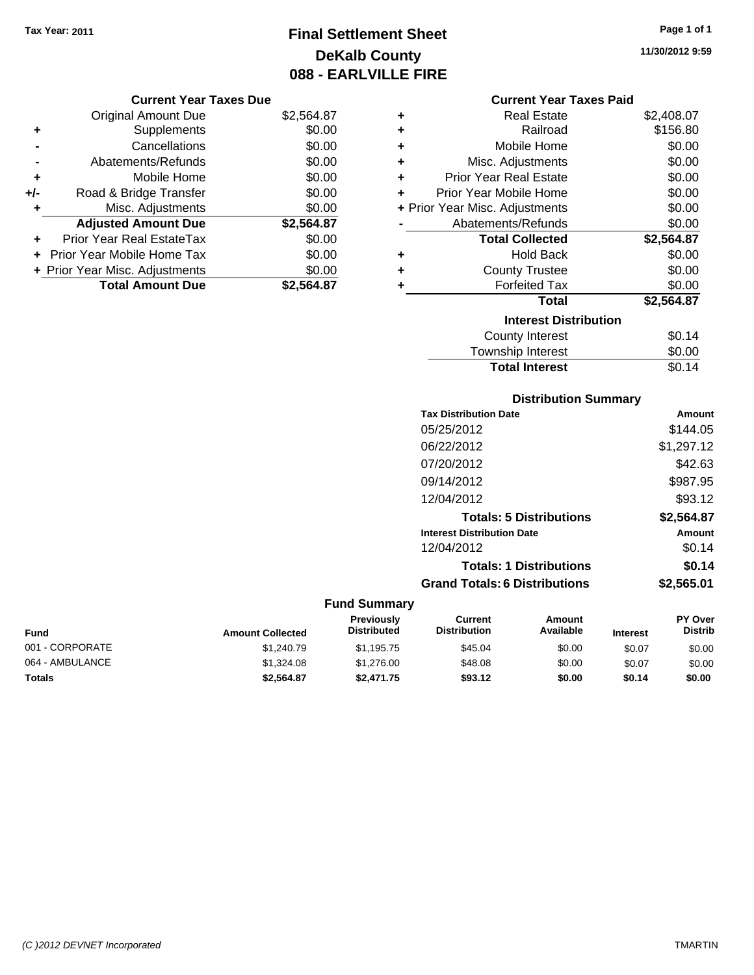# **Final Settlement Sheet Tax Year: 2011 Page 1 of 1 DeKalb County 088 - EARLVILLE FIRE**

# **11/30/2012 9:59**

|       | <b>Original Amount Due</b>     | \$2,564.87 |
|-------|--------------------------------|------------|
| ٠     | Supplements                    | \$0.00     |
|       | Cancellations                  | \$0.00     |
|       | Abatements/Refunds             | \$0.00     |
| ÷     | Mobile Home                    | \$0.00     |
| $+/-$ | Road & Bridge Transfer         | \$0.00     |
| ٠     | Misc. Adjustments              | \$0.00     |
|       | <b>Adjusted Amount Due</b>     | \$2,564.87 |
|       | Prior Year Real EstateTax      | \$0.00     |
|       | Prior Year Mobile Home Tax     | \$0.00     |
|       | + Prior Year Misc. Adjustments | \$0.00     |
|       | <b>Total Amount Due</b>        | \$2,564.87 |

# **Current Year Taxes Paid**

| ٠ | <b>Real Estate</b>             | \$2,408.07 |
|---|--------------------------------|------------|
| ÷ | Railroad                       | \$156.80   |
| ÷ | Mobile Home                    | \$0.00     |
| ٠ | Misc. Adjustments              | \$0.00     |
| ÷ | <b>Prior Year Real Estate</b>  | \$0.00     |
| ÷ | Prior Year Mobile Home         | \$0.00     |
|   | + Prior Year Misc. Adjustments | \$0.00     |
|   | Abatements/Refunds             | \$0.00     |
|   | <b>Total Collected</b>         | \$2,564.87 |
| ٠ | <b>Hold Back</b>               | \$0.00     |
| ÷ | <b>County Trustee</b>          | \$0.00     |
|   | <b>Forfeited Tax</b>           |            |
| ٠ |                                | \$0.00     |
|   | <b>Total</b>                   | \$2,564.87 |
|   | <b>Interest Distribution</b>   |            |
|   | <b>County Interest</b>         | \$0.14     |

| <b>Total Interest</b>  | \$0.14 |
|------------------------|--------|
| .<br>Township Interest | \$0.00 |

# **Distribution Summary**

| <b>Tax Distribution Date</b>         | Amount     |
|--------------------------------------|------------|
| 05/25/2012                           | \$144.05   |
| 06/22/2012                           | \$1,297.12 |
| 07/20/2012                           | \$42.63    |
| 09/14/2012                           | \$987.95   |
| 12/04/2012                           | \$93.12    |
| <b>Totals: 5 Distributions</b>       | \$2,564.87 |
| <b>Interest Distribution Date</b>    | Amount     |
| 12/04/2012                           | \$0.14     |
| <b>Totals: 1 Distributions</b>       | \$0.14     |
| <b>Grand Totals: 6 Distributions</b> | \$2,565.01 |

| <b>Fund</b>     | <b>Amount Collected</b> | <b>Previously</b><br><b>Distributed</b> | Current<br><b>Distribution</b> | Amount<br>Available | <b>Interest</b> | <b>PY Over</b><br><b>Distrib</b> |
|-----------------|-------------------------|-----------------------------------------|--------------------------------|---------------------|-----------------|----------------------------------|
| 001 - CORPORATE | \$1,240.79              | \$1.195.75                              | \$45.04                        | \$0.00              | \$0.07          | \$0.00                           |
| 064 - AMBULANCE | \$1,324.08              | \$1,276.00                              | \$48.08                        | \$0.00              | \$0.07          | \$0.00                           |
| Totals          | \$2.564.87              | \$2,471.75                              | \$93.12                        | \$0.00              | \$0.14          | \$0.00                           |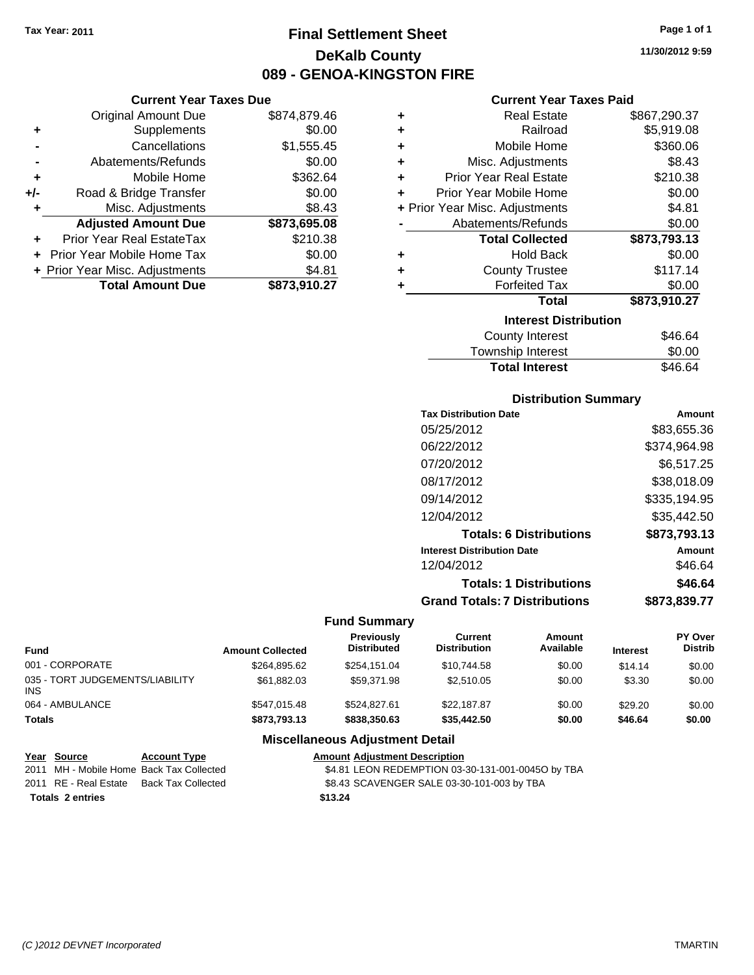**Original Amount Due** 

**Adjusted Amount Due** 

**Total Amount Due** 

**+** Supplements **-** Cancellations **-** Abatements/Refunds **+** Mobile Home **+/-** Road & Bridge Transfer **+** Misc. Adjustments

**+** Prior Year Real EstateTax **+** Prior Year Mobile Home Tax **+ Prior Year Misc. Adjustments** 

# **Final Settlement Sheet Tax Year: 2011 Page 1 of 1 DeKalb County 089 - GENOA-KINGSTON FIRE**

**11/30/2012 9:59**

# **Current Year Taxes Paid**

| <b>Current Year Taxes Due</b> |              |           | <b>Current Year Taxes Paid</b> |              |
|-------------------------------|--------------|-----------|--------------------------------|--------------|
| ่<br>al Amount Due            | \$874,879.46 | ÷         | <b>Real Estate</b>             | \$867,290.37 |
| Supplements                   | \$0.00       | ÷         | Railroad                       | \$5,919.08   |
| Cancellations                 | \$1,555.45   | ÷         | Mobile Home                    | \$360.06     |
| nents/Refunds                 | \$0.00       | ÷         | Misc. Adjustments              | \$8.43       |
| Mobile Home                   | \$362.64     | ÷         | <b>Prior Year Real Estate</b>  | \$210.38     |
| ridge Transfer                | \$0.00       | $\ddot{}$ | Prior Year Mobile Home         | \$0.00       |
| . Adjustments                 | \$8.43       |           | + Prior Year Misc. Adjustments | \$4.81       |
| <b>Amount Due</b>             | \$873,695.08 |           | Abatements/Refunds             | \$0.00       |
| leal EstateTax:               | \$210.38     |           | <b>Total Collected</b>         | \$873,793.13 |
| pile Home Tax                 | \$0.00       | ÷         | <b>Hold Back</b>               | \$0.00       |
| . Adjustments                 | \$4.81       | ÷         | <b>County Trustee</b>          | \$117.14     |
| <b>Amount Due</b>             | \$873,910.27 |           | <b>Forfeited Tax</b>           | \$0.00       |
|                               |              |           | <b>Total</b>                   | \$873,910.27 |
|                               |              |           | <b>Interest Distribution</b>   |              |

| <u>MICICSL DISLINUITION</u> |         |  |  |
|-----------------------------|---------|--|--|
| <b>County Interest</b>      | \$46.64 |  |  |
| Township Interest           | \$0.00  |  |  |
| <b>Total Interest</b>       | \$46.64 |  |  |
|                             |         |  |  |

## **Distribution Summary**

| <b>Tax Distribution Date</b>         | Amount       |
|--------------------------------------|--------------|
| 05/25/2012                           | \$83,655.36  |
| 06/22/2012                           | \$374,964.98 |
| 07/20/2012                           | \$6,517.25   |
| 08/17/2012                           | \$38,018.09  |
| 09/14/2012                           | \$335,194.95 |
| 12/04/2012                           | \$35.442.50  |
| <b>Totals: 6 Distributions</b>       | \$873,793.13 |
| <b>Interest Distribution Date</b>    | Amount       |
| 12/04/2012                           | \$46.64      |
| <b>Totals: 1 Distributions</b>       | \$46.64      |
| <b>Grand Totals: 7 Distributions</b> | \$873.839.77 |
|                                      |              |

#### **Fund Summary**

| Fund                                    | <b>Amount Collected</b> | Previously<br><b>Distributed</b> | Current<br><b>Distribution</b> | Amount<br>Available | <b>Interest</b> | PY Over<br><b>Distrib</b> |
|-----------------------------------------|-------------------------|----------------------------------|--------------------------------|---------------------|-----------------|---------------------------|
| 001 - CORPORATE                         | \$264.895.62            | \$254.151.04                     | \$10.744.58                    | \$0.00              | \$14.14         | \$0.00                    |
| 035 - TORT JUDGEMENTS/LIABILITY<br>INS. | \$61.882.03             | \$59.371.98                      | \$2,510.05                     | \$0.00              | \$3.30          | \$0.00                    |
| 064 - AMBULANCE                         | \$547.015.48            | \$524.827.61                     | \$22,187.87                    | \$0.00              | \$29.20         | \$0.00                    |
| <b>Totals</b>                           | \$873,793.13            | \$838,350.63                     | \$35,442.50                    | \$0.00              | \$46.64         | \$0.00                    |

## **Miscellaneous Adjustment Detail**

| Year Source           | <b>Account Type</b>                      | <b>Amount Adiustment Description</b>              |
|-----------------------|------------------------------------------|---------------------------------------------------|
|                       | 2011 MH - Mobile Home Back Tax Collected | \$4.81 LEON REDEMPTION 03-30-131-001-00450 by TBA |
| 2011 RE - Real Estate | Back Tax Collected                       | \$8.43 SCAVENGER SALE 03-30-101-003 by TBA        |
| Totals 2 entries      |                                          | \$13.24                                           |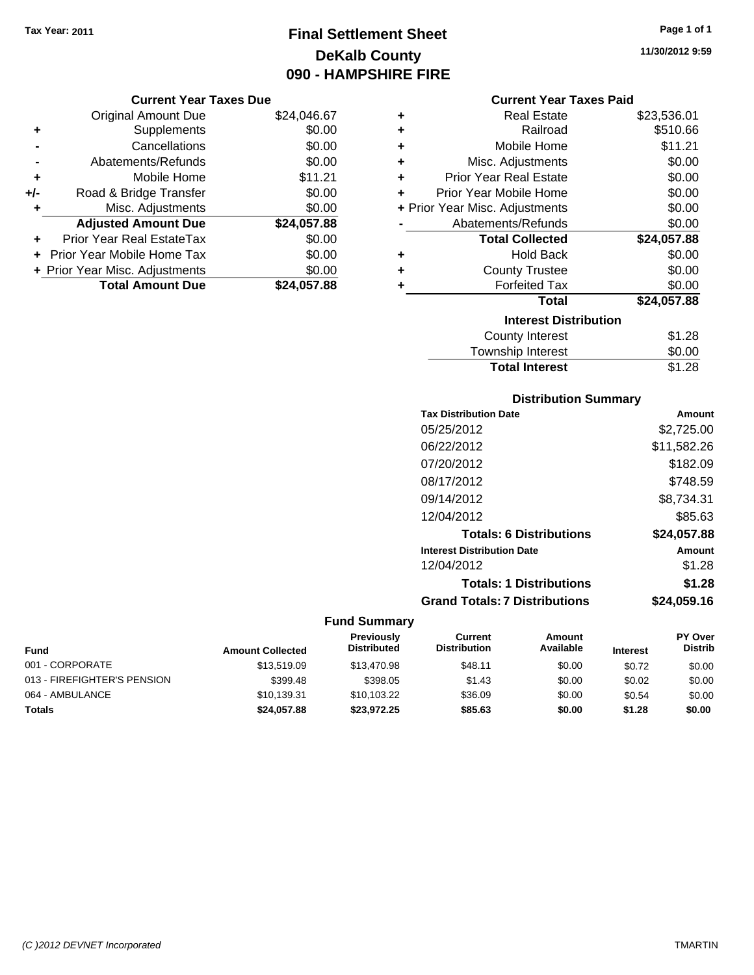# **Final Settlement Sheet Tax Year: 2011 Page 1 of 1 DeKalb County 090 - HAMPSHIRE FIRE**

**11/30/2012 9:59**

|     | <b>Original Amount Due</b>        | \$24,046.67 |
|-----|-----------------------------------|-------------|
| ٠   | Supplements                       | \$0.00      |
|     | Cancellations                     | \$0.00      |
|     | Abatements/Refunds                | \$0.00      |
| ÷   | Mobile Home                       | \$11.21     |
| +/- | Road & Bridge Transfer            | \$0.00      |
| ٠   | Misc. Adjustments                 | \$0.00      |
|     | <b>Adjusted Amount Due</b>        | \$24,057.88 |
|     | <b>Prior Year Real EstateTax</b>  | \$0.00      |
|     | <b>Prior Year Mobile Home Tax</b> | \$0.00      |
|     | + Prior Year Misc. Adjustments    | \$0.00      |
|     | <b>Total Amount Due</b>           | \$24.057.88 |

| <b>Current Year Taxes Paid</b> |  |  |  |
|--------------------------------|--|--|--|
|--------------------------------|--|--|--|

| ٠                            | Real Estate                    | \$23,536.01 |  |  |
|------------------------------|--------------------------------|-------------|--|--|
| ÷                            | Railroad                       | \$510.66    |  |  |
| ÷                            | Mobile Home                    | \$11.21     |  |  |
| ÷                            | Misc. Adjustments              | \$0.00      |  |  |
| ÷                            | <b>Prior Year Real Estate</b>  | \$0.00      |  |  |
| ٠                            | Prior Year Mobile Home         | \$0.00      |  |  |
|                              | + Prior Year Misc. Adjustments | \$0.00      |  |  |
|                              | Abatements/Refunds             | \$0.00      |  |  |
|                              | <b>Total Collected</b>         | \$24,057.88 |  |  |
| ٠                            | <b>Hold Back</b>               | \$0.00      |  |  |
| ÷                            | <b>County Trustee</b>          | \$0.00      |  |  |
| ٠                            | <b>Forfeited Tax</b>           | \$0.00      |  |  |
|                              | Total                          | \$24,057.88 |  |  |
| <b>Interest Distribution</b> |                                |             |  |  |
|                              | <b>County Interest</b>         | \$1.28      |  |  |
|                              | <b>Township Interest</b>       | \$0.00      |  |  |
|                              | <b>Total Interest</b>          | \$1.28      |  |  |

# **Distribution Summary**

| <b>Tax Distribution Date</b>         | Amount      |
|--------------------------------------|-------------|
| 05/25/2012                           | \$2,725.00  |
| 06/22/2012                           | \$11,582.26 |
| 07/20/2012                           | \$182.09    |
| 08/17/2012                           | \$748.59    |
| 09/14/2012                           | \$8,734.31  |
| 12/04/2012                           | \$85.63     |
| <b>Totals: 6 Distributions</b>       | \$24,057.88 |
| <b>Interest Distribution Date</b>    | Amount      |
| 12/04/2012                           | \$1.28      |
| <b>Totals: 1 Distributions</b>       | \$1.28      |
| <b>Grand Totals: 7 Distributions</b> | \$24.059.16 |
|                                      |             |

| <b>Fund</b>                 | <b>Amount Collected</b> | <b>Previously</b><br><b>Distributed</b> | Current<br><b>Distribution</b> | Amount<br>Available | <b>Interest</b> | <b>PY Over</b><br><b>Distrib</b> |
|-----------------------------|-------------------------|-----------------------------------------|--------------------------------|---------------------|-----------------|----------------------------------|
| 001 - CORPORATE             | \$13,519.09             | \$13,470.98                             | \$48.11                        | \$0.00              | \$0.72          | \$0.00                           |
| 013 - FIREFIGHTER'S PENSION | \$399.48                | \$398.05                                | \$1.43                         | \$0.00              | \$0.02          | \$0.00                           |
| 064 - AMBULANCE             | \$10.139.31             | \$10.103.22                             | \$36.09                        | \$0.00              | \$0.54          | \$0.00                           |
| <b>Totals</b>               | \$24,057.88             | \$23,972.25                             | \$85.63                        | \$0.00              | \$1.28          | \$0.00                           |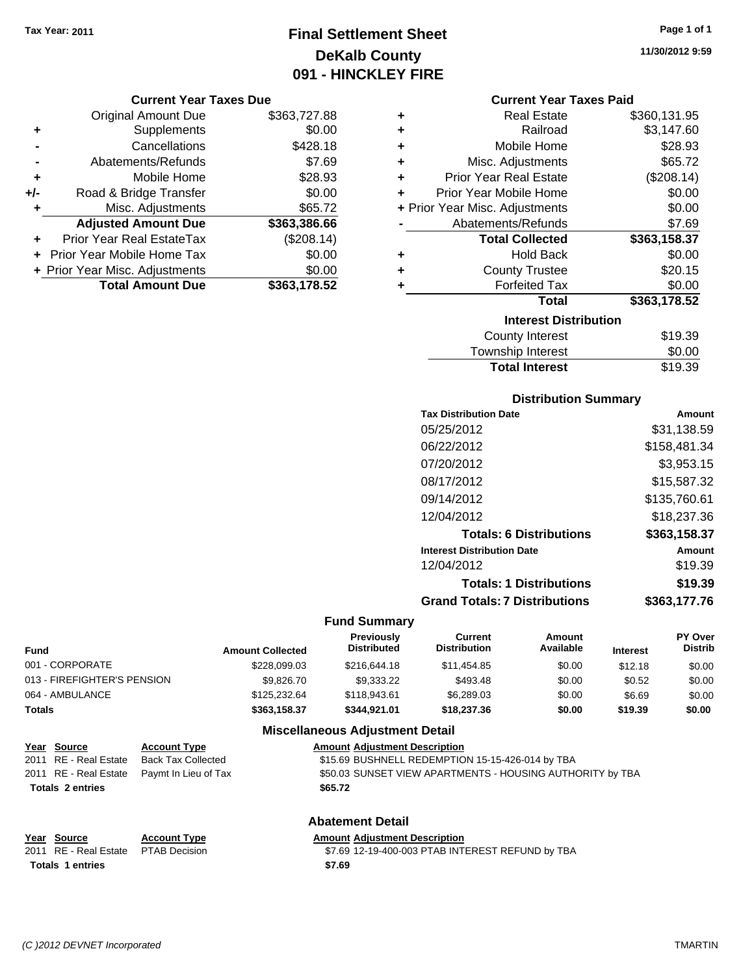# **Final Settlement Sheet Tax Year: 2011 Page 1 of 1 DeKalb County 091 - HINCKLEY FIRE**

#### **Current Year Taxes Due**

|     | <b>Original Amount Due</b>       | \$363,727.88 |
|-----|----------------------------------|--------------|
| ٠   | Supplements                      | \$0.00       |
|     | Cancellations                    | \$428.18     |
|     | Abatements/Refunds               | \$7.69       |
| ÷   | Mobile Home                      | \$28.93      |
| +/- | Road & Bridge Transfer           | \$0.00       |
| ٠   | Misc. Adjustments                | \$65.72      |
|     | <b>Adjusted Amount Due</b>       | \$363,386.66 |
|     | <b>Prior Year Real EstateTax</b> | (\$208.14)   |
|     | Prior Year Mobile Home Tax       | \$0.00       |
|     | + Prior Year Misc. Adjustments   | \$0.00       |
|     | <b>Total Amount Due</b>          | \$363,178.52 |

| ٠ | <b>Real Estate</b>                   | \$360,131.95 |
|---|--------------------------------------|--------------|
| ٠ | Railroad                             | \$3,147.60   |
| ÷ | Mobile Home                          | \$28.93      |
| ÷ | Misc. Adjustments                    | \$65.72      |
| ٠ | <b>Prior Year Real Estate</b>        | (\$208.14)   |
| ÷ | Prior Year Mobile Home               | \$0.00       |
|   | + Prior Year Misc. Adjustments       | \$0.00       |
|   | Abatements/Refunds                   | \$7.69       |
|   | <b>Total Collected</b>               | \$363,158.37 |
| ٠ | <b>Hold Back</b>                     | \$0.00       |
| ٠ | <b>County Trustee</b>                | \$20.15      |
| ٠ | <b>Forfeited Tax</b>                 | \$0.00       |
|   | <b>Total</b>                         | \$363,178.52 |
|   | <b>Interest Distribution</b>         |              |
|   | <b>County Interest</b>               | \$19.39      |
|   | المتحدث والمنابذ والمرورين والتحاجين | ጦጣ ወጣ        |

# Township Interest \$0.00 Total Interest \$19.39

## **Distribution Summary**

| <b>Tax Distribution Date</b>         | Amount       |
|--------------------------------------|--------------|
| 05/25/2012                           | \$31,138.59  |
| 06/22/2012                           | \$158,481.34 |
| 07/20/2012                           | \$3,953.15   |
| 08/17/2012                           | \$15,587.32  |
| 09/14/2012                           | \$135,760.61 |
| 12/04/2012                           | \$18,237.36  |
| <b>Totals: 6 Distributions</b>       | \$363,158.37 |
| <b>Interest Distribution Date</b>    | Amount       |
| 12/04/2012                           | \$19.39      |
| <b>Totals: 1 Distributions</b>       | \$19.39      |
| <b>Grand Totals: 7 Distributions</b> | \$363,177.76 |
|                                      |              |

#### **Fund Summary**

| <b>Fund</b>                 | <b>Amount Collected</b> | <b>Previously</b><br><b>Distributed</b> | Current<br><b>Distribution</b> | Amount<br>Available | <b>Interest</b> | <b>PY Over</b><br><b>Distrib</b> |
|-----------------------------|-------------------------|-----------------------------------------|--------------------------------|---------------------|-----------------|----------------------------------|
| 001 - CORPORATE             | \$228.099.03            | \$216,644.18                            | \$11,454.85                    | \$0.00              | \$12.18         | \$0.00                           |
| 013 - FIREFIGHTER'S PENSION | \$9.826.70              | \$9,333,22                              | \$493.48                       | \$0.00              | \$0.52          | \$0.00                           |
| 064 - AMBULANCE             | \$125,232,64            | \$118,943.61                            | \$6,289.03                     | \$0.00              | \$6.69          | \$0.00                           |
| Totals                      | \$363,158.37            | \$344.921.01                            | \$18,237.36                    | \$0.00              | \$19.39         | \$0.00                           |

# **Miscellaneous Adjustment Detail**

| Year Source | <b>Account Type</b>                                                                                                                                                                                                                                                                                                                 | <b>Amount Adjustment Description</b>             |
|-------------|-------------------------------------------------------------------------------------------------------------------------------------------------------------------------------------------------------------------------------------------------------------------------------------------------------------------------------------|--------------------------------------------------|
|             | 2011 RE - Real Estate Back Tax Collected                                                                                                                                                                                                                                                                                            | \$15.69 BUSHNELL REDEMPTION 15-15-426-014 by TBA |
|             | $0.011 \cdot \mathbf{D}$ $\mathbf{F}$ $\mathbf{D}$ $\mathbf{F}$ $\mathbf{H}$ $\mathbf{F}$ $\mathbf{F}$ $\mathbf{F}$ $\mathbf{F}$ $\mathbf{F}$ $\mathbf{F}$ $\mathbf{F}$ $\mathbf{F}$ $\mathbf{F}$ $\mathbf{F}$ $\mathbf{F}$ $\mathbf{F}$ $\mathbf{F}$ $\mathbf{F}$ $\mathbf{F}$ $\mathbf{F}$ $\mathbf{F}$ $\mathbf{F}$ $\mathbf{F}$ |                                                  |

## 2011 RE - Real Estate Paymt In Lieu of Tax **\$50.03 SUNSET VIEW APARTMENTS - HOUSING AUTHORITY by TBA Totals \$65.72 2 entries**

|                  | Year Source                         | <b>Account Type</b> | <b>Amount Adiustment Description</b> |
|------------------|-------------------------------------|---------------------|--------------------------------------|
|                  | 2011 RE - Real Estate PTAB Decision |                     | \$7.69 12-19-400-003 PTAB INT        |
| Totals 1 entries |                                     |                     | \$7.69                               |

# **Abatement Detail**

19-400-003 PTAB INTEREST REFUND by TBA

**11/30/2012 9:59**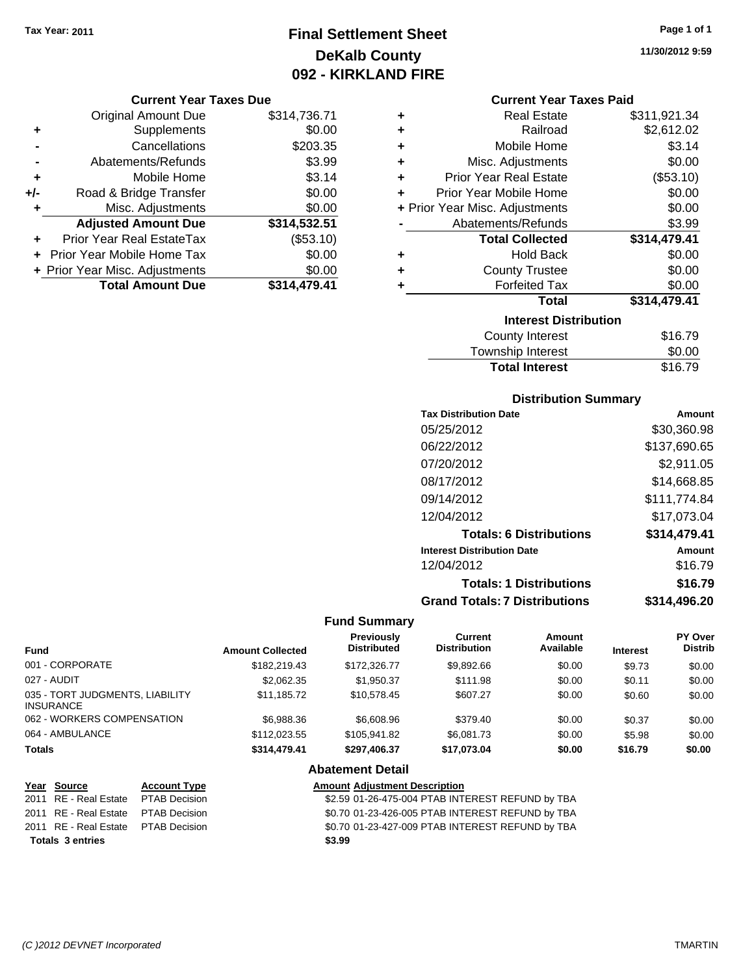# **Final Settlement Sheet Tax Year: 2011 Page 1 of 1 DeKalb County 092 - KIRKLAND FIRE**

#### **Current Year Taxes Due**

|       | <b>Original Amount Due</b>       | \$314,736.71 |
|-------|----------------------------------|--------------|
| ٠     | Supplements                      | \$0.00       |
|       | Cancellations                    | \$203.35     |
|       | Abatements/Refunds               | \$3.99       |
| ÷     | Mobile Home                      | \$3.14       |
| $+/-$ | Road & Bridge Transfer           | \$0.00       |
| ٠     | Misc. Adjustments                | \$0.00       |
|       | <b>Adjusted Amount Due</b>       | \$314,532.51 |
|       | <b>Prior Year Real EstateTax</b> | (\$53.10)    |
|       | Prior Year Mobile Home Tax       | \$0.00       |
|       | + Prior Year Misc. Adjustments   | \$0.00       |
|       | <b>Total Amount Due</b>          | \$314.479.41 |

| ٠ | <b>Real Estate</b>             | \$311,921.34 |
|---|--------------------------------|--------------|
| ٠ | Railroad                       | \$2,612.02   |
| ٠ | Mobile Home                    | \$3.14       |
| ٠ | Misc. Adjustments              | \$0.00       |
| ÷ | <b>Prior Year Real Estate</b>  | (\$53.10)    |
| ÷ | Prior Year Mobile Home         | \$0.00       |
|   | + Prior Year Misc. Adjustments | \$0.00       |
|   | Abatements/Refunds             | \$3.99       |
|   | <b>Total Collected</b>         | \$314,479.41 |
| ٠ | <b>Hold Back</b>               | \$0.00       |
| ٠ | <b>County Trustee</b>          | \$0.00       |
| ٠ | <b>Forfeited Tax</b>           | \$0.00       |
|   | <b>Total</b>                   | \$314,479.41 |
|   | <b>Interest Distribution</b>   |              |
|   | <b>County Interest</b>         | \$16.79      |
|   | Township Interact              | ድስ ስስ        |

| <b>Total Interest</b>    | \$16.79 |
|--------------------------|---------|
| <b>Township Interest</b> | \$0.00  |
| County interest          | 310.79  |

## **Distribution Summary**

| <b>Tax Distribution Date</b>         | Amount       |
|--------------------------------------|--------------|
| 05/25/2012                           | \$30,360.98  |
| 06/22/2012                           | \$137,690.65 |
| 07/20/2012                           | \$2,911.05   |
| 08/17/2012                           | \$14,668.85  |
| 09/14/2012                           | \$111,774.84 |
| 12/04/2012                           | \$17,073.04  |
| <b>Totals: 6 Distributions</b>       | \$314,479.41 |
| <b>Interest Distribution Date</b>    | Amount       |
| 12/04/2012                           | \$16.79      |
| <b>Totals: 1 Distributions</b>       | \$16.79      |
| <b>Grand Totals: 7 Distributions</b> | \$314,496.20 |

#### **Fund Summary**

| Fund                                                | <b>Amount Collected</b> | <b>Previously</b><br><b>Distributed</b> | Current<br><b>Distribution</b> | Amount<br>Available | <b>Interest</b> | <b>PY Over</b><br><b>Distrib</b> |
|-----------------------------------------------------|-------------------------|-----------------------------------------|--------------------------------|---------------------|-----------------|----------------------------------|
| 001 - CORPORATE                                     | \$182,219.43            | \$172,326,77                            | \$9,892.66                     | \$0.00              | \$9.73          | \$0.00                           |
| 027 - AUDIT                                         | \$2,062.35              | \$1,950.37                              | \$111.98                       | \$0.00              | \$0.11          | \$0.00                           |
| 035 - TORT JUDGMENTS, LIABILITY<br><b>INSURANCE</b> | \$11.185.72             | \$10.578.45                             | \$607.27                       | \$0.00              | \$0.60          | \$0.00                           |
| 062 - WORKERS COMPENSATION                          | \$6,988.36              | \$6,608.96                              | \$379.40                       | \$0.00              | \$0.37          | \$0.00                           |
| 064 - AMBULANCE                                     | \$112,023.55            | \$105.941.82                            | \$6,081.73                     | \$0.00              | \$5.98          | \$0.00                           |
| <b>Totals</b>                                       | \$314,479.41            | \$297,406.37                            | \$17,073.04                    | \$0.00              | \$16.79         | \$0.00                           |

#### **Abatement Detail**

| Year Source                         | <b>Account Type</b> | <b>Amount Adjustment Description</b>             |
|-------------------------------------|---------------------|--------------------------------------------------|
| 2011 RE - Real Estate PTAB Decision |                     | \$2.59 01-26-475-004 PTAB INTEREST REFUND by TBA |
| 2011 RE - Real Estate PTAB Decision |                     | \$0.70 01-23-426-005 PTAB INTEREST REFUND by TBA |
| 2011 RE - Real Estate PTAB Decision |                     | \$0.70 01-23-427-009 PTAB INTEREST REFUND by TBA |
| <b>Totals 3 entries</b>             |                     | \$3.99                                           |

**11/30/2012 9:59**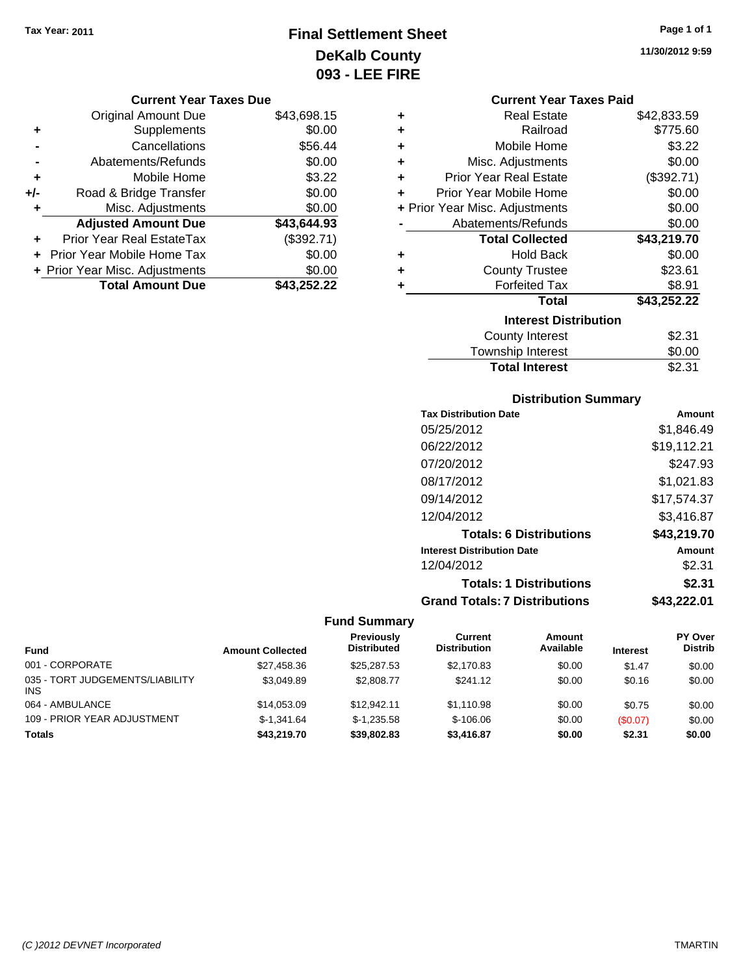# **Final Settlement Sheet Tax Year: 2011 Page 1 of 1 DeKalb County 093 - LEE FIRE**

**11/30/2012 9:59**

| <b>Current Year Taxes Due</b> |  |  |  |  |
|-------------------------------|--|--|--|--|
|-------------------------------|--|--|--|--|

|     | <b>Original Amount Due</b>        | \$43,698.15 |
|-----|-----------------------------------|-------------|
| ٠   | Supplements                       | \$0.00      |
|     | Cancellations                     | \$56.44     |
|     | Abatements/Refunds                | \$0.00      |
| ÷   | Mobile Home                       | \$3.22      |
| +/- | Road & Bridge Transfer            | \$0.00      |
| ٠   | Misc. Adjustments                 | \$0.00      |
|     | <b>Adjusted Amount Due</b>        | \$43,644.93 |
|     | Prior Year Real EstateTax         | (\$392.71)  |
|     | <b>Prior Year Mobile Home Tax</b> | \$0.00      |
|     | + Prior Year Misc. Adjustments    | \$0.00      |
|     | <b>Total Amount Due</b>           | \$43,252.22 |

|                              | <b>Current Year Taxes Paid</b> |             |  |  |  |
|------------------------------|--------------------------------|-------------|--|--|--|
| ٠                            | Real Estate                    | \$42,833.59 |  |  |  |
| ٠                            | Railroad                       | \$775.60    |  |  |  |
| ٠                            | Mobile Home                    | \$3.22      |  |  |  |
| ٠                            | Misc. Adjustments              | \$0.00      |  |  |  |
| ٠                            | <b>Prior Year Real Estate</b>  | (\$392.71)  |  |  |  |
| ٠                            | Prior Year Mobile Home         | \$0.00      |  |  |  |
|                              | + Prior Year Misc. Adjustments | \$0.00      |  |  |  |
|                              | Abatements/Refunds             | \$0.00      |  |  |  |
|                              | <b>Total Collected</b>         | \$43,219.70 |  |  |  |
| ٠                            | <b>Hold Back</b>               | \$0.00      |  |  |  |
| ٠                            | <b>County Trustee</b>          | \$23.61     |  |  |  |
| ٠                            | <b>Forfeited Tax</b>           | \$8.91      |  |  |  |
|                              | Total                          | \$43,252.22 |  |  |  |
| <b>Interest Distribution</b> |                                |             |  |  |  |
|                              | <b>County Interest</b>         | \$2.31      |  |  |  |
|                              | <b>Township Interest</b>       | \$0.00      |  |  |  |

# **Distribution Summary**

**Total Interest** \$2.31

| <b>Tax Distribution Date</b>         | Amount      |
|--------------------------------------|-------------|
| 05/25/2012                           | \$1.846.49  |
| 06/22/2012                           | \$19,112.21 |
| 07/20/2012                           | \$247.93    |
| 08/17/2012                           | \$1,021.83  |
| 09/14/2012                           | \$17,574.37 |
| 12/04/2012                           | \$3,416.87  |
| <b>Totals: 6 Distributions</b>       | \$43,219.70 |
| <b>Interest Distribution Date</b>    | Amount      |
| 12/04/2012                           | \$2.31      |
| <b>Totals: 1 Distributions</b>       | \$2.31      |
| <b>Grand Totals: 7 Distributions</b> | \$43.222.01 |

| <b>Fund</b>                                   | <b>Amount Collected</b> | <b>Previously</b><br><b>Distributed</b> | Current<br><b>Distribution</b> | Amount<br>Available | <b>Interest</b> | <b>PY Over</b><br><b>Distrib</b> |
|-----------------------------------------------|-------------------------|-----------------------------------------|--------------------------------|---------------------|-----------------|----------------------------------|
| 001 - CORPORATE                               | \$27,458,36             | \$25,287.53                             | \$2.170.83                     | \$0.00              | \$1.47          | \$0.00                           |
| 035 - TORT JUDGEMENTS/LIABILITY<br><b>INS</b> | \$3.049.89              | \$2,808.77                              | \$241.12                       | \$0.00              | \$0.16          | \$0.00                           |
| 064 - AMBULANCE                               | \$14,053,09             | \$12.942.11                             | \$1.110.98                     | \$0.00              | \$0.75          | \$0.00                           |
| 109 - PRIOR YEAR ADJUSTMENT                   | $$-1.341.64$            | $$-1.235.58$                            | $$-106.06$                     | \$0.00              | (S0.07)         | \$0.00                           |
| <b>Totals</b>                                 | \$43,219.70             | \$39,802.83                             | \$3,416.87                     | \$0.00              | \$2.31          | \$0.00                           |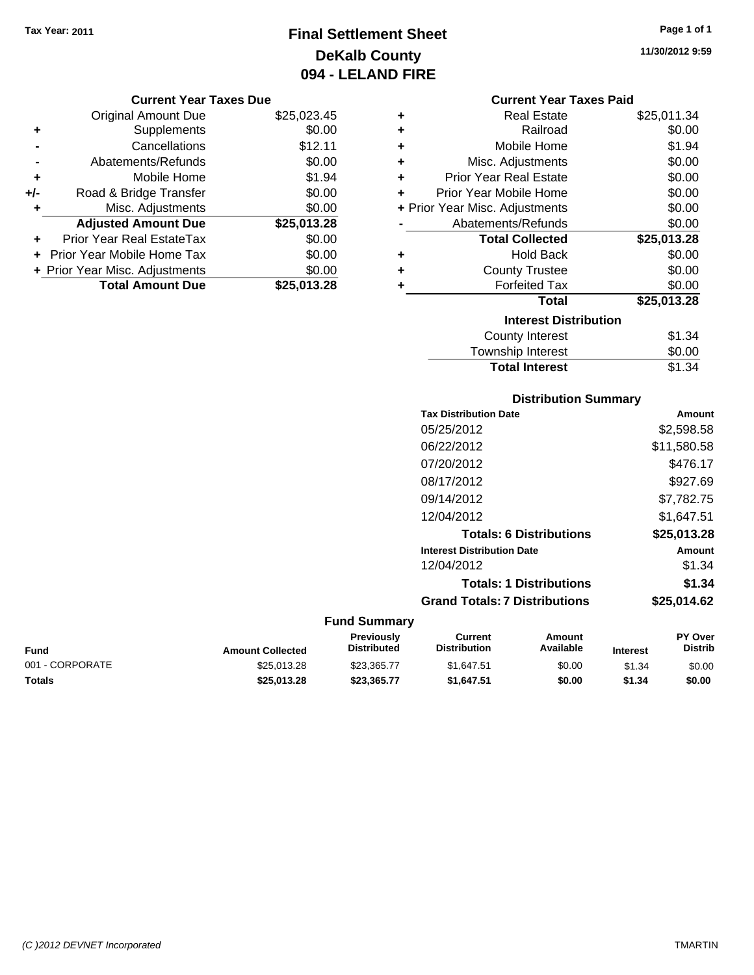# **Final Settlement Sheet Tax Year: 2011 Page 1 of 1 DeKalb County 094 - LELAND FIRE**

**11/30/2012 9:59**

#### **Current Year Taxes Due**

|       | <b>Original Amount Due</b>        | \$25,023.45 |
|-------|-----------------------------------|-------------|
| ٠     | Supplements                       | \$0.00      |
|       | Cancellations                     | \$12.11     |
|       | Abatements/Refunds                | \$0.00      |
| ÷     | Mobile Home                       | \$1.94      |
| $+/-$ | Road & Bridge Transfer            | \$0.00      |
| ٠     | Misc. Adjustments                 | \$0.00      |
|       | <b>Adjusted Amount Due</b>        | \$25,013.28 |
|       | <b>Prior Year Real EstateTax</b>  | \$0.00      |
|       | <b>Prior Year Mobile Home Tax</b> | \$0.00      |
|       | + Prior Year Misc. Adjustments    | \$0.00      |
|       | <b>Total Amount Due</b>           | \$25,013.28 |

# **Current Year Taxes Paid**

| ٠ | <b>Real Estate</b>             | \$25,011.34 |
|---|--------------------------------|-------------|
| ÷ | Railroad                       | \$0.00      |
| ٠ | Mobile Home                    | \$1.94      |
| ٠ | Misc. Adjustments              | \$0.00      |
| ÷ | <b>Prior Year Real Estate</b>  | \$0.00      |
| ÷ | Prior Year Mobile Home         | \$0.00      |
|   | + Prior Year Misc. Adjustments | \$0.00      |
|   | Abatements/Refunds             | \$0.00      |
|   |                                |             |
|   | <b>Total Collected</b>         | \$25,013.28 |
| ٠ | <b>Hold Back</b>               | \$0.00      |
| ÷ | <b>County Trustee</b>          | \$0.00      |
| ٠ | <b>Forfeited Tax</b>           | \$0.00      |
|   | Total                          | \$25,013.28 |
|   | <b>Interest Distribution</b>   |             |
|   | County Interest                | \$1.34      |

# **Distribution Summary**

**Total Interest** \$1.34

| <b>Tax Distribution Date</b>         | Amount      |
|--------------------------------------|-------------|
| 05/25/2012                           | \$2,598.58  |
| 06/22/2012                           | \$11,580.58 |
| 07/20/2012                           | \$476.17    |
| 08/17/2012                           | \$927.69    |
| 09/14/2012                           | \$7,782.75  |
| 12/04/2012                           | \$1,647.51  |
| <b>Totals: 6 Distributions</b>       | \$25,013.28 |
| <b>Interest Distribution Date</b>    | Amount      |
| 12/04/2012                           | \$1.34      |
| <b>Totals: 1 Distributions</b>       | \$1.34      |
| <b>Grand Totals: 7 Distributions</b> | \$25,014.62 |
|                                      |             |

| <b>Fund</b>     | <b>Amount Collected</b> | Previously<br><b>Distributed</b> | Current<br><b>Distribution</b> | Amount<br>Available | <b>Interest</b> | <b>PY Over</b><br>Distrib |
|-----------------|-------------------------|----------------------------------|--------------------------------|---------------------|-----------------|---------------------------|
| 001 - CORPORATE | \$25,013.28             | \$23,365,77                      | \$1.647.51                     | \$0.00              | \$1.34          | \$0.00                    |
| <b>Totals</b>   | \$25,013.28             | \$23.365.77                      | \$1.647.51                     | \$0.00              | \$1.34          | \$0.00                    |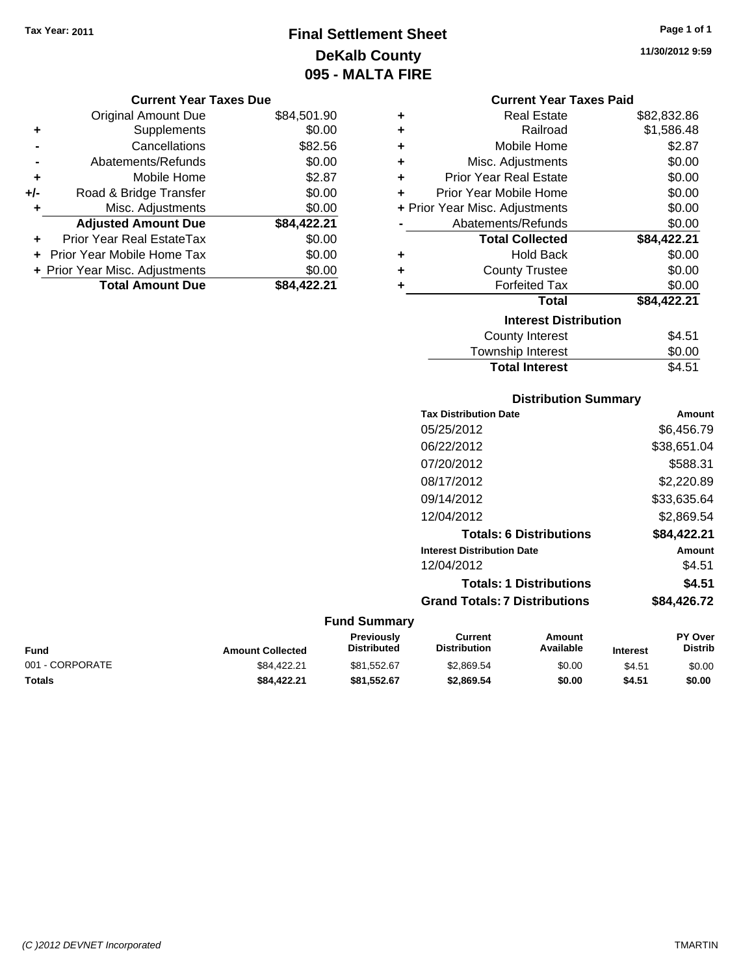# **Final Settlement Sheet Tax Year: 2011 Page 1 of 1 DeKalb County 095 - MALTA FIRE**

**11/30/2012 9:59**

#### **Current Year Taxes Due**

|       | <b>Original Amount Due</b>     | \$84,501.90 |
|-------|--------------------------------|-------------|
| ٠     | Supplements                    | \$0.00      |
|       | Cancellations                  | \$82.56     |
|       | Abatements/Refunds             | \$0.00      |
| ÷     | Mobile Home                    | \$2.87      |
| $+/-$ | Road & Bridge Transfer         | \$0.00      |
| ٠     | Misc. Adjustments              | \$0.00      |
|       | <b>Adjusted Amount Due</b>     | \$84,422.21 |
|       | Prior Year Real EstateTax      | \$0.00      |
|       | Prior Year Mobile Home Tax     | \$0.00      |
|       | + Prior Year Misc. Adjustments | \$0.00      |
|       | <b>Total Amount Due</b>        | \$84,422.21 |

# **Current Year Taxes Paid**

| ٠ | <b>Real Estate</b>             | \$82,832.86 |
|---|--------------------------------|-------------|
| ÷ | Railroad                       | \$1,586.48  |
| ٠ | Mobile Home                    | \$2.87      |
| ٠ | Misc. Adjustments              | \$0.00      |
| ÷ | <b>Prior Year Real Estate</b>  | \$0.00      |
| ٠ | Prior Year Mobile Home         | \$0.00      |
|   | + Prior Year Misc. Adjustments | \$0.00      |
|   | Abatements/Refunds             | \$0.00      |
|   | <b>Total Collected</b>         | \$84,422.21 |
| ٠ | Hold Back                      | \$0.00      |
| ÷ | <b>County Trustee</b>          | \$0.00      |
| ٠ | <b>Forfeited Tax</b>           | \$0.00      |
|   | Total                          | \$84,422.21 |
|   | <b>Interest Distribution</b>   |             |
|   | <b>County Interest</b>         | \$4.51      |
|   | <b>Township Interest</b>       | \$0.00      |
|   | <b>Total Interest</b>          | \$4.51      |

# **Distribution Summary**

| <b>Tax Distribution Date</b>         | Amount      |
|--------------------------------------|-------------|
| 05/25/2012                           | \$6,456.79  |
| 06/22/2012                           | \$38,651.04 |
| 07/20/2012                           | \$588.31    |
| 08/17/2012                           | \$2,220.89  |
| 09/14/2012                           | \$33,635.64 |
| 12/04/2012                           | \$2,869.54  |
| <b>Totals: 6 Distributions</b>       | \$84,422.21 |
| <b>Interest Distribution Date</b>    | Amount      |
| 12/04/2012                           | \$4.51      |
| <b>Totals: 1 Distributions</b>       | \$4.51      |
| <b>Grand Totals: 7 Distributions</b> | \$84,426.72 |

| <b>Fund</b>     | <b>Amount Collected</b> | <b>Previously</b><br><b>Distributed</b> | Current<br><b>Distribution</b> | Amount<br>Available | <b>Interest</b> | <b>PY Over</b><br>Distrib |
|-----------------|-------------------------|-----------------------------------------|--------------------------------|---------------------|-----------------|---------------------------|
| 001 - CORPORATE | \$84.422.21             | \$81,552.67                             | \$2,869.54                     | \$0.00              | \$4.51          | \$0.00                    |
| <b>Totals</b>   | \$84.422.21             | \$81.552.67                             | \$2,869.54                     | \$0.00              | \$4.51          | \$0.00                    |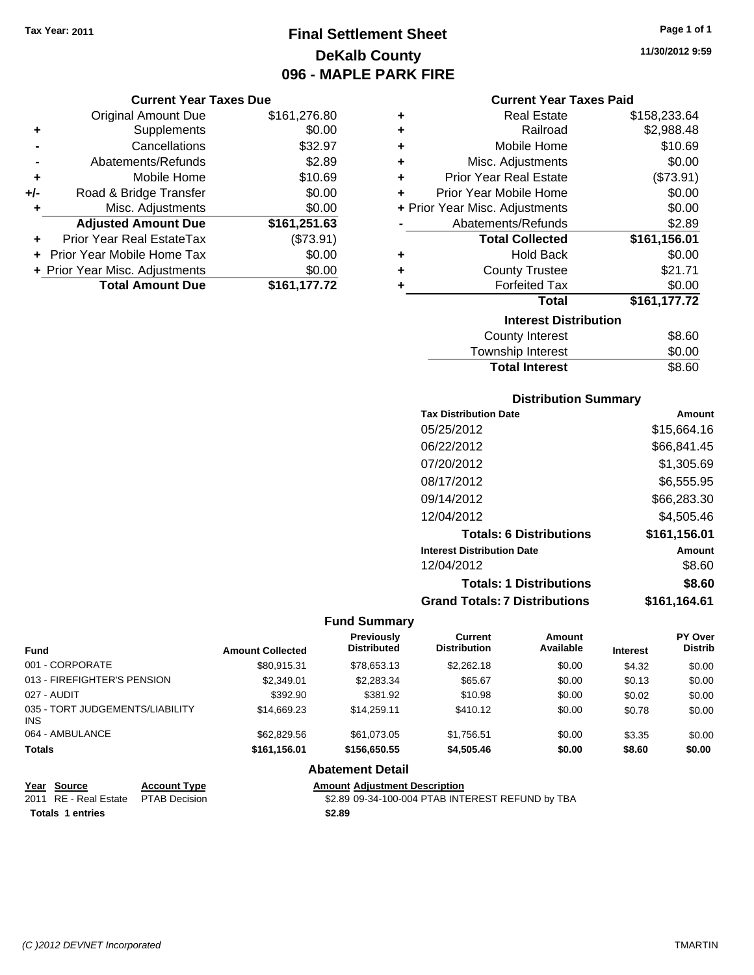# **Final Settlement Sheet Tax Year: 2011 Page 1 of 1 DeKalb County 096 - MAPLE PARK FIRE**

**11/30/2012 9:59**

### **Current Year Taxes Due**

|       | <b>Original Amount Due</b>     | \$161,276.80 |
|-------|--------------------------------|--------------|
| ٠     | Supplements                    | \$0.00       |
|       | Cancellations                  | \$32.97      |
|       | Abatements/Refunds             | \$2.89       |
| ÷     | Mobile Home                    | \$10.69      |
| $+/-$ | Road & Bridge Transfer         | \$0.00       |
| ٠     | Misc. Adjustments              | \$0.00       |
|       | <b>Adjusted Amount Due</b>     | \$161,251.63 |
|       | Prior Year Real EstateTax      | (\$73.91)    |
|       | Prior Year Mobile Home Tax     | \$0.00       |
|       | + Prior Year Misc. Adjustments | \$0.00       |
|       | <b>Total Amount Due</b>        | \$161,177.72 |

| <b>Current Year Taxes Paid</b> |  |  |  |
|--------------------------------|--|--|--|
|--------------------------------|--|--|--|

| ٠ | <b>Real Estate</b>             | \$158,233.64 |
|---|--------------------------------|--------------|
| ÷ | Railroad                       | \$2,988.48   |
| ٠ | Mobile Home                    | \$10.69      |
| ٠ | Misc. Adjustments              | \$0.00       |
| ÷ | <b>Prior Year Real Estate</b>  | (\$73.91)    |
| ٠ | Prior Year Mobile Home         | \$0.00       |
|   | + Prior Year Misc. Adjustments | \$0.00       |
|   | Abatements/Refunds             | \$2.89       |
|   |                                |              |
|   | <b>Total Collected</b>         | \$161,156.01 |
| ٠ | <b>Hold Back</b>               | \$0.00       |
| ÷ | <b>County Trustee</b>          | \$21.71      |
| ٠ | <b>Forfeited Tax</b>           | \$0.00       |
|   | <b>Total</b>                   | \$161,177.72 |
|   | <b>Interest Distribution</b>   |              |
|   | County Interest                | \$8.60       |

| County Interest   |  |  |
|-------------------|--|--|
| Township Interest |  |  |

# **Distribution Summary**

Total Interest \$8.60

| <b>Tax Distribution Date</b>         | Amount       |
|--------------------------------------|--------------|
| 05/25/2012                           | \$15,664.16  |
| 06/22/2012                           | \$66,841.45  |
| 07/20/2012                           | \$1,305.69   |
| 08/17/2012                           | \$6,555.95   |
| 09/14/2012                           | \$66,283.30  |
| 12/04/2012                           | \$4,505.46   |
| <b>Totals: 6 Distributions</b>       | \$161,156.01 |
| <b>Interest Distribution Date</b>    | Amount       |
| 12/04/2012                           | \$8.60       |
| <b>Totals: 1 Distributions</b>       | \$8.60       |
| <b>Grand Totals: 7 Distributions</b> | \$161,164.61 |

#### **Fund Summary**

| <b>Fund</b>                             | <b>Amount Collected</b> | <b>Previously</b><br><b>Distributed</b> | Current<br><b>Distribution</b> | Amount<br>Available | <b>Interest</b> | PY Over<br><b>Distrib</b> |
|-----------------------------------------|-------------------------|-----------------------------------------|--------------------------------|---------------------|-----------------|---------------------------|
| 001 - CORPORATE                         | \$80.915.31             | \$78.653.13                             | \$2,262.18                     | \$0.00              | \$4.32          | \$0.00                    |
| 013 - FIREFIGHTER'S PENSION             | \$2,349.01              | \$2,283.34                              | \$65.67                        | \$0.00              | \$0.13          | \$0.00                    |
| 027 - AUDIT                             | \$392.90                | \$381.92                                | \$10.98                        | \$0.00              | \$0.02          | \$0.00                    |
| 035 - TORT JUDGEMENTS/LIABILITY<br>INS. | \$14.669.23             | \$14,259.11                             | \$410.12                       | \$0.00              | \$0.78          | \$0.00                    |
| 064 - AMBULANCE                         | \$62,829.56             | \$61.073.05                             | \$1.756.51                     | \$0.00              | \$3.35          | \$0.00                    |
| <b>Totals</b>                           | \$161,156.01            | \$156,650.55                            | \$4,505.46                     | \$0.00              | \$8.60          | \$0.00                    |

# **Abatement Detail**

\$2.89 09-34-100-004 PTAB INTEREST REFUND by TBA

**Totals \$2.89 1 entries**

**Year Source Account Type Amount Adjustment Description**<br>2011 RE - Real Estate PTAB Decision **Amount** \$2.89 09-34-100-004 PTAB INT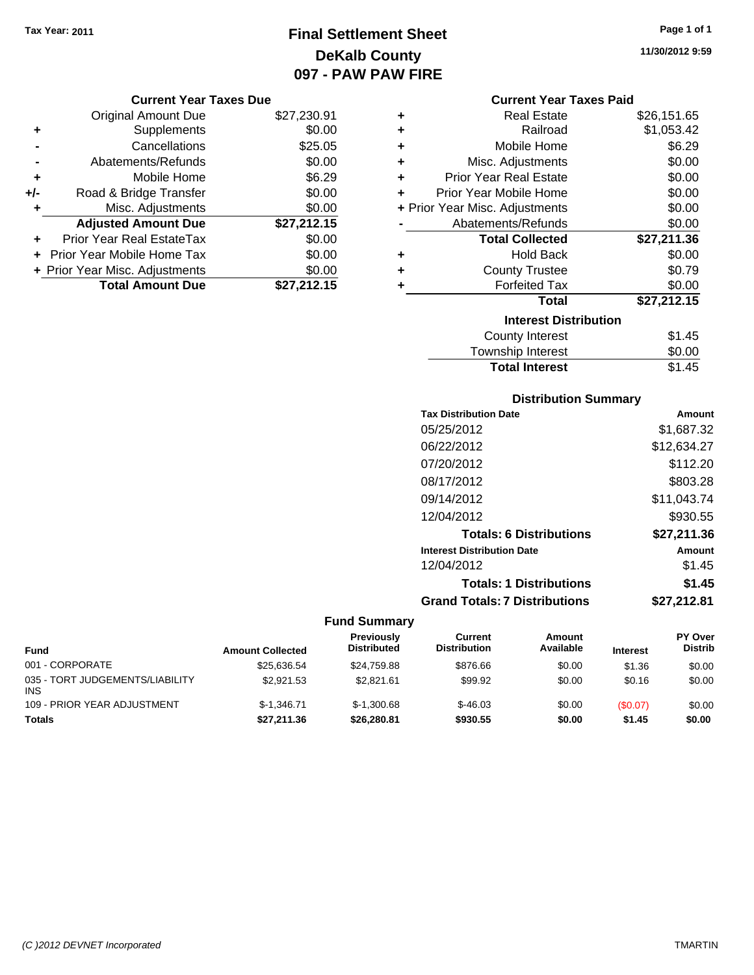# **Final Settlement Sheet Tax Year: 2011 Page 1 of 1 DeKalb County 097 - PAW PAW FIRE**

#### **Current Year Taxes Due**

|     | <b>Original Amount Due</b>     | \$27,230.91 |
|-----|--------------------------------|-------------|
| ٠   | Supplements                    | \$0.00      |
|     | Cancellations                  | \$25.05     |
|     | Abatements/Refunds             | \$0.00      |
| ÷   | Mobile Home                    | \$6.29      |
| +/- | Road & Bridge Transfer         | \$0.00      |
| ٠   | Misc. Adjustments              | \$0.00      |
|     | <b>Adjusted Amount Due</b>     | \$27,212.15 |
|     | Prior Year Real EstateTax      | \$0.00      |
|     | Prior Year Mobile Home Tax     | \$0.00      |
|     | + Prior Year Misc. Adjustments | \$0.00      |
|     | <b>Total Amount Due</b>        | \$27,212.15 |

### **Current Year Taxes Paid**

| ٠ | Real Estate                    | \$26,151.65 |
|---|--------------------------------|-------------|
| ٠ | Railroad                       | \$1,053.42  |
| ٠ | Mobile Home                    | \$6.29      |
| ٠ | Misc. Adjustments              | \$0.00      |
| ٠ | <b>Prior Year Real Estate</b>  | \$0.00      |
| ٠ | Prior Year Mobile Home         | \$0.00      |
|   | + Prior Year Misc. Adjustments | \$0.00      |
|   | Abatements/Refunds             | \$0.00      |
|   | <b>Total Collected</b>         | \$27,211.36 |
| ٠ | <b>Hold Back</b>               | \$0.00      |
| ٠ | <b>County Trustee</b>          | \$0.79      |
| ٠ | <b>Forfeited Tax</b>           | \$0.00      |
|   | Total                          | \$27,212.15 |
|   | <b>Interest Distribution</b>   |             |
|   | <b>County Interest</b>         | \$1.45      |
|   | <b>Township Interest</b>       | \$0.00      |
|   | <b>Total Interest</b>          | \$1.45      |

# **Distribution Summary**

| <b>Tax Distribution Date</b>         | Amount      |
|--------------------------------------|-------------|
| 05/25/2012                           | \$1.687.32  |
| 06/22/2012                           | \$12,634.27 |
| 07/20/2012                           | \$112.20    |
| 08/17/2012                           | \$803.28    |
| 09/14/2012                           | \$11,043.74 |
| 12/04/2012                           | \$930.55    |
| <b>Totals: 6 Distributions</b>       | \$27,211.36 |
| <b>Interest Distribution Date</b>    | Amount      |
| 12/04/2012                           | \$1.45      |
| <b>Totals: 1 Distributions</b>       | \$1.45      |
| <b>Grand Totals: 7 Distributions</b> | \$27.212.81 |
|                                      |             |

## **Fund Summary**

| Fund                                          | <b>Amount Collected</b> | Previously<br><b>Distributed</b> | Current<br><b>Distribution</b> | Amount<br>Available | <b>Interest</b> | <b>PY Over</b><br><b>Distrib</b> |
|-----------------------------------------------|-------------------------|----------------------------------|--------------------------------|---------------------|-----------------|----------------------------------|
| 001 - CORPORATE                               | \$25.636.54             | \$24.759.88                      | \$876.66                       | \$0.00              | \$1.36          | \$0.00                           |
| 035 - TORT JUDGEMENTS/LIABILITY<br><b>INS</b> | \$2.921.53              | \$2.821.61                       | \$99.92                        | \$0.00              | \$0.16          | \$0.00                           |
| 109 - PRIOR YEAR ADJUSTMENT                   | $$-1.346.71$            | $$-1.300.68$                     | $$-46.03$                      | \$0.00              | (S0.07)         | \$0.00                           |
| <b>Totals</b>                                 | \$27,211,36             | \$26,280.81                      | \$930.55                       | \$0.00              | \$1.45          | \$0.00                           |

**11/30/2012 9:59**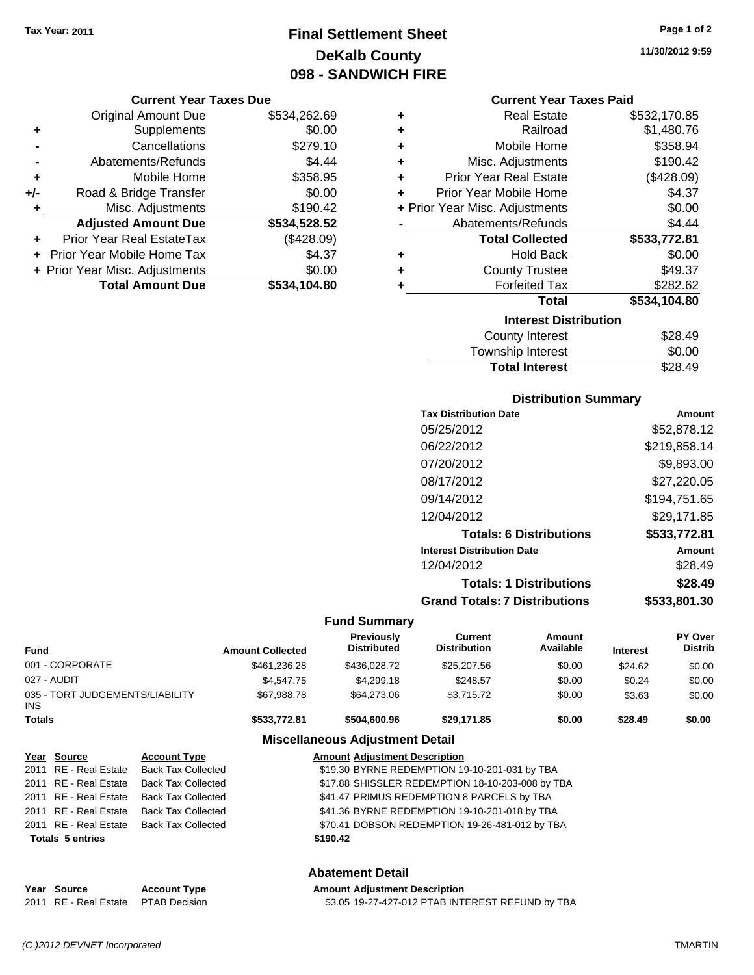# **Final Settlement Sheet Tax Year: 2011 Page 1 of 2 DeKalb County 098 - SANDWICH FIRE**

#### **Current Year Taxes Due**

|       | <b>Original Amount Due</b>       | \$534,262.69 |
|-------|----------------------------------|--------------|
| ٠     | Supplements                      | \$0.00       |
|       | Cancellations                    | \$279.10     |
|       | Abatements/Refunds               | \$4.44       |
| ٠     | Mobile Home                      | \$358.95     |
| $+/-$ | Road & Bridge Transfer           | \$0.00       |
| ٠     | Misc. Adjustments                | \$190.42     |
|       | <b>Adjusted Amount Due</b>       | \$534,528.52 |
|       | <b>Prior Year Real EstateTax</b> | (\$428.09)   |
|       | Prior Year Mobile Home Tax       | \$4.37       |
|       | + Prior Year Misc. Adjustments   | \$0.00       |
|       | <b>Total Amount Due</b>          | \$534,104.80 |

| ٠ | <b>Real Estate</b>             | \$532,170.85 |
|---|--------------------------------|--------------|
| ٠ | Railroad                       | \$1,480.76   |
| ٠ | Mobile Home                    | \$358.94     |
| ÷ | Misc. Adjustments              | \$190.42     |
| ÷ | <b>Prior Year Real Estate</b>  | (\$428.09)   |
| ٠ | Prior Year Mobile Home         | \$4.37       |
|   | + Prior Year Misc. Adjustments | \$0.00       |
|   | Abatements/Refunds             | \$4.44       |
|   | <b>Total Collected</b>         | \$533,772.81 |
| ٠ | <b>Hold Back</b>               | \$0.00       |
| ٠ | <b>County Trustee</b>          | \$49.37      |
| ٠ | <b>Forfeited Tax</b>           | \$282.62     |
|   | Total                          | \$534,104.80 |
|   | <b>Interest Distribution</b>   |              |
|   | <b>County Interest</b>         | \$28.49      |
|   |                                | ີ ລ          |

| <b>Total Interest</b> | \$28.49 |
|-----------------------|---------|
| Township Interest     | \$0.00  |
| County interest       | ง∠o.49  |

## **Distribution Summary**

| <b>Tax Distribution Date</b>         | Amount       |
|--------------------------------------|--------------|
| 05/25/2012                           | \$52,878.12  |
| 06/22/2012                           | \$219,858.14 |
| 07/20/2012                           | \$9,893.00   |
| 08/17/2012                           | \$27.220.05  |
| 09/14/2012                           | \$194,751.65 |
| 12/04/2012                           | \$29.171.85  |
| <b>Totals: 6 Distributions</b>       | \$533,772.81 |
| <b>Interest Distribution Date</b>    | Amount       |
| 12/04/2012                           | \$28.49      |
| <b>Totals: 1 Distributions</b>       | \$28.49      |
| <b>Grand Totals: 7 Distributions</b> | \$533,801.30 |
|                                      |              |

#### **Fund Summary**

| Fund                                   | <b>Amount Collected</b> | Previously<br><b>Distributed</b> | Current<br><b>Distribution</b> | Amount<br>Available | <b>Interest</b> | <b>PY Over</b><br><b>Distrib</b> |
|----------------------------------------|-------------------------|----------------------------------|--------------------------------|---------------------|-----------------|----------------------------------|
| 001 - CORPORATE                        | \$461.236.28            | \$436,028.72                     | \$25,207.56                    | \$0.00              | \$24.62         | \$0.00                           |
| 027 - AUDIT                            | \$4,547.75              | \$4,299.18                       | \$248.57                       | \$0.00              | \$0.24          | \$0.00                           |
| 035 - TORT JUDGEMENTS/LIABILITY<br>INS | \$67.988.78             | \$64,273,06                      | \$3.715.72                     | \$0.00              | \$3.63          | \$0.00                           |
| Totals                                 | \$533,772.81            | \$504,600.96                     | \$29.171.85                    | \$0.00              | \$28.49         | \$0.00                           |

# **Miscellaneous Adjustment Detail**

| Year Source             | <b>Account Type</b>       | <b>Amount Adjustment Description</b>             |
|-------------------------|---------------------------|--------------------------------------------------|
| 2011 RE - Real Estate   | <b>Back Tax Collected</b> | \$19.30 BYRNE REDEMPTION 19-10-201-031 by TBA    |
| 2011 RE - Real Estate   | Back Tax Collected        | \$17.88 SHISSLER REDEMPTION 18-10-203-008 by TBA |
| 2011 RE - Real Estate   | Back Tax Collected        | \$41.47 PRIMUS REDEMPTION 8 PARCELS by TBA       |
| 2011 RE - Real Estate   | Back Tax Collected        | \$41.36 BYRNE REDEMPTION 19-10-201-018 by TBA    |
| 2011 RE - Real Estate   | Back Tax Collected        | \$70.41 DOBSON REDEMPTION 19-26-481-012 by TBA   |
| <b>Totals 5 entries</b> |                           | \$190.42                                         |
|                         |                           |                                                  |

## **Abatement Detail**

#### **Year Source Account Type Amount Adjustment Description**<br>2011 RE - Real Estate PTAB Decision **63.05 19-27-427-012 PTAB INT** \$3.05 19-27-427-012 PTAB INTEREST REFUND by TBA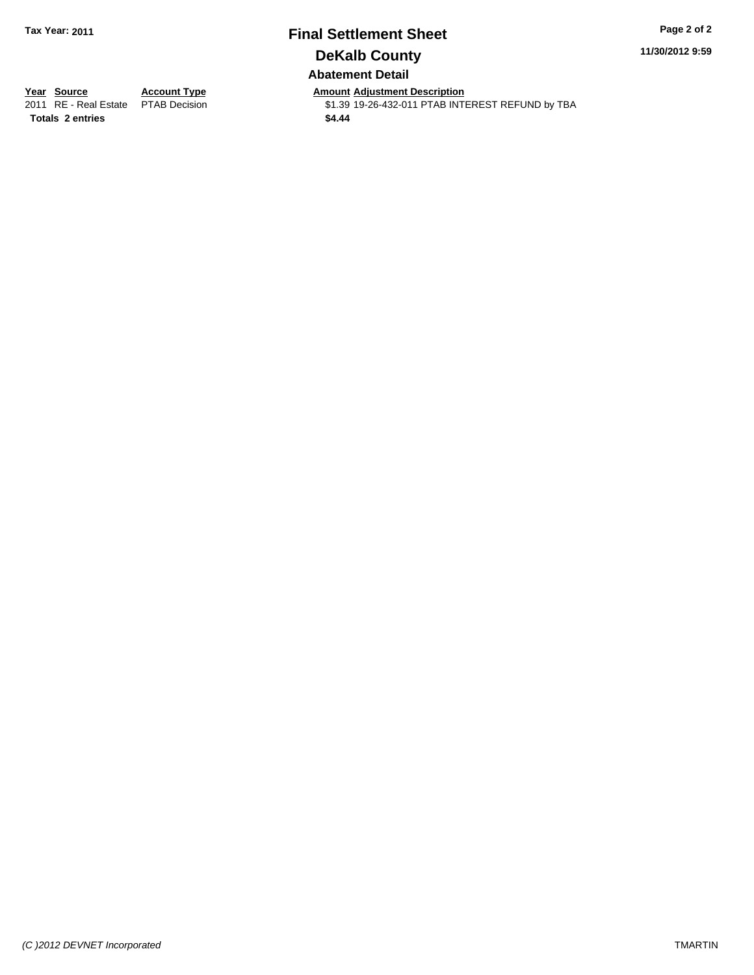# **Final Settlement Sheet Tax Year: 2011 Page 2 of 2 DeKalb County Abatement Detail**

**11/30/2012 9:59**

**Totals \$4.44 2 entries**

**Year Source Account Type Amount Adjustment Description**<br>2011 RE - Real Estate PTAB Decision **Amount** \$1.39 19-26-432-011 PTAB INTI \$1.39 19-26-432-011 PTAB INTEREST REFUND by TBA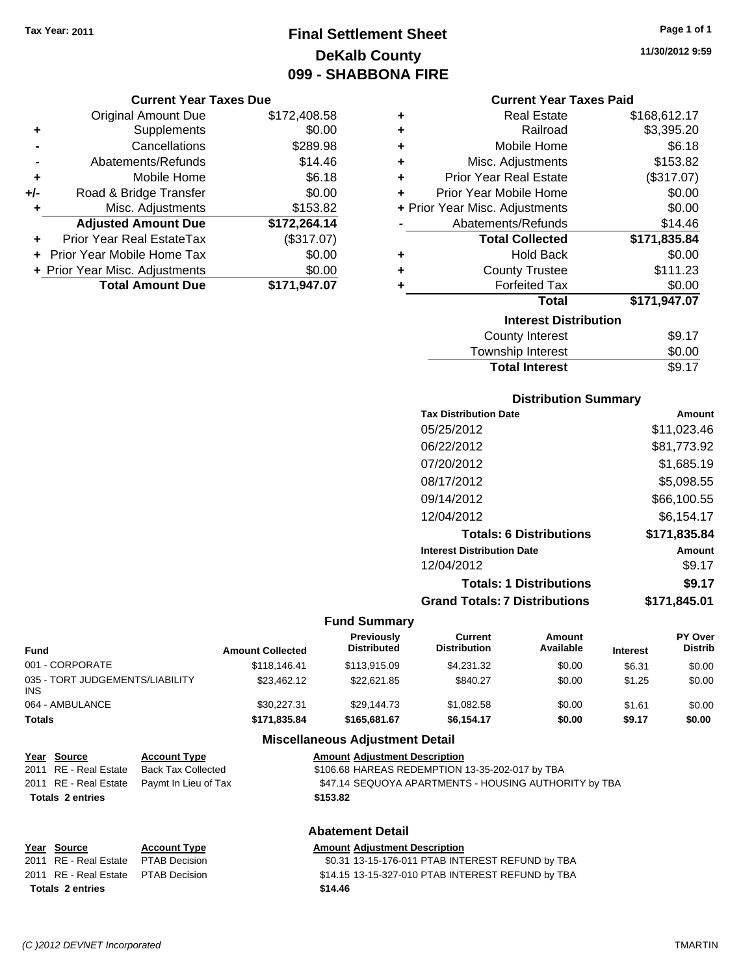# **Final Settlement Sheet Tax Year: 2011 Page 1 of 1 DeKalb County 099 - SHABBONA FIRE**

### **Current Year Taxes Due**

|       | <b>Original Amount Due</b>     | \$172,408.58 |
|-------|--------------------------------|--------------|
| ٠     | Supplements                    | \$0.00       |
|       | Cancellations                  | \$289.98     |
|       | Abatements/Refunds             | \$14.46      |
| ÷     | Mobile Home                    | \$6.18       |
| $+/-$ | Road & Bridge Transfer         | \$0.00       |
| ٠     | Misc. Adjustments              | \$153.82     |
|       | <b>Adjusted Amount Due</b>     | \$172,264.14 |
|       | Prior Year Real EstateTax      | (\$317.07)   |
|       | Prior Year Mobile Home Tax     | \$0.00       |
|       | + Prior Year Misc. Adjustments | \$0.00       |
|       | <b>Total Amount Due</b>        | \$171,947.07 |

| ٠ | <b>Real Estate</b>             | \$168,612.17 |
|---|--------------------------------|--------------|
| ٠ | Railroad                       | \$3,395.20   |
| ٠ | Mobile Home                    | \$6.18       |
| ٠ | Misc. Adjustments              | \$153.82     |
| ٠ | <b>Prior Year Real Estate</b>  | (\$317.07)   |
| ÷ | Prior Year Mobile Home         | \$0.00       |
|   | + Prior Year Misc. Adjustments | \$0.00       |
|   | Abatements/Refunds             | \$14.46      |
|   | <b>Total Collected</b>         | \$171,835.84 |
| ٠ | <b>Hold Back</b>               | \$0.00       |
|   |                                |              |
| ٠ | <b>County Trustee</b>          | \$111.23     |
| ٠ | <b>Forfeited Tax</b>           | \$0.00       |
|   | Total                          | \$171,947.07 |
|   | <b>Interest Distribution</b>   |              |

| <b>Total Interest</b> | \$9.17 |
|-----------------------|--------|
| Township Interest     | \$0.00 |
| County Interest       | \$9.1/ |

# **Distribution Summary**

| <b>Tax Distribution Date</b>         | Amount       |
|--------------------------------------|--------------|
| 05/25/2012                           | \$11,023.46  |
| 06/22/2012                           | \$81,773.92  |
| 07/20/2012                           | \$1,685.19   |
| 08/17/2012                           | \$5,098.55   |
| 09/14/2012                           | \$66,100.55  |
| 12/04/2012                           | \$6.154.17   |
| <b>Totals: 6 Distributions</b>       | \$171,835.84 |
| <b>Interest Distribution Date</b>    | Amount       |
| 12/04/2012                           | \$9.17       |
| <b>Totals: 1 Distributions</b>       | \$9.17       |
| <b>Grand Totals: 7 Distributions</b> | \$171,845.01 |
|                                      |              |

## **Fund Summary**

| Fund                                    | <b>Amount Collected</b> | Previously<br><b>Distributed</b> | Current<br><b>Distribution</b> | Amount<br>Available | <b>Interest</b> | <b>PY Over</b><br><b>Distrib</b> |
|-----------------------------------------|-------------------------|----------------------------------|--------------------------------|---------------------|-----------------|----------------------------------|
| 001 - CORPORATE                         | \$118,146.41            | \$113,915.09                     | \$4.231.32                     | \$0.00              | \$6.31          | \$0.00                           |
| 035 - TORT JUDGEMENTS/LIABILITY<br>INS. | \$23.462.12             | \$22,621.85                      | \$840.27                       | \$0.00              | \$1.25          | \$0.00                           |
| 064 - AMBULANCE                         | \$30,227,31             | \$29.144.73                      | \$1.082.58                     | \$0.00              | \$1.61          | \$0.00                           |
| Totals                                  | \$171,835.84            | \$165,681.67                     | \$6,154.17                     | \$0.00              | \$9.17          | \$0.00                           |

# **Miscellaneous Adjustment Detail**

| <u>Year Source</u>      | <b>Account Type</b>                        | <b>Amount Adjustment Description</b>                  |
|-------------------------|--------------------------------------------|-------------------------------------------------------|
| 2011 RE - Real Estate   | Back Tax Collected                         | \$106.68 HAREAS REDEMPTION 13-35-202-017 by TBA       |
|                         | 2011 RE - Real Estate Paymt In Lieu of Tax | \$47.14 SEQUOYA APARTMENTS - HOUSING AUTHORITY by TBA |
| <b>Totals 2 entries</b> |                                            | \$153.82                                              |

## **Abatement Detail**

| Year Source                          | <b>Account Type</b> | <b>Amount Adiustment Description</b>              |
|--------------------------------------|---------------------|---------------------------------------------------|
| 2011 RE - Real Estate PTAB Decision  |                     | \$0.31 13-15-176-011 PTAB INTEREST REFUND by TBA  |
| 2011 RE - Real Estate  PTAB Decision |                     | \$14.15 13-15-327-010 PTAB INTEREST REFUND by TBA |
| <b>Totals 2 entries</b>              |                     | \$14.46                                           |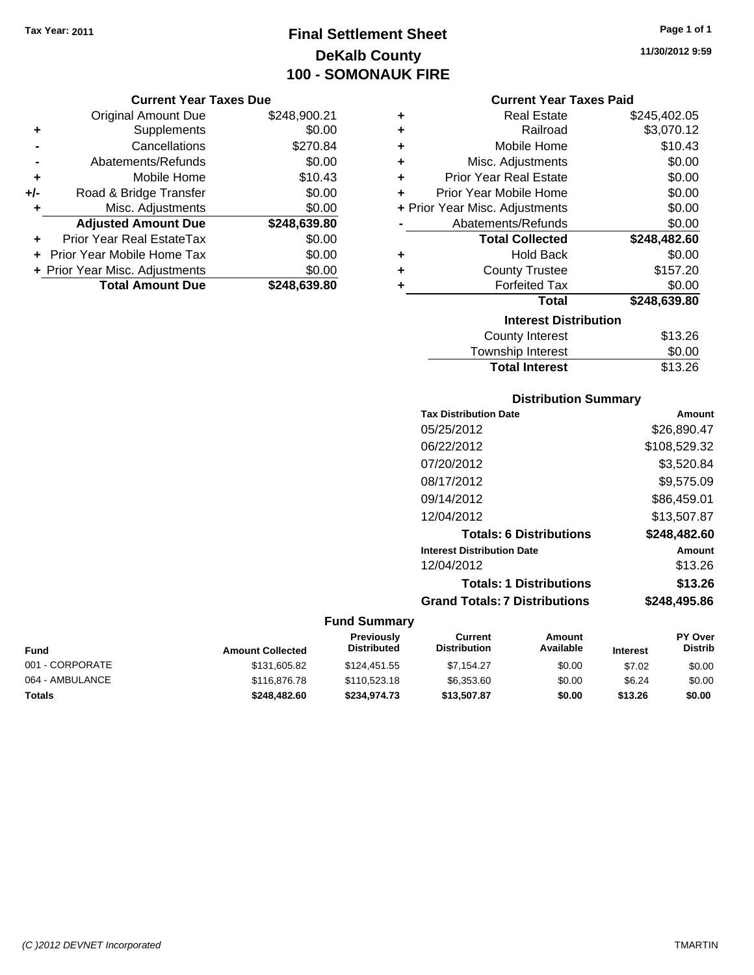# **Final Settlement Sheet Tax Year: 2011 Page 1 of 1 DeKalb County 100 - SOMONAUK FIRE**

#### **Current Year Taxes Due**

|       | <b>Original Amount Due</b>     | \$248,900.21 |
|-------|--------------------------------|--------------|
| ٠     | Supplements                    | \$0.00       |
|       | Cancellations                  | \$270.84     |
|       | Abatements/Refunds             | \$0.00       |
| ÷     | Mobile Home                    | \$10.43      |
| $+/-$ | Road & Bridge Transfer         | \$0.00       |
| ٠     | Misc. Adjustments              | \$0.00       |
|       | <b>Adjusted Amount Due</b>     | \$248,639.80 |
|       | Prior Year Real EstateTax      | \$0.00       |
|       | Prior Year Mobile Home Tax     | \$0.00       |
|       | + Prior Year Misc. Adjustments | \$0.00       |
|       | <b>Total Amount Due</b>        | \$248.639.80 |

### **Current Year Taxes Paid**

| ٠ | <b>Real Estate</b>             | \$245,402.05 |
|---|--------------------------------|--------------|
| ٠ | Railroad                       | \$3,070.12   |
| ÷ | Mobile Home                    | \$10.43      |
| ٠ | Misc. Adjustments              | \$0.00       |
| ÷ | <b>Prior Year Real Estate</b>  | \$0.00       |
| ÷ | Prior Year Mobile Home         | \$0.00       |
|   | + Prior Year Misc. Adjustments | \$0.00       |
|   | Abatements/Refunds             | \$0.00       |
|   |                                |              |
|   | <b>Total Collected</b>         | \$248,482.60 |
| ٠ | <b>Hold Back</b>               | \$0.00       |
| ٠ | <b>County Trustee</b>          | \$157.20     |
| ٠ | <b>Forfeited Tax</b>           | \$0.00       |
|   | <b>Total</b>                   | \$248,639.80 |
|   | <b>Interest Distribution</b>   |              |
|   | County Interest                | \$13.26      |

# **Distribution Summary**

**Total Interest** \$13.26

| <b>Tax Distribution Date</b>         | Amount       |
|--------------------------------------|--------------|
| 05/25/2012                           | \$26.890.47  |
| 06/22/2012                           | \$108,529.32 |
| 07/20/2012                           | \$3,520.84   |
| 08/17/2012                           | \$9,575.09   |
| 09/14/2012                           | \$86,459.01  |
| 12/04/2012                           | \$13,507.87  |
| <b>Totals: 6 Distributions</b>       | \$248,482.60 |
| <b>Interest Distribution Date</b>    | Amount       |
| 12/04/2012                           | \$13.26      |
| <b>Totals: 1 Distributions</b>       | \$13.26      |
| <b>Grand Totals: 7 Distributions</b> | \$248,495.86 |
|                                      |              |

## **Fund Summary**

| <b>Fund</b>     | <b>Amount Collected</b> | <b>Previously</b><br><b>Distributed</b> | Current<br><b>Distribution</b> | Amount<br>Available | <b>Interest</b> | <b>PY Over</b><br><b>Distrib</b> |
|-----------------|-------------------------|-----------------------------------------|--------------------------------|---------------------|-----------------|----------------------------------|
| 001 - CORPORATE | \$131,605.82            | \$124,451.55                            | \$7.154.27                     | \$0.00              | \$7.02          | \$0.00                           |
| 064 - AMBULANCE | \$116,876.78            | \$110,523.18                            | \$6,353,60                     | \$0.00              | \$6.24          | \$0.00                           |
| <b>Totals</b>   | \$248,482,60            | \$234,974.73                            | \$13,507.87                    | \$0.00              | \$13.26         | \$0.00                           |

**11/30/2012 9:59**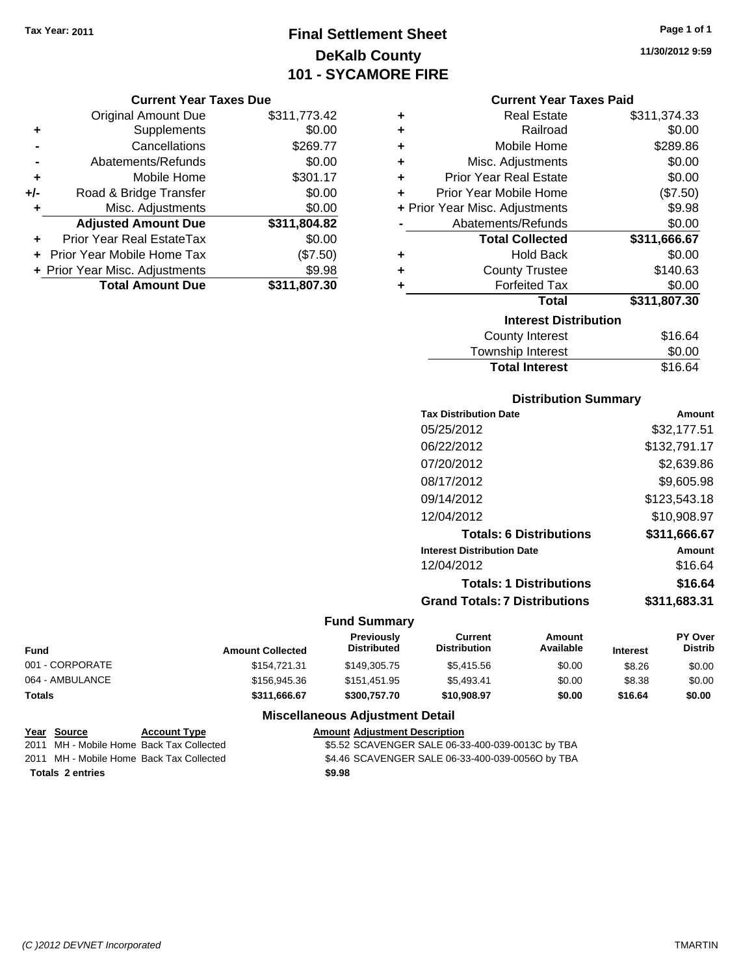# **Final Settlement Sheet Tax Year: 2011 Page 1 of 1 DeKalb County 101 - SYCAMORE FIRE**

#### **Current Year Taxes Due**

|     | <b>Original Amount Due</b>       | \$311,773.42 |
|-----|----------------------------------|--------------|
| ٠   | Supplements                      | \$0.00       |
|     | Cancellations                    | \$269.77     |
|     | Abatements/Refunds               | \$0.00       |
| ÷   | Mobile Home                      | \$301.17     |
| +/- | Road & Bridge Transfer           | \$0.00       |
| ٠   | Misc. Adjustments                | \$0.00       |
|     | <b>Adjusted Amount Due</b>       | \$311,804.82 |
|     | <b>Prior Year Real EstateTax</b> | \$0.00       |
|     | Prior Year Mobile Home Tax       | (\$7.50)     |
|     | + Prior Year Misc. Adjustments   | \$9.98       |
|     | <b>Total Amount Due</b>          | \$311,807.30 |

| ٠ | <b>Real Estate</b>             | \$311,374.33 |
|---|--------------------------------|--------------|
| ÷ | Railroad                       | \$0.00       |
| ÷ | Mobile Home                    | \$289.86     |
| ÷ | Misc. Adjustments              | \$0.00       |
| ÷ | <b>Prior Year Real Estate</b>  | \$0.00       |
| ٠ | Prior Year Mobile Home         | (\$7.50)     |
|   | + Prior Year Misc. Adjustments | \$9.98       |
|   | Abatements/Refunds             | \$0.00       |
|   | <b>Total Collected</b>         | \$311,666.67 |
| ٠ | <b>Hold Back</b>               | \$0.00       |
| ÷ | <b>County Trustee</b>          | \$140.63     |
| ٠ | <b>Forfeited Tax</b>           | \$0.00       |
|   | <b>Total</b>                   | \$311,807.30 |
|   | <b>Interest Distribution</b>   |              |
|   | <b>County Interest</b>         | \$16.64      |
|   |                                | ີົ້          |

| .                     |         |
|-----------------------|---------|
| Township Interest     | \$0.00  |
| <b>Total Interest</b> | \$16.64 |
|                       |         |

# **Distribution Summary**

| <b>Tax Distribution Date</b>         | Amount       |
|--------------------------------------|--------------|
| 05/25/2012                           | \$32,177.51  |
| 06/22/2012                           | \$132,791.17 |
| 07/20/2012                           | \$2,639.86   |
| 08/17/2012                           | \$9,605.98   |
| 09/14/2012                           | \$123,543.18 |
| 12/04/2012                           | \$10,908.97  |
| <b>Totals: 6 Distributions</b>       | \$311.666.67 |
| <b>Interest Distribution Date</b>    | Amount       |
| 12/04/2012                           | \$16.64      |
| <b>Totals: 1 Distributions</b>       | \$16.64      |
| <b>Grand Totals: 7 Distributions</b> | \$311,683.31 |
|                                      |              |

## **Fund Summary**

| <b>Fund</b>     | <b>Amount Collected</b> | <b>Previously</b><br><b>Distributed</b> | Current<br><b>Distribution</b> | Amount<br>Available | <b>Interest</b> | <b>PY Over</b><br><b>Distrib</b> |
|-----------------|-------------------------|-----------------------------------------|--------------------------------|---------------------|-----------------|----------------------------------|
| 001 - CORPORATE | \$154.721.31            | \$149,305.75                            | \$5,415.56                     | \$0.00              | \$8.26          | \$0.00                           |
| 064 - AMBULANCE | \$156,945,36            | \$151.451.95                            | \$5.493.41                     | \$0.00              | \$8.38          | \$0.00                           |
| <b>Totals</b>   | \$311,666.67            | \$300,757.70                            | \$10,908.97                    | \$0.00              | \$16.64         | \$0.00                           |

## **Miscellaneous Adjustment Detail**

| Year Source             | <b>Account Type</b>                      | <b>Amount Adjustment Description</b>             |
|-------------------------|------------------------------------------|--------------------------------------------------|
|                         | 2011 MH - Mobile Home Back Tax Collected | \$5.52 SCAVENGER SALE 06-33-400-039-0013C by TBA |
|                         | 2011 MH - Mobile Home Back Tax Collected | \$4.46 SCAVENGER SALE 06-33-400-039-0056O by TBA |
| <b>Totals 2 entries</b> |                                          | \$9.98                                           |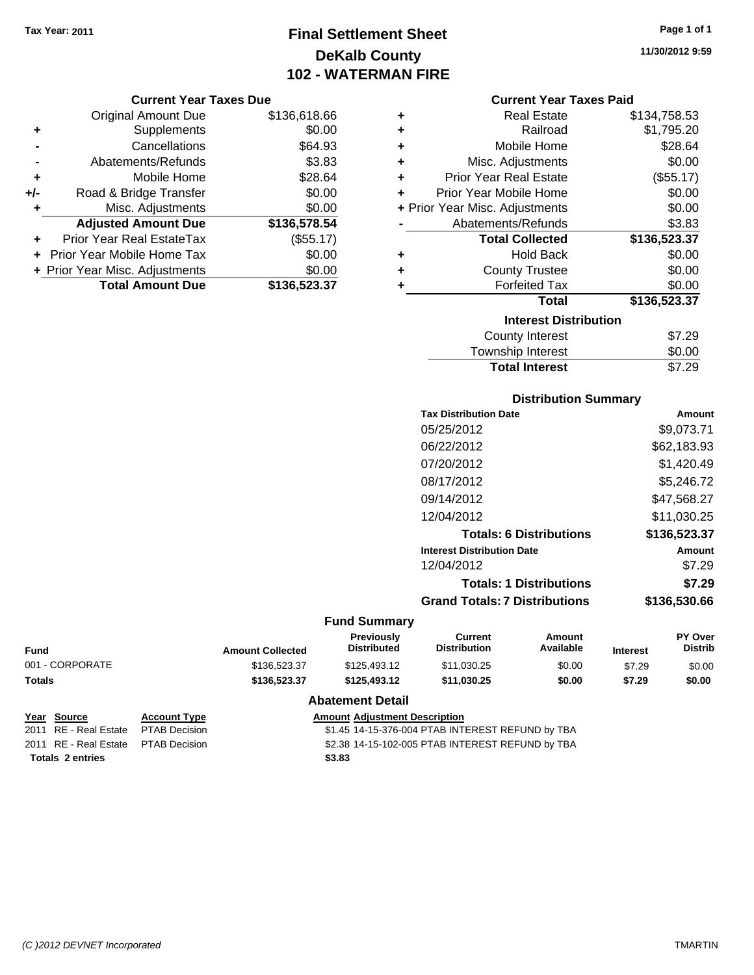# **Final Settlement Sheet Tax Year: 2011 Page 1 of 1 DeKalb County 102 - WATERMAN FIRE**

**11/30/2012 9:59**

|       | <b>Original Amount Due</b>       | \$136,618.66 |
|-------|----------------------------------|--------------|
| ٠     | Supplements                      | \$0.00       |
|       | Cancellations                    | \$64.93      |
|       | Abatements/Refunds               | \$3.83       |
| ÷     | Mobile Home                      | \$28.64      |
| $+/-$ | Road & Bridge Transfer           | \$0.00       |
| ٠     | Misc. Adjustments                | \$0.00       |
|       | <b>Adjusted Amount Due</b>       | \$136,578.54 |
|       | <b>Prior Year Real EstateTax</b> | (\$55.17)    |
|       | Prior Year Mobile Home Tax       | \$0.00       |
|       | + Prior Year Misc. Adjustments   | \$0.00       |
|       | <b>Total Amount Due</b>          | \$136,523.37 |

| <b>Current Year Taxes Paid</b> |  |  |  |
|--------------------------------|--|--|--|
|--------------------------------|--|--|--|

| ٠ | <b>Real Estate</b>             | \$134,758.53 |
|---|--------------------------------|--------------|
| ÷ | Railroad                       | \$1,795.20   |
| ÷ | Mobile Home                    | \$28.64      |
| ÷ | Misc. Adjustments              | \$0.00       |
| ÷ | <b>Prior Year Real Estate</b>  | (\$55.17)    |
| ٠ | Prior Year Mobile Home         | \$0.00       |
|   | + Prior Year Misc. Adjustments | \$0.00       |
|   | Abatements/Refunds             | \$3.83       |
|   | <b>Total Collected</b>         | \$136,523.37 |
| ٠ | <b>Hold Back</b>               | \$0.00       |
| ÷ | <b>County Trustee</b>          | \$0.00       |
|   | <b>Forfeited Tax</b>           | \$0.00       |
|   | <b>Total</b>                   | \$136,523.37 |
|   | <b>Interest Distribution</b>   |              |
|   | <b>County Interest</b>         | \$7.29       |
|   | Taunaakin latasaat             | ሮል አል        |

#### Township Interest 50.00<br>Total Interest \$7.29 **Total Interest**

| <b>Distribution Summary</b>       |              |
|-----------------------------------|--------------|
| <b>Tax Distribution Date</b>      | Amount       |
| 05/25/2012                        | \$9,073.71   |
| 06/22/2012                        | \$62,183.93  |
| 07/20/2012                        | \$1,420.49   |
| 08/17/2012                        | \$5,246.72   |
| 09/14/2012                        | \$47,568.27  |
| 12/04/2012                        | \$11,030.25  |
| <b>Totals: 6 Distributions</b>    | \$136,523.37 |
| <b>Interest Distribution Date</b> | Amount       |
| 12/04/2012                        | \$7.29       |
| <b>Totals: 1 Distributions</b>    | \$7.29       |
| Grand Totals: 7 Distributions     | \$136,530.66 |

#### **Fund Summary**

| <b>Amount Collected</b> | <b>Previously</b><br><b>Distributed</b> | Current<br>Distribution | Amount<br>Available | <b>Interest</b> | <b>PY Over</b><br><b>Distrib</b> |
|-------------------------|-----------------------------------------|-------------------------|---------------------|-----------------|----------------------------------|
| \$136,523,37            | \$125,493.12                            | \$11.030.25             | \$0.00              | \$7.29          | \$0.00                           |
| \$136,523,37            | \$125,493.12                            | \$11.030.25             | \$0.00              | \$7.29          | \$0.00                           |
|                         |                                         |                         |                     |                 |                                  |

## **Abatement Detail**

| Year Source                         | <b>Account Type</b> | <b>Amount Adjustment Description</b>             |
|-------------------------------------|---------------------|--------------------------------------------------|
| 2011 RE - Real Estate               | PTAB Decision       | \$1.45 14-15-376-004 PTAB INTEREST REFUND by TBA |
| 2011 RE - Real Estate PTAB Decision |                     | \$2.38 14-15-102-005 PTAB INTEREST REFUND by TBA |
| <b>Totals 2 entries</b>             |                     | \$3.83                                           |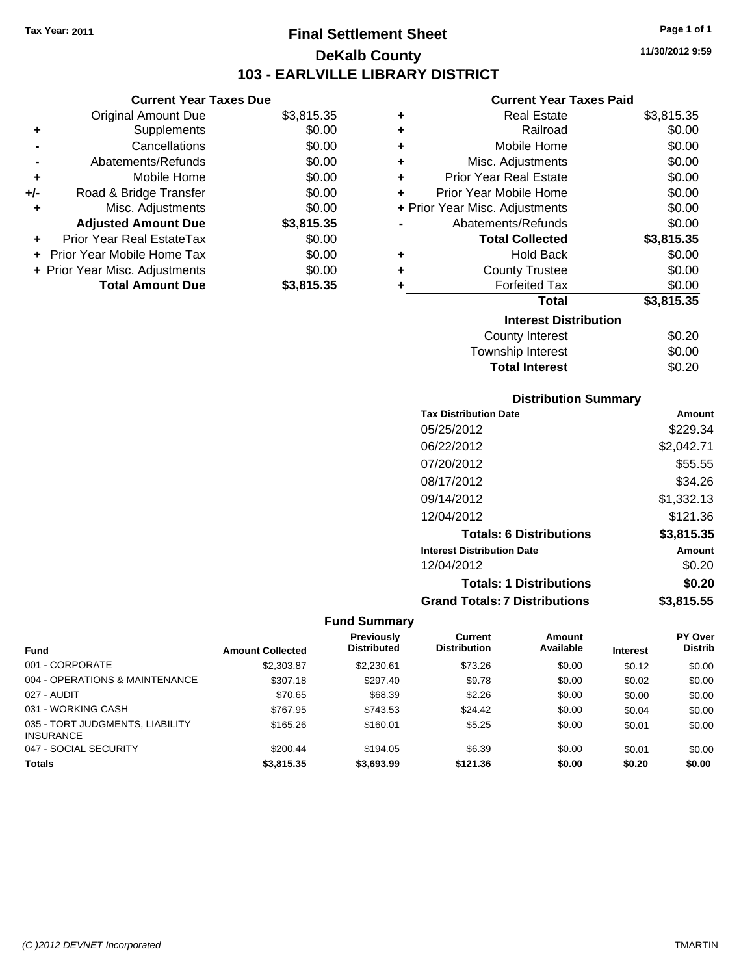# **Final Settlement Sheet Tax Year: 2011 Page 1 of 1 DeKalb County 103 - EARLVILLE LIBRARY DISTRICT**

**11/30/2012 9:59**

#### **Current Year Taxes Paid**

|     | <b>Current Year Taxes Due</b>  |            |  |
|-----|--------------------------------|------------|--|
|     | <b>Original Amount Due</b>     | \$3,815.35 |  |
| ٠   | Supplements                    | \$0.00     |  |
|     | Cancellations                  | \$0.00     |  |
|     | Abatements/Refunds             | \$0.00     |  |
| ٠   | Mobile Home                    | \$0.00     |  |
| +/- | Road & Bridge Transfer         | \$0.00     |  |
|     | Misc. Adjustments              | \$0.00     |  |
|     | <b>Adjusted Amount Due</b>     | \$3,815.35 |  |
| ٠   | Prior Year Real EstateTax      | \$0.00     |  |
|     | Prior Year Mobile Home Tax     | \$0.00     |  |
|     | + Prior Year Misc. Adjustments | \$0.00     |  |
|     | <b>Total Amount Due</b>        | \$3,815.35 |  |
|     |                                |            |  |

| ٠ | <b>Real Estate</b>             | \$3,815.35 |
|---|--------------------------------|------------|
| ٠ | Railroad                       | \$0.00     |
| ÷ | Mobile Home                    | \$0.00     |
| ٠ | Misc. Adjustments              | \$0.00     |
| ٠ | <b>Prior Year Real Estate</b>  | \$0.00     |
| ٠ | Prior Year Mobile Home         | \$0.00     |
|   | + Prior Year Misc. Adjustments | \$0.00     |
|   | Abatements/Refunds             | \$0.00     |
|   | <b>Total Collected</b>         | \$3,815.35 |
| ٠ | Hold Back                      | \$0.00     |
| ÷ | <b>County Trustee</b>          | \$0.00     |
| ٠ | <b>Forfeited Tax</b>           | \$0.00     |
|   | Total                          | \$3,815.35 |
|   | <b>Interest Distribution</b>   |            |
|   | County Interest                | \$0.20     |
|   | <b>Township Interest</b>       | \$0.00     |
|   | <b>Total Interest</b>          | \$0.20     |

#### **Distribution Summary**

| <b>Tax Distribution Date</b>         | Amount     |
|--------------------------------------|------------|
| 05/25/2012                           | \$229.34   |
| 06/22/2012                           | \$2,042.71 |
| 07/20/2012                           | \$55.55    |
| 08/17/2012                           | \$34.26    |
| 09/14/2012                           | \$1,332.13 |
| 12/04/2012                           | \$121.36   |
| <b>Totals: 6 Distributions</b>       | \$3,815.35 |
| <b>Interest Distribution Date</b>    | Amount     |
| 12/04/2012                           | \$0.20     |
| <b>Totals: 1 Distributions</b>       | \$0.20     |
| <b>Grand Totals: 7 Distributions</b> | \$3,815.55 |

|                                                     |                         | Previously         | Current             | <b>Amount</b> |                 | PY Over        |
|-----------------------------------------------------|-------------------------|--------------------|---------------------|---------------|-----------------|----------------|
| <b>Fund</b>                                         | <b>Amount Collected</b> | <b>Distributed</b> | <b>Distribution</b> | Available     | <b>Interest</b> | <b>Distrib</b> |
| 001 - CORPORATE                                     | \$2,303.87              | \$2,230.61         | \$73.26             | \$0.00        | \$0.12          | \$0.00         |
| 004 - OPERATIONS & MAINTENANCE                      | \$307.18                | \$297.40           | \$9.78              | \$0.00        | \$0.02          | \$0.00         |
| 027 - AUDIT                                         | \$70.65                 | \$68.39            | \$2.26              | \$0.00        | \$0.00          | \$0.00         |
| 031 - WORKING CASH                                  | \$767.95                | \$743.53           | \$24.42             | \$0.00        | \$0.04          | \$0.00         |
| 035 - TORT JUDGMENTS, LIABILITY<br><b>INSURANCE</b> | \$165.26                | \$160.01           | \$5.25              | \$0.00        | \$0.01          | \$0.00         |
| 047 - SOCIAL SECURITY                               | \$200.44                | \$194.05           | \$6.39              | \$0.00        | \$0.01          | \$0.00         |
| <b>Totals</b>                                       | \$3,815,35              | \$3,693.99         | \$121.36            | \$0.00        | \$0.20          | \$0.00         |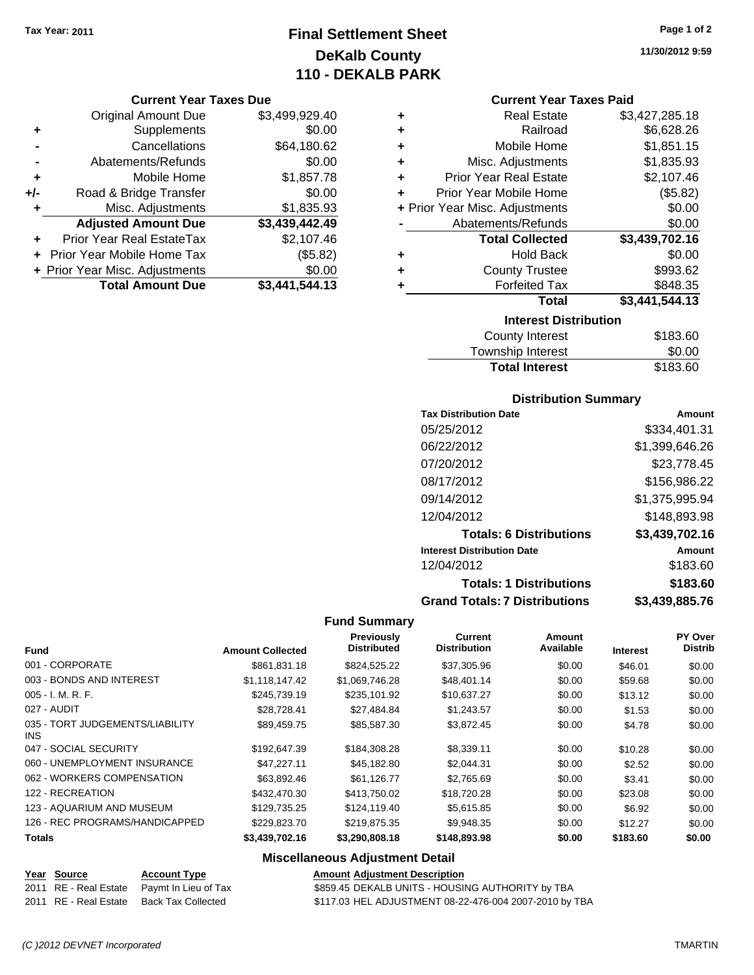# **Final Settlement Sheet Tax Year: 2011 Page 1 of 2 DeKalb County 110 - DEKALB PARK**

#### **Current Year Taxes Due**

|     | <b>Original Amount Due</b>     | \$3,499,929.40 |
|-----|--------------------------------|----------------|
| ٠   | Supplements                    | \$0.00         |
|     | Cancellations                  | \$64,180.62    |
|     | Abatements/Refunds             | \$0.00         |
| ÷   | Mobile Home                    | \$1,857.78     |
| +/- | Road & Bridge Transfer         | \$0.00         |
| ٠   | Misc. Adjustments              | \$1,835.93     |
|     | <b>Adjusted Amount Due</b>     | \$3,439,442.49 |
|     | Prior Year Real EstateTax      | \$2,107.46     |
|     | + Prior Year Mobile Home Tax   | (\$5.82)       |
|     | + Prior Year Misc. Adjustments | \$0.00         |
|     | <b>Total Amount Due</b>        | \$3,441,544.13 |

| ٠                            | <b>Real Estate</b>             | \$3,427,285.18 |  |  |
|------------------------------|--------------------------------|----------------|--|--|
| ٠                            | Railroad                       | \$6,628.26     |  |  |
| ٠                            | Mobile Home                    | \$1,851.15     |  |  |
| ٠                            | Misc. Adjustments              | \$1,835.93     |  |  |
| ٠                            | <b>Prior Year Real Estate</b>  | \$2,107.46     |  |  |
| ÷                            | Prior Year Mobile Home         | (\$5.82)       |  |  |
|                              | + Prior Year Misc. Adjustments | \$0.00         |  |  |
|                              | Abatements/Refunds             | \$0.00         |  |  |
|                              | <b>Total Collected</b>         | \$3,439,702.16 |  |  |
| ٠                            | <b>Hold Back</b>               | \$0.00         |  |  |
| ٠                            | <b>County Trustee</b>          | \$993.62       |  |  |
| ٠                            | <b>Forfeited Tax</b>           | \$848.35       |  |  |
|                              | Total                          | \$3,441,544.13 |  |  |
| <b>Interest Distribution</b> |                                |                |  |  |
|                              |                                |                |  |  |

| County Interest       | \$183.60 |
|-----------------------|----------|
| Township Interest     | \$0.00   |
| <b>Total Interest</b> | \$183.60 |

#### **Distribution Summary**

| <b>Tax Distribution Date</b>         | Amount         |
|--------------------------------------|----------------|
| 05/25/2012                           | \$334,401.31   |
| 06/22/2012                           | \$1,399,646.26 |
| 07/20/2012                           | \$23,778.45    |
| 08/17/2012                           | \$156,986.22   |
| 09/14/2012                           | \$1,375,995.94 |
| 12/04/2012                           | \$148,893.98   |
| <b>Totals: 6 Distributions</b>       | \$3,439,702.16 |
| <b>Interest Distribution Date</b>    | Amount         |
| 12/04/2012                           | \$183.60       |
| <b>Totals: 1 Distributions</b>       | \$183.60       |
| <b>Grand Totals: 7 Distributions</b> | \$3,439,885.76 |

#### **Fund Summary**

|                                               |                         | Previously         | Current             | <b>Amount</b> |                 | PY Over        |
|-----------------------------------------------|-------------------------|--------------------|---------------------|---------------|-----------------|----------------|
| <b>Fund</b>                                   | <b>Amount Collected</b> | <b>Distributed</b> | <b>Distribution</b> | Available     | <b>Interest</b> | <b>Distrib</b> |
| 001 - CORPORATE                               | \$861,831.18            | \$824,525.22       | \$37,305.96         | \$0.00        | \$46.01         | \$0.00         |
| 003 - BONDS AND INTEREST                      | \$1,118,147.42          | \$1,069,746.28     | \$48,401.14         | \$0.00        | \$59.68         | \$0.00         |
| $005 - I. M. R. F.$                           | \$245.739.19            | \$235.101.92       | \$10,637.27         | \$0.00        | \$13.12         | \$0.00         |
| 027 - AUDIT                                   | \$28,728.41             | \$27,484.84        | \$1,243.57          | \$0.00        | \$1.53          | \$0.00         |
| 035 - TORT JUDGEMENTS/LIABILITY<br><b>INS</b> | \$89.459.75             | \$85,587.30        | \$3,872.45          | \$0.00        | \$4.78          | \$0.00         |
| 047 - SOCIAL SECURITY                         | \$192,647.39            | \$184,308.28       | \$8,339.11          | \$0.00        | \$10.28         | \$0.00         |
| 060 - UNEMPLOYMENT INSURANCE                  | \$47.227.11             | \$45,182.80        | \$2.044.31          | \$0.00        | \$2.52          | \$0.00         |
| 062 - WORKERS COMPENSATION                    | \$63,892.46             | \$61,126.77        | \$2,765.69          | \$0.00        | \$3.41          | \$0.00         |
| 122 - RECREATION                              | \$432,470.30            | \$413,750.02       | \$18,720.28         | \$0.00        | \$23.08         | \$0.00         |
| 123 - AQUARIUM AND MUSEUM                     | \$129,735.25            | \$124,119.40       | \$5,615.85          | \$0.00        | \$6.92          | \$0.00         |
| 126 - REC PROGRAMS/HANDICAPPED                | \$229,823.70            | \$219,875.35       | \$9,948.35          | \$0.00        | \$12.27         | \$0.00         |
| <b>Totals</b>                                 | \$3,439,702.16          | \$3,290,808.18     | \$148,893.98        | \$0.00        | \$183.60        | \$0.00         |

## **Miscellaneous Adjustment Detail**

| <b>Amount Adjustment Descriptio</b> |  |
|-------------------------------------|--|
|                                     |  |

**Year Source Account Type**<br> **Adding RD Adding Description**<br> **Adding Period** 2011 RE - Real Estate Back Tax Collected \$117.03 HEL ADJUSTMENT 08-22-476-004 2007-2010 by TBA

**Amount Adjustment Description<br>\$859.45 DEKALB UNITS - HOUSING AUTHORITY by TBA** 

**11/30/2012 9:59**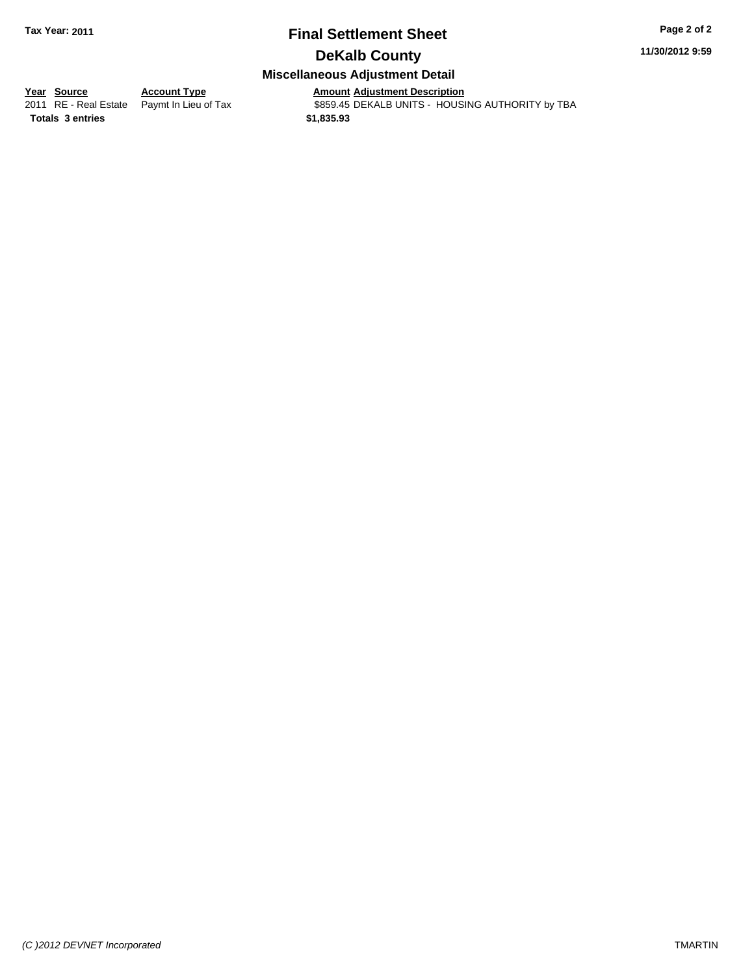# **Final Settlement Sheet Tax Year: 2011 Page 2 of 2**

# **DeKalb County**

#### **Miscellaneous Adjustment Detail**

**<u>Year Source</u> Account Type**<br> **Adding Adding Adding Adding Paymt In Lieu of Tax** 

**Totals \$1,835.93 3 entries**

Amount Adjustment Description<br>\$859.45 DEKALB UNITS - HOUSING AUTHORITY by TBA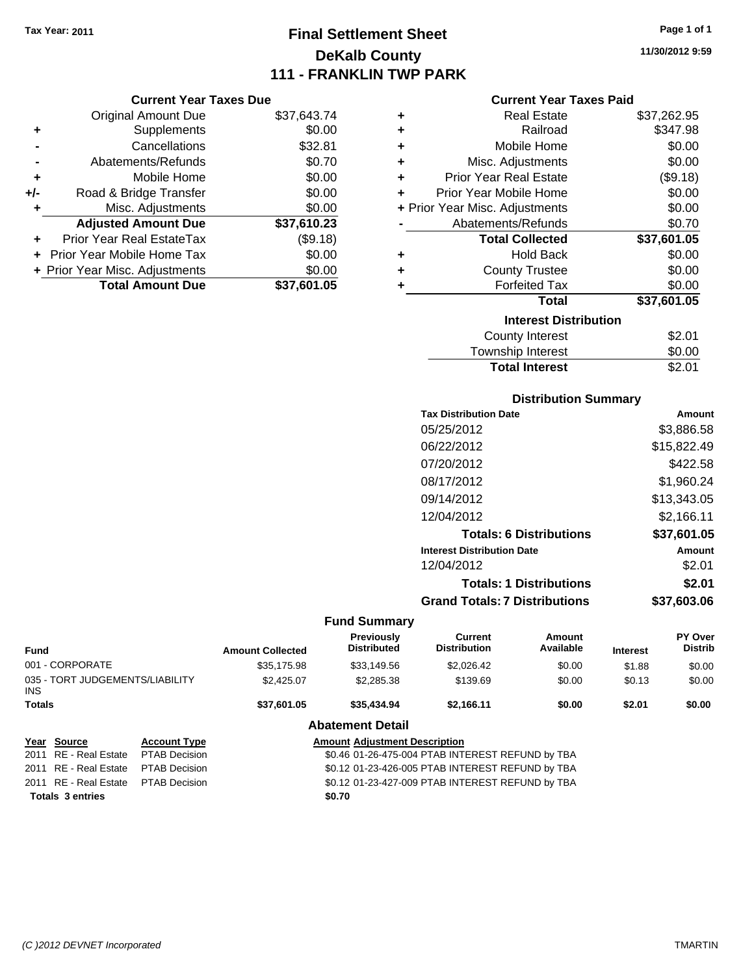# **Final Settlement Sheet Tax Year: 2011 Page 1 of 1 DeKalb County 111 - FRANKLIN TWP PARK**

**11/30/2012 9:59**

#### **Current Year Taxes Paid**

|     | <b>Current Year Taxes Due</b>  |             |
|-----|--------------------------------|-------------|
|     | <b>Original Amount Due</b>     | \$37,643.74 |
| ٠   | Supplements                    | \$0.00      |
|     | Cancellations                  | \$32.81     |
|     | Abatements/Refunds             | \$0.70      |
| ٠   | Mobile Home                    | \$0.00      |
| +/- | Road & Bridge Transfer         | \$0.00      |
| ٠   | Misc. Adjustments              | \$0.00      |
|     | <b>Adjusted Amount Due</b>     | \$37,610.23 |
|     | Prior Year Real EstateTax      | (\$9.18)    |
|     | Prior Year Mobile Home Tax     | \$0.00      |
|     | + Prior Year Misc. Adjustments | \$0.00      |
|     | <b>Total Amount Due</b>        | \$37.601.05 |

| ٠                            | <b>Real Estate</b>             | \$37,262.95 |  |  |  |
|------------------------------|--------------------------------|-------------|--|--|--|
| ÷                            | Railroad                       | \$347.98    |  |  |  |
| ٠                            | Mobile Home                    | \$0.00      |  |  |  |
| ÷                            | Misc. Adjustments              | \$0.00      |  |  |  |
| ÷                            | <b>Prior Year Real Estate</b>  | (\$9.18)    |  |  |  |
| ٠                            | Prior Year Mobile Home         | \$0.00      |  |  |  |
|                              | + Prior Year Misc. Adjustments | \$0.00      |  |  |  |
|                              | Abatements/Refunds             | \$0.70      |  |  |  |
|                              | <b>Total Collected</b>         | \$37,601.05 |  |  |  |
| ٠                            | Hold Back                      | \$0.00      |  |  |  |
| ٠                            | <b>County Trustee</b>          | \$0.00      |  |  |  |
| ٠                            | <b>Forfeited Tax</b>           | \$0.00      |  |  |  |
|                              | Total                          | \$37,601.05 |  |  |  |
| <b>Interest Distribution</b> |                                |             |  |  |  |
|                              | <b>County Interest</b>         | \$2.01      |  |  |  |
|                              | <b>Township Interest</b>       | \$0.00      |  |  |  |
|                              | <b>Total Interest</b>          | \$2.01      |  |  |  |

#### **Distribution Summary**

| <b>Tax Distribution Date</b>         | Amount      |
|--------------------------------------|-------------|
| 05/25/2012                           | \$3,886.58  |
| 06/22/2012                           | \$15,822.49 |
| 07/20/2012                           | \$422.58    |
| 08/17/2012                           | \$1,960.24  |
| 09/14/2012                           | \$13,343.05 |
| 12/04/2012                           | \$2,166.11  |
| <b>Totals: 6 Distributions</b>       | \$37,601.05 |
| <b>Interest Distribution Date</b>    | Amount      |
| 12/04/2012                           | \$2.01      |
| <b>Totals: 1 Distributions</b>       | \$2.01      |
| <b>Grand Totals: 7 Distributions</b> | \$37.603.06 |
|                                      |             |

|                                         |                      |                                      | <b>Fund Summary</b>                              |                                                  |                     |                 |                           |
|-----------------------------------------|----------------------|--------------------------------------|--------------------------------------------------|--------------------------------------------------|---------------------|-----------------|---------------------------|
| Fund                                    |                      | <b>Amount Collected</b>              | Previously<br><b>Distributed</b>                 | Current<br><b>Distribution</b>                   | Amount<br>Available | <b>Interest</b> | PY Over<br><b>Distrib</b> |
| 001 - CORPORATE                         |                      | \$35,175.98                          | \$33.149.56                                      | \$2,026.42                                       | \$0.00              | \$1.88          | \$0.00                    |
| 035 - TORT JUDGEMENTS/LIABILITY<br>INS. |                      | \$2,425.07                           | \$2,285,38                                       | \$139.69                                         | \$0.00              | \$0.13          | \$0.00                    |
| <b>Totals</b>                           |                      | \$37.601.05                          | \$35,434.94                                      | \$2.166.11                                       | \$0.00              | \$2.01          | \$0.00                    |
|                                         |                      |                                      | <b>Abatement Detail</b>                          |                                                  |                     |                 |                           |
| Year Source                             | <b>Account Type</b>  | <b>Amount Adjustment Description</b> |                                                  |                                                  |                     |                 |                           |
| 2011 RE - Real Estate                   | <b>PTAB Decision</b> |                                      | \$0.46 01-26-475-004 PTAB INTEREST REFUND by TBA |                                                  |                     |                 |                           |
| 2011 RE - Real Estate                   | <b>PTAB Decision</b> |                                      |                                                  | \$0.12 01-23-426-005 PTAB INTEREST REFUND by TBA |                     |                 |                           |
|                                         |                      |                                      |                                                  |                                                  |                     |                 |                           |

2011 RE - Real Estate \$0.12 01-23-427-009 PTAB INTEREST REFUND by TBA PTAB Decision **Totals \$0.70 3 entries**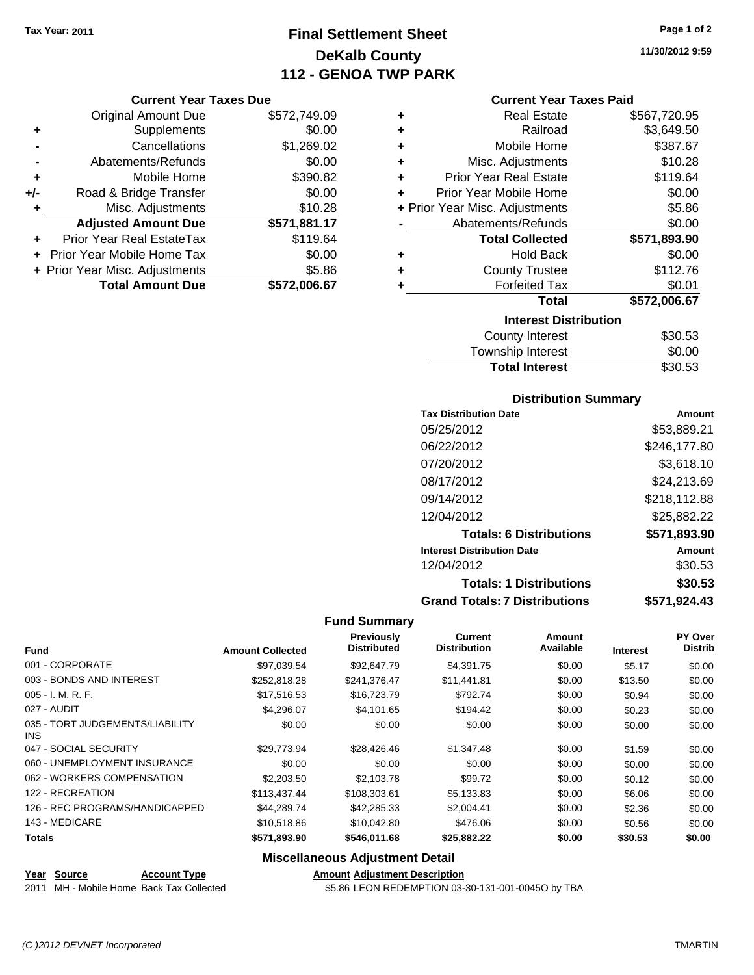# **Final Settlement Sheet Tax Year: 2011 Page 1 of 2 DeKalb County 112 - GENOA TWP PARK**

#### **Current Year Taxes Due**

|       | <b>Original Amount Due</b>     | \$572,749.09 |
|-------|--------------------------------|--------------|
| ٠     | Supplements                    | \$0.00       |
|       | Cancellations                  | \$1,269.02   |
|       | Abatements/Refunds             | \$0.00       |
| ÷     | Mobile Home                    | \$390.82     |
| $+/-$ | Road & Bridge Transfer         | \$0.00       |
| ٠     | Misc. Adjustments              | \$10.28      |
|       | <b>Adjusted Amount Due</b>     | \$571,881.17 |
|       | Prior Year Real EstateTax      | \$119.64     |
|       | Prior Year Mobile Home Tax     | \$0.00       |
|       | + Prior Year Misc. Adjustments | \$5.86       |
|       | <b>Total Amount Due</b>        | \$572,006.67 |

#### **Current Year Taxes Paid**

| ٠ | <b>Real Estate</b>             | \$567,720.95 |
|---|--------------------------------|--------------|
| ٠ | Railroad                       | \$3,649.50   |
| ٠ | Mobile Home                    | \$387.67     |
| ٠ | Misc. Adjustments              | \$10.28      |
| ÷ | <b>Prior Year Real Estate</b>  | \$119.64     |
| ÷ | Prior Year Mobile Home         | \$0.00       |
|   | + Prior Year Misc. Adjustments | \$5.86       |
|   | Abatements/Refunds             | \$0.00       |
|   | <b>Total Collected</b>         | \$571,893.90 |
| ٠ | <b>Hold Back</b>               | \$0.00       |
| ٠ | <b>County Trustee</b>          | \$112.76     |
| ٠ | <b>Forfeited Tax</b>           | \$0.01       |
|   | Total                          | \$572,006.67 |
|   | <b>Interest Distribution</b>   |              |
|   | <b>County Interest</b>         | \$30.53      |

# Township Interest \$0.00<br>
Total Interest \$30.53 **Total Interest**

#### **Distribution Summary**

| <b>Tax Distribution Date</b>         | Amount       |
|--------------------------------------|--------------|
| 05/25/2012                           | \$53,889.21  |
| 06/22/2012                           | \$246,177.80 |
| 07/20/2012                           | \$3,618.10   |
| 08/17/2012                           | \$24,213.69  |
| 09/14/2012                           | \$218,112.88 |
| 12/04/2012                           | \$25,882.22  |
| <b>Totals: 6 Distributions</b>       | \$571,893.90 |
| <b>Interest Distribution Date</b>    | Amount       |
| 12/04/2012                           | \$30.53      |
| <b>Totals: 1 Distributions</b>       | \$30.53      |
| <b>Grand Totals: 7 Distributions</b> | \$571,924.43 |

#### **Fund Summary**

| <b>Fund</b>                                   | <b>Amount Collected</b> | Previously<br><b>Distributed</b> | Current<br><b>Distribution</b> | Amount<br>Available | <b>Interest</b> | <b>PY Over</b><br><b>Distrib</b> |
|-----------------------------------------------|-------------------------|----------------------------------|--------------------------------|---------------------|-----------------|----------------------------------|
|                                               |                         |                                  |                                |                     |                 |                                  |
| 001 - CORPORATE                               | \$97.039.54             | \$92,647.79                      | \$4,391.75                     | \$0.00              | \$5.17          | \$0.00                           |
| 003 - BONDS AND INTEREST                      | \$252,818.28            | \$241,376.47                     | \$11,441.81                    | \$0.00              | \$13.50         | \$0.00                           |
| 005 - I. M. R. F.                             | \$17,516.53             | \$16,723.79                      | \$792.74                       | \$0.00              | \$0.94          | \$0.00                           |
| 027 - AUDIT                                   | \$4,296.07              | \$4,101.65                       | \$194.42                       | \$0.00              | \$0.23          | \$0.00                           |
| 035 - TORT JUDGEMENTS/LIABILITY<br><b>INS</b> | \$0.00                  | \$0.00                           | \$0.00                         | \$0.00              | \$0.00          | \$0.00                           |
| 047 - SOCIAL SECURITY                         | \$29,773.94             | \$28,426.46                      | \$1,347.48                     | \$0.00              | \$1.59          | \$0.00                           |
| 060 - UNEMPLOYMENT INSURANCE                  | \$0.00                  | \$0.00                           | \$0.00                         | \$0.00              | \$0.00          | \$0.00                           |
| 062 - WORKERS COMPENSATION                    | \$2,203.50              | \$2,103.78                       | \$99.72                        | \$0.00              | \$0.12          | \$0.00                           |
| 122 - RECREATION                              | \$113,437,44            | \$108,303.61                     | \$5,133.83                     | \$0.00              | \$6.06          | \$0.00                           |
| 126 - REC PROGRAMS/HANDICAPPED                | \$44.289.74             | \$42,285.33                      | \$2,004.41                     | \$0.00              | \$2.36          | \$0.00                           |
| 143 - MEDICARE                                | \$10,518.86             | \$10,042.80                      | \$476.06                       | \$0.00              | \$0.56          | \$0.00                           |
| <b>Totals</b>                                 | \$571,893.90            | \$546,011.68                     | \$25,882.22                    | \$0.00              | \$30.53         | \$0.00                           |

#### **Miscellaneous Adjustment Detail**

**Year Source Account Type Amount Adjustment Description**<br>2011 MH - Mobile Home Back Tax Collected **Account 1998** \$5.86 LEON REDEMPTION 03-

\$5.86 LEON REDEMPTION 03-30-131-001-0045O by TBA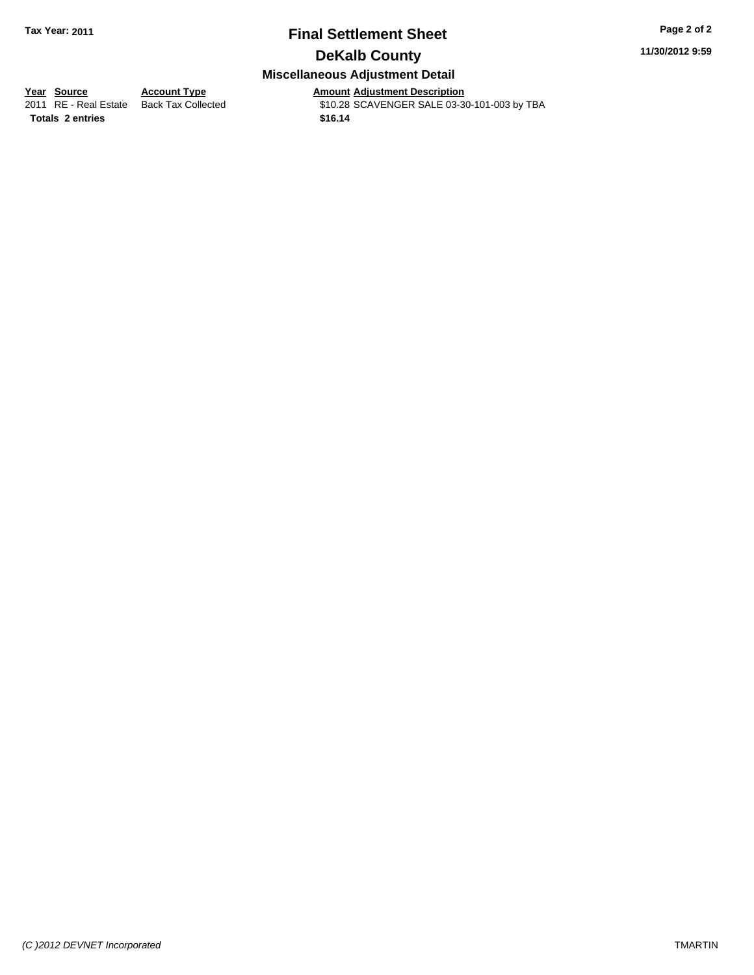# **Final Settlement Sheet Tax Year: 2011 Page 2 of 2 DeKalb County**

**11/30/2012 9:59**

# **Miscellaneous Adjustment Detail**

**Totals \$16.14 2 entries**

**<u>Year Source</u> Account Type**<br> **Account Type Adding Description** 

Amount Adjustment Description<br>\$10.28 SCAVENGER SALE 03-30-101-003 by TBA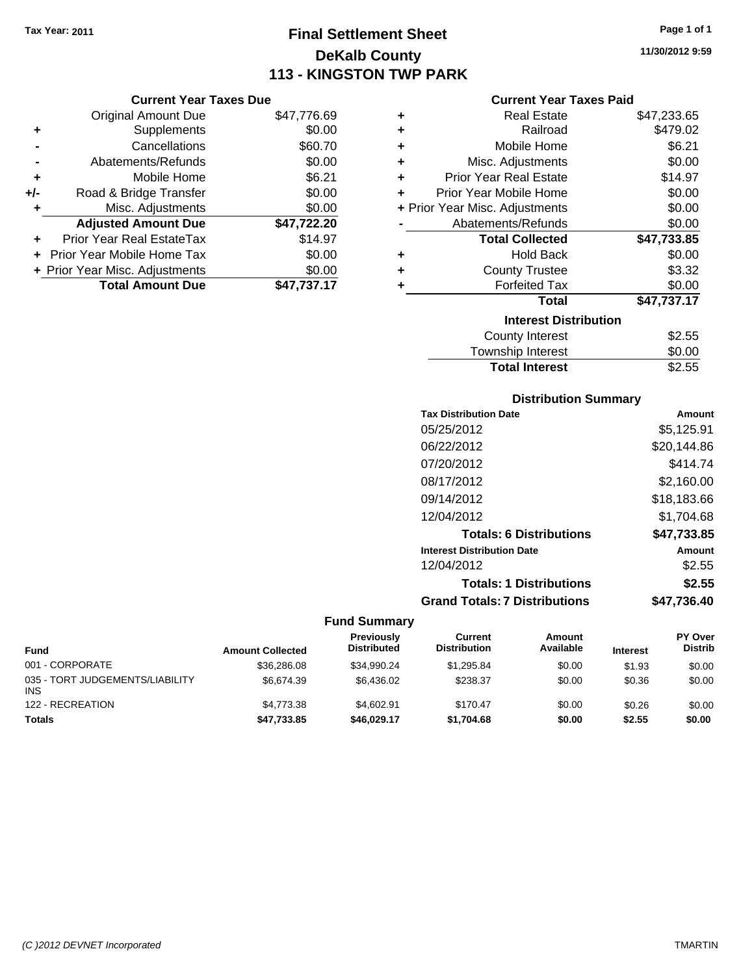# **Final Settlement Sheet Tax Year: 2011 Page 1 of 1 DeKalb County 113 - KINGSTON TWP PARK**

**11/30/2012 9:59**

#### **Current Year Taxes Paid**

|     | <b>Current Year Taxes Due</b>     |             |
|-----|-----------------------------------|-------------|
|     | <b>Original Amount Due</b>        | \$47,776.69 |
| ٠   | Supplements                       | \$0.00      |
|     | Cancellations                     | \$60.70     |
|     | Abatements/Refunds                | \$0.00      |
| ٠   | Mobile Home                       | \$6.21      |
| +/- | Road & Bridge Transfer            | \$0.00      |
| ٠   | Misc. Adjustments                 | \$0.00      |
|     | <b>Adjusted Amount Due</b>        | \$47,722.20 |
| ٠   | Prior Year Real EstateTax         | \$14.97     |
|     | <b>Prior Year Mobile Home Tax</b> | \$0.00      |
|     | + Prior Year Misc. Adjustments    | \$0.00      |
|     | <b>Total Amount Due</b>           | \$47.737.17 |

| ٠ | <b>Real Estate</b>             | \$47,233.65 |
|---|--------------------------------|-------------|
| ٠ | Railroad                       | \$479.02    |
| ٠ | Mobile Home                    | \$6.21      |
| ٠ | Misc. Adjustments              | \$0.00      |
| ٠ | <b>Prior Year Real Estate</b>  | \$14.97     |
| ÷ | Prior Year Mobile Home         | \$0.00      |
|   | + Prior Year Misc. Adjustments | \$0.00      |
|   | Abatements/Refunds             | \$0.00      |
|   | <b>Total Collected</b>         | \$47,733.85 |
| ٠ | Hold Back                      | \$0.00      |
| ٠ | <b>County Trustee</b>          | \$3.32      |
| ٠ | <b>Forfeited Tax</b>           | \$0.00      |
|   | Total                          | \$47,737.17 |
|   | <b>Interest Distribution</b>   |             |
|   | <b>County Interest</b>         | \$2.55      |
|   | Township Interest              | \$0.00      |
|   | <b>Total Interest</b>          | \$2.55      |

### **Distribution Summary**

| <b>Tax Distribution Date</b>         | Amount      |
|--------------------------------------|-------------|
| 05/25/2012                           | \$5,125.91  |
| 06/22/2012                           | \$20,144.86 |
| 07/20/2012                           | \$414.74    |
| 08/17/2012                           | \$2.160.00  |
| 09/14/2012                           | \$18,183.66 |
| 12/04/2012                           | \$1.704.68  |
| <b>Totals: 6 Distributions</b>       | \$47,733.85 |
| <b>Interest Distribution Date</b>    | Amount      |
| 12/04/2012                           | \$2.55      |
| <b>Totals: 1 Distributions</b>       | \$2.55      |
| <b>Grand Totals: 7 Distributions</b> | \$47.736.40 |
|                                      |             |

| <b>Fund</b>                                   | <b>Amount Collected</b> | <b>Previously</b><br><b>Distributed</b> | Current<br><b>Distribution</b> | Amount<br>Available | <b>Interest</b> | <b>PY Over</b><br><b>Distrib</b> |
|-----------------------------------------------|-------------------------|-----------------------------------------|--------------------------------|---------------------|-----------------|----------------------------------|
| 001 - CORPORATE                               | \$36,286.08             | \$34,990.24                             | \$1,295.84                     | \$0.00              | \$1.93          | \$0.00                           |
| 035 - TORT JUDGEMENTS/LIABILITY<br><b>INS</b> | \$6,674.39              | \$6.436.02                              | \$238.37                       | \$0.00              | \$0.36          | \$0.00                           |
| 122 - RECREATION                              | \$4.773.38              | \$4.602.91                              | \$170.47                       | \$0.00              | \$0.26          | \$0.00                           |
| <b>Totals</b>                                 | \$47,733.85             | \$46,029.17                             | \$1,704.68                     | \$0.00              | \$2.55          | \$0.00                           |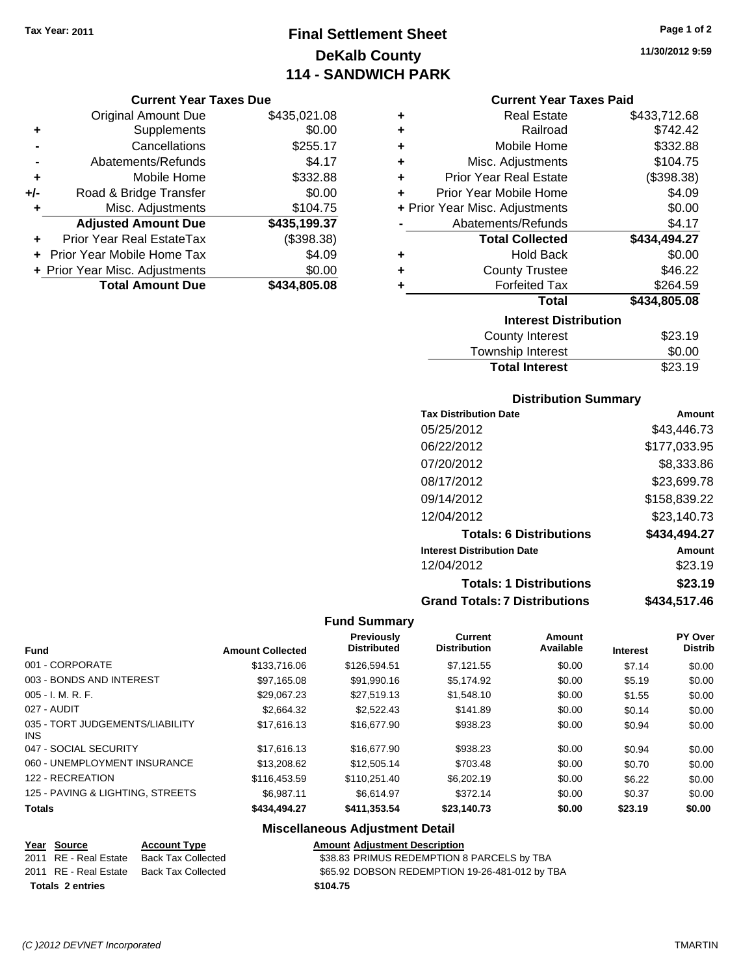# **Final Settlement Sheet Tax Year: 2011 Page 1 of 2 DeKalb County 114 - SANDWICH PARK**

**11/30/2012 9:59**

#### **Current Year Taxes Due**

|       | <b>Original Amount Due</b>     | \$435,021.08 |
|-------|--------------------------------|--------------|
| ٠     | Supplements                    | \$0.00       |
|       | Cancellations                  | \$255.17     |
|       | Abatements/Refunds             | \$4.17       |
| ÷     | Mobile Home                    | \$332.88     |
| $+/-$ | Road & Bridge Transfer         | \$0.00       |
| ٠     | Misc. Adjustments              | \$104.75     |
|       | <b>Adjusted Amount Due</b>     | \$435,199.37 |
|       | Prior Year Real EstateTax      | (\$398.38)   |
|       | Prior Year Mobile Home Tax     | \$4.09       |
|       | + Prior Year Misc. Adjustments | \$0.00       |
|       | <b>Total Amount Due</b>        | \$434.805.08 |

### **Current Year Taxes Paid**

| ٠ | <b>Real Estate</b>             | \$433,712.68 |
|---|--------------------------------|--------------|
| ٠ | Railroad                       | \$742.42     |
| ÷ | Mobile Home                    | \$332.88     |
| ٠ | Misc. Adjustments              | \$104.75     |
| ٠ | <b>Prior Year Real Estate</b>  | (\$398.38)   |
| ٠ | <b>Prior Year Mobile Home</b>  | \$4.09       |
|   | + Prior Year Misc. Adjustments | \$0.00       |
|   | Abatements/Refunds             | \$4.17       |
|   |                                |              |
|   | <b>Total Collected</b>         | \$434,494.27 |
| ٠ | <b>Hold Back</b>               | \$0.00       |
| ٠ | <b>County Trustee</b>          | \$46.22      |
| ٠ | <b>Forfeited Tax</b>           | \$264.59     |
|   | <b>Total</b>                   | \$434,805.08 |
|   | <b>Interest Distribution</b>   |              |

| Township Interest     | \$0.00  |
|-----------------------|---------|
| <b>Total Interest</b> | \$23.19 |
|                       |         |

## **Distribution Summary**

| <b>Tax Distribution Date</b>         | Amount       |
|--------------------------------------|--------------|
| 05/25/2012                           | \$43,446.73  |
| 06/22/2012                           | \$177,033.95 |
| 07/20/2012                           | \$8,333.86   |
| 08/17/2012                           | \$23,699.78  |
| 09/14/2012                           | \$158,839.22 |
| 12/04/2012                           | \$23,140.73  |
| <b>Totals: 6 Distributions</b>       | \$434,494.27 |
| <b>Interest Distribution Date</b>    | Amount       |
| 12/04/2012                           | \$23.19      |
| <b>Totals: 1 Distributions</b>       | \$23.19      |
| <b>Grand Totals: 7 Distributions</b> | \$434,517.46 |

#### **Fund Summary**

| <b>Fund</b>                             | <b>Amount Collected</b> | Previously<br><b>Distributed</b> | Current<br><b>Distribution</b> | Amount<br>Available | <b>Interest</b> | PY Over<br><b>Distrib</b> |
|-----------------------------------------|-------------------------|----------------------------------|--------------------------------|---------------------|-----------------|---------------------------|
| 001 - CORPORATE                         | \$133,716.06            | \$126.594.51                     | \$7.121.55                     | \$0.00              | \$7.14          | \$0.00                    |
| 003 - BONDS AND INTEREST                | \$97.165.08             | \$91.990.16                      | \$5,174.92                     | \$0.00              | \$5.19          | \$0.00                    |
| $005 - I. M. R. F.$                     | \$29,067.23             | \$27.519.13                      | \$1,548.10                     | \$0.00              | \$1.55          | \$0.00                    |
| 027 - AUDIT                             | \$2,664.32              | \$2.522.43                       | \$141.89                       | \$0.00              | \$0.14          | \$0.00                    |
| 035 - TORT JUDGEMENTS/LIABILITY<br>INS. | \$17,616.13             | \$16,677.90                      | \$938.23                       | \$0.00              | \$0.94          | \$0.00                    |
| 047 - SOCIAL SECURITY                   | \$17,616.13             | \$16,677.90                      | \$938.23                       | \$0.00              | \$0.94          | \$0.00                    |
| 060 - UNEMPLOYMENT INSURANCE            | \$13,208.62             | \$12,505.14                      | \$703.48                       | \$0.00              | \$0.70          | \$0.00                    |
| 122 - RECREATION                        | \$116,453.59            | \$110.251.40                     | \$6,202.19                     | \$0.00              | \$6.22          | \$0.00                    |
| 125 - PAVING & LIGHTING, STREETS        | \$6.987.11              | \$6.614.97                       | \$372.14                       | \$0.00              | \$0.37          | \$0.00                    |
| <b>Totals</b>                           | \$434,494.27            | \$411.353.54                     | \$23.140.73                    | \$0.00              | \$23.19         | \$0.00                    |

## **Miscellaneous Adjustment Detail**

| Year Source             | <b>Account Type</b> | <b>Amount Adiustment Description</b>           |
|-------------------------|---------------------|------------------------------------------------|
| 2011 RE - Real Estate   | Back Tax Collected  | \$38.83 PRIMUS REDEMPTION 8 PARCELS by TBA     |
| 2011 RE - Real Estate   | Back Tax Collected  | \$65.92 DOBSON REDEMPTION 19-26-481-012 by TBA |
| <b>Totals 2 entries</b> |                     | \$104.75                                       |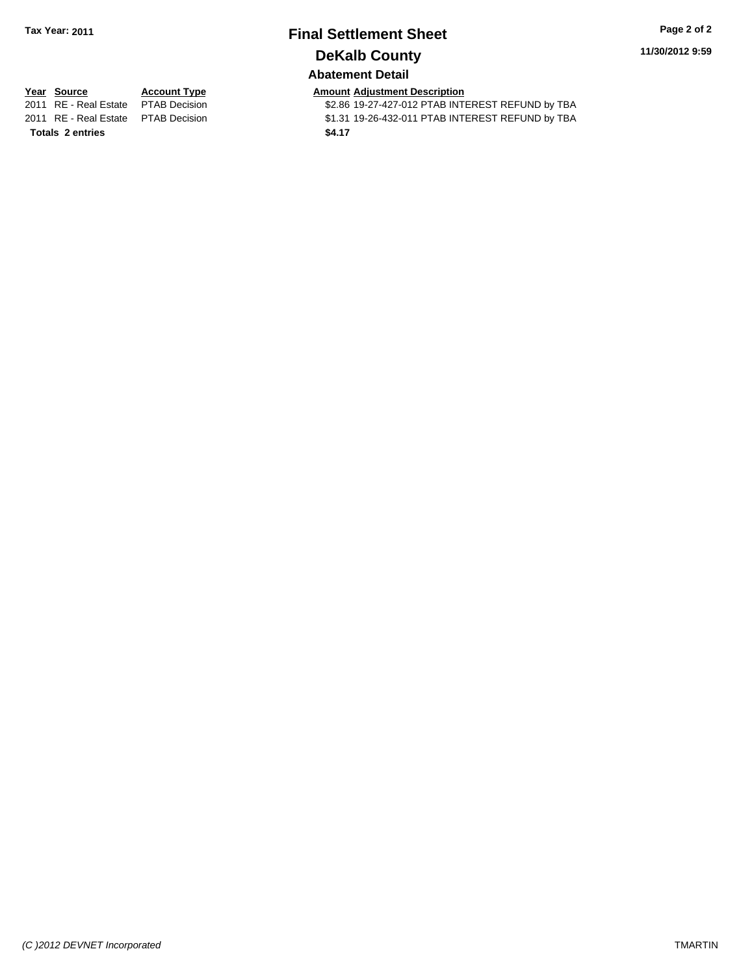# **Final Settlement Sheet Tax Year: 2011 Page 2 of 2 DeKalb County**

**11/30/2012 9:59**

## **Abatement Detail**

**Totals \$4.17 2 entries**

**Year Source Account Type Amount Adjustment Description**<br>2011 RE - Real Estate PTAB Decision **Amount** \$2.86 19-27-427-012 PTAB INTI \$2.86 19-27-427-012 PTAB INTEREST REFUND by TBA 2011 RE - Real Estate \$1.31 19-26-432-011 PTAB INTEREST REFUND by TBA PTAB Decision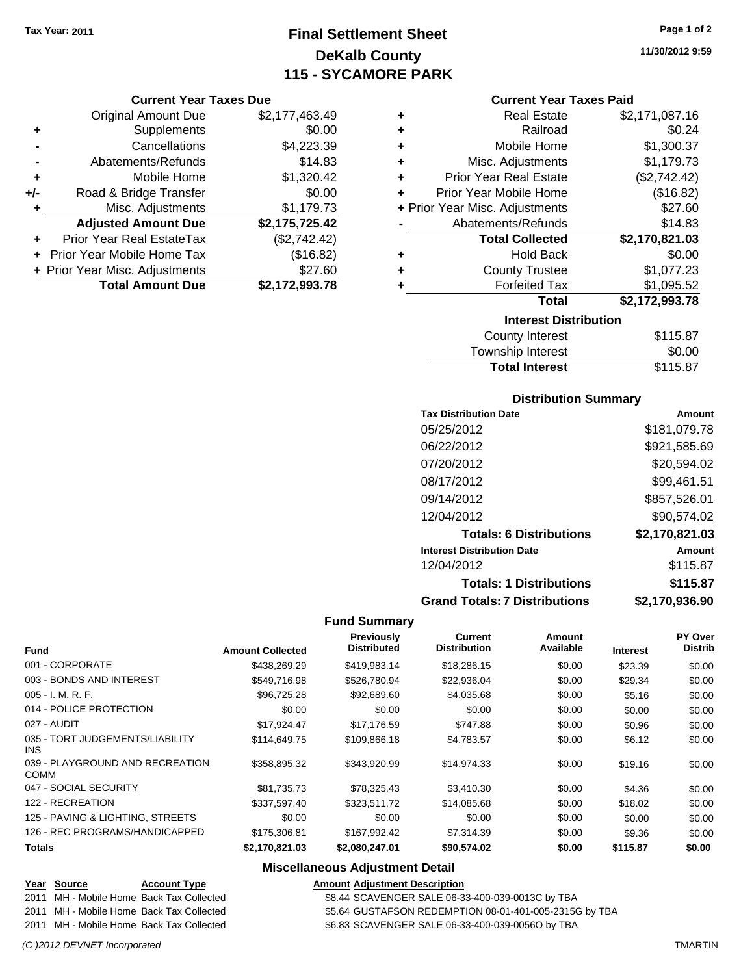# **Final Settlement Sheet Tax Year: 2011 Page 1 of 2 DeKalb County 115 - SYCAMORE PARK**

**11/30/2012 9:59**

| <b>Original Amount Due</b><br>Supplements<br>٠<br>Cancellations<br>Abatements/Refunds<br>Mobile Home<br>٠<br>Road & Bridge Transfer<br>+/-<br>Misc. Adjustments<br>٠<br><b>Adjusted Amount Due</b><br>Prior Year Real EstateTax |                                   |                               |
|---------------------------------------------------------------------------------------------------------------------------------------------------------------------------------------------------------------------------------|-----------------------------------|-------------------------------|
|                                                                                                                                                                                                                                 |                                   | \$2,177,463.49                |
|                                                                                                                                                                                                                                 |                                   | \$0.00                        |
|                                                                                                                                                                                                                                 |                                   | \$4,223.39                    |
|                                                                                                                                                                                                                                 |                                   | \$14.83                       |
|                                                                                                                                                                                                                                 |                                   | \$1,320.42                    |
|                                                                                                                                                                                                                                 |                                   | \$0.00                        |
|                                                                                                                                                                                                                                 |                                   | \$1,179.73                    |
|                                                                                                                                                                                                                                 |                                   | \$2,175,725.42                |
|                                                                                                                                                                                                                                 |                                   | (\$2,742.42)                  |
|                                                                                                                                                                                                                                 | <b>Prior Year Mobile Home Tax</b> | (\$16.82)                     |
| + Prior Year Misc. Adjustments                                                                                                                                                                                                  |                                   | \$27.60                       |
|                                                                                                                                                                                                                                 | <b>Total Amount Due</b>           | \$2,172,993.78                |
|                                                                                                                                                                                                                                 |                                   | <b>Current Year Taxes Due</b> |

|   | <b>Current Year Taxes Paid</b> |                |
|---|--------------------------------|----------------|
| ٠ | Real Estate                    | \$2,171,087.16 |
| ٠ | Railroad                       | \$0.24         |
| ÷ | Mobile Home                    | \$1,300.37     |
| ÷ | Misc. Adjustments              | \$1,179.73     |
| ÷ | <b>Prior Year Real Estate</b>  | (\$2,742.42)   |
| ÷ | Prior Year Mobile Home         | (\$16.82)      |
|   | + Prior Year Misc. Adjustments | \$27.60        |
|   | Abatements/Refunds             | \$14.83        |
|   | <b>Total Collected</b>         | \$2,170,821.03 |
| ٠ | <b>Hold Back</b>               | \$0.00         |
| ٠ | <b>County Trustee</b>          | \$1,077.23     |
| ٠ | <b>Forfeited Tax</b>           | \$1,095.52     |
|   | Total                          | \$2,172,993.78 |
|   | <b>Interest Distribution</b>   |                |
|   | <b>County Interest</b>         | \$115.87       |
|   | <b>Township Interest</b>       | \$0.00         |
|   | <b>Total Interest</b>          | \$115.87       |

#### **Distribution Summary**

| <b>Tax Distribution Date</b>         | Amount         |
|--------------------------------------|----------------|
| 05/25/2012                           | \$181,079.78   |
| 06/22/2012                           | \$921,585.69   |
| 07/20/2012                           | \$20,594.02    |
| 08/17/2012                           | \$99,461.51    |
| 09/14/2012                           | \$857,526.01   |
| 12/04/2012                           | \$90.574.02    |
| <b>Totals: 6 Distributions</b>       | \$2,170,821.03 |
| <b>Interest Distribution Date</b>    | Amount         |
| 12/04/2012                           | \$115.87       |
| <b>Totals: 1 Distributions</b>       | \$115.87       |
| <b>Grand Totals: 7 Distributions</b> | \$2,170,936.90 |

#### **Fund Summary**

|                                                | <b>Amount Collected</b> | <b>Previously</b><br><b>Distributed</b> | Current<br><b>Distribution</b> | <b>Amount</b><br>Available |                 | PY Over<br><b>Distrib</b> |
|------------------------------------------------|-------------------------|-----------------------------------------|--------------------------------|----------------------------|-----------------|---------------------------|
| <b>Fund</b>                                    |                         |                                         |                                |                            | <b>Interest</b> |                           |
| 001 - CORPORATE                                | \$438,269.29            | \$419,983.14                            | \$18,286.15                    | \$0.00                     | \$23.39         | \$0.00                    |
| 003 - BONDS AND INTEREST                       | \$549.716.98            | \$526,780.94                            | \$22,936.04                    | \$0.00                     | \$29.34         | \$0.00                    |
| $005 - I. M. R. F.$                            | \$96,725.28             | \$92,689.60                             | \$4,035.68                     | \$0.00                     | \$5.16          | \$0.00                    |
| 014 - POLICE PROTECTION                        | \$0.00                  | \$0.00                                  | \$0.00                         | \$0.00                     | \$0.00          | \$0.00                    |
| 027 - AUDIT                                    | \$17.924.47             | \$17.176.59                             | \$747.88                       | \$0.00                     | \$0.96          | \$0.00                    |
| 035 - TORT JUDGEMENTS/LIABILITY<br><b>INS</b>  | \$114.649.75            | \$109,866.18                            | \$4,783.57                     | \$0.00                     | \$6.12          | \$0.00                    |
| 039 - PLAYGROUND AND RECREATION<br><b>COMM</b> | \$358,895.32            | \$343.920.99                            | \$14,974.33                    | \$0.00                     | \$19.16         | \$0.00                    |
| 047 - SOCIAL SECURITY                          | \$81,735.73             | \$78,325.43                             | \$3,410.30                     | \$0.00                     | \$4.36          | \$0.00                    |
| 122 - RECREATION                               | \$337,597.40            | \$323,511.72                            | \$14,085.68                    | \$0.00                     | \$18.02         | \$0.00                    |
| 125 - PAVING & LIGHTING, STREETS               | \$0.00                  | \$0.00                                  | \$0.00                         | \$0.00                     | \$0.00          | \$0.00                    |
| 126 - REC PROGRAMS/HANDICAPPED                 | \$175,306.81            | \$167,992.42                            | \$7,314.39                     | \$0.00                     | \$9.36          | \$0.00                    |
| <b>Totals</b>                                  | \$2,170,821.03          | \$2,080,247.01                          | \$90,574.02                    | \$0.00                     | \$115.87        | \$0.00                    |

## **Miscellaneous Adjustment Detail**

| Year Source | <b>Account Type</b>                      | <b>Amount Adjustment Description</b>                   |
|-------------|------------------------------------------|--------------------------------------------------------|
|             | 2011 MH - Mobile Home Back Tax Collected | \$8.44 SCAVENGER SALE 06-33-400-039-0013C by TBA       |
|             | 2011 MH - Mobile Home Back Tax Collected | \$5.64 GUSTAFSON REDEMPTION 08-01-401-005-2315G by TBA |
|             | 2011 MH - Mobile Home Back Tax Collected | \$6.83 SCAVENGER SALE 06-33-400-039-0056O by TBA       |

#### *(C )2012 DEVNET Incorporated* TMARTIN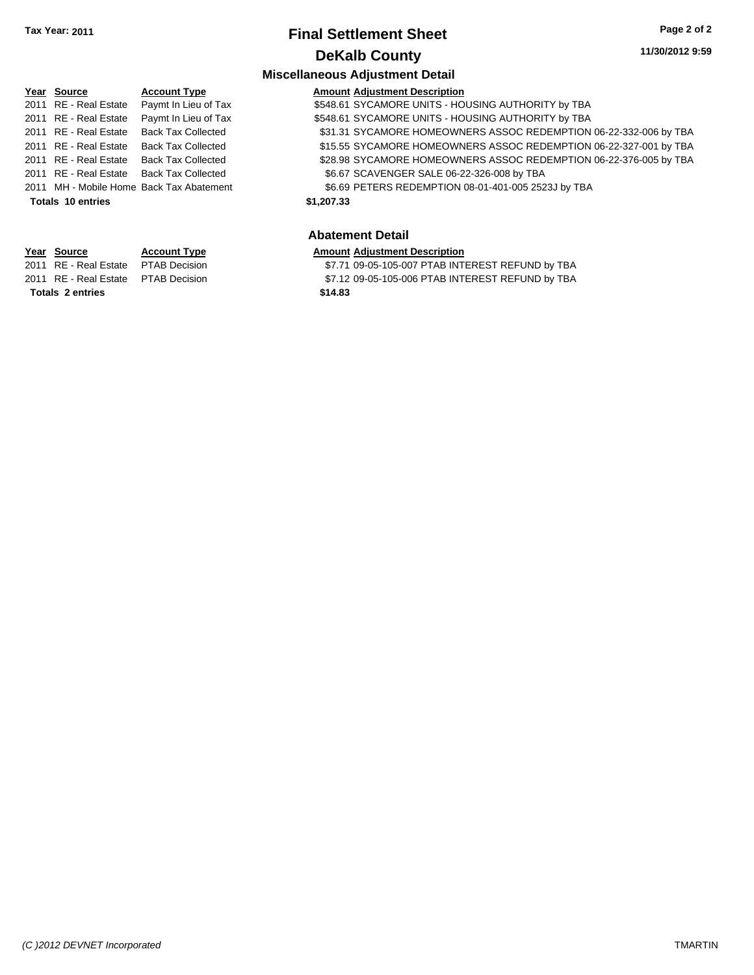# **Final Settlement Sheet Tax Year: 2011 Page 2 of 2 DeKalb County**

#### **11/30/2012 9:59**

#### **Miscellaneous Adjustment Detail Year Source Account Type Amount Adjustment Description** 2011 RE - Real Estate Paymt In Lieu of Tax \$548.61 SYCAMORE UNITS - HOUSING AUTHORITY by TBA Paymt In Lieu of Tax \$548.61 SYCAMORE UNITS - HOUSING AUTHORITY by TBA \$548.61 SYCAMORE UNITS - HOUSING AUTHORITY by TBA 2011 RE - Real Estate Back Tax Collected \$31.31 SYCAMORE HOMEOWNERS ASSOC REDEMPTION 06-22-332-006 by TBA 2011 RE - Real Estate Back Tax Collected \$15.55 SYCAMORE HOMEOWNERS ASSOC REDEMPTION 06-22-327-001 by TBA 2011 RE - Real Estate Back Tax Collected \$28.98 SYCAMORE HOMEOWNERS ASSOC REDEMPTION 06-22-376-005 by TBA 2011 RE - Real Estate Back Tax Collected \$6.67 SCAVENGER SALE 06-22-326-008 by TBA 2011 MH - Mobile Home Back Tax Abatement \$6.69 PETERS REDEMPTION 08-01-401-005 2523J by TBA **Totals \$1,207.33 10 entries Abatement Detail**

#### **Year Source Account Type Amount Adjustment Description**

**Totals \$14.83 2 entries**

2011 RE - Real Estate \$7.71 09-05-105-007 PTAB INTEREST REFUND by TBA PTAB Decision

2011 RE - Real Estate \$7.12 09-05-105-006 PTAB INTEREST REFUND by TBA PTAB Decision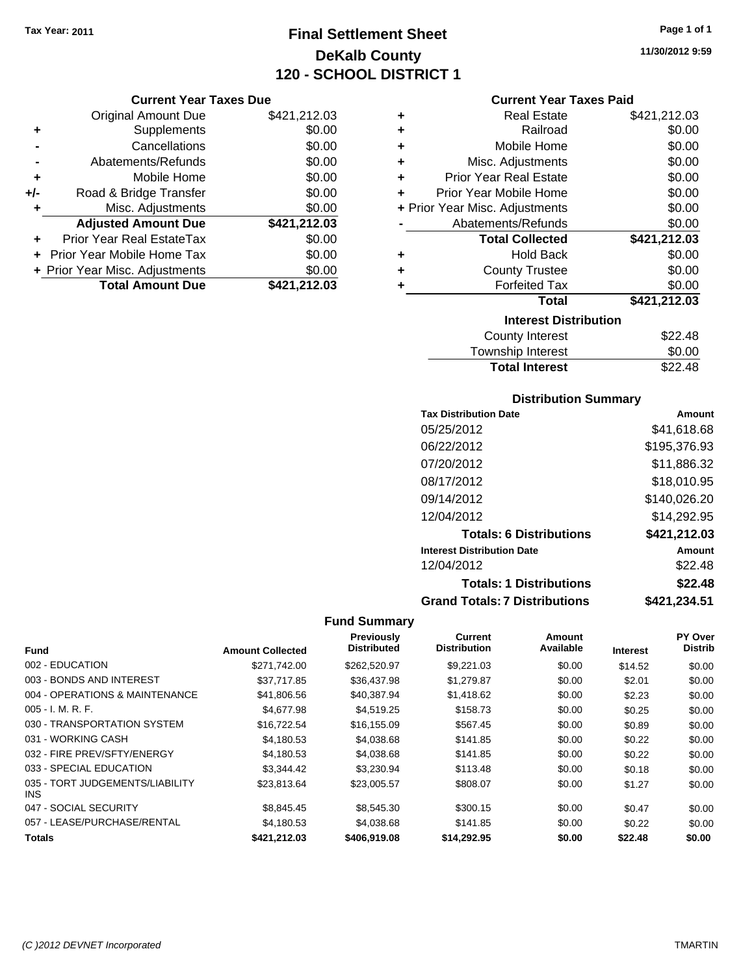# **Final Settlement Sheet Tax Year: 2011 Page 1 of 1 DeKalb County 120 - SCHOOL DISTRICT 1**

**11/30/2012 9:59**

#### **Current Year Taxes Due**

|       | <b>Original Amount Due</b>     | \$421,212.03 |
|-------|--------------------------------|--------------|
| ٠     | Supplements                    | \$0.00       |
|       | Cancellations                  | \$0.00       |
|       | Abatements/Refunds             | \$0.00       |
| ÷     | Mobile Home                    | \$0.00       |
| $+/-$ | Road & Bridge Transfer         | \$0.00       |
| ٠     | Misc. Adjustments              | \$0.00       |
|       | <b>Adjusted Amount Due</b>     | \$421,212.03 |
|       | Prior Year Real EstateTax      | \$0.00       |
|       | Prior Year Mobile Home Tax     | \$0.00       |
|       | + Prior Year Misc. Adjustments | \$0.00       |
|       | <b>Total Amount Due</b>        | \$421,212.03 |

#### **Current Year Taxes Paid**

| ٠ | Real Estate                    | \$421,212.03 |
|---|--------------------------------|--------------|
| ٠ | Railroad                       | \$0.00       |
| ÷ | Mobile Home                    | \$0.00       |
| ٠ | Misc. Adjustments              | \$0.00       |
| ٠ | Prior Year Real Estate         | \$0.00       |
| ٠ | Prior Year Mobile Home         | \$0.00       |
|   | + Prior Year Misc. Adjustments | \$0.00       |
|   | Abatements/Refunds             | \$0.00       |
|   | <b>Total Collected</b>         | \$421,212.03 |
| ٠ | <b>Hold Back</b>               | \$0.00       |
| ٠ | <b>County Trustee</b>          | \$0.00       |
| ٠ | <b>Forfeited Tax</b>           | \$0.00       |
|   | Total                          | \$421,212.03 |
|   | <b>Interest Distribution</b>   |              |
|   | <b>County Interest</b>         | \$22.48      |
|   | <b>Township Interest</b>       | \$0.00       |
|   | <b>Total Interest</b>          | \$22.48      |

# **Total Interest**

| <b>Distribution Summary</b>          |              |
|--------------------------------------|--------------|
| <b>Tax Distribution Date</b>         | Amount       |
| 05/25/2012                           | \$41.618.68  |
| 06/22/2012                           | \$195,376.93 |
| 07/20/2012                           | \$11,886.32  |
| 08/17/2012                           | \$18,010.95  |
| 09/14/2012                           | \$140,026.20 |
| 12/04/2012                           | \$14,292.95  |
| <b>Totals: 6 Distributions</b>       | \$421,212.03 |
| <b>Interest Distribution Date</b>    | Amount       |
| 12/04/2012                           | \$22.48      |
| <b>Totals: 1 Distributions</b>       | \$22.48      |
| <b>Grand Totals: 7 Distributions</b> | \$421,234.51 |

|                                         |                         | Previously         | Current             | <b>Amount</b> |                 | PY Over        |
|-----------------------------------------|-------------------------|--------------------|---------------------|---------------|-----------------|----------------|
| <b>Fund</b>                             | <b>Amount Collected</b> | <b>Distributed</b> | <b>Distribution</b> | Available     | <b>Interest</b> | <b>Distrib</b> |
| 002 - EDUCATION                         | \$271.742.00            | \$262,520.97       | \$9,221.03          | \$0.00        | \$14.52         | \$0.00         |
| 003 - BONDS AND INTEREST                | \$37.717.85             | \$36,437.98        | \$1,279.87          | \$0.00        | \$2.01          | \$0.00         |
| 004 - OPERATIONS & MAINTENANCE          | \$41,806.56             | \$40.387.94        | \$1,418.62          | \$0.00        | \$2.23          | \$0.00         |
| $005 - I. M. R. F.$                     | \$4,677.98              | \$4,519.25         | \$158.73            | \$0.00        | \$0.25          | \$0.00         |
| 030 - TRANSPORTATION SYSTEM             | \$16,722.54             | \$16,155.09        | \$567.45            | \$0.00        | \$0.89          | \$0.00         |
| 031 - WORKING CASH                      | \$4,180.53              | \$4,038.68         | \$141.85            | \$0.00        | \$0.22          | \$0.00         |
| 032 - FIRE PREV/SFTY/ENERGY             | \$4,180.53              | \$4,038.68         | \$141.85            | \$0.00        | \$0.22          | \$0.00         |
| 033 - SPECIAL EDUCATION                 | \$3.344.42              | \$3.230.94         | \$113.48            | \$0.00        | \$0.18          | \$0.00         |
| 035 - TORT JUDGEMENTS/LIABILITY<br>INS. | \$23.813.64             | \$23,005.57        | \$808.07            | \$0.00        | \$1.27          | \$0.00         |
| 047 - SOCIAL SECURITY                   | \$8,845.45              | \$8,545.30         | \$300.15            | \$0.00        | \$0.47          | \$0.00         |
| 057 - LEASE/PURCHASE/RENTAL             | \$4,180.53              | \$4,038.68         | \$141.85            | \$0.00        | \$0.22          | \$0.00         |
| <b>Totals</b>                           | \$421.212.03            | \$406,919,08       | \$14.292.95         | \$0.00        | \$22.48         | \$0.00         |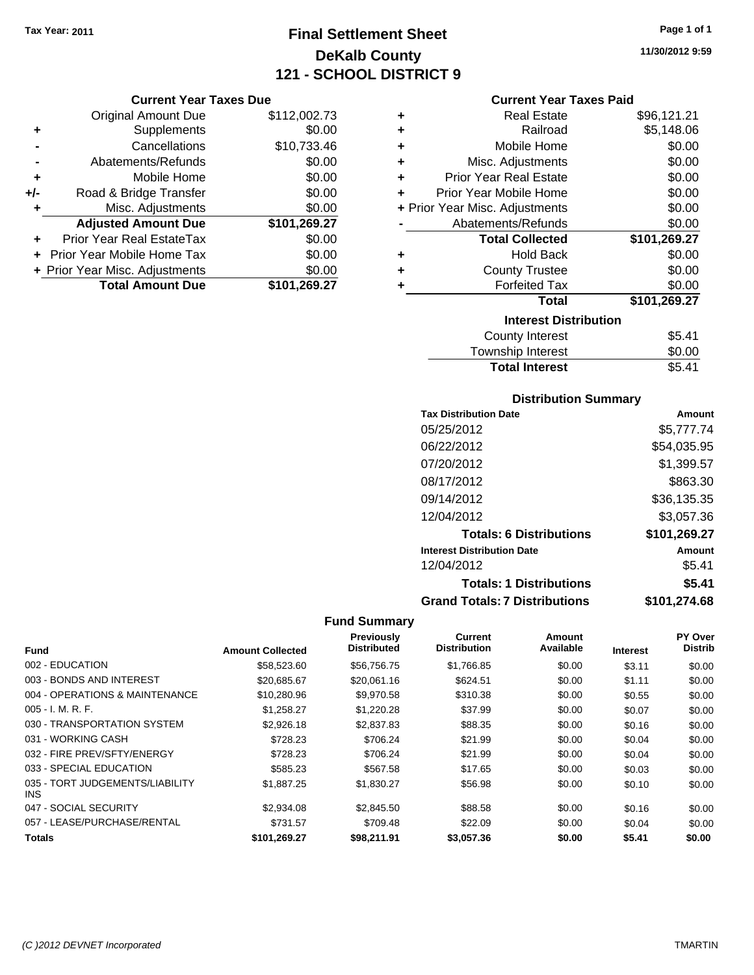# **Final Settlement Sheet Tax Year: 2011 Page 1 of 1 DeKalb County 121 - SCHOOL DISTRICT 9**

#### **Current Year Taxes Due**

|       | <b>Original Amount Due</b>     | \$112,002.73 |
|-------|--------------------------------|--------------|
| ٠     | Supplements                    | \$0.00       |
|       | Cancellations                  | \$10,733.46  |
|       | Abatements/Refunds             | \$0.00       |
| ٠     | Mobile Home                    | \$0.00       |
| $+/-$ | Road & Bridge Transfer         | \$0.00       |
|       | Misc. Adjustments              | \$0.00       |
|       | <b>Adjusted Amount Due</b>     | \$101,269.27 |
|       | Prior Year Real EstateTax      | \$0.00       |
|       | Prior Year Mobile Home Tax     | \$0.00       |
|       | + Prior Year Misc. Adjustments | \$0.00       |
|       | <b>Total Amount Due</b>        | \$101,269.27 |

| ٠ | <b>Real Estate</b>             | \$96,121.21  |  |  |  |
|---|--------------------------------|--------------|--|--|--|
| ٠ | Railroad                       | \$5,148.06   |  |  |  |
| ٠ | Mobile Home                    | \$0.00       |  |  |  |
| ÷ | Misc. Adjustments              | \$0.00       |  |  |  |
| ÷ | <b>Prior Year Real Estate</b>  | \$0.00       |  |  |  |
| ٠ | Prior Year Mobile Home         | \$0.00       |  |  |  |
|   | + Prior Year Misc. Adjustments | \$0.00       |  |  |  |
|   | Abatements/Refunds             | \$0.00       |  |  |  |
|   | <b>Total Collected</b>         | \$101,269.27 |  |  |  |
| ٠ | <b>Hold Back</b>               | \$0.00       |  |  |  |
| ٠ | <b>County Trustee</b>          | \$0.00       |  |  |  |
| ٠ | <b>Forfeited Tax</b>           | \$0.00       |  |  |  |
|   | Total                          | \$101,269.27 |  |  |  |
|   | <b>Interest Distribution</b>   |              |  |  |  |
|   | County Interest                | \$5.41       |  |  |  |
|   | Townobin Intorpot              | ድስ ሰሰ        |  |  |  |

| <b>Total Interest</b> | \$5.41 |
|-----------------------|--------|
| Township Interest     | \$0.00 |
| County Interest       | \$5.41 |

### **Distribution Summary**

| <b>Tax Distribution Date</b>         | Amount       |
|--------------------------------------|--------------|
| 05/25/2012                           | \$5.777.74   |
| 06/22/2012                           | \$54,035.95  |
| 07/20/2012                           | \$1,399.57   |
| 08/17/2012                           | \$863.30     |
| 09/14/2012                           | \$36,135.35  |
| 12/04/2012                           | \$3,057.36   |
| <b>Totals: 6 Distributions</b>       | \$101,269.27 |
| <b>Interest Distribution Date</b>    | Amount       |
| 12/04/2012                           | \$5.41       |
| <b>Totals: 1 Distributions</b>       | \$5.41       |
| <b>Grand Totals: 7 Distributions</b> | \$101,274.68 |

#### **Fund Summary**

|                                         |                         | <b>Previously</b>  | Current             | Amount    |                 | <b>PY Over</b> |
|-----------------------------------------|-------------------------|--------------------|---------------------|-----------|-----------------|----------------|
| <b>Fund</b>                             | <b>Amount Collected</b> | <b>Distributed</b> | <b>Distribution</b> | Available | <b>Interest</b> | <b>Distrib</b> |
| 002 - EDUCATION                         | \$58,523.60             | \$56,756.75        | \$1,766.85          | \$0.00    | \$3.11          | \$0.00         |
| 003 - BONDS AND INTEREST                | \$20,685,67             | \$20,061.16        | \$624.51            | \$0.00    | \$1.11          | \$0.00         |
| 004 - OPERATIONS & MAINTENANCE          | \$10,280.96             | \$9.970.58         | \$310.38            | \$0.00    | \$0.55          | \$0.00         |
| $005 - I. M. R. F.$                     | \$1,258.27              | \$1,220.28         | \$37.99             | \$0.00    | \$0.07          | \$0.00         |
| 030 - TRANSPORTATION SYSTEM             | \$2,926.18              | \$2,837.83         | \$88.35             | \$0.00    | \$0.16          | \$0.00         |
| 031 - WORKING CASH                      | \$728.23                | \$706.24           | \$21.99             | \$0.00    | \$0.04          | \$0.00         |
| 032 - FIRE PREV/SFTY/ENERGY             | \$728.23                | \$706.24           | \$21.99             | \$0.00    | \$0.04          | \$0.00         |
| 033 - SPECIAL EDUCATION                 | \$585.23                | \$567.58           | \$17.65             | \$0.00    | \$0.03          | \$0.00         |
| 035 - TORT JUDGEMENTS/LIABILITY<br>INS. | \$1,887.25              | \$1,830.27         | \$56.98             | \$0.00    | \$0.10          | \$0.00         |
| 047 - SOCIAL SECURITY                   | \$2,934.08              | \$2,845.50         | \$88.58             | \$0.00    | \$0.16          | \$0.00         |
| 057 - LEASE/PURCHASE/RENTAL             | \$731.57                | \$709.48           | \$22.09             | \$0.00    | \$0.04          | \$0.00         |
| <b>Totals</b>                           | \$101.269.27            | \$98,211.91        | \$3,057.36          | \$0.00    | \$5.41          | \$0.00         |

**11/30/2012 9:59**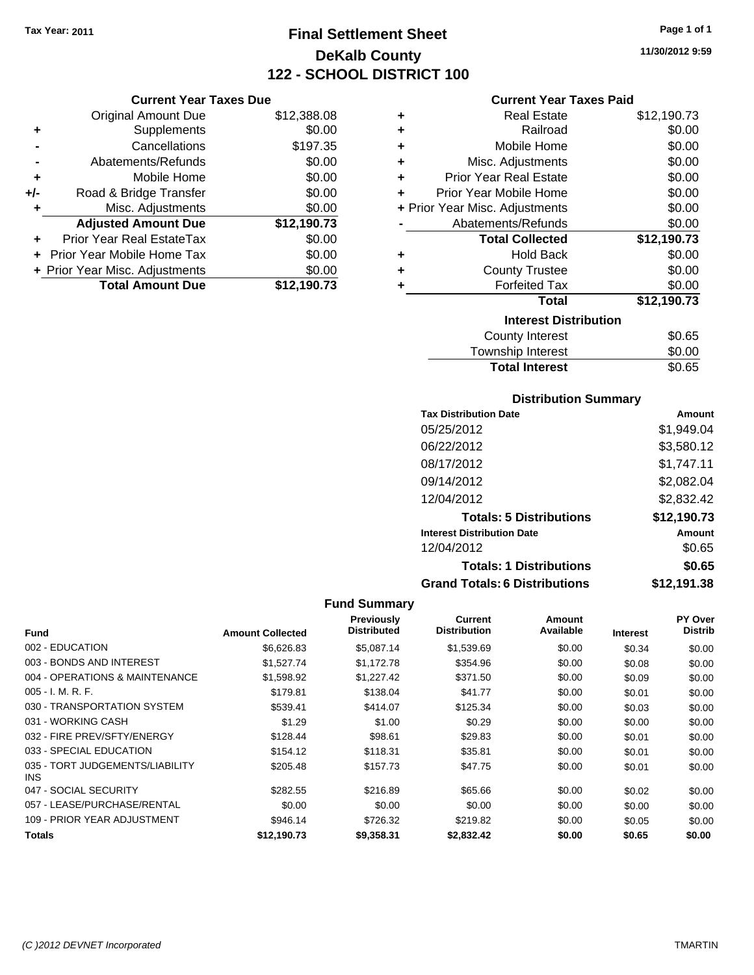# **Final Settlement Sheet Tax Year: 2011 Page 1 of 1 DeKalb County 122 - SCHOOL DISTRICT 100**

**11/30/2012 9:59**

#### **Current Year Taxes Paid**

|     | <b>Current Year Taxes Due</b>  |             |  |  |  |
|-----|--------------------------------|-------------|--|--|--|
|     | <b>Original Amount Due</b>     | \$12,388.08 |  |  |  |
| ٠   | Supplements                    | \$0.00      |  |  |  |
|     | Cancellations                  | \$197.35    |  |  |  |
|     | Abatements/Refunds             | \$0.00      |  |  |  |
| ٠   | Mobile Home                    | \$0.00      |  |  |  |
| +/- | Road & Bridge Transfer         | \$0.00      |  |  |  |
| ٠   | Misc. Adjustments              | \$0.00      |  |  |  |
|     | <b>Adjusted Amount Due</b>     | \$12,190.73 |  |  |  |
|     | Prior Year Real EstateTax      | \$0.00      |  |  |  |
|     | Prior Year Mobile Home Tax     | \$0.00      |  |  |  |
|     | + Prior Year Misc. Adjustments | \$0.00      |  |  |  |
|     | <b>Total Amount Due</b>        | \$12,190.73 |  |  |  |

| ٠ | <b>Real Estate</b>             | \$12,190.73 |
|---|--------------------------------|-------------|
| ٠ | Railroad                       | \$0.00      |
| ÷ | Mobile Home                    | \$0.00      |
| ٠ | Misc. Adjustments              | \$0.00      |
| ٠ | <b>Prior Year Real Estate</b>  | \$0.00      |
| ٠ | Prior Year Mobile Home         | \$0.00      |
|   | + Prior Year Misc. Adjustments | \$0.00      |
|   | Abatements/Refunds             | \$0.00      |
|   | <b>Total Collected</b>         | \$12,190.73 |
| ٠ | <b>Hold Back</b>               | \$0.00      |
| ٠ | <b>County Trustee</b>          | \$0.00      |
| ٠ | <b>Forfeited Tax</b>           | \$0.00      |
|   | Total                          | \$12,190.73 |
|   | <b>Interest Distribution</b>   |             |
|   | <b>County Interest</b>         | \$0.65      |
|   | <b>Township Interest</b>       | \$0.00      |
|   | <b>Total Interest</b>          | \$0.65      |

#### **Distribution Summary**

| <b>Tax Distribution Date</b>         | Amount      |
|--------------------------------------|-------------|
| 05/25/2012                           | \$1,949.04  |
| 06/22/2012                           | \$3,580.12  |
| 08/17/2012                           | \$1,747.11  |
| 09/14/2012                           | \$2,082.04  |
| 12/04/2012                           | \$2,832.42  |
| <b>Totals: 5 Distributions</b>       | \$12,190.73 |
| <b>Interest Distribution Date</b>    | Amount      |
| 12/04/2012                           | \$0.65      |
| <b>Totals: 1 Distributions</b>       | \$0.65      |
| <b>Grand Totals: 6 Distributions</b> | \$12,191.38 |

| <b>Fund</b>                                   | <b>Amount Collected</b> | <b>Previously</b><br><b>Distributed</b> | Current<br><b>Distribution</b> | Amount<br>Available | <b>Interest</b> | PY Over<br><b>Distrib</b> |
|-----------------------------------------------|-------------------------|-----------------------------------------|--------------------------------|---------------------|-----------------|---------------------------|
| 002 - EDUCATION                               | \$6,626.83              | \$5,087.14                              | \$1,539.69                     | \$0.00              | \$0.34          | \$0.00                    |
| 003 - BONDS AND INTEREST                      | \$1,527,74              | \$1.172.78                              | \$354.96                       | \$0.00              | \$0.08          | \$0.00                    |
| 004 - OPERATIONS & MAINTENANCE                | \$1,598.92              | \$1,227.42                              | \$371.50                       | \$0.00              | \$0.09          | \$0.00                    |
| $005 - I. M. R. F.$                           | \$179.81                | \$138.04                                | \$41.77                        | \$0.00              | \$0.01          | \$0.00                    |
| 030 - TRANSPORTATION SYSTEM                   | \$539.41                | \$414.07                                | \$125.34                       | \$0.00              | \$0.03          | \$0.00                    |
| 031 - WORKING CASH                            | \$1.29                  | \$1.00                                  | \$0.29                         | \$0.00              | \$0.00          | \$0.00                    |
| 032 - FIRE PREV/SFTY/ENERGY                   | \$128.44                | \$98.61                                 | \$29.83                        | \$0.00              | \$0.01          | \$0.00                    |
| 033 - SPECIAL EDUCATION                       | \$154.12                | \$118.31                                | \$35.81                        | \$0.00              | \$0.01          | \$0.00                    |
| 035 - TORT JUDGEMENTS/LIABILITY<br><b>INS</b> | \$205.48                | \$157.73                                | \$47.75                        | \$0.00              | \$0.01          | \$0.00                    |
| 047 - SOCIAL SECURITY                         | \$282.55                | \$216.89                                | \$65.66                        | \$0.00              | \$0.02          | \$0.00                    |
| 057 - LEASE/PURCHASE/RENTAL                   | \$0.00                  | \$0.00                                  | \$0.00                         | \$0.00              | \$0.00          | \$0.00                    |
| 109 - PRIOR YEAR ADJUSTMENT                   | \$946.14                | \$726.32                                | \$219.82                       | \$0.00              | \$0.05          | \$0.00                    |
| Totals                                        | \$12.190.73             | \$9.358.31                              | \$2,832.42                     | \$0.00              | \$0.65          | \$0.00                    |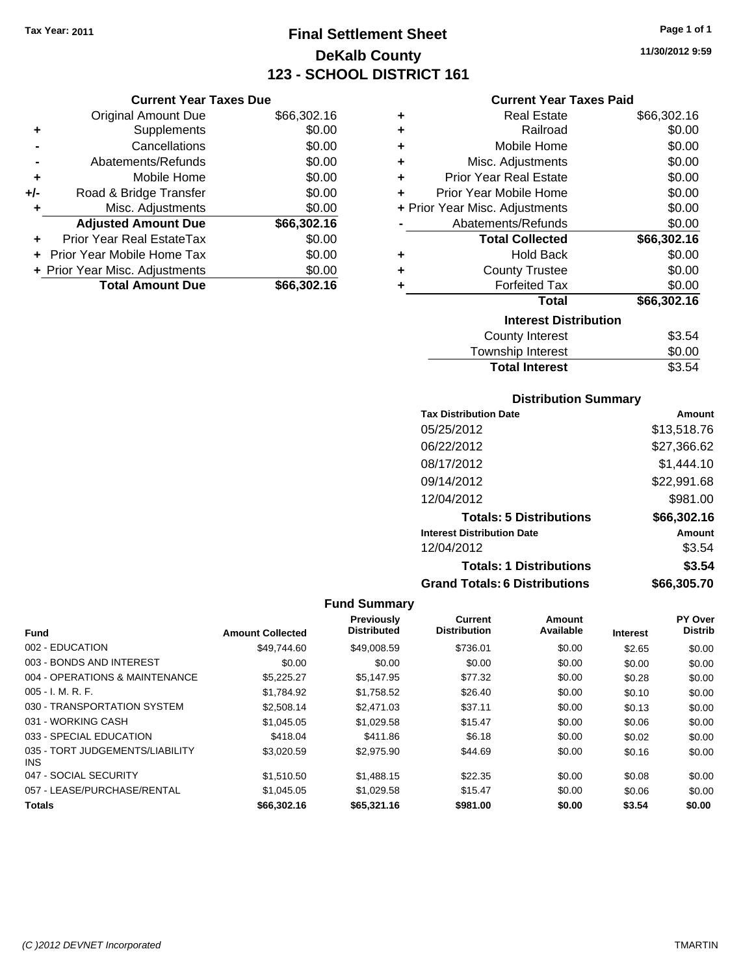# **Final Settlement Sheet Tax Year: 2011 Page 1 of 1 DeKalb County 123 - SCHOOL DISTRICT 161**

**11/30/2012 9:59**

| Current Year Taxes Due |  |  |
|------------------------|--|--|
|                        |  |  |

|       | <b>Original Amount Due</b>       | \$66,302.16 |
|-------|----------------------------------|-------------|
| ٠     | Supplements                      | \$0.00      |
|       | Cancellations                    | \$0.00      |
|       | Abatements/Refunds               | \$0.00      |
| ÷     | Mobile Home                      | \$0.00      |
| $+/-$ | Road & Bridge Transfer           | \$0.00      |
| ٠     | Misc. Adjustments                | \$0.00      |
|       | <b>Adjusted Amount Due</b>       | \$66,302.16 |
|       | <b>Prior Year Real EstateTax</b> | \$0.00      |
|       | Prior Year Mobile Home Tax       | \$0.00      |
|       | + Prior Year Misc. Adjustments   | \$0.00      |
|       | <b>Total Amount Due</b>          | \$66.302.16 |

#### **Current Year Taxes Paid**

| ٠ | Real Estate                    | \$66,302.16 |
|---|--------------------------------|-------------|
| ٠ | Railroad                       | \$0.00      |
| ÷ | Mobile Home                    | \$0.00      |
| ٠ | Misc. Adjustments              | \$0.00      |
| ÷ | <b>Prior Year Real Estate</b>  | \$0.00      |
| ٠ | Prior Year Mobile Home         | \$0.00      |
|   | + Prior Year Misc. Adjustments | \$0.00      |
|   | Abatements/Refunds             | \$0.00      |
|   | <b>Total Collected</b>         | \$66,302.16 |
| ٠ | <b>Hold Back</b>               | \$0.00      |
| ÷ | <b>County Trustee</b>          | \$0.00      |
| ٠ | <b>Forfeited Tax</b>           | \$0.00      |
|   | Total                          | \$66,302.16 |
|   | <b>Interest Distribution</b>   |             |
|   | <b>County Interest</b>         | \$3.54      |
|   | <b>Township Interest</b>       | \$0.00      |
|   | <b>Total Interest</b>          | \$3.54      |

#### **Distribution Summary**

| <b>Tax Distribution Date</b>         | Amount      |
|--------------------------------------|-------------|
| 05/25/2012                           | \$13,518.76 |
| 06/22/2012                           | \$27,366.62 |
| 08/17/2012                           | \$1,444.10  |
| 09/14/2012                           | \$22,991.68 |
| 12/04/2012                           | \$981.00    |
| <b>Totals: 5 Distributions</b>       | \$66,302.16 |
| <b>Interest Distribution Date</b>    | Amount      |
| 12/04/2012                           | \$3.54      |
| <b>Totals: 1 Distributions</b>       | \$3.54      |
| <b>Grand Totals: 6 Distributions</b> | \$66,305.70 |

| <b>Fund</b>                                   | <b>Amount Collected</b> | <b>Previously</b><br><b>Distributed</b> | <b>Current</b><br><b>Distribution</b> | <b>Amount</b><br>Available | <b>Interest</b> | <b>PY Over</b><br><b>Distrib</b> |
|-----------------------------------------------|-------------------------|-----------------------------------------|---------------------------------------|----------------------------|-----------------|----------------------------------|
| 002 - EDUCATION                               | \$49.744.60             | \$49,008.59                             | \$736.01                              | \$0.00                     | \$2.65          | \$0.00                           |
| 003 - BONDS AND INTEREST                      | \$0.00                  | \$0.00                                  | \$0.00                                | \$0.00                     | \$0.00          | \$0.00                           |
| 004 - OPERATIONS & MAINTENANCE                | \$5.225.27              | \$5,147.95                              | \$77.32                               | \$0.00                     | \$0.28          | \$0.00                           |
| $005 - I. M. R. F.$                           | \$1.784.92              | \$1,758.52                              | \$26.40                               | \$0.00                     | \$0.10          | \$0.00                           |
| 030 - TRANSPORTATION SYSTEM                   | \$2,508.14              | \$2,471.03                              | \$37.11                               | \$0.00                     | \$0.13          | \$0.00                           |
| 031 - WORKING CASH                            | \$1.045.05              | \$1.029.58                              | \$15.47                               | \$0.00                     | \$0.06          | \$0.00                           |
| 033 - SPECIAL EDUCATION                       | \$418.04                | \$411.86                                | \$6.18                                | \$0.00                     | \$0.02          | \$0.00                           |
| 035 - TORT JUDGEMENTS/LIABILITY<br><b>INS</b> | \$3.020.59              | \$2,975.90                              | \$44.69                               | \$0.00                     | \$0.16          | \$0.00                           |
| 047 - SOCIAL SECURITY                         | \$1.510.50              | \$1,488.15                              | \$22.35                               | \$0.00                     | \$0.08          | \$0.00                           |
| 057 - LEASE/PURCHASE/RENTAL                   | \$1.045.05              | \$1.029.58                              | \$15.47                               | \$0.00                     | \$0.06          | \$0.00                           |
| <b>Totals</b>                                 | \$66,302.16             | \$65,321.16                             | \$981.00                              | \$0.00                     | \$3.54          | \$0.00                           |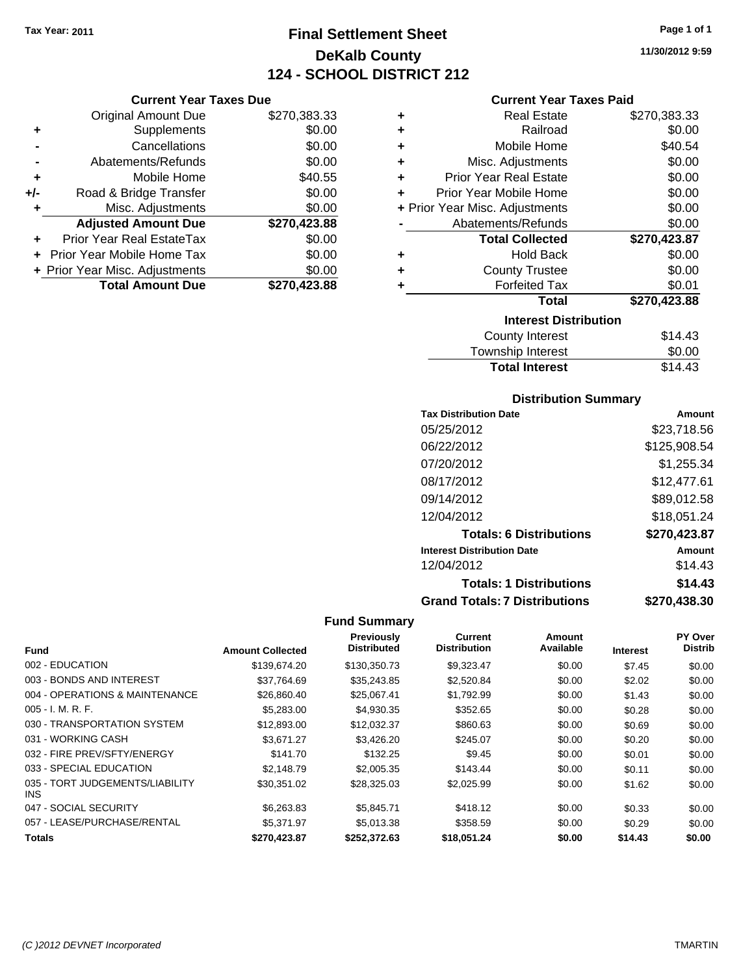# **Final Settlement Sheet Tax Year: 2011 Page 1 of 1 DeKalb County 124 - SCHOOL DISTRICT 212**

**11/30/2012 9:59**

|     | <b>Original Amount Due</b>     | \$270,383.33 |
|-----|--------------------------------|--------------|
| ٠   | Supplements                    | \$0.00       |
|     | Cancellations                  | \$0.00       |
|     | Abatements/Refunds             | \$0.00       |
| ÷   | Mobile Home                    | \$40.55      |
| +/- | Road & Bridge Transfer         | \$0.00       |
| ٠   | Misc. Adjustments              | \$0.00       |
|     | <b>Adjusted Amount Due</b>     | \$270,423.88 |
|     | Prior Year Real EstateTax      | \$0.00       |
|     | Prior Year Mobile Home Tax     | \$0.00       |
|     | + Prior Year Misc. Adjustments | \$0.00       |
|     | <b>Total Amount Due</b>        | \$270,423.88 |

### **Current Year Taxes Paid**

| <b>Real Estate</b>             | \$270,383.33 |
|--------------------------------|--------------|
| Railroad                       | \$0.00       |
| Mobile Home                    | \$40.54      |
| Misc. Adjustments              | \$0.00       |
| <b>Prior Year Real Estate</b>  | \$0.00       |
| Prior Year Mobile Home         | \$0.00       |
| + Prior Year Misc. Adjustments | \$0.00       |
| Abatements/Refunds             | \$0.00       |
| <b>Total Collected</b>         | \$270,423.87 |
| <b>Hold Back</b>               | \$0.00       |
| <b>County Trustee</b>          | \$0.00       |
| <b>Forfeited Tax</b>           | \$0.01       |
| Total                          | \$270,423.88 |
| <b>Interest Distribution</b>   |              |
| <b>County Interest</b>         | \$14.43      |
|                                |              |

# Township Interest  $$0.00$ **Total Interest** \$14.43

## **Distribution Summary**

| <b>Tax Distribution Date</b>         | Amount       |
|--------------------------------------|--------------|
| 05/25/2012                           | \$23,718.56  |
| 06/22/2012                           | \$125,908.54 |
| 07/20/2012                           | \$1,255.34   |
| 08/17/2012                           | \$12,477.61  |
| 09/14/2012                           | \$89,012.58  |
| 12/04/2012                           | \$18,051.24  |
| <b>Totals: 6 Distributions</b>       | \$270,423.87 |
| <b>Interest Distribution Date</b>    | Amount       |
| 12/04/2012                           | \$14.43      |
| <b>Totals: 1 Distributions</b>       | \$14.43      |
| <b>Grand Totals: 7 Distributions</b> | \$270,438.30 |

|                                         |                         | Previously<br><b>Distributed</b> | <b>Current</b><br><b>Distribution</b> | Amount<br>Available |                 | PY Over        |
|-----------------------------------------|-------------------------|----------------------------------|---------------------------------------|---------------------|-----------------|----------------|
| <b>Fund</b>                             | <b>Amount Collected</b> |                                  |                                       |                     | <b>Interest</b> | <b>Distrib</b> |
| 002 - EDUCATION                         | \$139,674.20            | \$130,350.73                     | \$9,323.47                            | \$0.00              | \$7.45          | \$0.00         |
| 003 - BONDS AND INTEREST                | \$37,764.69             | \$35,243.85                      | \$2,520.84                            | \$0.00              | \$2.02          | \$0.00         |
| 004 - OPERATIONS & MAINTENANCE          | \$26,860.40             | \$25.067.41                      | \$1,792.99                            | \$0.00              | \$1.43          | \$0.00         |
| 005 - I. M. R. F.                       | \$5,283.00              | \$4,930.35                       | \$352.65                              | \$0.00              | \$0.28          | \$0.00         |
| 030 - TRANSPORTATION SYSTEM             | \$12,893.00             | \$12,032.37                      | \$860.63                              | \$0.00              | \$0.69          | \$0.00         |
| 031 - WORKING CASH                      | \$3.671.27              | \$3,426.20                       | \$245.07                              | \$0.00              | \$0.20          | \$0.00         |
| 032 - FIRE PREV/SFTY/ENERGY             | \$141.70                | \$132.25                         | \$9.45                                | \$0.00              | \$0.01          | \$0.00         |
| 033 - SPECIAL EDUCATION                 | \$2,148.79              | \$2,005.35                       | \$143.44                              | \$0.00              | \$0.11          | \$0.00         |
| 035 - TORT JUDGEMENTS/LIABILITY<br>INS. | \$30.351.02             | \$28,325.03                      | \$2,025.99                            | \$0.00              | \$1.62          | \$0.00         |
| 047 - SOCIAL SECURITY                   | \$6,263.83              | \$5,845.71                       | \$418.12                              | \$0.00              | \$0.33          | \$0.00         |
| 057 - LEASE/PURCHASE/RENTAL             | \$5,371.97              | \$5,013.38                       | \$358.59                              | \$0.00              | \$0.29          | \$0.00         |
| <b>Totals</b>                           | \$270,423.87            | \$252,372.63                     | \$18,051.24                           | \$0.00              | \$14.43         | \$0.00         |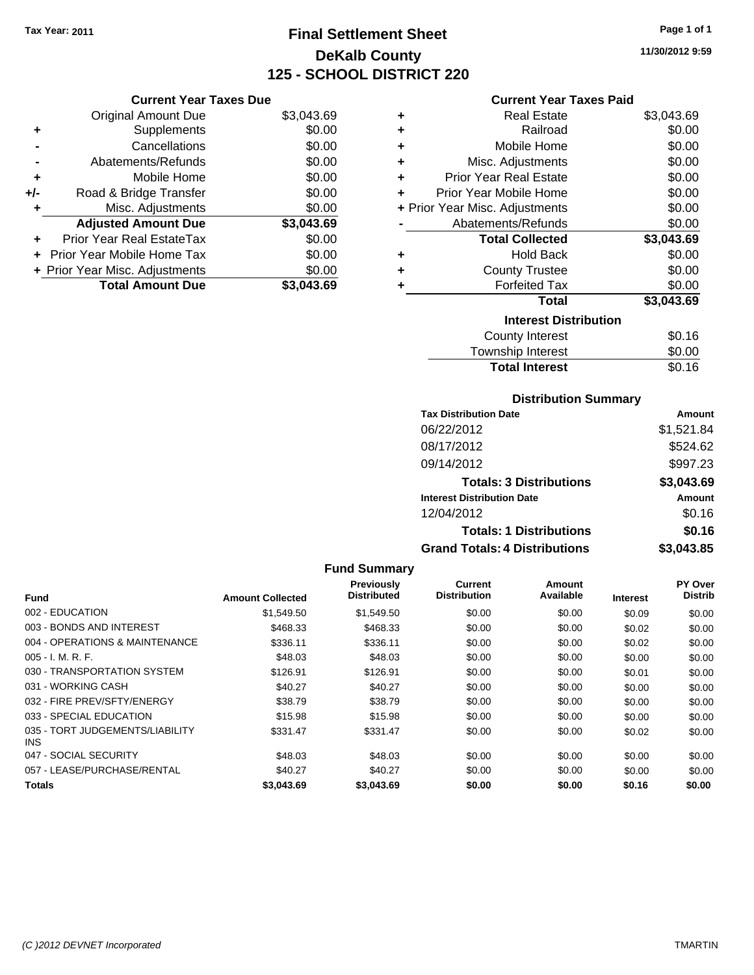# **Final Settlement Sheet Tax Year: 2011 Page 1 of 1 DeKalb County 125 - SCHOOL DISTRICT 220**

**11/30/2012 9:59**

#### **Current Year Taxes Paid**

|     | <b>Current Year Taxes Due</b>  |            |  |  |  |  |
|-----|--------------------------------|------------|--|--|--|--|
|     | <b>Original Amount Due</b>     | \$3,043.69 |  |  |  |  |
| ٠   | Supplements                    | \$0.00     |  |  |  |  |
|     | Cancellations                  | \$0.00     |  |  |  |  |
|     | Abatements/Refunds             | \$0.00     |  |  |  |  |
| ٠   | Mobile Home                    | \$0.00     |  |  |  |  |
| +/- | Road & Bridge Transfer         | \$0.00     |  |  |  |  |
|     | Misc. Adjustments              | \$0.00     |  |  |  |  |
|     | <b>Adjusted Amount Due</b>     | \$3,043.69 |  |  |  |  |
|     | Prior Year Real EstateTax      | \$0.00     |  |  |  |  |
|     | Prior Year Mobile Home Tax     | \$0.00     |  |  |  |  |
|     | + Prior Year Misc. Adjustments | \$0.00     |  |  |  |  |
|     | <b>Total Amount Due</b>        | \$3.043.69 |  |  |  |  |

| ٠ | Real Estate                    | \$3,043.69 |
|---|--------------------------------|------------|
| ÷ | Railroad                       | \$0.00     |
| ÷ | Mobile Home                    | \$0.00     |
| ٠ | Misc. Adjustments              | \$0.00     |
| ٠ | <b>Prior Year Real Estate</b>  | \$0.00     |
| ٠ | Prior Year Mobile Home         | \$0.00     |
|   | + Prior Year Misc. Adjustments | \$0.00     |
|   | Abatements/Refunds             | \$0.00     |
|   | <b>Total Collected</b>         | \$3,043.69 |
| ٠ | <b>Hold Back</b>               | \$0.00     |
| ÷ | <b>County Trustee</b>          | \$0.00     |
| ٠ | <b>Forfeited Tax</b>           | \$0.00     |
|   | Total                          | \$3,043.69 |
|   | <b>Interest Distribution</b>   |            |
|   | <b>County Interest</b>         | \$0.16     |
|   | <b>Township Interest</b>       | \$0.00     |
|   | <b>Total Interest</b>          | \$0.16     |

#### **Distribution Summary**

| <b>Tax Distribution Date</b>         | Amount     |
|--------------------------------------|------------|
| 06/22/2012                           | \$1,521.84 |
| 08/17/2012                           | \$524.62   |
| 09/14/2012                           | \$997.23   |
| <b>Totals: 3 Distributions</b>       | \$3,043.69 |
| <b>Interest Distribution Date</b>    | Amount     |
| 12/04/2012                           | \$0.16     |
| <b>Totals: 1 Distributions</b>       | \$0.16     |
| <b>Grand Totals: 4 Distributions</b> | \$3,043.85 |

|                                         |                         | <b>Fund Summary</b>                     |                                |                     |                 |                                  |
|-----------------------------------------|-------------------------|-----------------------------------------|--------------------------------|---------------------|-----------------|----------------------------------|
| <b>Fund</b>                             | <b>Amount Collected</b> | <b>Previously</b><br><b>Distributed</b> | Current<br><b>Distribution</b> | Amount<br>Available | <b>Interest</b> | <b>PY Over</b><br><b>Distrib</b> |
| 002 - EDUCATION                         | \$1,549.50              | \$1,549.50                              | \$0.00                         | \$0.00              | \$0.09          | \$0.00                           |
| 003 - BONDS AND INTEREST                | \$468.33                | \$468.33                                | \$0.00                         | \$0.00              | \$0.02          | \$0.00                           |
| 004 - OPERATIONS & MAINTENANCE          | \$336.11                | \$336.11                                | \$0.00                         | \$0.00              | \$0.02          | \$0.00                           |
| $005 - I. M. R. F.$                     | \$48.03                 | \$48.03                                 | \$0.00                         | \$0.00              | \$0.00          | \$0.00                           |
| 030 - TRANSPORTATION SYSTEM             | \$126.91                | \$126.91                                | \$0.00                         | \$0.00              | \$0.01          | \$0.00                           |
| 031 - WORKING CASH                      | \$40.27                 | \$40.27                                 | \$0.00                         | \$0.00              | \$0.00          | \$0.00                           |
| 032 - FIRE PREV/SFTY/ENERGY             | \$38.79                 | \$38.79                                 | \$0.00                         | \$0.00              | \$0.00          | \$0.00                           |
| 033 - SPECIAL EDUCATION                 | \$15.98                 | \$15.98                                 | \$0.00                         | \$0.00              | \$0.00          | \$0.00                           |
| 035 - TORT JUDGEMENTS/LIABILITY<br>INS. | \$331.47                | \$331.47                                | \$0.00                         | \$0.00              | \$0.02          | \$0.00                           |
| 047 - SOCIAL SECURITY                   | \$48.03                 | \$48.03                                 | \$0.00                         | \$0.00              | \$0.00          | \$0.00                           |
| 057 - LEASE/PURCHASE/RENTAL             | \$40.27                 | \$40.27                                 | \$0.00                         | \$0.00              | \$0.00          | \$0.00                           |
| <b>Totals</b>                           | \$3,043.69              | \$3,043.69                              | \$0.00                         | \$0.00              | \$0.16          | \$0.00                           |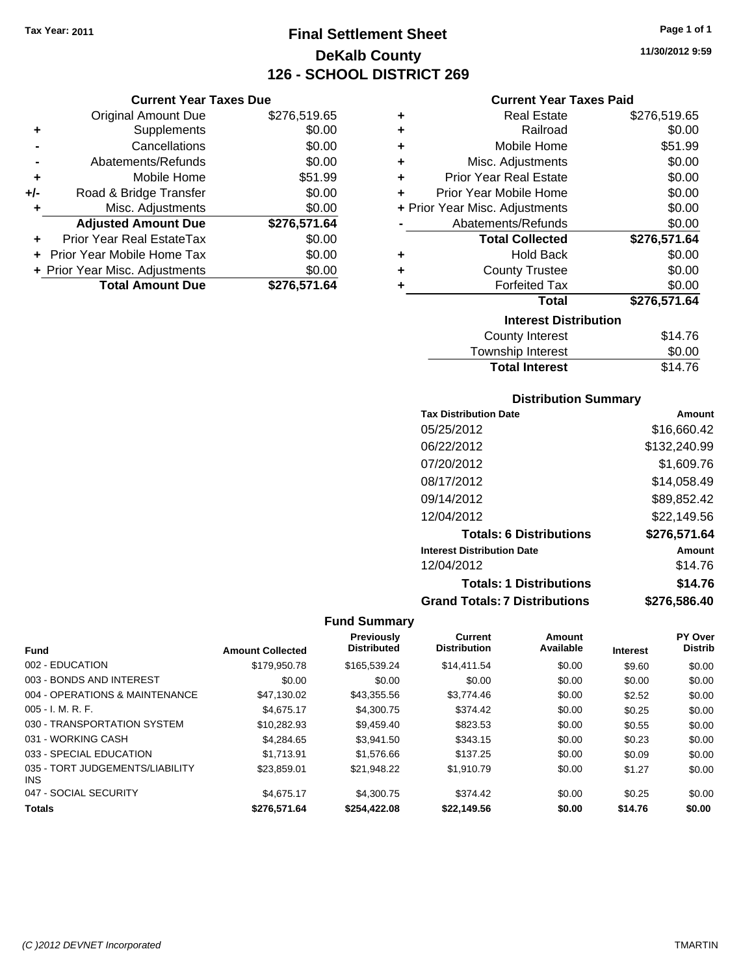# **Final Settlement Sheet Tax Year: 2011 Page 1 of 1 DeKalb County 126 - SCHOOL DISTRICT 269**

**11/30/2012 9:59**

#### **Current Year Taxes Paid**

|     | <b>Current Year Taxes Due</b>  |              |   |
|-----|--------------------------------|--------------|---|
|     | <b>Original Amount Due</b>     | \$276,519.65 |   |
| ٠   | <b>Supplements</b>             | \$0.00       |   |
|     | Cancellations                  | \$0.00       |   |
|     | Abatements/Refunds             | \$0.00       | 4 |
| ٠   | Mobile Home                    | \$51.99      | 4 |
| +/- | Road & Bridge Transfer         | \$0.00       | 4 |
| ٠   | Misc. Adjustments              | \$0.00       |   |
|     | <b>Adjusted Amount Due</b>     | \$276,571.64 |   |
| ÷   | Prior Year Real EstateTax      | \$0.00       |   |
|     | Prior Year Mobile Home Tax     | \$0.00       |   |
|     | + Prior Year Misc. Adjustments | \$0.00       | 4 |
|     | <b>Total Amount Due</b>        | \$276,571.64 |   |
|     |                                |              |   |

| ٠ | <b>Real Estate</b>             | \$276,519.65 |
|---|--------------------------------|--------------|
| ÷ | Railroad                       | \$0.00       |
| ÷ | Mobile Home                    | \$51.99      |
| ÷ | Misc. Adjustments              | \$0.00       |
| ÷ | <b>Prior Year Real Estate</b>  | \$0.00       |
| ٠ | Prior Year Mobile Home         | \$0.00       |
|   | + Prior Year Misc. Adjustments | \$0.00       |
|   | Abatements/Refunds             | \$0.00       |
|   |                                |              |
|   | <b>Total Collected</b>         | \$276,571.64 |
| ٠ | <b>Hold Back</b>               | \$0.00       |
| ٠ | <b>County Trustee</b>          | \$0.00       |
| ٠ | <b>Forfeited Tax</b>           | \$0.00       |
|   | <b>Total</b>                   | \$276,571.64 |
|   | <b>Interest Distribution</b>   |              |
|   | <b>County Interest</b>         | \$14.76      |

#### **Distribution Summary**

Total Interest \$14.76

| <b>Tax Distribution Date</b>         | Amount       |
|--------------------------------------|--------------|
| 05/25/2012                           | \$16,660.42  |
| 06/22/2012                           | \$132,240.99 |
| 07/20/2012                           | \$1,609.76   |
| 08/17/2012                           | \$14,058.49  |
| 09/14/2012                           | \$89,852.42  |
| 12/04/2012                           | \$22.149.56  |
| <b>Totals: 6 Distributions</b>       | \$276,571.64 |
| <b>Interest Distribution Date</b>    | Amount       |
| 12/04/2012                           | \$14.76      |
| <b>Totals: 1 Distributions</b>       | \$14.76      |
| <b>Grand Totals: 7 Distributions</b> | \$276.586.40 |

| <b>Fund</b>                             | <b>Amount Collected</b> | <b>Previously</b><br><b>Distributed</b> | <b>Current</b><br><b>Distribution</b> | Amount<br>Available | <b>Interest</b> | PY Over<br><b>Distrib</b> |
|-----------------------------------------|-------------------------|-----------------------------------------|---------------------------------------|---------------------|-----------------|---------------------------|
|                                         |                         |                                         |                                       |                     |                 |                           |
| 002 - EDUCATION                         | \$179,950.78            | \$165,539,24                            | \$14,411.54                           | \$0.00              | \$9.60          | \$0.00                    |
| 003 - BONDS AND INTEREST                | \$0.00                  | \$0.00                                  | \$0.00                                | \$0.00              | \$0.00          | \$0.00                    |
| 004 - OPERATIONS & MAINTENANCE          | \$47,130.02             | \$43,355.56                             | \$3,774.46                            | \$0.00              | \$2.52          | \$0.00                    |
| $005 - I. M. R. F.$                     | \$4,675.17              | \$4,300.75                              | \$374.42                              | \$0.00              | \$0.25          | \$0.00                    |
| 030 - TRANSPORTATION SYSTEM             | \$10.282.93             | \$9.459.40                              | \$823.53                              | \$0.00              | \$0.55          | \$0.00                    |
| 031 - WORKING CASH                      | \$4.284.65              | \$3.941.50                              | \$343.15                              | \$0.00              | \$0.23          | \$0.00                    |
| 033 - SPECIAL EDUCATION                 | \$1.713.91              | \$1,576.66                              | \$137.25                              | \$0.00              | \$0.09          | \$0.00                    |
| 035 - TORT JUDGEMENTS/LIABILITY<br>INS. | \$23.859.01             | \$21.948.22                             | \$1.910.79                            | \$0.00              | \$1.27          | \$0.00                    |
| 047 - SOCIAL SECURITY                   | \$4,675.17              | \$4,300.75                              | \$374.42                              | \$0.00              | \$0.25          | \$0.00                    |
| <b>Totals</b>                           | \$276,571,64            | \$254,422.08                            | \$22.149.56                           | \$0.00              | \$14.76         | \$0.00                    |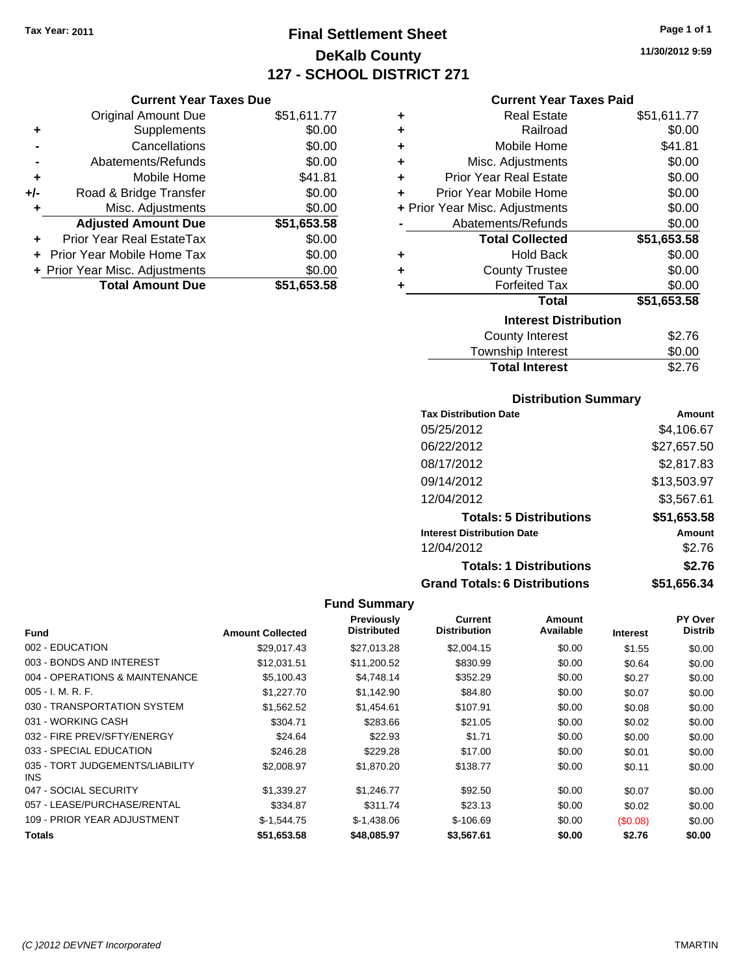Original Amount Due

**Adjusted Amount Due** 

**Total Amount Due** 

**+** Supplements **-** Cancellations **-** Abatements/Refunds **+** Mobile Home **+/-** Road & Bridge Transfer **+** Misc. Adjustments

**+** Prior Year Real EstateTax \$0.00 **+** Prior Year Mobile Home Tax **+ Prior Year Misc. Adjustments** 

# **Final Settlement Sheet Tax Year: 2011 Page 1 of 1 DeKalb County 127 - SCHOOL DISTRICT 271**

**11/30/2012 9:59**

## **Current Year Taxes Paid**

| <b>Current Year Taxes Due</b> |             |   | <b>Current Year Taxes Paid</b> |             |
|-------------------------------|-------------|---|--------------------------------|-------------|
| ıl Amount Due                 | \$51,611.77 | ÷ | <b>Real Estate</b>             | \$51,611.77 |
| Supplements                   | \$0.00      | ٠ | Railroad                       | \$0.00      |
| Cancellations                 | \$0.00      | ٠ | Mobile Home                    | \$41.81     |
| าents/Refunds                 | \$0.00      | ÷ | Misc. Adjustments              | \$0.00      |
| Mobile Home                   | \$41.81     | ÷ | <b>Prior Year Real Estate</b>  | \$0.00      |
| ridge Transfer                | \$0.00      | ٠ | Prior Year Mobile Home         | \$0.00      |
| . Adjustments                 | \$0.00      |   | + Prior Year Misc. Adjustments | \$0.00      |
| <b>Amount Due</b>             | \$51,653.58 |   | Abatements/Refunds             | \$0.00      |
| eal EstateTax                 | \$0.00      |   | <b>Total Collected</b>         | \$51,653.58 |
| pile Home Tax                 | \$0.00      | ٠ | <b>Hold Back</b>               | \$0.00      |
| . Adjustments                 | \$0.00      | ٠ | <b>County Trustee</b>          | \$0.00      |
| <b>Amount Due</b>             | \$51,653.58 | ٠ | <b>Forfeited Tax</b>           | \$0.00      |
|                               |             |   | Total                          | \$51,653.58 |
|                               |             |   | <b>Interest Distribution</b>   |             |
|                               |             |   | County Interest.               | \$2 76      |

| IIIGIGSL PISLINULIUII |        |
|-----------------------|--------|
| County Interest       | \$2.76 |
| Township Interest     | \$0.00 |
| <b>Total Interest</b> | \$2.76 |

#### **Distribution Summary**

| <b>Tax Distribution Date</b>         | Amount      |
|--------------------------------------|-------------|
| 05/25/2012                           | \$4,106.67  |
| 06/22/2012                           | \$27,657.50 |
| 08/17/2012                           | \$2,817.83  |
| 09/14/2012                           | \$13,503.97 |
| 12/04/2012                           | \$3,567.61  |
| <b>Totals: 5 Distributions</b>       | \$51,653.58 |
| <b>Interest Distribution Date</b>    | Amount      |
| 12/04/2012                           | \$2.76      |
| <b>Totals: 1 Distributions</b>       | \$2.76      |
| <b>Grand Totals: 6 Distributions</b> | \$51,656.34 |

| Fund                                    | <b>Amount Collected</b> | Previously<br><b>Distributed</b> | <b>Current</b><br><b>Distribution</b> | Amount<br>Available | <b>Interest</b> | PY Over<br><b>Distrib</b> |
|-----------------------------------------|-------------------------|----------------------------------|---------------------------------------|---------------------|-----------------|---------------------------|
| 002 - EDUCATION                         | \$29,017.43             | \$27,013.28                      | \$2,004.15                            | \$0.00              | \$1.55          | \$0.00                    |
| 003 - BONDS AND INTEREST                | \$12.031.51             | \$11,200.52                      | \$830.99                              | \$0.00              | \$0.64          | \$0.00                    |
| 004 - OPERATIONS & MAINTENANCE          | \$5,100.43              | \$4.748.14                       | \$352.29                              | \$0.00              | \$0.27          | \$0.00                    |
| $005 - I. M. R. F.$                     | \$1,227.70              | \$1,142.90                       | \$84.80                               | \$0.00              | \$0.07          | \$0.00                    |
| 030 - TRANSPORTATION SYSTEM             | \$1,562.52              | \$1,454.61                       | \$107.91                              | \$0.00              | \$0.08          | \$0.00                    |
| 031 - WORKING CASH                      | \$304.71                | \$283.66                         | \$21.05                               | \$0.00              | \$0.02          | \$0.00                    |
| 032 - FIRE PREV/SFTY/ENERGY             | \$24.64                 | \$22.93                          | \$1.71                                | \$0.00              | \$0.00          | \$0.00                    |
| 033 - SPECIAL EDUCATION                 | \$246.28                | \$229.28                         | \$17.00                               | \$0.00              | \$0.01          | \$0.00                    |
| 035 - TORT JUDGEMENTS/LIABILITY<br>INS. | \$2,008.97              | \$1,870.20                       | \$138.77                              | \$0.00              | \$0.11          | \$0.00                    |
| 047 - SOCIAL SECURITY                   | \$1,339.27              | \$1,246.77                       | \$92.50                               | \$0.00              | \$0.07          | \$0.00                    |
| 057 - LEASE/PURCHASE/RENTAL             | \$334.87                | \$311.74                         | \$23.13                               | \$0.00              | \$0.02          | \$0.00                    |
| 109 - PRIOR YEAR ADJUSTMENT             | $$-1.544.75$            | $$-1.438.06$                     | $$-106.69$                            | \$0.00              | (S0.08)         | \$0.00                    |
| Totals                                  | \$51,653.58             | \$48,085.97                      | \$3,567.61                            | \$0.00              | \$2.76          | \$0.00                    |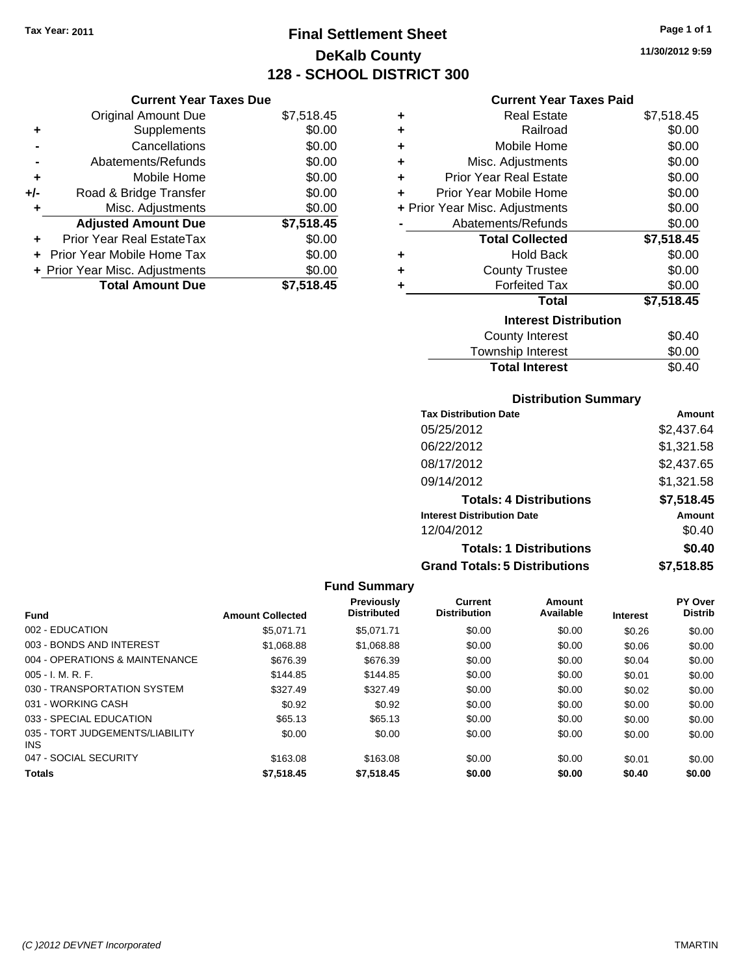# **Final Settlement Sheet Tax Year: 2011 Page 1 of 1 DeKalb County 128 - SCHOOL DISTRICT 300**

**11/30/2012 9:59**

#### **Current Year Taxes Paid**

|     | <b>Current Year Taxes Due</b>  |            |
|-----|--------------------------------|------------|
|     | <b>Original Amount Due</b>     | \$7,518.45 |
| ٠   | Supplements                    | \$0.00     |
|     | Cancellations                  | \$0.00     |
|     | Abatements/Refunds             | \$0.00     |
| ٠   | Mobile Home                    | \$0.00     |
| +/- | Road & Bridge Transfer         | \$0.00     |
| ٠   | Misc. Adjustments              | \$0.00     |
|     | <b>Adjusted Amount Due</b>     | \$7,518.45 |
| ٠   | Prior Year Real EstateTax      | \$0.00     |
|     | Prior Year Mobile Home Tax     | \$0.00     |
|     | + Prior Year Misc. Adjustments | \$0.00     |
|     | <b>Total Amount Due</b>        | \$7,518.45 |

| ٠ | <b>Real Estate</b>             | \$7,518.45 |
|---|--------------------------------|------------|
| ٠ | Railroad                       | \$0.00     |
| ÷ | Mobile Home                    | \$0.00     |
| ÷ | Misc. Adjustments              | \$0.00     |
| ٠ | <b>Prior Year Real Estate</b>  | \$0.00     |
| ÷ | Prior Year Mobile Home         | \$0.00     |
|   | + Prior Year Misc. Adjustments | \$0.00     |
|   | Abatements/Refunds             | \$0.00     |
|   | <b>Total Collected</b>         | \$7,518.45 |
| ٠ | Hold Back                      | \$0.00     |
| ٠ | <b>County Trustee</b>          | \$0.00     |
| ٠ | <b>Forfeited Tax</b>           | \$0.00     |
|   | Total                          | \$7,518.45 |
|   | <b>Interest Distribution</b>   |            |
|   | County Interest                | \$0.40     |
|   | <b>Township Interest</b>       | \$0.00     |
|   | <b>Total Interest</b>          | \$0.40     |

#### **Distribution Summary**

| <b>Tax Distribution Date</b>         | Amount     |
|--------------------------------------|------------|
| 05/25/2012                           | \$2,437.64 |
| 06/22/2012                           | \$1,321.58 |
| 08/17/2012                           | \$2,437.65 |
| 09/14/2012                           | \$1,321.58 |
| <b>Totals: 4 Distributions</b>       | \$7,518.45 |
| <b>Interest Distribution Date</b>    | Amount     |
| 12/04/2012                           | \$0.40     |
| <b>Totals: 1 Distributions</b>       | \$0.40     |
| <b>Grand Totals: 5 Distributions</b> | \$7,518.85 |

|                                               |                         | <b>Fund Summary</b>                     |                                |                     |                 |                                  |
|-----------------------------------------------|-------------------------|-----------------------------------------|--------------------------------|---------------------|-----------------|----------------------------------|
| <b>Fund</b>                                   | <b>Amount Collected</b> | <b>Previously</b><br><b>Distributed</b> | Current<br><b>Distribution</b> | Amount<br>Available | <b>Interest</b> | <b>PY Over</b><br><b>Distrib</b> |
| 002 - EDUCATION                               | \$5.071.71              | \$5.071.71                              | \$0.00                         | \$0.00              | \$0.26          | \$0.00                           |
| 003 - BONDS AND INTEREST                      | \$1,068.88              | \$1,068.88                              | \$0.00                         | \$0.00              | \$0.06          | \$0.00                           |
| 004 - OPERATIONS & MAINTENANCE                | \$676.39                | \$676.39                                | \$0.00                         | \$0.00              | \$0.04          | \$0.00                           |
| $005 - I. M. R. F.$                           | \$144.85                | \$144.85                                | \$0.00                         | \$0.00              | \$0.01          | \$0.00                           |
| 030 - TRANSPORTATION SYSTEM                   | \$327.49                | \$327.49                                | \$0.00                         | \$0.00              | \$0.02          | \$0.00                           |
| 031 - WORKING CASH                            | \$0.92                  | \$0.92                                  | \$0.00                         | \$0.00              | \$0.00          | \$0.00                           |
| 033 - SPECIAL EDUCATION                       | \$65.13                 | \$65.13                                 | \$0.00                         | \$0.00              | \$0.00          | \$0.00                           |
| 035 - TORT JUDGEMENTS/LIABILITY<br><b>INS</b> | \$0.00                  | \$0.00                                  | \$0.00                         | \$0.00              | \$0.00          | \$0.00                           |
| 047 - SOCIAL SECURITY                         | \$163.08                | \$163.08                                | \$0.00                         | \$0.00              | \$0.01          | \$0.00                           |
| <b>Totals</b>                                 | \$7,518.45              | \$7,518.45                              | \$0.00                         | \$0.00              | \$0.40          | \$0.00                           |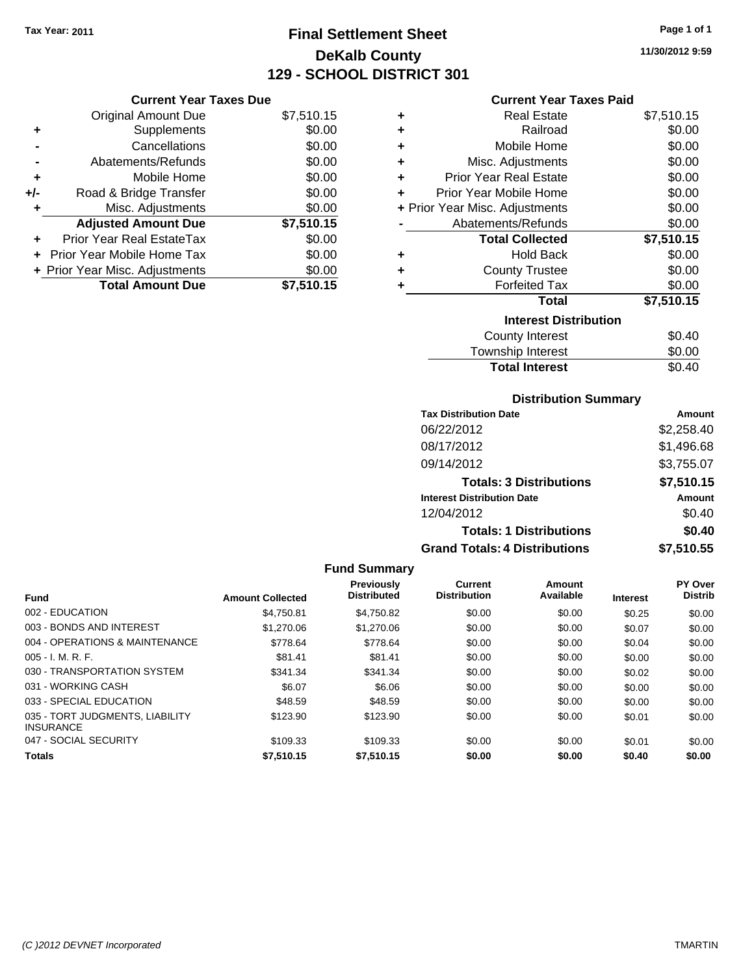# **Final Settlement Sheet Tax Year: 2011 Page 1 of 1 DeKalb County 129 - SCHOOL DISTRICT 301**

# **11/30/2012 9:59**

| <b>Current Year Taxes Due</b> |  |  |
|-------------------------------|--|--|
|                               |  |  |

|     | <b>Total Amount Due</b>        | \$7,510.15 |
|-----|--------------------------------|------------|
|     | + Prior Year Misc. Adjustments | \$0.00     |
|     | + Prior Year Mobile Home Tax   | \$0.00     |
|     | Prior Year Real EstateTax      | \$0.00     |
|     | <b>Adjusted Amount Due</b>     | \$7,510.15 |
| ÷   | Misc. Adjustments              | \$0.00     |
| +/- | Road & Bridge Transfer         | \$0.00     |
| ÷   | Mobile Home                    | \$0.00     |
|     | Abatements/Refunds             | \$0.00     |
|     | Cancellations                  | \$0.00     |
| ٠   | Supplements                    | \$0.00     |
|     | <b>Original Amount Due</b>     | \$7,510.15 |

### **Current Year Taxes Paid**

| ٠ | <b>Real Estate</b>             | \$7,510.15 |
|---|--------------------------------|------------|
| ÷ | Railroad                       | \$0.00     |
| ٠ | Mobile Home                    | \$0.00     |
| ٠ | Misc. Adjustments              | \$0.00     |
| ÷ | <b>Prior Year Real Estate</b>  | \$0.00     |
| ÷ | Prior Year Mobile Home         | \$0.00     |
|   | + Prior Year Misc. Adjustments | \$0.00     |
|   | Abatements/Refunds             | \$0.00     |
|   |                                |            |
|   | <b>Total Collected</b>         | \$7,510.15 |
| ٠ | <b>Hold Back</b>               | \$0.00     |
| ÷ | <b>County Trustee</b>          | \$0.00     |
| ٠ | <b>Forfeited Tax</b>           | \$0.00     |
|   | <b>Total</b>                   | \$7,510.15 |
|   | <b>Interest Distribution</b>   |            |
|   | <b>County Interest</b>         | \$0.40     |

# **Total Interest** \$0.40

| <b>Distribution Summary</b>          |            |
|--------------------------------------|------------|
| <b>Tax Distribution Date</b>         | Amount     |
| 06/22/2012                           | \$2,258.40 |
| 08/17/2012                           | \$1,496.68 |
| 09/14/2012                           | \$3,755.07 |
| <b>Totals: 3 Distributions</b>       | \$7,510.15 |
| <b>Interest Distribution Date</b>    | Amount     |
| 12/04/2012                           | \$0.40     |
| <b>Totals: 1 Distributions</b>       | \$0.40     |
| <b>Grand Totals: 4 Distributions</b> | \$7,510.55 |

|                                                     |                         | <b>Fund Summary</b>              |                                |                            |                 |                                  |
|-----------------------------------------------------|-------------------------|----------------------------------|--------------------------------|----------------------------|-----------------|----------------------------------|
| <b>Fund</b>                                         | <b>Amount Collected</b> | Previously<br><b>Distributed</b> | Current<br><b>Distribution</b> | <b>Amount</b><br>Available | <b>Interest</b> | <b>PY Over</b><br><b>Distrib</b> |
| 002 - EDUCATION                                     | \$4.750.81              | \$4.750.82                       | \$0.00                         | \$0.00                     | \$0.25          | \$0.00                           |
| 003 - BONDS AND INTEREST                            | \$1,270.06              | \$1,270.06                       | \$0.00                         | \$0.00                     | \$0.07          | \$0.00                           |
| 004 - OPERATIONS & MAINTENANCE                      | \$778.64                | \$778.64                         | \$0.00                         | \$0.00                     | \$0.04          | \$0.00                           |
| 005 - I. M. R. F.                                   | \$81.41                 | \$81.41                          | \$0.00                         | \$0.00                     | \$0.00          | \$0.00                           |
| 030 - TRANSPORTATION SYSTEM                         | \$341.34                | \$341.34                         | \$0.00                         | \$0.00                     | \$0.02          | \$0.00                           |
| 031 - WORKING CASH                                  | \$6.07                  | \$6.06                           | \$0.00                         | \$0.00                     | \$0.00          | \$0.00                           |
| 033 - SPECIAL EDUCATION                             | \$48.59                 | \$48.59                          | \$0.00                         | \$0.00                     | \$0.00          | \$0.00                           |
| 035 - TORT JUDGMENTS, LIABILITY<br><b>INSURANCE</b> | \$123.90                | \$123.90                         | \$0.00                         | \$0.00                     | \$0.01          | \$0.00                           |
| 047 - SOCIAL SECURITY                               | \$109.33                | \$109.33                         | \$0.00                         | \$0.00                     | \$0.01          | \$0.00                           |
| <b>Totals</b>                                       | \$7.510.15              | \$7.510.15                       | \$0.00                         | \$0.00                     | \$0.40          | \$0.00                           |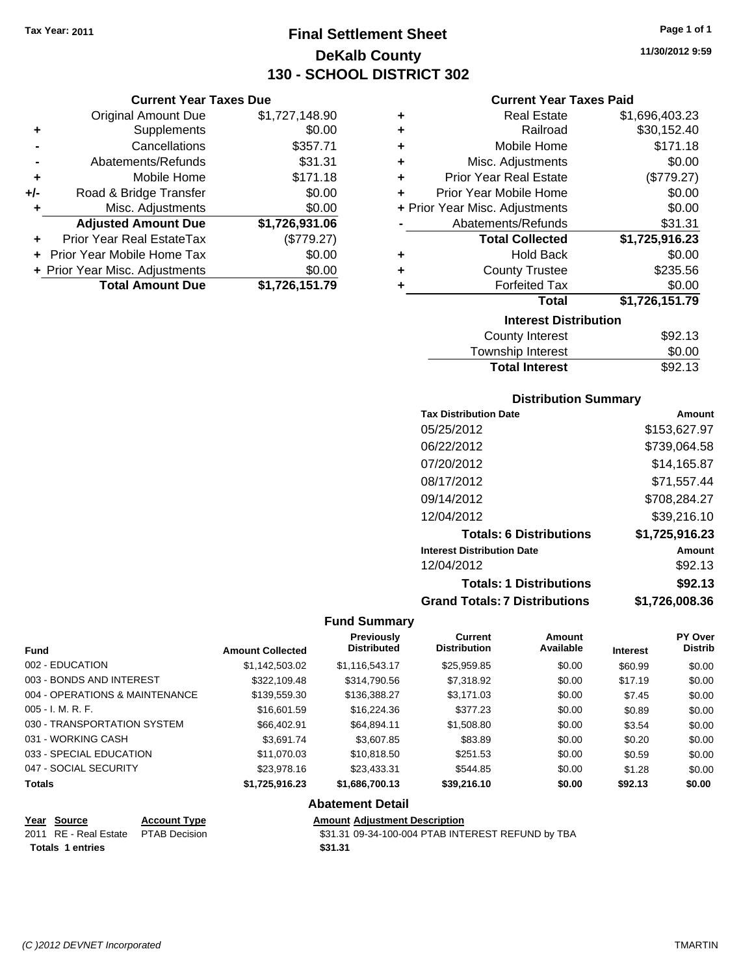Original Amount Due

**Adjusted Amount Due** 

**Total Amount Due** 

**+** Supplements **-** Cancellations **-** Abatements/Refunds **+** Mobile Home **+/-** Road & Bridge Transfer **+** Misc. Adjustments

**+** Prior Year Real EstateTax **+** Prior Year Mobile Home Tax **+ Prior Year Misc. Adjustments** 

# **Final Settlement Sheet Tax Year: 2011 Page 1 of 1 DeKalb County 130 - SCHOOL DISTRICT 302**

**11/30/2012 9:59**

#### **Current Year Taxes Paid**

| <b>Current Year Taxes Due</b> |                |           | <b>Current Year Taxes Paid</b> |                |
|-------------------------------|----------------|-----------|--------------------------------|----------------|
| ll Amount Due                 | \$1,727,148.90 | ٠         | <b>Real Estate</b>             | \$1,696,403.23 |
| Supplements                   | \$0.00         | ÷         | Railroad                       | \$30,152.40    |
| Cancellations                 | \$357.71       | ÷         | Mobile Home                    | \$171.18       |
| าents/Refunds                 | \$31.31        | ÷         | Misc. Adjustments              | \$0.00         |
| Mobile Home                   | \$171.18       | ÷         | <b>Prior Year Real Estate</b>  | (\$779.27)     |
| ridge Transfer                | \$0.00         | ÷         | Prior Year Mobile Home         | \$0.00         |
| . Adjustments                 | \$0.00         |           | + Prior Year Misc. Adjustments | \$0.00         |
| <b>Amount Due</b>             | \$1,726,931.06 |           | Abatements/Refunds             | \$31.31        |
| eal EstateTax                 | (\$779.27)     |           | <b>Total Collected</b>         | \$1,725,916.23 |
| pile Home Tax                 | \$0.00         | ÷         | <b>Hold Back</b>               | \$0.00         |
| . Adjustments                 | \$0.00         | $\ddot{}$ | <b>County Trustee</b>          | \$235.56       |
| <b>Amount Due</b>             | \$1,726,151.79 |           | <b>Forfeited Tax</b>           | \$0.00         |
|                               |                |           | <b>Total</b>                   | \$1,726,151.79 |
|                               |                |           | <b>Interest Distribution</b>   |                |

| IIIGIGSL PISLINULIUII |         |
|-----------------------|---------|
| County Interest       | \$92.13 |
| Township Interest     | \$0.00  |
| <b>Total Interest</b> | \$92.13 |
|                       |         |

#### **Distribution Summary**

| <b>Tax Distribution Date</b>         | Amount         |
|--------------------------------------|----------------|
| 05/25/2012                           | \$153,627.97   |
| 06/22/2012                           | \$739,064.58   |
| 07/20/2012                           | \$14.165.87    |
| 08/17/2012                           | \$71,557.44    |
| 09/14/2012                           | \$708,284.27   |
| 12/04/2012                           | \$39,216.10    |
| <b>Totals: 6 Distributions</b>       | \$1,725,916.23 |
| <b>Interest Distribution Date</b>    | Amount         |
| 12/04/2012                           | \$92.13        |
| <b>Totals: 1 Distributions</b>       | \$92.13        |
| <b>Grand Totals: 7 Distributions</b> | \$1,726,008.36 |

#### **Fund Summary**

| <b>Fund</b>                    | <b>Amount Collected</b> | <b>Previously</b><br><b>Distributed</b> | <b>Current</b><br><b>Distribution</b> | Amount<br>Available | <b>Interest</b> | <b>PY Over</b><br><b>Distrib</b> |
|--------------------------------|-------------------------|-----------------------------------------|---------------------------------------|---------------------|-----------------|----------------------------------|
| 002 - EDUCATION                | \$1.142.503.02          | \$1,116,543.17                          | \$25,959.85                           | \$0.00              | \$60.99         | \$0.00                           |
| 003 - BONDS AND INTEREST       | \$322,109.48            | \$314,790.56                            | \$7,318.92                            | \$0.00              | \$17.19         | \$0.00                           |
| 004 - OPERATIONS & MAINTENANCE | \$139,559.30            | \$136,388.27                            | \$3,171.03                            | \$0.00              | \$7.45          | \$0.00                           |
| $005 - I. M. R. F.$            | \$16,601.59             | \$16,224.36                             | \$377.23                              | \$0.00              | \$0.89          | \$0.00                           |
| 030 - TRANSPORTATION SYSTEM    | \$66,402.91             | \$64.894.11                             | \$1,508.80                            | \$0.00              | \$3.54          | \$0.00                           |
| 031 - WORKING CASH             | \$3.691.74              | \$3,607.85                              | \$83.89                               | \$0.00              | \$0.20          | \$0.00                           |
| 033 - SPECIAL EDUCATION        | \$11.070.03             | \$10,818,50                             | \$251.53                              | \$0.00              | \$0.59          | \$0.00                           |
| 047 - SOCIAL SECURITY          | \$23,978.16             | \$23,433,31                             | \$544.85                              | \$0.00              | \$1.28          | \$0.00                           |
| <b>Totals</b>                  | \$1,725,916.23          | \$1,686,700.13                          | \$39,216.10                           | \$0.00              | \$92.13         | \$0.00                           |

#### **Abatement Detail**

| Year Source      | <b>Account Type</b>                 | <b>Amount Adjustment Description</b>              |
|------------------|-------------------------------------|---------------------------------------------------|
|                  | 2011 RE - Real Estate PTAB Decision | \$31.31 09-34-100-004 PTAB INTEREST REFUND by TBA |
| Totals 1 entries |                                     | \$31.31                                           |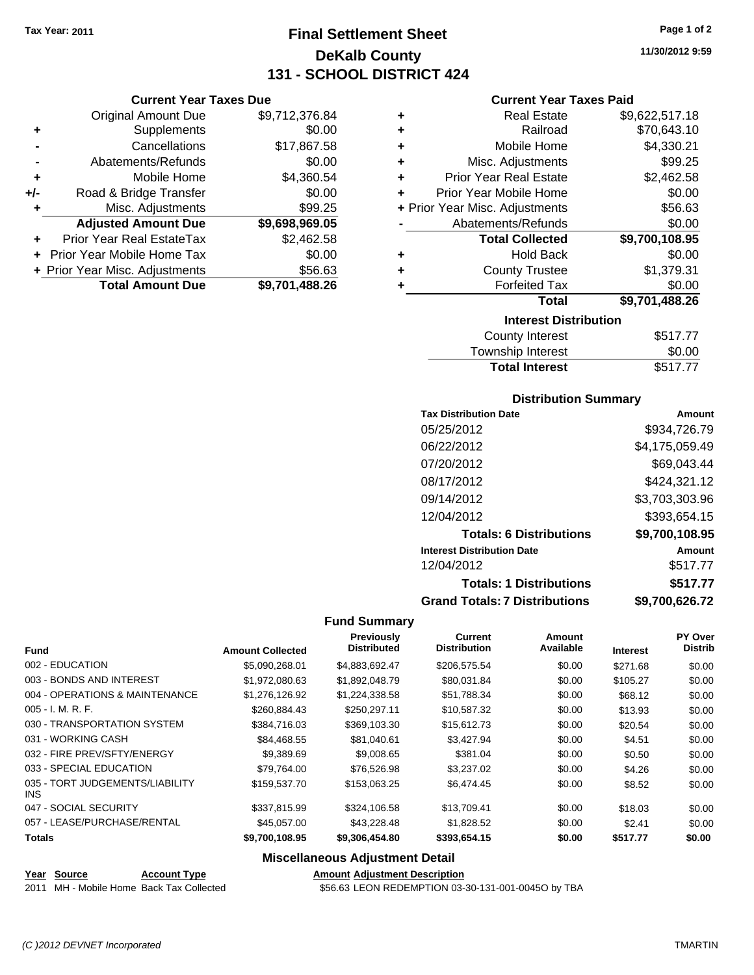**Current Year Taxes Due** Original Amount Due \$9,712,376.84

**Adjusted Amount Due \$9,698,969.05**

**Total Amount Due \$9,701,488.26**

**+** Supplements \$0.00 **-** Cancellations \$17,867.58 **-** Abatements/Refunds \$0.00 **+** Mobile Home \$4,360.54 **+/-** Road & Bridge Transfer \$0.00 **+** Misc. Adjustments \$99.25

**+** Prior Year Real EstateTax \$2,462.58 **+** Prior Year Mobile Home Tax \$0.00 **+** Prior Year Misc. Adjustments \$56.63

# **Final Settlement Sheet Tax Year: 2011 Page 1 of 2 DeKalb County 131 - SCHOOL DISTRICT 424**

#### **Current Year Taxes Paid**

| ٠ | <b>Real Estate</b>             | \$9,622,517.18 |  |  |  |
|---|--------------------------------|----------------|--|--|--|
| ٠ | Railroad                       | \$70,643.10    |  |  |  |
| ٠ | Mobile Home                    | \$4,330.21     |  |  |  |
| ٠ | Misc. Adjustments              | \$99.25        |  |  |  |
| ÷ | <b>Prior Year Real Estate</b>  | \$2,462.58     |  |  |  |
| ÷ | Prior Year Mobile Home         | \$0.00         |  |  |  |
|   | + Prior Year Misc. Adjustments | \$56.63        |  |  |  |
|   | Abatements/Refunds             | \$0.00         |  |  |  |
|   | <b>Total Collected</b>         | \$9,700,108.95 |  |  |  |
| ٠ | <b>Hold Back</b>               | \$0.00         |  |  |  |
| ٠ | <b>County Trustee</b>          | \$1,379.31     |  |  |  |
| ٠ | <b>Forfeited Tax</b>           | \$0.00         |  |  |  |
|   | <b>Total</b>                   | \$9,701,488.26 |  |  |  |
|   | <b>Interest Distribution</b>   |                |  |  |  |
|   | County Interest                | \$517.77       |  |  |  |

| <b>Total Interest</b>  | \$517.77 |
|------------------------|----------|
| Township Interest      | \$0.00   |
| <b>County Interest</b> | \$517.77 |

#### **Distribution Summary**

| <b>Tax Distribution Date</b>         | Amount         |
|--------------------------------------|----------------|
| 05/25/2012                           | \$934,726.79   |
| 06/22/2012                           | \$4,175,059.49 |
| 07/20/2012                           | \$69,043.44    |
| 08/17/2012                           | \$424,321.12   |
| 09/14/2012                           | \$3,703,303.96 |
| 12/04/2012                           | \$393,654.15   |
| <b>Totals: 6 Distributions</b>       | \$9,700,108.95 |
| <b>Interest Distribution Date</b>    | Amount         |
| 12/04/2012                           | \$517.77       |
| <b>Totals: 1 Distributions</b>       | \$517.77       |
| <b>Grand Totals: 7 Distributions</b> | \$9,700,626.72 |

#### **Fund Summary**

|                                         |                         | Previously<br><b>Distributed</b> | <b>Current</b><br><b>Distribution</b> | Amount<br>Available |                 | PY Over<br><b>Distrib</b> |
|-----------------------------------------|-------------------------|----------------------------------|---------------------------------------|---------------------|-----------------|---------------------------|
| <b>Fund</b>                             | <b>Amount Collected</b> |                                  |                                       |                     | <b>Interest</b> |                           |
| 002 - EDUCATION                         | \$5,090,268.01          | \$4,883,692.47                   | \$206,575.54                          | \$0.00              | \$271.68        | \$0.00                    |
| 003 - BONDS AND INTEREST                | \$1,972,080.63          | \$1,892,048.79                   | \$80,031.84                           | \$0.00              | \$105.27        | \$0.00                    |
| 004 - OPERATIONS & MAINTENANCE          | \$1,276,126.92          | \$1,224,338.58                   | \$51,788.34                           | \$0.00              | \$68.12         | \$0.00                    |
| 005 - I. M. R. F.                       | \$260,884.43            | \$250,297.11                     | \$10,587.32                           | \$0.00              | \$13.93         | \$0.00                    |
| 030 - TRANSPORTATION SYSTEM             | \$384.716.03            | \$369,103.30                     | \$15,612.73                           | \$0.00              | \$20.54         | \$0.00                    |
| 031 - WORKING CASH                      | \$84.468.55             | \$81,040.61                      | \$3,427.94                            | \$0.00              | \$4.51          | \$0.00                    |
| 032 - FIRE PREV/SFTY/ENERGY             | \$9,389.69              | \$9,008.65                       | \$381.04                              | \$0.00              | \$0.50          | \$0.00                    |
| 033 - SPECIAL EDUCATION                 | \$79,764.00             | \$76,526.98                      | \$3,237.02                            | \$0.00              | \$4.26          | \$0.00                    |
| 035 - TORT JUDGEMENTS/LIABILITY<br>INS. | \$159,537.70            | \$153,063.25                     | \$6,474.45                            | \$0.00              | \$8.52          | \$0.00                    |
| 047 - SOCIAL SECURITY                   | \$337.815.99            | \$324,106.58                     | \$13,709.41                           | \$0.00              | \$18.03         | \$0.00                    |
| 057 - LEASE/PURCHASE/RENTAL             | \$45,057.00             | \$43,228.48                      | \$1,828.52                            | \$0.00              | \$2.41          | \$0.00                    |
| <b>Totals</b>                           | \$9,700,108.95          | \$9,306,454.80                   | \$393,654.15                          | \$0.00              | \$517.77        | \$0.00                    |

#### **Miscellaneous Adjustment Detail**

**Year Source Account Type Amount Adjustment Description**

\$56.63 LEON REDEMPTION 03-30-131-001-0045O by TBA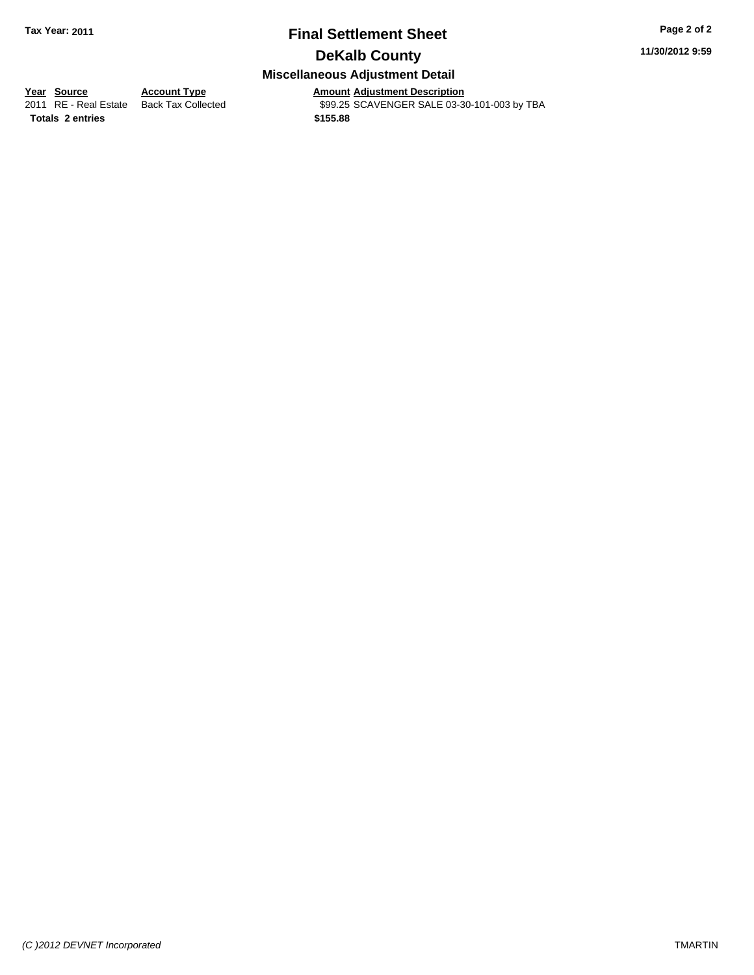# **Final Settlement Sheet Tax Year: 2011 Page 2 of 2 DeKalb County**

**11/30/2012 9:59**

## **Miscellaneous Adjustment Detail**

**<u>Year Source</u> Account Type**<br> **Account Type Adding Description** 

Amount Adjustment Description<br>\$99.25 SCAVENGER SALE 03-30-101-003 by TBA

**Totals \$155.88 2 entries**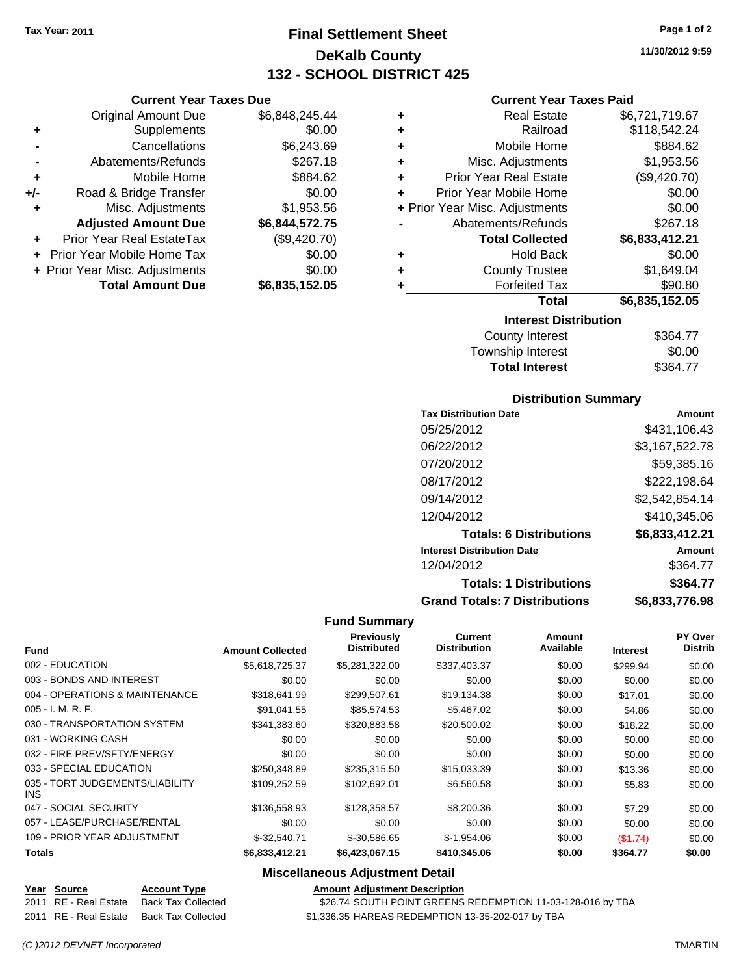# **Final Settlement Sheet Tax Year: 2011 Page 1 of 2 DeKalb County 132 - SCHOOL DISTRICT 425**

**11/30/2012 9:59**

#### **Current Year Taxes Paid**

| <b>Real Estate</b><br>٠            | \$6,721,719.67                 |
|------------------------------------|--------------------------------|
| Railroad<br>÷                      | \$118,542.24                   |
| Mobile Home<br>÷                   | \$884.62                       |
| Misc. Adjustments<br>÷             | \$1,953.56                     |
| <b>Prior Year Real Estate</b><br>÷ | (\$9,420.70)                   |
| Prior Year Mobile Home<br>÷        | \$0.00                         |
| + Prior Year Misc. Adjustments     | \$0.00                         |
| Abatements/Refunds                 | \$267.18                       |
| <b>Total Collected</b>             | \$6,833,412.21                 |
| <b>Hold Back</b><br>٠              | \$0.00                         |
| <b>County Trustee</b><br>٠         | \$1,649.04                     |
| <b>Forfeited Tax</b><br>٠          | \$90.80                        |
|                                    | \$6,835,152.05<br><b>Total</b> |
|                                    | <b>Interest Distribution</b>   |
| County Interest                    | S364 77\$                      |

| County Interest       | \$364.77 |
|-----------------------|----------|
| Township Interest     | \$0.00   |
| <b>Total Interest</b> | \$364.77 |

#### **Distribution Summary**

| <b>Tax Distribution Date</b>         | Amount         |
|--------------------------------------|----------------|
| 05/25/2012                           | \$431.106.43   |
| 06/22/2012                           | \$3,167,522.78 |
| 07/20/2012                           | \$59,385.16    |
| 08/17/2012                           | \$222,198.64   |
| 09/14/2012                           | \$2,542,854.14 |
| 12/04/2012                           | \$410,345.06   |
| <b>Totals: 6 Distributions</b>       | \$6,833,412.21 |
| <b>Interest Distribution Date</b>    | Amount         |
| 12/04/2012                           | \$364.77       |
| <b>Totals: 1 Distributions</b>       | \$364.77       |
| <b>Grand Totals: 7 Distributions</b> | \$6,833,776.98 |

#### **Fund Summary**

| <b>Fund</b>                             | <b>Amount Collected</b> | Previously<br><b>Distributed</b> | <b>Current</b><br><b>Distribution</b> | Amount<br>Available | <b>Interest</b> | PY Over<br><b>Distrib</b> |
|-----------------------------------------|-------------------------|----------------------------------|---------------------------------------|---------------------|-----------------|---------------------------|
| 002 - EDUCATION                         | \$5,618,725.37          | \$5,281,322.00                   | \$337,403.37                          | \$0.00              | \$299.94        | \$0.00                    |
| 003 - BONDS AND INTEREST                | \$0.00                  | \$0.00                           | \$0.00                                | \$0.00              | \$0.00          | \$0.00                    |
| 004 - OPERATIONS & MAINTENANCE          | \$318,641.99            | \$299,507.61                     | \$19,134.38                           | \$0.00              | \$17.01         | \$0.00                    |
| $005 - I. M. R. F.$                     | \$91,041.55             | \$85,574.53                      | \$5,467.02                            | \$0.00              | \$4.86          | \$0.00                    |
| 030 - TRANSPORTATION SYSTEM             | \$341,383.60            | \$320,883.58                     | \$20,500.02                           | \$0.00              | \$18.22         | \$0.00                    |
| 031 - WORKING CASH                      | \$0.00                  | \$0.00                           | \$0.00                                | \$0.00              | \$0.00          | \$0.00                    |
| 032 - FIRE PREV/SFTY/ENERGY             | \$0.00                  | \$0.00                           | \$0.00                                | \$0.00              | \$0.00          | \$0.00                    |
| 033 - SPECIAL EDUCATION                 | \$250,348.89            | \$235,315.50                     | \$15,033.39                           | \$0.00              | \$13.36         | \$0.00                    |
| 035 - TORT JUDGEMENTS/LIABILITY<br>INS. | \$109.252.59            | \$102,692.01                     | \$6,560.58                            | \$0.00              | \$5.83          | \$0.00                    |
| 047 - SOCIAL SECURITY                   | \$136,558.93            | \$128,358.57                     | \$8,200.36                            | \$0.00              | \$7.29          | \$0.00                    |
| 057 - LEASE/PURCHASE/RENTAL             | \$0.00                  | \$0.00                           | \$0.00                                | \$0.00              | \$0.00          | \$0.00                    |
| 109 - PRIOR YEAR ADJUSTMENT             | $$-32,540.71$           | \$-30,586.65                     | $$-1,954.06$                          | \$0.00              | (\$1.74)        | \$0.00                    |
| <b>Totals</b>                           | \$6,833,412.21          | \$6,423,067.15                   | \$410,345.06                          | \$0.00              | \$364.77        | \$0.00                    |

## **Miscellaneous Adjustment Detail**

**Year Source Account Type Amount Adjustment Description** \$26.74 SOUTH POINT GREENS REDEMPTION 11-03-128-016 by TBA

2011 RE - Real Estate Back Tax Collected \$1,336.35 HAREAS REDEMPTION 13-35-202-017 by TBA

**Current Year Taxes Due** Original Amount Due \$6,848,245.44 **+** Supplements \$0.00 **-** Cancellations \$6,243.69 **-** Abatements/Refunds \$267.18 **+** Mobile Home \$884.62 **+/-** Road & Bridge Transfer \$0.00 **+** Misc. Adjustments \$1,953.56 **Adjusted Amount Due \$6,844,572.75 +** Prior Year Real EstateTax (\$9,420.70) **+** Prior Year Mobile Home Tax \$0.00 **+ Prior Year Misc. Adjustments**  $$0.00$ **Total Amount Due \$6,835,152.05**

*(C )2012 DEVNET Incorporated* TMARTIN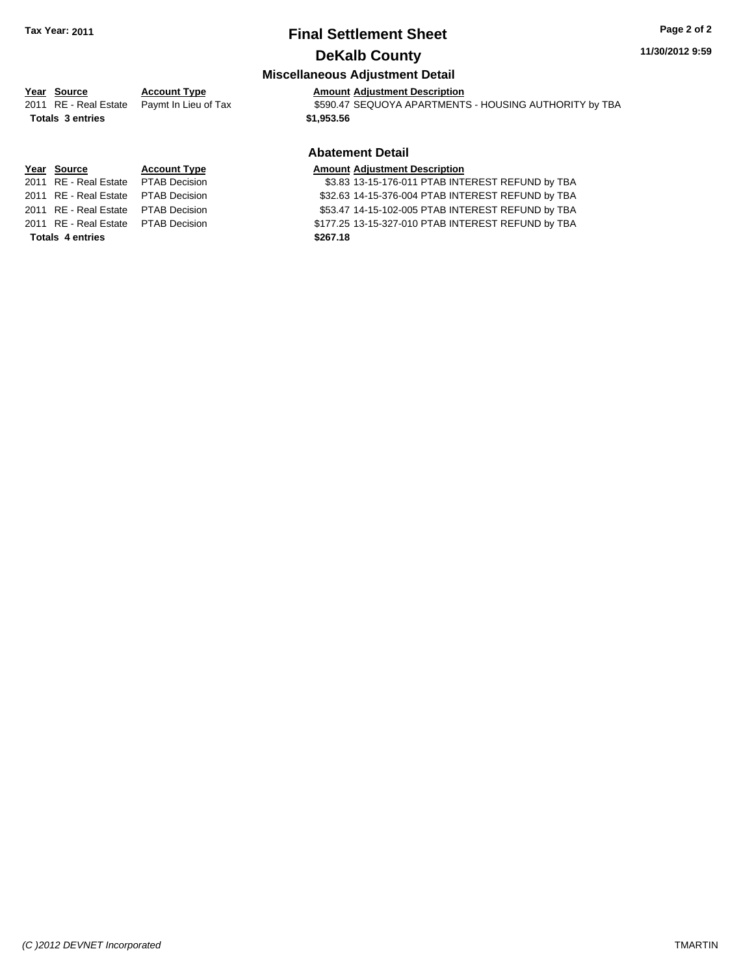# **Final Settlement Sheet Tax Year: 2011 Page 2 of 2 DeKalb County**

#### **11/30/2012 9:59**

## **Miscellaneous Adjustment Detail**

# **Year Source Account Type Amount Adjustment Description**

2011 RE - Real Estate Paymt In Lieu of Tax S590.47 SEQUOYA APARTMENTS - HOUSING AUTHORITY by TBA

## **Abatement Detail**

2011 RE - Real Estate \$3.83 13-15-176-011 PTAB INTEREST REFUND by TBA PTAB Decision 2011 RE - Real Estate \$32.63 14-15-376-004 PTAB INTEREST REFUND by TBA PTAB Decision 2011 RE - Real Estate \$53.47 14-15-102-005 PTAB INTEREST REFUND by TBA PTAB Decision 2011 RE - Real Estate \$177.25 13-15-327-010 PTAB INTEREST REFUND by TBA PTAB Decision

**Totals \$1,953.56 3 entries**

# **Year Source Account Type Amount Adjustment Description**

**Totals \$267.18 4 entries**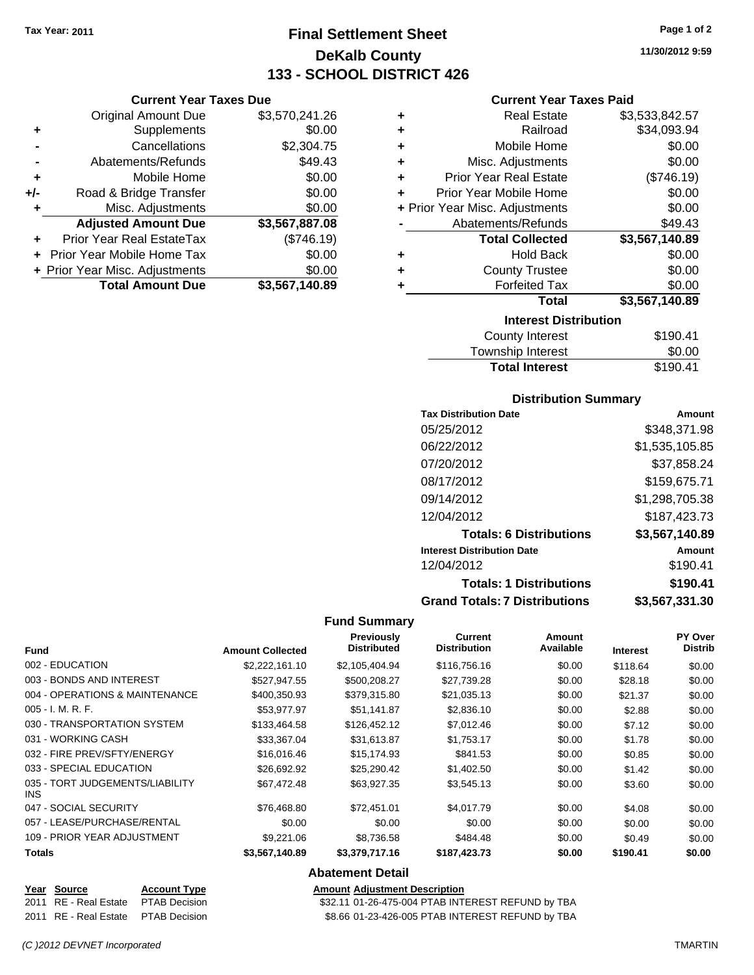**Current Year Taxes Due** Original Amount Due \$3,570,241.26

**Adjusted Amount Due \$3,567,887.08**

**Total Amount Due \$3,567,140.89**

**+** Supplements \$0.00 **-** Cancellations \$2,304.75 **-** Abatements/Refunds \$49.43 **+** Mobile Home \$0.00 **+/-** Road & Bridge Transfer \$0.00 **+** Misc. Adjustments \$0.00

**+** Prior Year Real EstateTax (\$746.19) **+** Prior Year Mobile Home Tax \$0.00 **+ Prior Year Misc. Adjustments**  $$0.00$ 

# **Final Settlement Sheet Tax Year: 2011 Page 1 of 2 DeKalb County 133 - SCHOOL DISTRICT 426**

**11/30/2012 9:59**

#### **Current Year Taxes Paid**

| ٠ | <b>Real Estate</b>             | \$3,533,842.57 |  |  |
|---|--------------------------------|----------------|--|--|
| ٠ | Railroad                       | \$34,093.94    |  |  |
| ٠ | Mobile Home                    | \$0.00         |  |  |
| ÷ | Misc. Adjustments              | \$0.00         |  |  |
| ÷ | <b>Prior Year Real Estate</b>  | (\$746.19)     |  |  |
| ٠ | Prior Year Mobile Home         | \$0.00         |  |  |
|   | + Prior Year Misc. Adjustments | \$0.00         |  |  |
|   | Abatements/Refunds             | \$49.43        |  |  |
|   | <b>Total Collected</b>         | \$3,567,140.89 |  |  |
| ٠ | <b>Hold Back</b>               | \$0.00         |  |  |
| ٠ | <b>County Trustee</b>          | \$0.00         |  |  |
| ٠ | <b>Forfeited Tax</b>           | \$0.00         |  |  |
|   | <b>Total</b>                   | \$3,567,140.89 |  |  |
|   | <b>Interest Distribution</b>   |                |  |  |
|   | <b>County Interest</b>         | \$190.41       |  |  |

| <b>Total Interest</b>  | \$190.41 |
|------------------------|----------|
| Township Interest      | \$0.00   |
| <b>County Interest</b> | \$190.41 |

#### **Distribution Summary**

| <b>Tax Distribution Date</b>         | Amount         |
|--------------------------------------|----------------|
| 05/25/2012                           | \$348,371.98   |
| 06/22/2012                           | \$1,535,105.85 |
| 07/20/2012                           | \$37,858.24    |
| 08/17/2012                           | \$159,675.71   |
| 09/14/2012                           | \$1,298,705.38 |
| 12/04/2012                           | \$187,423.73   |
| <b>Totals: 6 Distributions</b>       | \$3,567,140.89 |
| <b>Interest Distribution Date</b>    | Amount         |
| 12/04/2012                           | \$190.41       |
| <b>Totals: 1 Distributions</b>       | \$190.41       |
| <b>Grand Totals: 7 Distributions</b> | \$3,567,331.30 |

#### **Fund Summary**

| <b>Fund</b>                                   | <b>Amount Collected</b> | <b>Previously</b><br><b>Distributed</b> | <b>Current</b><br><b>Distribution</b> | Amount<br>Available | <b>Interest</b> | PY Over<br><b>Distrib</b> |
|-----------------------------------------------|-------------------------|-----------------------------------------|---------------------------------------|---------------------|-----------------|---------------------------|
| 002 - EDUCATION                               | \$2,222,161.10          | \$2,105,404.94                          | \$116,756.16                          | \$0.00              | \$118.64        | \$0.00                    |
| 003 - BONDS AND INTEREST                      | \$527.947.55            | \$500.208.27                            | \$27.739.28                           | \$0.00              | \$28.18         | \$0.00                    |
| 004 - OPERATIONS & MAINTENANCE                | \$400,350.93            | \$379,315.80                            | \$21,035.13                           | \$0.00              | \$21.37         | \$0.00                    |
| $005 - I. M. R. F.$                           | \$53,977.97             | \$51,141.87                             | \$2,836.10                            | \$0.00              | \$2.88          | \$0.00                    |
| 030 - TRANSPORTATION SYSTEM                   | \$133,464.58            | \$126,452.12                            | \$7,012.46                            | \$0.00              | \$7.12          | \$0.00                    |
| 031 - WORKING CASH                            | \$33.367.04             | \$31,613.87                             | \$1,753.17                            | \$0.00              | \$1.78          | \$0.00                    |
| 032 - FIRE PREV/SFTY/ENERGY                   | \$16,016.46             | \$15,174.93                             | \$841.53                              | \$0.00              | \$0.85          | \$0.00                    |
| 033 - SPECIAL EDUCATION                       | \$26,692.92             | \$25.290.42                             | \$1,402.50                            | \$0.00              | \$1.42          | \$0.00                    |
| 035 - TORT JUDGEMENTS/LIABILITY<br><b>INS</b> | \$67,472.48             | \$63,927.35                             | \$3,545.13                            | \$0.00              | \$3.60          | \$0.00                    |
| 047 - SOCIAL SECURITY                         | \$76,468.80             | \$72.451.01                             | \$4.017.79                            | \$0.00              | \$4.08          | \$0.00                    |
| 057 - LEASE/PURCHASE/RENTAL                   | \$0.00                  | \$0.00                                  | \$0.00                                | \$0.00              | \$0.00          | \$0.00                    |
| 109 - PRIOR YEAR ADJUSTMENT                   | \$9,221.06              | \$8,736.58                              | \$484.48                              | \$0.00              | \$0.49          | \$0.00                    |
| <b>Totals</b>                                 | \$3,567,140.89          | \$3,379,717.16                          | \$187,423.73                          | \$0.00              | \$190.41        | \$0.00                    |

| <b>Abatement Detail</b> |  |
|-------------------------|--|
|-------------------------|--|

**Year Source Account Type Amount Adjustment Description**

\$32.11 01-26-475-004 PTAB INTEREST REFUND by TBA 2011 RE - Real Estate \$8.66 01-23-426-005 PTAB INTEREST REFUND by TBA PTAB Decision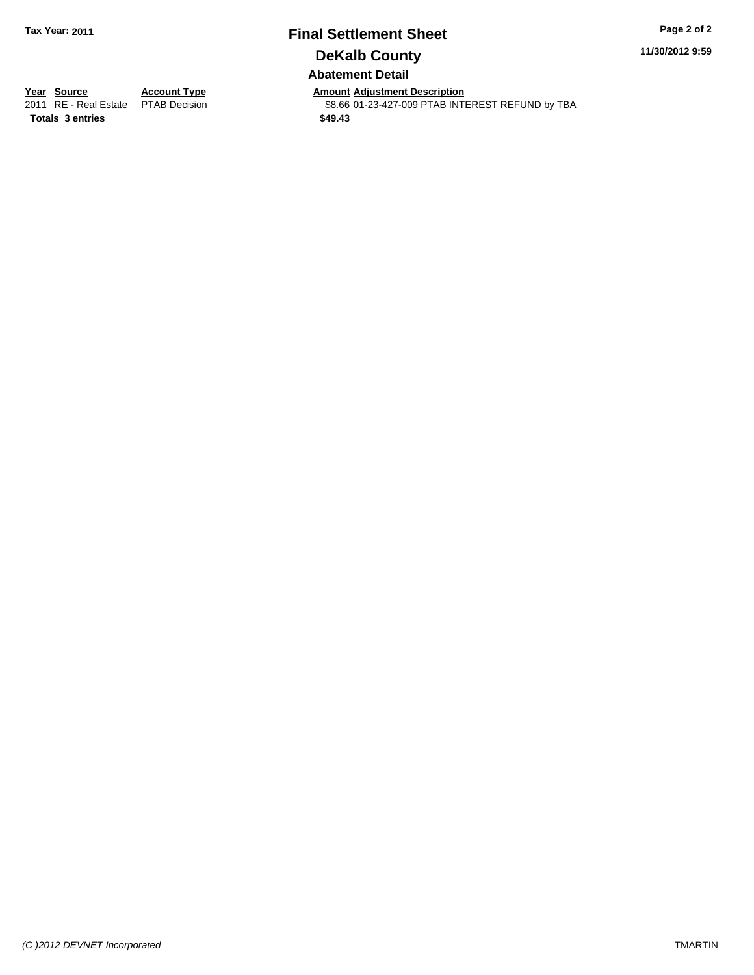# **Final Settlement Sheet Tax Year: 2011 Page 2 of 2 DeKalb County Abatement Detail**

**11/30/2012 9:59**

**Totals \$49.43 3 entries**

**Year Source Account Type Amount Adjustment Description**<br>2011 RE - Real Estate PTAB Decision **Amount** \$8.66 01-23-427-009 PTAB INTI \$8.66 01-23-427-009 PTAB INTEREST REFUND by TBA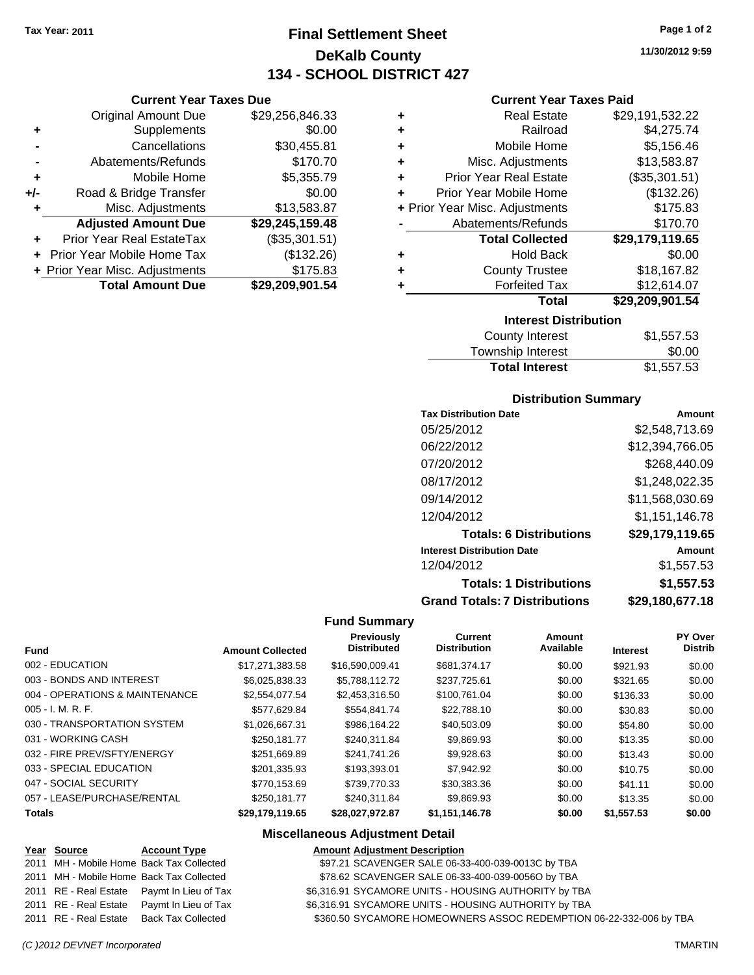**Current Year Taxes Due** Original Amount Due \$29,256,846.33

**Adjusted Amount Due \$29,245,159.48**

**Total Amount Due \$29,209,901.54**

**+** Supplements \$0.00 **-** Cancellations \$30,455.81 **-** Abatements/Refunds \$170.70 **+** Mobile Home \$5,355.79 **+/-** Road & Bridge Transfer \$0.00 **+** Misc. Adjustments \$13,583.87

**+** Prior Year Real EstateTax (\$35,301.51) **+** Prior Year Mobile Home Tax (\$132.26) **+ Prior Year Misc. Adjustments \$175.83** 

# **Final Settlement Sheet Tax Year: 2011 Page 1 of 2 DeKalb County 134 - SCHOOL DISTRICT 427**

**11/30/2012 9:59**

#### **Current Year Taxes Paid**

| <b>Interest Distribution</b>   |                               |                 |  |  |
|--------------------------------|-------------------------------|-----------------|--|--|
|                                | Total                         | \$29,209,901.54 |  |  |
| ٠                              | <b>Forfeited Tax</b>          | \$12,614.07     |  |  |
| ÷                              | <b>County Trustee</b>         | \$18,167.82     |  |  |
| ٠                              | <b>Hold Back</b>              | \$0.00          |  |  |
|                                | <b>Total Collected</b>        | \$29,179,119.65 |  |  |
|                                | Abatements/Refunds            | \$170.70        |  |  |
| + Prior Year Misc. Adjustments |                               | \$175.83        |  |  |
| ÷                              | Prior Year Mobile Home        | (\$132.26)      |  |  |
| ÷                              | <b>Prior Year Real Estate</b> | (\$35,301.51)   |  |  |
| ٠                              | Misc. Adjustments             | \$13,583.87     |  |  |
| ٠                              | Mobile Home                   | \$5,156.46      |  |  |
| ÷                              | Railroad                      | \$4,275.74      |  |  |
| ٠                              | <b>Real Estate</b>            | \$29,191,532.22 |  |  |
|                                |                               |                 |  |  |

| County Interest       | \$1,557.53 |
|-----------------------|------------|
| Township Interest     | \$0.00     |
| <b>Total Interest</b> | \$1,557.53 |

#### **Distribution Summary**

| <b>Tax Distribution Date</b>         | Amount          |
|--------------------------------------|-----------------|
| 05/25/2012                           | \$2,548,713.69  |
| 06/22/2012                           | \$12,394,766.05 |
| 07/20/2012                           | \$268,440.09    |
| 08/17/2012                           | \$1,248,022.35  |
| 09/14/2012                           | \$11,568,030.69 |
| 12/04/2012                           | \$1,151,146.78  |
| <b>Totals: 6 Distributions</b>       | \$29,179,119.65 |
| <b>Interest Distribution Date</b>    | Amount          |
| 12/04/2012                           | \$1,557.53      |
| <b>Totals: 1 Distributions</b>       | \$1,557.53      |
| <b>Grand Totals: 7 Distributions</b> | \$29,180,677.18 |
|                                      |                 |

#### **Fund Summary**

| <b>Fund</b>                    | <b>Amount Collected</b> | <b>Previously</b><br><b>Distributed</b> | Current<br><b>Distribution</b> | Amount<br>Available | <b>Interest</b> | PY Over<br><b>Distrib</b> |
|--------------------------------|-------------------------|-----------------------------------------|--------------------------------|---------------------|-----------------|---------------------------|
| 002 - EDUCATION                | \$17,271,383.58         | \$16,590,009.41                         | \$681,374.17                   | \$0.00              | \$921.93        | \$0.00                    |
| 003 - BONDS AND INTEREST       | \$6,025,838.33          | \$5,788,112.72                          | \$237,725.61                   | \$0.00              | \$321.65        | \$0.00                    |
| 004 - OPERATIONS & MAINTENANCE | \$2,554,077.54          | \$2,453,316.50                          | \$100,761.04                   | \$0.00              | \$136.33        | \$0.00                    |
| $005 - I. M. R. F.$            | \$577.629.84            | \$554.841.74                            | \$22,788.10                    | \$0.00              | \$30.83         | \$0.00                    |
| 030 - TRANSPORTATION SYSTEM    | \$1,026,667.31          | \$986.164.22                            | \$40,503,09                    | \$0.00              | \$54.80         | \$0.00                    |
| 031 - WORKING CASH             | \$250.181.77            | \$240.311.84                            | \$9.869.93                     | \$0.00              | \$13.35         | \$0.00                    |
| 032 - FIRE PREV/SFTY/ENERGY    | \$251.669.89            | \$241.741.26                            | \$9,928.63                     | \$0.00              | \$13.43         | \$0.00                    |
| 033 - SPECIAL EDUCATION        | \$201.335.93            | \$193.393.01                            | \$7,942.92                     | \$0.00              | \$10.75         | \$0.00                    |
| 047 - SOCIAL SECURITY          | \$770.153.69            | \$739,770.33                            | \$30.383.36                    | \$0.00              | \$41.11         | \$0.00                    |
| 057 - LEASE/PURCHASE/RENTAL    | \$250.181.77            | \$240.311.84                            | \$9.869.93                     | \$0.00              | \$13.35         | \$0.00                    |
| <b>Totals</b>                  | \$29.179.119.65         | \$28.027.972.87                         | \$1.151.146.78                 | \$0.00              | \$1,557.53      | \$0.00                    |

#### **Miscellaneous Adjustment Detail**

#### **Year Source Account Type Amount Adjustment Description** 2011 MH - Mobile Home Back Tax Collected **697.21 SCAVENGER SALE 06-33-400-039-0013C by TBA** 2011 MH - Mobile Home Back Tax Collected \$78.62 SCAVENGER SALE 06-33-400-039-0056O by TBA 2011 RE - Real Estate Paymt In Lieu of Tax \$6,316.91 SYCAMORE UNITS - HOUSING AUTHORITY by TBA 2011 RE - Real Estate Paymt In Lieu of Tax \$6,316.91 SYCAMORE UNITS - HOUSING AUTHORITY by TBA 2011 RE - Real Estate Back Tax Collected \$360.50 SYCAMORE HOMEOWNERS ASSOC REDEMPTION 06-22-332-006 by TBA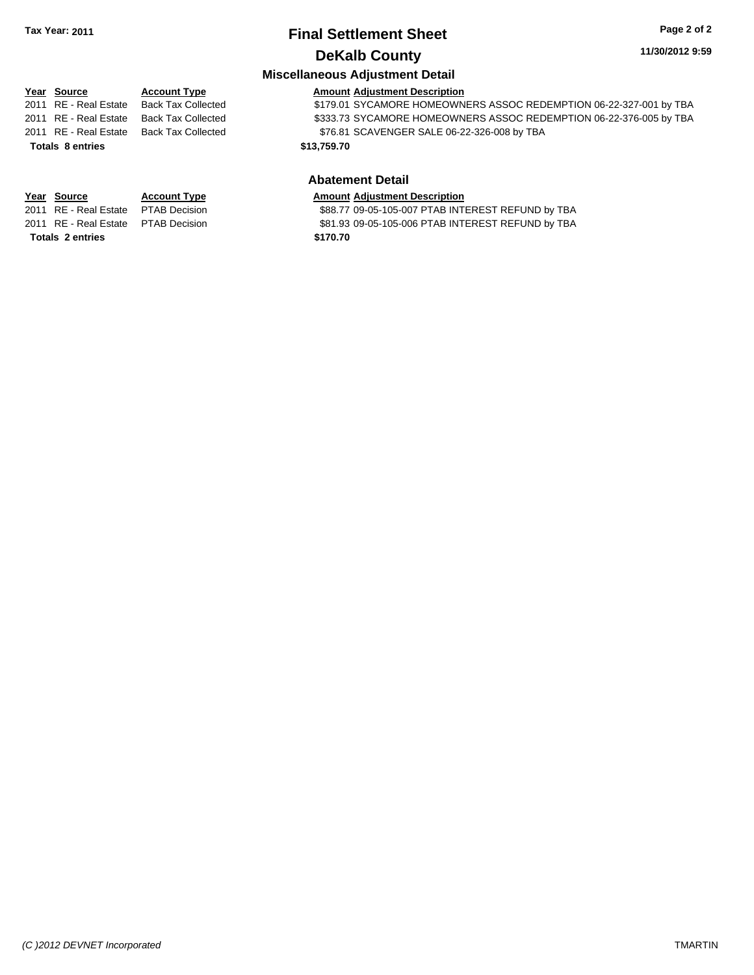# **Final Settlement Sheet Tax Year: 2011 Page 2 of 2 DeKalb County**

**Miscellaneous Adjustment Detail**

#### **11/30/2012 9:59**

#### **Year Source Account Type Amount Adjustment Description** 2011 RE - Real Estate Back Tax Collected \$179.01 SYCAMORE HOMEOWNERS ASSOC REDEMPTION 06-22-327-001 by TBA 2011 RE - Real Estate Back Tax Collected \$333.73 SYCAMORE HOMEOWNERS ASSOC REDEMPTION 06-22-376-005 by TBA 2011 RE - Real Estate Back Tax Collected \$76.81 SCAVENGER SALE 06-22-326-008 by TBA

# **Totals 8 entries 813,759.70**

**Totals \$170.70 2 entries**

#### **Abatement Detail Year Source Account Type Amount Adjustment Description**

2011 RE - Real Estate \$88.77 09-05-105-007 PTAB INTEREST REFUND by TBA PTAB Decision

2011 RE - Real Estate \$81.93 09-05-105-006 PTAB INTEREST REFUND by TBA PTAB Decision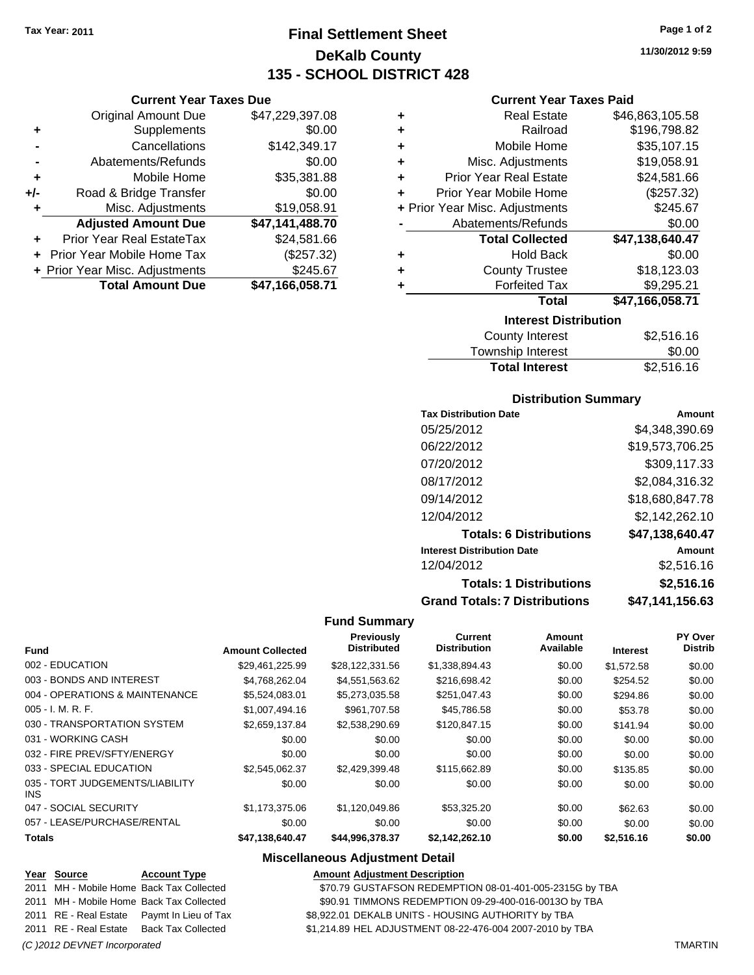**Current Year Taxes Due** Original Amount Due \$47,229,397.08

**Adjusted Amount Due \$47,141,488.70**

**Total Amount Due \$47,166,058.71**

**+** Supplements \$0.00 **-** Cancellations \$142,349.17 **-** Abatements/Refunds \$0.00 **+** Mobile Home \$35,381.88 **+/-** Road & Bridge Transfer \$0.00 **+** Misc. Adjustments \$19,058.91

**+** Prior Year Real EstateTax \$24,581.66 **+** Prior Year Mobile Home Tax (\$257.32) **+ Prior Year Misc. Adjustments \$245.67** 

# **Final Settlement Sheet Tax Year: 2011 Page 1 of 2 DeKalb County 135 - SCHOOL DISTRICT 428**

**11/30/2012 9:59**

#### **Current Year Taxes Paid**

| <b>Interest Distribution</b>       |                 |  |  |  |
|------------------------------------|-----------------|--|--|--|
| <b>Total</b>                       | \$47,166,058.71 |  |  |  |
| <b>Forfeited Tax</b><br>٠          | \$9,295.21      |  |  |  |
| <b>County Trustee</b><br>٠         | \$18,123.03     |  |  |  |
| <b>Hold Back</b><br>٠              | \$0.00          |  |  |  |
| <b>Total Collected</b>             | \$47,138,640.47 |  |  |  |
| Abatements/Refunds                 | \$0.00          |  |  |  |
| + Prior Year Misc. Adjustments     | \$245.67        |  |  |  |
| Prior Year Mobile Home<br>÷        | (\$257.32)      |  |  |  |
| <b>Prior Year Real Estate</b><br>÷ | \$24,581.66     |  |  |  |
| Misc. Adjustments<br>÷             | \$19,058.91     |  |  |  |
| Mobile Home<br>÷                   | \$35,107.15     |  |  |  |
| Railroad<br>٠                      | \$196,798.82    |  |  |  |
| <b>Real Estate</b><br>٠            | \$46,863,105.58 |  |  |  |
|                                    |                 |  |  |  |

| County Interest       | \$2,516.16 |
|-----------------------|------------|
| Township Interest     | \$0.00     |
| <b>Total Interest</b> | \$2,516.16 |

#### **Distribution Summary**

| <b>Tax Distribution Date</b>         | Amount          |
|--------------------------------------|-----------------|
| 05/25/2012                           | \$4,348,390.69  |
| 06/22/2012                           | \$19,573,706.25 |
| 07/20/2012                           | \$309,117.33    |
| 08/17/2012                           | \$2,084,316.32  |
| 09/14/2012                           | \$18,680,847.78 |
| 12/04/2012                           | \$2,142,262.10  |
| <b>Totals: 6 Distributions</b>       | \$47,138,640.47 |
| <b>Interest Distribution Date</b>    | Amount          |
| 12/04/2012                           | \$2,516.16      |
| <b>Totals: 1 Distributions</b>       | \$2,516.16      |
| <b>Grand Totals: 7 Distributions</b> | \$47,141,156.63 |

#### **Fund Summary**

|                                         |                         | <b>Previously</b><br><b>Distributed</b> | <b>Current</b><br><b>Distribution</b> | Amount<br>Available |                 | PY Over<br><b>Distrib</b> |
|-----------------------------------------|-------------------------|-----------------------------------------|---------------------------------------|---------------------|-----------------|---------------------------|
| <b>Fund</b>                             | <b>Amount Collected</b> |                                         |                                       |                     | <b>Interest</b> |                           |
| 002 - EDUCATION                         | \$29,461,225.99         | \$28,122,331.56                         | \$1,338,894.43                        | \$0.00              | \$1,572.58      | \$0.00                    |
| 003 - BONDS AND INTEREST                | \$4,768,262.04          | \$4,551,563.62                          | \$216,698.42                          | \$0.00              | \$254.52        | \$0.00                    |
| 004 - OPERATIONS & MAINTENANCE          | \$5,524,083.01          | \$5,273,035.58                          | \$251,047.43                          | \$0.00              | \$294.86        | \$0.00                    |
| $005 - I. M. R. F.$                     | \$1,007,494.16          | \$961,707.58                            | \$45,786.58                           | \$0.00              | \$53.78         | \$0.00                    |
| 030 - TRANSPORTATION SYSTEM             | \$2,659,137.84          | \$2,538,290.69                          | \$120,847.15                          | \$0.00              | \$141.94        | \$0.00                    |
| 031 - WORKING CASH                      | \$0.00                  | \$0.00                                  | \$0.00                                | \$0.00              | \$0.00          | \$0.00                    |
| 032 - FIRE PREV/SFTY/ENERGY             | \$0.00                  | \$0.00                                  | \$0.00                                | \$0.00              | \$0.00          | \$0.00                    |
| 033 - SPECIAL EDUCATION                 | \$2,545,062.37          | \$2,429,399.48                          | \$115,662.89                          | \$0.00              | \$135.85        | \$0.00                    |
| 035 - TORT JUDGEMENTS/LIABILITY<br>INS. | \$0.00                  | \$0.00                                  | \$0.00                                | \$0.00              | \$0.00          | \$0.00                    |
| 047 - SOCIAL SECURITY                   | \$1.173.375.06          | \$1,120,049.86                          | \$53,325.20                           | \$0.00              | \$62.63         | \$0.00                    |
| 057 - LEASE/PURCHASE/RENTAL             | \$0.00                  | \$0.00                                  | \$0.00                                | \$0.00              | \$0.00          | \$0.00                    |
| <b>Totals</b>                           | \$47,138,640.47         | \$44,996,378.37                         | \$2,142,262.10                        | \$0.00              | \$2,516.16      | \$0.00                    |

#### **Miscellaneous Adjustment Detail**

|  | Year Source | <b>Account Type</b> | <b>Amount Adiustment Description</b> |
|--|-------------|---------------------|--------------------------------------|
|--|-------------|---------------------|--------------------------------------|

2011 MH - Mobile Home Back Tax Collected \$70.79 GUSTAFSON REDEMPTION 08-01-401-005-2315G by TBA

- 2011 MH Mobile Home Back Tax Collected **600.91 SSS SUMMONS REDEMPTION 09-29-400-016-0013O by TBA**
- 2011 RE Real Estate Paymt In Lieu of Tax \$8,922.01 DEKALB UNITS HOUSING AUTHORITY by TBA

2011 RE - Real Estate Back Tax Collected \$1,214.89 HEL ADJUSTMENT 08-22-476-004 2007-2010 by TBA

#### *(C )2012 DEVNET Incorporated* TMARTIN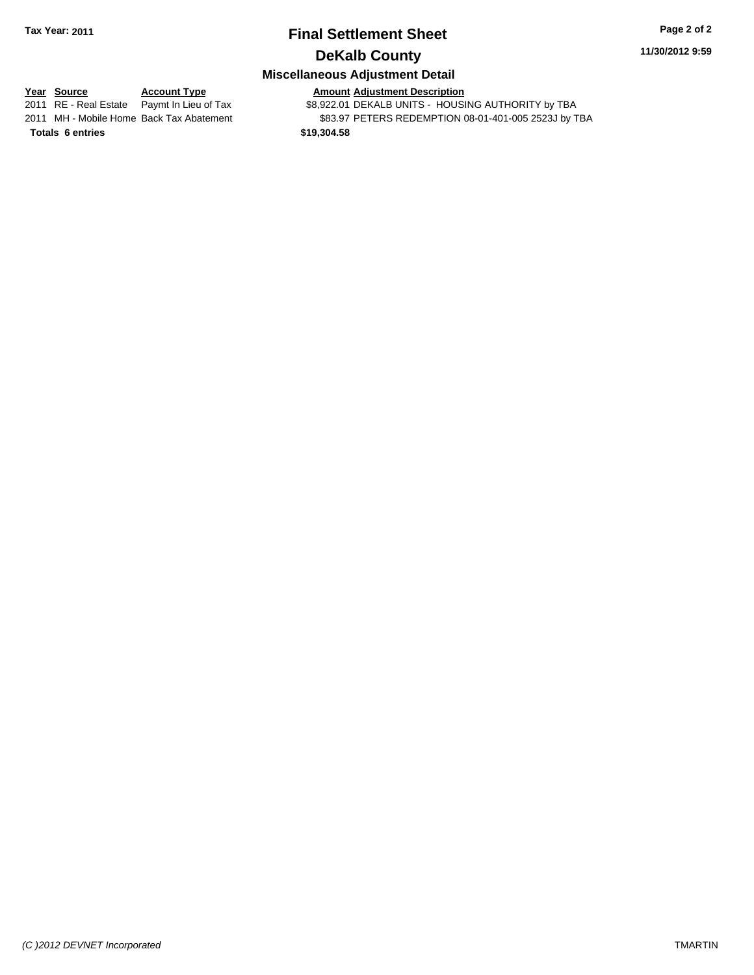# **Final Settlement Sheet Tax Year: 2011 Page 2 of 2 DeKalb County**

#### **11/30/2012 9:59**

## **Miscellaneous Adjustment Detail**

**Year Source Account Type Amount Adjustment Description**<br>2011 RE - Real Estate Paymt In Lieu of Tax \$8,922.01 DEKALB UNITS - HOUSI \$8,922.01 DEKALB UNITS - HOUSING AUTHORITY by TBA 2011 MH - Mobile Home Back Tax Abatement \$83.97 PETERS REDEMPTION 08-01-401-005 2523J by TBA **Totals \$19,304.58 6 entries**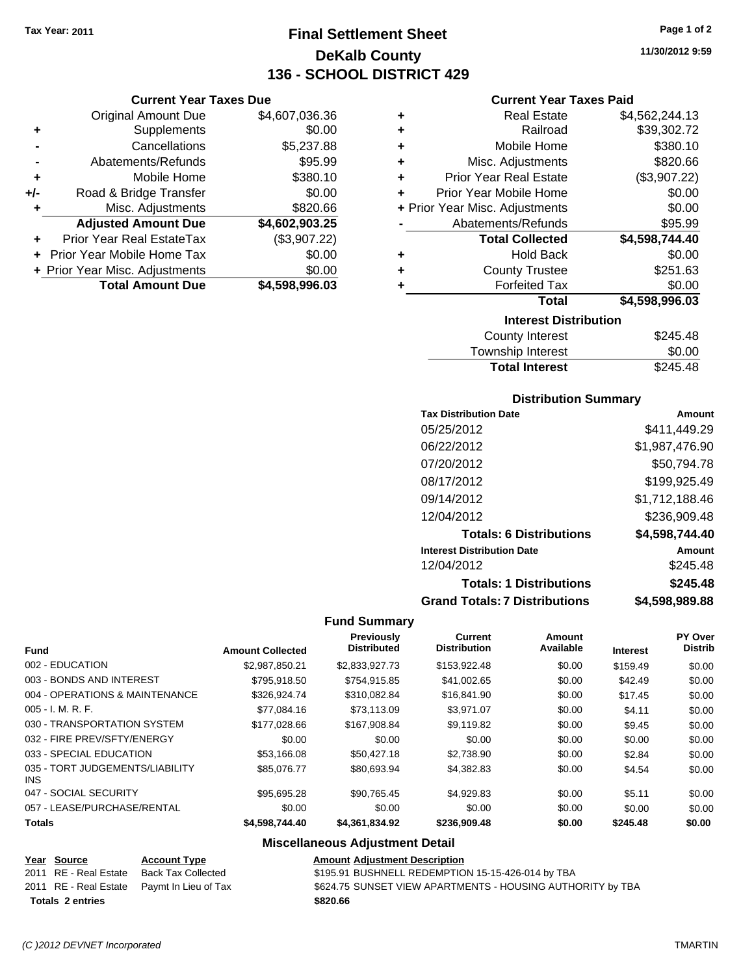**Current Year Taxes Due** Original Amount Due \$4,607,036.36

**Adjusted Amount Due \$4,602,903.25**

**Total Amount Due \$4,598,996.03**

**+** Supplements \$0.00 **-** Cancellations \$5,237.88 **-** Abatements/Refunds \$95.99 **+** Mobile Home \$380.10 **+/-** Road & Bridge Transfer \$0.00 **+** Misc. Adjustments \$820.66

**+** Prior Year Real EstateTax (\$3,907.22) **+** Prior Year Mobile Home Tax \$0.00 **+ Prior Year Misc. Adjustments**  $$0.00$ 

# **Final Settlement Sheet Tax Year: 2011 Page 1 of 2 DeKalb County 136 - SCHOOL DISTRICT 429**

**11/30/2012 9:59**

#### **Current Year Taxes Paid**

| ٠ | <b>Real Estate</b>             | \$4,562,244.13 |
|---|--------------------------------|----------------|
| ٠ | Railroad                       | \$39,302.72    |
| ٠ | Mobile Home                    | \$380.10       |
| ÷ | Misc. Adjustments              | \$820.66       |
| ٠ | <b>Prior Year Real Estate</b>  | (\$3,907.22)   |
| ٠ | Prior Year Mobile Home         | \$0.00         |
|   | + Prior Year Misc. Adjustments | \$0.00         |
|   | Abatements/Refunds             | \$95.99        |
|   | <b>Total Collected</b>         | \$4,598,744.40 |
| ٠ | <b>Hold Back</b>               | \$0.00         |
| ٠ | <b>County Trustee</b>          | \$251.63       |
| ٠ | <b>Forfeited Tax</b>           | \$0.00         |
|   | <b>Total</b>                   | \$4,598,996.03 |
|   | <b>Interest Distribution</b>   |                |
|   | County Interest                | \$245.48       |

| <b>Total Interest</b> | \$245.48 |
|-----------------------|----------|
| Township Interest     | \$0.00   |
| County Interest       | \$245.48 |

#### **Distribution Summary**

| <b>Tax Distribution Date</b>         | Amount         |
|--------------------------------------|----------------|
| 05/25/2012                           | \$411.449.29   |
| 06/22/2012                           | \$1,987,476.90 |
| 07/20/2012                           | \$50,794.78    |
| 08/17/2012                           | \$199,925.49   |
| 09/14/2012                           | \$1,712,188.46 |
| 12/04/2012                           | \$236,909.48   |
| <b>Totals: 6 Distributions</b>       | \$4,598,744.40 |
| <b>Interest Distribution Date</b>    | Amount         |
| 12/04/2012                           | \$245.48       |
| <b>Totals: 1 Distributions</b>       | \$245.48       |
| <b>Grand Totals: 7 Distributions</b> | \$4,598,989.88 |

#### **Fund Summary**

|                                         |                         | <b>Previously</b>  | <b>Current</b>      | Amount    |                 | <b>PY Over</b> |
|-----------------------------------------|-------------------------|--------------------|---------------------|-----------|-----------------|----------------|
| <b>Fund</b>                             | <b>Amount Collected</b> | <b>Distributed</b> | <b>Distribution</b> | Available | <b>Interest</b> | <b>Distrib</b> |
| 002 - EDUCATION                         | \$2.987.850.21          | \$2,833,927.73     | \$153,922.48        | \$0.00    | \$159.49        | \$0.00         |
| 003 - BONDS AND INTEREST                | \$795.918.50            | \$754,915.85       | \$41,002.65         | \$0.00    | \$42.49         | \$0.00         |
| 004 - OPERATIONS & MAINTENANCE          | \$326,924.74            | \$310.082.84       | \$16,841.90         | \$0.00    | \$17.45         | \$0.00         |
| $005 - I. M. R. F.$                     | \$77.084.16             | \$73.113.09        | \$3.971.07          | \$0.00    | \$4.11          | \$0.00         |
| 030 - TRANSPORTATION SYSTEM             | \$177,028,66            | \$167,908.84       | \$9,119.82          | \$0.00    | \$9.45          | \$0.00         |
| 032 - FIRE PREV/SFTY/ENERGY             | \$0.00                  | \$0.00             | \$0.00              | \$0.00    | \$0.00          | \$0.00         |
| 033 - SPECIAL EDUCATION                 | \$53.166.08             | \$50,427.18        | \$2,738.90          | \$0.00    | \$2.84          | \$0.00         |
| 035 - TORT JUDGEMENTS/LIABILITY<br>INS. | \$85,076.77             | \$80.693.94        | \$4,382.83          | \$0.00    | \$4.54          | \$0.00         |
| 047 - SOCIAL SECURITY                   | \$95.695.28             | \$90,765.45        | \$4,929.83          | \$0.00    | \$5.11          | \$0.00         |
| 057 - LEASE/PURCHASE/RENTAL             | \$0.00                  | \$0.00             | \$0.00              | \$0.00    | \$0.00          | \$0.00         |
| <b>Totals</b>                           | \$4,598,744,40          | \$4.361.834.92     | \$236,909.48        | \$0.00    | \$245.48        | \$0.00         |

#### **Miscellaneous Adjustment Detail**

| Year Source             | <b>Account Type</b>                        | <b>Amount Adjustment Description</b>                       |
|-------------------------|--------------------------------------------|------------------------------------------------------------|
| 2011 RE - Real Estate   | Back Tax Collected                         | \$195.91 BUSHNELL REDEMPTION 15-15-426-014 by TBA          |
|                         | 2011 RE - Real Estate Paymt In Lieu of Tax | \$624.75 SUNSET VIEW APARTMENTS - HOUSING AUTHORITY by TBA |
| <b>Totals 2 entries</b> |                                            | \$820.66                                                   |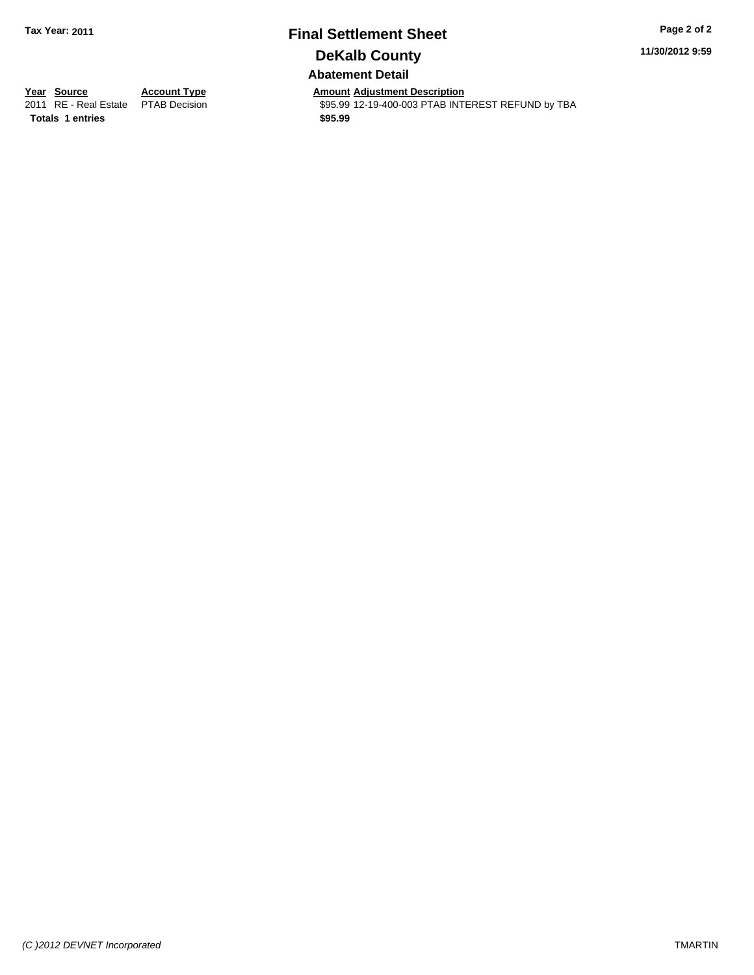# **Final Settlement Sheet Tax Year: 2011 Page 2 of 2 DeKalb County Abatement Detail**

**11/30/2012 9:59**

**Totals 1 entries 1 and 1 and 1 and 1 and 1 and 1 and 1 and 1 and 1 and 1 and 1 and 1 and 1 and 1 and 1 and 1 and 1 and 1 and 1 and 1 and 1 and 1 and 1 and 1 and 1 and 1 and 1 and 1 and 1 and 1 and 1 and 1 and 1 and 1 an** 

**Year Source Account Type Amount Adjustment Description**<br> **2011** RE - Real Estate PTAB Decision **Amount** \$95.99 12-19-400-003 PTAB INTI \$95.99 12-19-400-003 PTAB INTEREST REFUND by TBA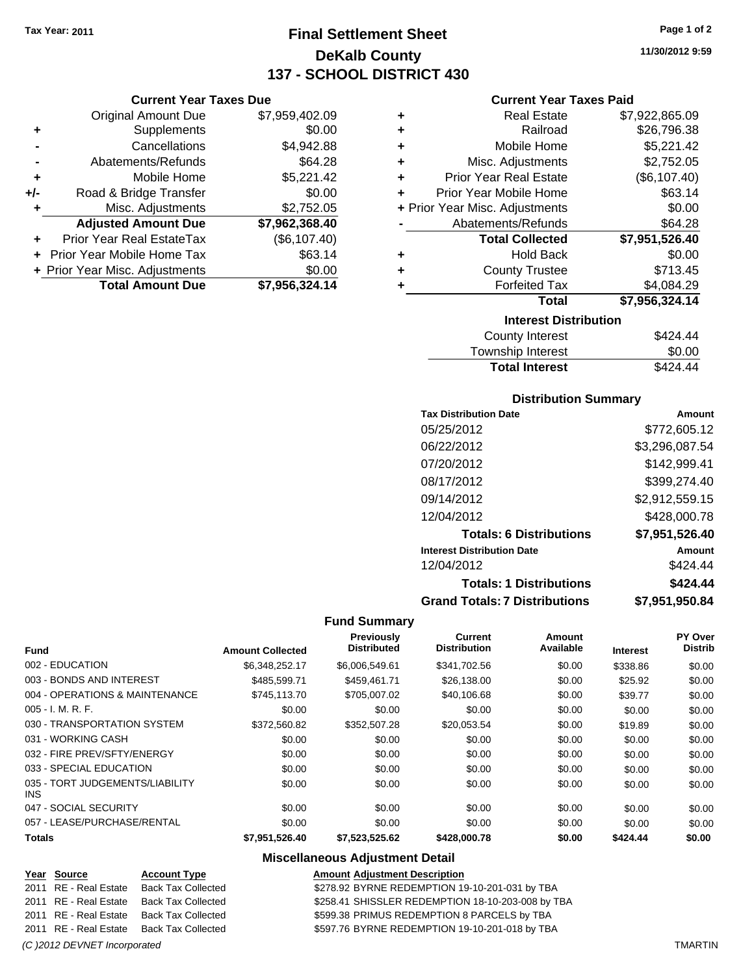# **Final Settlement Sheet Tax Year: 2011 Page 1 of 2 DeKalb County 137 - SCHOOL DISTRICT 430**

**11/30/2012 9:59**

|       | <b>Original Amount Due</b>        | \$7,959,402.09 |
|-------|-----------------------------------|----------------|
| ٠     | Supplements                       | \$0.00         |
|       | Cancellations                     | \$4,942.88     |
|       | Abatements/Refunds                | \$64.28        |
| ÷     | Mobile Home                       | \$5,221.42     |
| $+/-$ | Road & Bridge Transfer            | \$0.00         |
| ٠     | Misc. Adjustments                 | \$2,752.05     |
|       | <b>Adjusted Amount Due</b>        | \$7,962,368.40 |
|       | Prior Year Real EstateTax         | (\$6,107.40)   |
|       | <b>Prior Year Mobile Home Tax</b> | \$63.14        |
|       | + Prior Year Misc. Adjustments    | \$0.00         |
|       | <b>Total Amount Due</b>           | \$7,956,324.14 |

#### **Current Year Taxes Paid**

| ٠ | <b>Real Estate</b>             | \$7,922,865.09 |
|---|--------------------------------|----------------|
|   |                                |                |
| ٠ | Railroad                       | \$26,796.38    |
| ٠ | Mobile Home                    | \$5,221.42     |
| ٠ | Misc. Adjustments              | \$2,752.05     |
| ٠ | <b>Prior Year Real Estate</b>  | (\$6,107.40)   |
| ٠ | Prior Year Mobile Home         | \$63.14        |
|   | + Prior Year Misc. Adjustments | \$0.00         |
|   | Abatements/Refunds             | \$64.28        |
|   | <b>Total Collected</b>         | \$7,951,526.40 |
| ٠ | <b>Hold Back</b>               | \$0.00         |
| ٠ | <b>County Trustee</b>          | \$713.45       |
| ٠ | <b>Forfeited Tax</b>           | \$4,084.29     |
|   | Total                          | \$7,956,324.14 |
|   | <b>Interest Distribution</b>   |                |
|   | County Interest                | SA94 44.       |

| Township Interest     | \$0.00   |
|-----------------------|----------|
| <b>Total Interest</b> | \$424.44 |

#### **Distribution Summary**

| <b>Tax Distribution Date</b>         | Amount         |
|--------------------------------------|----------------|
| 05/25/2012                           | \$772,605.12   |
| 06/22/2012                           | \$3,296,087.54 |
| 07/20/2012                           | \$142,999.41   |
| 08/17/2012                           | \$399,274.40   |
| 09/14/2012                           | \$2,912,559.15 |
| 12/04/2012                           | \$428,000.78   |
| <b>Totals: 6 Distributions</b>       | \$7,951,526.40 |
| <b>Interest Distribution Date</b>    | Amount         |
| 12/04/2012                           | \$424.44       |
| <b>Totals: 1 Distributions</b>       | \$424.44       |
| <b>Grand Totals: 7 Distributions</b> | \$7,951,950.84 |

#### **Fund Summary**

|                                               |                         | Previously         | Current             | Amount    |                 | PY Over        |
|-----------------------------------------------|-------------------------|--------------------|---------------------|-----------|-----------------|----------------|
| <b>Fund</b>                                   | <b>Amount Collected</b> | <b>Distributed</b> | <b>Distribution</b> | Available | <b>Interest</b> | <b>Distrib</b> |
| 002 - EDUCATION                               | \$6,348,252.17          | \$6,006,549.61     | \$341,702.56        | \$0.00    | \$338.86        | \$0.00         |
| 003 - BONDS AND INTEREST                      | \$485.599.71            | \$459.461.71       | \$26,138.00         | \$0.00    | \$25.92         | \$0.00         |
| 004 - OPERATIONS & MAINTENANCE                | \$745,113.70            | \$705,007.02       | \$40,106.68         | \$0.00    | \$39.77         | \$0.00         |
| $005 - I. M. R. F.$                           | \$0.00                  | \$0.00             | \$0.00              | \$0.00    | \$0.00          | \$0.00         |
| 030 - TRANSPORTATION SYSTEM                   | \$372,560.82            | \$352,507.28       | \$20,053.54         | \$0.00    | \$19.89         | \$0.00         |
| 031 - WORKING CASH                            | \$0.00                  | \$0.00             | \$0.00              | \$0.00    | \$0.00          | \$0.00         |
| 032 - FIRE PREV/SFTY/ENERGY                   | \$0.00                  | \$0.00             | \$0.00              | \$0.00    | \$0.00          | \$0.00         |
| 033 - SPECIAL EDUCATION                       | \$0.00                  | \$0.00             | \$0.00              | \$0.00    | \$0.00          | \$0.00         |
| 035 - TORT JUDGEMENTS/LIABILITY<br><b>INS</b> | \$0.00                  | \$0.00             | \$0.00              | \$0.00    | \$0.00          | \$0.00         |
| 047 - SOCIAL SECURITY                         | \$0.00                  | \$0.00             | \$0.00              | \$0.00    | \$0.00          | \$0.00         |
| 057 - LEASE/PURCHASE/RENTAL                   | \$0.00                  | \$0.00             | \$0.00              | \$0.00    | \$0.00          | \$0.00         |
| <b>Totals</b>                                 | \$7,951,526.40          | \$7,523,525.62     | \$428,000.78        | \$0.00    | \$424.44        | \$0.00         |

#### **Miscellaneous Adjustment Detail**

|                              | Year Source           | <b>Account Type</b>                      | <b>Amount Adjustment Description</b>              |                |
|------------------------------|-----------------------|------------------------------------------|---------------------------------------------------|----------------|
|                              | 2011 RE - Real Estate | Back Tax Collected                       | \$278.92 BYRNE REDEMPTION 19-10-201-031 by TBA    |                |
|                              | 2011 RE - Real Estate | Back Tax Collected                       | \$258.41 SHISSLER REDEMPTION 18-10-203-008 by TBA |                |
|                              |                       | 2011 RE - Real Estate Back Tax Collected | \$599.38 PRIMUS REDEMPTION 8 PARCELS by TBA       |                |
|                              |                       | 2011 RE - Real Estate Back Tax Collected | \$597.76 BYRNE REDEMPTION 19-10-201-018 by TBA    |                |
| (C) 2012 DEVNET Incorporated |                       |                                          |                                                   | <b>TMARTIN</b> |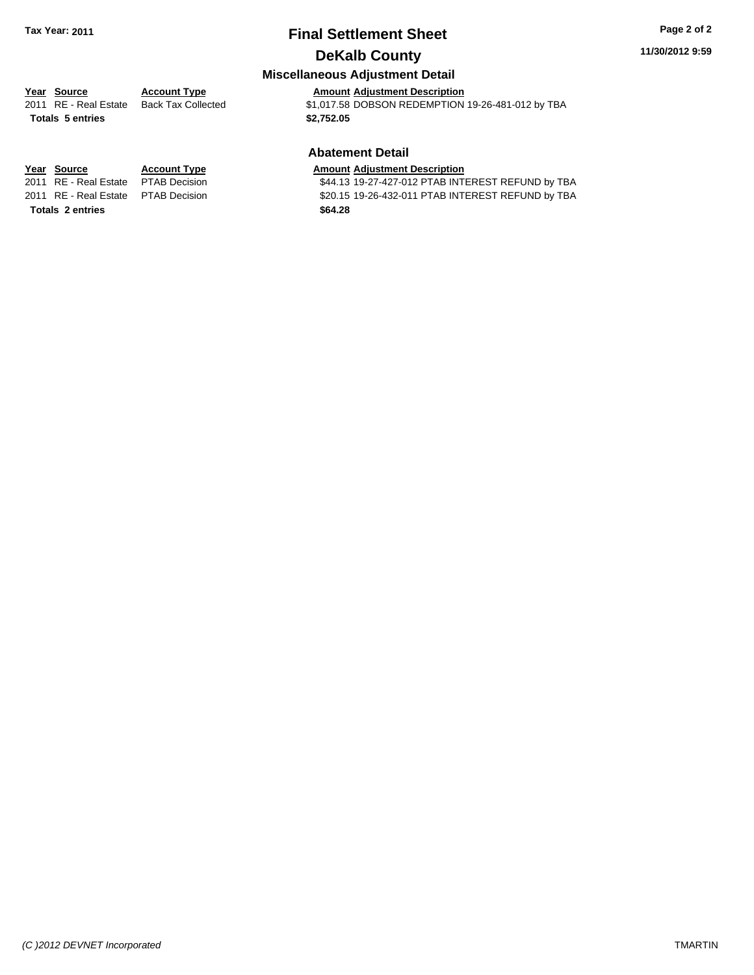## **Final Settlement Sheet Tax Year: 2011 Page 2 of 2 DeKalb County**

#### **11/30/2012 9:59**

## **Miscellaneous Adjustment Detail**

**Totals \$2,752.05 5 entries**

**Year Source Account Type Amount Adjustment Description**<br>2011 RE - Real Estate Back Tax Collected \$1,017.58 DOBSON REDEMPTION \$1,017.58 DOBSON REDEMPTION 19-26-481-012 by TBA

## **Abatement Detail**

#### **Year Source Account Type Amount Adjustment Description**

2011 RE - Real Estate \$44.13 19-27-427-012 PTAB INTEREST REFUND by TBA PTAB Decision 2011 RE - Real Estate \$20.15 19-26-432-011 PTAB INTEREST REFUND by TBA PTAB Decision

**Totals \$64.28 2 entries**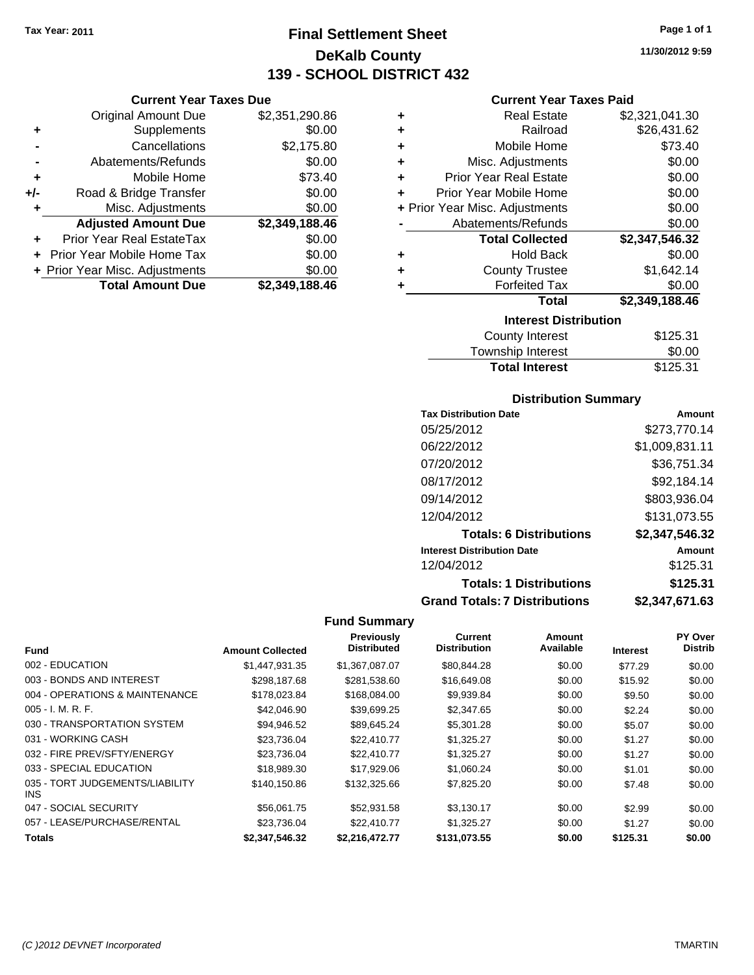**Current Year Taxes Due** Original Amount Due \$2,351,290.86

**Adjusted Amount Due \$2,349,188.46**

**Total Amount Due \$2,349,188.46**

**+** Supplements \$0.00 **-** Cancellations \$2,175.80 **-** Abatements/Refunds \$0.00 **+** Mobile Home \$73.40 **+/-** Road & Bridge Transfer \$0.00 **+** Misc. Adjustments \$0.00

**+** Prior Year Real EstateTax \$0.00 **+** Prior Year Mobile Home Tax \$0.00 **+ Prior Year Misc. Adjustments**  $$0.00$ 

## **Final Settlement Sheet Tax Year: 2011 Page 1 of 1 DeKalb County 139 - SCHOOL DISTRICT 432**

#### **11/30/2012 9:59**

#### **Current Year Taxes Paid**

| ٠                            | <b>Real Estate</b>             | \$2,321,041.30 |
|------------------------------|--------------------------------|----------------|
| ٠                            | Railroad                       | \$26,431.62    |
| ٠                            | Mobile Home                    | \$73.40        |
| ٠                            | Misc. Adjustments              | \$0.00         |
| ٠                            | <b>Prior Year Real Estate</b>  | \$0.00         |
| ٠                            | Prior Year Mobile Home         | \$0.00         |
|                              | + Prior Year Misc. Adjustments | \$0.00         |
|                              | Abatements/Refunds             | \$0.00         |
|                              | <b>Total Collected</b>         | \$2,347,546.32 |
| ٠                            | <b>Hold Back</b>               | \$0.00         |
| ٠                            | <b>County Trustee</b>          | \$1,642.14     |
| ٠                            | <b>Forfeited Tax</b>           | \$0.00         |
|                              | <b>Total</b>                   | \$2,349,188.46 |
| <b>Interest Distribution</b> |                                |                |
|                              | <b>County Interest</b>         | \$125.31       |

| <b>Total Interest</b> | \$125.31 |
|-----------------------|----------|
| Township Interest     | \$0.00   |
| County Interest       | \$125.31 |

## **Distribution Summary**

| <b>Tax Distribution Date</b>         | Amount         |
|--------------------------------------|----------------|
| 05/25/2012                           | \$273,770.14   |
| 06/22/2012                           | \$1,009,831.11 |
| 07/20/2012                           | \$36,751.34    |
| 08/17/2012                           | \$92,184.14    |
| 09/14/2012                           | \$803,936.04   |
| 12/04/2012                           | \$131,073.55   |
| <b>Totals: 6 Distributions</b>       | \$2,347,546.32 |
| <b>Interest Distribution Date</b>    | Amount         |
| 12/04/2012                           | \$125.31       |
| <b>Totals: 1 Distributions</b>       | \$125.31       |
| <b>Grand Totals: 7 Distributions</b> | \$2,347,671.63 |

|                                         |                         | <b>Previously</b>  | <b>Current</b>      | Amount    |                 | PY Over        |
|-----------------------------------------|-------------------------|--------------------|---------------------|-----------|-----------------|----------------|
| <b>Fund</b>                             | <b>Amount Collected</b> | <b>Distributed</b> | <b>Distribution</b> | Available | <b>Interest</b> | <b>Distrib</b> |
| 002 - EDUCATION                         | \$1.447.931.35          | \$1,367,087.07     | \$80,844.28         | \$0.00    | \$77.29         | \$0.00         |
| 003 - BONDS AND INTEREST                | \$298.187.68            | \$281,538.60       | \$16,649.08         | \$0.00    | \$15.92         | \$0.00         |
| 004 - OPERATIONS & MAINTENANCE          | \$178,023,84            | \$168,084.00       | \$9,939.84          | \$0.00    | \$9.50          | \$0.00         |
| $005 - I. M. R. F.$                     | \$42,046.90             | \$39,699.25        | \$2,347.65          | \$0.00    | \$2.24          | \$0.00         |
| 030 - TRANSPORTATION SYSTEM             | \$94,946.52             | \$89,645.24        | \$5,301.28          | \$0.00    | \$5.07          | \$0.00         |
| 031 - WORKING CASH                      | \$23,736.04             | \$22,410.77        | \$1,325.27          | \$0.00    | \$1.27          | \$0.00         |
| 032 - FIRE PREV/SFTY/ENERGY             | \$23,736.04             | \$22,410.77        | \$1,325.27          | \$0.00    | \$1.27          | \$0.00         |
| 033 - SPECIAL EDUCATION                 | \$18,989.30             | \$17,929.06        | \$1,060.24          | \$0.00    | \$1.01          | \$0.00         |
| 035 - TORT JUDGEMENTS/LIABILITY<br>INS. | \$140.150.86            | \$132,325,66       | \$7,825.20          | \$0.00    | \$7.48          | \$0.00         |
| 047 - SOCIAL SECURITY                   | \$56,061.75             | \$52,931.58        | \$3.130.17          | \$0.00    | \$2.99          | \$0.00         |
| 057 - LEASE/PURCHASE/RENTAL             | \$23,736.04             | \$22,410.77        | \$1,325.27          | \$0.00    | \$1.27          | \$0.00         |
| <b>Totals</b>                           | \$2.347.546.32          | \$2.216.472.77     | \$131.073.55        | \$0.00    | \$125.31        | \$0.00         |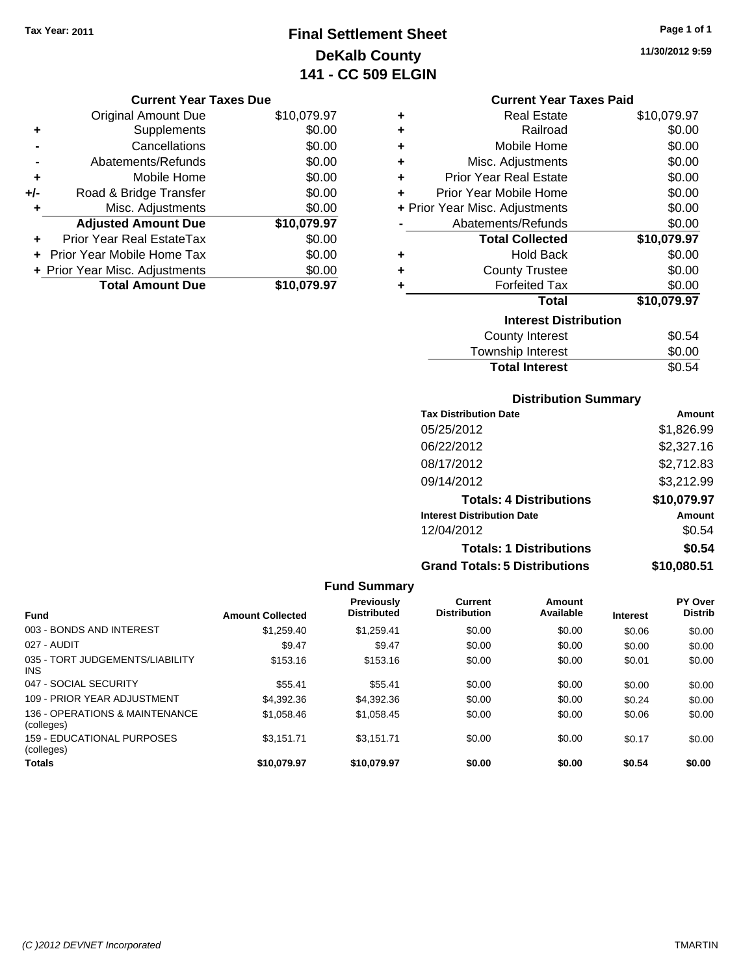## **Final Settlement Sheet Tax Year: 2011 Page 1 of 1 DeKalb County 141 - CC 509 ELGIN**

**11/30/2012 9:59**

| <b>Current Year Taxes Due</b> |  |  |  |
|-------------------------------|--|--|--|
|-------------------------------|--|--|--|

|       | <b>Original Amount Due</b>       | \$10,079.97 |
|-------|----------------------------------|-------------|
| ٠     | Supplements                      | \$0.00      |
|       | Cancellations                    | \$0.00      |
|       | Abatements/Refunds               | \$0.00      |
| ÷     | Mobile Home                      | \$0.00      |
| $+/-$ | Road & Bridge Transfer           | \$0.00      |
| ٠     | Misc. Adjustments                | \$0.00      |
|       | <b>Adjusted Amount Due</b>       | \$10,079.97 |
|       | <b>Prior Year Real EstateTax</b> | \$0.00      |
|       | Prior Year Mobile Home Tax       | \$0.00      |
|       | + Prior Year Misc. Adjustments   | \$0.00      |
|       | <b>Total Amount Due</b>          | \$10.079.97 |

| <b>Current Year Taxes Paid</b> |  |  |  |
|--------------------------------|--|--|--|
|--------------------------------|--|--|--|

| ٠ | Real Estate                    | \$10,079.97 |
|---|--------------------------------|-------------|
| ÷ | Railroad                       | \$0.00      |
| ٠ | Mobile Home                    | \$0.00      |
| ÷ | Misc. Adjustments              | \$0.00      |
| ÷ | <b>Prior Year Real Estate</b>  | \$0.00      |
| ٠ | Prior Year Mobile Home         | \$0.00      |
|   | + Prior Year Misc. Adjustments | \$0.00      |
|   | Abatements/Refunds             | \$0.00      |
|   | <b>Total Collected</b>         | \$10,079.97 |
| ٠ | Hold Back                      | \$0.00      |
| ÷ | <b>County Trustee</b>          | \$0.00      |
| ٠ | <b>Forfeited Tax</b>           | \$0.00      |
|   | <b>Total</b>                   | \$10,079.97 |
|   | <b>Interest Distribution</b>   |             |
|   | County Interest                | \$0.54      |
|   | <b>Township Interest</b>       | \$0.00      |
|   | <b>Total Interest</b>          | \$0.54      |

## **Distribution Summary**

| Amount      |
|-------------|
| \$1,826.99  |
| \$2,327.16  |
| \$2,712.83  |
| \$3,212.99  |
| \$10,079.97 |
| Amount      |
| \$0.54      |
| \$0.54      |
| \$10.080.51 |
|             |

| <b>Fund Summary</b>                             |                         |                                  |                                |                     |                 |                                  |
|-------------------------------------------------|-------------------------|----------------------------------|--------------------------------|---------------------|-----------------|----------------------------------|
| <b>Fund</b>                                     | <b>Amount Collected</b> | Previously<br><b>Distributed</b> | Current<br><b>Distribution</b> | Amount<br>Available | <b>Interest</b> | <b>PY Over</b><br><b>Distrib</b> |
| 003 - BONDS AND INTEREST                        | \$1,259.40              | \$1.259.41                       | \$0.00                         | \$0.00              | \$0.06          | \$0.00                           |
| 027 - AUDIT                                     | \$9.47                  | \$9.47                           | \$0.00                         | \$0.00              | \$0.00          | \$0.00                           |
| 035 - TORT JUDGEMENTS/LIABILITY<br><b>INS</b>   | \$153.16                | \$153.16                         | \$0.00                         | \$0.00              | \$0.01          | \$0.00                           |
| 047 - SOCIAL SECURITY                           | \$55.41                 | \$55.41                          | \$0.00                         | \$0.00              | \$0.00          | \$0.00                           |
| 109 - PRIOR YEAR ADJUSTMENT                     | \$4,392.36              | \$4,392.36                       | \$0.00                         | \$0.00              | \$0.24          | \$0.00                           |
| 136 - OPERATIONS & MAINTENANCE<br>(colleges)    | \$1,058.46              | \$1,058.45                       | \$0.00                         | \$0.00              | \$0.06          | \$0.00                           |
| <b>159 - EDUCATIONAL PURPOSES</b><br>(colleges) | \$3.151.71              | \$3.151.71                       | \$0.00                         | \$0.00              | \$0.17          | \$0.00                           |
| <b>Totals</b>                                   | \$10.079.97             | \$10,079.97                      | \$0.00                         | \$0.00              | \$0.54          | \$0.00                           |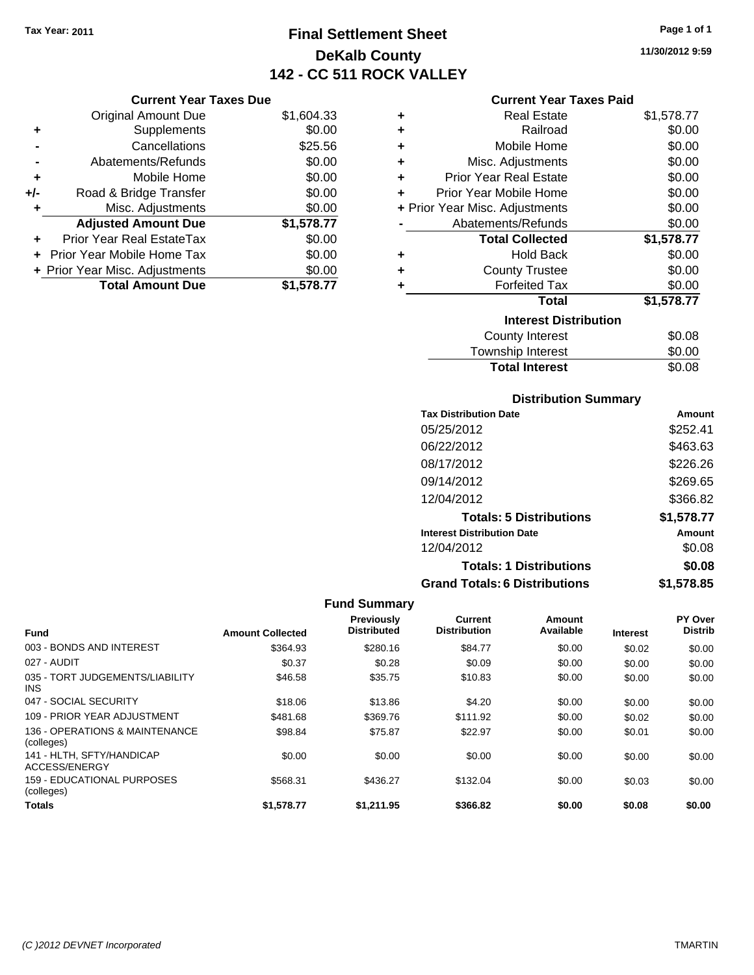## **Final Settlement Sheet Tax Year: 2011 Page 1 of 1 DeKalb County 142 - CC 511 ROCK VALLEY**

**11/30/2012 9:59**

#### **Current Year Taxes Paid**

|       | <b>Current Year Taxes Due</b>  |            |   | Curr                  |
|-------|--------------------------------|------------|---|-----------------------|
|       | Original Amount Due            | \$1,604.33 | ٠ | R٤                    |
|       | Supplements                    | \$0.00     | ٠ |                       |
|       | Cancellations                  | \$25.56    | ٠ | Mot                   |
|       | Abatements/Refunds             | \$0.00     | ٠ | Misc. Ad              |
|       | Mobile Home                    | \$0.00     | ٠ | Prior Year Re         |
| $+/-$ | Road & Bridge Transfer         | \$0.00     |   | Prior Year Mot        |
|       | Misc. Adjustments              | \$0.00     |   | + Prior Year Misc. Ad |
|       | <b>Adjusted Amount Due</b>     | \$1,578.77 |   | Abatements            |
|       | Prior Year Real EstateTax      | \$0.00     |   | <b>Total (</b>        |
|       | + Prior Year Mobile Home Tax   | \$0.00     | ٠ | h                     |
|       | + Prior Year Misc. Adjustments | \$0.00     | ٠ | Count                 |
|       | <b>Total Amount Due</b>        | \$1,578.77 |   | Forl                  |
|       |                                |            |   |                       |

| ٠ | <b>Real Estate</b>             | \$1,578.77 |
|---|--------------------------------|------------|
| ٠ | Railroad                       | \$0.00     |
| ٠ | Mobile Home                    | \$0.00     |
| ٠ | Misc. Adjustments              | \$0.00     |
| ٠ | <b>Prior Year Real Estate</b>  | \$0.00     |
| ÷ | Prior Year Mobile Home         | \$0.00     |
|   | + Prior Year Misc. Adjustments | \$0.00     |
|   | Abatements/Refunds             | \$0.00     |
|   | <b>Total Collected</b>         | \$1,578.77 |
| ٠ | Hold Back                      | \$0.00     |
| ٠ | <b>County Trustee</b>          | \$0.00     |
| ٠ | <b>Forfeited Tax</b>           | \$0.00     |
|   | <b>Total</b>                   | \$1,578.77 |
|   | <b>Interest Distribution</b>   |            |
|   | County Interest                | \$0.08     |
|   | Taunaalaha hatasaat            | ጦ ለለ       |

| Township Interest     | \$0.00 |
|-----------------------|--------|
| <b>Total Interest</b> | \$0.08 |

## **Distribution Summary**

| <b>Tax Distribution Date</b>         | Amount     |
|--------------------------------------|------------|
| 05/25/2012                           | \$252.41   |
| 06/22/2012                           | \$463.63   |
| 08/17/2012                           | \$226.26   |
| 09/14/2012                           | \$269.65   |
| 12/04/2012                           | \$366.82   |
| <b>Totals: 5 Distributions</b>       | \$1,578.77 |
| <b>Interest Distribution Date</b>    | Amount     |
| 12/04/2012                           | \$0.08     |
| <b>Totals: 1 Distributions</b>       | \$0.08     |
| <b>Grand Totals: 6 Distributions</b> | \$1,578.85 |

| <b>Fund</b>                                   | <b>Amount Collected</b> | Previously<br><b>Distributed</b> | Current<br><b>Distribution</b> | Amount<br>Available | <b>Interest</b> | PY Over<br><b>Distrib</b> |
|-----------------------------------------------|-------------------------|----------------------------------|--------------------------------|---------------------|-----------------|---------------------------|
| 003 - BONDS AND INTEREST                      | \$364.93                | \$280.16                         | \$84.77                        | \$0.00              | \$0.02          | \$0.00                    |
| 027 - AUDIT                                   | \$0.37                  | \$0.28                           | \$0.09                         | \$0.00              | \$0.00          | \$0.00                    |
| 035 - TORT JUDGEMENTS/LIABILITY<br><b>INS</b> | \$46.58                 | \$35.75                          | \$10.83                        | \$0.00              | \$0.00          | \$0.00                    |
| 047 - SOCIAL SECURITY                         | \$18.06                 | \$13.86                          | \$4.20                         | \$0.00              | \$0.00          | \$0.00                    |
| 109 - PRIOR YEAR ADJUSTMENT                   | \$481.68                | \$369.76                         | \$111.92                       | \$0.00              | \$0.02          | \$0.00                    |
| 136 - OPERATIONS & MAINTENANCE<br>(colleges)  | \$98.84                 | \$75.87                          | \$22.97                        | \$0.00              | \$0.01          | \$0.00                    |
| 141 - HLTH, SFTY/HANDICAP<br>ACCESS/ENERGY    | \$0.00                  | \$0.00                           | \$0.00                         | \$0.00              | \$0.00          | \$0.00                    |
| 159 - EDUCATIONAL PURPOSES<br>(colleges)      | \$568.31                | \$436.27                         | \$132.04                       | \$0.00              | \$0.03          | \$0.00                    |
| <b>Totals</b>                                 | \$1.578.77              | \$1.211.95                       | \$366.82                       | \$0.00              | \$0.08          | \$0.00                    |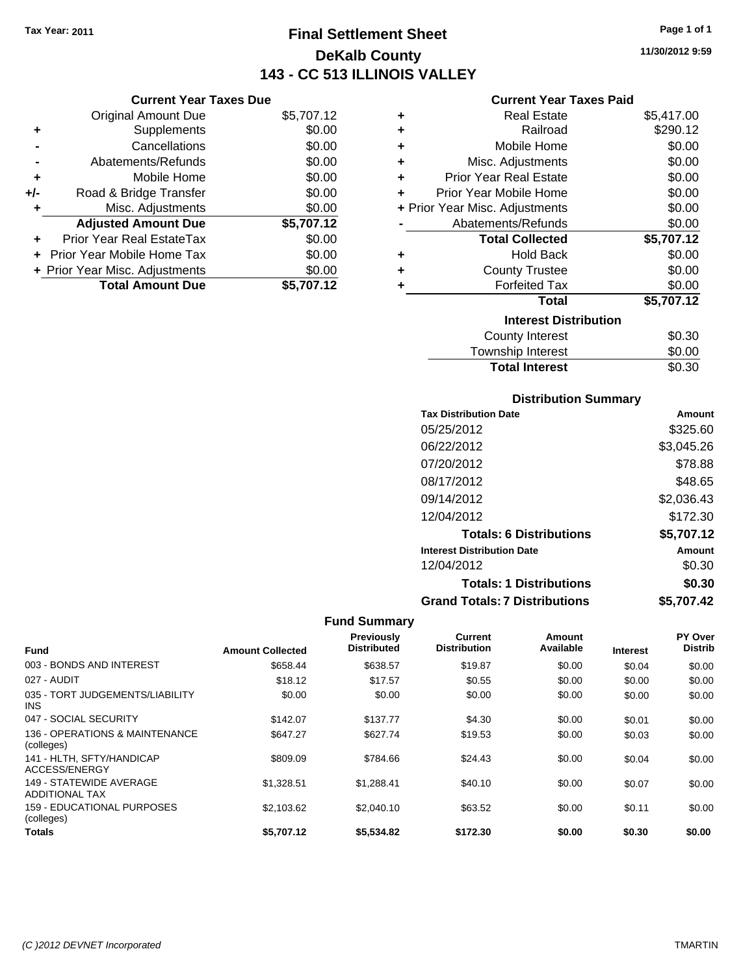## **Final Settlement Sheet Tax Year: 2011 Page 1 of 1 DeKalb County 143 - CC 513 ILLINOIS VALLEY**

**11/30/2012 9:59**

## **Current Year Taxes Paid**

|     | <b>Current Year Taxes Due</b>  |            |   |
|-----|--------------------------------|------------|---|
|     | <b>Original Amount Due</b>     | \$5,707.12 | ٠ |
| ٠   | Supplements                    | \$0.00     |   |
|     | Cancellations                  | \$0.00     | ٠ |
|     | Abatements/Refunds             | \$0.00     |   |
| ٠   | Mobile Home                    | \$0.00     | ٠ |
| +/- | Road & Bridge Transfer         | \$0.00     | ٠ |
|     | Misc. Adjustments              | \$0.00     |   |
|     | <b>Adjusted Amount Due</b>     | \$5,707.12 |   |
|     | Prior Year Real EstateTax      | \$0.00     |   |
|     | Prior Year Mobile Home Tax     | \$0.00     | ٠ |
|     | + Prior Year Misc. Adjustments | \$0.00     |   |
|     | <b>Total Amount Due</b>        | \$5,707.12 |   |
|     |                                |            |   |

| ٠ | Real Estate                    | \$5,417.00 |
|---|--------------------------------|------------|
| ٠ | Railroad                       | \$290.12   |
| ٠ | Mobile Home                    | \$0.00     |
| ٠ | Misc. Adjustments              | \$0.00     |
| ٠ | <b>Prior Year Real Estate</b>  | \$0.00     |
| ٠ | Prior Year Mobile Home         | \$0.00     |
|   | + Prior Year Misc. Adjustments | \$0.00     |
|   | Abatements/Refunds             | \$0.00     |
|   | <b>Total Collected</b>         | \$5,707.12 |
| ٠ | <b>Hold Back</b>               | \$0.00     |
| ٠ | <b>County Trustee</b>          | \$0.00     |
| ٠ | <b>Forfeited Tax</b>           | \$0.00     |
|   | Total                          | \$5,707.12 |
|   | <b>Interest Distribution</b>   |            |
|   | <b>County Interest</b>         | \$0.30     |
|   | <b>Township Interest</b>       | \$0.00     |
|   | <b>Total Interest</b>          | \$0.30     |

## **Distribution Summary**

| <b>Tax Distribution Date</b>         | Amount     |
|--------------------------------------|------------|
| 05/25/2012                           | \$325.60   |
| 06/22/2012                           | \$3,045.26 |
| 07/20/2012                           | \$78.88    |
| 08/17/2012                           | \$48.65    |
| 09/14/2012                           | \$2,036.43 |
| 12/04/2012                           | \$172.30   |
| <b>Totals: 6 Distributions</b>       | \$5,707.12 |
| <b>Interest Distribution Date</b>    | Amount     |
| 12/04/2012                           | \$0.30     |
| <b>Totals: 1 Distributions</b>       | \$0.30     |
| <b>Grand Totals: 7 Distributions</b> | \$5,707.42 |
|                                      |            |

| <b>Fund</b>                                      | <b>Amount Collected</b> | <b>Previously</b><br><b>Distributed</b> | <b>Current</b><br><b>Distribution</b> | Amount<br>Available | <b>Interest</b> | PY Over<br><b>Distrib</b> |
|--------------------------------------------------|-------------------------|-----------------------------------------|---------------------------------------|---------------------|-----------------|---------------------------|
| 003 - BONDS AND INTEREST                         | \$658.44                | \$638.57                                | \$19.87                               | \$0.00              | \$0.04          | \$0.00                    |
| 027 - AUDIT                                      | \$18.12                 | \$17.57                                 | \$0.55                                | \$0.00              | \$0.00          | \$0.00                    |
| 035 - TORT JUDGEMENTS/LIABILITY<br><b>INS</b>    | \$0.00                  | \$0.00                                  | \$0.00                                | \$0.00              | \$0.00          | \$0.00                    |
| 047 - SOCIAL SECURITY                            | \$142.07                | \$137.77                                | \$4.30                                | \$0.00              | \$0.01          | \$0.00                    |
| 136 - OPERATIONS & MAINTENANCE<br>(colleges)     | \$647.27                | \$627.74                                | \$19.53                               | \$0.00              | \$0.03          | \$0.00                    |
| 141 - HLTH, SFTY/HANDICAP<br>ACCESS/ENERGY       | \$809.09                | \$784.66                                | \$24.43                               | \$0.00              | \$0.04          | \$0.00                    |
| 149 - STATEWIDE AVERAGE<br><b>ADDITIONAL TAX</b> | \$1.328.51              | \$1.288.41                              | \$40.10                               | \$0.00              | \$0.07          | \$0.00                    |
| 159 - EDUCATIONAL PURPOSES<br>(colleges)         | \$2,103.62              | \$2,040.10                              | \$63.52                               | \$0.00              | \$0.11          | \$0.00                    |
| <b>Totals</b>                                    | \$5.707.12              | \$5,534.82                              | \$172.30                              | \$0.00              | \$0.30          | \$0.00                    |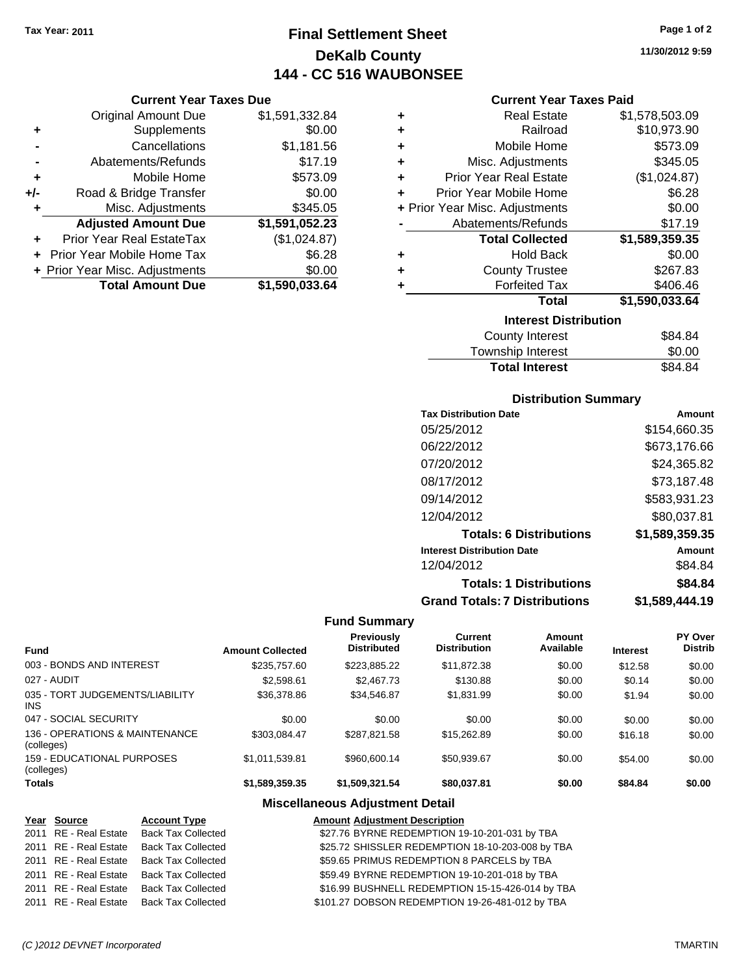## **Final Settlement Sheet Tax Year: 2011 Page 1 of 2 DeKalb County 144 - CC 516 WAUBONSEE**

**11/30/2012 9:59**

|       | <b>Original Amount Due</b>     | \$1,591,332.84 |
|-------|--------------------------------|----------------|
| ٠     | Supplements                    | \$0.00         |
|       | Cancellations                  | \$1,181.56     |
|       | Abatements/Refunds             | \$17.19        |
| ٠     | Mobile Home                    | \$573.09       |
| $+/-$ | Road & Bridge Transfer         | \$0.00         |
| ٠     | Misc. Adjustments              | \$345.05       |
|       | <b>Adjusted Amount Due</b>     | \$1,591,052.23 |
|       | Prior Year Real EstateTax      | (\$1,024.87)   |
|       | Prior Year Mobile Home Tax     | \$6.28         |
|       | + Prior Year Misc. Adjustments | \$0.00         |
|       | <b>Total Amount Due</b>        | \$1,590,033.64 |

## **Current Year Taxes Paid**

| <b>Interest Distribution</b><br>$\begin{array}{c} \uparrow \\ \uparrow \\ \uparrow \end{array}$ |                                |                |  |
|-------------------------------------------------------------------------------------------------|--------------------------------|----------------|--|
|                                                                                                 |                                |                |  |
|                                                                                                 | <b>Total</b>                   | \$1,590,033.64 |  |
| ٠                                                                                               | <b>Forfeited Tax</b>           | \$406.46       |  |
| ٠                                                                                               | <b>County Trustee</b>          | \$267.83       |  |
| ٠                                                                                               | <b>Hold Back</b>               | \$0.00         |  |
|                                                                                                 | <b>Total Collected</b>         | \$1,589,359.35 |  |
|                                                                                                 | Abatements/Refunds             | \$17.19        |  |
|                                                                                                 | + Prior Year Misc. Adjustments | \$0.00         |  |
| ÷                                                                                               | Prior Year Mobile Home         | \$6.28         |  |
| ٠                                                                                               | <b>Prior Year Real Estate</b>  | (\$1,024.87)   |  |
| ÷                                                                                               | Misc. Adjustments              | \$345.05       |  |
| ÷                                                                                               | Mobile Home                    | \$573.09       |  |
| ÷                                                                                               | Railroad                       | \$10,973.90    |  |
| ٠                                                                                               | <b>Real Estate</b>             | \$1,578,503.09 |  |

| Township Interest     | \$0.00  |
|-----------------------|---------|
| <b>Total Interest</b> | \$84.84 |

## **Distribution Summary**

| <b>Tax Distribution Date</b>         | Amount         |
|--------------------------------------|----------------|
| 05/25/2012                           | \$154,660.35   |
| 06/22/2012                           | \$673,176.66   |
| 07/20/2012                           | \$24,365.82    |
| 08/17/2012                           | \$73,187.48    |
| 09/14/2012                           | \$583,931.23   |
| 12/04/2012                           | \$80,037.81    |
| <b>Totals: 6 Distributions</b>       | \$1,589,359.35 |
| <b>Interest Distribution Date</b>    | Amount         |
| 12/04/2012                           | \$84.84        |
| <b>Totals: 1 Distributions</b>       | \$84.84        |
| <b>Grand Totals: 7 Distributions</b> | \$1,589,444.19 |

## **Fund Summary**

 $\overline{\phantom{0}}$ 

| <b>Fund</b>                                   | <b>Amount Collected</b> | <b>Previously</b><br><b>Distributed</b> | Current<br><b>Distribution</b> | Amount<br>Available | <b>Interest</b> | <b>PY Over</b><br><b>Distrib</b> |
|-----------------------------------------------|-------------------------|-----------------------------------------|--------------------------------|---------------------|-----------------|----------------------------------|
|                                               |                         |                                         |                                |                     |                 |                                  |
| 003 - BONDS AND INTEREST                      | \$235,757.60            | \$223,885.22                            | \$11,872.38                    | \$0.00              | \$12.58         | \$0.00                           |
| 027 - AUDIT                                   | \$2,598.61              | \$2,467.73                              | \$130.88                       | \$0.00              | \$0.14          | \$0.00                           |
| 035 - TORT JUDGEMENTS/LIABILITY<br><b>INS</b> | \$36,378.86             | \$34,546.87                             | \$1,831.99                     | \$0.00              | \$1.94          | \$0.00                           |
| 047 - SOCIAL SECURITY                         | \$0.00                  | \$0.00                                  | \$0.00                         | \$0.00              | \$0.00          | \$0.00                           |
| 136 - OPERATIONS & MAINTENANCE<br>(colleges)  | \$303.084.47            | \$287.821.58                            | \$15,262.89                    | \$0.00              | \$16.18         | \$0.00                           |
| 159 - EDUCATIONAL PURPOSES<br>(colleges)      | \$1,011,539.81          | \$960,600.14                            | \$50.939.67                    | \$0.00              | \$54.00         | \$0.00                           |
| <b>Totals</b>                                 | \$1.589.359.35          | \$1.509.321.54                          | \$80,037.81                    | \$0.00              | \$84.84         | \$0.00                           |

## **Miscellaneous Adjustment Detail**

# **Amount Adjustment Description<br>
COZ.76 BYRNE REDEMPTION 19-10-201-031 by TRA**

| Year Source           | <b>Account Type</b>                      | <b>Amount Adjustment Description</b>             |
|-----------------------|------------------------------------------|--------------------------------------------------|
|                       | 2011 RE - Real Estate Back Tax Collected | \$27.76 BYRNE REDEMPTION 19-10-201-031 by TBA    |
| 2011 RE - Real Estate | <b>Back Tax Collected</b>                | \$25.72 SHISSLER REDEMPTION 18-10-203-008 by TBA |
|                       | 2011 RE - Real Estate Back Tax Collected | \$59.65 PRIMUS REDEMPTION 8 PARCELS by TBA       |
|                       | 2011 RE - Real Estate Back Tax Collected | \$59.49 BYRNE REDEMPTION 19-10-201-018 by TBA    |
|                       | 2011 RE - Real Estate Back Tax Collected | \$16.99 BUSHNELL REDEMPTION 15-15-426-014 by TBA |
|                       | 2011 RE - Real Estate Back Tax Collected | \$101.27 DOBSON REDEMPTION 19-26-481-012 by TBA  |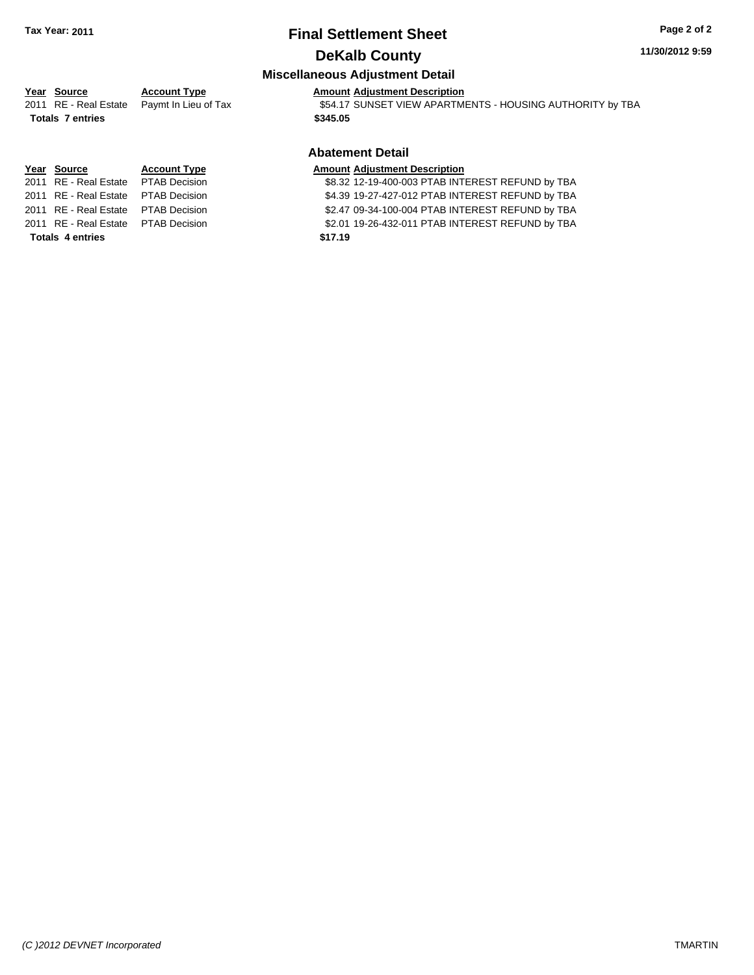## **Final Settlement Sheet Tax Year: 2011 Page 2 of 2 DeKalb County**

#### **11/30/2012 9:59**

## **Miscellaneous Adjustment Detail**

## **Year Source Account Type Amount Adjustment Description**

2011 RE - Real Estate Paymt In Lieu of Tax **\$54.17 SUNSET VIEW APARTMENTS - HOUSING AUTHORITY by TBA** 

#### **Abatement Detail**

2011 RE - Real Estate \$8.32 12-19-400-003 PTAB INTEREST REFUND by TBA PTAB Decision 2011 RE - Real Estate \$4.39 19-27-427-012 PTAB INTEREST REFUND by TBA PTAB Decision 2011 RE - Real Estate \$2.47 09-34-100-004 PTAB INTEREST REFUND by TBA PTAB Decision 2011 RE - Real Estate \$2.01 19-26-432-011 PTAB INTEREST REFUND by TBA PTAB Decision

**Totals \$345.05 7 entries**

**Year Source Account Type Amount Adjustment Description**

**Totals \$17.19 4 entries**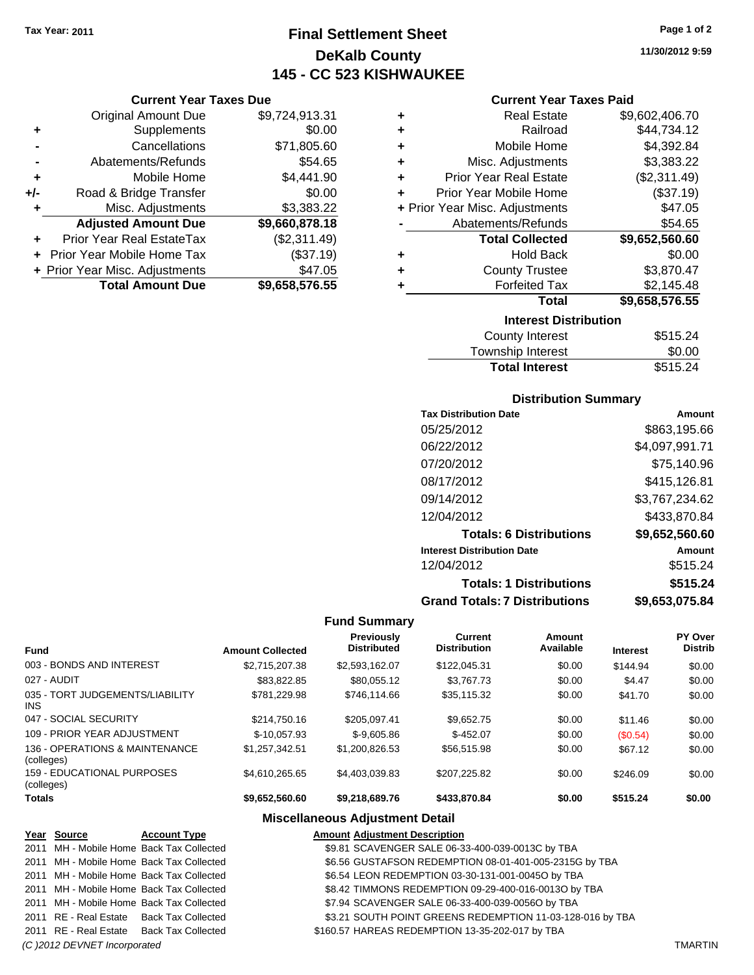## **Final Settlement Sheet Tax Year: 2011 Page 1 of 2 DeKalb County 145 - CC 523 KISHWAUKEE**

## **Current Year Taxes Due**

|       | <b>Original Amount Due</b>     | \$9,724,913.31 |
|-------|--------------------------------|----------------|
| ٠     | Supplements                    | \$0.00         |
|       | Cancellations                  | \$71,805.60    |
|       | Abatements/Refunds             | \$54.65        |
| ÷     | Mobile Home                    | \$4,441.90     |
| $+/-$ | Road & Bridge Transfer         | \$0.00         |
| ٠     | Misc. Adjustments              | \$3,383.22     |
|       | <b>Adjusted Amount Due</b>     | \$9,660,878.18 |
|       | Prior Year Real EstateTax      | (\$2,311.49)   |
|       | Prior Year Mobile Home Tax     | (\$37.19)      |
|       | + Prior Year Misc. Adjustments | \$47.05        |
|       | <b>Total Amount Due</b>        | \$9,658,576.55 |

## **Current Year Taxes Paid**

| ٠ | <b>Real Estate</b>             | \$9,602,406.70 |
|---|--------------------------------|----------------|
| ٠ | Railroad                       | \$44,734.12    |
| ٠ | Mobile Home                    | \$4,392.84     |
| ٠ | Misc. Adjustments              | \$3,383.22     |
| ٠ | <b>Prior Year Real Estate</b>  | (\$2,311.49)   |
| ٠ | Prior Year Mobile Home         | (\$37.19)      |
|   | + Prior Year Misc. Adjustments | \$47.05        |
|   | Abatements/Refunds             | \$54.65        |
|   | <b>Total Collected</b>         | \$9,652,560.60 |
| ٠ | <b>Hold Back</b>               | \$0.00         |
| ٠ | <b>County Trustee</b>          | \$3,870.47     |
| ٠ | <b>Forfeited Tax</b>           | \$2,145.48     |
|   | <b>Total</b>                   | \$9,658,576.55 |
|   | <b>Interest Distribution</b>   |                |
|   | County Interest                | \$515.24       |

| <b>Total Interest</b> | \$515.24 |
|-----------------------|----------|
| Township Interest     | \$0.00   |
| County Interest       | \$515.24 |

## **Distribution Summary**

| <b>Tax Distribution Date</b>         | Amount         |
|--------------------------------------|----------------|
| 05/25/2012                           | \$863.195.66   |
| 06/22/2012                           | \$4,097,991.71 |
| 07/20/2012                           | \$75,140.96    |
| 08/17/2012                           | \$415,126.81   |
| 09/14/2012                           | \$3,767,234.62 |
| 12/04/2012                           | \$433,870.84   |
| <b>Totals: 6 Distributions</b>       | \$9,652,560.60 |
| <b>Interest Distribution Date</b>    | Amount         |
| 12/04/2012                           | \$515.24       |
| <b>Totals: 1 Distributions</b>       | \$515.24       |
| <b>Grand Totals: 7 Distributions</b> | \$9,653,075.84 |

## **Fund Summary**

| <b>Fund</b>                                   | <b>Amount Collected</b> | <b>Previously</b><br><b>Distributed</b> | Current<br><b>Distribution</b> | Amount<br>Available | <b>Interest</b> | PY Over<br><b>Distrib</b> |
|-----------------------------------------------|-------------------------|-----------------------------------------|--------------------------------|---------------------|-----------------|---------------------------|
| 003 - BONDS AND INTEREST                      | \$2,715,207.38          | \$2,593,162.07                          | \$122,045.31                   | \$0.00              | \$144.94        | \$0.00                    |
| 027 - AUDIT                                   | \$83,822.85             | \$80.055.12                             | \$3.767.73                     | \$0.00              | \$4.47          | \$0.00                    |
| 035 - TORT JUDGEMENTS/LIABILITY<br><b>INS</b> | \$781.229.98            | \$746.114.66                            | \$35,115.32                    | \$0.00              | \$41.70         | \$0.00                    |
| 047 - SOCIAL SECURITY                         | \$214,750.16            | \$205.097.41                            | \$9.652.75                     | \$0.00              | \$11.46         | \$0.00                    |
| 109 - PRIOR YEAR ADJUSTMENT                   | $$-10.057.93$           | $$-9.605.86$                            | $$-452.07$                     | \$0.00              | (S0.54)         | \$0.00                    |
| 136 - OPERATIONS & MAINTENANCE<br>(colleges)  | \$1.257.342.51          | \$1.200.826.53                          | \$56,515.98                    | \$0.00              | \$67.12         | \$0.00                    |
| 159 - EDUCATIONAL PURPOSES<br>(colleges)      | \$4.610.265.65          | \$4.403.039.83                          | \$207.225.82                   | \$0.00              | \$246.09        | \$0.00                    |
| <b>Totals</b>                                 | \$9,652,560.60          | \$9,218,689.76                          | \$433,870.84                   | \$0.00              | \$515.24        | \$0.00                    |

## **Miscellaneous Adjustment Detail**

| Year Source                  | <b>Account Type</b>                      | <b>Amount Adjustment Description</b>                      |                |
|------------------------------|------------------------------------------|-----------------------------------------------------------|----------------|
|                              | 2011 MH - Mobile Home Back Tax Collected | \$9.81 SCAVENGER SALE 06-33-400-039-0013C by TBA          |                |
|                              | 2011 MH - Mobile Home Back Tax Collected | \$6.56 GUSTAFSON REDEMPTION 08-01-401-005-2315G by TBA    |                |
|                              | 2011 MH - Mobile Home Back Tax Collected | \$6.54 LEON REDEMPTION 03-30-131-001-00450 by TBA         |                |
|                              | 2011 MH - Mobile Home Back Tax Collected | \$8.42 TIMMONS REDEMPTION 09-29-400-016-0013O by TBA      |                |
|                              | 2011 MH - Mobile Home Back Tax Collected | \$7.94 SCAVENGER SALE 06-33-400-039-0056O by TBA          |                |
|                              | 2011 RE - Real Estate Back Tax Collected | \$3.21 SOUTH POINT GREENS REDEMPTION 11-03-128-016 by TBA |                |
|                              | 2011 RE - Real Estate Back Tax Collected | \$160.57 HAREAS REDEMPTION 13-35-202-017 by TBA           |                |
| (C) 2012 DEVNET Incorporated |                                          |                                                           | <b>TMARTIN</b> |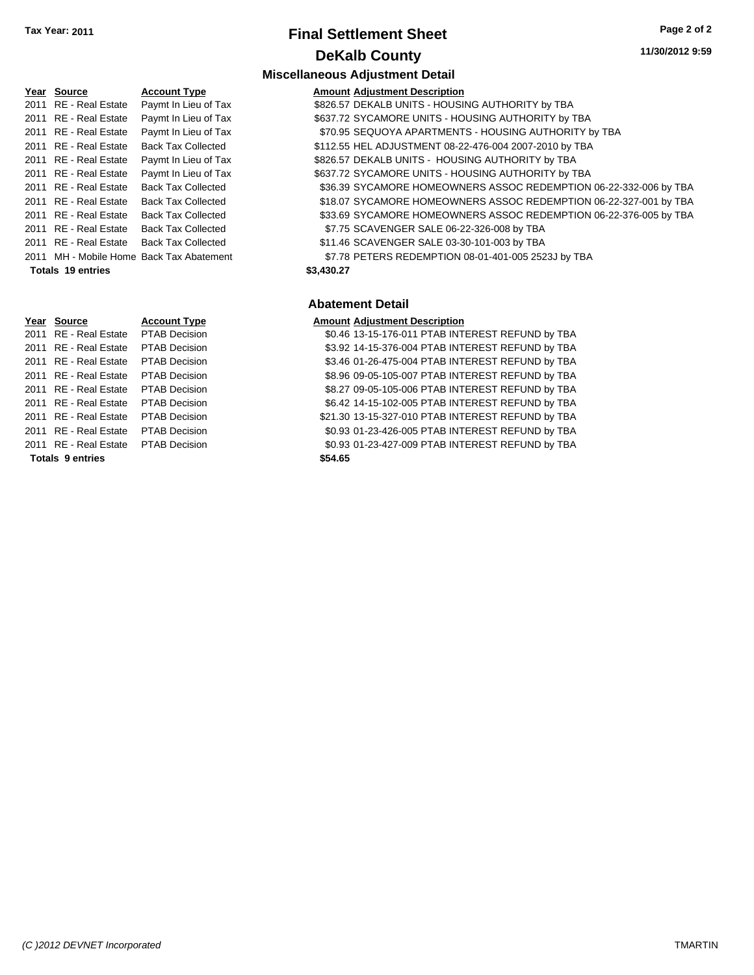## **Final Settlement Sheet Tax Year: 2011 Page 2 of 2 DeKalb County**

**Miscellaneous Adjustment Detail**

| Year Source           | <b>Account Type</b>                      | <b>Amount Adjustment Description</b>                              |
|-----------------------|------------------------------------------|-------------------------------------------------------------------|
| 2011 RE - Real Estate | Paymt In Lieu of Tax                     | \$826.57 DEKALB UNITS - HOUSING AUTHORITY by TBA                  |
| 2011 RE - Real Estate | Paymt In Lieu of Tax                     | \$637.72 SYCAMORE UNITS - HOUSING AUTHORITY by TBA                |
| 2011 RE - Real Estate | Paymt In Lieu of Tax                     | \$70.95 SEQUOYA APARTMENTS - HOUSING AUTHORITY by TBA             |
| 2011 RE - Real Estate | <b>Back Tax Collected</b>                | \$112.55 HEL ADJUSTMENT 08-22-476-004 2007-2010 by TBA            |
| 2011 RE - Real Estate | Paymt In Lieu of Tax                     | \$826.57 DEKALB UNITS - HOUSING AUTHORITY by TBA                  |
| 2011 RE - Real Estate | Paymt In Lieu of Tax                     | \$637.72 SYCAMORE UNITS - HOUSING AUTHORITY by TBA                |
| 2011 RE - Real Estate | <b>Back Tax Collected</b>                | \$36.39 SYCAMORE HOMEOWNERS ASSOC REDEMPTION 06-22-332-006 by TBA |
| 2011 RE - Real Estate | <b>Back Tax Collected</b>                | \$18.07 SYCAMORE HOMEOWNERS ASSOC REDEMPTION 06-22-327-001 by TBA |
| 2011 RE - Real Estate | <b>Back Tax Collected</b>                | \$33.69 SYCAMORE HOMEOWNERS ASSOC REDEMPTION 06-22-376-005 by TBA |
| 2011 RE - Real Estate | <b>Back Tax Collected</b>                | \$7.75 SCAVENGER SALE 06-22-326-008 by TBA                        |
| 2011 RE - Real Estate | <b>Back Tax Collected</b>                | \$11.46 SCAVENGER SALE 03-30-101-003 by TBA                       |
|                       | 2011 MH - Mobile Home Back Tax Abatement | \$7.78 PETERS REDEMPTION 08-01-401-005 2523J by TBA               |

#### **Totals \$3,430.27 19 entries**

#### **Abatement Detail**

## **Year Source Account Type Amount Adjustment Description**

2011 RE - Real Estate \$0.46 13-15-176-011 PTAB INTEREST REFUND by TBA PTAB Decision <sup>2</sup> TAB Decision **Call Estate Act Act 53.92 14-15-376-004 PTAB INTEREST REFUND by TBA** <sup>2</sup> TAB Decision **Call Estate Act Act 4.4** S3.46 01-26-475-004 PTAB INTEREST REFUND by TBA <sup>2</sup> AB Decision **2011 Real Estate \$8.96 09-05-105-007 PTAB INTEREST REFUND by TBA** <sup>2</sup> AB Decision **2011 Real Estate State \$8.27 09-05-105-006 PTAB INTEREST REFUND by TBA** <sup>2</sup> AB Decision **2011 Real Estate \$6.42 14-15-102-005 PTAB INTEREST REFUND by TBA** <sup>2</sup> AB Decision **Estate State State S21.30 13-15-327-010 PTAB INTEREST REFUND by TBA** <sup>2</sup> AB Decision **Canadian Cal Estate \$0.93 01-23-426-005 PTAB INTEREST REFUND by TBA** <sup>2</sup> TAB Decision **Call Estate Solid Estate Solid Estate Solid Estate Solid Estate Solid Estate Solid Estate Solid E Totals \$54.65 9 entries**

| ו ו ט∠ | RE - Real Estate        | ۲ι |
|--------|-------------------------|----|
| 2011   | RE - Real Estate        | PT |
| 2011   | RE - Real Estate        | PT |
| 2011   | <b>RE</b> - Real Estate | PT |
| 2011   | <b>RE</b> - Real Estate | PT |
| 2011   | <b>RE</b> - Real Estate | PT |
| 2011   | <b>RE</b> - Real Estate | PT |
| 2011   | RE - Real Estate        | PT |
| 2011   | <b>RE</b> - Real Estate | PT |

## *(C )2012 DEVNET Incorporated* TMARTIN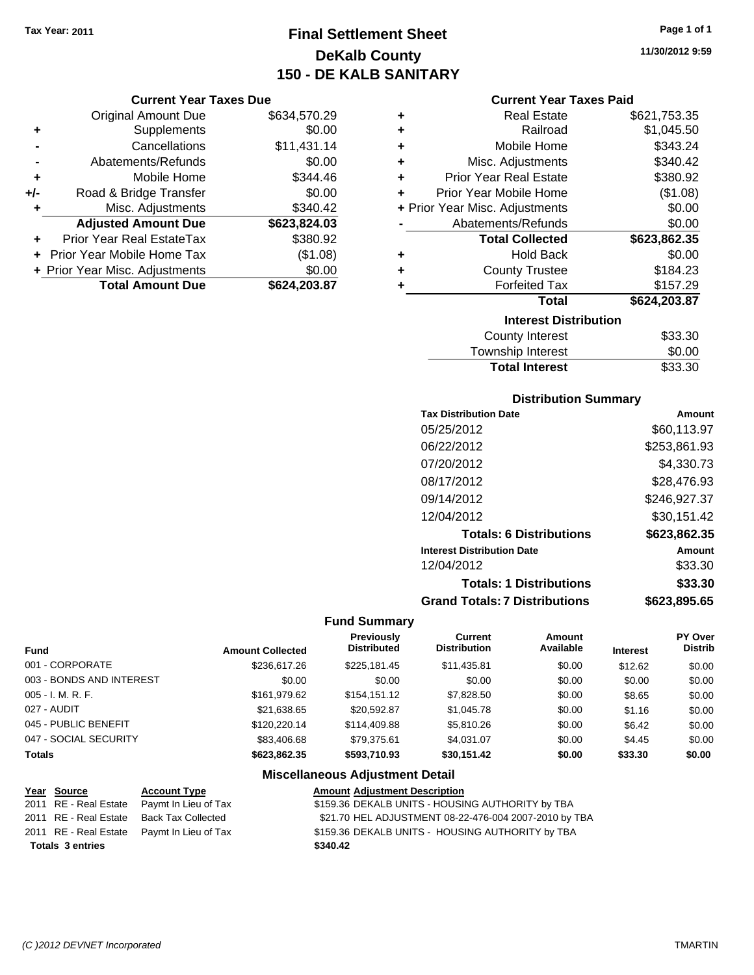**Current Year Taxes Due** Original Amount Due \$634,570.29

**Adjusted Amount Due \$623,824.03**

**Total Amount Due \$624,203.87**

**+** Supplements \$0.00 **-** Cancellations \$11,431.14 **-** Abatements/Refunds \$0.00 **+** Mobile Home \$344.46 **+/-** Road & Bridge Transfer \$0.00 **+** Misc. Adjustments \$340.42

**+** Prior Year Real EstateTax \$380.92 **+** Prior Year Mobile Home Tax (\$1.08) **+ Prior Year Misc. Adjustments**  $$0.00$ 

## **Final Settlement Sheet Tax Year: 2011 Page 1 of 1 DeKalb County 150 - DE KALB SANITARY**

**11/30/2012 9:59**

#### **Current Year Taxes Paid**

| ٠ | <b>Real Estate</b>             | \$621,753.35 |
|---|--------------------------------|--------------|
| ٠ | Railroad                       | \$1,045.50   |
| ÷ | Mobile Home                    | \$343.24     |
| ÷ | Misc. Adjustments              | \$340.42     |
| ÷ | <b>Prior Year Real Estate</b>  | \$380.92     |
| ÷ | Prior Year Mobile Home         | (\$1.08)     |
|   | + Prior Year Misc. Adjustments | \$0.00       |
|   | Abatements/Refunds             | \$0.00       |
|   | <b>Total Collected</b>         | \$623,862.35 |
| ٠ | <b>Hold Back</b>               | \$0.00       |
| ٠ | <b>County Trustee</b>          | \$184.23     |
| ٠ | <b>Forfeited Tax</b>           | \$157.29     |
|   | <b>Total</b>                   | \$624,203.87 |
|   | <b>Interest Distribution</b>   |              |
|   | <b>County Interest</b>         | \$33.30      |
|   | Taunaakin latasaat             | ጦ ለለ         |

| Township Interest     | \$0.00  |
|-----------------------|---------|
| <b>Total Interest</b> | \$33.30 |

## **Distribution Summary**

| <b>Tax Distribution Date</b>         | Amount       |
|--------------------------------------|--------------|
| 05/25/2012                           | \$60,113.97  |
| 06/22/2012                           | \$253,861.93 |
| 07/20/2012                           | \$4,330.73   |
| 08/17/2012                           | \$28,476.93  |
| 09/14/2012                           | \$246,927.37 |
| 12/04/2012                           | \$30,151.42  |
| <b>Totals: 6 Distributions</b>       | \$623,862.35 |
| <b>Interest Distribution Date</b>    | Amount       |
| 12/04/2012                           | \$33.30      |
| <b>Totals: 1 Distributions</b>       | \$33.30      |
| <b>Grand Totals: 7 Distributions</b> | \$623,895.65 |
|                                      |              |

#### **Fund Summary**

| <b>Fund</b>              | <b>Amount Collected</b> | <b>Previously</b><br><b>Distributed</b> | <b>Current</b><br><b>Distribution</b> | Amount<br>Available | <b>Interest</b> | PY Over<br><b>Distrib</b> |
|--------------------------|-------------------------|-----------------------------------------|---------------------------------------|---------------------|-----------------|---------------------------|
| 001 - CORPORATE          | \$236,617.26            | \$225,181.45                            | \$11,435.81                           | \$0.00              | \$12.62         | \$0.00                    |
| 003 - BONDS AND INTEREST | \$0.00                  | \$0.00                                  | \$0.00                                | \$0.00              | \$0.00          | \$0.00                    |
| $005 - I. M. R. F.$      | \$161.979.62            | \$154,151.12                            | \$7,828.50                            | \$0.00              | \$8.65          | \$0.00                    |
| 027 - AUDIT              | \$21.638.65             | \$20.592.87                             | \$1,045.78                            | \$0.00              | \$1.16          | \$0.00                    |
| 045 - PUBLIC BENEFIT     | \$120,220.14            | \$114,409.88                            | \$5,810.26                            | \$0.00              | \$6.42          | \$0.00                    |
| 047 - SOCIAL SECURITY    | \$83,406.68             | \$79.375.61                             | \$4.031.07                            | \$0.00              | \$4.45          | \$0.00                    |
| <b>Totals</b>            | \$623.862.35            | \$593.710.93                            | \$30.151.42                           | \$0.00              | \$33.30         | \$0.00                    |

## **Miscellaneous Adjustment Detail**

| <u>Year Source</u>      | <b>Account Type</b>                        | <b>Amount Adjustment Description</b>                  |
|-------------------------|--------------------------------------------|-------------------------------------------------------|
| 2011 RE - Real Estate   | Paymt In Lieu of Tax                       | \$159.36 DEKALB UNITS - HOUSING AUTHORITY by TBA      |
|                         | 2011 RE - Real Estate Back Tax Collected   | \$21.70 HEL ADJUSTMENT 08-22-476-004 2007-2010 by TBA |
|                         | 2011 RE - Real Estate Paymt In Lieu of Tax | \$159.36 DEKALB UNITS - HOUSING AUTHORITY by TBA      |
| <b>Totals 3 entries</b> |                                            | \$340.42                                              |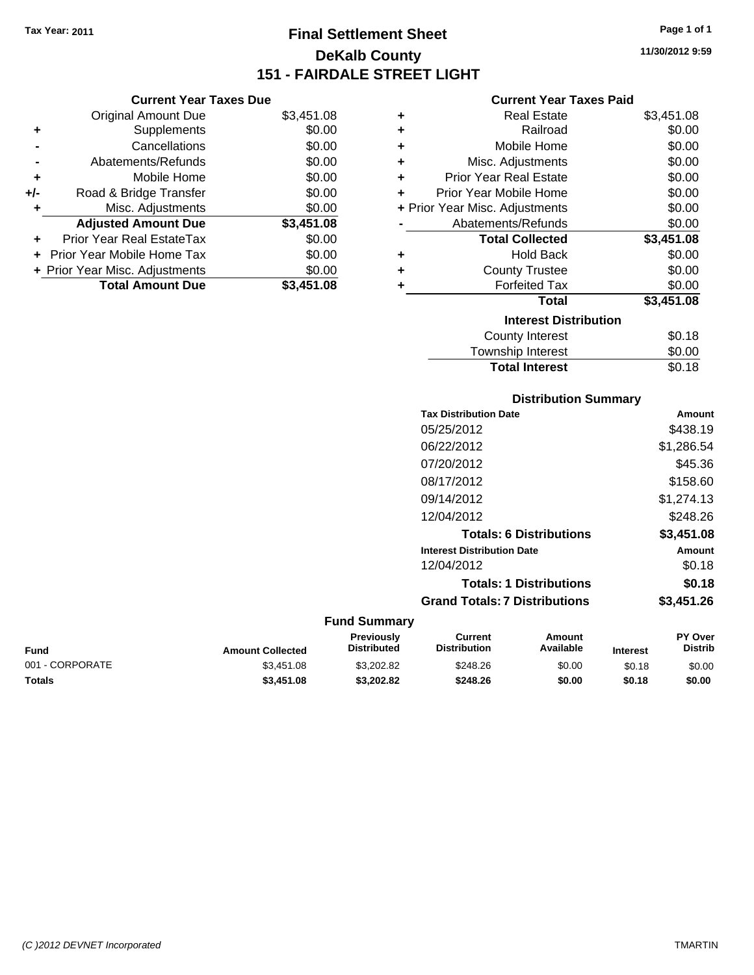**Current Year Taxes Due** Original Amount Due \$3,451.08

**Adjusted Amount Due \$3,451.08**

**Total Amount Due \$3,451.08**

**+** Supplements \$0.00 **-** Cancellations \$0.00 **-** Abatements/Refunds \$0.00 **+** Mobile Home \$0.00 **+/-** Road & Bridge Transfer \$0.00 **+** Misc. Adjustments \$0.00

**+** Prior Year Real EstateTax \$0.00 **+** Prior Year Mobile Home Tax \$0.00 **+ Prior Year Misc. Adjustments**  $$0.00$ 

## **Final Settlement Sheet Tax Year: 2011 Page 1 of 1 DeKalb County 151 - FAIRDALE STREET LIGHT**

**11/30/2012 9:59**

## **Current Year Taxes Paid**

| ٠ | <b>Real Estate</b>             | \$3,451.08 |
|---|--------------------------------|------------|
| ٠ | Railroad                       | \$0.00     |
| ٠ | Mobile Home                    | \$0.00     |
| ٠ | Misc. Adjustments              | \$0.00     |
| ÷ | <b>Prior Year Real Estate</b>  | \$0.00     |
| ٠ | Prior Year Mobile Home         | \$0.00     |
|   | + Prior Year Misc. Adjustments | \$0.00     |
|   | Abatements/Refunds             | \$0.00     |
|   | <b>Total Collected</b>         | \$3,451.08 |
| ٠ | <b>Hold Back</b>               | \$0.00     |
| ٠ | <b>County Trustee</b>          | \$0.00     |
| ٠ | <b>Forfeited Tax</b>           | \$0.00     |
|   | <b>Total</b>                   | \$3,451.08 |
|   | <b>Interest Distribution</b>   |            |
|   | <b>County Interest</b>         | \$0.18     |
|   | Townehin Intaract              | ቁስ ሰስ      |

## Township Interest  $$0.00$ **Total Interest** \$0.18

| <b>Distribution Summary</b>          |            |
|--------------------------------------|------------|
| <b>Tax Distribution Date</b>         | Amount     |
| 05/25/2012                           | \$438.19   |
| 06/22/2012                           | \$1,286.54 |
| 07/20/2012                           | \$45.36    |
| 08/17/2012                           | \$158.60   |
| 09/14/2012                           | \$1,274.13 |
| 12/04/2012                           | \$248.26   |
| <b>Totals: 6 Distributions</b>       | \$3,451.08 |
| <b>Interest Distribution Date</b>    | Amount     |
| 12/04/2012                           | \$0.18     |
| <b>Totals: 1 Distributions</b>       | \$0.18     |
| <b>Grand Totals: 7 Distributions</b> | \$3,451.26 |

| <b>Fund</b>     | <b>Amount Collected</b> | <b>Previously</b><br><b>Distributed</b> | Current<br><b>Distribution</b> | Amount<br>Available | <b>Interest</b> | <b>PY Over</b><br><b>Distrib</b> |
|-----------------|-------------------------|-----------------------------------------|--------------------------------|---------------------|-----------------|----------------------------------|
| 001 - CORPORATE | \$3.451.08              | \$3.202.82                              | \$248.26                       | \$0.00              | \$0.18          | \$0.00                           |
| <b>Totals</b>   | \$3,451.08              | \$3,202.82                              | \$248.26                       | \$0.00              | \$0.18          | \$0.00                           |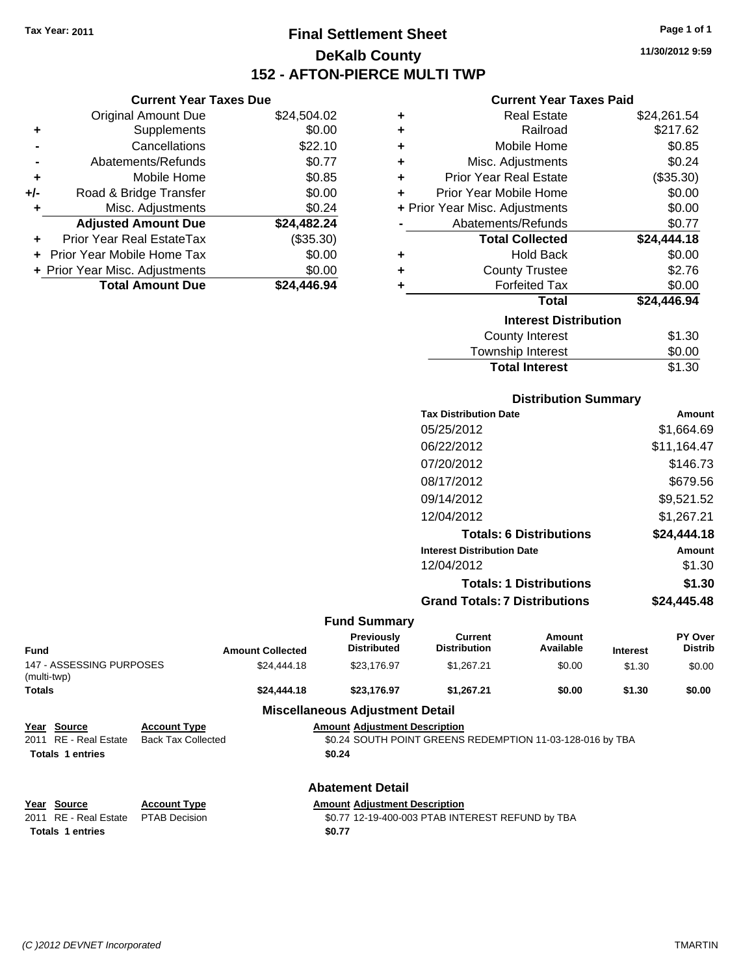**Current Year Taxes Due** Original Amount Due \$24,504.02

**Adjusted Amount Due \$24,482.24**

**Total Amount Due \$24,446.94**

**+** Supplements \$0.00 **-** Cancellations \$22.10 **-** Abatements/Refunds \$0.77 **+** Mobile Home \$0.85 **+/-** Road & Bridge Transfer \$0.00 **+** Misc. Adjustments \$0.24

**+** Prior Year Real EstateTax (\$35.30) **+** Prior Year Mobile Home Tax \$0.00 **+ Prior Year Misc. Adjustments**  $$0.00$ 

## **Final Settlement Sheet Tax Year: 2011 Page 1 of 1 DeKalb County 152 - AFTON-PIERCE MULTI TWP**

**11/30/2012 9:59**

## **Current Year Taxes Paid**

| ٠ | <b>Real Estate</b>             | \$24,261.54 |
|---|--------------------------------|-------------|
| ٠ | Railroad                       | \$217.62    |
| ٠ | Mobile Home                    | \$0.85      |
| ÷ | Misc. Adjustments              | \$0.24      |
| ÷ | <b>Prior Year Real Estate</b>  | (\$35.30)   |
| ٠ | Prior Year Mobile Home         | \$0.00      |
|   | + Prior Year Misc. Adjustments | \$0.00      |
|   | Abatements/Refunds             | \$0.77      |
|   |                                |             |
|   | <b>Total Collected</b>         | \$24,444.18 |
| ٠ | <b>Hold Back</b>               | \$0.00      |
| ÷ | <b>County Trustee</b>          | \$2.76      |
| ٠ | <b>Forfeited Tax</b>           | \$0.00      |
|   | <b>Total</b>                   | \$24,446.94 |
|   | <b>Interest Distribution</b>   |             |
|   | <b>County Interest</b>         | \$1.30      |

**Total Interest** \$1.30

|                                         |                           |                                        |                                                           | <b>Distribution Summary</b>    |                 |                |
|-----------------------------------------|---------------------------|----------------------------------------|-----------------------------------------------------------|--------------------------------|-----------------|----------------|
|                                         |                           |                                        | <b>Tax Distribution Date</b>                              |                                |                 | Amount         |
|                                         |                           |                                        | 05/25/2012                                                |                                |                 | \$1,664.69     |
|                                         |                           |                                        | 06/22/2012                                                |                                |                 | \$11,164.47    |
|                                         |                           |                                        | 07/20/2012                                                |                                |                 | \$146.73       |
|                                         |                           |                                        | 08/17/2012                                                |                                |                 | \$679.56       |
|                                         |                           |                                        | 09/14/2012                                                |                                |                 | \$9,521.52     |
|                                         |                           |                                        | 12/04/2012                                                |                                |                 | \$1,267.21     |
|                                         |                           |                                        |                                                           | <b>Totals: 6 Distributions</b> |                 | \$24,444.18    |
|                                         |                           |                                        | <b>Interest Distribution Date</b>                         |                                |                 | Amount         |
|                                         |                           |                                        | 12/04/2012                                                |                                |                 | \$1.30         |
|                                         |                           |                                        |                                                           | <b>Totals: 1 Distributions</b> |                 | \$1.30         |
|                                         |                           |                                        | <b>Grand Totals: 7 Distributions</b>                      |                                |                 | \$24,445.48    |
|                                         |                           | <b>Fund Summary</b>                    |                                                           |                                |                 |                |
|                                         |                           | Previously                             | <b>Current</b>                                            | Amount                         |                 | PY Over        |
| <b>Fund</b>                             | <b>Amount Collected</b>   | <b>Distributed</b>                     | <b>Distribution</b>                                       | Available                      | <b>Interest</b> | <b>Distrib</b> |
| 147 - ASSESSING PURPOSES<br>(multi-twp) | \$24,444.18               | \$23,176.97                            | \$1,267.21                                                | \$0.00                         | \$1.30          | \$0.00         |
| <b>Totals</b>                           | \$24,444.18               | \$23,176.97                            | \$1,267.21                                                | \$0.00                         | \$1.30          | \$0.00         |
|                                         |                           | <b>Miscellaneous Adjustment Detail</b> |                                                           |                                |                 |                |
| Year Source                             | <b>Account Type</b>       | <b>Amount Adjustment Description</b>   |                                                           |                                |                 |                |
| <b>RE</b> - Real Estate<br>2011         | <b>Back Tax Collected</b> |                                        | \$0.24 SOUTH POINT GREENS REDEMPTION 11-03-128-016 by TBA |                                |                 |                |
| <b>Totals 1 entries</b>                 |                           | \$0.24                                 |                                                           |                                |                 |                |
|                                         |                           | <b>Abatement Detail</b>                |                                                           |                                |                 |                |

**Totals \$0.77 1 entries**

**Year Source Account Type Amount Adjustment Description** 2011 RE - Real Estate PTAB Decision 30.77 12-19-400-003 PTAB INTEREST REFUND by TBA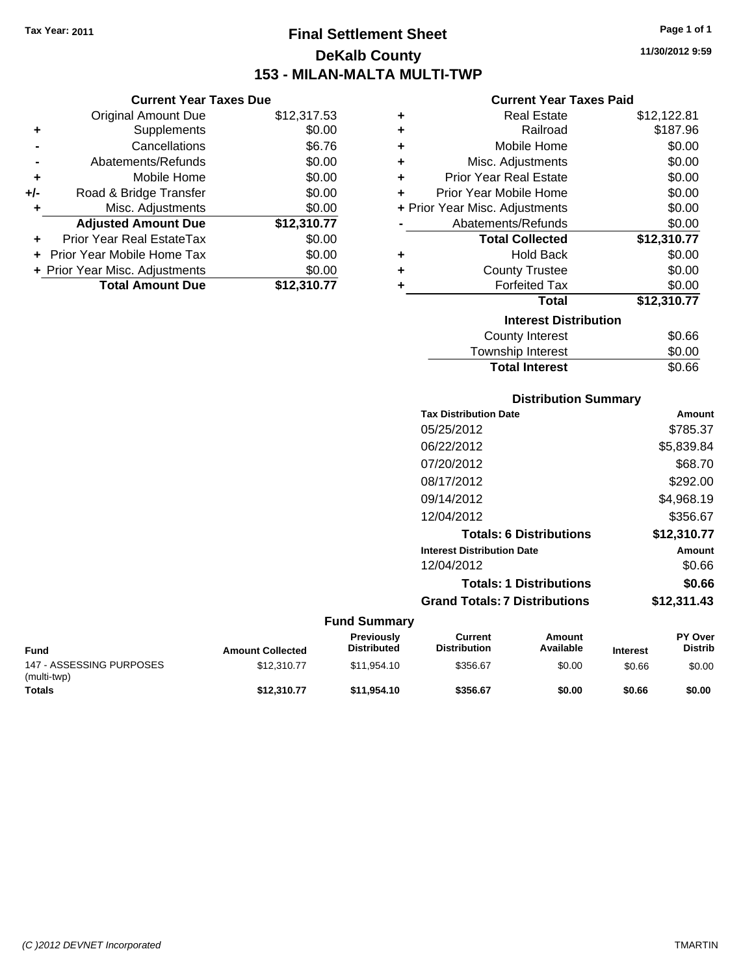Original Amount Due

**Adjusted Amount Due** 

**Total Amount Due** 

**+** Supplements **-** Cancellations **-** Abatements/Refunds **+** Mobile Home **+/-** Road & Bridge Transfer **+** Misc. Adjustments

**+** Prior Year Real EstateTax \$0.00 **+** Prior Year Mobile Home Tax **+ Prior Year Misc. Adjustments** 

## **Final Settlement Sheet Tax Year: 2011 Page 1 of 1 DeKalb County 153 - MILAN-MALTA MULTI-TWP**

**11/30/2012 9:59**

## **Current Year Taxes Paid**

| <b>Current Year Taxes Due</b> |             |   | <b>Current Year Taxes Paid</b> |             |
|-------------------------------|-------------|---|--------------------------------|-------------|
| ıl Amount Due                 | \$12,317.53 | ٠ | <b>Real Estate</b>             | \$12,122.81 |
| Supplements                   | \$0.00      | ÷ | Railroad                       | \$187.96    |
| Cancellations                 | \$6.76      | ÷ | Mobile Home                    | \$0.00      |
| าents/Refunds                 | \$0.00      | ÷ | Misc. Adjustments              | \$0.00      |
| Mobile Home                   | \$0.00      | ÷ | <b>Prior Year Real Estate</b>  | \$0.00      |
| ridge Transfer                | \$0.00      | ٠ | Prior Year Mobile Home         | \$0.00      |
| . Adjustments                 | \$0.00      |   | + Prior Year Misc. Adjustments | \$0.00      |
| <b>Amount Due</b>             | \$12,310.77 |   | Abatements/Refunds             | \$0.00      |
| eal EstateTax                 | \$0.00      |   | <b>Total Collected</b>         | \$12,310.77 |
| pile Home Tax                 | \$0.00      | ٠ | <b>Hold Back</b>               | \$0.00      |
| . Adjustments                 | \$0.00      | ÷ | <b>County Trustee</b>          | \$0.00      |
| <b>Amount Due</b>             | \$12,310.77 | ٠ | <b>Forfeited Tax</b>           | \$0.00      |
|                               |             |   | <b>Total</b>                   | \$12,310.77 |
|                               |             |   | <b>Interest Distribution</b>   |             |
|                               |             |   | County Internet                | CDBC        |

| \$0.66 |
|--------|
| \$0.00 |
| \$0.66 |
|        |

| <b>Distribution Summary</b> |  |
|-----------------------------|--|
|-----------------------------|--|

| <b>Tax Distribution Date</b>         | Amount      |
|--------------------------------------|-------------|
| 05/25/2012                           | \$785.37    |
| 06/22/2012                           | \$5,839.84  |
| 07/20/2012                           | \$68.70     |
| 08/17/2012                           | \$292.00    |
| 09/14/2012                           | \$4,968.19  |
| 12/04/2012                           | \$356.67    |
| <b>Totals: 6 Distributions</b>       | \$12,310.77 |
| <b>Interest Distribution Date</b>    | Amount      |
| 12/04/2012                           | \$0.66      |
| <b>Totals: 1 Distributions</b>       | \$0.66      |
| <b>Grand Totals: 7 Distributions</b> | \$12,311.43 |
|                                      |             |

| Fund                                    | <b>Amount Collected</b> | <b>Previously</b><br><b>Distributed</b> | Current<br><b>Distribution</b> | Amount<br>Available | <b>Interest</b> | <b>PY Over</b><br>Distrib |
|-----------------------------------------|-------------------------|-----------------------------------------|--------------------------------|---------------------|-----------------|---------------------------|
| 147 - ASSESSING PURPOSES<br>(multi-twp) | \$12,310.77             | \$11.954.10                             | \$356.67                       | \$0.00              | \$0.66          | \$0.00                    |
| <b>Totals</b>                           | \$12,310,77             | \$11.954.10                             | \$356.67                       | \$0.00              | \$0.66          | \$0.00                    |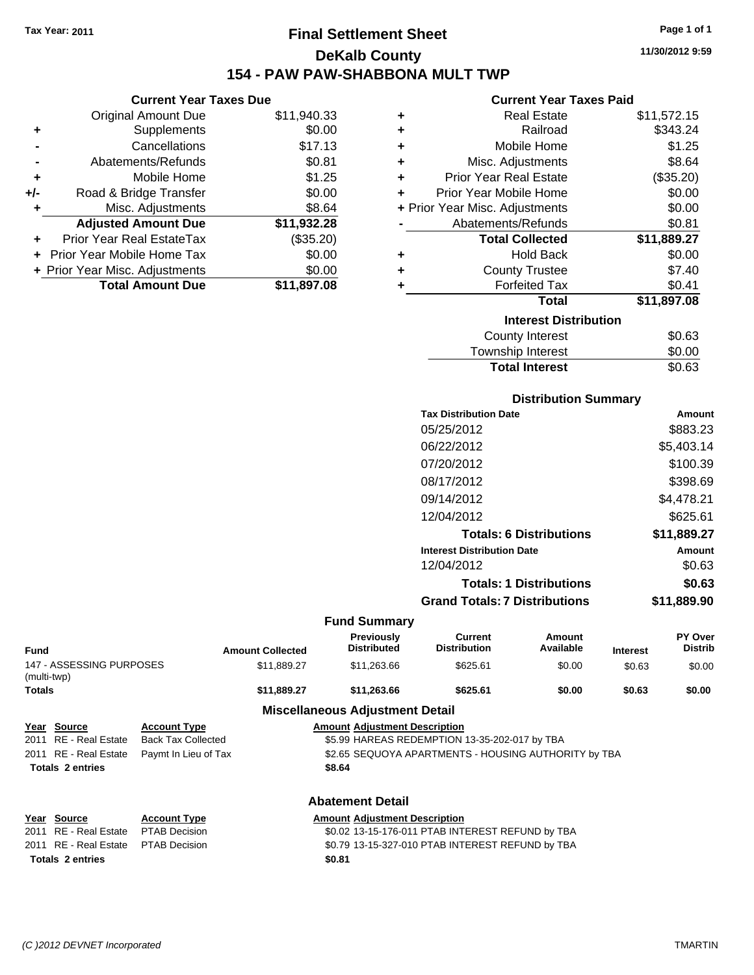**Current Year Taxes Due** Original Amount Due \$11,940.33

**Adjusted Amount Due \$11,932.28**

**Total Amount Due \$11,897.08**

**+** Supplements \$0.00 **-** Cancellations \$17.13 **-** Abatements/Refunds \$0.81 **+** Mobile Home \$1.25 **+/-** Road & Bridge Transfer \$0.00 **+** Misc. Adjustments \$8.64

**+** Prior Year Real EstateTax (\$35.20) **+** Prior Year Mobile Home Tax \$0.00 **+ Prior Year Misc. Adjustments**  $$0.00$ 

## **Final Settlement Sheet Tax Year: 2011 Page 1 of 1 DeKalb County 154 - PAW PAW-SHABBONA MULT TWP**

**11/30/2012 9:59**

## **Current Year Taxes Paid**

| ٠ | <b>Real Estate</b>             | \$11,572.15 |
|---|--------------------------------|-------------|
| ٠ | Railroad                       | \$343.24    |
| ÷ | Mobile Home                    | \$1.25      |
| ÷ | Misc. Adjustments              | \$8.64      |
| ÷ | <b>Prior Year Real Estate</b>  | (\$35.20)   |
| ÷ | Prior Year Mobile Home         | \$0.00      |
|   | + Prior Year Misc. Adjustments | \$0.00      |
|   | Abatements/Refunds             | \$0.81      |
|   | <b>Total Collected</b>         | \$11,889.27 |
| ٠ | <b>Hold Back</b>               | \$0.00      |
| ٠ | <b>County Trustee</b>          | \$7.40      |
| ٠ | <b>Forfeited Tax</b>           | \$0.41      |
|   | Total                          | \$11,897.08 |
|   | <b>Interest Distribution</b>   |             |
|   | <b>County Interest</b>         | \$0.63      |
|   | Township Interest              | \$0.00      |

| Distribution Summary  |        |
|-----------------------|--------|
| <b>Total Interest</b> | \$0.63 |
| Township Interest     | \$0.00 |
| County Interest       | \$0.63 |

| <b>Tax Distribution Date</b>         | Amount      |
|--------------------------------------|-------------|
| 05/25/2012                           | \$883.23    |
| 06/22/2012                           | \$5,403.14  |
| 07/20/2012                           | \$100.39    |
| 08/17/2012                           | \$398.69    |
| 09/14/2012                           | \$4,478.21  |
| 12/04/2012                           | \$625.61    |
| <b>Totals: 6 Distributions</b>       | \$11,889.27 |
| <b>Interest Distribution Date</b>    | Amount      |
| 12/04/2012                           | \$0.63      |
| <b>Totals: 1 Distributions</b>       | \$0.63      |
| <b>Grand Totals: 7 Distributions</b> | \$11,889.90 |
|                                      |             |

|                                         |                           |                         | <b>Fund Summary</b>                     |                                                      |                     |                 |                           |
|-----------------------------------------|---------------------------|-------------------------|-----------------------------------------|------------------------------------------------------|---------------------|-----------------|---------------------------|
| <b>Fund</b>                             |                           | <b>Amount Collected</b> | <b>Previously</b><br><b>Distributed</b> | Current<br><b>Distribution</b>                       | Amount<br>Available | <b>Interest</b> | PY Over<br><b>Distrib</b> |
| 147 - ASSESSING PURPOSES<br>(multi-twp) |                           | \$11,889.27             | \$11,263.66                             | \$625.61                                             | \$0.00              | \$0.63          | \$0.00                    |
| <b>Totals</b>                           |                           | \$11,889.27             | \$11,263.66                             | \$625.61                                             | \$0.00              | \$0.63          | \$0.00                    |
|                                         |                           |                         | <b>Miscellaneous Adjustment Detail</b>  |                                                      |                     |                 |                           |
| Year Source                             | <b>Account Type</b>       |                         | <b>Amount Adjustment Description</b>    |                                                      |                     |                 |                           |
| RE - Real Estate<br>2011                | <b>Back Tax Collected</b> |                         |                                         | \$5.99 HAREAS REDEMPTION 13-35-202-017 by TBA        |                     |                 |                           |
| 2011 RE - Real Estate                   | Paymt In Lieu of Tax      |                         |                                         | \$2.65 SEQUOYA APARTMENTS - HOUSING AUTHORITY by TBA |                     |                 |                           |
| <b>Totals 2 entries</b>                 |                           |                         | \$8.64                                  |                                                      |                     |                 |                           |
|                                         |                           |                         | <b>Abatement Detail</b>                 |                                                      |                     |                 |                           |
| Year Source                             | <b>Account Type</b>       |                         | <b>Amount Adjustment Description</b>    |                                                      |                     |                 |                           |
| 2011 RE - Real Estate                   | <b>PTAB Decision</b>      |                         |                                         | \$0.02 13-15-176-011 PTAB INTEREST REFUND by TBA     |                     |                 |                           |
| 2011 RE - Real Estate                   | <b>PTAB Decision</b>      |                         |                                         | \$0.79 13-15-327-010 PTAB INTEREST REFUND by TBA     |                     |                 |                           |

**Totals \$0.81 2 entries**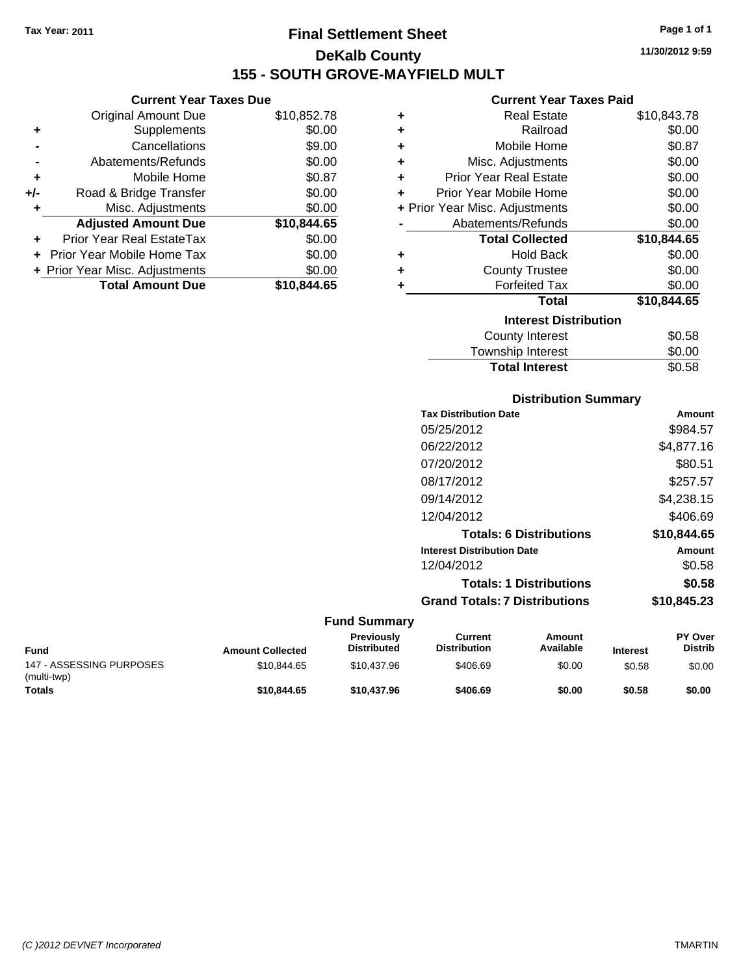**Current Year Taxes Due** Original Amount Due \$10,852.78

**Adjusted Amount Due \$10,844.65**

**Total Amount Due \$10,844.65**

**+** Supplements \$0.00 **-** Cancellations \$9.00 **-** Abatements/Refunds \$0.00 **+** Mobile Home \$0.87 **+/-** Road & Bridge Transfer \$0.00 **+** Misc. Adjustments \$0.00

**+** Prior Year Real EstateTax \$0.00 **+** Prior Year Mobile Home Tax \$0.00 **+ Prior Year Misc. Adjustments**  $$0.00$ 

## **Final Settlement Sheet Tax Year: 2011 Page 1 of 1 DeKalb County 155 - SOUTH GROVE-MAYFIELD MULT**

**11/30/2012 9:59**

## **Current Year Taxes Paid**

| ٠ | <b>Real Estate</b>             | \$10,843.78 |
|---|--------------------------------|-------------|
| ٠ | Railroad                       | \$0.00      |
| ÷ | Mobile Home                    | \$0.87      |
| ÷ | Misc. Adjustments              | \$0.00      |
| ÷ | <b>Prior Year Real Estate</b>  | \$0.00      |
| ÷ | Prior Year Mobile Home         | \$0.00      |
|   | + Prior Year Misc. Adjustments | \$0.00      |
|   | Abatements/Refunds             | \$0.00      |
|   | <b>Total Collected</b>         | \$10,844.65 |
| ٠ | <b>Hold Back</b>               | \$0.00      |
| ٠ | <b>County Trustee</b>          | \$0.00      |
| ٠ | <b>Forfeited Tax</b>           | \$0.00      |
|   | <b>Total</b>                   | \$10,844.65 |
|   | <b>Interest Distribution</b>   |             |
|   | <b>County Interest</b>         | \$0.58      |
|   | Taunaakin lataraat             | ጦ ለለ        |

| <b>Total Interest</b> | \$0.58 |
|-----------------------|--------|
| Township Interest     | \$0.00 |
| County Interest       | \$0.58 |

## **Distribution Summary**

| <b>Tax Distribution Date</b>         | Amount      |
|--------------------------------------|-------------|
| 05/25/2012                           | \$984.57    |
| 06/22/2012                           | \$4,877.16  |
| 07/20/2012                           | \$80.51     |
| 08/17/2012                           | \$257.57    |
| 09/14/2012                           | \$4,238.15  |
| 12/04/2012                           | \$406.69    |
| <b>Totals: 6 Distributions</b>       | \$10.844.65 |
| <b>Interest Distribution Date</b>    | Amount      |
| 12/04/2012                           | \$0.58      |
| <b>Totals: 1 Distributions</b>       | \$0.58      |
| <b>Grand Totals: 7 Distributions</b> | \$10,845,23 |
|                                      |             |

| Fund                                    | <b>Amount Collected</b> | <b>Previously</b><br><b>Distributed</b> | Current<br><b>Distribution</b> | Amount<br>Available | <b>Interest</b> | <b>PY Over</b><br><b>Distrib</b> |
|-----------------------------------------|-------------------------|-----------------------------------------|--------------------------------|---------------------|-----------------|----------------------------------|
| 147 - ASSESSING PURPOSES<br>(multi-twp) | \$10.844.65             | \$10,437.96                             | \$406.69                       | \$0.00              | \$0.58          | \$0.00                           |
| <b>Totals</b>                           | \$10.844.65             | \$10,437.96                             | \$406.69                       | \$0.00              | \$0.58          | \$0.00                           |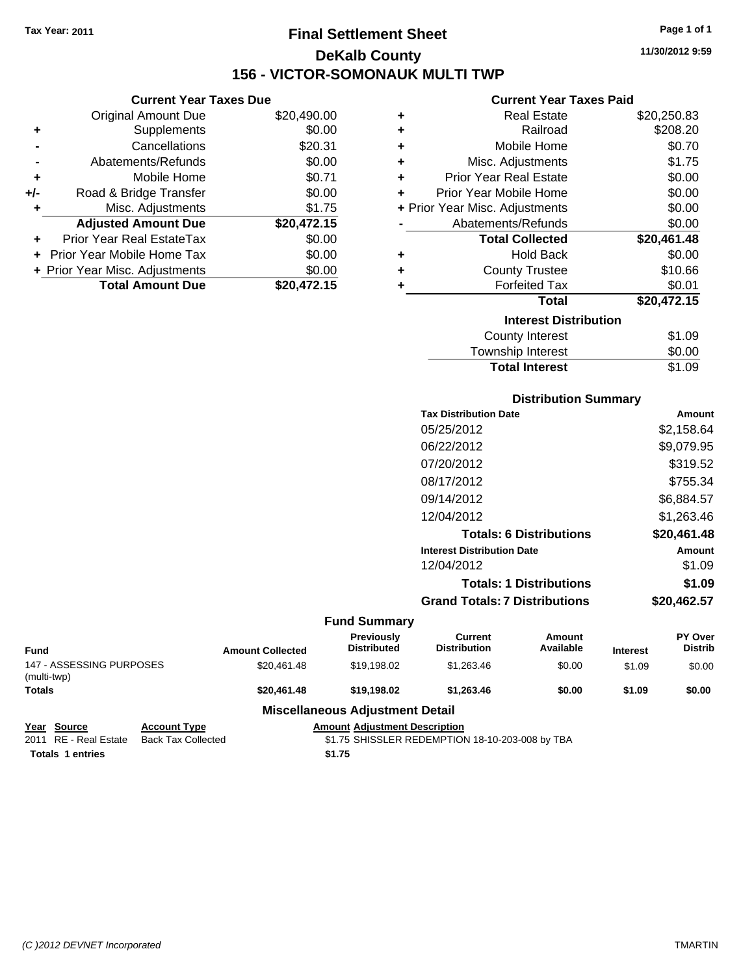## **Final Settlement Sheet Tax Year: 2011 Page 1 of 1 DeKalb County 156 - VICTOR-SOMONAUK MULTI TWP**

**11/30/2012 9:59**

## **Current Year Taxes Paid**

|     | <b>Original Amount Due</b>     | \$20,490.00 | ٠ | <b>Real Estate</b>             | \$20,250.83 |
|-----|--------------------------------|-------------|---|--------------------------------|-------------|
| ٠   | <b>Supplements</b>             | \$0.00      | ÷ | Railroad                       | \$208.20    |
|     | Cancellations                  | \$20.31     | ٠ | Mobile Home                    | \$0.70      |
|     | Abatements/Refunds             | \$0.00      | ٠ | Misc. Adjustments              | \$1.75      |
| ٠   | Mobile Home                    | \$0.71      | ÷ | <b>Prior Year Real Estate</b>  | \$0.00      |
| +/- | Road & Bridge Transfer         | \$0.00      | ٠ | Prior Year Mobile Home         | \$0.00      |
|     | Misc. Adjustments              | \$1.75      |   | + Prior Year Misc. Adjustments | \$0.00      |
|     | <b>Adjusted Amount Due</b>     | \$20,472.15 |   | Abatements/Refunds             | \$0.00      |
| ÷.  | Prior Year Real EstateTax      | \$0.00      |   | <b>Total Collected</b>         | \$20,461.48 |
|     | + Prior Year Mobile Home Tax   | \$0.00      | ÷ | <b>Hold Back</b>               | \$0.00      |
|     | + Prior Year Misc. Adjustments | \$0.00      | ٠ | <b>County Trustee</b>          | \$10.66     |
|     | <b>Total Amount Due</b>        | \$20,472.15 |   | <b>Forfeited Tax</b>           | \$0.01      |
|     |                                |             |   | <b>Total</b>                   | \$20,472.15 |
|     |                                |             |   | <b>Interest Distribution</b>   |             |
|     |                                |             |   | County Interest                | \$1.09      |
|     |                                |             |   |                                |             |

## Township Interest \$0.00 Total Interest \$1.09

| <b>Distribution Summary</b>          |             |
|--------------------------------------|-------------|
| <b>Tax Distribution Date</b>         | Amount      |
| 05/25/2012                           | \$2,158.64  |
| 06/22/2012                           | \$9,079.95  |
| 07/20/2012                           | \$319.52    |
| 08/17/2012                           | \$755.34    |
| 09/14/2012                           | \$6,884.57  |
| 12/04/2012                           | \$1,263.46  |
| <b>Totals: 6 Distributions</b>       | \$20,461.48 |
| <b>Interest Distribution Date</b>    | Amount      |
| 12/04/2012                           | \$1.09      |
| <b>Totals: 1 Distributions</b>       | \$1.09      |
| <b>Grand Totals: 7 Distributions</b> | \$20,462.57 |

#### **Fund Summary**

| Fund                                    | <b>Amount Collected</b> | <b>Previously</b><br><b>Distributed</b> | Current<br><b>Distribution</b> | Amount<br>Available | <b>Interest</b> | <b>PY Over</b><br><b>Distrib</b> |
|-----------------------------------------|-------------------------|-----------------------------------------|--------------------------------|---------------------|-----------------|----------------------------------|
| 147 - ASSESSING PURPOSES<br>(multi-twp) | \$20.461.48             | \$19.198.02                             | \$1.263.46                     | \$0.00              | \$1.09          | \$0.00                           |
| <b>Totals</b>                           | \$20,461.48             | \$19,198,02                             | \$1,263,46                     | \$0.00              | \$1.09          | \$0.00                           |
|                                         |                         | Miscellaneous Adiustment Detail         |                                |                     |                 |                                  |

#### **Miscellaneous Adjustment Detail**

| Year Source             | <b>Account Type</b>                      | <b>Amount Adiustment Description</b>            |
|-------------------------|------------------------------------------|-------------------------------------------------|
|                         | 2011 RE - Real Estate Back Tax Collected | \$1.75 SHISSLER REDEMPTION 18-10-203-008 by TBA |
| <b>Totals 1 entries</b> |                                          | \$1.75                                          |

**Current Year Taxes Due**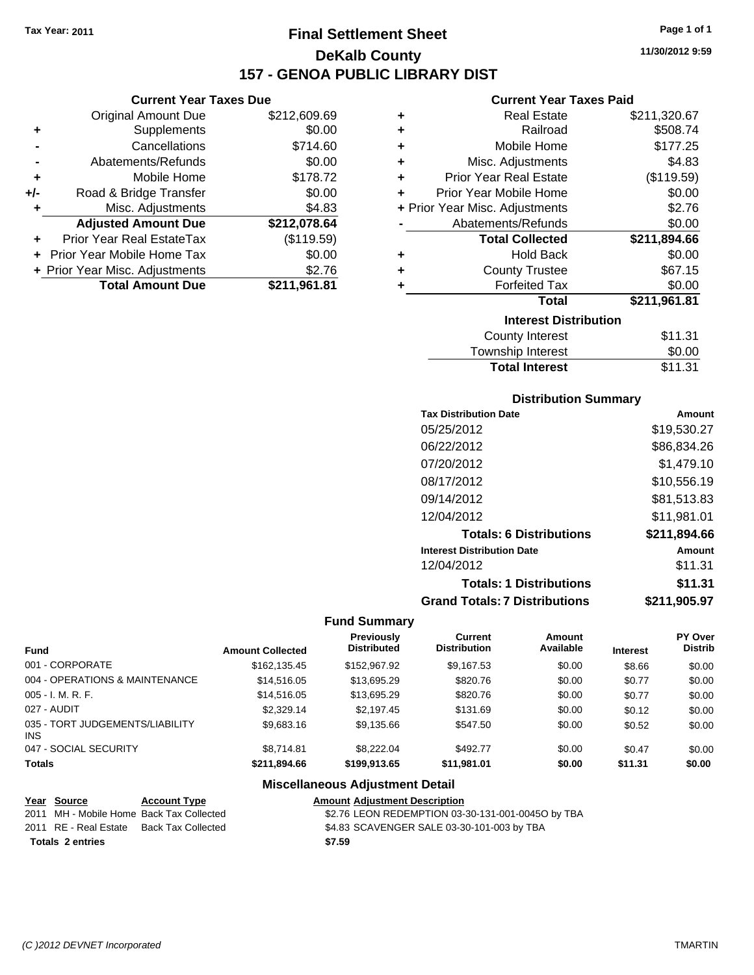## **Final Settlement Sheet Tax Year: 2011 Page 1 of 1 DeKalb County 157 - GENOA PUBLIC LIBRARY DIST**

## **Current Year Taxes Due**

|       | <b>Original Amount Due</b>        | \$212,609.69 |
|-------|-----------------------------------|--------------|
| ٠     | Supplements                       | \$0.00       |
|       | Cancellations                     | \$714.60     |
|       | Abatements/Refunds                | \$0.00       |
| ÷     | Mobile Home                       | \$178.72     |
| $+/-$ | Road & Bridge Transfer            | \$0.00       |
| ٠     | Misc. Adjustments                 | \$4.83       |
|       | <b>Adjusted Amount Due</b>        | \$212,078.64 |
|       | <b>Prior Year Real EstateTax</b>  | (\$119.59)   |
|       | <b>Prior Year Mobile Home Tax</b> | \$0.00       |
|       | + Prior Year Misc. Adjustments    | \$2.76       |
|       | <b>Total Amount Due</b>           | \$211,961.81 |

#### **Current Year Taxes Paid**

| ٠ | <b>Real Estate</b>             | \$211,320.67 |
|---|--------------------------------|--------------|
| ÷ | Railroad                       | \$508.74     |
| ÷ | Mobile Home                    | \$177.25     |
| ٠ | Misc. Adjustments              | \$4.83       |
| ÷ | <b>Prior Year Real Estate</b>  | (\$119.59)   |
| ٠ | Prior Year Mobile Home         | \$0.00       |
|   | + Prior Year Misc. Adjustments | \$2.76       |
|   | Abatements/Refunds             | \$0.00       |
|   | <b>Total Collected</b>         | \$211,894.66 |
| ٠ | <b>Hold Back</b>               | \$0.00       |
| ÷ | <b>County Trustee</b>          | \$67.15      |
| ٠ | <b>Forfeited Tax</b>           | \$0.00       |
|   | Total                          | \$211,961.81 |
|   | <b>Interest Distribution</b>   |              |
|   | <b>County Interest</b>         | \$11.31      |
|   | Townshin Interest              | ደ0 00        |

## Township Interest  $$0.00$ **Total Interest** \$11.31

## **Distribution Summary**

| Amount       |
|--------------|
| \$19,530.27  |
| \$86,834.26  |
| \$1,479.10   |
| \$10,556.19  |
| \$81,513.83  |
| \$11,981.01  |
| \$211,894.66 |
| Amount       |
| \$11.31      |
| \$11.31      |
| \$211,905.97 |
|              |

## **Fund Summary**

|                                         |                         | <b>Previously</b>  | Current             | Amount    |                 | PY Over        |
|-----------------------------------------|-------------------------|--------------------|---------------------|-----------|-----------------|----------------|
| <b>Fund</b>                             | <b>Amount Collected</b> | <b>Distributed</b> | <b>Distribution</b> | Available | <b>Interest</b> | <b>Distrib</b> |
| 001 - CORPORATE                         | \$162,135.45            | \$152,967.92       | \$9,167.53          | \$0.00    | \$8.66          | \$0.00         |
| 004 - OPERATIONS & MAINTENANCE          | \$14,516.05             | \$13,695.29        | \$820.76            | \$0.00    | \$0.77          | \$0.00         |
| 005 - I. M. R. F.                       | \$14.516.05             | \$13,695.29        | \$820.76            | \$0.00    | \$0.77          | \$0.00         |
| 027 - AUDIT                             | \$2.329.14              | \$2,197.45         | \$131.69            | \$0.00    | \$0.12          | \$0.00         |
| 035 - TORT JUDGEMENTS/LIABILITY<br>INS. | \$9.683.16              | \$9,135.66         | \$547.50            | \$0.00    | \$0.52          | \$0.00         |
| 047 - SOCIAL SECURITY                   | \$8.714.81              | \$8,222,04         | \$492.77            | \$0.00    | \$0.47          | \$0.00         |
| <b>Totals</b>                           | \$211.894.66            | \$199.913.65       | \$11.981.01         | \$0.00    | \$11.31         | \$0.00         |

## **Miscellaneous Adjustment Detail**

| Year Source           | <b>Account Type</b>                      | <b>Amount Adjustment Description</b>              |
|-----------------------|------------------------------------------|---------------------------------------------------|
|                       | 2011 MH - Mobile Home Back Tax Collected | \$2.76 LEON REDEMPTION 03-30-131-001-00450 by TBA |
| 2011 RE - Real Estate | Back Tax Collected                       | \$4.83 SCAVENGER SALE 03-30-101-003 by TBA        |
| Totals 2 entries      |                                          | \$7.59                                            |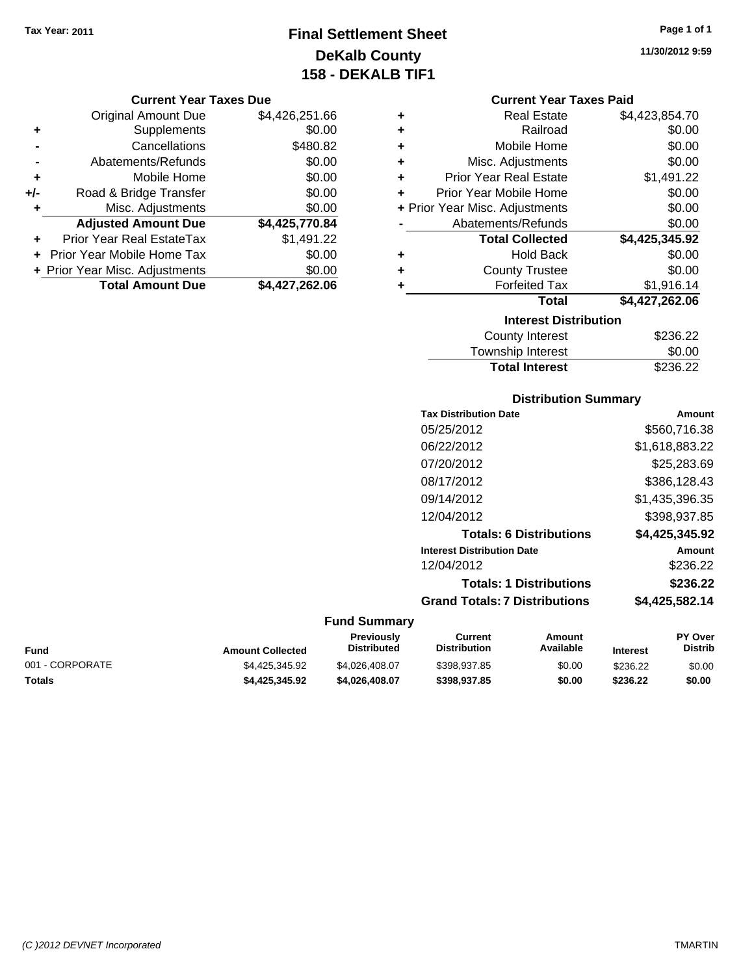## **Final Settlement Sheet Tax Year: 2011 Page 1 of 1 DeKalb County 158 - DEKALB TIF1**

**11/30/2012 9:59**

#### **Current Year Taxes Due**

|     | <b>Original Amount Due</b>     | \$4,426,251.66 |
|-----|--------------------------------|----------------|
| ٠   | Supplements                    | \$0.00         |
|     | Cancellations                  | \$480.82       |
|     | Abatements/Refunds             | \$0.00         |
| ٠   | Mobile Home                    | \$0.00         |
| +/- | Road & Bridge Transfer         | \$0.00         |
| ٠   | Misc. Adjustments              | \$0.00         |
|     | <b>Adjusted Amount Due</b>     | \$4,425,770.84 |
|     | Prior Year Real EstateTax      | \$1,491.22     |
|     | Prior Year Mobile Home Tax     | \$0.00         |
|     | + Prior Year Misc. Adjustments | \$0.00         |
|     | <b>Total Amount Due</b>        | \$4,427,262.06 |

## **Current Year Taxes Paid**

| ٠ | <b>Real Estate</b>             | \$4,423,854.70 |
|---|--------------------------------|----------------|
| ÷ | Railroad                       | \$0.00         |
| ٠ | Mobile Home                    | \$0.00         |
| ٠ | Misc. Adjustments              | \$0.00         |
| ٠ | <b>Prior Year Real Estate</b>  | \$1,491.22     |
| ٠ | Prior Year Mobile Home         | \$0.00         |
|   | + Prior Year Misc. Adjustments | \$0.00         |
|   | Abatements/Refunds             | \$0.00         |
|   | <b>Total Collected</b>         | \$4,425,345.92 |
| ٠ | <b>Hold Back</b>               | \$0.00         |
| ٠ | <b>County Trustee</b>          | \$0.00         |
| ٠ | <b>Forfeited Tax</b>           | \$1,916.14     |
|   | Total                          | \$4,427,262.06 |
|   | <b>Interest Distribution</b>   |                |
|   | County Intornet                | רר אררש        |

| <b>Total Interest</b> | \$236.22 |
|-----------------------|----------|
| Township Interest     | \$0.00   |
| County Interest       | \$236.22 |

## **Distribution Summary**

| <b>Tax Distribution Date</b>         | Amount         |
|--------------------------------------|----------------|
| 05/25/2012                           | \$560,716.38   |
| 06/22/2012                           | \$1,618,883.22 |
| 07/20/2012                           | \$25,283.69    |
| 08/17/2012                           | \$386,128.43   |
| 09/14/2012                           | \$1,435,396.35 |
| 12/04/2012                           | \$398,937.85   |
| <b>Totals: 6 Distributions</b>       | \$4,425,345.92 |
| <b>Interest Distribution Date</b>    | Amount         |
| 12/04/2012                           | \$236.22       |
| <b>Totals: 1 Distributions</b>       | \$236.22       |
| <b>Grand Totals: 7 Distributions</b> | \$4,425,582.14 |
|                                      |                |

#### **Fund Summary Current Previously**

|                 |                         | Previously     | Current             | Amount    |                 | <b>PY Over</b> |
|-----------------|-------------------------|----------------|---------------------|-----------|-----------------|----------------|
| Fund            | <b>Amount Collected</b> | Distributed    | <b>Distribution</b> | Available | <b>Interest</b> | Distrib        |
| 001 - CORPORATE | \$4.425.345.92          | \$4.026.408.07 | \$398.937.85        | \$0.00    | \$236.22        | \$0.00         |
| Totals          | \$4.425.345.92          | \$4.026.408.07 | \$398,937.85        | \$0.00    | \$236.22        | \$0.00         |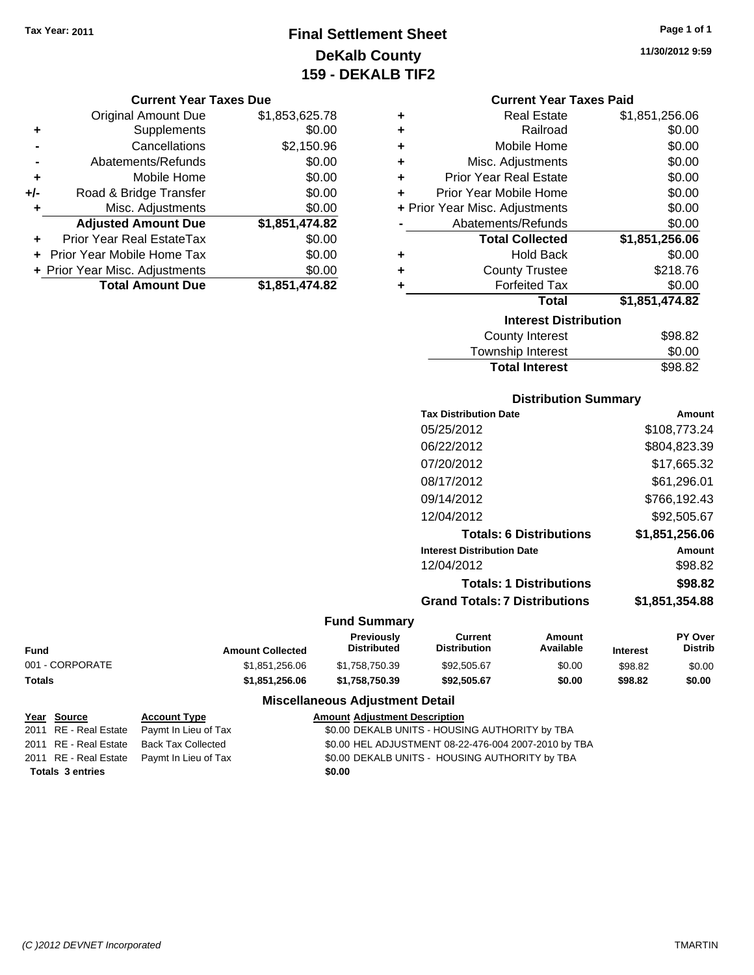## **Final Settlement Sheet Tax Year: 2011 Page 1 of 1 DeKalb County 159 - DEKALB TIF2**

#### **Current Year Taxes Due**

|       | <b>Original Amount Due</b>     | \$1,853,625.78 |
|-------|--------------------------------|----------------|
| ٠     | Supplements                    | \$0.00         |
|       | Cancellations                  | \$2,150.96     |
|       | Abatements/Refunds             | \$0.00         |
| ٠     | Mobile Home                    | \$0.00         |
| $+/-$ | Road & Bridge Transfer         | \$0.00         |
| ٠     | Misc. Adjustments              | \$0.00         |
|       | <b>Adjusted Amount Due</b>     | \$1,851,474.82 |
|       | Prior Year Real EstateTax      | \$0.00         |
|       | Prior Year Mobile Home Tax     | \$0.00         |
|       | + Prior Year Misc. Adjustments | \$0.00         |
|       | <b>Total Amount Due</b>        | \$1,851,474.82 |

| ٠ | <b>Real Estate</b>             | \$1,851,256.06 |
|---|--------------------------------|----------------|
| ÷ | Railroad                       | \$0.00         |
| ٠ | Mobile Home                    | \$0.00         |
| ٠ | Misc. Adjustments              | \$0.00         |
| ٠ | <b>Prior Year Real Estate</b>  | \$0.00         |
| ÷ | Prior Year Mobile Home         | \$0.00         |
|   | + Prior Year Misc. Adjustments | \$0.00         |
|   | Abatements/Refunds             | \$0.00         |
|   | <b>Total Collected</b>         | \$1,851,256.06 |
| ٠ | Hold Back                      | \$0.00         |
| ٠ | <b>County Trustee</b>          | \$218.76       |
| ٠ | <b>Forfeited Tax</b>           | \$0.00         |
|   | Total                          | \$1,851,474.82 |
|   | <b>Interest Distribution</b>   |                |
|   | County Interest                | ድዕደ ደኃ         |

| County Interest       | \$98.82 |
|-----------------------|---------|
| Township Interest     | \$0.00  |
| <b>Total Interest</b> | \$98.82 |

## **Distribution Summary**

| <b>Tax Distribution Date</b>         | Amount         |
|--------------------------------------|----------------|
| 05/25/2012                           | \$108,773.24   |
| 06/22/2012                           | \$804,823.39   |
| 07/20/2012                           | \$17,665.32    |
| 08/17/2012                           | \$61,296.01    |
| 09/14/2012                           | \$766,192.43   |
| 12/04/2012                           | \$92,505.67    |
| <b>Totals: 6 Distributions</b>       | \$1,851,256.06 |
| <b>Interest Distribution Date</b>    | Amount         |
| 12/04/2012                           | \$98.82        |
| <b>Totals: 1 Distributions</b>       | \$98.82        |
| <b>Grand Totals: 7 Distributions</b> | \$1,851,354.88 |
|                                      |                |

## **Fund Summary**

 $\overline{\phantom{0}}$ 

|                 |                         | <b>Previously</b>  | Current             | Amount    |                 | <b>PY Over</b> |
|-----------------|-------------------------|--------------------|---------------------|-----------|-----------------|----------------|
| Fund            | <b>Amount Collected</b> | <b>Distributed</b> | <b>Distribution</b> | Available | <b>Interest</b> | Distrib        |
| 001 - CORPORATE | \$1.851.256.06          | \$1.758.750.39     | \$92,505.67         | \$0.00    | \$98.82         | \$0.00         |
| Totals          | \$1.851.256.06          | \$1.758.750.39     | \$92.505.67         | \$0.00    | \$98.82         | \$0.00         |

## **Miscellaneous Adjustment Detail**

| <u>Year Source</u>      | <b>Account Type</b>                        | <b>Amount Adjustment Description</b>                 |
|-------------------------|--------------------------------------------|------------------------------------------------------|
|                         | 2011 RE - Real Estate Paymt In Lieu of Tax | \$0.00 DEKALB UNITS - HOUSING AUTHORITY by TBA       |
|                         | 2011 RE - Real Estate Back Tax Collected   | \$0.00 HEL ADJUSTMENT 08-22-476-004 2007-2010 by TBA |
|                         | 2011 RE - Real Estate Paymt In Lieu of Tax | \$0.00 DEKALB UNITS - HOUSING AUTHORITY by TBA       |
| <b>Totals 3 entries</b> |                                            | \$0.00                                               |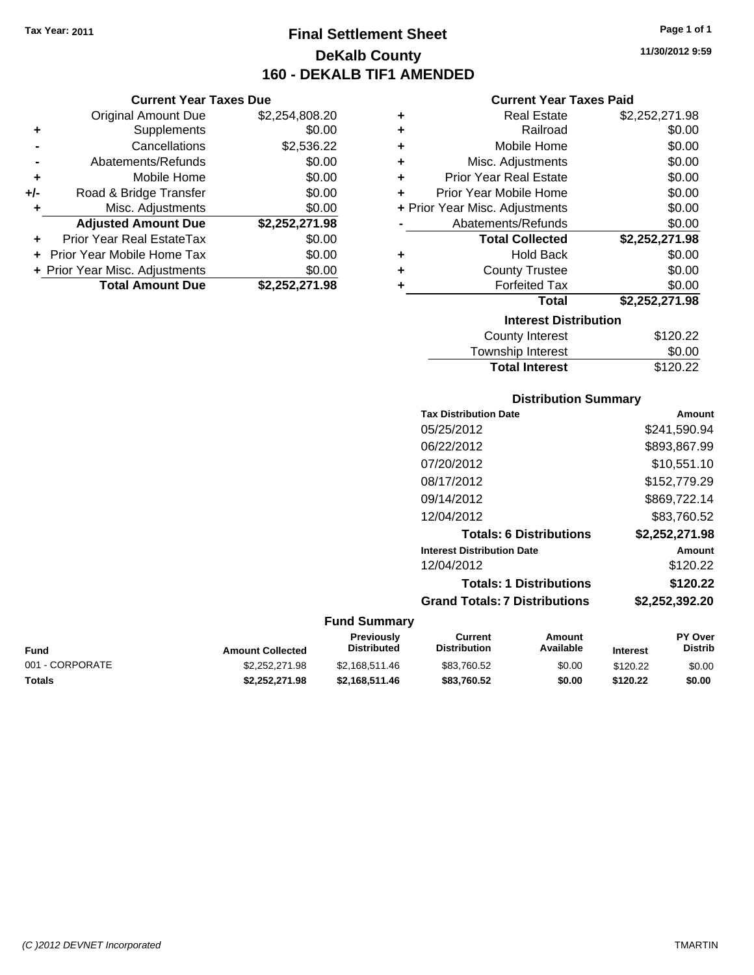## **Final Settlement Sheet Tax Year: 2011 Page 1 of 1 DeKalb County 160 - DEKALB TIF1 AMENDED**

**11/30/2012 9:59**

## **Current Year Taxes Paid**

|     | <b>Current Year Taxes Due</b>  |                |        |
|-----|--------------------------------|----------------|--------|
|     | <b>Original Amount Due</b>     | \$2,254,808.20 | ٠      |
|     | Supplements                    | \$0.00         | ٠      |
|     | Cancellations                  | \$2,536.22     | ٠      |
|     | Abatements/Refunds             | \$0.00         | ٠      |
|     | Mobile Home                    | \$0.00         | ٠      |
| +/- | Road & Bridge Transfer         | \$0.00         | ٠      |
|     | Misc. Adjustments              | \$0.00         | + Prio |
|     | <b>Adjusted Amount Due</b>     | \$2,252,271.98 |        |
|     | Prior Year Real EstateTax      | \$0.00         |        |
|     | Prior Year Mobile Home Tax     | \$0.00         |        |
|     | + Prior Year Misc. Adjustments | \$0.00         | ٠      |
|     | <b>Total Amount Due</b>        | \$2,252,271.98 |        |
|     |                                |                |        |

| ٠ | <b>Real Estate</b>             | \$2,252,271.98 |  |  |  |
|---|--------------------------------|----------------|--|--|--|
| ٠ | Railroad                       | \$0.00         |  |  |  |
| ٠ | Mobile Home                    | \$0.00         |  |  |  |
| ٠ | Misc. Adjustments              | \$0.00         |  |  |  |
| ٠ | <b>Prior Year Real Estate</b>  | \$0.00         |  |  |  |
| ٠ | Prior Year Mobile Home         | \$0.00         |  |  |  |
|   | + Prior Year Misc. Adjustments | \$0.00         |  |  |  |
|   | Abatements/Refunds             | \$0.00         |  |  |  |
|   | <b>Total Collected</b>         | \$2,252,271.98 |  |  |  |
| ٠ | <b>Hold Back</b>               | \$0.00         |  |  |  |
| ÷ | <b>County Trustee</b>          | \$0.00         |  |  |  |
| ٠ | <b>Forfeited Tax</b>           | \$0.00         |  |  |  |
|   | Total                          | \$2,252,271.98 |  |  |  |
|   | <b>Interest Distribution</b>   |                |  |  |  |
|   | <b>County Interest</b>         | \$120.22       |  |  |  |
|   | Townshin Interest              | ፍሰ ሰበ          |  |  |  |

| Township Interest     | \$0.00   |
|-----------------------|----------|
| <b>Total Interest</b> | \$120.22 |
|                       |          |

## **Distribution Summary**

| <b>Tax Distribution Date</b>         | Amount         |
|--------------------------------------|----------------|
| 05/25/2012                           | \$241,590.94   |
| 06/22/2012                           | \$893,867.99   |
| 07/20/2012                           | \$10,551.10    |
| 08/17/2012                           | \$152,779.29   |
| 09/14/2012                           | \$869,722.14   |
| 12/04/2012                           | \$83.760.52    |
| <b>Totals: 6 Distributions</b>       | \$2,252,271.98 |
| <b>Interest Distribution Date</b>    | Amount         |
| 12/04/2012                           | \$120.22       |
| <b>Totals: 1 Distributions</b>       | \$120.22       |
| <b>Grand Totals: 7 Distributions</b> | \$2,252,392.20 |
|                                      |                |

| Fund            | <b>Amount Collected</b> | Previously<br><b>Distributed</b> | Current<br>Distribution | Amount<br>Available | <b>Interest</b> | <b>PY Over</b><br><b>Distrib</b> |
|-----------------|-------------------------|----------------------------------|-------------------------|---------------------|-----------------|----------------------------------|
| 001 - CORPORATE | \$2.252.271.98          | \$2.168.511.46                   | \$83,760.52             | \$0.00              | \$120.22        | \$0.00                           |
| Totals          | \$2,252,271.98          | \$2.168.511.46                   | \$83.760.52             | \$0.00              | \$120.22        | \$0.00                           |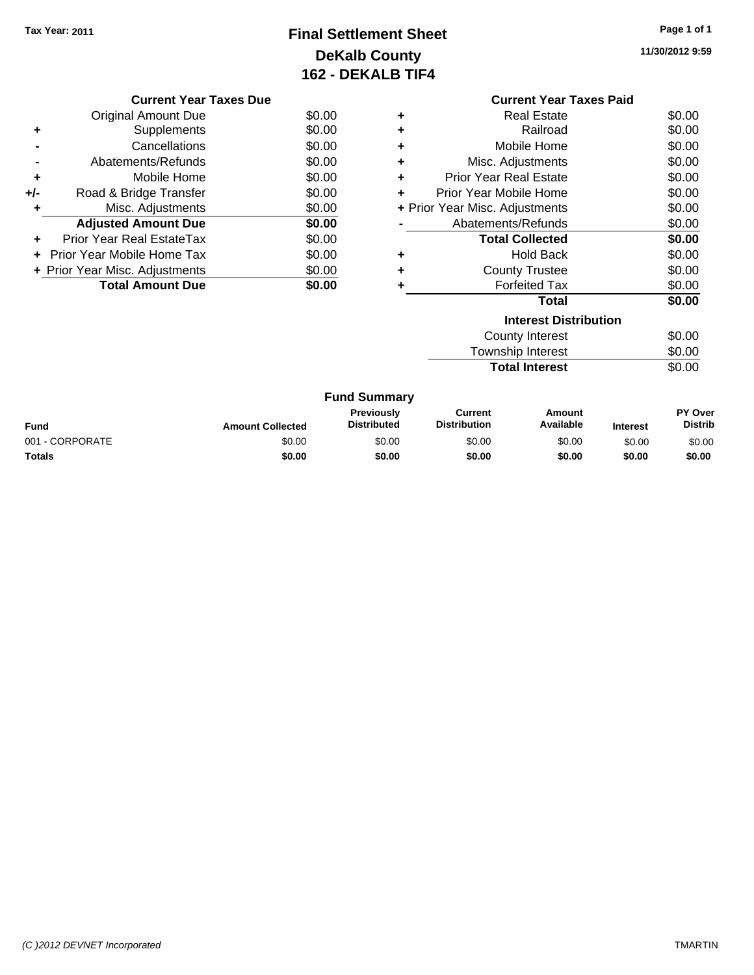## **Final Settlement Sheet Tax Year: 2011 Page 1 of 1 DeKalb County 162 - DEKALB TIF4**

**11/30/2012 9:59**

| <b>Current Year Taxes Due</b> |                                |        |  |  |
|-------------------------------|--------------------------------|--------|--|--|
|                               | Original Amount Due            | \$0.00 |  |  |
| ٠                             | Supplements                    | \$0.00 |  |  |
|                               | Cancellations                  | \$0.00 |  |  |
|                               | Abatements/Refunds             | \$0.00 |  |  |
| ٠                             | Mobile Home                    | \$0.00 |  |  |
| +/-                           | Road & Bridge Transfer         | \$0.00 |  |  |
| ٠                             | Misc. Adjustments              | \$0.00 |  |  |
|                               | <b>Adjusted Amount Due</b>     | \$0.00 |  |  |
|                               | Prior Year Real EstateTax      | \$0.00 |  |  |
|                               | Prior Year Mobile Home Tax     | \$0.00 |  |  |
|                               | + Prior Year Misc. Adjustments | \$0.00 |  |  |
|                               | <b>Total Amount Due</b>        | \$0.00 |  |  |
|                               |                                |        |  |  |

|   | <b>Current Year Taxes Paid</b>           |        |  |  |  |
|---|------------------------------------------|--------|--|--|--|
| ٠ | Real Estate                              | \$0.00 |  |  |  |
| ٠ | Railroad                                 | \$0.00 |  |  |  |
| ٠ | Mobile Home                              | \$0.00 |  |  |  |
| ٠ | Misc. Adjustments                        | \$0.00 |  |  |  |
| ٠ | <b>Prior Year Real Estate</b>            | \$0.00 |  |  |  |
| ÷ | Prior Year Mobile Home                   | \$0.00 |  |  |  |
|   | \$0.00<br>+ Prior Year Misc. Adjustments |        |  |  |  |
|   | \$0.00<br>Abatements/Refunds             |        |  |  |  |
|   | <b>Total Collected</b>                   | \$0.00 |  |  |  |
| ٠ | <b>Hold Back</b>                         | \$0.00 |  |  |  |
| ٠ | <b>County Trustee</b>                    | \$0.00 |  |  |  |
| ٠ | <b>Forfeited Tax</b>                     | \$0.00 |  |  |  |
|   | Total                                    | \$0.00 |  |  |  |
|   | <b>Interest Distribution</b>             |        |  |  |  |
|   | \$0.00<br>County Interest                |        |  |  |  |
|   | <b>Township Interest</b><br>\$0.00       |        |  |  |  |

| <b>OWISHIP INCIESL</b> | JU.UU  |
|------------------------|--------|
| <b>Total Interest</b>  | \$0.00 |

| <b>Fund Summary</b> |
|---------------------|
|                     |

| Fund            | <b>Amount Collected</b> | <b>Previously</b><br><b>Distributed</b> | Current<br><b>Distribution</b> | Amount<br>Available | <b>Interest</b> | PY Over<br><b>Distrib</b> |
|-----------------|-------------------------|-----------------------------------------|--------------------------------|---------------------|-----------------|---------------------------|
| 001 - CORPORATE | \$0.00                  | \$0.00                                  | \$0.00                         | \$0.00              | \$0.00          | \$0.00                    |
| Totals          | \$0.00                  | \$0.00                                  | \$0.00                         | \$0.00              | \$0.00          | \$0.00                    |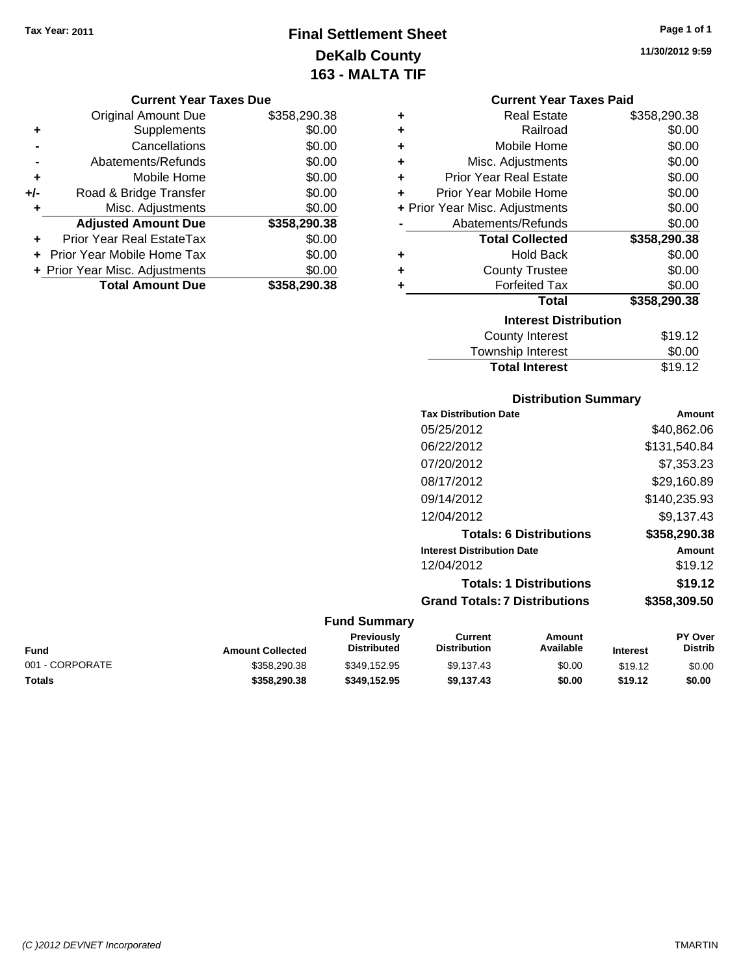## **Final Settlement Sheet Tax Year: 2011 Page 1 of 1 DeKalb County 163 - MALTA TIF**

**11/30/2012 9:59**

|   | <b>Current Year Taxes Paid</b> |              |  |  |  |
|---|--------------------------------|--------------|--|--|--|
| ٠ | <b>Real Estate</b>             | \$358,290.38 |  |  |  |
| ٠ | Railroad                       | \$0.00       |  |  |  |
| ٠ | Mobile Home                    | \$0.00       |  |  |  |
| ٠ | Misc. Adjustments              | \$0.00       |  |  |  |
| ÷ | <b>Prior Year Real Estate</b>  | \$0.00       |  |  |  |
| ÷ | Prior Year Mobile Home         | \$0.00       |  |  |  |
|   | + Prior Year Misc. Adjustments | \$0.00       |  |  |  |
|   | Abatements/Refunds             | \$0.00       |  |  |  |
|   | <b>Total Collected</b>         | \$358,290.38 |  |  |  |
| ٠ | <b>Hold Back</b>               | \$0.00       |  |  |  |
| ٠ | <b>County Trustee</b>          | \$0.00       |  |  |  |
| ٠ | <b>Forfeited Tax</b>           | \$0.00       |  |  |  |
|   | Total                          | \$358,290.38 |  |  |  |
|   | <b>Interest Distribution</b>   |              |  |  |  |
|   | <b>County Interest</b>         | \$19.12      |  |  |  |
|   | <b>Township Interest</b>       | \$0.00       |  |  |  |
|   | <b>Total Interest</b>          | \$19.12      |  |  |  |

## **Distribution Summary**

| <b>Tax Distribution Date</b>         | Amount       |
|--------------------------------------|--------------|
| 05/25/2012                           | \$40,862.06  |
| 06/22/2012                           | \$131,540.84 |
| 07/20/2012                           | \$7,353.23   |
| 08/17/2012                           | \$29.160.89  |
| 09/14/2012                           | \$140,235.93 |
| 12/04/2012                           | \$9.137.43   |
| <b>Totals: 6 Distributions</b>       | \$358,290.38 |
| <b>Interest Distribution Date</b>    | Amount       |
| 12/04/2012                           | \$19.12      |
| <b>Totals: 1 Distributions</b>       | \$19.12      |
| <b>Grand Totals: 7 Distributions</b> | \$358,309.50 |
|                                      |              |

| Fund            | <b>Amount Collected</b> | <b>Previously</b><br><b>Distributed</b> | Current<br>Distribution | Amount<br>Available | <b>Interest</b> | <b>PY Over</b><br><b>Distrib</b> |
|-----------------|-------------------------|-----------------------------------------|-------------------------|---------------------|-----------------|----------------------------------|
| 001 - CORPORATE | \$358,290.38            | \$349.152.95                            | \$9.137.43              | \$0.00              | \$19.12         | \$0.00                           |
| Totals          | \$358,290.38            | \$349.152.95                            | \$9.137.43              | \$0.00              | \$19.12         | \$0.00                           |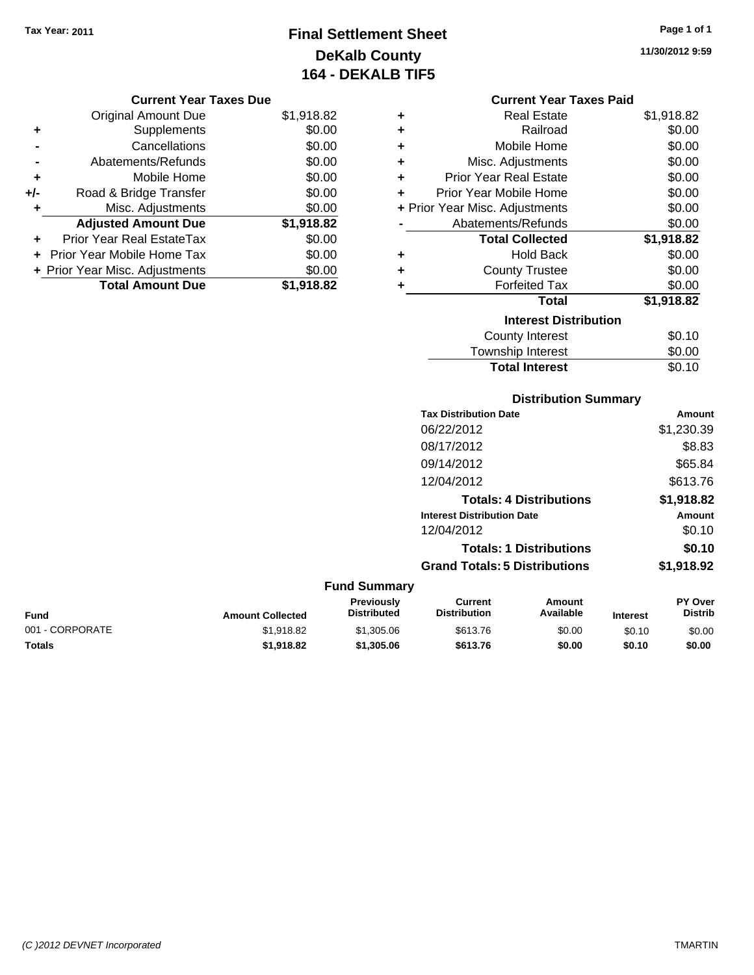## **Final Settlement Sheet Tax Year: 2011 Page 1 of 1 DeKalb County 164 - DEKALB TIF5**

**11/30/2012 9:59**

#### **Current Year Taxes Due**

|     | <b>Original Amount Due</b>     | \$1,918.82 |
|-----|--------------------------------|------------|
| ٠   | Supplements                    | \$0.00     |
|     | Cancellations                  | \$0.00     |
|     | Abatements/Refunds             | \$0.00     |
| ٠   | Mobile Home                    | \$0.00     |
| +/- | Road & Bridge Transfer         | \$0.00     |
| ٠   | Misc. Adjustments              | \$0.00     |
|     | <b>Adjusted Amount Due</b>     | \$1,918.82 |
|     | Prior Year Real EstateTax      | \$0.00     |
|     | + Prior Year Mobile Home Tax   | \$0.00     |
|     | + Prior Year Misc. Adjustments | \$0.00     |
|     | <b>Total Amount Due</b>        | \$1,918.82 |

## **Current Year Taxes Paid**

|   | <b>Real Estate</b>             | \$1,918.82 |
|---|--------------------------------|------------|
| ÷ | Railroad                       | \$0.00     |
| ÷ | Mobile Home                    | \$0.00     |
| ÷ | Misc. Adjustments              | \$0.00     |
| ٠ | Prior Year Real Estate         | \$0.00     |
| ٠ | Prior Year Mobile Home         | \$0.00     |
|   | + Prior Year Misc. Adjustments | \$0.00     |
|   | Abatements/Refunds             | \$0.00     |
|   | <b>Total Collected</b>         | \$1,918.82 |
| ٠ | <b>Hold Back</b>               | \$0.00     |
| ٠ | <b>County Trustee</b>          | \$0.00     |
|   |                                |            |
| ٠ | <b>Forfeited Tax</b>           | \$0.00     |
|   | <b>Total</b>                   | \$1,918.82 |
|   | <b>Interest Distribution</b>   |            |
|   | <b>County Interest</b>         | \$0.10     |

## Township Interest \$0.00 **Total Interest** \$0.10

|                 |                         |                                         |                                       | <b>Distribution Summary</b>    |                 |                                  |
|-----------------|-------------------------|-----------------------------------------|---------------------------------------|--------------------------------|-----------------|----------------------------------|
|                 |                         |                                         | <b>Tax Distribution Date</b>          |                                |                 | Amount                           |
|                 |                         |                                         | 06/22/2012                            |                                |                 | \$1,230.39                       |
|                 |                         |                                         | 08/17/2012                            |                                |                 | \$8.83                           |
|                 |                         |                                         | 09/14/2012                            |                                |                 | \$65.84                          |
|                 |                         |                                         | 12/04/2012                            |                                |                 | \$613.76                         |
|                 |                         |                                         |                                       | <b>Totals: 4 Distributions</b> |                 | \$1,918.82                       |
|                 |                         |                                         | <b>Interest Distribution Date</b>     |                                |                 | Amount                           |
|                 |                         |                                         | 12/04/2012                            |                                |                 | \$0.10                           |
|                 |                         |                                         |                                       | <b>Totals: 1 Distributions</b> |                 | \$0.10                           |
|                 |                         |                                         | <b>Grand Totals: 5 Distributions</b>  |                                |                 | \$1,918.92                       |
|                 |                         | <b>Fund Summary</b>                     |                                       |                                |                 |                                  |
| <b>Fund</b>     | <b>Amount Collected</b> | <b>Previously</b><br><b>Distributed</b> | <b>Current</b><br><b>Distribution</b> | <b>Amount</b><br>Available     | <b>Interest</b> | <b>PY Over</b><br><b>Distrib</b> |
| 001 - CORPORATE | \$1,918.82              | \$1,305.06                              | \$613.76                              | \$0.00                         | \$0.10          | \$0.00                           |

**Totals \$1,918.82 \$1,305.06 \$613.76 \$0.00 \$0.10 \$0.00**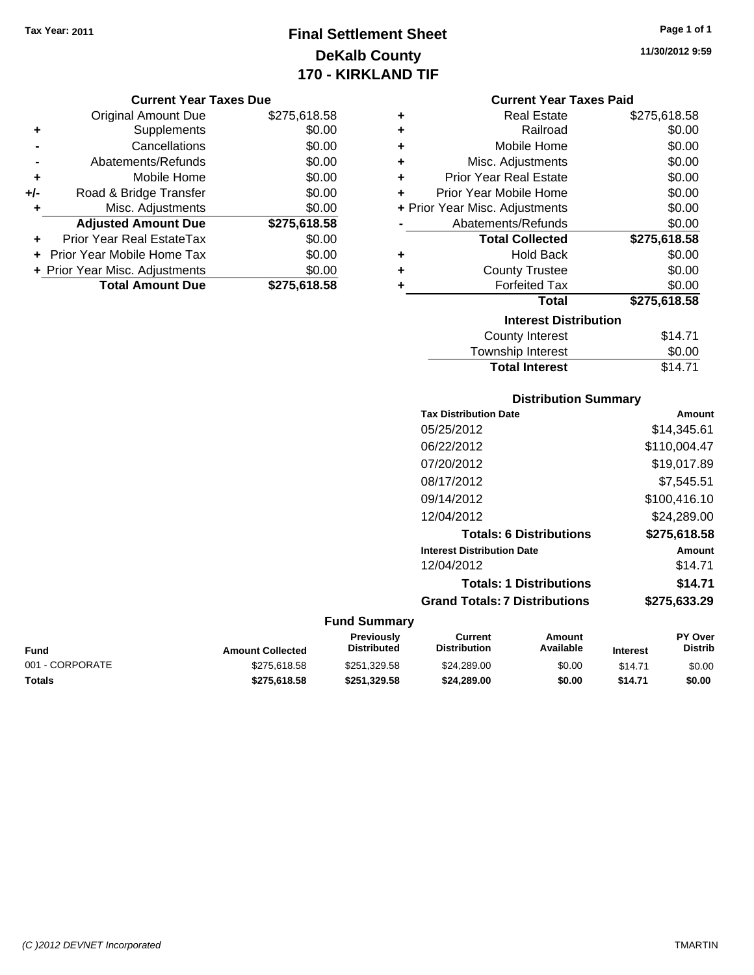## **Final Settlement Sheet Tax Year: 2011 Page 1 of 1 DeKalb County 170 - KIRKLAND TIF**

**11/30/2012 9:59**

### **Current Year Taxes Due**

|       | <b>Original Amount Due</b>       | \$275,618.58 |
|-------|----------------------------------|--------------|
| ٠     | Supplements                      | \$0.00       |
|       | Cancellations                    | \$0.00       |
|       | Abatements/Refunds               | \$0.00       |
| ÷     | Mobile Home                      | \$0.00       |
| $+/-$ | Road & Bridge Transfer           | \$0.00       |
| ٠     | Misc. Adjustments                | \$0.00       |
|       | <b>Adjusted Amount Due</b>       | \$275,618.58 |
|       | <b>Prior Year Real EstateTax</b> | \$0.00       |
|       | Prior Year Mobile Home Tax       | \$0.00       |
|       | + Prior Year Misc. Adjustments   | \$0.00       |
|       | <b>Total Amount Due</b>          | \$275,618.58 |

## **Current Year Taxes Paid**

| ٠ | <b>Real Estate</b>             | \$275,618.58 |
|---|--------------------------------|--------------|
| ٠ | Railroad                       | \$0.00       |
| ٠ | Mobile Home                    | \$0.00       |
| ٠ | Misc. Adjustments              | \$0.00       |
| ٠ | <b>Prior Year Real Estate</b>  | \$0.00       |
| ٠ | Prior Year Mobile Home         | \$0.00       |
|   | + Prior Year Misc. Adjustments | \$0.00       |
|   | Abatements/Refunds             | \$0.00       |
|   |                                |              |
|   | <b>Total Collected</b>         | \$275,618.58 |
| ٠ | <b>Hold Back</b>               | \$0.00       |
| ٠ | <b>County Trustee</b>          | \$0.00       |
| ٠ | <b>Forfeited Tax</b>           | \$0.00       |
|   | <b>Total</b>                   | \$275,618.58 |
|   | <b>Interest Distribution</b>   |              |

## Township Interest  $$0.00$ **Total Interest** \$14.71

## **Distribution Summary**

| <b>Tax Distribution Date</b>         | Amount       |
|--------------------------------------|--------------|
| 05/25/2012                           | \$14,345.61  |
| 06/22/2012                           | \$110.004.47 |
| 07/20/2012                           | \$19.017.89  |
| 08/17/2012                           | \$7,545.51   |
| 09/14/2012                           | \$100,416.10 |
| 12/04/2012                           | \$24,289.00  |
| <b>Totals: 6 Distributions</b>       | \$275,618.58 |
| <b>Interest Distribution Date</b>    | Amount       |
| 12/04/2012                           | \$14.71      |
| <b>Totals: 1 Distributions</b>       | \$14.71      |
| <b>Grand Totals: 7 Distributions</b> | \$275.633.29 |
|                                      |              |

| Fund            | <b>Amount Collected</b> | Previously<br><b>Distributed</b> | Current<br><b>Distribution</b> | Amount<br>Available | <b>Interest</b> | <b>PY Over</b><br>Distrib |
|-----------------|-------------------------|----------------------------------|--------------------------------|---------------------|-----------------|---------------------------|
| 001 - CORPORATE | \$275.618.58            | \$251.329.58                     | \$24,289,00                    | \$0.00              | \$14.71         | \$0.00                    |
| Totals          | \$275.618.58            | \$251.329.58                     | \$24,289,00                    | \$0.00              | \$14.71         | \$0.00                    |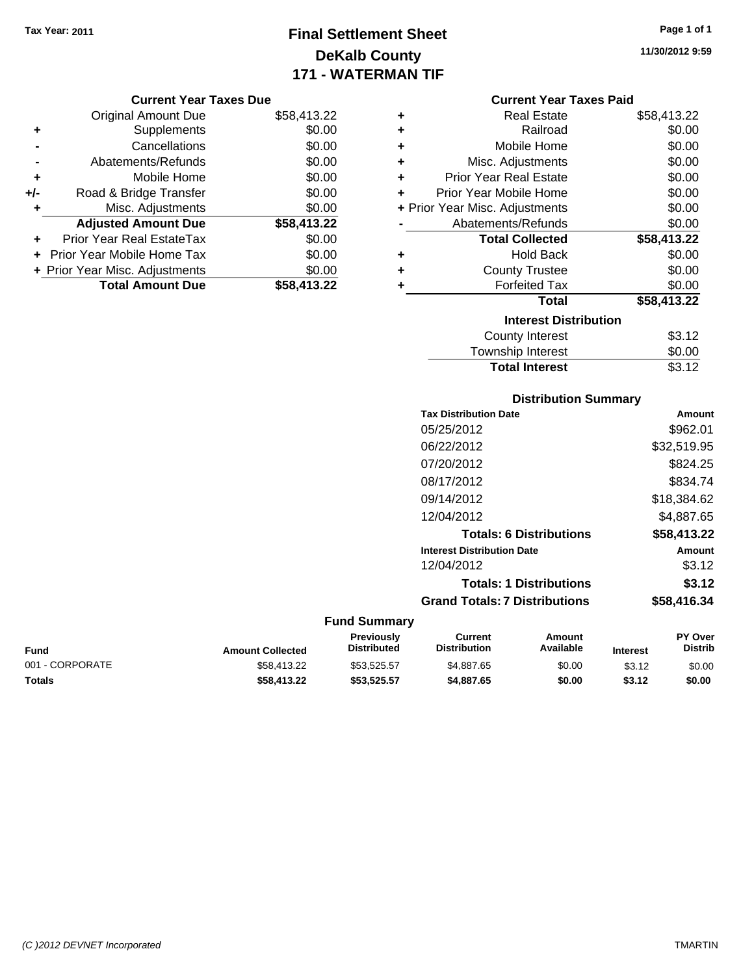## **Final Settlement Sheet Tax Year: 2011 Page 1 of 1 DeKalb County 171 - WATERMAN TIF**

#### **Current Year Taxes Due**

|       | <b>Original Amount Due</b>     | \$58,413.22 |
|-------|--------------------------------|-------------|
| ٠     | Supplements                    | \$0.00      |
|       | Cancellations                  | \$0.00      |
|       | Abatements/Refunds             | \$0.00      |
| ٠     | Mobile Home                    | \$0.00      |
| $+/-$ | Road & Bridge Transfer         | \$0.00      |
| ٠     | Misc. Adjustments              | \$0.00      |
|       | <b>Adjusted Amount Due</b>     | \$58,413.22 |
|       | Prior Year Real EstateTax      | \$0.00      |
|       | Prior Year Mobile Home Tax     | \$0.00      |
|       | + Prior Year Misc. Adjustments | \$0.00      |
|       | <b>Total Amount Due</b>        | \$58,413.22 |

#### **Current Year Taxes Paid**

| ٠ | Real Estate                    | \$58,413.22 |
|---|--------------------------------|-------------|
| ÷ | Railroad                       | \$0.00      |
| ÷ | Mobile Home                    | \$0.00      |
| ٠ | Misc. Adjustments              | \$0.00      |
| ٠ | Prior Year Real Estate         | \$0.00      |
| ٠ | Prior Year Mobile Home         | \$0.00      |
|   | + Prior Year Misc. Adjustments | \$0.00      |
|   | Abatements/Refunds             | \$0.00      |
|   | <b>Total Collected</b>         | \$58,413.22 |
| ٠ | <b>Hold Back</b>               | \$0.00      |
| ٠ | <b>County Trustee</b>          | \$0.00      |
| ٠ | <b>Forfeited Tax</b>           | \$0.00      |
|   | Total                          | \$58,413.22 |
|   | <b>Interest Distribution</b>   |             |
|   | <b>County Interest</b>         | \$3.12      |
|   | <b>Township Interest</b>       | \$0.00      |
|   | <b>Total Interest</b>          | \$3.12      |

# **Distribution Summary**

| <b>Tax Distribution Date</b>         | Amount      |
|--------------------------------------|-------------|
| 05/25/2012                           | \$962.01    |
| 06/22/2012                           | \$32,519.95 |
| 07/20/2012                           | \$824.25    |
| 08/17/2012                           | \$834.74    |
| 09/14/2012                           | \$18.384.62 |
| 12/04/2012                           | \$4,887.65  |
| <b>Totals: 6 Distributions</b>       | \$58,413.22 |
| <b>Interest Distribution Date</b>    | Amount      |
| 12/04/2012                           | \$3.12      |
| <b>Totals: 1 Distributions</b>       | \$3.12      |
| <b>Grand Totals: 7 Distributions</b> | \$58,416.34 |

## **Fund Summary**

| <b>Fund</b>     | <b>Amount Collected</b> | <b>Previously</b><br><b>Distributed</b> | Current<br><b>Distribution</b> | Amount<br>Available | <b>Interest</b> | <b>PY Over</b><br><b>Distrib</b> |
|-----------------|-------------------------|-----------------------------------------|--------------------------------|---------------------|-----------------|----------------------------------|
| 001 - CORPORATE | \$58,413.22             | \$53.525.57                             | \$4,887.65                     | \$0.00              | \$3.12          | \$0.00                           |
| Totals          | \$58,413.22             | \$53.525.57                             | \$4,887.65                     | \$0.00              | \$3.12          | \$0.00                           |

**11/30/2012 9:59**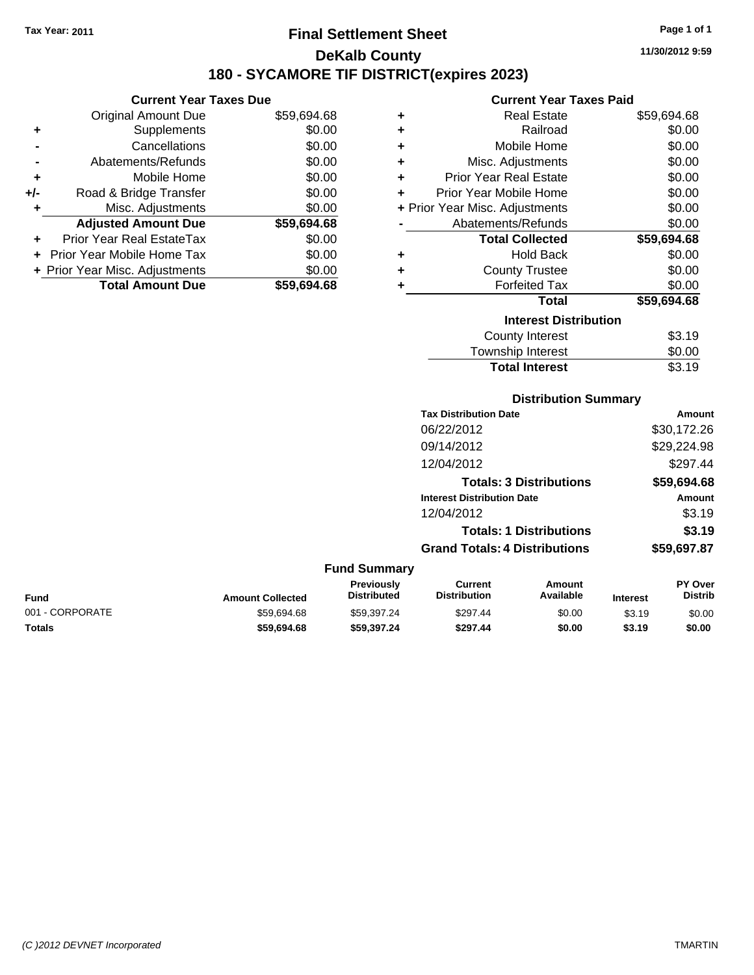## **Final Settlement Sheet Tax Year: 2011 Page 1 of 1 DeKalb County 180 - SYCAMORE TIF DISTRICT(expires 2023)**

**Current Year Taxes Due** Original Amount Due \$59,694.68 **+** Supplements \$0.00 **-** Cancellations \$0.00 **-** Abatements/Refunds \$0.00 **+** Mobile Home \$0.00 **+/-** Road & Bridge Transfer \$0.00 **+** Misc. Adjustments \$0.00 **Adjusted Amount Due \$59,694.68 +** Prior Year Real EstateTax \$0.00 **+** Prior Year Mobile Home Tax \$0.00 **+ Prior Year Misc. Adjustments**  $$0.00$ **Total Amount Due \$59,694.68**

#### **Current Year Taxes Paid**

| ٠ | <b>Real Estate</b>             | \$59,694.68 |
|---|--------------------------------|-------------|
| ÷ | Railroad                       | \$0.00      |
| ٠ | Mobile Home                    | \$0.00      |
| ٠ | Misc. Adjustments              | \$0.00      |
| ÷ | <b>Prior Year Real Estate</b>  | \$0.00      |
| ٠ | Prior Year Mobile Home         | \$0.00      |
|   | + Prior Year Misc. Adjustments | \$0.00      |
|   | Abatements/Refunds             | \$0.00      |
|   |                                |             |
|   | <b>Total Collected</b>         | \$59,694.68 |
| ٠ | <b>Hold Back</b>               | \$0.00      |
| ٠ | <b>County Trustee</b>          | \$0.00      |
| ٠ | <b>Forfeited Tax</b>           | \$0.00      |
|   | <b>Total</b>                   | \$59,694.68 |
|   | <b>Interest Distribution</b>   |             |
|   | <b>County Interest</b>         | \$3.19      |

## **Distribution Summary**

Total Interest \$3.19

| <b>Tax Distribution Date</b>         | Amount      |
|--------------------------------------|-------------|
| 06/22/2012                           | \$30,172.26 |
| 09/14/2012                           | \$29,224.98 |
| 12/04/2012                           | \$297.44    |
| <b>Totals: 3 Distributions</b>       | \$59,694.68 |
| <b>Interest Distribution Date</b>    | Amount      |
| 12/04/2012                           | \$3.19      |
| <b>Totals: 1 Distributions</b>       | \$3.19      |
| <b>Grand Totals: 4 Distributions</b> | \$59,697.87 |
|                                      |             |

#### **Fund Summary**

| Fund            | <b>Amount Collected</b> | <b>Previously</b><br><b>Distributed</b> | Current<br><b>Distribution</b> | Amount<br>Available | <b>Interest</b> | <b>PY Over</b><br>Distrib |
|-----------------|-------------------------|-----------------------------------------|--------------------------------|---------------------|-----------------|---------------------------|
| 001 - CORPORATE | \$59.694.68             | \$59.397.24                             | \$297.44                       | \$0.00              | \$3.19          | \$0.00                    |
| Totals          | \$59.694.68             | \$59.397.24                             | \$297.44                       | \$0.00              | \$3.19          | \$0.00                    |

**11/30/2012 9:59**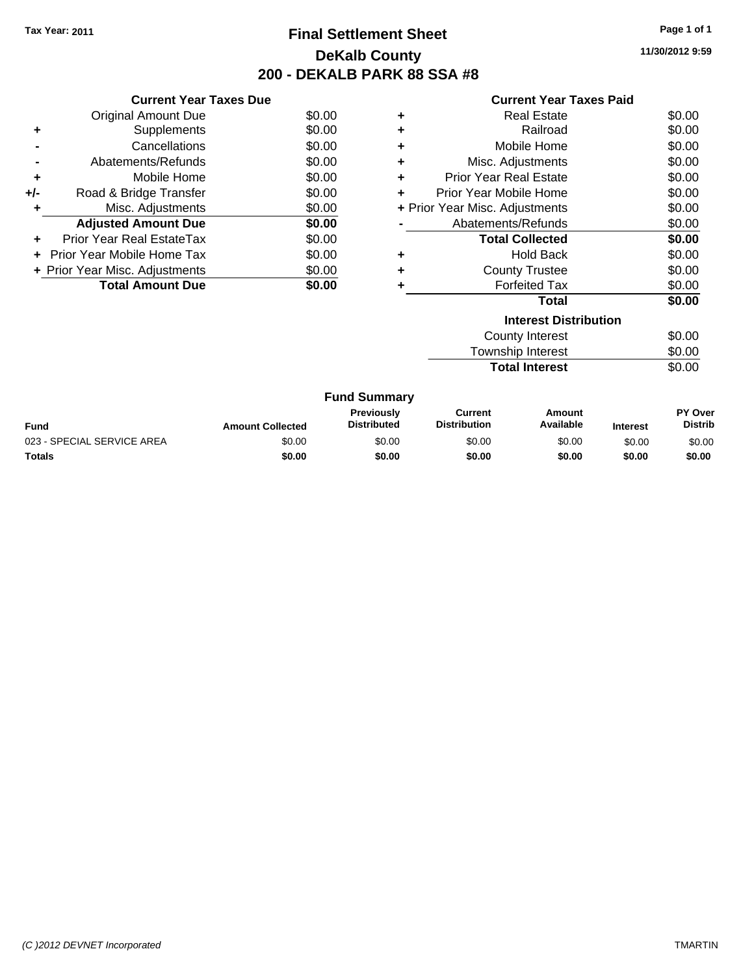## **Final Settlement Sheet Tax Year: 2011 Page 1 of 1 DeKalb County 200 - DEKALB PARK 88 SSA #8**

**11/30/2012 9:59**

|     | <b>Current Year Taxes Due</b>  |        |
|-----|--------------------------------|--------|
|     | Original Amount Due            | \$0.00 |
| ٠   | Supplements                    | \$0.00 |
|     | Cancellations                  | \$0.00 |
|     | Abatements/Refunds             | \$0.00 |
| ٠   | Mobile Home                    | \$0.00 |
| +/- | Road & Bridge Transfer         | \$0.00 |
| ٠   | Misc. Adjustments              | \$0.00 |
|     | <b>Adjusted Amount Due</b>     | \$0.00 |
|     | Prior Year Real EstateTax      | \$0.00 |
|     | Prior Year Mobile Home Tax     | \$0.00 |
|     | + Prior Year Misc. Adjustments | \$0.00 |
|     | <b>Total Amount Due</b>        | \$0.00 |
|     |                                |        |

## **Current Year Taxes Paid**

|   | <b>Interest Distribution</b>   |        |
|---|--------------------------------|--------|
|   | Total                          | \$0.00 |
| ٠ | <b>Forfeited Tax</b>           | \$0.00 |
| ٠ | <b>County Trustee</b>          | \$0.00 |
| ٠ | <b>Hold Back</b>               | \$0.00 |
|   | <b>Total Collected</b>         | \$0.00 |
|   | Abatements/Refunds             | \$0.00 |
|   | + Prior Year Misc. Adjustments | \$0.00 |
| ÷ | Prior Year Mobile Home         | \$0.00 |
| ٠ | <b>Prior Year Real Estate</b>  | \$0.00 |
| ٠ | Misc. Adjustments              | \$0.00 |
| ٠ | Mobile Home                    | \$0.00 |
| ٠ | Railroad                       | \$0.00 |
| ٠ | Real Estate                    | \$0.00 |

| County Interest       | \$0.00 |  |  |
|-----------------------|--------|--|--|
| Township Interest     | \$0.00 |  |  |
| <b>Total Interest</b> | \$0.00 |  |  |
|                       |        |  |  |

#### **Fund Summary Fund Interest Amount Collected Distributed PY Over Distrib Amount Available Current Distribution Previously** 023 - SPECIAL SERVICE AREA  $$0.00$   $$0.00$   $$0.00$   $$0.00$   $$0.00$   $$0.00$   $$0.00$   $$0.00$ **Totals \$0.00 \$0.00 \$0.00 \$0.00 \$0.00 \$0.00**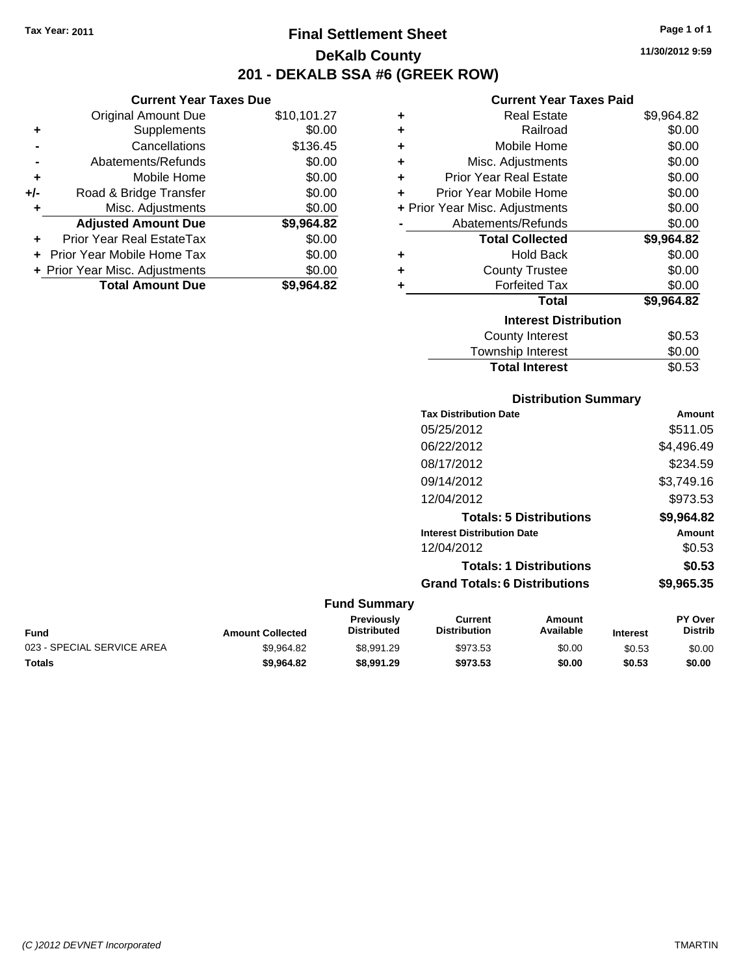**Current Year Taxes Due** Original Amount Due \$10,101.27

**Adjusted Amount Due \$9,964.82**

**Total Amount Due \$9,964.82**

**+** Supplements \$0.00 **-** Cancellations \$136.45 **-** Abatements/Refunds \$0.00 **+** Mobile Home \$0.00 **+/-** Road & Bridge Transfer \$0.00 **+** Misc. Adjustments \$0.00

**+** Prior Year Real EstateTax \$0.00 **+** Prior Year Mobile Home Tax \$0.00 **+ Prior Year Misc. Adjustments**  $$0.00$ 

## **Final Settlement Sheet Tax Year: 2011 Page 1 of 1 DeKalb County 201 - DEKALB SSA #6 (GREEK ROW)**

**11/30/2012 9:59**

## **Current Year Taxes Paid**

| ٠ | <b>Real Estate</b>             | \$9,964.82 |
|---|--------------------------------|------------|
| ÷ | Railroad                       | \$0.00     |
| ÷ | Mobile Home                    | \$0.00     |
| ÷ | Misc. Adjustments              | \$0.00     |
| ÷ | <b>Prior Year Real Estate</b>  | \$0.00     |
| ÷ | Prior Year Mobile Home         | \$0.00     |
|   | + Prior Year Misc. Adjustments | \$0.00     |
|   | Abatements/Refunds             | \$0.00     |
|   | <b>Total Collected</b>         | \$9,964.82 |
| ٠ | <b>Hold Back</b>               | \$0.00     |
| ٠ | <b>County Trustee</b>          | \$0.00     |
| ٠ | <b>Forfeited Tax</b>           | \$0.00     |
|   | Total                          | \$9,964.82 |
|   | <b>Interest Distribution</b>   |            |
|   | <b>County Interest</b>         | \$0.53     |
|   | Townshin Interest              | ፍስ ሰሰ      |

| <b>Total Interest</b> | \$0.53 |
|-----------------------|--------|
| Township Interest     | \$0.00 |
|                       | vv.vv  |

## **Distribution Summary**

| <b>Tax Distribution Date</b>         | Amount     |
|--------------------------------------|------------|
| 05/25/2012                           | \$511.05   |
| 06/22/2012                           | \$4,496.49 |
| 08/17/2012                           | \$234.59   |
| 09/14/2012                           | \$3,749.16 |
| 12/04/2012                           | \$973.53   |
| <b>Totals: 5 Distributions</b>       | \$9,964.82 |
| <b>Interest Distribution Date</b>    | Amount     |
| 12/04/2012                           | \$0.53     |
| <b>Totals: 1 Distributions</b>       | \$0.53     |
| <b>Grand Totals: 6 Distributions</b> | \$9,965.35 |
|                                      |            |

| Fund                       | <b>Amount Collected</b> | Previously<br><b>Distributed</b> | Current<br>Distribution | Amount<br>Available | <b>Interest</b> | <b>PY Over</b><br><b>Distrib</b> |
|----------------------------|-------------------------|----------------------------------|-------------------------|---------------------|-----------------|----------------------------------|
| 023 - SPECIAL SERVICE AREA | \$9.964.82              | \$8.991.29                       | \$973.53                | \$0.00              | \$0.53          | \$0.00                           |
| Totals                     | \$9.964.82              | \$8,991.29                       | \$973.53                | \$0.00              | \$0.53          | \$0.00                           |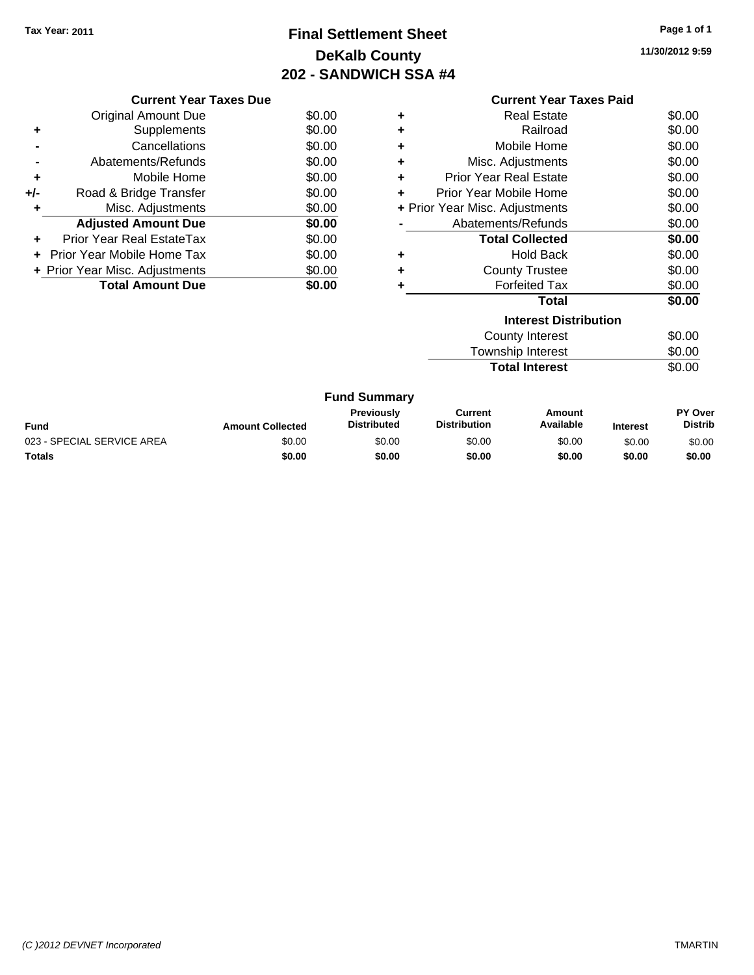## **Final Settlement Sheet Tax Year: 2011 Page 1 of 1 DeKalb County 202 - SANDWICH SSA #4**

**11/30/2012 9:59**

|     | <b>Current Year Taxes Due</b>            |        |  |  |  |  |
|-----|------------------------------------------|--------|--|--|--|--|
|     | \$0.00<br>Original Amount Due            |        |  |  |  |  |
| ٠   | Supplements                              | \$0.00 |  |  |  |  |
|     | Cancellations                            | \$0.00 |  |  |  |  |
|     | Abatements/Refunds                       | \$0.00 |  |  |  |  |
| ٠   | Mobile Home                              | \$0.00 |  |  |  |  |
| +/- | Road & Bridge Transfer                   | \$0.00 |  |  |  |  |
| ٠   | Misc. Adjustments                        | \$0.00 |  |  |  |  |
|     | <b>Adjusted Amount Due</b>               | \$0.00 |  |  |  |  |
| ٠   | Prior Year Real EstateTax                | \$0.00 |  |  |  |  |
|     | Prior Year Mobile Home Tax               | \$0.00 |  |  |  |  |
|     | \$0.00<br>+ Prior Year Misc. Adjustments |        |  |  |  |  |
|     | <b>Total Amount Due</b><br>\$0.00        |        |  |  |  |  |
|     |                                          |        |  |  |  |  |

|                                          | <b>Current Year Taxes Paid</b>   |        |  |  |  |  |
|------------------------------------------|----------------------------------|--------|--|--|--|--|
| ٠                                        | Real Estate                      | \$0.00 |  |  |  |  |
| ٠                                        | Railroad                         | \$0.00 |  |  |  |  |
| ٠                                        | Mobile Home                      | \$0.00 |  |  |  |  |
| ٠                                        | Misc. Adjustments                | \$0.00 |  |  |  |  |
| ٠                                        | <b>Prior Year Real Estate</b>    | \$0.00 |  |  |  |  |
| ٠                                        | Prior Year Mobile Home           | \$0.00 |  |  |  |  |
| \$0.00<br>+ Prior Year Misc. Adjustments |                                  |        |  |  |  |  |
|                                          | Abatements/Refunds               | \$0.00 |  |  |  |  |
|                                          | \$0.00<br><b>Total Collected</b> |        |  |  |  |  |
| ٠                                        | <b>Hold Back</b>                 | \$0.00 |  |  |  |  |
| ÷                                        | <b>County Trustee</b>            | \$0.00 |  |  |  |  |
| ٠                                        | <b>Forfeited Tax</b>             | \$0.00 |  |  |  |  |
|                                          | Total                            | \$0.00 |  |  |  |  |
|                                          | <b>Interest Distribution</b>     |        |  |  |  |  |
|                                          | <b>County Interest</b><br>\$0.00 |        |  |  |  |  |
|                                          |                                  |        |  |  |  |  |

| Township Interest     | \$0.00 |
|-----------------------|--------|
| <b>Total Interest</b> | \$0.00 |

| <b>Fund Summary</b>        |                         |                                         |                                |                     |                 |                                  |
|----------------------------|-------------------------|-----------------------------------------|--------------------------------|---------------------|-----------------|----------------------------------|
| Fund                       | <b>Amount Collected</b> | <b>Previously</b><br><b>Distributed</b> | Current<br><b>Distribution</b> | Amount<br>Available | <b>Interest</b> | <b>PY Over</b><br><b>Distrib</b> |
| 023 - SPECIAL SERVICE AREA | \$0.00                  | \$0.00                                  | \$0.00                         | \$0.00              | \$0.00          | \$0.00                           |
| Totals                     | \$0.00                  | \$0.00                                  | \$0.00                         | \$0.00              | \$0.00          | \$0.00                           |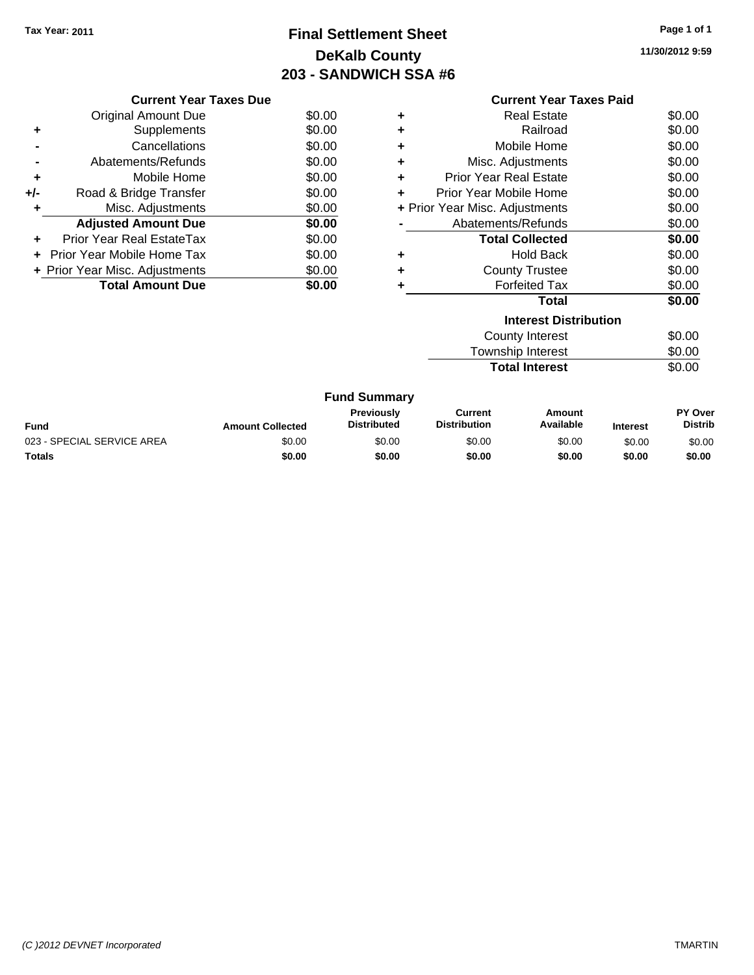## **Final Settlement Sheet Tax Year: 2011 Page 1 of 1 DeKalb County 203 - SANDWICH SSA #6**

**11/30/2012 9:59**

|                                          | <b>Current Year Taxes Due</b>     |        |  |  |  |  |
|------------------------------------------|-----------------------------------|--------|--|--|--|--|
|                                          | \$0.00<br>Original Amount Due     |        |  |  |  |  |
| ٠                                        | Supplements                       | \$0.00 |  |  |  |  |
|                                          | Cancellations                     | \$0.00 |  |  |  |  |
|                                          | Abatements/Refunds                | \$0.00 |  |  |  |  |
| ٠                                        | Mobile Home                       | \$0.00 |  |  |  |  |
| +/-                                      | Road & Bridge Transfer            | \$0.00 |  |  |  |  |
| ٠                                        | Misc. Adjustments                 | \$0.00 |  |  |  |  |
|                                          | <b>Adjusted Amount Due</b>        | \$0.00 |  |  |  |  |
| ٠                                        | Prior Year Real EstateTax         | \$0.00 |  |  |  |  |
|                                          | Prior Year Mobile Home Tax        | \$0.00 |  |  |  |  |
| \$0.00<br>+ Prior Year Misc. Adjustments |                                   |        |  |  |  |  |
|                                          | <b>Total Amount Due</b><br>\$0.00 |        |  |  |  |  |
|                                          |                                   |        |  |  |  |  |

|   | <b>Current Year Taxes Paid</b>     |        |  |  |  |  |
|---|------------------------------------|--------|--|--|--|--|
| ٠ | Real Estate                        | \$0.00 |  |  |  |  |
| ٠ | Railroad                           | \$0.00 |  |  |  |  |
| ٠ | Mobile Home                        | \$0.00 |  |  |  |  |
| ٠ | Misc. Adjustments                  | \$0.00 |  |  |  |  |
| ٠ | Prior Year Real Estate             | \$0.00 |  |  |  |  |
| ÷ | Prior Year Mobile Home             | \$0.00 |  |  |  |  |
|   | + Prior Year Misc. Adjustments     | \$0.00 |  |  |  |  |
|   | Abatements/Refunds                 | \$0.00 |  |  |  |  |
|   | <b>Total Collected</b>             | \$0.00 |  |  |  |  |
| ÷ | <b>Hold Back</b>                   | \$0.00 |  |  |  |  |
| ٠ | <b>County Trustee</b>              | \$0.00 |  |  |  |  |
| ٠ | <b>Forfeited Tax</b>               | \$0.00 |  |  |  |  |
|   | Total                              | \$0.00 |  |  |  |  |
|   | <b>Interest Distribution</b>       |        |  |  |  |  |
|   | County Interest                    | \$0.00 |  |  |  |  |
|   | <b>Township Interest</b><br>\$0.00 |        |  |  |  |  |

**Total Interest** \$0.00

| <b>Fund Summary</b>        |                         |                                         |                                |                     |                 |                           |
|----------------------------|-------------------------|-----------------------------------------|--------------------------------|---------------------|-----------------|---------------------------|
| Fund                       | <b>Amount Collected</b> | <b>Previously</b><br><b>Distributed</b> | Current<br><b>Distribution</b> | Amount<br>Available | <b>Interest</b> | PY Over<br><b>Distrib</b> |
| 023 - SPECIAL SERVICE AREA | \$0.00                  | \$0.00                                  | \$0.00                         | \$0.00              | \$0.00          | \$0.00                    |
| <b>Totals</b>              | \$0.00                  | \$0.00                                  | \$0.00                         | \$0.00              | \$0.00          | \$0.00                    |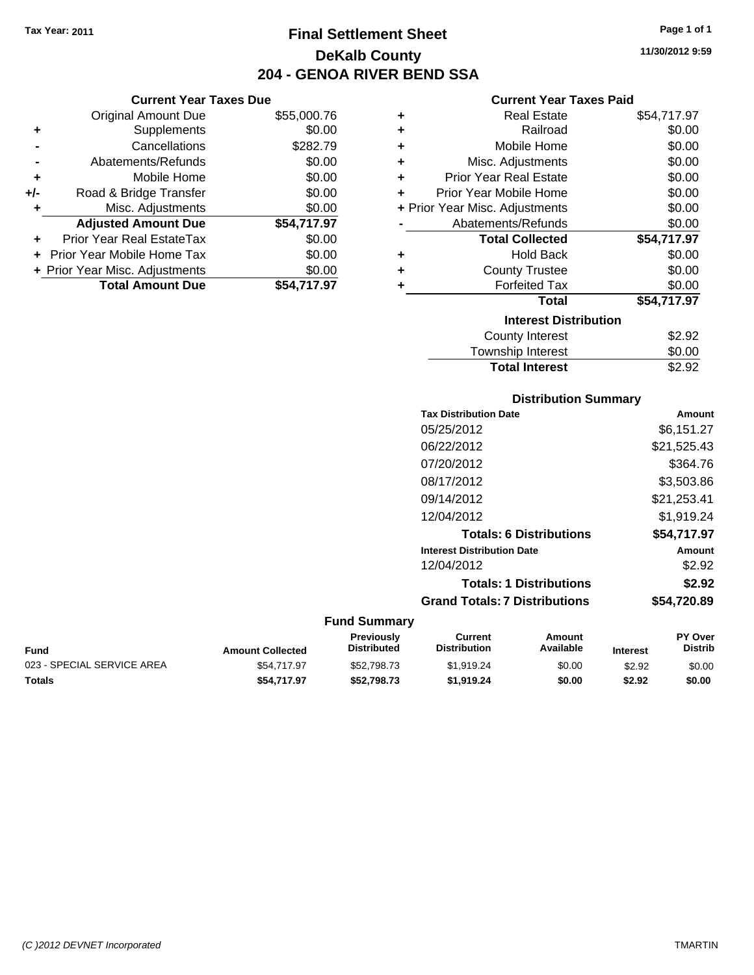**Current Year Taxes Due** Original Amount Due \$55,000.76

**Adjusted Amount Due \$54,717.97**

**Total Amount Due \$54,717.97**

**+** Supplements \$0.00 **-** Cancellations \$282.79 **-** Abatements/Refunds \$0.00 **+** Mobile Home \$0.00 **+/-** Road & Bridge Transfer \$0.00 **+** Misc. Adjustments \$0.00

**+** Prior Year Real EstateTax \$0.00 **+** Prior Year Mobile Home Tax \$0.00 **+ Prior Year Misc. Adjustments**  $$0.00$ 

## **Final Settlement Sheet Tax Year: 2011 Page 1 of 1 DeKalb County 204 - GENOA RIVER BEND SSA**

**11/30/2012 9:59**

## **Current Year Taxes Paid**

| ٠ | <b>Real Estate</b>             | \$54,717.97 |
|---|--------------------------------|-------------|
| ÷ | Railroad                       | \$0.00      |
| ÷ | Mobile Home                    | \$0.00      |
| ٠ | Misc. Adjustments              | \$0.00      |
| ÷ | <b>Prior Year Real Estate</b>  | \$0.00      |
| ÷ | Prior Year Mobile Home         | \$0.00      |
|   | + Prior Year Misc. Adjustments | \$0.00      |
|   | Abatements/Refunds             | \$0.00      |
|   |                                |             |
|   | <b>Total Collected</b>         | \$54,717.97 |
| ٠ | <b>Hold Back</b>               | \$0.00      |
| ٠ | <b>County Trustee</b>          | \$0.00      |
| ٠ | <b>Forfeited Tax</b>           | \$0.00      |
|   | <b>Total</b>                   | \$54,717.97 |
|   | <b>Interest Distribution</b>   |             |
|   | <b>County Interest</b>         | \$2.92      |

# **Distribution Summary Total Interest** \$2.92

| <b>Tax Distribution Date</b>         | Amount      |
|--------------------------------------|-------------|
| 05/25/2012                           | \$6,151.27  |
| 06/22/2012                           | \$21,525.43 |
| 07/20/2012                           | \$364.76    |
| 08/17/2012                           | \$3.503.86  |
| 09/14/2012                           | \$21,253.41 |
| 12/04/2012                           | \$1,919.24  |
| <b>Totals: 6 Distributions</b>       | \$54.717.97 |
| <b>Interest Distribution Date</b>    | Amount      |
| 12/04/2012                           | \$2.92      |
| <b>Totals: 1 Distributions</b>       | \$2.92      |
| <b>Grand Totals: 7 Distributions</b> | \$54,720.89 |

| Fund                       | <b>Amount Collected</b> | Previously<br><b>Distributed</b> | Current<br><b>Distribution</b> | Amount<br>Available | <b>Interest</b> | <b>PY Over</b><br><b>Distrib</b> |
|----------------------------|-------------------------|----------------------------------|--------------------------------|---------------------|-----------------|----------------------------------|
| 023 - SPECIAL SERVICE AREA | \$54,717.97             | \$52,798,73                      | \$1.919.24                     | \$0.00              | \$2.92          | \$0.00                           |
| Totals                     | \$54.717.97             | \$52,798,73                      | \$1.919.24                     | \$0.00              | \$2.92          | \$0.00                           |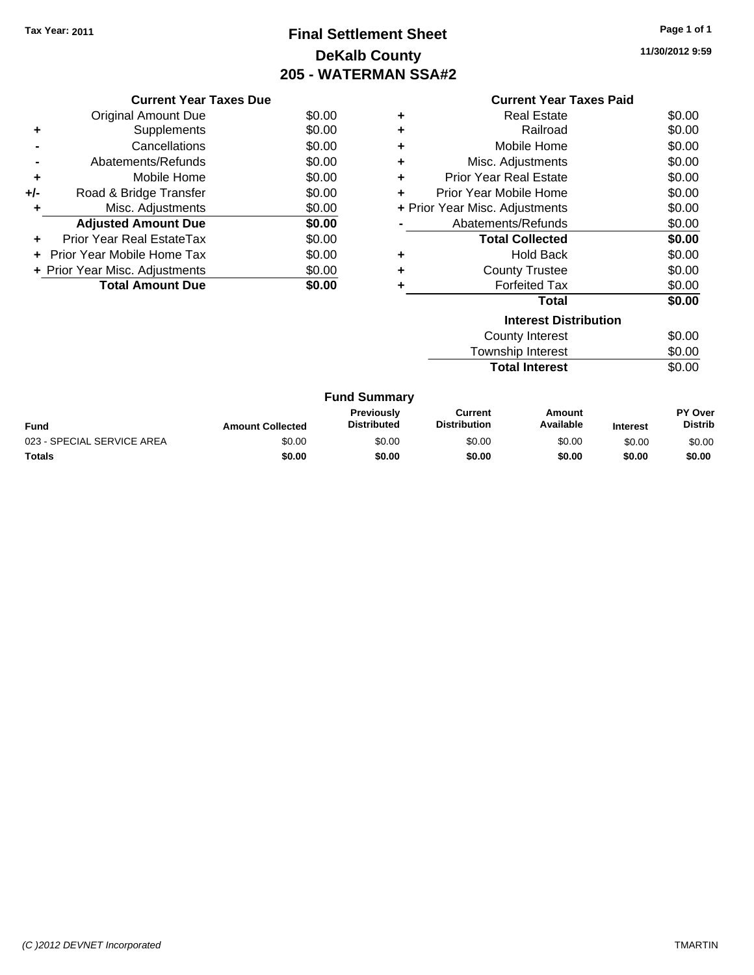## **Final Settlement Sheet Tax Year: 2011 Page 1 of 1 DeKalb County 205 - WATERMAN SSA#2**

**11/30/2012 9:59**

| <b>Current Year Taxes Due</b> |                                          |        |  |  |
|-------------------------------|------------------------------------------|--------|--|--|
|                               | Original Amount Due                      | \$0.00 |  |  |
| ٠                             | Supplements                              | \$0.00 |  |  |
|                               | Cancellations                            | \$0.00 |  |  |
|                               | Abatements/Refunds                       | \$0.00 |  |  |
| ٠                             | Mobile Home                              | \$0.00 |  |  |
| +/-                           | Road & Bridge Transfer                   | \$0.00 |  |  |
| ٠                             | Misc. Adjustments                        | \$0.00 |  |  |
|                               | <b>Adjusted Amount Due</b>               | \$0.00 |  |  |
| ٠                             | Prior Year Real EstateTax                | \$0.00 |  |  |
|                               | Prior Year Mobile Home Tax               | \$0.00 |  |  |
|                               | \$0.00<br>+ Prior Year Misc. Adjustments |        |  |  |
|                               | <b>Total Amount Due</b>                  | \$0.00 |  |  |
|                               |                                          |        |  |  |

|   | <b>Current Year Taxes Paid</b> |        |  |  |
|---|--------------------------------|--------|--|--|
| ٠ | Real Estate                    | \$0.00 |  |  |
| ٠ | Railroad                       | \$0.00 |  |  |
| ÷ | Mobile Home                    | \$0.00 |  |  |
| ÷ | Misc. Adjustments              | \$0.00 |  |  |
| ٠ | <b>Prior Year Real Estate</b>  | \$0.00 |  |  |
| ٠ | Prior Year Mobile Home         | \$0.00 |  |  |
|   | + Prior Year Misc. Adjustments | \$0.00 |  |  |
|   | Abatements/Refunds             | \$0.00 |  |  |
|   | <b>Total Collected</b>         | \$0.00 |  |  |
| ٠ | <b>Hold Back</b>               | \$0.00 |  |  |
| ٠ | <b>County Trustee</b>          | \$0.00 |  |  |
|   | <b>Forfeited Tax</b>           | \$0.00 |  |  |
|   | Total                          | \$0.00 |  |  |
|   | <b>Interest Distribution</b>   |        |  |  |
|   | County Interest                | \$0.00 |  |  |
|   | Township Interest              | \$0.00 |  |  |

**Total Interest** \$0.00

|                            |                         | <b>Fund Summary</b>                     |                                |                     |                 |                           |
|----------------------------|-------------------------|-----------------------------------------|--------------------------------|---------------------|-----------------|---------------------------|
| <b>Fund</b>                | <b>Amount Collected</b> | <b>Previously</b><br><b>Distributed</b> | Current<br><b>Distribution</b> | Amount<br>Available | <b>Interest</b> | PY Over<br><b>Distrib</b> |
| 023 - SPECIAL SERVICE AREA | \$0.00                  | \$0.00                                  | \$0.00                         | \$0.00              | \$0.00          | \$0.00                    |
| Totals                     | \$0.00                  | \$0.00                                  | \$0.00                         | \$0.00              | \$0.00          | \$0.00                    |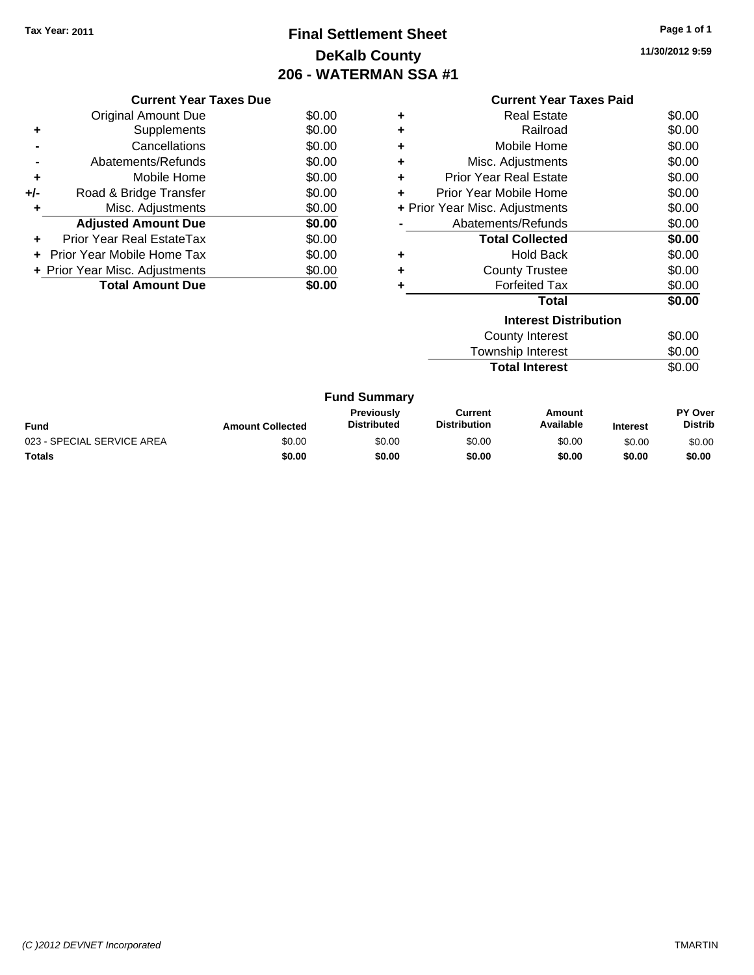## **Final Settlement Sheet Tax Year: 2011 Page 1 of 1 DeKalb County 206 - WATERMAN SSA #1**

**11/30/2012 9:59**

| <b>Current Year Taxes Due</b>            |                            |        |  |  |
|------------------------------------------|----------------------------|--------|--|--|
|                                          | <b>Original Amount Due</b> | \$0.00 |  |  |
| ٠                                        | Supplements                | \$0.00 |  |  |
|                                          | Cancellations              | \$0.00 |  |  |
|                                          | Abatements/Refunds         | \$0.00 |  |  |
| ٠                                        | Mobile Home                | \$0.00 |  |  |
| +/-                                      | Road & Bridge Transfer     | \$0.00 |  |  |
| ٠                                        | Misc. Adjustments          | \$0.00 |  |  |
|                                          | <b>Adjusted Amount Due</b> | \$0.00 |  |  |
| ٠                                        | Prior Year Real EstateTax  | \$0.00 |  |  |
|                                          | Prior Year Mobile Home Tax | \$0.00 |  |  |
| \$0.00<br>+ Prior Year Misc. Adjustments |                            |        |  |  |
|                                          | <b>Total Amount Due</b>    | \$0.00 |  |  |
|                                          |                            |        |  |  |

|   | <b>Current Year Taxes Paid</b> |        |  |  |  |
|---|--------------------------------|--------|--|--|--|
|   | <b>Real Estate</b>             | \$0.00 |  |  |  |
|   | Railroad                       | \$0.00 |  |  |  |
|   | Mobile Home                    | \$0.00 |  |  |  |
| ٠ | Misc. Adjustments              | \$0.00 |  |  |  |
| ÷ | Prior Year Real Estate         | \$0.00 |  |  |  |
|   | Prior Year Mobile Home         | \$0.00 |  |  |  |
|   | + Prior Year Misc. Adjustments | \$0.00 |  |  |  |
|   | Abatements/Refunds             | \$0.00 |  |  |  |
|   | <b>Total Collected</b>         | \$0.00 |  |  |  |
|   | <b>Hold Back</b>               | \$0.00 |  |  |  |
|   | <b>County Trustee</b>          | \$0.00 |  |  |  |
|   | <b>Forfeited Tax</b>           | \$0.00 |  |  |  |
|   | Total                          | \$0.00 |  |  |  |
|   | <b>Interest Distribution</b>   |        |  |  |  |
|   | County Interest                | SO.OO  |  |  |  |

Township Interest  $$0.00$ **Total Interest** \$0.00

|                            |                         | <b>Fund Summary</b>                     |                                |                     |                 |                           |
|----------------------------|-------------------------|-----------------------------------------|--------------------------------|---------------------|-----------------|---------------------------|
| <b>Fund</b>                | <b>Amount Collected</b> | <b>Previously</b><br><b>Distributed</b> | Current<br><b>Distribution</b> | Amount<br>Available | <b>Interest</b> | PY Over<br><b>Distrib</b> |
| 023 - SPECIAL SERVICE AREA | \$0.00                  | \$0.00                                  | \$0.00                         | \$0.00              | \$0.00          | \$0.00                    |
| <b>Totals</b>              | \$0.00                  | \$0.00                                  | \$0.00                         | \$0.00              | \$0.00          | \$0.00                    |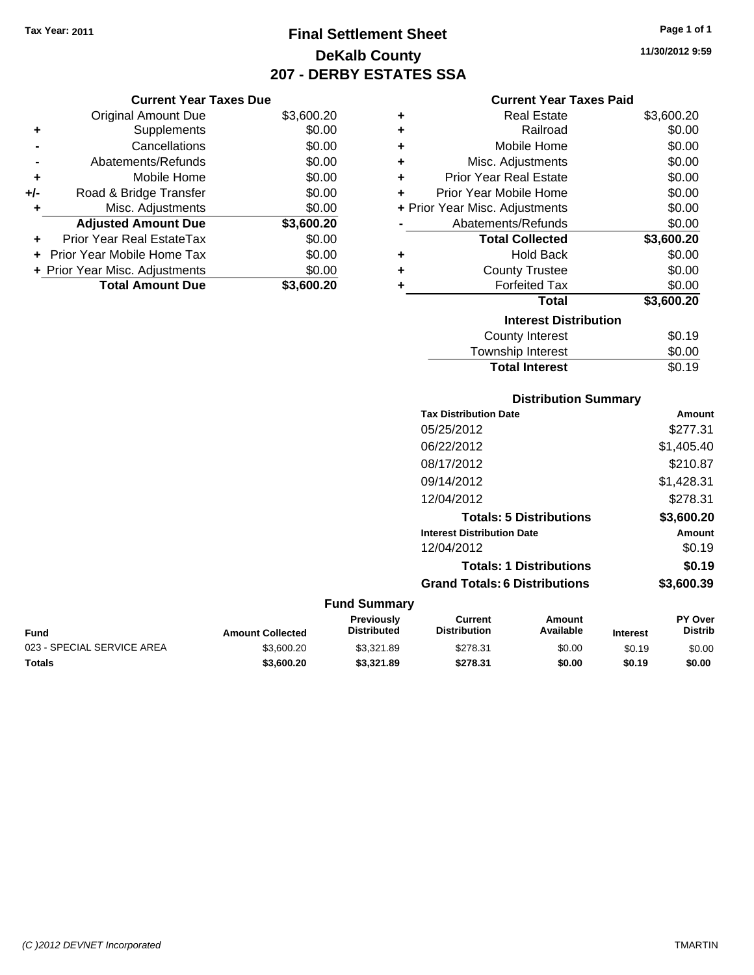## **Final Settlement Sheet Tax Year: 2011 Page 1 of 1 DeKalb County 207 - DERBY ESTATES SSA**

## **Current Year Taxes Due**

|       | <b>Original Amount Due</b>     | \$3,600.20 |
|-------|--------------------------------|------------|
| ٠     | Supplements                    | \$0.00     |
|       | Cancellations                  | \$0.00     |
|       | Abatements/Refunds             | \$0.00     |
| ٠     | Mobile Home                    | \$0.00     |
| $+/-$ | Road & Bridge Transfer         | \$0.00     |
| ٠     | Misc. Adjustments              | \$0.00     |
|       | <b>Adjusted Amount Due</b>     | \$3,600.20 |
| ٠     | Prior Year Real EstateTax      | \$0.00     |
|       | Prior Year Mobile Home Tax     | \$0.00     |
|       | + Prior Year Misc. Adjustments | \$0.00     |
|       | <b>Total Amount Due</b>        | \$3,600.20 |

## **Current Year Taxes Paid**

| ٠ | Real Estate                    | \$3,600.20 |
|---|--------------------------------|------------|
| ٠ | Railroad                       | \$0.00     |
| ÷ | Mobile Home                    | \$0.00     |
| ٠ | Misc. Adjustments              | \$0.00     |
| ٠ | Prior Year Real Estate         | \$0.00     |
| ٠ | Prior Year Mobile Home         | \$0.00     |
|   | + Prior Year Misc. Adjustments | \$0.00     |
|   | Abatements/Refunds             | \$0.00     |
|   | <b>Total Collected</b>         | \$3,600.20 |
| ٠ | <b>Hold Back</b>               | \$0.00     |
| ٠ | <b>County Trustee</b>          | \$0.00     |
| ٠ | <b>Forfeited Tax</b>           | \$0.00     |
|   | Total                          | \$3,600.20 |
|   | <b>Interest Distribution</b>   |            |
|   | County Interest                | \$0.19     |
|   | <b>Township Interest</b>       | \$0.00     |
|   | <b>Total Interest</b>          | \$0.19     |

## **Distribution Summary**

| <b>Tax Distribution Date</b>         | Amount     |
|--------------------------------------|------------|
| 05/25/2012                           | \$277.31   |
| 06/22/2012                           | \$1,405.40 |
| 08/17/2012                           | \$210.87   |
| 09/14/2012                           | \$1,428.31 |
| 12/04/2012                           | \$278.31   |
| <b>Totals: 5 Distributions</b>       | \$3,600.20 |
| <b>Interest Distribution Date</b>    | Amount     |
| 12/04/2012                           | \$0.19     |
| <b>Totals: 1 Distributions</b>       | \$0.19     |
| <b>Grand Totals: 6 Distributions</b> | \$3,600.39 |
|                                      |            |

## **Fund Summary**

| Fund                       | <b>Amount Collected</b> | Previously<br><b>Distributed</b> | Current<br><b>Distribution</b> | Amount<br>Available | <b>Interest</b> | <b>PY Over</b><br>Distrib |
|----------------------------|-------------------------|----------------------------------|--------------------------------|---------------------|-----------------|---------------------------|
| 023 - SPECIAL SERVICE AREA | \$3,600.20              | \$3.321.89                       | \$278.31                       | \$0.00              | \$0.19          | \$0.00                    |
| Totals                     | \$3,600.20              | \$3,321.89                       | \$278.31                       | \$0.00              | \$0.19          | \$0.00                    |

**11/30/2012 9:59**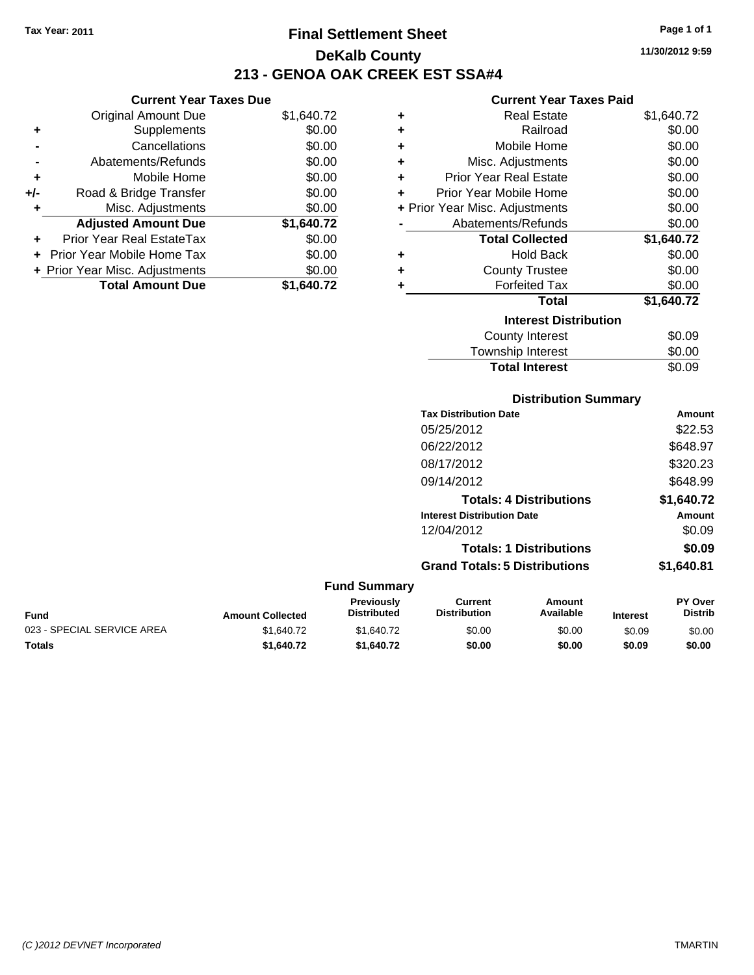**Current Year Taxes Due** Original Amount Due \$1,640.72

**Adjusted Amount Due \$1,640.72**

**Total Amount Due \$1,640.72**

**+** Supplements \$0.00 **-** Cancellations \$0.00 **-** Abatements/Refunds \$0.00 **+** Mobile Home \$0.00 **+/-** Road & Bridge Transfer \$0.00 **+** Misc. Adjustments \$0.00

**+** Prior Year Real EstateTax \$0.00 **+** Prior Year Mobile Home Tax \$0.00 **+ Prior Year Misc. Adjustments**  $$0.00$ 

## **Final Settlement Sheet Tax Year: 2011 Page 1 of 1 DeKalb County 213 - GENOA OAK CREEK EST SSA#4**

**11/30/2012 9:59**

## **Current Year Taxes Paid**

| ٠                            | <b>Real Estate</b>                   | \$1,640.72 |  |  |
|------------------------------|--------------------------------------|------------|--|--|
| ٠                            | Railroad                             | \$0.00     |  |  |
| ÷                            | Mobile Home                          | \$0.00     |  |  |
| ÷                            | Misc. Adjustments                    | \$0.00     |  |  |
| ÷                            | <b>Prior Year Real Estate</b>        | \$0.00     |  |  |
| ÷                            | Prior Year Mobile Home               | \$0.00     |  |  |
|                              | + Prior Year Misc. Adjustments       | \$0.00     |  |  |
|                              | Abatements/Refunds                   | \$0.00     |  |  |
|                              | <b>Total Collected</b>               | \$1,640.72 |  |  |
| ٠                            | <b>Hold Back</b>                     | \$0.00     |  |  |
| ٠                            | <b>County Trustee</b>                | \$0.00     |  |  |
| ٠                            | <b>Forfeited Tax</b>                 | \$0.00     |  |  |
|                              | Total                                | \$1,640.72 |  |  |
| <b>Interest Distribution</b> |                                      |            |  |  |
|                              | County Interest                      | \$0.09     |  |  |
|                              | المتحدث والمنابذ والمرورين والتحاجين | ጦጣ ወጣ      |  |  |

| <b>Total Interest</b> | \$0.09 |
|-----------------------|--------|
| Township Interest     | \$0.00 |
| County Interest       | \$0.09 |

## **Distribution Summary**

| <b>Tax Distribution Date</b>         | Amount     |
|--------------------------------------|------------|
| 05/25/2012                           | \$22.53    |
| 06/22/2012                           | \$648.97   |
| 08/17/2012                           | \$320.23   |
| 09/14/2012                           | \$648.99   |
| <b>Totals: 4 Distributions</b>       | \$1,640.72 |
| <b>Interest Distribution Date</b>    | Amount     |
| 12/04/2012                           | \$0.09     |
| <b>Totals: 1 Distributions</b>       | \$0.09     |
| <b>Grand Totals: 5 Distributions</b> | \$1.640.81 |

#### **Fund Summary Fund Interest Amount Collected Distributed PY Over Distrib Amount Available Current Distribution Previously** 023 - SPECIAL SERVICE AREA  $$1,640.72$   $$1,640.72$   $$0.00$   $$0.00$   $$0.09$   $$0.00$ **Totals \$1,640.72 \$1,640.72 \$0.00 \$0.00 \$0.09 \$0.00**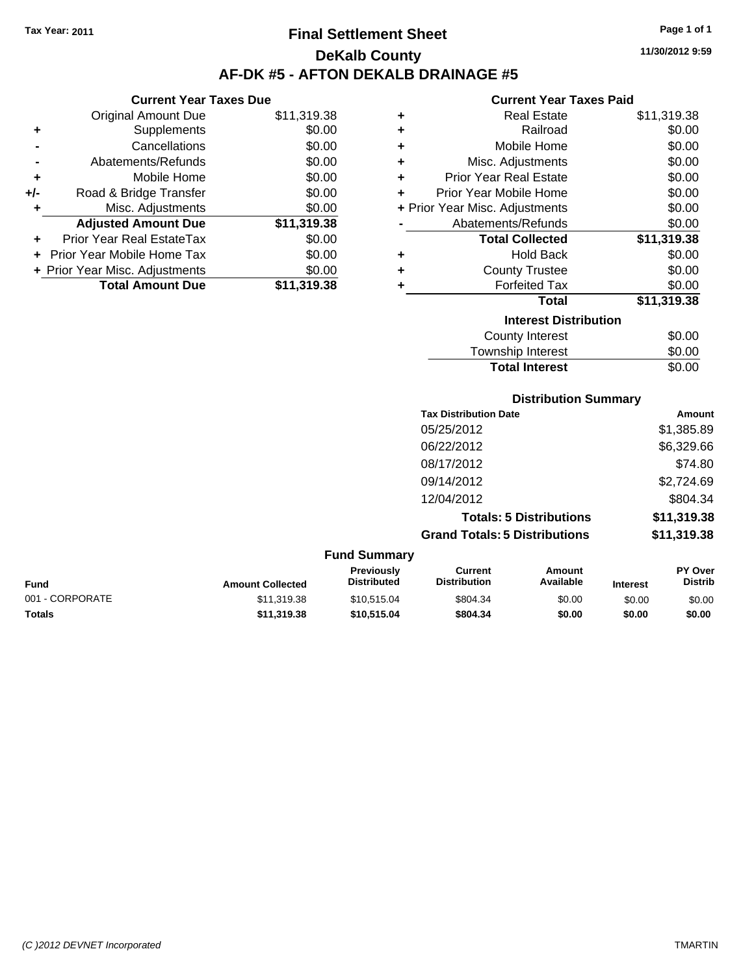**Current Year Taxes Due** Original Amount Due \$11,319.38

**Adjusted Amount Due \$11,319.38**

**Total Amount Due \$11,319.38**

**+** Supplements \$0.00 **-** Cancellations \$0.00 **-** Abatements/Refunds \$0.00 **+** Mobile Home \$0.00 **+/-** Road & Bridge Transfer \$0.00 **+** Misc. Adjustments \$0.00

**+** Prior Year Real EstateTax \$0.00 **+** Prior Year Mobile Home Tax \$0.00 **+ Prior Year Misc. Adjustments**  $$0.00$ 

## **Final Settlement Sheet Tax Year: 2011 Page 1 of 1 DeKalb County AF-DK #5 - AFTON DEKALB DRAINAGE #5**

**11/30/2012 9:59**

#### **Current Year Taxes Paid**

| ٠ | <b>Real Estate</b>             | \$11,319.38 |
|---|--------------------------------|-------------|
| ٠ | Railroad                       | \$0.00      |
| ٠ | Mobile Home                    | \$0.00      |
| ٠ | Misc. Adjustments              | \$0.00      |
| ٠ | <b>Prior Year Real Estate</b>  | \$0.00      |
| ÷ | Prior Year Mobile Home         | \$0.00      |
|   | + Prior Year Misc. Adjustments | \$0.00      |
|   | Abatements/Refunds             | \$0.00      |
|   | <b>Total Collected</b>         | \$11,319.38 |
| ٠ | <b>Hold Back</b>               | \$0.00      |
| ٠ | <b>County Trustee</b>          | \$0.00      |
| ٠ | <b>Forfeited Tax</b>           | \$0.00      |
|   | <b>Total</b>                   | \$11,319.38 |
|   | <b>Interest Distribution</b>   |             |
|   | <b>County Interest</b>         | \$0.00      |
|   | Townshin Interest              | ደ0 00       |

## Township Interest  $$0.00$ Total Interest \$0.00

| <b>Distribution Summary</b>          |             |  |  |
|--------------------------------------|-------------|--|--|
| <b>Tax Distribution Date</b>         | Amount      |  |  |
| 05/25/2012                           | \$1,385.89  |  |  |
| 06/22/2012                           | \$6,329.66  |  |  |
| 08/17/2012                           | \$74.80     |  |  |
| 09/14/2012                           | \$2,724.69  |  |  |
| 12/04/2012                           | \$804.34    |  |  |
| <b>Totals: 5 Distributions</b>       | \$11,319.38 |  |  |
| <b>Grand Totals: 5 Distributions</b> | \$11,319.38 |  |  |

#### **Fund Summary Fund Interest Amount Collected Distributed PY Over Distrib Amount Available Current Distribution Previously** 001 - CORPORATE \$11,319.38 \$10,515.04 \$804.34 \$0.00 \$0.00 \$0.00 **Totals \$11,319.38 \$10,515.04 \$804.34 \$0.00 \$0.00 \$0.00**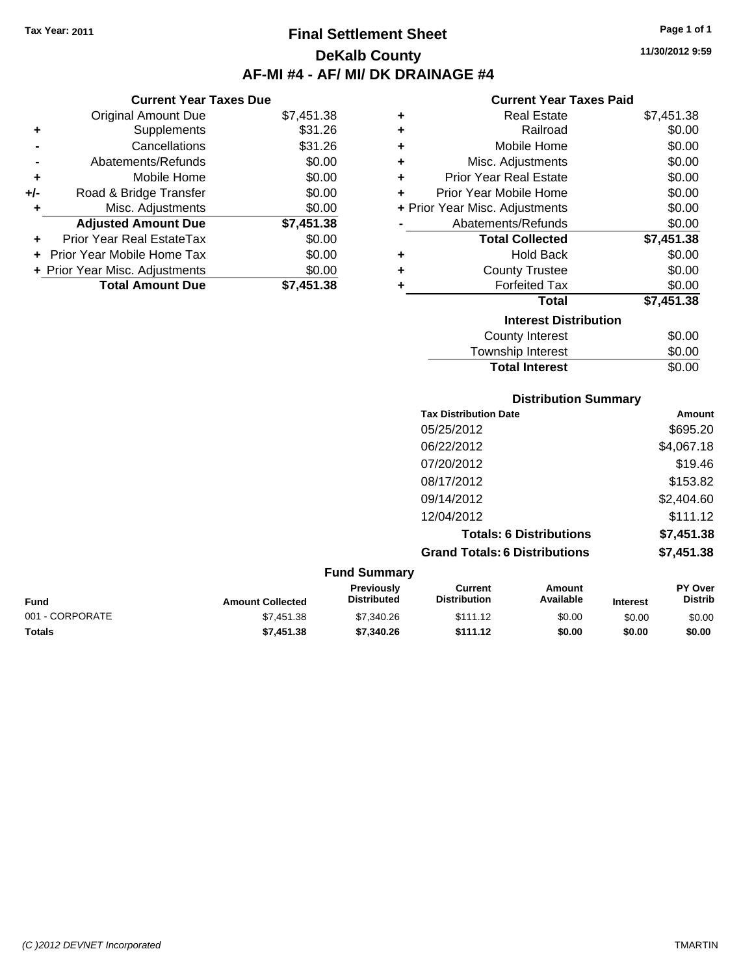**Current Year Taxes Due** Original Amount Due \$7,451.38

**Adjusted Amount Due \$7,451.38**

**Total Amount Due \$7,451.38**

**+** Supplements \$31.26 **-** Cancellations \$31.26 **-** Abatements/Refunds \$0.00 **+** Mobile Home \$0.00 **+/-** Road & Bridge Transfer \$0.00 **+** Misc. Adjustments \$0.00

**+** Prior Year Real EstateTax \$0.00 **+** Prior Year Mobile Home Tax \$0.00 **+ Prior Year Misc. Adjustments**  $$0.00$ 

# **Final Settlement Sheet Tax Year: 2011 Page 1 of 1 DeKalb County AF-MI #4 - AF/ MI/ DK DRAINAGE #4**

**11/30/2012 9:59**

#### **Current Year Taxes Paid**

| ٠ | <b>Real Estate</b>             | \$7,451.38 |
|---|--------------------------------|------------|
| ٠ | Railroad                       | \$0.00     |
| ٠ | Mobile Home                    | \$0.00     |
| ٠ | Misc. Adjustments              | \$0.00     |
| ÷ | <b>Prior Year Real Estate</b>  | \$0.00     |
| ÷ | Prior Year Mobile Home         | \$0.00     |
|   | + Prior Year Misc. Adjustments | \$0.00     |
|   | Abatements/Refunds             | \$0.00     |
|   | <b>Total Collected</b>         | \$7,451.38 |
| ٠ | <b>Hold Back</b>               | \$0.00     |
| ٠ | <b>County Trustee</b>          | \$0.00     |
| ٠ | <b>Forfeited Tax</b>           | \$0.00     |
|   | <b>Total</b>                   | \$7,451.38 |
|   | <b>Interest Distribution</b>   |            |
|   | <b>County Interest</b>         | \$0.00     |
|   | Townshin Interest              | ፍስ ሰስ      |

| Interest Distribution    |        |
|--------------------------|--------|
| County Interest          | \$0.00 |
| <b>Township Interest</b> | \$0.00 |
| <b>Total Interest</b>    | \$0.00 |
|                          |        |

#### **Distribution Summary**

| <b>Tax Distribution Date</b>         | Amount     |
|--------------------------------------|------------|
| 05/25/2012                           | \$695.20   |
| 06/22/2012                           | \$4,067.18 |
| 07/20/2012                           | \$19.46    |
| 08/17/2012                           | \$153.82   |
| 09/14/2012                           | \$2,404.60 |
| 12/04/2012                           | \$111.12   |
| <b>Totals: 6 Distributions</b>       | \$7,451.38 |
| <b>Grand Totals: 6 Distributions</b> | \$7,451.38 |
|                                      |            |

|                 |                         | <b>Fund Summary</b>              |                                |                     |                 |                                  |
|-----------------|-------------------------|----------------------------------|--------------------------------|---------------------|-----------------|----------------------------------|
| Fund            | <b>Amount Collected</b> | Previously<br><b>Distributed</b> | Current<br><b>Distribution</b> | Amount<br>Available | <b>Interest</b> | <b>PY Over</b><br><b>Distrib</b> |
| 001 - CORPORATE | \$7,451.38              | \$7,340.26                       | \$111.12                       | \$0.00              | \$0.00          | \$0.00                           |
| <b>Totals</b>   | \$7,451,38              | \$7.340.26                       | \$111.12                       | \$0.00              | \$0.00          | \$0.00                           |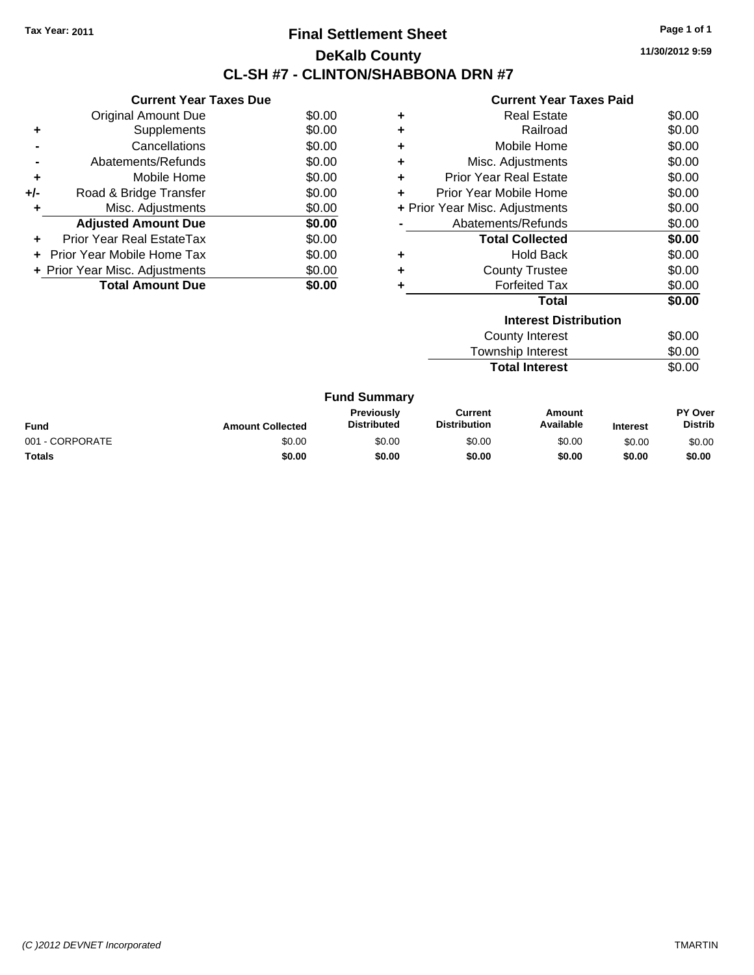### **Final Settlement Sheet Tax Year: 2011 Page 1 of 1 DeKalb County CL-SH #7 - CLINTON/SHABBONA DRN #7**

**11/30/2012 9:59**

|     | <b>Current Year Taxes Due</b>     |        |
|-----|-----------------------------------|--------|
|     | <b>Original Amount Due</b>        | \$0.00 |
| ٠   | Supplements                       | \$0.00 |
|     | Cancellations                     | \$0.00 |
|     | Abatements/Refunds                | \$0.00 |
| ٠   | Mobile Home                       | \$0.00 |
| +/- | Road & Bridge Transfer            | \$0.00 |
|     | Misc. Adjustments                 | \$0.00 |
|     | <b>Adjusted Amount Due</b>        | \$0.00 |
|     | Prior Year Real EstateTax         | \$0.00 |
|     | <b>Prior Year Mobile Home Tax</b> | \$0.00 |
|     | + Prior Year Misc. Adjustments    | \$0.00 |
|     | <b>Total Amount Due</b>           | 0.00   |

|   | <b>Interest Distribution</b>   |        |
|---|--------------------------------|--------|
|   | Total                          | \$0.00 |
| ٠ | <b>Forfeited Tax</b>           | \$0.00 |
| ٠ | <b>County Trustee</b>          | \$0.00 |
| ٠ | <b>Hold Back</b>               | \$0.00 |
|   | <b>Total Collected</b>         | \$0.00 |
|   | Abatements/Refunds             | \$0.00 |
|   | + Prior Year Misc. Adjustments | \$0.00 |
|   | Prior Year Mobile Home         | \$0.00 |
| ÷ | <b>Prior Year Real Estate</b>  | \$0.00 |
| ٠ | Misc. Adjustments              | \$0.00 |
| ٠ | Mobile Home                    | \$0.00 |
| ٠ | Railroad                       | \$0.00 |
| ٠ | <b>Real Estate</b>             | \$0.00 |
|   |                                |        |

| County Interest       | \$0.00 |
|-----------------------|--------|
| Township Interest     | \$0.00 |
| <b>Total Interest</b> | \$0.00 |

| <b>Fund Summary</b> |                         |                                  |                                |                     |                 |                           |
|---------------------|-------------------------|----------------------------------|--------------------------------|---------------------|-----------------|---------------------------|
| Fund                | <b>Amount Collected</b> | Previously<br><b>Distributed</b> | Current<br><b>Distribution</b> | Amount<br>Available | <b>Interest</b> | PY Over<br><b>Distrib</b> |
| 001 - CORPORATE     | \$0.00                  | \$0.00                           | \$0.00                         | \$0.00              | \$0.00          | \$0.00                    |
| Totals              | \$0.00                  | \$0.00                           | \$0.00                         | \$0.00              | \$0.00          | \$0.00                    |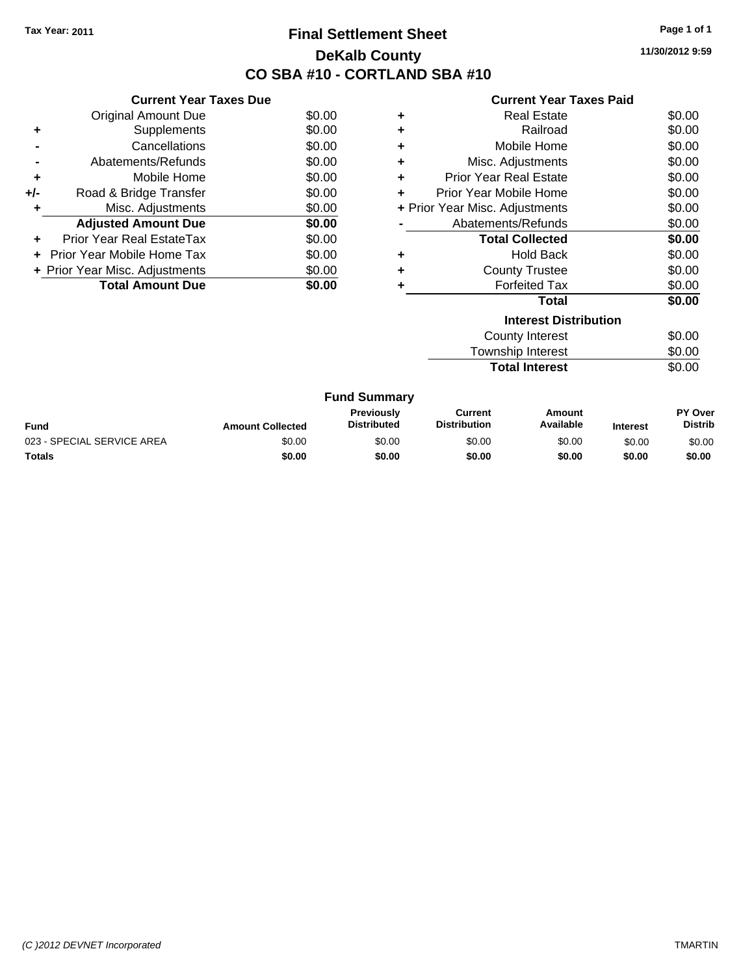# **Final Settlement Sheet Tax Year: 2011 Page 1 of 1 DeKalb County CO SBA #10 - CORTLAND SBA #10**

**11/30/2012 9:59**

| <b>Current Year Taxes Paid</b> |  |  |
|--------------------------------|--|--|
|                                |  |  |

|     | <b>Current Year Taxes Due</b>  |        |
|-----|--------------------------------|--------|
|     | <b>Original Amount Due</b>     | \$0.00 |
|     | Supplements                    | \$0.00 |
|     | Cancellations                  | \$0.00 |
|     | Abatements/Refunds             | \$0.00 |
| ٠   | Mobile Home                    | \$0.00 |
| +/- | Road & Bridge Transfer         | \$0.00 |
|     | Misc. Adjustments              | \$0.00 |
|     | <b>Adjusted Amount Due</b>     | \$0.00 |
|     | Prior Year Real EstateTax      | \$0.00 |
|     | Prior Year Mobile Home Tax     | \$0.00 |
|     | + Prior Year Misc. Adjustments | \$0.00 |
|     | <b>Total Amount Due</b>        | \$0.00 |

|                              | <b>Real Estate</b>             | \$0.00 |  |
|------------------------------|--------------------------------|--------|--|
| ٠                            | Railroad                       | \$0.00 |  |
| ٠                            | Mobile Home                    | \$0.00 |  |
| ٠                            | Misc. Adjustments              | \$0.00 |  |
| ٠                            | <b>Prior Year Real Estate</b>  | \$0.00 |  |
|                              | Prior Year Mobile Home         | \$0.00 |  |
|                              | + Prior Year Misc. Adjustments | \$0.00 |  |
|                              | Abatements/Refunds             | \$0.00 |  |
|                              | <b>Total Collected</b>         | \$0.00 |  |
| ٠                            | Hold Back                      | \$0.00 |  |
| ٠                            | <b>County Trustee</b>          | \$0.00 |  |
| ٠                            | <b>Forfeited Tax</b>           | \$0.00 |  |
|                              | Total                          | \$0.00 |  |
| <b>Interest Distribution</b> |                                |        |  |
|                              |                                |        |  |

| County Interest       | \$0.00 |
|-----------------------|--------|
| Township Interest     | \$0.00 |
| <b>Total Interest</b> | \$0.00 |

| <b>Fund Summary</b>        |                         |                                         |                                |                     |                 |                                  |
|----------------------------|-------------------------|-----------------------------------------|--------------------------------|---------------------|-----------------|----------------------------------|
| Fund                       | <b>Amount Collected</b> | <b>Previously</b><br><b>Distributed</b> | Current<br><b>Distribution</b> | Amount<br>Available | <b>Interest</b> | <b>PY Over</b><br><b>Distrib</b> |
| 023 - SPECIAL SERVICE AREA | \$0.00                  | \$0.00                                  | \$0.00                         | \$0.00              | \$0.00          | \$0.00                           |
| Totals                     | \$0.00                  | \$0.00                                  | \$0.00                         | \$0.00              | \$0.00          | \$0.00                           |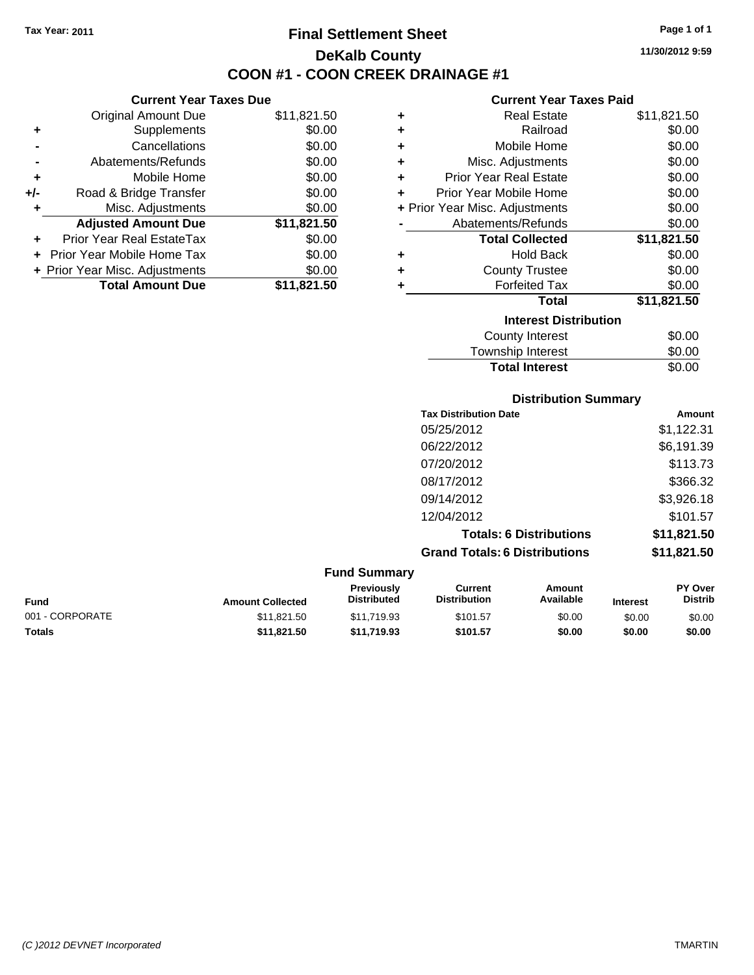**Current Year Taxes Due** Original Amount Due \$11,821.50

**Adjusted Amount Due \$11,821.50**

**Total Amount Due \$11,821.50**

**+** Supplements \$0.00 **-** Cancellations \$0.00 **-** Abatements/Refunds \$0.00 **+** Mobile Home \$0.00 **+/-** Road & Bridge Transfer \$0.00 **+** Misc. Adjustments \$0.00

**+** Prior Year Real EstateTax \$0.00 **+** Prior Year Mobile Home Tax \$0.00 **+ Prior Year Misc. Adjustments**  $$0.00$ 

# **Final Settlement Sheet Tax Year: 2011 Page 1 of 1 DeKalb County COON #1 - COON CREEK DRAINAGE #1**

**11/30/2012 9:59**

| ٠ | <b>Real Estate</b>             | \$11,821.50 |
|---|--------------------------------|-------------|
| ٠ | Railroad                       | \$0.00      |
| ٠ | Mobile Home                    | \$0.00      |
| ٠ | Misc. Adjustments              | \$0.00      |
| ÷ | <b>Prior Year Real Estate</b>  | \$0.00      |
| ÷ | Prior Year Mobile Home         | \$0.00      |
|   | + Prior Year Misc. Adjustments | \$0.00      |
|   | Abatements/Refunds             | \$0.00      |
|   | <b>Total Collected</b>         | \$11,821.50 |
| ٠ | <b>Hold Back</b>               | \$0.00      |
|   |                                |             |
| ٠ | <b>County Trustee</b>          | \$0.00      |
| ٠ | <b>Forfeited Tax</b>           | \$0.00      |
|   | <b>Total</b>                   | \$11,821.50 |
|   | <b>Interest Distribution</b>   |             |
|   | County Interest                | \$0.00      |

| <b>Distribution Summary</b> |        |
|-----------------------------|--------|
| <b>Total Interest</b>       | \$0.00 |
| Township Interest           | \$0.00 |
| County Interest             | \$0.00 |

| <b>Tax Distribution Date</b>         | Amount      |
|--------------------------------------|-------------|
| 05/25/2012                           | \$1,122.31  |
| 06/22/2012                           | \$6,191.39  |
| 07/20/2012                           | \$113.73    |
| 08/17/2012                           | \$366.32    |
| 09/14/2012                           | \$3,926.18  |
| 12/04/2012                           | \$101.57    |
| <b>Totals: 6 Distributions</b>       | \$11,821.50 |
| <b>Grand Totals: 6 Distributions</b> | \$11,821.50 |

| <b>Fund Summary</b> |                         |                                  |                                |                     |                 |                                  |
|---------------------|-------------------------|----------------------------------|--------------------------------|---------------------|-----------------|----------------------------------|
| Fund                | <b>Amount Collected</b> | <b>Previously</b><br>Distributed | Current<br><b>Distribution</b> | Amount<br>Available | <b>Interest</b> | <b>PY Over</b><br><b>Distrib</b> |
| 001 - CORPORATE     | \$11,821.50             | \$11.719.93                      | \$101.57                       | \$0.00              | \$0.00          | \$0.00                           |
| Totals              | \$11.821.50             | \$11.719.93                      | \$101.57                       | \$0.00              | \$0.00          | \$0.00                           |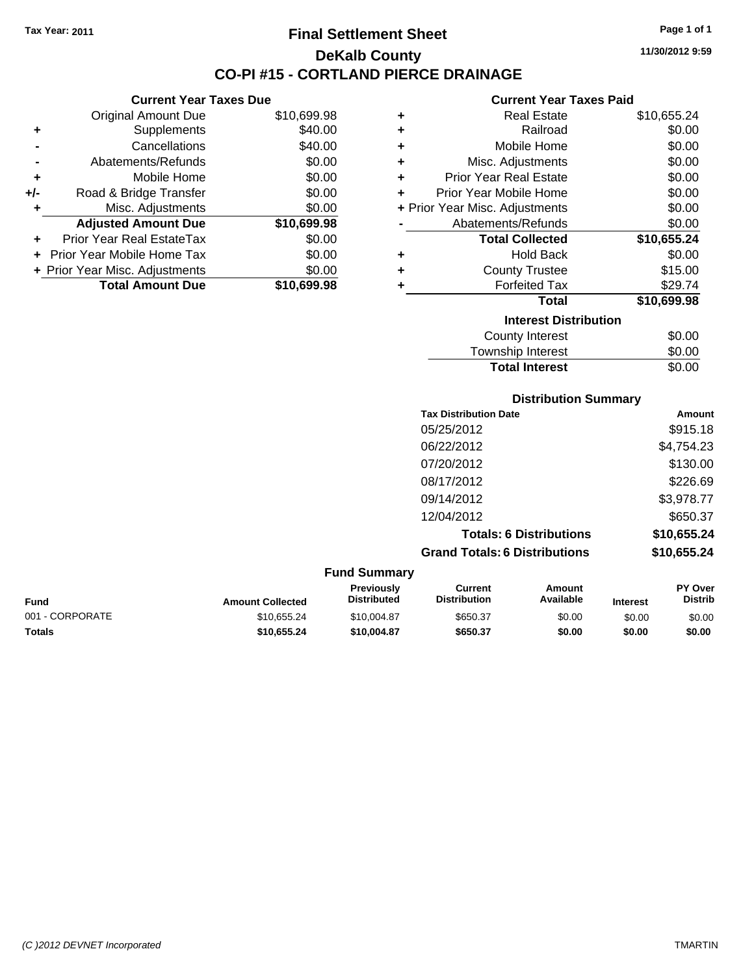### **Final Settlement Sheet Tax Year: 2011 Page 1 of 1 DeKalb County CO-PI #15 - CORTLAND PIERCE DRAINAGE**

**11/30/2012 9:59**

#### **Current Year Taxes Paid**

| ٠ | <b>Real Estate</b>             | \$10,655.24 |
|---|--------------------------------|-------------|
| ٠ | Railroad                       | \$0.00      |
| ٠ | Mobile Home                    | \$0.00      |
| ٠ | Misc. Adjustments              | \$0.00      |
| ٠ | <b>Prior Year Real Estate</b>  | \$0.00      |
| ÷ | Prior Year Mobile Home         | \$0.00      |
|   | + Prior Year Misc. Adjustments | \$0.00      |
|   | Abatements/Refunds             | \$0.00      |
|   | <b>Total Collected</b>         | \$10,655.24 |
| ٠ | <b>Hold Back</b>               | \$0.00      |
| ٠ | <b>County Trustee</b>          | \$15.00     |
| ٠ | <b>Forfeited Tax</b>           | \$29.74     |
|   | <b>Total</b>                   | \$10,699.98 |
|   | <b>Interest Distribution</b>   |             |
|   | <b>County Interest</b>         | \$0.00      |
|   | Townehin Interact              | ቁስ ስስ       |

### **Distribution Summary Tax Distribution Date Amount** Township Interest \$0.00 Total Interest \$0.00

| Tax Distribution Date                | Amount      |
|--------------------------------------|-------------|
| 05/25/2012                           | \$915.18    |
| 06/22/2012                           | \$4,754.23  |
| 07/20/2012                           | \$130.00    |
| 08/17/2012                           | \$226.69    |
| 09/14/2012                           | \$3,978.77  |
| 12/04/2012                           | \$650.37    |
| <b>Totals: 6 Distributions</b>       | \$10,655.24 |
| <b>Grand Totals: 6 Distributions</b> | \$10,655.24 |

| <b>Fund Summary</b> |                         |                                         |                                |                     |                 |                                  |
|---------------------|-------------------------|-----------------------------------------|--------------------------------|---------------------|-----------------|----------------------------------|
| Fund                | <b>Amount Collected</b> | <b>Previously</b><br><b>Distributed</b> | Current<br><b>Distribution</b> | Amount<br>Available | <b>Interest</b> | <b>PY Over</b><br><b>Distrib</b> |
| 001 - CORPORATE     | \$10,655.24             | \$10,004.87                             | \$650.37                       | \$0.00              | \$0.00          | \$0.00                           |
| Totals              | \$10.655.24             | \$10,004.87                             | \$650.37                       | \$0.00              | \$0.00          | \$0.00                           |

| $\ddot{\phantom{1}}$ | <b>Prior Year Real EstateTax</b> | \$0.00 |
|----------------------|----------------------------------|--------|
|                      | + Prior Year Mobile Home Tax     | \$0.00 |

**Current Year Taxes Due** Original Amount Due \$10,699.98

**Adjusted Amount Due \$10,699.98**

**Total Amount Due \$10,699.98**

**+** Supplements \$40.00 **-** Cancellations \$40.00 **-** Abatements/Refunds \$0.00 **+** Mobile Home \$0.00 **+/-** Road & Bridge Transfer \$0.00 **+** Misc. Adjustments \$0.00

**+ Prior Year Misc. Adjustments**  $$0.00$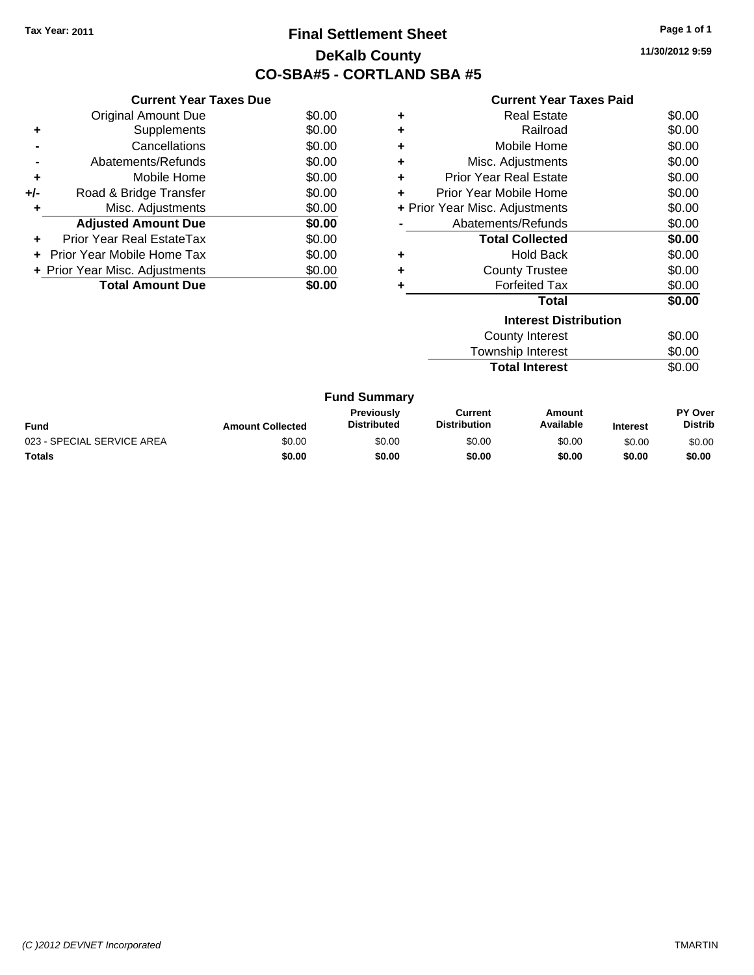### **Final Settlement Sheet Tax Year: 2011 Page 1 of 1 DeKalb County CO-SBA#5 - CORTLAND SBA #5**

**11/30/2012 9:59**

|     | <b>Current Year Taxes Due</b>     |        |
|-----|-----------------------------------|--------|
|     | <b>Original Amount Due</b>        | \$0.00 |
| ٠   | Supplements                       | \$0.00 |
|     | Cancellations                     | \$0.00 |
|     | Abatements/Refunds                | \$0.00 |
| ٠   | Mobile Home                       | \$0.00 |
| +/- | Road & Bridge Transfer            | \$0.00 |
| ٠   | Misc. Adjustments                 | \$0.00 |
|     | <b>Adjusted Amount Due</b>        | \$0.00 |
| ٠   | Prior Year Real EstateTax         | \$0.00 |
|     | <b>Prior Year Mobile Home Tax</b> | \$0.00 |
|     | + Prior Year Misc. Adjustments    | \$0.00 |
|     | <b>Total Amount Due</b>           | \$0.00 |

|   | <b>Interest Distribution</b>   | ሖ^ ^^  |
|---|--------------------------------|--------|
|   | Total                          | \$0.00 |
|   | <b>Forfeited Tax</b>           | \$0.00 |
| ٠ | <b>County Trustee</b>          | \$0.00 |
|   | <b>Hold Back</b>               | \$0.00 |
|   | <b>Total Collected</b>         | \$0.00 |
|   | Abatements/Refunds             | \$0.00 |
|   | + Prior Year Misc. Adjustments | \$0.00 |
|   | Prior Year Mobile Home         | \$0.00 |
| ٠ | <b>Prior Year Real Estate</b>  | \$0.00 |
| ٠ | Misc. Adjustments              | \$0.00 |
| ٠ | Mobile Home                    | \$0.00 |
| ÷ | Railroad                       | \$0.00 |
| ٠ | <b>Real Estate</b>             | \$0.00 |
|   |                                |        |

| County Interest       | \$0.00 |
|-----------------------|--------|
| Township Interest     | \$0.00 |
| <b>Total Interest</b> | \$0.00 |

|                            |                         | <b>Fund Summary</b>                     |                                |                     |                 |                                  |
|----------------------------|-------------------------|-----------------------------------------|--------------------------------|---------------------|-----------------|----------------------------------|
| Fund                       | <b>Amount Collected</b> | <b>Previously</b><br><b>Distributed</b> | Current<br><b>Distribution</b> | Amount<br>Available | <b>Interest</b> | <b>PY Over</b><br><b>Distrib</b> |
| 023 - SPECIAL SERVICE AREA | \$0.00                  | \$0.00                                  | \$0.00                         | \$0.00              | \$0.00          | \$0.00                           |
| Totals                     | \$0.00                  | \$0.00                                  | \$0.00                         | \$0.00              | \$0.00          | \$0.00                           |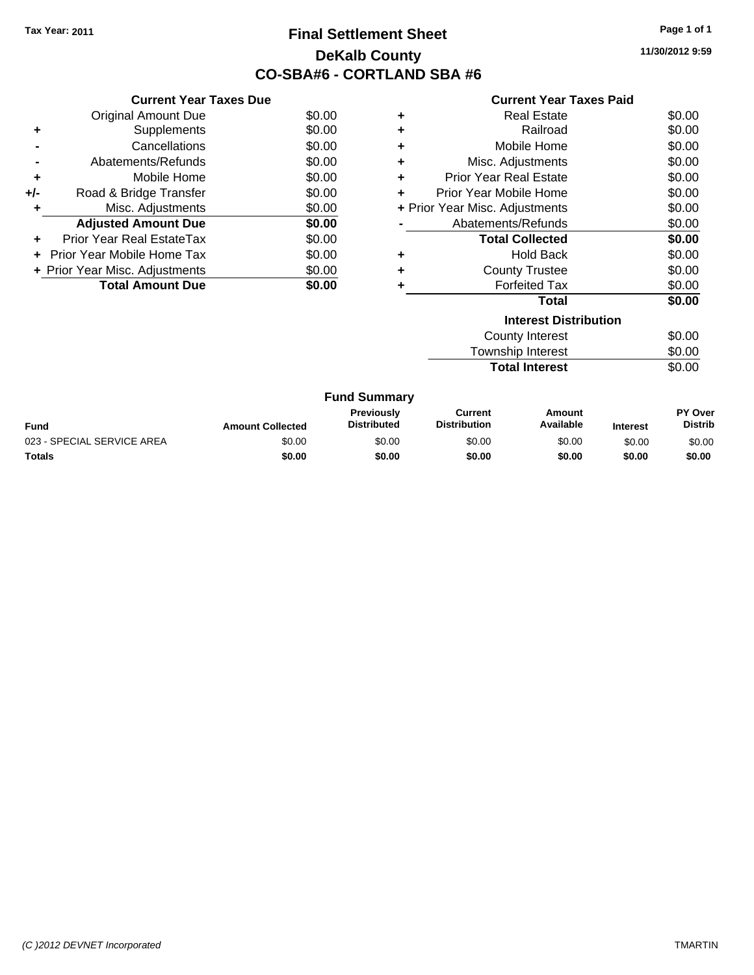### **Final Settlement Sheet Tax Year: 2011 Page 1 of 1 DeKalb County CO-SBA#6 - CORTLAND SBA #6**

**11/30/2012 9:59**

|  | <b>Current Year Taxes Paid</b> |  |  |  |
|--|--------------------------------|--|--|--|
|--|--------------------------------|--|--|--|

| <b>Current Year Taxes Due</b>     |                                |
|-----------------------------------|--------------------------------|
| <b>Original Amount Due</b>        | \$0.00                         |
| Supplements                       | \$0.00                         |
| Cancellations                     | \$0.00                         |
| Abatements/Refunds                | \$0.00                         |
| Mobile Home                       | \$0.00                         |
| Road & Bridge Transfer            | \$0.00                         |
| Misc. Adjustments                 | \$0.00                         |
| <b>Adjusted Amount Due</b>        | \$0.00                         |
| Prior Year Real EstateTax         | \$0.00                         |
| <b>Prior Year Mobile Home Tax</b> | \$0.00                         |
|                                   | \$0.00                         |
| <b>Total Amount Due</b>           | \$0.00                         |
|                                   | + Prior Year Misc. Adjustments |

|   | <b>Interest Distribution</b>   | $\sim$ $\sim$ |
|---|--------------------------------|---------------|
|   | <b>Total</b>                   | \$0.00        |
|   | <b>Forfeited Tax</b>           | \$0.00        |
|   | <b>County Trustee</b>          | \$0.00        |
|   | Hold Back                      | \$0.00        |
|   | <b>Total Collected</b>         | \$0.00        |
|   | Abatements/Refunds             | \$0.00        |
|   | + Prior Year Misc. Adjustments | \$0.00        |
|   | Prior Year Mobile Home         | \$0.00        |
| ÷ | <b>Prior Year Real Estate</b>  | \$0.00        |
|   | Misc. Adjustments              | \$0.00        |
| ٠ | Mobile Home                    | \$0.00        |
| ٠ | Railroad                       | \$0.00        |
|   | <b>Real Estate</b>             | \$0.00        |
|   |                                |               |

| <b>Total Interest</b> | \$0.00 |
|-----------------------|--------|
| Township Interest     | \$0.00 |
| County Interest       | \$0.00 |

|                            |                         | <b>Fund Summary</b>                     |                                |                     |                 |                                  |
|----------------------------|-------------------------|-----------------------------------------|--------------------------------|---------------------|-----------------|----------------------------------|
| Fund                       | <b>Amount Collected</b> | <b>Previously</b><br><b>Distributed</b> | Current<br><b>Distribution</b> | Amount<br>Available | <b>Interest</b> | <b>PY Over</b><br><b>Distrib</b> |
| 023 - SPECIAL SERVICE AREA | \$0.00                  | \$0.00                                  | \$0.00                         | \$0.00              | \$0.00          | \$0.00                           |
| Totals                     | \$0.00                  | \$0.00                                  | \$0.00                         | \$0.00              | \$0.00          | \$0.00                           |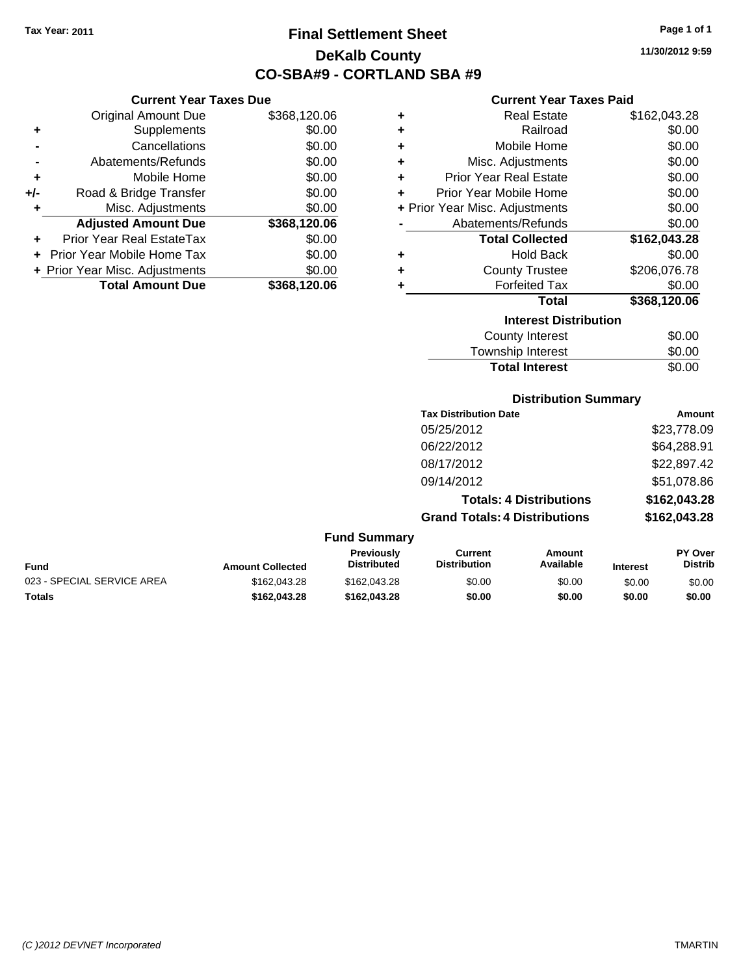**Current Year Taxes Due** Original Amount Due \$368,120.06

**Adjusted Amount Due \$368,120.06**

**Total Amount Due \$368,120.06**

**+** Supplements \$0.00 **-** Cancellations \$0.00 **-** Abatements/Refunds \$0.00 **+** Mobile Home \$0.00 **+/-** Road & Bridge Transfer \$0.00 **+** Misc. Adjustments \$0.00

**+** Prior Year Real EstateTax \$0.00 **+** Prior Year Mobile Home Tax \$0.00 **+ Prior Year Misc. Adjustments**  $$0.00$ 

# **Final Settlement Sheet Tax Year: 2011 Page 1 of 1 DeKalb County CO-SBA#9 - CORTLAND SBA #9**

**11/30/2012 9:59**

#### **Current Year Taxes Paid**

| ٠ | <b>Real Estate</b>             | \$162,043.28 |
|---|--------------------------------|--------------|
| ٠ | Railroad                       | \$0.00       |
| ÷ | Mobile Home                    | \$0.00       |
| ÷ | Misc. Adjustments              | \$0.00       |
| ٠ | <b>Prior Year Real Estate</b>  | \$0.00       |
| ٠ | Prior Year Mobile Home         | \$0.00       |
|   | + Prior Year Misc. Adjustments | \$0.00       |
|   | Abatements/Refunds             | \$0.00       |
|   | <b>Total Collected</b>         | \$162,043.28 |
| ٠ | <b>Hold Back</b>               | \$0.00       |
| ٠ | <b>County Trustee</b>          | \$206,076.78 |
| ٠ | <b>Forfeited Tax</b>           | \$0.00       |
|   | Total                          | \$368,120.06 |
|   | <b>Interest Distribution</b>   |              |
|   | <b>County Interest</b>         | \$0.00       |

| <b>Total Interest</b> | \$0.00 |
|-----------------------|--------|
| Township Interest     | \$0.00 |
| County Interest       | \$0.00 |

#### **Distribution Summary**

| <b>Tax Distribution Date</b>         | Amount       |
|--------------------------------------|--------------|
| 05/25/2012                           | \$23,778.09  |
| 06/22/2012                           | \$64,288.91  |
| 08/17/2012                           | \$22,897.42  |
| 09/14/2012                           | \$51,078.86  |
| <b>Totals: 4 Distributions</b>       | \$162,043.28 |
| <b>Grand Totals: 4 Distributions</b> | \$162,043.28 |
|                                      |              |

#### **Fund Summary**

| Fund                       | <b>Amount Collected</b> | <b>Previously</b><br><b>Distributed</b> | Current<br><b>Distribution</b> | Amount<br>Available | <b>Interest</b> | <b>PY Over</b><br>Distrib |
|----------------------------|-------------------------|-----------------------------------------|--------------------------------|---------------------|-----------------|---------------------------|
| 023 - SPECIAL SERVICE AREA | \$162,043.28            | \$162,043.28                            | \$0.00                         | \$0.00              | \$0.00          | \$0.00                    |
| Totals                     | \$162.043.28            | \$162.043.28                            | \$0.00                         | \$0.00              | \$0.00          | \$0.00                    |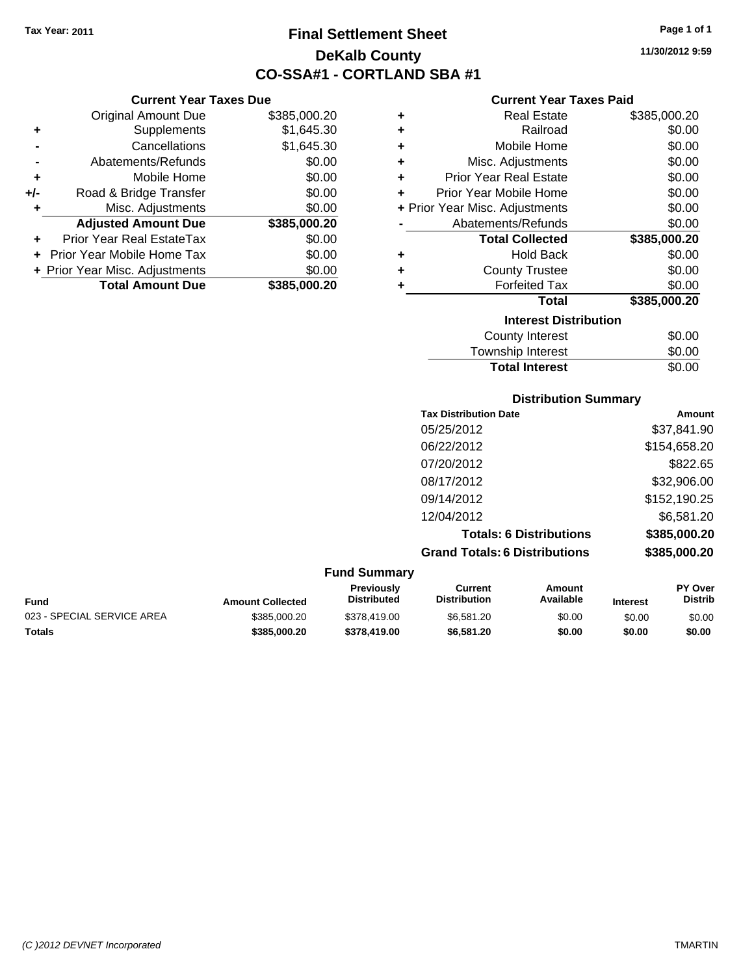**Current Year Taxes Due** Original Amount Due \$385,000.20

**Adjusted Amount Due \$385,000.20**

**Total Amount Due \$385,000.20**

**+** Supplements \$1,645.30 **-** Cancellations \$1,645.30 **-** Abatements/Refunds \$0.00 **+** Mobile Home \$0.00 **+/-** Road & Bridge Transfer \$0.00 **+** Misc. Adjustments \$0.00

**+** Prior Year Real EstateTax \$0.00 **+** Prior Year Mobile Home Tax \$0.00 **+ Prior Year Misc. Adjustments**  $$0.00$ 

# **Final Settlement Sheet Tax Year: 2011 Page 1 of 1 DeKalb County CO-SSA#1 - CORTLAND SBA #1**

**11/30/2012 9:59**

#### **Current Year Taxes Paid**

| ٠ | <b>Real Estate</b>             | \$385,000.20 |
|---|--------------------------------|--------------|
| ٠ | Railroad                       | \$0.00       |
| ÷ | Mobile Home                    | \$0.00       |
| ÷ | Misc. Adjustments              | \$0.00       |
| ÷ | <b>Prior Year Real Estate</b>  | \$0.00       |
| ÷ | Prior Year Mobile Home         | \$0.00       |
|   | + Prior Year Misc. Adjustments | \$0.00       |
|   | Abatements/Refunds             | \$0.00       |
|   | <b>Total Collected</b>         | \$385,000.20 |
| ٠ | Hold Back                      | \$0.00       |
| ٠ | <b>County Trustee</b>          | \$0.00       |
| ٠ | <b>Forfeited Tax</b>           | \$0.00       |
|   | Total                          | \$385,000.20 |
|   | <b>Interest Distribution</b>   |              |
|   | <b>County Interest</b>         | \$0.00       |
|   |                                |              |

| <b>Total Interest</b> | \$0.00 |
|-----------------------|--------|
| Township Interest     | \$0.00 |
| <b>COUTTY THEFEST</b> | JU.UU  |

#### **Distribution Summary**

| <b>Tax Distribution Date</b>         | Amount       |
|--------------------------------------|--------------|
| 05/25/2012                           | \$37,841.90  |
| 06/22/2012                           | \$154,658.20 |
| 07/20/2012                           | \$822.65     |
| 08/17/2012                           | \$32,906.00  |
| 09/14/2012                           | \$152,190.25 |
| 12/04/2012                           | \$6,581.20   |
| <b>Totals: 6 Distributions</b>       | \$385,000.20 |
| <b>Grand Totals: 6 Distributions</b> | \$385,000.20 |

#### **Fund Summary Fund Interest Amount Collected Distributed PY Over Distrib Amount Available Current Distribution Previously** 023 - SPECIAL SERVICE AREA  $$385,000.20$  \$378,419.00 \$6,581.20 \$0.00 \$0.00 \$0.00 \$0.00 **Totals \$385,000.20 \$378,419.00 \$6,581.20 \$0.00 \$0.00 \$0.00**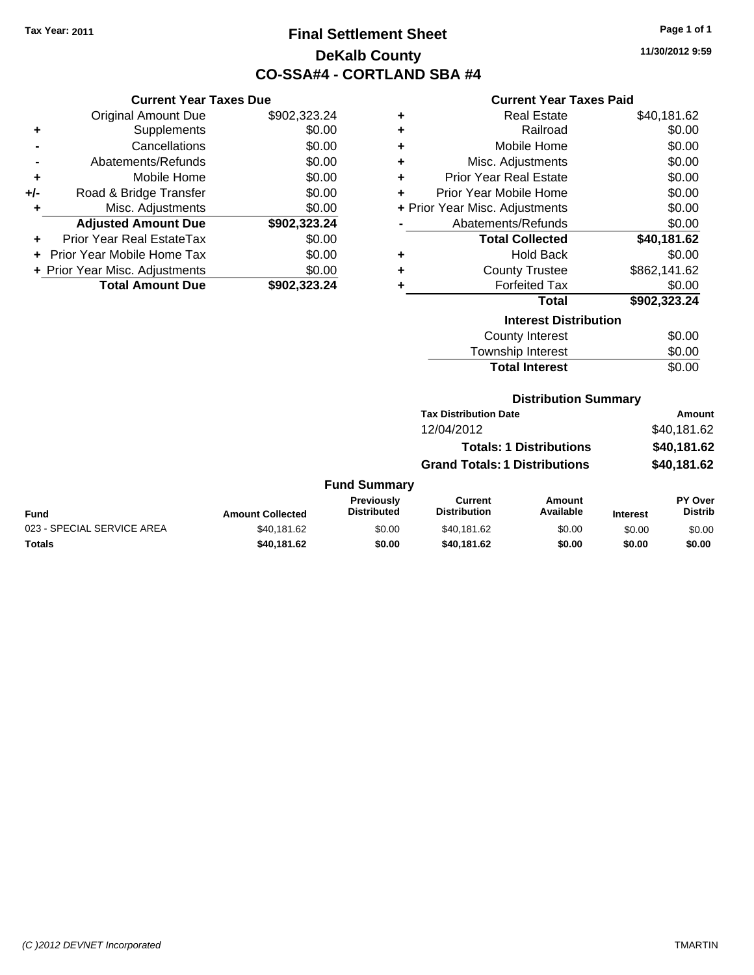# **Final Settlement Sheet Tax Year: 2011 Page 1 of 1 DeKalb County CO-SSA#4 - CORTLAND SBA #4**

**11/30/2012 9:59**

#### **Current Year Taxes Paid**

|     | <b>Current Year Taxes Due</b>  |              |  |  |  |
|-----|--------------------------------|--------------|--|--|--|
|     | <b>Original Amount Due</b>     | \$902,323.24 |  |  |  |
| ٠   | Supplements                    | \$0.00       |  |  |  |
|     | Cancellations                  | \$0.00       |  |  |  |
|     | Abatements/Refunds             | \$0.00       |  |  |  |
| ٠   | Mobile Home                    | \$0.00       |  |  |  |
| +/- | Road & Bridge Transfer         | \$0.00       |  |  |  |
| ٠   | Misc. Adjustments              | \$0.00       |  |  |  |
|     | <b>Adjusted Amount Due</b>     | \$902,323.24 |  |  |  |
|     | Prior Year Real EstateTax      | \$0.00       |  |  |  |
|     | Prior Year Mobile Home Tax     | \$0.00       |  |  |  |
|     | + Prior Year Misc. Adjustments | \$0.00       |  |  |  |
|     | <b>Total Amount Due</b>        | \$902,323.24 |  |  |  |

| ٠ | <b>Real Estate</b>             | \$40,181.62  |
|---|--------------------------------|--------------|
| ÷ | Railroad                       | \$0.00       |
| ÷ | Mobile Home                    | \$0.00       |
| ٠ | Misc. Adjustments              | \$0.00       |
| ÷ | <b>Prior Year Real Estate</b>  | \$0.00       |
| ٠ | Prior Year Mobile Home         | \$0.00       |
|   | + Prior Year Misc. Adjustments | \$0.00       |
|   | Abatements/Refunds             | \$0.00       |
|   |                                |              |
|   | <b>Total Collected</b>         | \$40,181.62  |
| ٠ | Hold Back                      | \$0.00       |
| ٠ | <b>County Trustee</b>          | \$862,141.62 |
| ٠ | <b>Forfeited Tax</b>           | \$0.00       |
|   | <b>Total</b>                   | \$902,323.24 |
|   | <b>Interest Distribution</b>   |              |
|   | <b>County Interest</b>         | \$0.00       |

# **Distribution Summary**

**Total Interest** \$0.00

| Amount      |
|-------------|
| \$40.181.62 |
| \$40,181.62 |
| \$40,181.62 |
|             |

### **Fund Summary**

|                            |                         | <b>Previously</b>  | Current      | Amount    |                 | PY Over        |
|----------------------------|-------------------------|--------------------|--------------|-----------|-----------------|----------------|
| <b>Fund</b>                | <b>Amount Collected</b> | <b>Distributed</b> | Distribution | Available | <b>Interest</b> | <b>Distrib</b> |
| 023 - SPECIAL SERVICE AREA | \$40.181.62             | \$0.00             | \$40.181.62  | \$0.00    | \$0.00          | \$0.00         |
| Totals                     | \$40,181.62             | \$0.00             | \$40.181.62  | \$0.00    | \$0.00          | \$0.00         |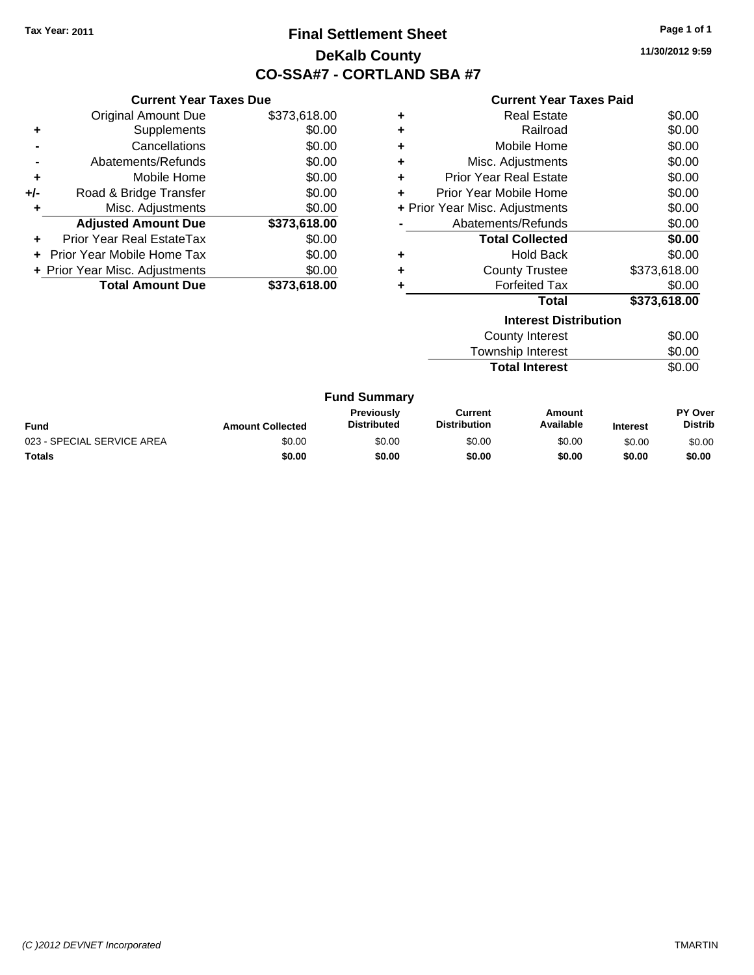# **Final Settlement Sheet Tax Year: 2011 Page 1 of 1 DeKalb County CO-SSA#7 - CORTLAND SBA #7**

**11/30/2012 9:59**

|     | <b>Current Year Taxes Due</b>  |              |  |  |
|-----|--------------------------------|--------------|--|--|
|     | <b>Original Amount Due</b>     | \$373,618.00 |  |  |
| ٠   | Supplements                    | \$0.00       |  |  |
|     | Cancellations                  | \$0.00       |  |  |
|     | \$0.00<br>Abatements/Refunds   |              |  |  |
| ٠   | Mobile Home                    | \$0.00       |  |  |
| +/- | Road & Bridge Transfer         |              |  |  |
| ٠   | Misc. Adjustments              | \$0.00       |  |  |
|     | <b>Adjusted Amount Due</b>     | \$373,618.00 |  |  |
|     | Prior Year Real EstateTax      | \$0.00       |  |  |
| ÷   | Prior Year Mobile Home Tax     | \$0.00       |  |  |
|     | + Prior Year Misc. Adjustments | \$0.00       |  |  |
|     | <b>Total Amount Due</b>        | \$373,618,00 |  |  |

| ٠ | Real Estate                    | \$0.00       |
|---|--------------------------------|--------------|
| ÷ | Railroad                       | \$0.00       |
| ٠ | Mobile Home                    | \$0.00       |
| ٠ | Misc. Adjustments              | \$0.00       |
| ٠ | <b>Prior Year Real Estate</b>  | \$0.00       |
|   | Prior Year Mobile Home         | \$0.00       |
|   | + Prior Year Misc. Adjustments | \$0.00       |
|   | Abatements/Refunds             | \$0.00       |
|   | <b>Total Collected</b>         | \$0.00       |
| ٠ | <b>Hold Back</b>               | \$0.00       |
| ٠ | <b>County Trustee</b>          | \$373.618.00 |
|   | <b>Forfeited Tax</b>           | \$0.00       |
|   | Total                          | \$373,618.00 |
|   |                                |              |

| <b>Interest Distribution</b> |        |  |
|------------------------------|--------|--|
| County Interest              | \$0.00 |  |
| Township Interest            | \$0.00 |  |
| <b>Total Interest</b>        | \$0.00 |  |

| <b>Fund</b>                | <b>Amount Collected</b> | <b>Previously</b><br><b>Distributed</b> | Current<br><b>Distribution</b> | Amount<br>Available | <b>Interest</b> | PY Over<br><b>Distrib</b> |
|----------------------------|-------------------------|-----------------------------------------|--------------------------------|---------------------|-----------------|---------------------------|
| 023 - SPECIAL SERVICE AREA | \$0.00                  | \$0.00                                  | \$0.00                         | \$0.00              | \$0.00          | \$0.00                    |
| <b>Totals</b>              | \$0.00                  | \$0.00                                  | \$0.00                         | \$0.00              | \$0.00          | \$0.00                    |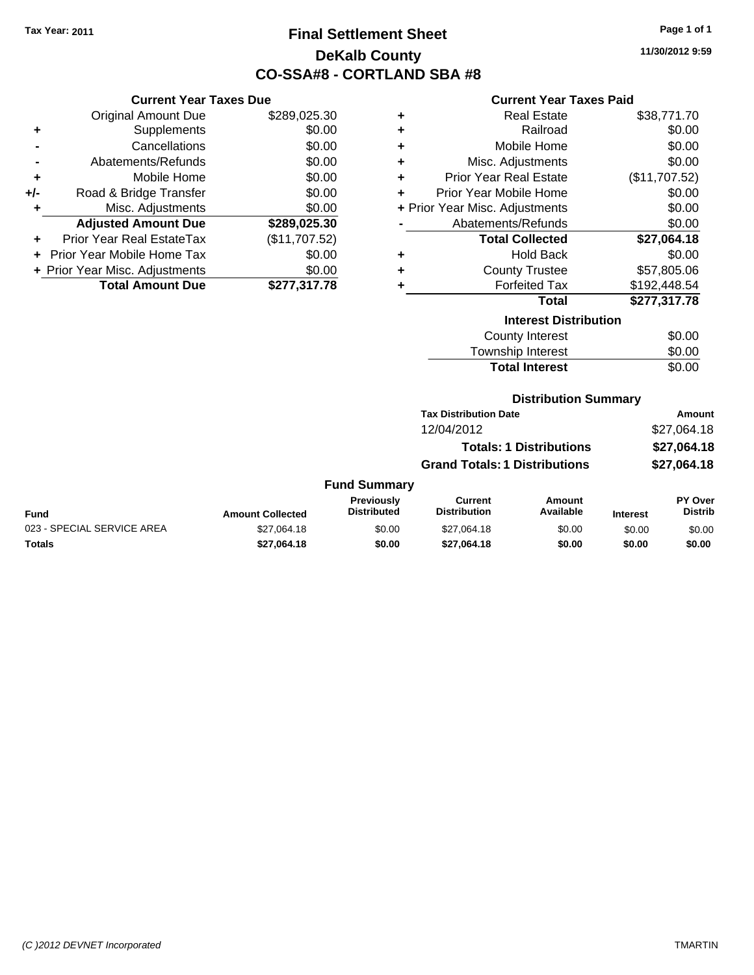# **Final Settlement Sheet Tax Year: 2011 Page 1 of 1 DeKalb County CO-SSA#8 - CORTLAND SBA #8**

**11/30/2012 9:59**

### **Current Year Taxes Paid**

|     | <b>Current Year Taxes Due</b>  |               |
|-----|--------------------------------|---------------|
|     | <b>Original Amount Due</b>     | \$289,025.30  |
| ٠   | Supplements                    | \$0.00        |
|     | Cancellations                  | \$0.00        |
|     | Abatements/Refunds             | \$0.00        |
| ٠   | Mobile Home                    | \$0.00        |
| +/- | Road & Bridge Transfer         | \$0.00        |
| ٠   | Misc. Adjustments              | \$0.00        |
|     | <b>Adjusted Amount Due</b>     | \$289,025.30  |
|     | Prior Year Real EstateTax      | (\$11,707.52) |
|     | Prior Year Mobile Home Tax     | \$0.00        |
|     | + Prior Year Misc. Adjustments | \$0.00        |
|     | <b>Total Amount Due</b>        | \$277.317.78  |

| ٠ | <b>Real Estate</b>             | \$38,771.70   |
|---|--------------------------------|---------------|
| ÷ | Railroad                       | \$0.00        |
| ÷ | Mobile Home                    | \$0.00        |
| ÷ | Misc. Adjustments              | \$0.00        |
| ÷ | <b>Prior Year Real Estate</b>  | (\$11,707.52) |
| ٠ | Prior Year Mobile Home         | \$0.00        |
|   | + Prior Year Misc. Adjustments | \$0.00        |
|   | Abatements/Refunds             | \$0.00        |
|   | <b>Total Collected</b>         | \$27,064.18   |
| ٠ | <b>Hold Back</b>               | \$0.00        |
| ٠ | <b>County Trustee</b>          | \$57,805.06   |
| ٠ | <b>Forfeited Tax</b>           | \$192,448.54  |
|   | Total                          | \$277,317.78  |
|   | <b>Interest Distribution</b>   |               |
|   | <b>County Interest</b>         | \$0.00        |
|   | <b>Township Interest</b>       | \$0.00        |
|   | <b>Total Interest</b>          | \$0.00        |

### **Distribution Summary**

| Amount      |
|-------------|
| \$27,064.18 |
| \$27,064.18 |
| \$27,064.18 |
|             |

#### **Fund Summary**

|                            |                         | Previouslv  | Current             | Amount    |                 | PY Over |
|----------------------------|-------------------------|-------------|---------------------|-----------|-----------------|---------|
| <b>Fund</b>                | <b>Amount Collected</b> | Distributed | <b>Distribution</b> | Available | <b>Interest</b> | Distrib |
| 023 - SPECIAL SERVICE AREA | \$27.064.18             | \$0.00      | \$27.064.18         | \$0.00    | \$0.00          | \$0.00  |
| <b>Totals</b>              | \$27.064.18             | \$0.00      | \$27.064.18         | \$0.00    | \$0.00          | \$0.00  |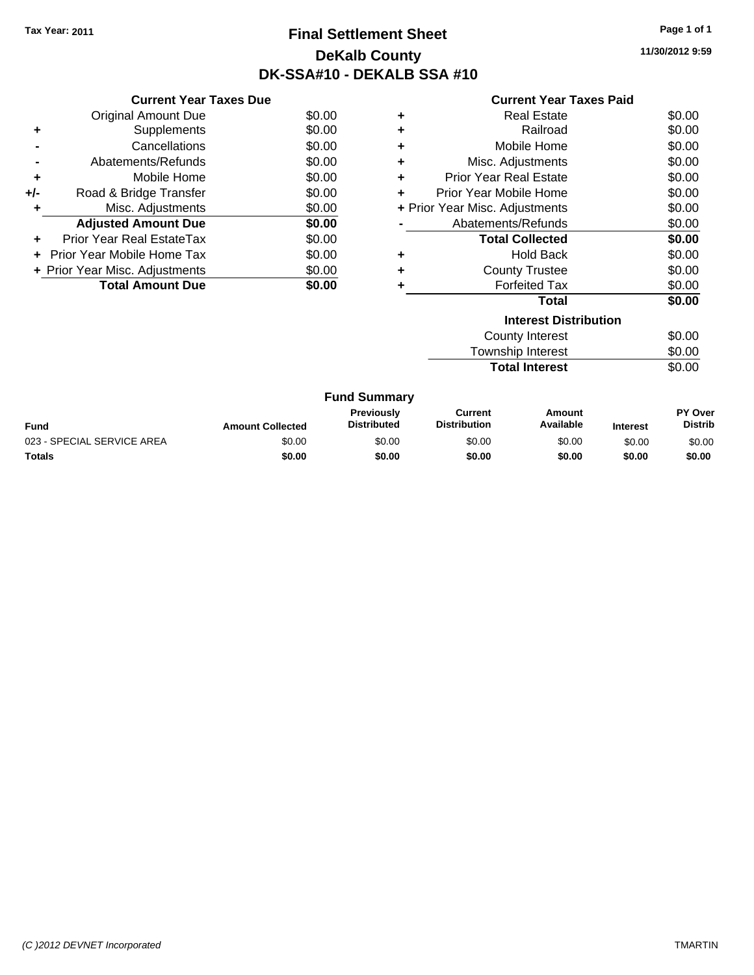# **Final Settlement Sheet Tax Year: 2011 Page 1 of 1 DeKalb County DK-SSA#10 - DEKALB SSA #10**

**11/30/2012 9:59**

|     | <b>Current Year Taxes Due</b>     |        |
|-----|-----------------------------------|--------|
|     | <b>Original Amount Due</b>        | \$0.00 |
| ٠   | Supplements                       | \$0.00 |
|     | Cancellations                     | \$0.00 |
|     | Abatements/Refunds                | \$0.00 |
| ٠   | Mobile Home                       | \$0.00 |
| +/- | Road & Bridge Transfer            | \$0.00 |
| ٠   | Misc. Adjustments                 | \$0.00 |
|     | <b>Adjusted Amount Due</b>        | \$0.00 |
| ÷   | Prior Year Real EstateTax         | \$0.00 |
|     | <b>Prior Year Mobile Home Tax</b> | \$0.00 |
|     | + Prior Year Misc. Adjustments    | \$0.00 |
|     | <b>Total Amount Due</b>           | \$0.00 |

| ٠ | <b>Real Estate</b>             | \$0.00 |
|---|--------------------------------|--------|
| ÷ | Railroad                       | \$0.00 |
| ٠ | Mobile Home                    | \$0.00 |
| ٠ | Misc. Adjustments              | \$0.00 |
| ٠ | <b>Prior Year Real Estate</b>  | \$0.00 |
| ÷ | Prior Year Mobile Home         | \$0.00 |
|   | + Prior Year Misc. Adjustments | \$0.00 |
|   | Abatements/Refunds             | \$0.00 |
|   | <b>Total Collected</b>         | \$0.00 |
| ٠ | <b>Hold Back</b>               | \$0.00 |
| ÷ | <b>County Trustee</b>          | \$0.00 |
| ٠ | <b>Forfeited Tax</b>           | \$0.00 |
|   | Total                          | \$0.00 |
|   | <b>Interest Distribution</b>   |        |
|   | Oacosto Interest.              | ሶስ ሰሰ  |

| <b>Total Interest</b> | \$0.00 |
|-----------------------|--------|
| Township Interest     | \$0.00 |
| County Interest       | \$0.00 |

|                            |                         | <b>Fund Summary</b>                     |                                |                     |                 |                           |
|----------------------------|-------------------------|-----------------------------------------|--------------------------------|---------------------|-----------------|---------------------------|
| Fund                       | <b>Amount Collected</b> | <b>Previously</b><br><b>Distributed</b> | Current<br><b>Distribution</b> | Amount<br>Available | <b>Interest</b> | PY Over<br><b>Distrib</b> |
| 023 - SPECIAL SERVICE AREA | \$0.00                  | \$0.00                                  | \$0.00                         | \$0.00              | \$0.00          | \$0.00                    |
| Totals                     | \$0.00                  | \$0.00                                  | \$0.00                         | \$0.00              | \$0.00          | \$0.00                    |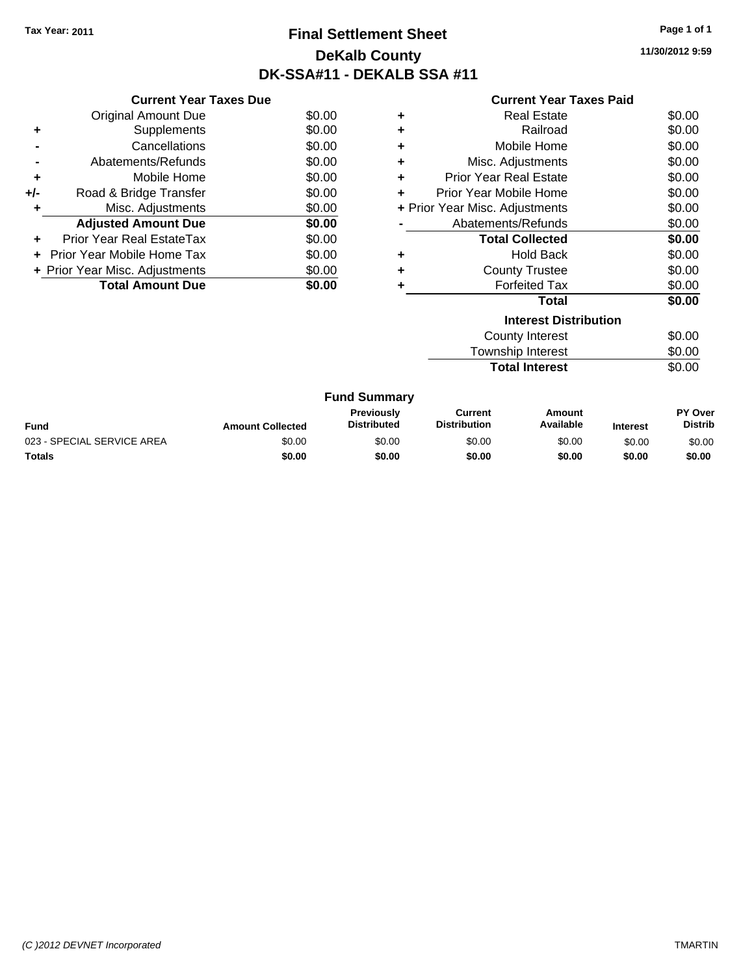# **Final Settlement Sheet Tax Year: 2011 Page 1 of 1 DeKalb County DK-SSA#11 - DEKALB SSA #11**

**11/30/2012 9:59**

|     | <b>Current Year Taxes Due</b>     |        |
|-----|-----------------------------------|--------|
|     | <b>Original Amount Due</b>        | \$0.00 |
| ٠   | Supplements                       | \$0.00 |
|     | Cancellations                     | \$0.00 |
|     | Abatements/Refunds                | \$0.00 |
| ٠   | Mobile Home                       | \$0.00 |
| +/- | Road & Bridge Transfer            | \$0.00 |
| ٠   | Misc. Adjustments                 | \$0.00 |
|     | <b>Adjusted Amount Due</b>        | \$0.00 |
| ÷   | Prior Year Real EstateTax         | \$0.00 |
|     | <b>Prior Year Mobile Home Tax</b> | \$0.00 |
|     | + Prior Year Misc. Adjustments    | \$0.00 |
|     | <b>Total Amount Due</b>           | SO 00  |

|   | <b>Interest Distribution</b>   | ሶስ ሰሰ  |
|---|--------------------------------|--------|
|   | Total                          | \$0.00 |
|   | <b>Forfeited Tax</b>           | \$0.00 |
| ٠ | <b>County Trustee</b>          | \$0.00 |
|   | <b>Hold Back</b>               | \$0.00 |
|   | <b>Total Collected</b>         | \$0.00 |
|   | Abatements/Refunds             | \$0.00 |
|   | + Prior Year Misc. Adjustments | \$0.00 |
|   | Prior Year Mobile Home         | \$0.00 |
| ÷ | <b>Prior Year Real Estate</b>  | \$0.00 |
| ٠ | Misc. Adjustments              | \$0.00 |
| ٠ | Mobile Home                    | \$0.00 |
| ٠ | Railroad                       | \$0.00 |
| ٠ | <b>Real Estate</b>             | \$0.00 |
|   |                                |        |

| <b>Total Interest</b> | \$0.00 |
|-----------------------|--------|
| Township Interest     | \$0.00 |
| County Interest       | \$0.00 |

|                            |                         | <b>Fund Summary</b>                     |                                |                     |                 |                                  |
|----------------------------|-------------------------|-----------------------------------------|--------------------------------|---------------------|-----------------|----------------------------------|
| Fund                       | <b>Amount Collected</b> | <b>Previously</b><br><b>Distributed</b> | Current<br><b>Distribution</b> | Amount<br>Available | <b>Interest</b> | <b>PY Over</b><br><b>Distrib</b> |
| 023 - SPECIAL SERVICE AREA | \$0.00                  | \$0.00                                  | \$0.00                         | \$0.00              | \$0.00          | \$0.00                           |
| <b>Totals</b>              | \$0.00                  | \$0.00                                  | \$0.00                         | \$0.00              | \$0.00          | \$0.00                           |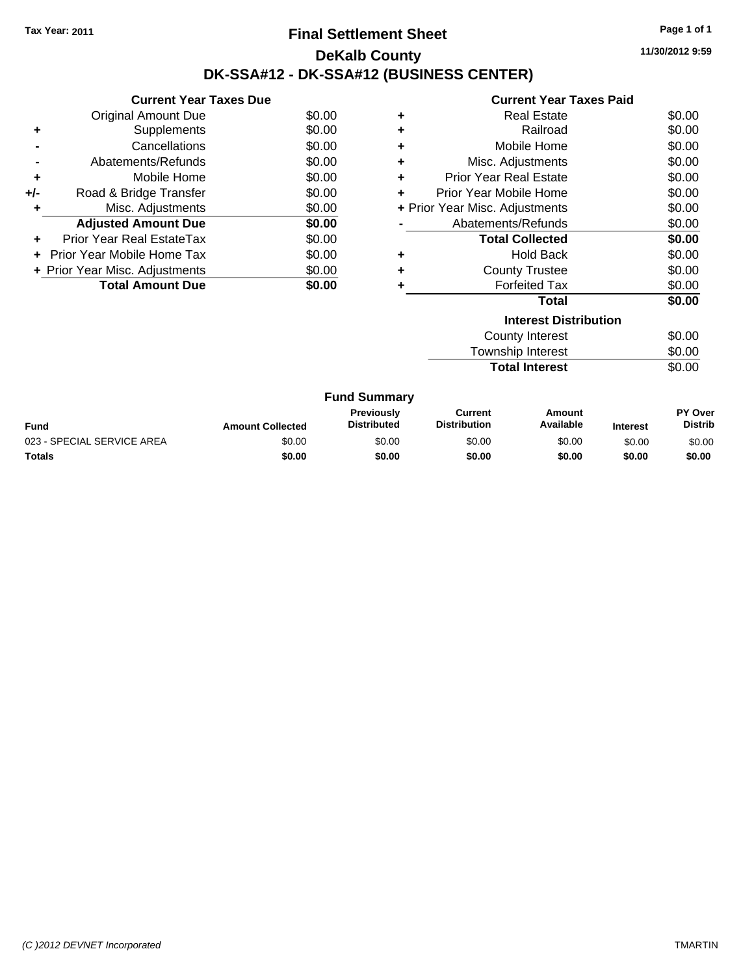### **Final Settlement Sheet Tax Year: 2011 Page 1 of 1 DeKalb County DK-SSA#12 - DK-SSA#12 (BUSINESS CENTER)**

**11/30/2012 9:59**

|     | <b>Current Year Taxes Due</b>  |        |
|-----|--------------------------------|--------|
|     | <b>Original Amount Due</b>     | \$0.00 |
| ٠   | Supplements                    | \$0.00 |
|     | Cancellations                  | \$0.00 |
|     | Abatements/Refunds             | \$0.00 |
| ٠   | Mobile Home                    | \$0.00 |
| +/- | Road & Bridge Transfer         | \$0.00 |
| ٠   | Misc. Adjustments              | \$0.00 |
|     | <b>Adjusted Amount Due</b>     | \$0.00 |
|     | Prior Year Real EstateTax      | \$0.00 |
|     | Prior Year Mobile Home Tax     | \$0.00 |
|     | + Prior Year Misc. Adjustments | \$0.00 |
|     | <b>Total Amount Due</b>        | \$0.00 |

|   | <b>Interest Distribution</b>   |        |
|---|--------------------------------|--------|
|   | Total                          | \$0.00 |
| ٠ | <b>Forfeited Tax</b>           | \$0.00 |
| ٠ | <b>County Trustee</b>          | \$0.00 |
| ٠ | <b>Hold Back</b>               | \$0.00 |
|   | <b>Total Collected</b>         | \$0.00 |
|   | Abatements/Refunds             | \$0.00 |
|   | + Prior Year Misc. Adjustments | \$0.00 |
| ٠ | Prior Year Mobile Home         | \$0.00 |
| ٠ | <b>Prior Year Real Estate</b>  | \$0.00 |
| ٠ | Misc. Adjustments              | \$0.00 |
| ٠ | Mobile Home                    | \$0.00 |
| ٠ | Railroad                       | \$0.00 |
| ٠ | <b>Real Estate</b>             | \$0.00 |
|   |                                |        |

| County Interest       | \$0.00 |
|-----------------------|--------|
| Township Interest     | \$0.00 |
| <b>Total Interest</b> | \$0.00 |

| <b>Fund Summary</b>        |                         |                                         |                                       |                     |                 |                           |
|----------------------------|-------------------------|-----------------------------------------|---------------------------------------|---------------------|-----------------|---------------------------|
| Fund                       | <b>Amount Collected</b> | <b>Previously</b><br><b>Distributed</b> | <b>Current</b><br><b>Distribution</b> | Amount<br>Available | <b>Interest</b> | PY Over<br><b>Distrib</b> |
| 023 - SPECIAL SERVICE AREA | \$0.00                  | \$0.00                                  | \$0.00                                | \$0.00              | \$0.00          | \$0.00                    |
| Totals                     | \$0.00                  | \$0.00                                  | \$0.00                                | \$0.00              | \$0.00          | \$0.00                    |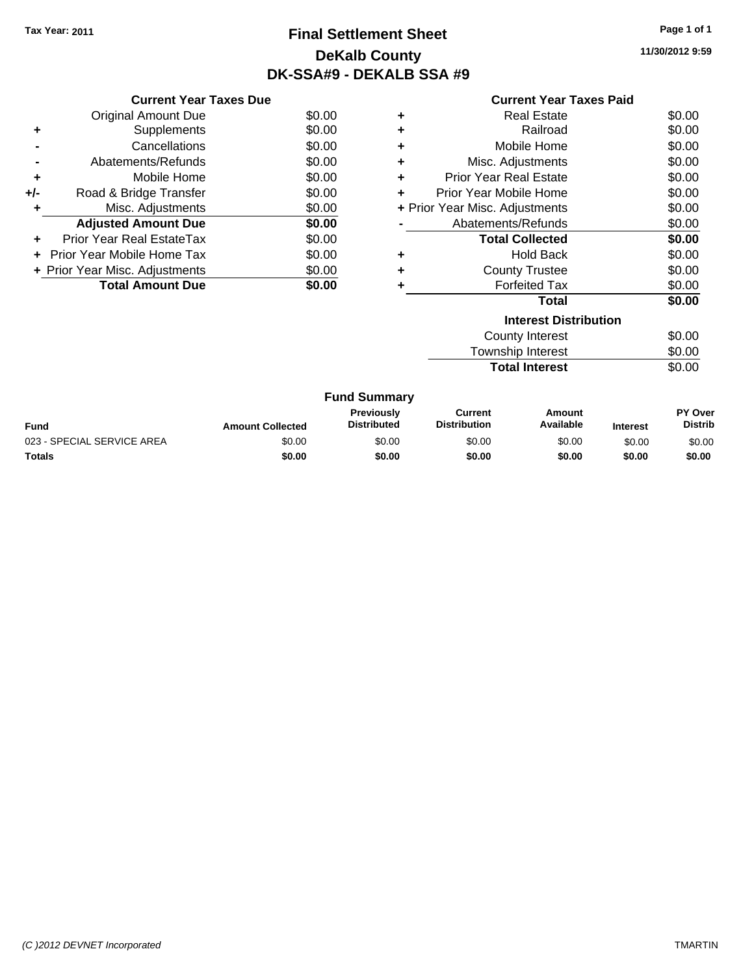# **Final Settlement Sheet Tax Year: 2011 Page 1 of 1 DeKalb County DK-SSA#9 - DEKALB SSA #9**

**11/30/2012 9:59**

|       | <b>Current Year Taxes Due</b>  |        |
|-------|--------------------------------|--------|
|       | <b>Original Amount Due</b>     | \$0.00 |
| ٠     | Supplements                    | \$0.00 |
|       | Cancellations                  | \$0.00 |
|       | Abatements/Refunds             | \$0.00 |
| ٠     | Mobile Home                    | \$0.00 |
| $+/-$ | Road & Bridge Transfer         | \$0.00 |
|       | Misc. Adjustments              | \$0.00 |
|       | <b>Adjusted Amount Due</b>     | \$0.00 |
|       | Prior Year Real EstateTax      | \$0.00 |
|       | Prior Year Mobile Home Tax     | \$0.00 |
|       | + Prior Year Misc. Adjustments | \$0.00 |
|       | <b>Total Amount Due</b>        | \$0.00 |

| ٠ | <b>Real Estate</b>             | \$0.00 |
|---|--------------------------------|--------|
| ÷ | Railroad                       | \$0.00 |
| ٠ | Mobile Home                    | \$0.00 |
| ٠ | Misc. Adjustments              | \$0.00 |
| ٠ | <b>Prior Year Real Estate</b>  | \$0.00 |
| ٠ | Prior Year Mobile Home         | \$0.00 |
|   | + Prior Year Misc. Adjustments | \$0.00 |
|   | Abatements/Refunds             | \$0.00 |
|   | <b>Total Collected</b>         | \$0.00 |
| ٠ | <b>Hold Back</b>               | \$0.00 |
| ÷ | <b>County Trustee</b>          | \$0.00 |
|   | <b>Forfeited Tax</b>           | \$0.00 |
|   | Total                          | \$0.00 |
|   | <b>Interest Distribution</b>   |        |
|   | County Interest                | ደስ ሰስ  |

| County Interest          | \$0.00 |
|--------------------------|--------|
| <b>Township Interest</b> | \$0.00 |
| <b>Total Interest</b>    | \$0.00 |
|                          |        |

|  | <b>Fund Summary</b> |
|--|---------------------|
|--|---------------------|

| <b>Fund</b>                | <b>Amount Collected</b> | <b>Previously</b><br><b>Distributed</b> | Current<br><b>Distribution</b> | Amount<br>Available | <b>Interest</b> | PY Over<br><b>Distrib</b> |
|----------------------------|-------------------------|-----------------------------------------|--------------------------------|---------------------|-----------------|---------------------------|
| 023 - SPECIAL SERVICE AREA | \$0.00                  | \$0.00                                  | \$0.00                         | \$0.00              | \$0.00          | \$0.00                    |
| <b>Totals</b>              | \$0.00                  | \$0.00                                  | \$0.00                         | \$0.00              | \$0.00          | \$0.00                    |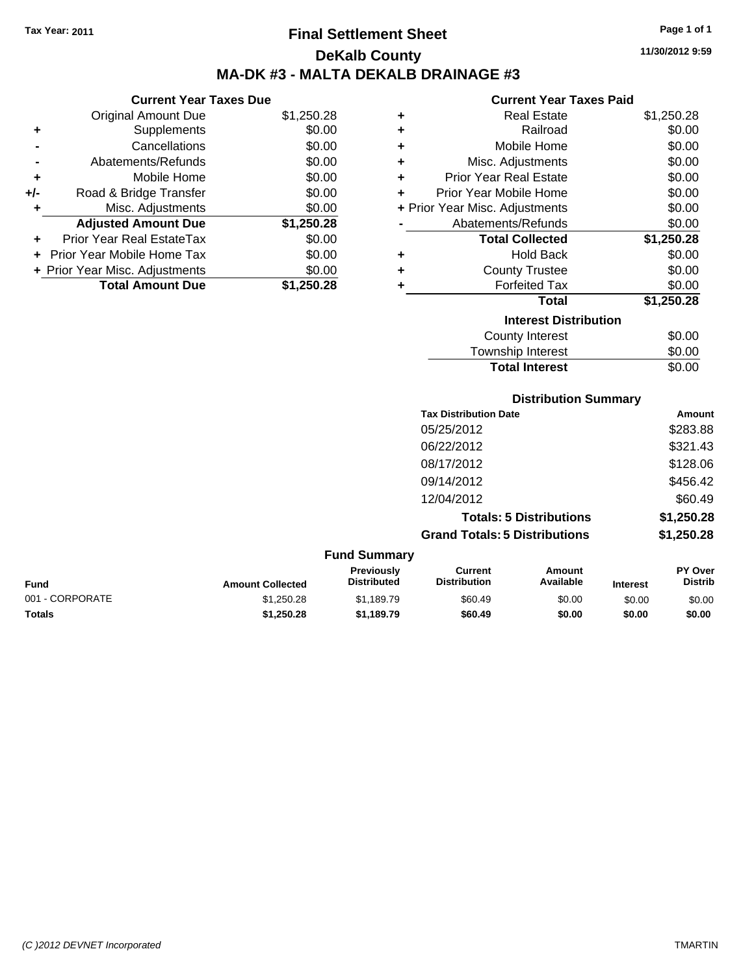**Current Year Taxes Due** Original Amount Due \$1,250.28

**Adjusted Amount Due \$1,250.28**

**Total Amount Due \$1,250.28**

**+** Supplements \$0.00 **-** Cancellations \$0.00 **-** Abatements/Refunds \$0.00 **+** Mobile Home \$0.00 **+/-** Road & Bridge Transfer \$0.00 **+** Misc. Adjustments \$0.00

**+** Prior Year Real EstateTax \$0.00 **+** Prior Year Mobile Home Tax \$0.00 **+ Prior Year Misc. Adjustments**  $$0.00$ 

### **Final Settlement Sheet Tax Year: 2011 Page 1 of 1 DeKalb County MA-DK #3 - MALTA DEKALB DRAINAGE #3**

**11/30/2012 9:59**

#### **Current Year Taxes Paid**

| ÷ | <b>Real Estate</b>             | \$1,250.28 |
|---|--------------------------------|------------|
| ٠ | Railroad                       | \$0.00     |
| ÷ | Mobile Home                    | \$0.00     |
| ÷ | Misc. Adjustments              | \$0.00     |
| ÷ | <b>Prior Year Real Estate</b>  | \$0.00     |
| ÷ | Prior Year Mobile Home         | \$0.00     |
|   | + Prior Year Misc. Adjustments | \$0.00     |
|   | Abatements/Refunds             | \$0.00     |
|   | <b>Total Collected</b>         | \$1,250.28 |
| ÷ | <b>Hold Back</b>               | \$0.00     |
| ÷ | <b>County Trustee</b>          | \$0.00     |
| ÷ | <b>Forfeited Tax</b>           | \$0.00     |
|   | <b>Total</b>                   | \$1,250.28 |
|   | <b>Interest Distribution</b>   |            |
|   | <b>County Interest</b>         | \$0.00     |
|   | Townshin Interest              | ፍስ ሰስ      |

#### Township Interest \$0.00 Total Interest \$0.00

**Distribution Summary**

| <b>Tax Distribution Date</b>         | Amount     |
|--------------------------------------|------------|
| 05/25/2012                           | \$283.88   |
| 06/22/2012                           | \$321.43   |
| 08/17/2012                           | \$128.06   |
| 09/14/2012                           | \$456.42   |
| 12/04/2012                           | \$60.49    |
| <b>Totals: 5 Distributions</b>       | \$1,250.28 |
| <b>Grand Totals: 5 Distributions</b> | \$1,250.28 |
|                                      |            |

#### **Fund Summary Fund Interest Amount Collected Distributed PY Over Distrib Amount Available Current Distribution Previously** 001 - CORPORATE \$1,250.28 \$1,189.79 \$60.49 \$0.00 \$0.00 \$0.00 **Totals \$1,250.28 \$1,189.79 \$60.49 \$0.00 \$0.00 \$0.00**

#### *(C )2012 DEVNET Incorporated* TMARTIN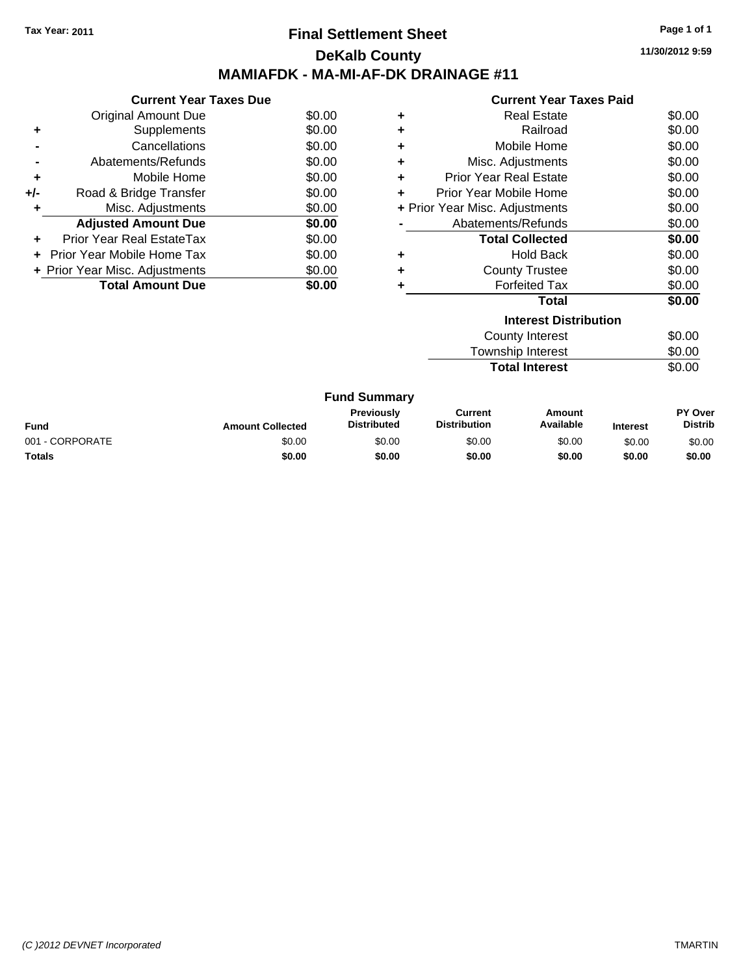### **Final Settlement Sheet Tax Year: 2011 Page 1 of 1 DeKalb County MAMIAFDK - MA-MI-AF-DK DRAINAGE #11**

**11/30/2012 9:59**

|       | <b>Current Year Taxes Due</b> |        |   |             |
|-------|-------------------------------|--------|---|-------------|
|       | <b>Original Amount Due</b>    | \$0.00 | ٠ |             |
|       | Supplements                   | \$0.00 |   |             |
|       | Cancellations                 | \$0.00 | ٠ |             |
|       | Abatements/Refunds            | \$0.00 |   |             |
| ٠     | Mobile Home                   | \$0.00 |   | Pr          |
| $+/-$ | Road & Bridge Transfer        | \$0.00 |   | Prio        |
| ٠     | Misc. Adjustments             | \$0.00 |   | + Prior Yea |
|       | <b>Adjusted Amount Due</b>    | \$0.00 |   | A           |

**+** Prior Year Real EstateTax \$0.00 **+** Prior Year Mobile Home Tax \$0.00 **+ Prior Year Misc. Adjustments**  $$0.00$ 

Total Amount Due \$0.00

#### **Current Year Taxes Paid**

|   | Total                          | \$0.00 |
|---|--------------------------------|--------|
|   | <b>Forfeited Tax</b>           | \$0.00 |
| ÷ | <b>County Trustee</b>          | \$0.00 |
|   | <b>Hold Back</b>               | \$0.00 |
|   | <b>Total Collected</b>         | \$0.00 |
|   | Abatements/Refunds             | \$0.00 |
|   | + Prior Year Misc. Adjustments | \$0.00 |
| ÷ | Prior Year Mobile Home         | \$0.00 |
| ÷ | <b>Prior Year Real Estate</b>  | \$0.00 |
| ٠ | Misc. Adjustments              | \$0.00 |
|   | Mobile Home                    | \$0.00 |
|   | Railroad                       | \$0.00 |
| ٠ | <b>Real Estate</b>             | \$0.00 |

### **Interest Distribution** County Interest \$0.00 Township Interest \$0.00<br>
Total Interest \$0.00 **Total Interest**

| <b>Fund Summary</b> |                         |                                         |                                |                     |                 |                                  |
|---------------------|-------------------------|-----------------------------------------|--------------------------------|---------------------|-----------------|----------------------------------|
| Fund                | <b>Amount Collected</b> | <b>Previously</b><br><b>Distributed</b> | Current<br><b>Distribution</b> | Amount<br>Available | <b>Interest</b> | <b>PY Over</b><br><b>Distrib</b> |
| 001 - CORPORATE     | \$0.00                  | \$0.00                                  | \$0.00                         | \$0.00              | \$0.00          | \$0.00                           |
| Totals              | \$0.00                  | \$0.00                                  | \$0.00                         | \$0.00              | \$0.00          | \$0.00                           |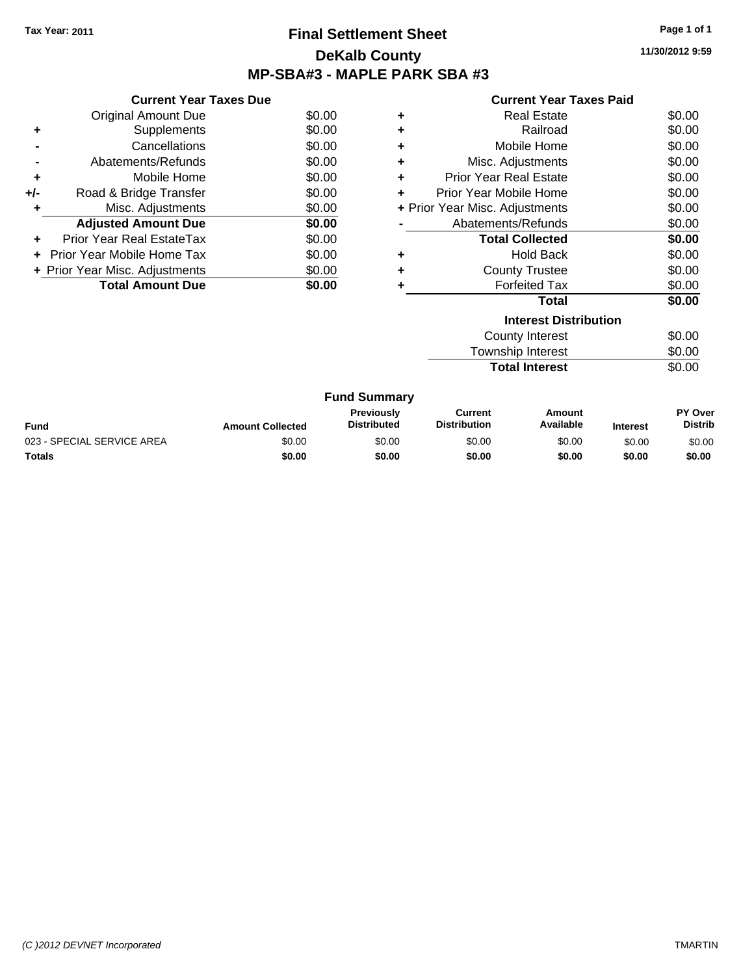### **Final Settlement Sheet Tax Year: 2011 Page 1 of 1 DeKalb County MP-SBA#3 - MAPLE PARK SBA #3**

**11/30/2012 9:59**

| Current Year Taxes Paid |  |  |
|-------------------------|--|--|
|                         |  |  |

| <b>Current Year Taxes Due</b>     |                                |
|-----------------------------------|--------------------------------|
| <b>Original Amount Due</b>        | \$0.00                         |
| Supplements                       | \$0.00                         |
| Cancellations                     | \$0.00                         |
| Abatements/Refunds                | \$0.00                         |
| Mobile Home                       | \$0.00                         |
| Road & Bridge Transfer            | \$0.00                         |
| Misc. Adjustments                 | \$0.00                         |
| <b>Adjusted Amount Due</b>        | \$0.00                         |
| Prior Year Real EstateTax         | \$0.00                         |
| <b>Prior Year Mobile Home Tax</b> | \$0.00                         |
|                                   | \$0.00                         |
| <b>Total Amount Due</b>           | \$0.00                         |
|                                   | + Prior Year Misc. Adjustments |

| ٠ | <b>Real Estate</b>             | \$0.00 |
|---|--------------------------------|--------|
| ÷ | Railroad                       | \$0.00 |
|   | Mobile Home                    | \$0.00 |
| ٠ | Misc. Adjustments              | \$0.00 |
| ٠ | <b>Prior Year Real Estate</b>  | \$0.00 |
| ÷ | Prior Year Mobile Home         | \$0.00 |
|   | + Prior Year Misc. Adjustments | \$0.00 |
|   | Abatements/Refunds             | \$0.00 |
|   | <b>Total Collected</b>         | \$0.00 |
| ٠ | <b>Hold Back</b>               | \$0.00 |
| ٠ | <b>County Trustee</b>          | \$0.00 |
| ٠ | <b>Forfeited Tax</b>           | \$0.00 |
|   | Total                          | \$0.00 |
|   | <b>Interest Distribution</b>   |        |
|   | $C_{\text{aunk}}$ ulataraat    | ሮስ ሰሰ  |

| County Interest       | \$0.00 |
|-----------------------|--------|
| Township Interest     | \$0.00 |
| <b>Total Interest</b> | \$0.00 |

| <b>Fund Summary</b>        |                         |                                  |                                |                     |                 |                           |
|----------------------------|-------------------------|----------------------------------|--------------------------------|---------------------|-----------------|---------------------------|
| Fund                       | <b>Amount Collected</b> | Previously<br><b>Distributed</b> | Current<br><b>Distribution</b> | Amount<br>Available | <b>Interest</b> | PY Over<br><b>Distrib</b> |
| 023 - SPECIAL SERVICE AREA | \$0.00                  | \$0.00                           | \$0.00                         | \$0.00              | \$0.00          | \$0.00                    |
| Totals                     | \$0.00                  | \$0.00                           | \$0.00                         | \$0.00              | \$0.00          | \$0.00                    |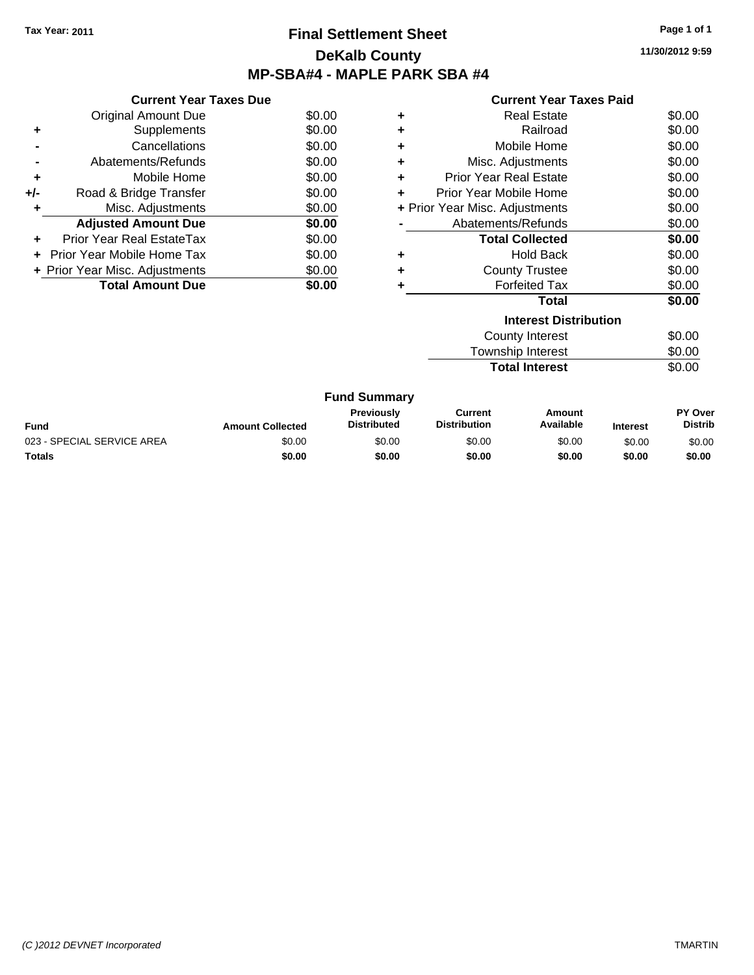### **Final Settlement Sheet Tax Year: 2011 Page 1 of 1 DeKalb County MP-SBA#4 - MAPLE PARK SBA #4**

**11/30/2012 9:59**

|     | <b>Current Year Taxes Due</b>     |        |
|-----|-----------------------------------|--------|
|     | <b>Original Amount Due</b>        | \$0.00 |
| ٠   | Supplements                       | \$0.00 |
|     | Cancellations                     | \$0.00 |
|     | Abatements/Refunds                | \$0.00 |
| ٠   | Mobile Home                       | \$0.00 |
| +/- | Road & Bridge Transfer            | \$0.00 |
|     | Misc. Adjustments                 | \$0.00 |
|     | <b>Adjusted Amount Due</b>        | \$0.00 |
| ٠   | Prior Year Real EstateTax         | \$0.00 |
|     | <b>Prior Year Mobile Home Tax</b> | \$0.00 |
|     | + Prior Year Misc. Adjustments    | \$0.00 |
|     | <b>Total Amount Due</b>           | \$0.00 |

|   | <b>Real Estate</b>             | \$0.00 |
|---|--------------------------------|--------|
| ٠ | Railroad                       | \$0.00 |
| ٠ | Mobile Home                    | \$0.00 |
| ٠ | Misc. Adjustments              | \$0.00 |
| ٠ | Prior Year Real Estate         | \$0.00 |
| ÷ | Prior Year Mobile Home         | \$0.00 |
|   | + Prior Year Misc. Adjustments | \$0.00 |
|   | Abatements/Refunds             | \$0.00 |
|   | <b>Total Collected</b>         | \$0.00 |
| ٠ | <b>Hold Back</b>               | \$0.00 |
| ٠ | <b>County Trustee</b>          | \$0.00 |
|   | <b>Forfeited Tax</b>           | \$0.00 |
|   | <b>Total</b>                   | \$0.00 |
|   | <b>Interest Distribution</b>   |        |
|   |                                |        |

| County Interest       | \$0.00 |
|-----------------------|--------|
| Township Interest     | \$0.00 |
| <b>Total Interest</b> | \$0.00 |

| <b>Fund Summary</b> |
|---------------------|
|---------------------|

| <b>Fund</b>                | <b>Amount Collected</b> | Previouslv<br><b>Distributed</b> | Current<br><b>Distribution</b> | Amount<br>Available | <b>Interest</b> | PY Over<br><b>Distrib</b> |
|----------------------------|-------------------------|----------------------------------|--------------------------------|---------------------|-----------------|---------------------------|
| 023 - SPECIAL SERVICE AREA | \$0.00                  | \$0.00                           | \$0.00                         | \$0.00              | \$0.00          | \$0.00                    |
| <b>Totals</b>              | \$0.00                  | \$0.00                           | \$0.00                         | \$0.00              | \$0.00          | \$0.00                    |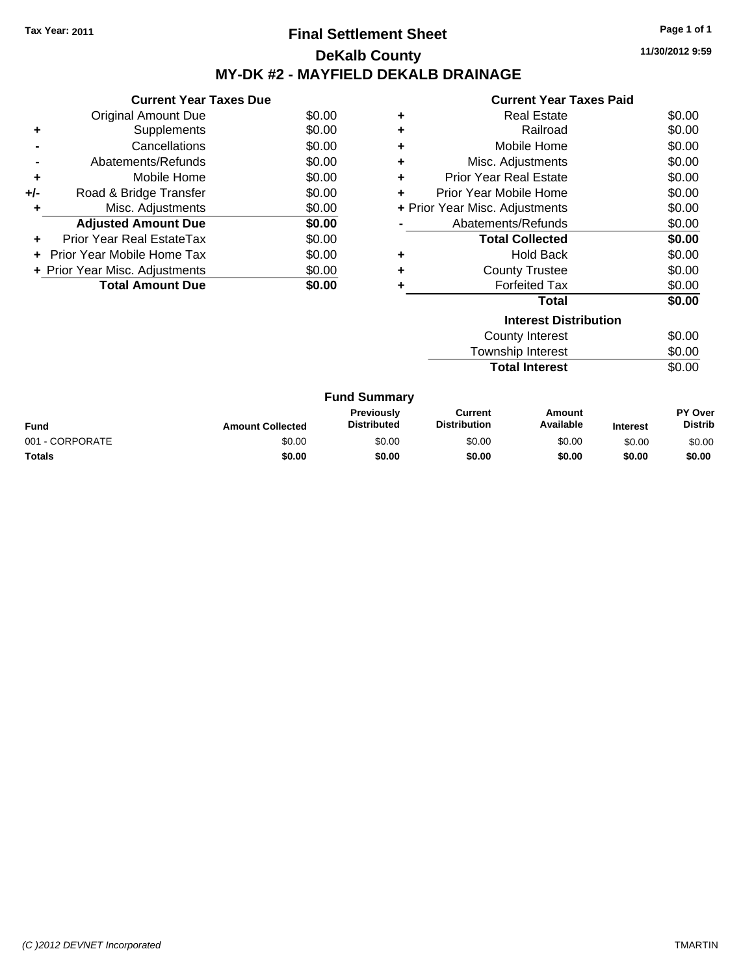### **Final Settlement Sheet Tax Year: 2011 Page 1 of 1 DeKalb County MY-DK #2 - MAYFIELD DEKALB DRAINAGE**

**11/30/2012 9:59**

|     | <b>Current Year Taxes Due</b>     |        |
|-----|-----------------------------------|--------|
|     | <b>Original Amount Due</b>        | \$0.00 |
| ٠   | Supplements                       | \$0.00 |
|     | Cancellations                     | \$0.00 |
|     | Abatements/Refunds                | \$0.00 |
| ٠   | Mobile Home                       | \$0.00 |
| +/- | Road & Bridge Transfer            | \$0.00 |
| ٠   | Misc. Adjustments                 | \$0.00 |
|     | <b>Adjusted Amount Due</b>        | \$0.00 |
| ٠   | Prior Year Real EstateTax         | \$0.00 |
| ÷   | <b>Prior Year Mobile Home Tax</b> | \$0.00 |
|     | + Prior Year Misc. Adjustments    | \$0.00 |
|     | <b>Total Amount Due</b>           | \$0.00 |

|   | <b>Interest Distribution</b>   | $\cdots$ |
|---|--------------------------------|----------|
|   | <b>Total</b>                   | \$0.00   |
|   | <b>Forfeited Tax</b>           | \$0.00   |
| ٠ | <b>County Trustee</b>          | \$0.00   |
| ٠ | Hold Back                      | \$0.00   |
|   | <b>Total Collected</b>         | \$0.00   |
|   | Abatements/Refunds             | \$0.00   |
|   | + Prior Year Misc. Adjustments | \$0.00   |
|   | Prior Year Mobile Home         | \$0.00   |
| ÷ | <b>Prior Year Real Estate</b>  | \$0.00   |
| ٠ | Misc. Adjustments              | \$0.00   |
| ÷ | Mobile Home                    | \$0.00   |
| ٠ | Railroad                       | \$0.00   |
| ٠ | <b>Real Estate</b>             | \$0.00   |
|   |                                |          |

| County Interest       | \$0.00 |
|-----------------------|--------|
| Township Interest     | \$0.00 |
| <b>Total Interest</b> | \$0.00 |

| <b>Fund Summary</b> |                         |                                         |                                |                     |                 |                                  |
|---------------------|-------------------------|-----------------------------------------|--------------------------------|---------------------|-----------------|----------------------------------|
| Fund                | <b>Amount Collected</b> | <b>Previously</b><br><b>Distributed</b> | Current<br><b>Distribution</b> | Amount<br>Available | <b>Interest</b> | <b>PY Over</b><br><b>Distrib</b> |
| 001 - CORPORATE     | \$0.00                  | \$0.00                                  | \$0.00                         | \$0.00              | \$0.00          | \$0.00                           |
| Totals              | \$0.00                  | \$0.00                                  | \$0.00                         | \$0.00              | \$0.00          | \$0.00                           |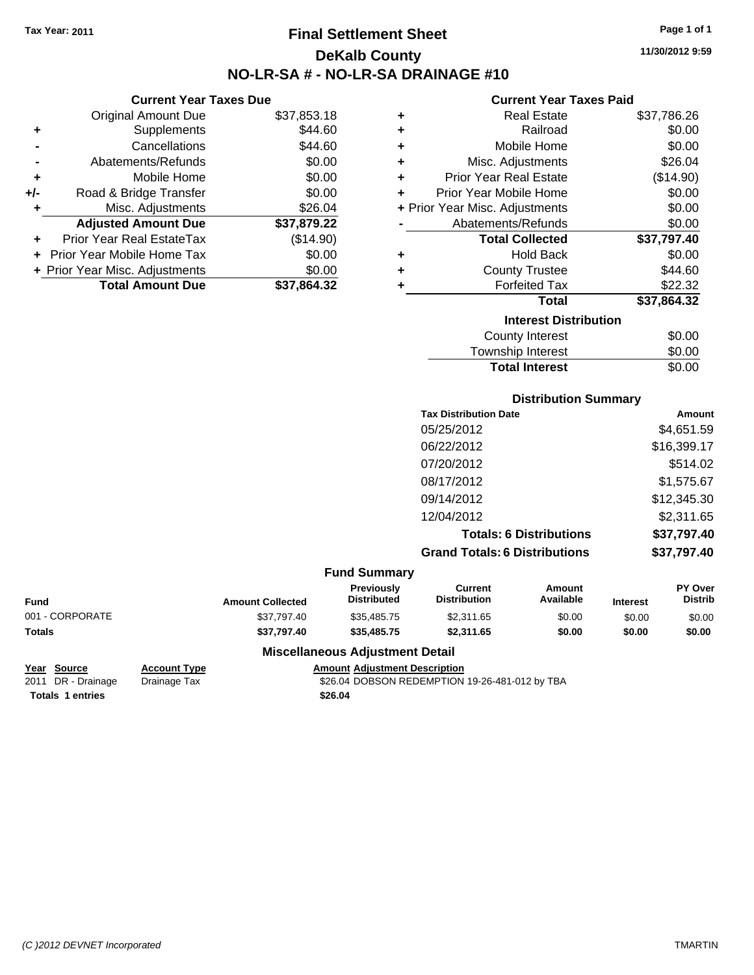# **Final Settlement Sheet Tax Year: 2011 Page 1 of 1 DeKalb County NO-LR-SA # - NO-LR-SA DRAINAGE #10**

**11/30/2012 9:59**

#### **Current Year Taxes Paid**

| ٠ | <b>Real Estate</b>             | \$37,786.26 |
|---|--------------------------------|-------------|
| ٠ | Railroad                       | \$0.00      |
| ٠ | Mobile Home                    | \$0.00      |
| ٠ | Misc. Adjustments              | \$26.04     |
| ÷ | <b>Prior Year Real Estate</b>  | (\$14.90)   |
| ÷ | Prior Year Mobile Home         | \$0.00      |
|   | + Prior Year Misc. Adjustments | \$0.00      |
|   | Abatements/Refunds             | \$0.00      |
|   | <b>Total Collected</b>         | \$37,797.40 |
| ٠ | <b>Hold Back</b>               | \$0.00      |
| ٠ | <b>County Trustee</b>          | \$44.60     |
| ٠ | <b>Forfeited Tax</b>           | \$22.32     |
|   | <b>Total</b>                   | \$37,864.32 |
|   | <b>Interest Distribution</b>   |             |
|   | <b>County Interest</b>         | \$0.00      |
|   | <b>Township Interest</b>       | \$0.00      |

**Total Interest** \$0.00

|                         |                                  |                                       | <b>Distribution Summary</b>    |                 |                           |
|-------------------------|----------------------------------|---------------------------------------|--------------------------------|-----------------|---------------------------|
|                         |                                  | <b>Tax Distribution Date</b>          |                                |                 | <b>Amount</b>             |
|                         |                                  | 05/25/2012                            |                                |                 | \$4,651.59                |
|                         |                                  | 06/22/2012                            |                                |                 | \$16,399.17               |
|                         |                                  | 07/20/2012                            |                                |                 | \$514.02                  |
|                         |                                  | 08/17/2012                            |                                |                 | \$1,575.67                |
|                         |                                  | 09/14/2012                            |                                |                 | \$12,345.30               |
|                         |                                  | 12/04/2012                            |                                |                 | \$2,311.65                |
|                         |                                  |                                       | <b>Totals: 6 Distributions</b> |                 | \$37,797.40               |
|                         |                                  | <b>Grand Totals: 6 Distributions</b>  |                                |                 | \$37,797.40               |
|                         | <b>Fund Summary</b>              |                                       |                                |                 |                           |
| <b>Amount Collected</b> | Previously<br><b>Distributed</b> | <b>Current</b><br><b>Distribution</b> | Amount<br>Available            | <b>Interest</b> | PY Over<br><b>Distrib</b> |

| <b>Fund</b>     | <b>Amount Collected</b> | <b>Previously</b><br><b>Distributed</b> | Current<br><b>Distribution</b> | Amount<br>Available | <b>Interest</b> | <b>PY Over</b><br><b>Distrib</b> |
|-----------------|-------------------------|-----------------------------------------|--------------------------------|---------------------|-----------------|----------------------------------|
| 001 - CORPORATE | \$37.797.40             | \$35.485.75                             | \$2.311.65                     | \$0.00              | \$0.00          | \$0.00                           |
| <b>Totals</b>   | \$37.797.40             | \$35,485,75                             | \$2,311.65                     | \$0.00              | \$0.00          | \$0.00                           |

**Totals \$26.04 1 entries**

**Current Year Taxes Due** Original Amount Due \$37,853.18

**Adjusted Amount Due \$37,879.22**

**Total Amount Due \$37,864.32**

**+** Supplements \$44.60 **-** Cancellations **\$44.60 -** Abatements/Refunds \$0.00 **+** Mobile Home \$0.00 **+/-** Road & Bridge Transfer \$0.00 **+** Misc. Adjustments \$26.04

**+** Prior Year Real EstateTax (\$14.90) **+** Prior Year Mobile Home Tax \$0.00 **+ Prior Year Misc. Adjustments**  $$0.00$ 

### **Miscellaneous Adjustment Detail**

# **Year Source Account Type Amount Adjustment Description**

Drainage Tax  $$26.04$  DOBSON REDEMPTION 19-26-481-012 by TBA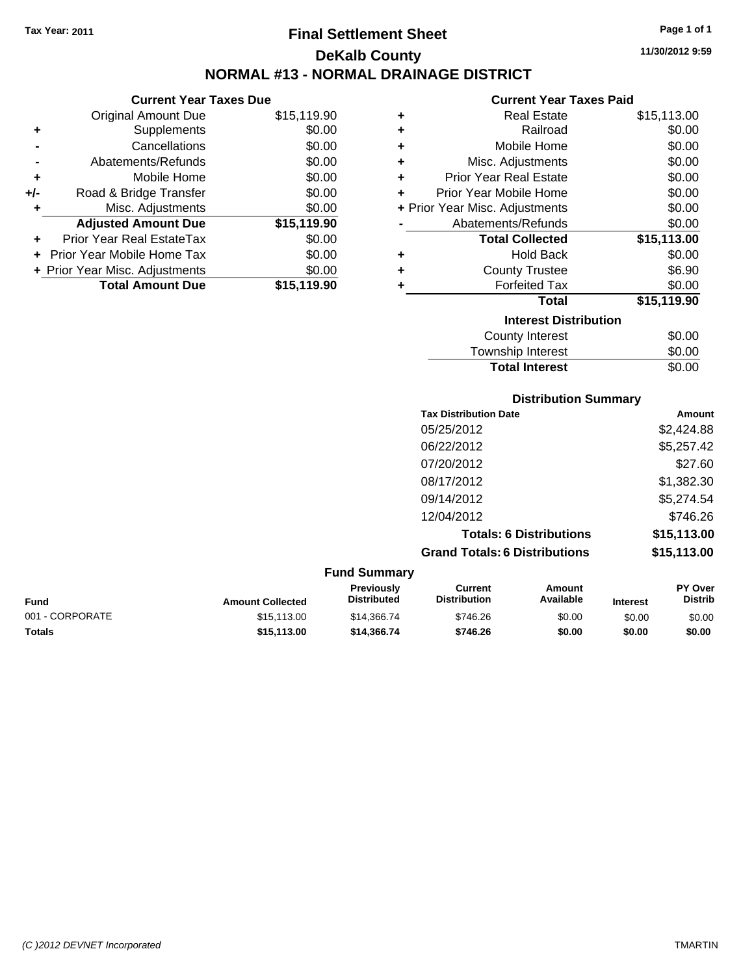**Current Year Taxes Due** Original Amount Due \$15,119.90

**Adjusted Amount Due \$15,119.90**

**Total Amount Due \$15,119.90**

**+** Supplements \$0.00 **-** Cancellations \$0.00 **-** Abatements/Refunds \$0.00 **+** Mobile Home \$0.00 **+/-** Road & Bridge Transfer \$0.00 **+** Misc. Adjustments \$0.00

**+** Prior Year Real EstateTax \$0.00 **+** Prior Year Mobile Home Tax \$0.00 **+ Prior Year Misc. Adjustments**  $$0.00$ 

### **Final Settlement Sheet Tax Year: 2011 Page 1 of 1 DeKalb County NORMAL #13 - NORMAL DRAINAGE DISTRICT**

**11/30/2012 9:59**

#### **Current Year Taxes Paid**

| ٠ | <b>Real Estate</b>             | \$15,113.00 |
|---|--------------------------------|-------------|
| ٠ | Railroad                       | \$0.00      |
| ÷ | Mobile Home                    | \$0.00      |
| ÷ | Misc. Adjustments              | \$0.00      |
| ÷ | <b>Prior Year Real Estate</b>  | \$0.00      |
| ÷ | Prior Year Mobile Home         | \$0.00      |
|   | + Prior Year Misc. Adjustments | \$0.00      |
|   | Abatements/Refunds             | \$0.00      |
|   | <b>Total Collected</b>         | \$15,113.00 |
| ٠ | <b>Hold Back</b>               | \$0.00      |
| ٠ | <b>County Trustee</b>          | \$6.90      |
| ÷ | <b>Forfeited Tax</b>           | \$0.00      |
|   | <b>Total</b>                   | \$15,119.90 |
|   | <b>Interest Distribution</b>   |             |
|   | <b>County Interest</b>         | \$0.00      |
|   | Townshin Interest              | ፍሰ ሰበ       |

# **Distribution Summary** ownship interest  $\phi$ 0.00 **Total Interest** \$0.00

| <b>Tax Distribution Date</b>         | Amount      |
|--------------------------------------|-------------|
| 05/25/2012                           | \$2,424.88  |
| 06/22/2012                           | \$5,257.42  |
| 07/20/2012                           | \$27.60     |
| 08/17/2012                           | \$1,382.30  |
| 09/14/2012                           | \$5,274.54  |
| 12/04/2012                           | \$746.26    |
| <b>Totals: 6 Distributions</b>       | \$15,113.00 |
| <b>Grand Totals: 6 Distributions</b> | \$15,113.00 |

| <b>Fund Summary</b> |                         |                                         |                                |                     |                 |                                  |
|---------------------|-------------------------|-----------------------------------------|--------------------------------|---------------------|-----------------|----------------------------------|
| <b>Fund</b>         | <b>Amount Collected</b> | <b>Previously</b><br><b>Distributed</b> | Current<br><b>Distribution</b> | Amount<br>Available | <b>Interest</b> | <b>PY Over</b><br><b>Distrib</b> |
| 001 - CORPORATE     | \$15,113,00             | \$14,366.74                             | \$746.26                       | \$0.00              | \$0.00          | \$0.00                           |
| <b>Totals</b>       | \$15,113,00             | \$14,366,74                             | \$746.26                       | \$0.00              | \$0.00          | \$0.00                           |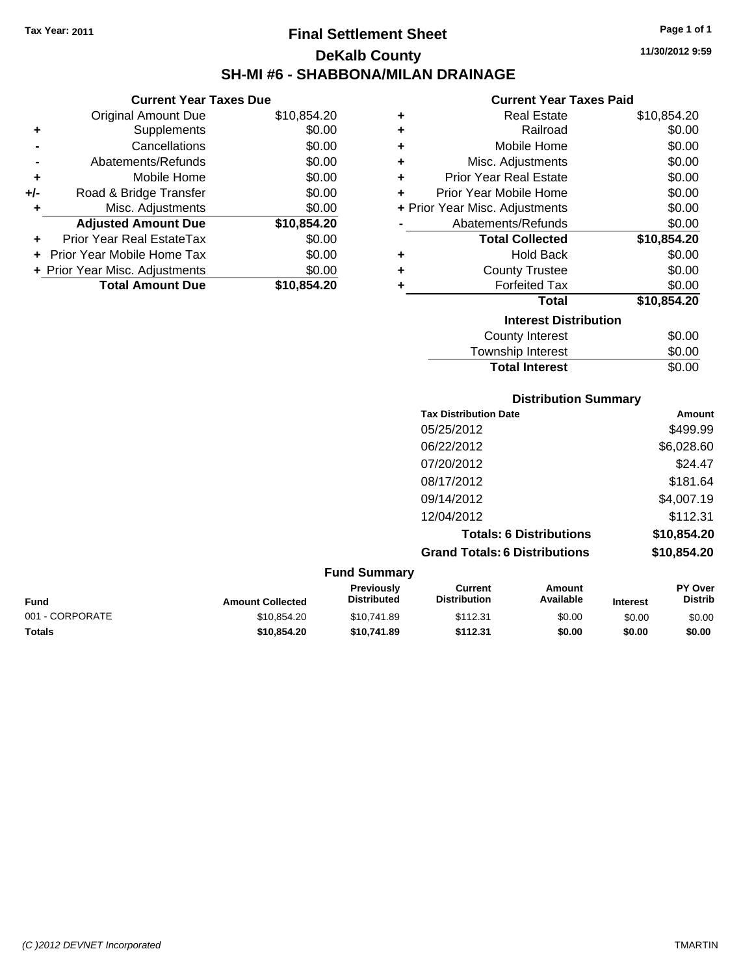**Current Year Taxes Due** Original Amount Due \$10,854.20

**Adjusted Amount Due \$10,854.20**

**Total Amount Due \$10,854.20**

**+** Supplements \$0.00 **-** Cancellations \$0.00 **-** Abatements/Refunds \$0.00 **+** Mobile Home \$0.00 **+/-** Road & Bridge Transfer \$0.00 **+** Misc. Adjustments \$0.00

**+** Prior Year Real EstateTax \$0.00 **+** Prior Year Mobile Home Tax \$0.00 **+ Prior Year Misc. Adjustments**  $$0.00$ 

### **Final Settlement Sheet Tax Year: 2011 Page 1 of 1 DeKalb County SH-MI #6 - SHABBONA/MILAN DRAINAGE**

**11/30/2012 9:59**

#### **Current Year Taxes Paid**

| ٠ | Real Estate                    | \$10,854.20 |
|---|--------------------------------|-------------|
| ٠ | Railroad                       | \$0.00      |
| ÷ | Mobile Home                    | \$0.00      |
| ÷ | Misc. Adjustments              | \$0.00      |
| ÷ | <b>Prior Year Real Estate</b>  | \$0.00      |
| ٠ | Prior Year Mobile Home         | \$0.00      |
|   | + Prior Year Misc. Adjustments | \$0.00      |
|   | Abatements/Refunds             | \$0.00      |
|   | <b>Total Collected</b>         | \$10,854.20 |
| ٠ | <b>Hold Back</b>               | \$0.00      |
| ٠ | <b>County Trustee</b>          | \$0.00      |
| ÷ | <b>Forfeited Tax</b>           | \$0.00      |
|   | <b>Total</b>                   | \$10,854.20 |
|   | <b>Interest Distribution</b>   |             |
|   |                                |             |
|   | County Interest                | \$0.00      |

### **Distribution Summary Tax Distribution Date Amount** 05/25/2012 \$499.99 06/22/2012 \$6,028.60 07/20/2012 \$24.47 08/17/2012 \$181.64 09/14/2012 \$4,007.19 12/04/2012 \$112.31 **Total Interest** \$0.00

**Totals: 6 Distributions \$10,854.20**

**Grand Totals: 6 Distributions \$10,854.20**

**Fund Summary Fund Interest Amount Collected Distributed PY Over Distrib Amount Available Current Distribution Previously** 001 - CORPORATE \$10,854.20 \$10,741.89 \$112.31 \$0.00 \$0.00 \$0.00 **Totals \$10,854.20 \$10,741.89 \$112.31 \$0.00 \$0.00 \$0.00**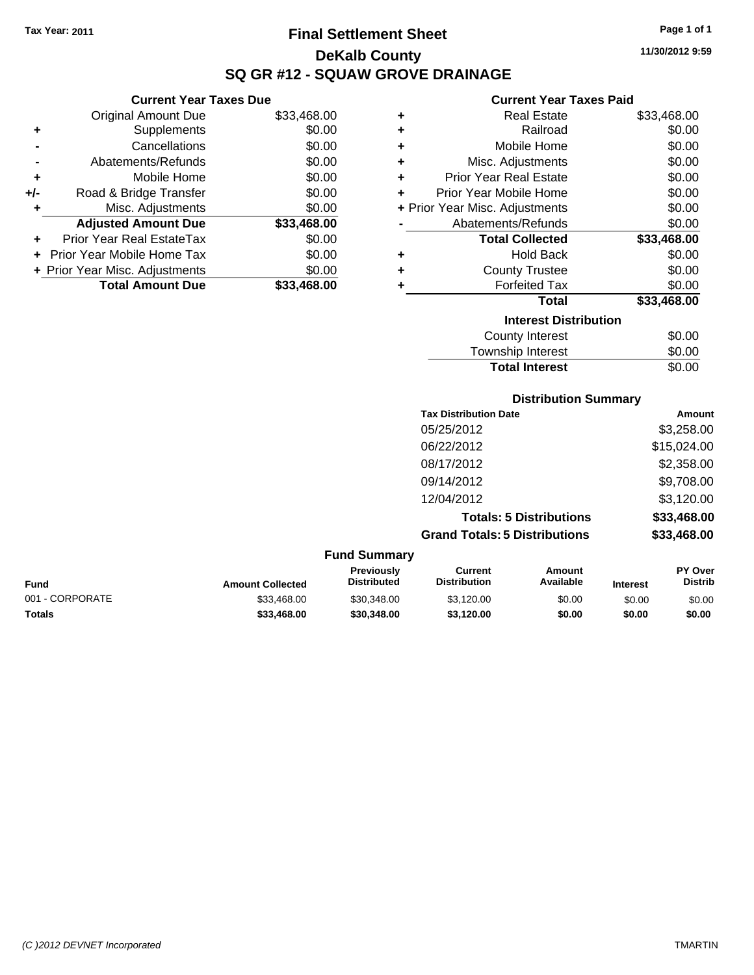**Current Year Taxes Due**

# **Final Settlement Sheet Tax Year: 2011 Page 1 of 1 DeKalb County SQ GR #12 - SQUAW GROVE DRAINAGE**

**11/30/2012 9:59**

### **Current Year Taxes Paid**

|     | OUITUIL TUUT TUAUS DUU         |             |   | OUITUR TUUT TUAUJ TURU         |             |
|-----|--------------------------------|-------------|---|--------------------------------|-------------|
|     | <b>Original Amount Due</b>     | \$33,468.00 | ٠ | <b>Real Estate</b>             | \$33,468.00 |
| ٠   | <b>Supplements</b>             | \$0.00      | ٠ | Railroad                       | \$0.00      |
|     | Cancellations                  | \$0.00      | ÷ | Mobile Home                    | \$0.00      |
|     | Abatements/Refunds             | \$0.00      | ٠ | Misc. Adjustments              | \$0.00      |
| ٠   | Mobile Home                    | \$0.00      | ٠ | <b>Prior Year Real Estate</b>  | \$0.00      |
| +/- | Road & Bridge Transfer         | \$0.00      | ٠ | Prior Year Mobile Home         | \$0.00      |
|     | Misc. Adjustments              | \$0.00      |   | + Prior Year Misc. Adjustments | \$0.00      |
|     | <b>Adjusted Amount Due</b>     | \$33,468.00 |   | Abatements/Refunds             | \$0.00      |
| ÷.  | Prior Year Real EstateTax      | \$0.00      |   | <b>Total Collected</b>         | \$33,468.00 |
|     | + Prior Year Mobile Home Tax   | \$0.00      | ٠ | <b>Hold Back</b>               | \$0.00      |
|     | + Prior Year Misc. Adjustments | \$0.00      | ٠ | <b>County Trustee</b>          | \$0.00      |
|     | <b>Total Amount Due</b>        | \$33,468.00 |   | <b>Forfeited Tax</b>           | \$0.00      |
|     |                                |             |   | <b>Total</b>                   | \$33,468.00 |
|     |                                |             |   | <b>Interest Distribution</b>   |             |
|     |                                |             |   | County Interest                | \$0.00      |
|     |                                |             |   |                                | ີ ລ         |

# Township Interest \$0.00 Total Interest \$0.00

#### **Distribution Summary**

| <b>Tax Distribution Date</b>         | Amount      |
|--------------------------------------|-------------|
| 05/25/2012                           | \$3,258.00  |
| 06/22/2012                           | \$15,024.00 |
| 08/17/2012                           | \$2,358.00  |
| 09/14/2012                           | \$9,708.00  |
| 12/04/2012                           | \$3,120.00  |
| <b>Totals: 5 Distributions</b>       | \$33,468.00 |
| <b>Grand Totals: 5 Distributions</b> | \$33,468.00 |
|                                      |             |

#### **Fund Summary**

| <b>Fund</b>     | <b>Amount Collected</b> | <b>Previously</b><br><b>Distributed</b> | Current<br><b>Distribution</b> | Amount<br>Available | <b>Interest</b> | <b>PY Over</b><br><b>Distrib</b> |
|-----------------|-------------------------|-----------------------------------------|--------------------------------|---------------------|-----------------|----------------------------------|
| 001 - CORPORATE | \$33,468,00             | \$30,348,00                             | \$3.120.00                     | \$0.00              | \$0.00          | \$0.00                           |
| <b>Totals</b>   | \$33.468.00             | \$30,348,00                             | \$3.120.00                     | \$0.00              | \$0.00          | \$0.00                           |
|                 |                         |                                         |                                |                     |                 |                                  |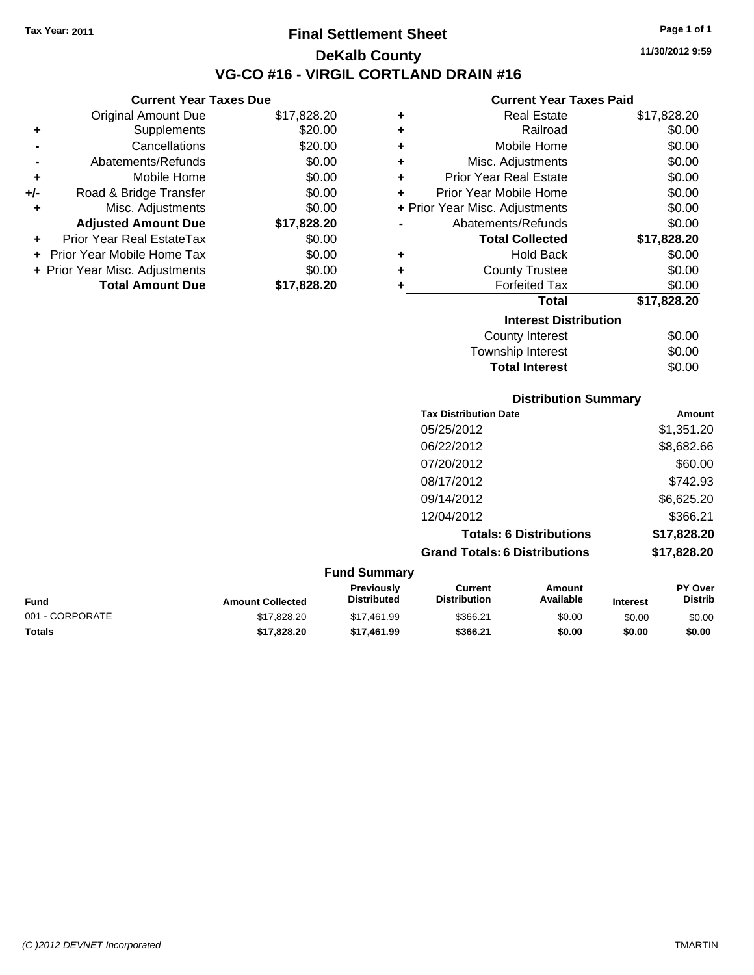**Current Year Taxes Due** Original Amount Due \$17,828.20

**Adjusted Amount Due \$17,828.20**

**Total Amount Due \$17,828.20**

**+** Supplements \$20.00 **-** Cancellations \$20.00 **-** Abatements/Refunds \$0.00 **+** Mobile Home \$0.00 **+/-** Road & Bridge Transfer \$0.00 **+** Misc. Adjustments \$0.00

**+** Prior Year Real EstateTax \$0.00 **+** Prior Year Mobile Home Tax \$0.00 **+ Prior Year Misc. Adjustments**  $$0.00$ 

### **Final Settlement Sheet Tax Year: 2011 Page 1 of 1 DeKalb County VG-CO #16 - VIRGIL CORTLAND DRAIN #16**

**11/30/2012 9:59**

#### **Current Year Taxes Paid**

|   | OUITUR TUUT TUAUJ LUIU         |             |
|---|--------------------------------|-------------|
| ٠ | Real Estate                    | \$17,828.20 |
| ٠ | Railroad                       | \$0.00      |
| ÷ | Mobile Home                    | \$0.00      |
| ÷ | Misc. Adjustments              | \$0.00      |
| ÷ | <b>Prior Year Real Estate</b>  | \$0.00      |
| ÷ | Prior Year Mobile Home         | \$0.00      |
|   | + Prior Year Misc. Adjustments | \$0.00      |
|   | Abatements/Refunds             | \$0.00      |
|   | <b>Total Collected</b>         | \$17,828.20 |
| ٠ | <b>Hold Back</b>               | \$0.00      |
| ٠ | <b>County Trustee</b>          | \$0.00      |
| ٠ | <b>Forfeited Tax</b>           | \$0.00      |
|   | <b>Total</b>                   | \$17,828.20 |
|   | <b>Interest Distribution</b>   |             |
|   | <b>County Interest</b>         | \$0.00      |
|   | Townehin Interact              | ደስ ሰስ       |

### Township Interest \$0.00 Total Interest \$0.00

| <b>Distribution Summary</b>          |             |
|--------------------------------------|-------------|
| <b>Tax Distribution Date</b>         | Amount      |
| 05/25/2012                           | \$1,351.20  |
| 06/22/2012                           | \$8,682.66  |
| 07/20/2012                           | \$60.00     |
| 08/17/2012                           | \$742.93    |
| 09/14/2012                           | \$6,625.20  |
| 12/04/2012                           | \$366.21    |
| <b>Totals: 6 Distributions</b>       | \$17,828.20 |
| <b>Grand Totals: 6 Distributions</b> | \$17,828.20 |

#### **Fund Summary Fund Interest Amount Collected Distributed PY Over Distrib Amount Available Current Distribution Previously** 001 - CORPORATE \$17,828.20 \$17,461.99 \$366.21 \$0.00 \$0.00 \$0.00 **Totals \$17,828.20 \$17,461.99 \$366.21 \$0.00 \$0.00 \$0.00**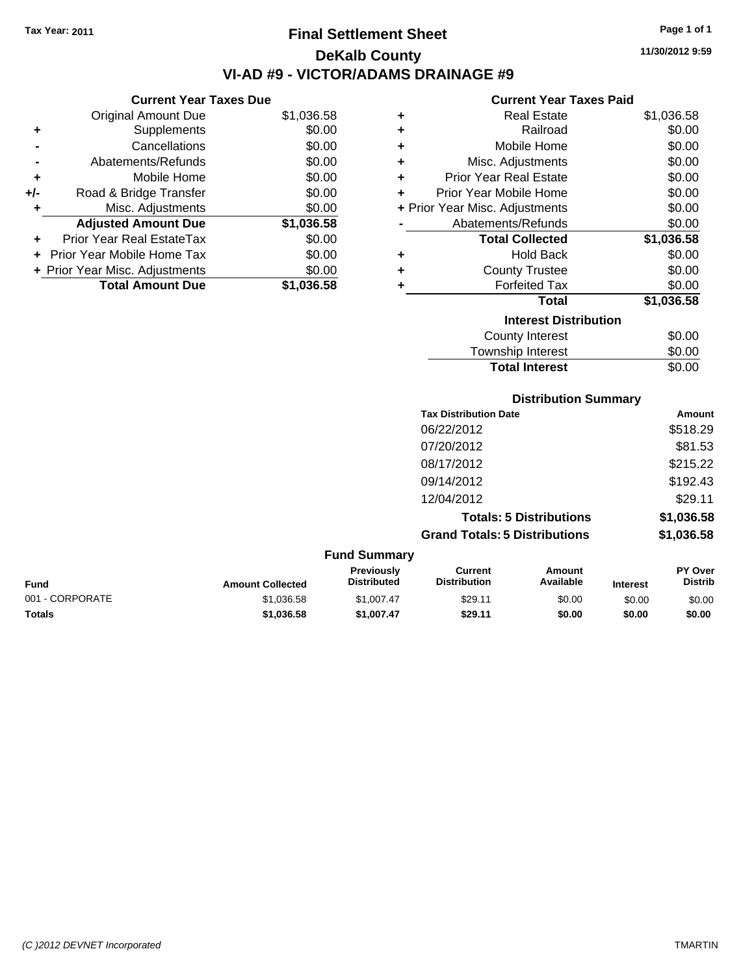# **Final Settlement Sheet Tax Year: 2011 Page 1 of 1 DeKalb County VI-AD #9 - VICTOR/ADAMS DRAINAGE #9**

#### **Current Year Taxes Due**

|     | <b>Original Amount Due</b>       | \$1,036.58 |
|-----|----------------------------------|------------|
| ٠   | Supplements                      | \$0.00     |
|     | Cancellations                    | \$0.00     |
|     | Abatements/Refunds               | \$0.00     |
| ٠   | Mobile Home                      | \$0.00     |
| +/- | Road & Bridge Transfer           | \$0.00     |
|     | Misc. Adjustments                | \$0.00     |
|     | <b>Adjusted Amount Due</b>       | \$1,036.58 |
|     | <b>Prior Year Real EstateTax</b> | \$0.00     |
|     | Prior Year Mobile Home Tax       | \$0.00     |
|     | + Prior Year Misc. Adjustments   | \$0.00     |
|     | <b>Total Amount Due</b>          | \$1.036.58 |

#### **Current Year Taxes Paid**

| ٠ | <b>Real Estate</b>             | \$1,036.58 |  |  |
|---|--------------------------------|------------|--|--|
| ٠ | Railroad                       | \$0.00     |  |  |
| ٠ | Mobile Home                    | \$0.00     |  |  |
| ٠ | Misc. Adjustments              | \$0.00     |  |  |
| ٠ | <b>Prior Year Real Estate</b>  | \$0.00     |  |  |
| ٠ | Prior Year Mobile Home         | \$0.00     |  |  |
|   | + Prior Year Misc. Adjustments | \$0.00     |  |  |
|   | Abatements/Refunds             | \$0.00     |  |  |
|   | <b>Total Collected</b>         | \$1,036.58 |  |  |
| ٠ | <b>Hold Back</b>               | \$0.00     |  |  |
| ٠ | <b>County Trustee</b>          | \$0.00     |  |  |
| ٠ | <b>Forfeited Tax</b>           | \$0.00     |  |  |
|   | Total                          | \$1,036.58 |  |  |
|   | <b>Interest Distribution</b>   |            |  |  |
|   | County Interest                | \$0.00     |  |  |
|   | Townshin Interest              | ደ0 00      |  |  |

#### Township Interest \$0.00 **Total Interest**

| <b>Distribution Summary</b>          |            |  |
|--------------------------------------|------------|--|
| <b>Tax Distribution Date</b>         | Amount     |  |
| 06/22/2012                           | \$518.29   |  |
| 07/20/2012                           | \$81.53    |  |
| 08/17/2012                           | \$215.22   |  |
| 09/14/2012                           | \$192.43   |  |
| 12/04/2012                           | \$29.11    |  |
| <b>Totals: 5 Distributions</b>       | \$1,036.58 |  |
| <b>Grand Totals: 5 Distributions</b> | \$1,036.58 |  |

#### **Fund Summary Fund Interest Amount Collected Distributed PY Over Distrib Amount Available Current Distribution Previously** 001 - CORPORATE \$1,036.58 \$1,007.47 \$29.11 \$0.00 \$0.00 \$0.00 **Totals \$1,036.58 \$1,007.47 \$29.11 \$0.00 \$0.00 \$0.00**

| rage |  |
|------|--|
|      |  |

**11/30/2012 9:59**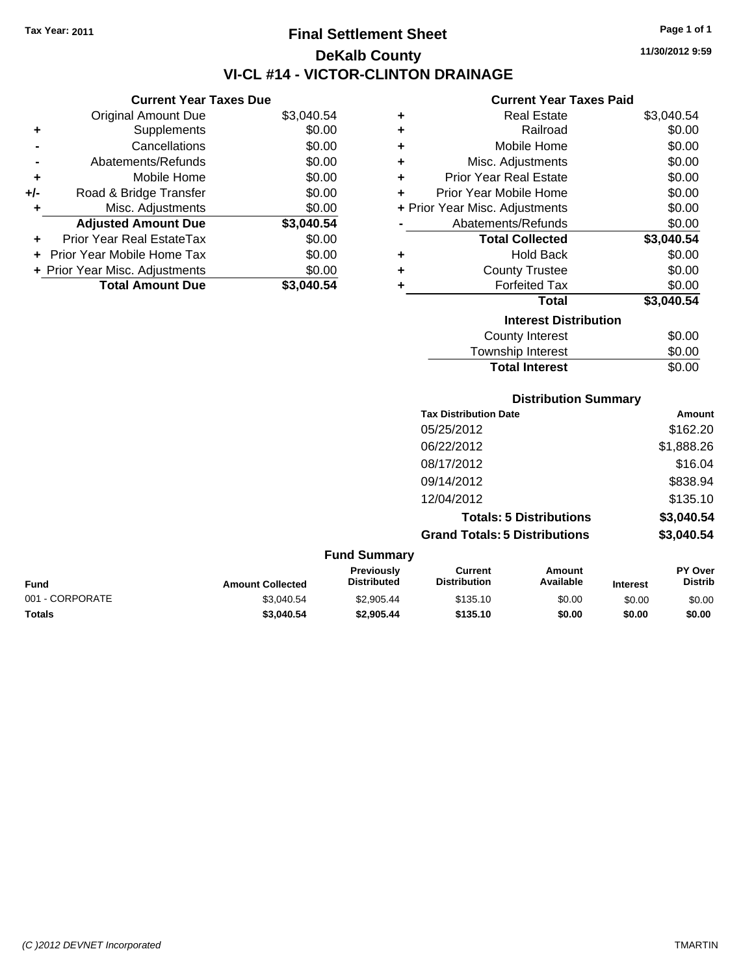## **Final Settlement Sheet Tax Year: 2011 Page 1 of 1 DeKalb County VI-CL #14 - VICTOR-CLINTON DRAINAGE**

**Current Year Taxes Due**

|     | VUIICIIL I CAI TAACS DUC       |            |
|-----|--------------------------------|------------|
|     | <b>Original Amount Due</b>     | \$3,040.54 |
| ٠   | Supplements                    | \$0.00     |
|     | Cancellations                  | \$0.00     |
|     | Abatements/Refunds             | \$0.00     |
| ٠   | Mobile Home                    | \$0.00     |
| +/- | Road & Bridge Transfer         | \$0.00     |
| ٠   | Misc. Adjustments              | \$0.00     |
|     | <b>Adjusted Amount Due</b>     | \$3,040.54 |
|     | Prior Year Real EstateTax      | \$0.00     |
|     | Prior Year Mobile Home Tax     | \$0.00     |
|     | + Prior Year Misc. Adjustments | \$0.00     |
|     | <b>Total Amount Due</b>        | \$3,040.54 |

#### **Current Year Taxes Paid**

| ÷ | <b>Real Estate</b>             | \$3,040.54 |
|---|--------------------------------|------------|
| ٠ | Railroad                       | \$0.00     |
| ٠ | Mobile Home                    | \$0.00     |
| ÷ | Misc. Adjustments              | \$0.00     |
| ÷ | <b>Prior Year Real Estate</b>  | \$0.00     |
| ٠ | Prior Year Mobile Home         | \$0.00     |
|   | + Prior Year Misc. Adjustments | \$0.00     |
|   | Abatements/Refunds             | \$0.00     |
|   | <b>Total Collected</b>         | \$3,040.54 |
| ٠ | <b>Hold Back</b>               | \$0.00     |
| ٠ | <b>County Trustee</b>          | \$0.00     |
| ٠ | <b>Forfeited Tax</b>           | \$0.00     |
|   | Total                          | \$3,040.54 |
|   | <b>Interest Distribution</b>   |            |
|   | <b>County Interest</b>         | \$0.00     |
|   | Townshin Interest              | ደበ በበ      |

| <b>Total Interest</b> | \$0.00 |
|-----------------------|--------|
| Township Interest     | \$0.00 |
|                       | vv.vv  |

### **Distribution Summary**

| Amount     |
|------------|
| \$162.20   |
| \$1,888.26 |
| \$16.04    |
| \$838.94   |
| \$135.10   |
| \$3,040.54 |
| \$3,040.54 |
|            |

#### **Fund Summary Fund Interest Amount Collected Distributed PY Over Distrib Amount Available Current Distribution Previously** 001 - CORPORATE \$3,040.54 \$2,905.44 \$135.10 \$0.00 \$0.00 \$0.00 **Totals \$3,040.54 \$2,905.44 \$135.10 \$0.00 \$0.00 \$0.00**

**11/30/2012 9:59**